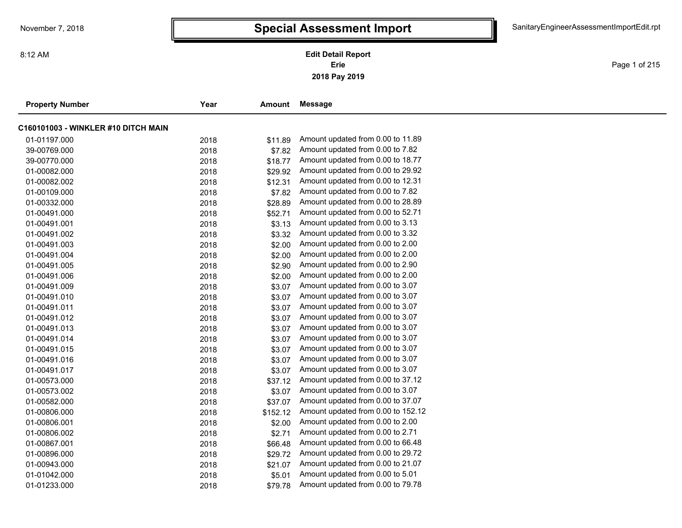Page 1 of 215

| <b>Property Number</b>              | Year | Amount   | Message                            |
|-------------------------------------|------|----------|------------------------------------|
| C160101003 - WINKLER #10 DITCH MAIN |      |          |                                    |
| 01-01197.000                        | 2018 | \$11.89  | Amount updated from 0.00 to 11.89  |
| 39-00769.000                        | 2018 | \$7.82   | Amount updated from 0.00 to 7.82   |
| 39-00770.000                        | 2018 | \$18.77  | Amount updated from 0.00 to 18.77  |
| 01-00082.000                        | 2018 | \$29.92  | Amount updated from 0.00 to 29.92  |
| 01-00082.002                        | 2018 | \$12.31  | Amount updated from 0.00 to 12.31  |
| 01-00109.000                        | 2018 | \$7.82   | Amount updated from 0.00 to 7.82   |
| 01-00332.000                        | 2018 | \$28.89  | Amount updated from 0.00 to 28.89  |
| 01-00491.000                        | 2018 | \$52.71  | Amount updated from 0.00 to 52.71  |
| 01-00491.001                        | 2018 | \$3.13   | Amount updated from 0.00 to 3.13   |
| 01-00491.002                        | 2018 | \$3.32   | Amount updated from 0.00 to 3.32   |
| 01-00491.003                        | 2018 | \$2.00   | Amount updated from 0.00 to 2.00   |
| 01-00491.004                        | 2018 | \$2.00   | Amount updated from 0.00 to 2.00   |
| 01-00491.005                        | 2018 | \$2.90   | Amount updated from 0.00 to 2.90   |
| 01-00491.006                        | 2018 | \$2.00   | Amount updated from 0.00 to 2.00   |
| 01-00491.009                        | 2018 | \$3.07   | Amount updated from 0.00 to 3.07   |
| 01-00491.010                        | 2018 | \$3.07   | Amount updated from 0.00 to 3.07   |
| 01-00491.011                        | 2018 | \$3.07   | Amount updated from 0.00 to 3.07   |
| 01-00491.012                        | 2018 | \$3.07   | Amount updated from 0.00 to 3.07   |
| 01-00491.013                        | 2018 | \$3.07   | Amount updated from 0.00 to 3.07   |
| 01-00491.014                        | 2018 | \$3.07   | Amount updated from 0.00 to 3.07   |
| 01-00491.015                        | 2018 | \$3.07   | Amount updated from 0.00 to 3.07   |
| 01-00491.016                        | 2018 | \$3.07   | Amount updated from 0.00 to 3.07   |
| 01-00491.017                        | 2018 | \$3.07   | Amount updated from 0.00 to 3.07   |
| 01-00573.000                        | 2018 | \$37.12  | Amount updated from 0.00 to 37.12  |
| 01-00573.002                        | 2018 | \$3.07   | Amount updated from 0.00 to 3.07   |
| 01-00582.000                        | 2018 | \$37.07  | Amount updated from 0.00 to 37.07  |
| 01-00806.000                        | 2018 | \$152.12 | Amount updated from 0.00 to 152.12 |
| 01-00806.001                        | 2018 | \$2.00   | Amount updated from 0.00 to 2.00   |
| 01-00806.002                        | 2018 | \$2.71   | Amount updated from 0.00 to 2.71   |
| 01-00867.001                        | 2018 | \$66.48  | Amount updated from 0.00 to 66.48  |
| 01-00896.000                        | 2018 | \$29.72  | Amount updated from 0.00 to 29.72  |
| 01-00943.000                        | 2018 | \$21.07  | Amount updated from 0.00 to 21.07  |
| 01-01042.000                        | 2018 | \$5.01   | Amount updated from 0.00 to 5.01   |
| 01-01233.000                        | 2018 | \$79.78  | Amount updated from 0.00 to 79.78  |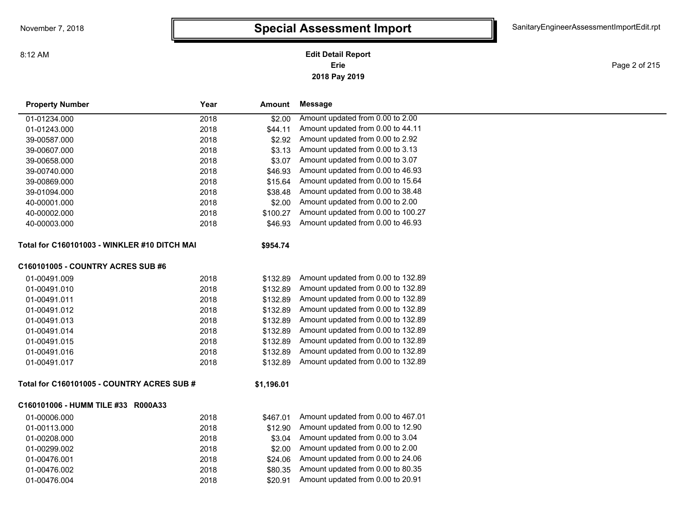**2018 Pay 2019 Erie Edit Detail Report**

Page 2 of 215

| <b>Property Number</b>                       | Year<br>Amount   | <b>Message</b>                     |
|----------------------------------------------|------------------|------------------------------------|
| 01-01234.000                                 | 2018<br>\$2.00   | Amount updated from 0.00 to 2.00   |
| 01-01243.000                                 | 2018<br>\$44.11  | Amount updated from 0.00 to 44.11  |
| 39-00587.000                                 | 2018<br>\$2.92   | Amount updated from 0.00 to 2.92   |
| 39-00607.000                                 | 2018<br>\$3.13   | Amount updated from 0.00 to 3.13   |
| 39-00658.000                                 | 2018<br>\$3.07   | Amount updated from 0.00 to 3.07   |
| 39-00740.000                                 | 2018<br>\$46.93  | Amount updated from 0.00 to 46.93  |
| 39-00869.000                                 | 2018<br>\$15.64  | Amount updated from 0.00 to 15.64  |
| 39-01094.000                                 | 2018<br>\$38.48  | Amount updated from 0.00 to 38.48  |
| 40-00001.000                                 | 2018<br>\$2.00   | Amount updated from 0.00 to 2.00   |
| 40-00002.000                                 | 2018<br>\$100.27 | Amount updated from 0.00 to 100.27 |
| 40-00003.000                                 | 2018<br>\$46.93  | Amount updated from 0.00 to 46.93  |
| Total for C160101003 - WINKLER #10 DITCH MAI | \$954.74         |                                    |
| <b>C160101005 - COUNTRY ACRES SUB #6</b>     |                  |                                    |
| 01-00491.009                                 | 2018<br>\$132.89 | Amount updated from 0.00 to 132.89 |
| 01-00491.010                                 | 2018<br>\$132.89 | Amount updated from 0.00 to 132.89 |
| 01-00491.011                                 | 2018<br>\$132.89 | Amount updated from 0.00 to 132.89 |
| 01-00491.012                                 | 2018<br>\$132.89 | Amount updated from 0.00 to 132.89 |
| 01-00491.013                                 | 2018<br>\$132.89 | Amount updated from 0.00 to 132.89 |
| 01-00491.014                                 | 2018<br>\$132.89 | Amount updated from 0.00 to 132.89 |
| 01-00491.015                                 | 2018<br>\$132.89 | Amount updated from 0.00 to 132.89 |
| 01-00491.016                                 | 2018<br>\$132.89 | Amount updated from 0.00 to 132.89 |
| 01-00491.017                                 | 2018<br>\$132.89 | Amount updated from 0.00 to 132.89 |
| Total for C160101005 - COUNTRY ACRES SUB #   | \$1,196.01       |                                    |
| C160101006 - HUMM TILE #33 R000A33           |                  |                                    |
| 01-00006.000                                 | 2018<br>\$467.01 | Amount updated from 0.00 to 467.01 |
| 01-00113.000                                 | 2018<br>\$12.90  | Amount updated from 0.00 to 12.90  |
| 01-00208.000                                 | 2018<br>\$3.04   | Amount updated from 0.00 to 3.04   |
| 01-00299.002                                 | 2018<br>\$2.00   | Amount updated from 0.00 to 2.00   |
| 01-00476.001                                 | 2018<br>\$24.06  | Amount updated from 0.00 to 24.06  |
| 01-00476.002                                 | 2018<br>\$80.35  | Amount updated from 0.00 to 80.35  |
| 01-00476.004                                 | 2018<br>\$20.91  | Amount updated from 0.00 to 20.91  |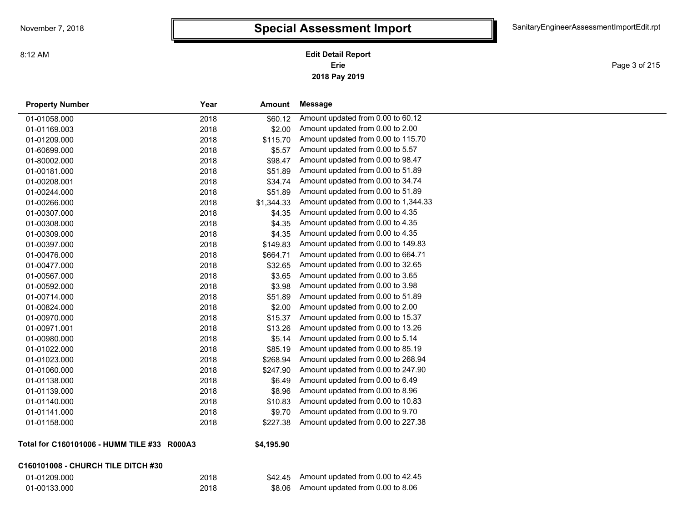Page 3 of 215

| <b>Property Number</b> | Year | <b>Amount</b> | <b>Message</b>                       |
|------------------------|------|---------------|--------------------------------------|
| 01-01058.000           | 2018 | \$60.12       | Amount updated from 0.00 to 60.12    |
| 01-01169.003           | 2018 | \$2.00        | Amount updated from 0.00 to 2.00     |
| 01-01209.000           | 2018 | \$115.70      | Amount updated from 0.00 to 115.70   |
| 01-60699.000           | 2018 | \$5.57        | Amount updated from 0.00 to 5.57     |
| 01-80002.000           | 2018 | \$98.47       | Amount updated from 0.00 to 98.47    |
| 01-00181.000           | 2018 | \$51.89       | Amount updated from 0.00 to 51.89    |
| 01-00208.001           | 2018 | \$34.74       | Amount updated from 0.00 to 34.74    |
| 01-00244.000           | 2018 | \$51.89       | Amount updated from 0.00 to 51.89    |
| 01-00266.000           | 2018 | \$1,344.33    | Amount updated from 0.00 to 1,344.33 |
| 01-00307.000           | 2018 | \$4.35        | Amount updated from 0.00 to 4.35     |
| 01-00308.000           | 2018 | \$4.35        | Amount updated from 0.00 to 4.35     |
| 01-00309.000           | 2018 | \$4.35        | Amount updated from 0.00 to 4.35     |
| 01-00397.000           | 2018 | \$149.83      | Amount updated from 0.00 to 149.83   |
| 01-00476.000           | 2018 | \$664.71      | Amount updated from 0.00 to 664.71   |
| 01-00477.000           | 2018 | \$32.65       | Amount updated from 0.00 to 32.65    |
| 01-00567.000           | 2018 | \$3.65        | Amount updated from 0.00 to 3.65     |
| 01-00592.000           | 2018 | \$3.98        | Amount updated from 0.00 to 3.98     |
| 01-00714.000           | 2018 | \$51.89       | Amount updated from 0.00 to 51.89    |
| 01-00824.000           | 2018 | \$2.00        | Amount updated from 0.00 to 2.00     |
| 01-00970.000           | 2018 | \$15.37       | Amount updated from 0.00 to 15.37    |
| 01-00971.001           | 2018 | \$13.26       | Amount updated from 0.00 to 13.26    |
| 01-00980.000           | 2018 | \$5.14        | Amount updated from 0.00 to 5.14     |
| 01-01022.000           | 2018 | \$85.19       | Amount updated from 0.00 to 85.19    |
| 01-01023.000           | 2018 | \$268.94      | Amount updated from 0.00 to 268.94   |
| 01-01060.000           | 2018 | \$247.90      | Amount updated from 0.00 to 247.90   |
| 01-01138.000           | 2018 | \$6.49        | Amount updated from 0.00 to 6.49     |
| 01-01139.000           | 2018 | \$8.96        | Amount updated from 0.00 to 8.96     |
| 01-01140.000           | 2018 | \$10.83       | Amount updated from 0.00 to 10.83    |
| 01-01141.000           | 2018 | \$9.70        | Amount updated from 0.00 to 9.70     |
| 01-01158.000           | 2018 | \$227.38      | Amount updated from 0.00 to 227.38   |
|                        |      |               |                                      |

**Total for C160101006 - HUMM TILE #33 R000A3**

#### **C160101008 - CHURCH TILE DITCH #30**

| 01-01209.000 |  |
|--------------|--|
| 01-00133.000 |  |

#### **\$4,195.90**

| 01-01209.000 | 2018 | $$42.45$ Amount updated from 0.00 to 42.45 |
|--------------|------|--------------------------------------------|
| 01-00133.000 | 2018 | \$8.06 Amount updated from 0.00 to 8.06    |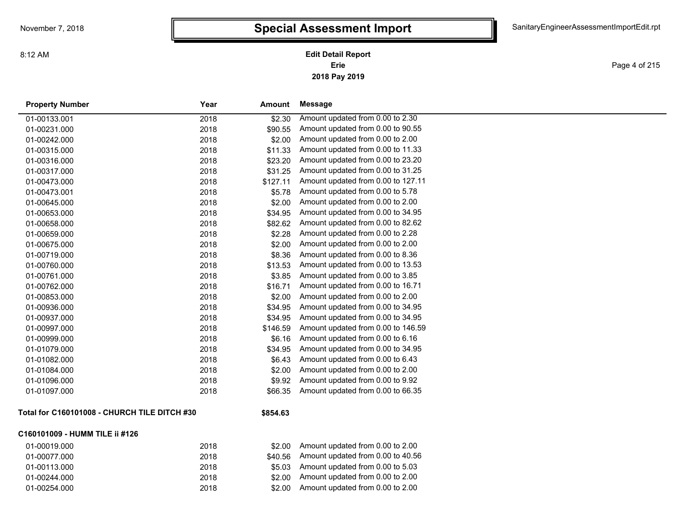**2018 Pay 2019 Erie Edit Detail Report**

Page 4 of 215

| <b>Property Number</b>                       | Year | Amount   | <b>Message</b>                     |
|----------------------------------------------|------|----------|------------------------------------|
| 01-00133.001                                 | 2018 | \$2.30   | Amount updated from 0.00 to 2.30   |
| 01-00231.000                                 | 2018 | \$90.55  | Amount updated from 0.00 to 90.55  |
| 01-00242.000                                 | 2018 | \$2.00   | Amount updated from 0.00 to 2.00   |
| 01-00315.000                                 | 2018 | \$11.33  | Amount updated from 0.00 to 11.33  |
| 01-00316.000                                 | 2018 | \$23.20  | Amount updated from 0.00 to 23.20  |
| 01-00317.000                                 | 2018 | \$31.25  | Amount updated from 0.00 to 31.25  |
| 01-00473.000                                 | 2018 | \$127.11 | Amount updated from 0.00 to 127.11 |
| 01-00473.001                                 | 2018 | \$5.78   | Amount updated from 0.00 to 5.78   |
| 01-00645.000                                 | 2018 | \$2.00   | Amount updated from 0.00 to 2.00   |
| 01-00653.000                                 | 2018 | \$34.95  | Amount updated from 0.00 to 34.95  |
| 01-00658.000                                 | 2018 | \$82.62  | Amount updated from 0.00 to 82.62  |
| 01-00659.000                                 | 2018 | \$2.28   | Amount updated from 0.00 to 2.28   |
| 01-00675.000                                 | 2018 | \$2.00   | Amount updated from 0.00 to 2.00   |
| 01-00719.000                                 | 2018 | \$8.36   | Amount updated from 0.00 to 8.36   |
| 01-00760.000                                 | 2018 | \$13.53  | Amount updated from 0.00 to 13.53  |
| 01-00761.000                                 | 2018 | \$3.85   | Amount updated from 0.00 to 3.85   |
| 01-00762.000                                 | 2018 | \$16.71  | Amount updated from 0.00 to 16.71  |
| 01-00853.000                                 | 2018 | \$2.00   | Amount updated from 0.00 to 2.00   |
| 01-00936.000                                 | 2018 | \$34.95  | Amount updated from 0.00 to 34.95  |
| 01-00937.000                                 | 2018 | \$34.95  | Amount updated from 0.00 to 34.95  |
| 01-00997.000                                 | 2018 | \$146.59 | Amount updated from 0.00 to 146.59 |
| 01-00999.000                                 | 2018 | \$6.16   | Amount updated from 0.00 to 6.16   |
| 01-01079.000                                 | 2018 | \$34.95  | Amount updated from 0.00 to 34.95  |
| 01-01082.000                                 | 2018 | \$6.43   | Amount updated from 0.00 to 6.43   |
| 01-01084.000                                 | 2018 | \$2.00   | Amount updated from 0.00 to 2.00   |
| 01-01096.000                                 | 2018 | \$9.92   | Amount updated from 0.00 to 9.92   |
| 01-01097.000                                 | 2018 | \$66.35  | Amount updated from 0.00 to 66.35  |
| Total for C160101008 - CHURCH TILE DITCH #30 |      | \$854.63 |                                    |
| C160101009 - HUMM TILE ii #126               |      |          |                                    |
|                                              |      |          |                                    |

| 01-00019.000 | 2018 | \$2.00  | Amount updated from 0.00 to 2.00           |
|--------------|------|---------|--------------------------------------------|
| 01-00077.000 | 2018 |         | $$40.56$ Amount updated from 0.00 to 40.56 |
| 01-00113.000 | 2018 |         | $$5.03$ Amount updated from 0.00 to 5.03   |
| 01-00244.000 | 2018 |         | \$2.00 Amount updated from 0.00 to 2.00    |
| 01-00254.000 | 2018 | \$2.00. | Amount updated from 0.00 to 2.00           |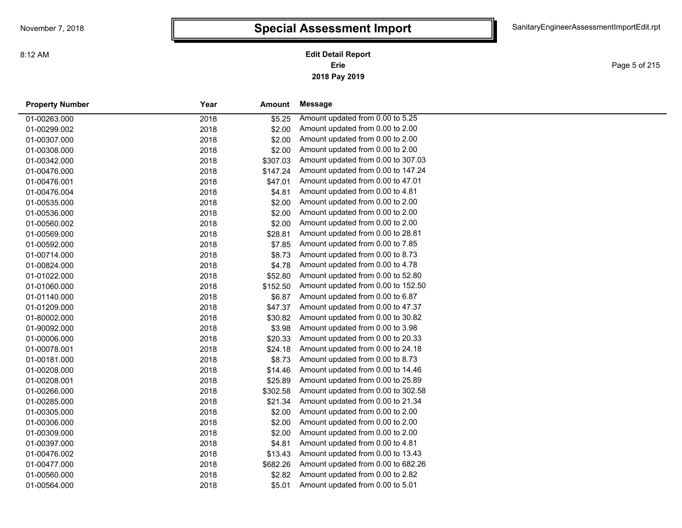Page 5 of 215

| <b>Property Number</b> | Year | Amount   | Message                            |
|------------------------|------|----------|------------------------------------|
| 01-00263.000           | 2018 | \$5.25   | Amount updated from 0.00 to 5.25   |
| 01-00299.002           | 2018 | \$2.00   | Amount updated from 0.00 to 2.00   |
| 01-00307.000           | 2018 | \$2.00   | Amount updated from 0.00 to 2.00   |
| 01-00308.000           | 2018 | \$2.00   | Amount updated from 0.00 to 2.00   |
| 01-00342.000           | 2018 | \$307.03 | Amount updated from 0.00 to 307.03 |
| 01-00476.000           | 2018 | \$147.24 | Amount updated from 0.00 to 147.24 |
| 01-00476.001           | 2018 | \$47.01  | Amount updated from 0.00 to 47.01  |
| 01-00476.004           | 2018 | \$4.81   | Amount updated from 0.00 to 4.81   |
| 01-00535.000           | 2018 | \$2.00   | Amount updated from 0.00 to 2.00   |
| 01-00536.000           | 2018 | \$2.00   | Amount updated from 0.00 to 2.00   |
| 01-00560.002           | 2018 | \$2.00   | Amount updated from 0.00 to 2.00   |
| 01-00569.000           | 2018 | \$28.81  | Amount updated from 0.00 to 28.81  |
| 01-00592.000           | 2018 | \$7.85   | Amount updated from 0.00 to 7.85   |
| 01-00714.000           | 2018 | \$8.73   | Amount updated from 0.00 to 8.73   |
| 01-00824.000           | 2018 | \$4.78   | Amount updated from 0.00 to 4.78   |
| 01-01022.000           | 2018 | \$52.80  | Amount updated from 0.00 to 52.80  |
| 01-01060.000           | 2018 | \$152.50 | Amount updated from 0.00 to 152.50 |
| 01-01140.000           | 2018 | \$6.87   | Amount updated from 0.00 to 6.87   |
| 01-01209.000           | 2018 | \$47.37  | Amount updated from 0.00 to 47.37  |
| 01-80002.000           | 2018 | \$30.82  | Amount updated from 0.00 to 30.82  |
| 01-90092.000           | 2018 | \$3.98   | Amount updated from 0.00 to 3.98   |
| 01-00006.000           | 2018 | \$20.33  | Amount updated from 0.00 to 20.33  |
| 01-00078.001           | 2018 | \$24.18  | Amount updated from 0.00 to 24.18  |
| 01-00181.000           | 2018 | \$8.73   | Amount updated from 0.00 to 8.73   |
| 01-00208.000           | 2018 | \$14.46  | Amount updated from 0.00 to 14.46  |
| 01-00208.001           | 2018 | \$25.89  | Amount updated from 0.00 to 25.89  |
| 01-00266.000           | 2018 | \$302.58 | Amount updated from 0.00 to 302.58 |
| 01-00285.000           | 2018 | \$21.34  | Amount updated from 0.00 to 21.34  |
| 01-00305.000           | 2018 | \$2.00   | Amount updated from 0.00 to 2.00   |
| 01-00306.000           | 2018 | \$2.00   | Amount updated from 0.00 to 2.00   |
| 01-00309.000           | 2018 | \$2.00   | Amount updated from 0.00 to 2.00   |
| 01-00397.000           | 2018 | \$4.81   | Amount updated from 0.00 to 4.81   |
| 01-00476.002           | 2018 | \$13.43  | Amount updated from 0.00 to 13.43  |
| 01-00477.000           | 2018 | \$682.26 | Amount updated from 0.00 to 682.26 |
| 01-00560.000           | 2018 | \$2.82   | Amount updated from 0.00 to 2.82   |
| 01-00564.000           | 2018 | \$5.01   | Amount updated from 0.00 to 5.01   |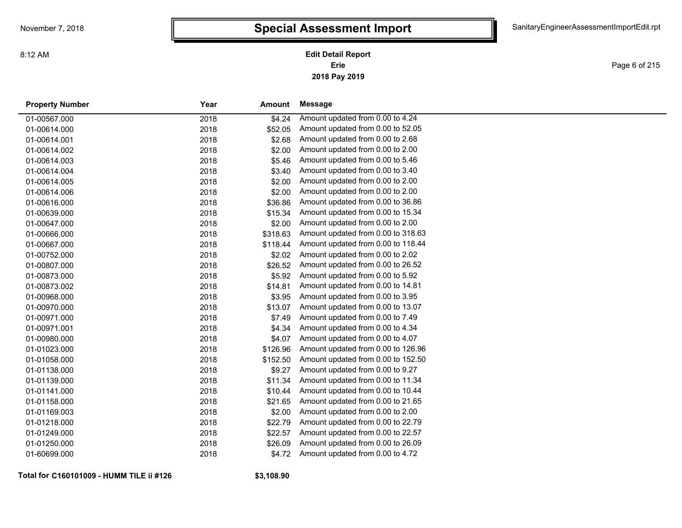Page 6 of 215

| <b>Property Number</b> | Year | <b>Amount</b> | Message                            |
|------------------------|------|---------------|------------------------------------|
| 01-00567.000           | 2018 | \$4.24        | Amount updated from 0.00 to 4.24   |
| 01-00614.000           | 2018 | \$52.05       | Amount updated from 0.00 to 52.05  |
| 01-00614.001           | 2018 | \$2.68        | Amount updated from 0.00 to 2.68   |
| 01-00614.002           | 2018 | \$2.00        | Amount updated from 0.00 to 2.00   |
| 01-00614.003           | 2018 | \$5.46        | Amount updated from 0.00 to 5.46   |
| 01-00614.004           | 2018 | \$3.40        | Amount updated from 0.00 to 3.40   |
| 01-00614.005           | 2018 | \$2.00        | Amount updated from 0.00 to 2.00   |
| 01-00614.006           | 2018 | \$2.00        | Amount updated from 0.00 to 2.00   |
| 01-00616.000           | 2018 | \$36.86       | Amount updated from 0.00 to 36.86  |
| 01-00639.000           | 2018 | \$15.34       | Amount updated from 0.00 to 15.34  |
| 01-00647.000           | 2018 | \$2.00        | Amount updated from 0.00 to 2.00   |
| 01-00666.000           | 2018 | \$318.63      | Amount updated from 0.00 to 318.63 |
| 01-00667.000           | 2018 | \$118.44      | Amount updated from 0.00 to 118.44 |
| 01-00752.000           | 2018 | \$2.02        | Amount updated from 0.00 to 2.02   |
| 01-00807.000           | 2018 | \$26.52       | Amount updated from 0.00 to 26.52  |
| 01-00873.000           | 2018 | \$5.92        | Amount updated from 0.00 to 5.92   |
| 01-00873.002           | 2018 | \$14.81       | Amount updated from 0.00 to 14.81  |
| 01-00968.000           | 2018 | \$3.95        | Amount updated from 0.00 to 3.95   |
| 01-00970.000           | 2018 | \$13.07       | Amount updated from 0.00 to 13.07  |
| 01-00971.000           | 2018 | \$7.49        | Amount updated from 0.00 to 7.49   |
| 01-00971.001           | 2018 | \$4.34        | Amount updated from 0.00 to 4.34   |
| 01-00980.000           | 2018 | \$4.07        | Amount updated from 0.00 to 4.07   |
| 01-01023.000           | 2018 | \$126.96      | Amount updated from 0.00 to 126.96 |
| 01-01058.000           | 2018 | \$152.50      | Amount updated from 0.00 to 152.50 |
| 01-01138.000           | 2018 | \$9.27        | Amount updated from 0.00 to 9.27   |
| 01-01139.000           | 2018 | \$11.34       | Amount updated from 0.00 to 11.34  |
| 01-01141.000           | 2018 | \$10.44       | Amount updated from 0.00 to 10.44  |
| 01-01158.000           | 2018 | \$21.65       | Amount updated from 0.00 to 21.65  |
| 01-01169.003           | 2018 | \$2.00        | Amount updated from 0.00 to 2.00   |
| 01-01218.000           | 2018 | \$22.79       | Amount updated from 0.00 to 22.79  |
| 01-01249.000           | 2018 | \$22.57       | Amount updated from 0.00 to 22.57  |
| 01-01250.000           | 2018 | \$26.09       | Amount updated from 0.00 to 26.09  |
| 01-60699.000           | 2018 | \$4.72        | Amount updated from 0.00 to 4.72   |

**Total for C160101009 - HUMM TILE ii #126**

**\$3,108.90**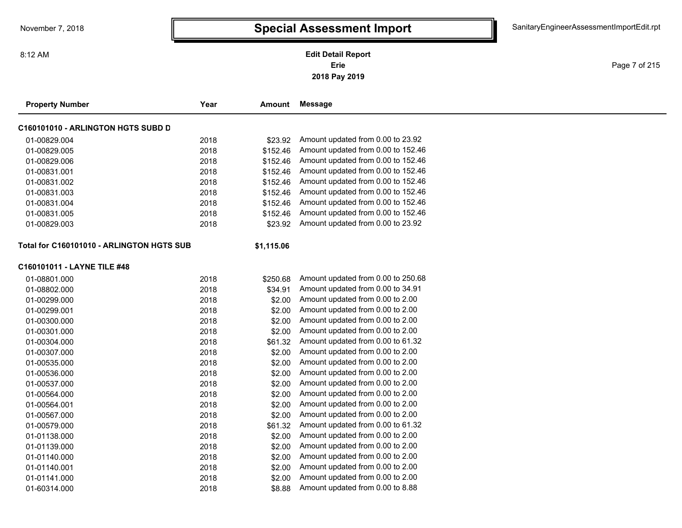Page 7 of 215

—

| <b>Property Number</b>                    | Year | Amount     | <b>Message</b>                     |  |
|-------------------------------------------|------|------------|------------------------------------|--|
| C160101010 - ARLINGTON HGTS SUBD D        |      |            |                                    |  |
| 01-00829.004                              | 2018 | \$23.92    | Amount updated from 0.00 to 23.92  |  |
| 01-00829.005                              | 2018 | \$152.46   | Amount updated from 0.00 to 152.46 |  |
| 01-00829.006                              | 2018 | \$152.46   | Amount updated from 0.00 to 152.46 |  |
| 01-00831.001                              | 2018 | \$152.46   | Amount updated from 0.00 to 152.46 |  |
| 01-00831.002                              | 2018 | \$152.46   | Amount updated from 0.00 to 152.46 |  |
| 01-00831.003                              | 2018 | \$152.46   | Amount updated from 0.00 to 152.46 |  |
| 01-00831.004                              | 2018 | \$152.46   | Amount updated from 0.00 to 152.46 |  |
| 01-00831.005                              | 2018 | \$152.46   | Amount updated from 0.00 to 152.46 |  |
| 01-00829.003                              | 2018 | \$23.92    | Amount updated from 0.00 to 23.92  |  |
| Total for C160101010 - ARLINGTON HGTS SUB |      | \$1,115.06 |                                    |  |
| C160101011 - LAYNE TILE #48               |      |            |                                    |  |
| 01-08801.000                              | 2018 | \$250.68   | Amount updated from 0.00 to 250.68 |  |
| 01-08802.000                              | 2018 | \$34.91    | Amount updated from 0.00 to 34.91  |  |
| 01-00299.000                              | 2018 | \$2.00     | Amount updated from 0.00 to 2.00   |  |
| 01-00299.001                              | 2018 | \$2.00     | Amount updated from 0.00 to 2.00   |  |
| 01-00300.000                              | 2018 | \$2.00     | Amount updated from 0.00 to 2.00   |  |
| 01-00301.000                              | 2018 | \$2.00     | Amount updated from 0.00 to 2.00   |  |
| 01-00304.000                              | 2018 | \$61.32    | Amount updated from 0.00 to 61.32  |  |
| 01-00307.000                              | 2018 | \$2.00     | Amount updated from 0.00 to 2.00   |  |
| 01-00535.000                              | 2018 | \$2.00     | Amount updated from 0.00 to 2.00   |  |
| 01-00536.000                              | 2018 | \$2.00     | Amount updated from 0.00 to 2.00   |  |
| 01-00537.000                              | 2018 | \$2.00     | Amount updated from 0.00 to 2.00   |  |
| 01-00564.000                              | 2018 | \$2.00     | Amount updated from 0.00 to 2.00   |  |
| 01-00564.001                              | 2018 | \$2.00     | Amount updated from 0.00 to 2.00   |  |
| 01-00567.000                              | 2018 | \$2.00     | Amount updated from 0.00 to 2.00   |  |
| 01-00579.000                              | 2018 | \$61.32    | Amount updated from 0.00 to 61.32  |  |
| 01-01138.000                              | 2018 | \$2.00     | Amount updated from 0.00 to 2.00   |  |
| 01-01139.000                              | 2018 | \$2.00     | Amount updated from 0.00 to 2.00   |  |
| 01-01140.000                              | 2018 | \$2.00     | Amount updated from 0.00 to 2.00   |  |
| 01-01140.001                              | 2018 | \$2.00     | Amount updated from 0.00 to 2.00   |  |
| 01-01141.000                              | 2018 | \$2.00     | Amount updated from 0.00 to 2.00   |  |
| 01-60314.000                              | 2018 | \$8.88     | Amount updated from 0.00 to 8.88   |  |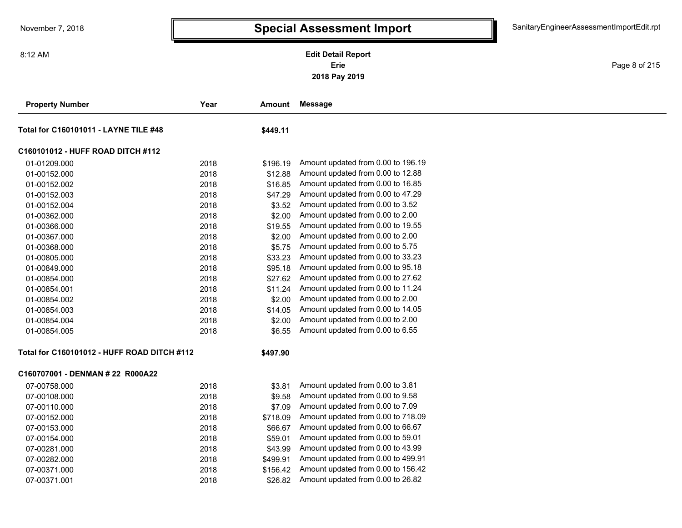Page 8 of 215

| <b>Property Number</b>                      | Year | Amount   | Message                            |  |
|---------------------------------------------|------|----------|------------------------------------|--|
| Total for C160101011 - LAYNE TILE #48       |      | \$449.11 |                                    |  |
| C160101012 - HUFF ROAD DITCH #112           |      |          |                                    |  |
| 01-01209.000                                | 2018 | \$196.19 | Amount updated from 0.00 to 196.19 |  |
| 01-00152.000                                | 2018 | \$12.88  | Amount updated from 0.00 to 12.88  |  |
| 01-00152.002                                | 2018 | \$16.85  | Amount updated from 0.00 to 16.85  |  |
| 01-00152.003                                | 2018 | \$47.29  | Amount updated from 0.00 to 47.29  |  |
| 01-00152.004                                | 2018 | \$3.52   | Amount updated from 0.00 to 3.52   |  |
| 01-00362.000                                | 2018 | \$2.00   | Amount updated from 0.00 to 2.00   |  |
| 01-00366.000                                | 2018 | \$19.55  | Amount updated from 0.00 to 19.55  |  |
| 01-00367.000                                | 2018 | \$2.00   | Amount updated from 0.00 to 2.00   |  |
| 01-00368.000                                | 2018 | \$5.75   | Amount updated from 0.00 to 5.75   |  |
| 01-00805.000                                | 2018 | \$33.23  | Amount updated from 0.00 to 33.23  |  |
| 01-00849.000                                | 2018 | \$95.18  | Amount updated from 0.00 to 95.18  |  |
| 01-00854.000                                | 2018 | \$27.62  | Amount updated from 0.00 to 27.62  |  |
| 01-00854.001                                | 2018 | \$11.24  | Amount updated from 0.00 to 11.24  |  |
| 01-00854.002                                | 2018 | \$2.00   | Amount updated from 0.00 to 2.00   |  |
| 01-00854.003                                | 2018 | \$14.05  | Amount updated from 0.00 to 14.05  |  |
| 01-00854.004                                | 2018 | \$2.00   | Amount updated from 0.00 to 2.00   |  |
| 01-00854.005                                | 2018 | \$6.55   | Amount updated from 0.00 to 6.55   |  |
| Total for C160101012 - HUFF ROAD DITCH #112 |      | \$497.90 |                                    |  |
| C160707001 - DENMAN # 22 R000A22            |      |          |                                    |  |
| 07-00758.000                                | 2018 | \$3.81   | Amount updated from 0.00 to 3.81   |  |
| 07-00108.000                                | 2018 | \$9.58   | Amount updated from 0.00 to 9.58   |  |
| 07-00110.000                                | 2018 | \$7.09   | Amount updated from 0.00 to 7.09   |  |
| 07-00152.000                                | 2018 | \$718.09 | Amount updated from 0.00 to 718.09 |  |
| 07-00153.000                                | 2018 | \$66.67  | Amount updated from 0.00 to 66.67  |  |
| 07-00154.000                                | 2018 | \$59.01  | Amount updated from 0.00 to 59.01  |  |
| 07-00281.000                                | 2018 | \$43.99  | Amount updated from 0.00 to 43.99  |  |
| 07-00282.000                                | 2018 | \$499.91 | Amount updated from 0.00 to 499.91 |  |
| 07-00371.000                                | 2018 | \$156.42 | Amount updated from 0.00 to 156.42 |  |
| 07-00371.001                                | 2018 | \$26.82  | Amount updated from 0.00 to 26.82  |  |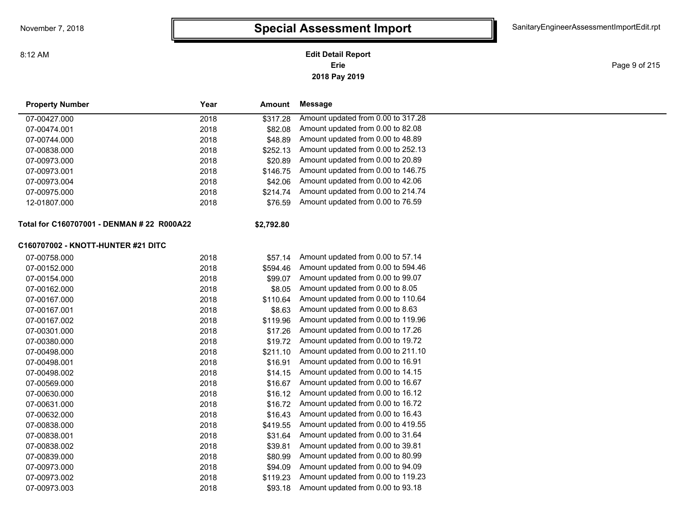#### **2018 Pay 2019 Erie Edit Detail Report**

Page 9 of 215

| <b>Property Number</b>                     | Year | Amount     | <b>Message</b>                     |
|--------------------------------------------|------|------------|------------------------------------|
| 07-00427.000                               | 2018 | \$317.28   | Amount updated from 0.00 to 317.28 |
| 07-00474.001                               | 2018 | \$82.08    | Amount updated from 0.00 to 82.08  |
| 07-00744.000                               | 2018 | \$48.89    | Amount updated from 0.00 to 48.89  |
| 07-00838.000                               | 2018 | \$252.13   | Amount updated from 0.00 to 252.13 |
| 07-00973.000                               | 2018 | \$20.89    | Amount updated from 0.00 to 20.89  |
| 07-00973.001                               | 2018 | \$146.75   | Amount updated from 0.00 to 146.75 |
| 07-00973.004                               | 2018 | \$42.06    | Amount updated from 0.00 to 42.06  |
| 07-00975.000                               | 2018 | \$214.74   | Amount updated from 0.00 to 214.74 |
| 12-01807.000                               | 2018 | \$76.59    | Amount updated from 0.00 to 76.59  |
| Total for C160707001 - DENMAN # 22 R000A22 |      | \$2,792.80 |                                    |
| C160707002 - KNOTT-HUNTER #21 DITC         |      |            |                                    |
| 07-00758.000                               | 2018 | \$57.14    | Amount updated from 0.00 to 57.14  |
| 07-00152.000                               | 2018 | \$594.46   | Amount updated from 0.00 to 594.46 |
| 07-00154.000                               | 2018 | \$99.07    | Amount updated from 0.00 to 99.07  |
| 07-00162.000                               | 2018 | \$8.05     | Amount updated from 0.00 to 8.05   |
| 07-00167.000                               | 2018 | \$110.64   | Amount updated from 0.00 to 110.64 |
| 07-00167.001                               | 2018 | \$8.63     | Amount updated from 0.00 to 8.63   |
| 07-00167.002                               | 2018 | \$119.96   | Amount updated from 0.00 to 119.96 |
| 07-00301.000                               | 2018 | \$17.26    | Amount updated from 0.00 to 17.26  |
| 07-00380.000                               | 2018 | \$19.72    | Amount updated from 0.00 to 19.72  |
| 07-00498.000                               | 2018 | \$211.10   | Amount updated from 0.00 to 211.10 |
| 07-00498.001                               | 2018 | \$16.91    | Amount updated from 0.00 to 16.91  |
| 07-00498.002                               | 2018 | \$14.15    | Amount updated from 0.00 to 14.15  |
| 07-00569.000                               | 2018 | \$16.67    | Amount updated from 0.00 to 16.67  |
| 07-00630.000                               | 2018 | \$16.12    | Amount updated from 0.00 to 16.12  |
| 07-00631.000                               | 2018 | \$16.72    | Amount updated from 0.00 to 16.72  |
| 07-00632.000                               | 2018 | \$16.43    | Amount updated from 0.00 to 16.43  |
| 07-00838.000                               | 2018 | \$419.55   | Amount updated from 0.00 to 419.55 |
| 07-00838.001                               | 2018 | \$31.64    | Amount updated from 0.00 to 31.64  |
| 07-00838.002                               | 2018 | \$39.81    | Amount updated from 0.00 to 39.81  |
| 07-00839.000                               | 2018 | \$80.99    | Amount updated from 0.00 to 80.99  |
| 07-00973.000                               | 2018 | \$94.09    | Amount updated from 0.00 to 94.09  |
| 07-00973.002                               | 2018 | \$119.23   | Amount updated from 0.00 to 119.23 |
| 07-00973.003                               | 2018 | \$93.18    | Amount updated from 0.00 to 93.18  |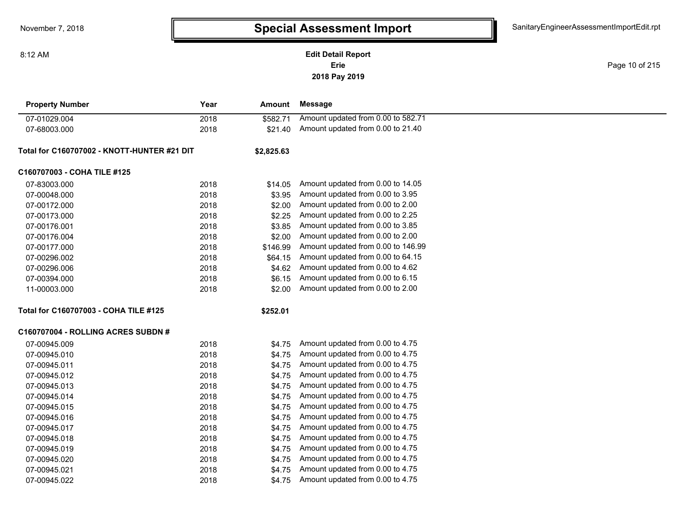**2018 Pay 2019 Erie Edit Detail Report**

Page 10 of 215

| <b>Property Number</b>                      | Year | Amount     | <b>Message</b>                     |  |
|---------------------------------------------|------|------------|------------------------------------|--|
| 07-01029.004                                | 2018 | \$582.71   | Amount updated from 0.00 to 582.71 |  |
| 07-68003.000                                | 2018 | \$21.40    | Amount updated from 0.00 to 21.40  |  |
| Total for C160707002 - KNOTT-HUNTER #21 DIT |      | \$2,825.63 |                                    |  |
| C160707003 - COHA TILE #125                 |      |            |                                    |  |
| 07-83003.000                                | 2018 | \$14.05    | Amount updated from 0.00 to 14.05  |  |
| 07-00048.000                                | 2018 | \$3.95     | Amount updated from 0.00 to 3.95   |  |
| 07-00172.000                                | 2018 | \$2.00     | Amount updated from 0.00 to 2.00   |  |
| 07-00173.000                                | 2018 | \$2.25     | Amount updated from 0.00 to 2.25   |  |
| 07-00176.001                                | 2018 | \$3.85     | Amount updated from 0.00 to 3.85   |  |
| 07-00176.004                                | 2018 | \$2.00     | Amount updated from 0.00 to 2.00   |  |
| 07-00177.000                                | 2018 | \$146.99   | Amount updated from 0.00 to 146.99 |  |
| 07-00296.002                                | 2018 | \$64.15    | Amount updated from 0.00 to 64.15  |  |
| 07-00296.006                                | 2018 | \$4.62     | Amount updated from 0.00 to 4.62   |  |
| 07-00394.000                                | 2018 | \$6.15     | Amount updated from 0.00 to 6.15   |  |
| 11-00003.000                                | 2018 | \$2.00     | Amount updated from 0.00 to 2.00   |  |
| Total for C160707003 - COHA TILE #125       |      | \$252.01   |                                    |  |
| C160707004 - ROLLING ACRES SUBDN #          |      |            |                                    |  |
| 07-00945.009                                | 2018 | \$4.75     | Amount updated from 0.00 to 4.75   |  |
| 07-00945.010                                | 2018 | \$4.75     | Amount updated from 0.00 to 4.75   |  |
| 07-00945.011                                | 2018 | \$4.75     | Amount updated from 0.00 to 4.75   |  |
| 07-00945.012                                | 2018 | \$4.75     | Amount updated from 0.00 to 4.75   |  |
| 07-00945.013                                | 2018 | \$4.75     | Amount updated from 0.00 to 4.75   |  |
| 07-00945.014                                | 2018 | \$4.75     | Amount updated from 0.00 to 4.75   |  |
| 07-00945.015                                | 2018 | \$4.75     | Amount updated from 0.00 to 4.75   |  |
| 07-00945.016                                | 2018 | \$4.75     | Amount updated from 0.00 to 4.75   |  |
| 07-00945.017                                | 2018 | \$4.75     | Amount updated from 0.00 to 4.75   |  |
| 07-00945.018                                | 2018 | \$4.75     | Amount updated from 0.00 to 4.75   |  |
| 07-00945.019                                | 2018 | \$4.75     | Amount updated from 0.00 to 4.75   |  |
| 07-00945.020                                | 2018 | \$4.75     | Amount updated from 0.00 to 4.75   |  |
| 07-00945.021                                | 2018 | \$4.75     | Amount updated from 0.00 to 4.75   |  |
| 07-00945.022                                | 2018 | \$4.75     | Amount updated from 0.00 to 4.75   |  |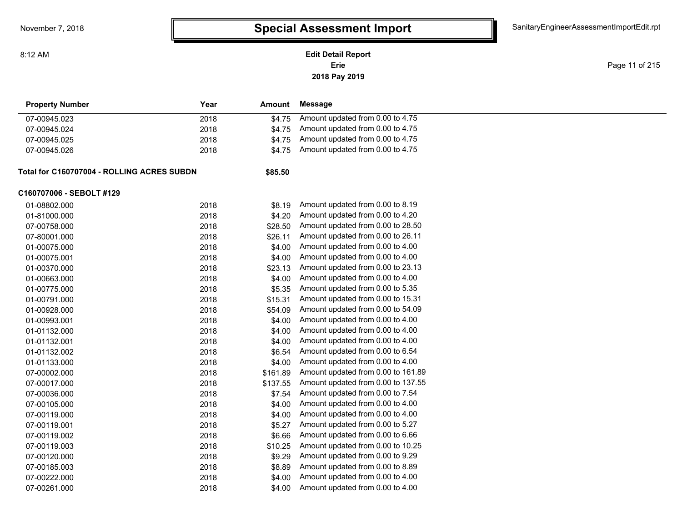**2018 Pay 2019 Erie Edit Detail Report**

Page 11 of 215

| <b>Property Number</b>                     | Year | Amount   | Message                            |  |
|--------------------------------------------|------|----------|------------------------------------|--|
| 07-00945.023                               | 2018 | \$4.75   | Amount updated from 0.00 to 4.75   |  |
| 07-00945.024                               | 2018 | \$4.75   | Amount updated from 0.00 to 4.75   |  |
| 07-00945.025                               | 2018 | \$4.75   | Amount updated from 0.00 to 4.75   |  |
| 07-00945.026                               | 2018 | \$4.75   | Amount updated from 0.00 to 4.75   |  |
| Total for C160707004 - ROLLING ACRES SUBDN |      | \$85.50  |                                    |  |
| C160707006 - SEBOLT #129                   |      |          |                                    |  |
| 01-08802.000                               | 2018 | \$8.19   | Amount updated from 0.00 to 8.19   |  |
| 01-81000.000                               | 2018 | \$4.20   | Amount updated from 0.00 to 4.20   |  |
| 07-00758.000                               | 2018 | \$28.50  | Amount updated from 0.00 to 28.50  |  |
| 07-80001.000                               | 2018 | \$26.11  | Amount updated from 0.00 to 26.11  |  |
| 01-00075.000                               | 2018 | \$4.00   | Amount updated from 0.00 to 4.00   |  |
| 01-00075.001                               | 2018 | \$4.00   | Amount updated from 0.00 to 4.00   |  |
| 01-00370.000                               | 2018 | \$23.13  | Amount updated from 0.00 to 23.13  |  |
| 01-00663.000                               | 2018 | \$4.00   | Amount updated from 0.00 to 4.00   |  |
| 01-00775.000                               | 2018 | \$5.35   | Amount updated from 0.00 to 5.35   |  |
| 01-00791.000                               | 2018 | \$15.31  | Amount updated from 0.00 to 15.31  |  |
| 01-00928.000                               | 2018 | \$54.09  | Amount updated from 0.00 to 54.09  |  |
| 01-00993.001                               | 2018 | \$4.00   | Amount updated from 0.00 to 4.00   |  |
| 01-01132.000                               | 2018 | \$4.00   | Amount updated from 0.00 to 4.00   |  |
| 01-01132.001                               | 2018 | \$4.00   | Amount updated from 0.00 to 4.00   |  |
| 01-01132.002                               | 2018 | \$6.54   | Amount updated from 0.00 to 6.54   |  |
| 01-01133.000                               | 2018 | \$4.00   | Amount updated from 0.00 to 4.00   |  |
| 07-00002.000                               | 2018 | \$161.89 | Amount updated from 0.00 to 161.89 |  |
| 07-00017.000                               | 2018 | \$137.55 | Amount updated from 0.00 to 137.55 |  |
| 07-00036.000                               | 2018 | \$7.54   | Amount updated from 0.00 to 7.54   |  |
| 07-00105.000                               | 2018 | \$4.00   | Amount updated from 0.00 to 4.00   |  |
| 07-00119.000                               | 2018 | \$4.00   | Amount updated from 0.00 to 4.00   |  |
| 07-00119.001                               | 2018 | \$5.27   | Amount updated from 0.00 to 5.27   |  |
| 07-00119.002                               | 2018 | \$6.66   | Amount updated from 0.00 to 6.66   |  |
| 07-00119.003                               | 2018 | \$10.25  | Amount updated from 0.00 to 10.25  |  |
| 07-00120.000                               | 2018 | \$9.29   | Amount updated from 0.00 to 9.29   |  |
| 07-00185.003                               | 2018 | \$8.89   | Amount updated from 0.00 to 8.89   |  |
| 07-00222.000                               | 2018 | \$4.00   | Amount updated from 0.00 to 4.00   |  |
| 07-00261.000                               | 2018 | \$4.00   | Amount updated from 0.00 to 4.00   |  |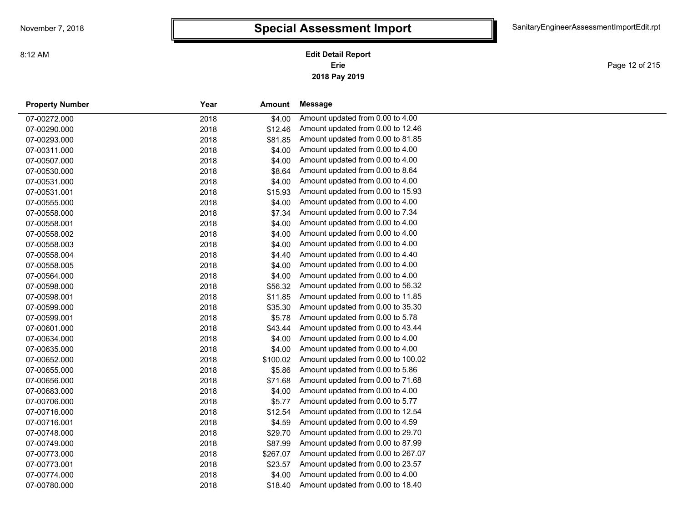**2018 Pay 2019 Erie Edit Detail Report**

Page 12 of 215

| <b>Property Number</b> | Year | Amount   | Message                            |
|------------------------|------|----------|------------------------------------|
| 07-00272.000           | 2018 | \$4.00   | Amount updated from 0.00 to 4.00   |
| 07-00290.000           | 2018 | \$12.46  | Amount updated from 0.00 to 12.46  |
| 07-00293.000           | 2018 | \$81.85  | Amount updated from 0.00 to 81.85  |
| 07-00311.000           | 2018 | \$4.00   | Amount updated from 0.00 to 4.00   |
| 07-00507.000           | 2018 | \$4.00   | Amount updated from 0.00 to 4.00   |
| 07-00530.000           | 2018 | \$8.64   | Amount updated from 0.00 to 8.64   |
| 07-00531.000           | 2018 | \$4.00   | Amount updated from 0.00 to 4.00   |
| 07-00531.001           | 2018 | \$15.93  | Amount updated from 0.00 to 15.93  |
| 07-00555.000           | 2018 | \$4.00   | Amount updated from 0.00 to 4.00   |
| 07-00558.000           | 2018 | \$7.34   | Amount updated from 0.00 to 7.34   |
| 07-00558.001           | 2018 | \$4.00   | Amount updated from 0.00 to 4.00   |
| 07-00558.002           | 2018 | \$4.00   | Amount updated from 0.00 to 4.00   |
| 07-00558.003           | 2018 | \$4.00   | Amount updated from 0.00 to 4.00   |
| 07-00558.004           | 2018 | \$4.40   | Amount updated from 0.00 to 4.40   |
| 07-00558.005           | 2018 | \$4.00   | Amount updated from 0.00 to 4.00   |
| 07-00564.000           | 2018 | \$4.00   | Amount updated from 0.00 to 4.00   |
| 07-00598.000           | 2018 | \$56.32  | Amount updated from 0.00 to 56.32  |
| 07-00598.001           | 2018 | \$11.85  | Amount updated from 0.00 to 11.85  |
| 07-00599.000           | 2018 | \$35.30  | Amount updated from 0.00 to 35.30  |
| 07-00599.001           | 2018 | \$5.78   | Amount updated from 0.00 to 5.78   |
| 07-00601.000           | 2018 | \$43.44  | Amount updated from 0.00 to 43.44  |
| 07-00634.000           | 2018 | \$4.00   | Amount updated from 0.00 to 4.00   |
| 07-00635.000           | 2018 | \$4.00   | Amount updated from 0.00 to 4.00   |
| 07-00652.000           | 2018 | \$100.02 | Amount updated from 0.00 to 100.02 |
| 07-00655.000           | 2018 | \$5.86   | Amount updated from 0.00 to 5.86   |
| 07-00656.000           | 2018 | \$71.68  | Amount updated from 0.00 to 71.68  |
| 07-00683.000           | 2018 | \$4.00   | Amount updated from 0.00 to 4.00   |
| 07-00706.000           | 2018 | \$5.77   | Amount updated from 0.00 to 5.77   |
| 07-00716.000           | 2018 | \$12.54  | Amount updated from 0.00 to 12.54  |
| 07-00716.001           | 2018 | \$4.59   | Amount updated from 0.00 to 4.59   |
| 07-00748.000           | 2018 | \$29.70  | Amount updated from 0.00 to 29.70  |
| 07-00749.000           | 2018 | \$87.99  | Amount updated from 0.00 to 87.99  |
| 07-00773.000           | 2018 | \$267.07 | Amount updated from 0.00 to 267.07 |
| 07-00773.001           | 2018 | \$23.57  | Amount updated from 0.00 to 23.57  |
| 07-00774.000           | 2018 | \$4.00   | Amount updated from 0.00 to 4.00   |
| 07-00780.000           | 2018 | \$18.40  | Amount updated from 0.00 to 18.40  |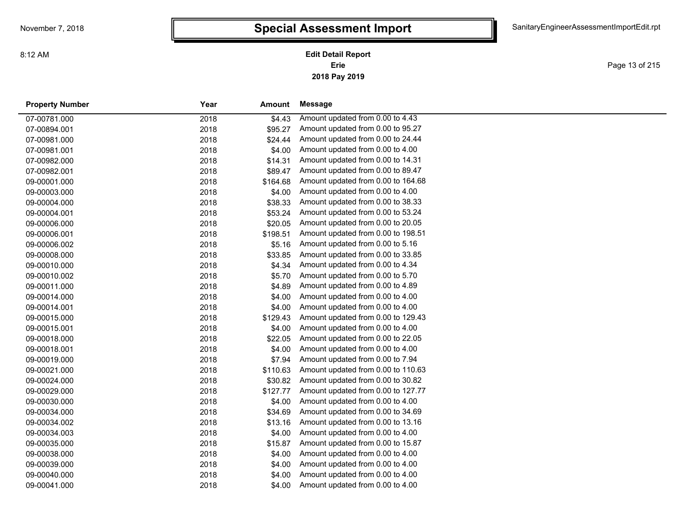**2018 Pay 2019 Erie Edit Detail Report**

Page 13 of 215

| <b>Property Number</b> | Year | Amount   | <b>Message</b>                     |
|------------------------|------|----------|------------------------------------|
| 07-00781.000           | 2018 | \$4.43   | Amount updated from 0.00 to 4.43   |
| 07-00894.001           | 2018 | \$95.27  | Amount updated from 0.00 to 95.27  |
| 07-00981.000           | 2018 | \$24.44  | Amount updated from 0.00 to 24.44  |
| 07-00981.001           | 2018 | \$4.00   | Amount updated from 0.00 to 4.00   |
| 07-00982.000           | 2018 | \$14.31  | Amount updated from 0.00 to 14.31  |
| 07-00982.001           | 2018 | \$89.47  | Amount updated from 0.00 to 89.47  |
| 09-00001.000           | 2018 | \$164.68 | Amount updated from 0.00 to 164.68 |
| 09-00003.000           | 2018 | \$4.00   | Amount updated from 0.00 to 4.00   |
| 09-00004.000           | 2018 | \$38.33  | Amount updated from 0.00 to 38.33  |
| 09-00004.001           | 2018 | \$53.24  | Amount updated from 0.00 to 53.24  |
| 09-00006.000           | 2018 | \$20.05  | Amount updated from 0.00 to 20.05  |
| 09-00006.001           | 2018 | \$198.51 | Amount updated from 0.00 to 198.51 |
| 09-00006.002           | 2018 | \$5.16   | Amount updated from 0.00 to 5.16   |
| 09-00008.000           | 2018 | \$33.85  | Amount updated from 0.00 to 33.85  |
| 09-00010.000           | 2018 | \$4.34   | Amount updated from 0.00 to 4.34   |
| 09-00010.002           | 2018 | \$5.70   | Amount updated from 0.00 to 5.70   |
| 09-00011.000           | 2018 | \$4.89   | Amount updated from 0.00 to 4.89   |
| 09-00014.000           | 2018 | \$4.00   | Amount updated from 0.00 to 4.00   |
| 09-00014.001           | 2018 | \$4.00   | Amount updated from 0.00 to 4.00   |
| 09-00015.000           | 2018 | \$129.43 | Amount updated from 0.00 to 129.43 |
| 09-00015.001           | 2018 | \$4.00   | Amount updated from 0.00 to 4.00   |
| 09-00018.000           | 2018 | \$22.05  | Amount updated from 0.00 to 22.05  |
| 09-00018.001           | 2018 | \$4.00   | Amount updated from 0.00 to 4.00   |
| 09-00019.000           | 2018 | \$7.94   | Amount updated from 0.00 to 7.94   |
| 09-00021.000           | 2018 | \$110.63 | Amount updated from 0.00 to 110.63 |
| 09-00024.000           | 2018 | \$30.82  | Amount updated from 0.00 to 30.82  |
| 09-00029.000           | 2018 | \$127.77 | Amount updated from 0.00 to 127.77 |
| 09-00030.000           | 2018 | \$4.00   | Amount updated from 0.00 to 4.00   |
| 09-00034.000           | 2018 | \$34.69  | Amount updated from 0.00 to 34.69  |
| 09-00034.002           | 2018 | \$13.16  | Amount updated from 0.00 to 13.16  |
| 09-00034.003           | 2018 | \$4.00   | Amount updated from 0.00 to 4.00   |
| 09-00035.000           | 2018 | \$15.87  | Amount updated from 0.00 to 15.87  |
| 09-00038.000           | 2018 | \$4.00   | Amount updated from 0.00 to 4.00   |
| 09-00039.000           | 2018 | \$4.00   | Amount updated from 0.00 to 4.00   |
| 09-00040.000           | 2018 | \$4.00   | Amount updated from 0.00 to 4.00   |
| 09-00041.000           | 2018 | \$4.00   | Amount updated from 0.00 to 4.00   |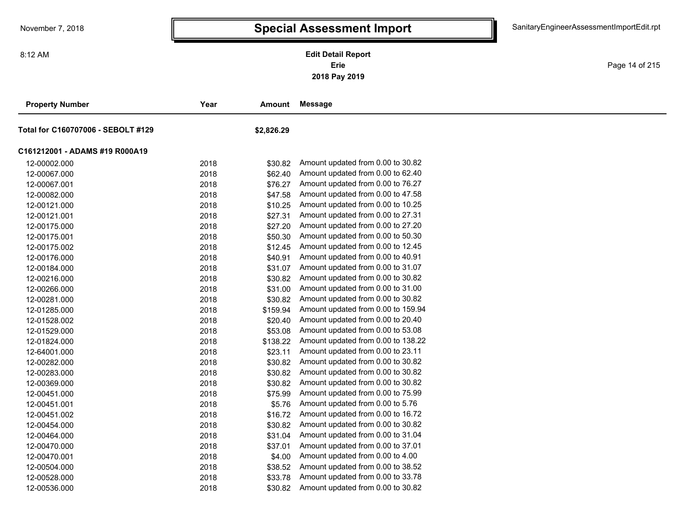**2018 Pay 2019 Erie Edit Detail Report**

Page 14 of 215

| <b>Property Number</b>             | Year | Amount     | <b>Message</b>                     |  |
|------------------------------------|------|------------|------------------------------------|--|
| Total for C160707006 - SEBOLT #129 |      | \$2,826.29 |                                    |  |
| C161212001 - ADAMS #19 R000A19     |      |            |                                    |  |
| 12-00002.000                       | 2018 | \$30.82    | Amount updated from 0.00 to 30.82  |  |
| 12-00067.000                       | 2018 | \$62.40    | Amount updated from 0.00 to 62.40  |  |
| 12-00067.001                       | 2018 | \$76.27    | Amount updated from 0.00 to 76.27  |  |
| 12-00082.000                       | 2018 | \$47.58    | Amount updated from 0.00 to 47.58  |  |
| 12-00121.000                       | 2018 | \$10.25    | Amount updated from 0.00 to 10.25  |  |
| 12-00121.001                       | 2018 | \$27.31    | Amount updated from 0.00 to 27.31  |  |
| 12-00175.000                       | 2018 | \$27.20    | Amount updated from 0.00 to 27.20  |  |
| 12-00175.001                       | 2018 | \$50.30    | Amount updated from 0.00 to 50.30  |  |
| 12-00175.002                       | 2018 | \$12.45    | Amount updated from 0.00 to 12.45  |  |
| 12-00176.000                       | 2018 | \$40.91    | Amount updated from 0.00 to 40.91  |  |
| 12-00184.000                       | 2018 | \$31.07    | Amount updated from 0.00 to 31.07  |  |
| 12-00216.000                       | 2018 | \$30.82    | Amount updated from 0.00 to 30.82  |  |
| 12-00266.000                       | 2018 | \$31.00    | Amount updated from 0.00 to 31.00  |  |
| 12-00281.000                       | 2018 | \$30.82    | Amount updated from 0.00 to 30.82  |  |
| 12-01285.000                       | 2018 | \$159.94   | Amount updated from 0.00 to 159.94 |  |
| 12-01528.002                       | 2018 | \$20.40    | Amount updated from 0.00 to 20.40  |  |
| 12-01529.000                       | 2018 | \$53.08    | Amount updated from 0.00 to 53.08  |  |
| 12-01824.000                       | 2018 | \$138.22   | Amount updated from 0.00 to 138.22 |  |
| 12-64001.000                       | 2018 | \$23.11    | Amount updated from 0.00 to 23.11  |  |
| 12-00282.000                       | 2018 | \$30.82    | Amount updated from 0.00 to 30.82  |  |
| 12-00283.000                       | 2018 | \$30.82    | Amount updated from 0.00 to 30.82  |  |
| 12-00369.000                       | 2018 | \$30.82    | Amount updated from 0.00 to 30.82  |  |
| 12-00451.000                       | 2018 | \$75.99    | Amount updated from 0.00 to 75.99  |  |
| 12-00451.001                       | 2018 | \$5.76     | Amount updated from 0.00 to 5.76   |  |
| 12-00451.002                       | 2018 | \$16.72    | Amount updated from 0.00 to 16.72  |  |
| 12-00454.000                       | 2018 | \$30.82    | Amount updated from 0.00 to 30.82  |  |
| 12-00464.000                       | 2018 | \$31.04    | Amount updated from 0.00 to 31.04  |  |
| 12-00470.000                       | 2018 | \$37.01    | Amount updated from 0.00 to 37.01  |  |
| 12-00470.001                       | 2018 | \$4.00     | Amount updated from 0.00 to 4.00   |  |
| 12-00504.000                       | 2018 | \$38.52    | Amount updated from 0.00 to 38.52  |  |
| 12-00528.000                       | 2018 | \$33.78    | Amount updated from 0.00 to 33.78  |  |
| 12-00536.000                       | 2018 | \$30.82    | Amount updated from 0.00 to 30.82  |  |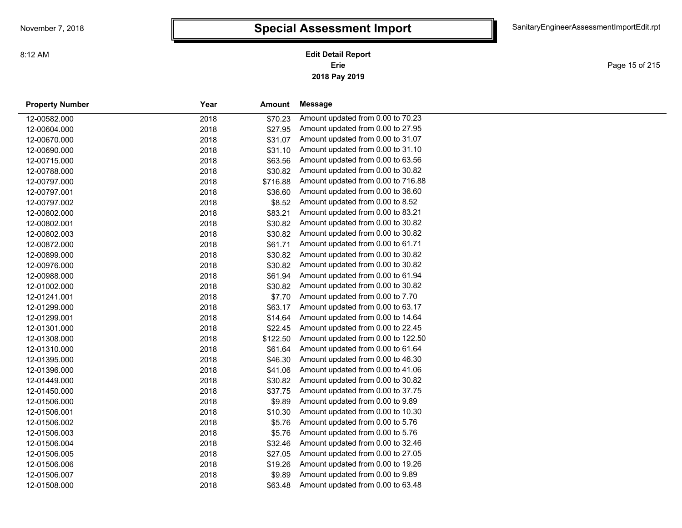**2018 Pay 2019 Erie Edit Detail Report**

Page 15 of 215

| <b>Property Number</b> | Year | Amount   | <b>Message</b>                     |
|------------------------|------|----------|------------------------------------|
| 12-00582.000           | 2018 | \$70.23  | Amount updated from 0.00 to 70.23  |
| 12-00604.000           | 2018 | \$27.95  | Amount updated from 0.00 to 27.95  |
| 12-00670.000           | 2018 | \$31.07  | Amount updated from 0.00 to 31.07  |
| 12-00690.000           | 2018 | \$31.10  | Amount updated from 0.00 to 31.10  |
| 12-00715.000           | 2018 | \$63.56  | Amount updated from 0.00 to 63.56  |
| 12-00788.000           | 2018 | \$30.82  | Amount updated from 0.00 to 30.82  |
| 12-00797.000           | 2018 | \$716.88 | Amount updated from 0.00 to 716.88 |
| 12-00797.001           | 2018 | \$36.60  | Amount updated from 0.00 to 36.60  |
| 12-00797.002           | 2018 | \$8.52   | Amount updated from 0.00 to 8.52   |
| 12-00802.000           | 2018 | \$83.21  | Amount updated from 0.00 to 83.21  |
| 12-00802.001           | 2018 | \$30.82  | Amount updated from 0.00 to 30.82  |
| 12-00802.003           | 2018 | \$30.82  | Amount updated from 0.00 to 30.82  |
| 12-00872.000           | 2018 | \$61.71  | Amount updated from 0.00 to 61.71  |
| 12-00899.000           | 2018 | \$30.82  | Amount updated from 0.00 to 30.82  |
| 12-00976.000           | 2018 | \$30.82  | Amount updated from 0.00 to 30.82  |
| 12-00988.000           | 2018 | \$61.94  | Amount updated from 0.00 to 61.94  |
| 12-01002.000           | 2018 | \$30.82  | Amount updated from 0.00 to 30.82  |
| 12-01241.001           | 2018 | \$7.70   | Amount updated from 0.00 to 7.70   |
| 12-01299.000           | 2018 | \$63.17  | Amount updated from 0.00 to 63.17  |
| 12-01299.001           | 2018 | \$14.64  | Amount updated from 0.00 to 14.64  |
| 12-01301.000           | 2018 | \$22.45  | Amount updated from 0.00 to 22.45  |
| 12-01308.000           | 2018 | \$122.50 | Amount updated from 0.00 to 122.50 |
| 12-01310.000           | 2018 | \$61.64  | Amount updated from 0.00 to 61.64  |
| 12-01395.000           | 2018 | \$46.30  | Amount updated from 0.00 to 46.30  |
| 12-01396.000           | 2018 | \$41.06  | Amount updated from 0.00 to 41.06  |
| 12-01449.000           | 2018 | \$30.82  | Amount updated from 0.00 to 30.82  |
| 12-01450.000           | 2018 | \$37.75  | Amount updated from 0.00 to 37.75  |
| 12-01506.000           | 2018 | \$9.89   | Amount updated from 0.00 to 9.89   |
| 12-01506.001           | 2018 | \$10.30  | Amount updated from 0.00 to 10.30  |
| 12-01506.002           | 2018 | \$5.76   | Amount updated from 0.00 to 5.76   |
| 12-01506.003           | 2018 | \$5.76   | Amount updated from 0.00 to 5.76   |
| 12-01506.004           | 2018 | \$32.46  | Amount updated from 0.00 to 32.46  |
| 12-01506.005           | 2018 | \$27.05  | Amount updated from 0.00 to 27.05  |
| 12-01506.006           | 2018 | \$19.26  | Amount updated from 0.00 to 19.26  |
| 12-01506.007           | 2018 | \$9.89   | Amount updated from 0.00 to 9.89   |
| 12-01508.000           | 2018 | \$63.48  | Amount updated from 0.00 to 63.48  |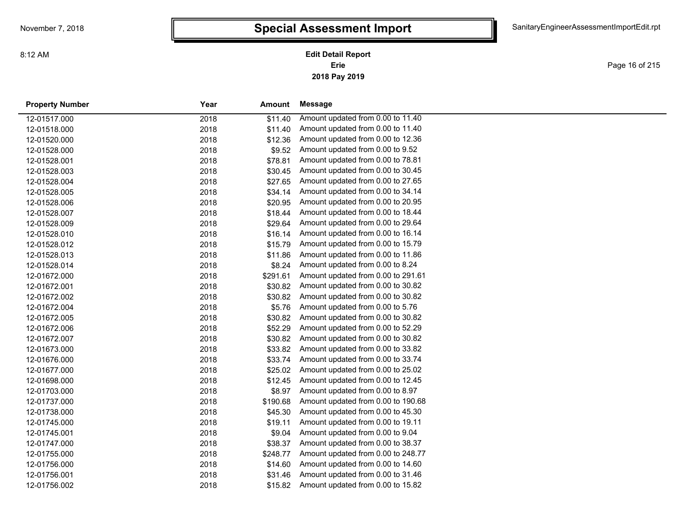**2018 Pay 2019 Erie Edit Detail Report**

Page 16 of 215

| <b>Property Number</b> | Year<br>Amount   |         | Message                            |  |
|------------------------|------------------|---------|------------------------------------|--|
| 12-01517.000           | 2018             | \$11.40 | Amount updated from 0.00 to 11.40  |  |
| 12-01518.000           | 2018             | \$11.40 | Amount updated from 0.00 to 11.40  |  |
| 12-01520.000           | 2018             | \$12.36 | Amount updated from 0.00 to 12.36  |  |
| 12-01528.000           | 2018             | \$9.52  | Amount updated from 0.00 to 9.52   |  |
| 12-01528.001           | 2018             | \$78.81 | Amount updated from 0.00 to 78.81  |  |
| 12-01528.003           | 2018             | \$30.45 | Amount updated from 0.00 to 30.45  |  |
| 12-01528.004           | 2018             | \$27.65 | Amount updated from 0.00 to 27.65  |  |
| 12-01528.005           | 2018             | \$34.14 | Amount updated from 0.00 to 34.14  |  |
| 12-01528.006           | 2018             | \$20.95 | Amount updated from 0.00 to 20.95  |  |
| 12-01528.007           | 2018             | \$18.44 | Amount updated from 0.00 to 18.44  |  |
| 12-01528.009           | 2018             | \$29.64 | Amount updated from 0.00 to 29.64  |  |
| 12-01528.010           | 2018             | \$16.14 | Amount updated from 0.00 to 16.14  |  |
| 12-01528.012           | 2018             | \$15.79 | Amount updated from 0.00 to 15.79  |  |
| 12-01528.013           | 2018             | \$11.86 | Amount updated from 0.00 to 11.86  |  |
| 12-01528.014           | 2018             | \$8.24  | Amount updated from 0.00 to 8.24   |  |
| 12-01672.000           | \$291.61<br>2018 |         | Amount updated from 0.00 to 291.61 |  |
| 12-01672.001           | 2018             | \$30.82 | Amount updated from 0.00 to 30.82  |  |
| 12-01672.002           | 2018             | \$30.82 | Amount updated from 0.00 to 30.82  |  |
| 12-01672.004           | 2018             | \$5.76  | Amount updated from 0.00 to 5.76   |  |
| 12-01672.005           | 2018             | \$30.82 | Amount updated from 0.00 to 30.82  |  |
| 12-01672.006           | 2018             | \$52.29 | Amount updated from 0.00 to 52.29  |  |
| 12-01672.007           | 2018             | \$30.82 | Amount updated from 0.00 to 30.82  |  |
| 12-01673.000           | 2018             | \$33.82 | Amount updated from 0.00 to 33.82  |  |
| 12-01676.000           | 2018             | \$33.74 | Amount updated from 0.00 to 33.74  |  |
| 12-01677.000           | 2018             | \$25.02 | Amount updated from 0.00 to 25.02  |  |
| 12-01698.000           | 2018             | \$12.45 | Amount updated from 0.00 to 12.45  |  |
| 12-01703.000           | 2018             | \$8.97  | Amount updated from 0.00 to 8.97   |  |
| 12-01737.000           | 2018<br>\$190.68 |         | Amount updated from 0.00 to 190.68 |  |
| 12-01738.000           | 2018             | \$45.30 | Amount updated from 0.00 to 45.30  |  |
| 12-01745.000           | 2018             | \$19.11 | Amount updated from 0.00 to 19.11  |  |
| 12-01745.001           | 2018             | \$9.04  | Amount updated from 0.00 to 9.04   |  |
| 12-01747.000           | 2018             | \$38.37 | Amount updated from 0.00 to 38.37  |  |
| 12-01755.000           | \$248.77<br>2018 |         | Amount updated from 0.00 to 248.77 |  |
| 12-01756.000           | 2018             | \$14.60 | Amount updated from 0.00 to 14.60  |  |
| 12-01756.001           | 2018             | \$31.46 | Amount updated from 0.00 to 31.46  |  |
| 12-01756.002           | 2018             | \$15.82 | Amount updated from 0.00 to 15.82  |  |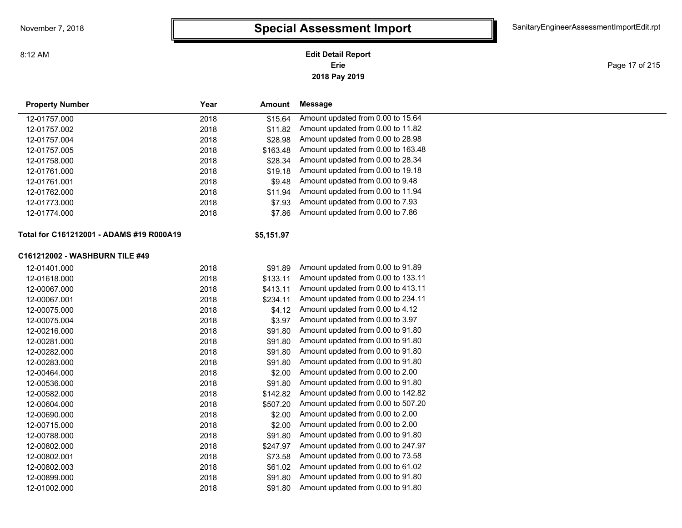### **2018 Pay 2019 Erie Edit Detail Report**

Page 17 of 215

| <b>Property Number</b>                   | Year | Amount     | Message                            |
|------------------------------------------|------|------------|------------------------------------|
| 12-01757.000                             | 2018 | \$15.64    | Amount updated from 0.00 to 15.64  |
| 12-01757.002                             | 2018 | \$11.82    | Amount updated from 0.00 to 11.82  |
| 12-01757.004                             | 2018 | \$28.98    | Amount updated from 0.00 to 28.98  |
| 12-01757.005                             | 2018 | \$163.48   | Amount updated from 0.00 to 163.48 |
| 12-01758.000                             | 2018 | \$28.34    | Amount updated from 0.00 to 28.34  |
| 12-01761.000                             | 2018 | \$19.18    | Amount updated from 0.00 to 19.18  |
| 12-01761.001                             | 2018 | \$9.48     | Amount updated from 0.00 to 9.48   |
| 12-01762.000                             | 2018 | \$11.94    | Amount updated from 0.00 to 11.94  |
| 12-01773.000                             | 2018 | \$7.93     | Amount updated from 0.00 to 7.93   |
| 12-01774.000                             | 2018 | \$7.86     | Amount updated from 0.00 to 7.86   |
| Total for C161212001 - ADAMS #19 R000A19 |      | \$5,151.97 |                                    |
| C161212002 - WASHBURN TILE #49           |      |            |                                    |
| 12-01401.000                             | 2018 | \$91.89    | Amount updated from 0.00 to 91.89  |
| 12-01618.000                             | 2018 | \$133.11   | Amount updated from 0.00 to 133.11 |
| 12-00067.000                             | 2018 | \$413.11   | Amount updated from 0.00 to 413.11 |
| 12-00067.001                             | 2018 | \$234.11   | Amount updated from 0.00 to 234.11 |
| 12-00075.000                             | 2018 | \$4.12     | Amount updated from 0.00 to 4.12   |
| 12-00075.004                             | 2018 | \$3.97     | Amount updated from 0.00 to 3.97   |
| 12-00216.000                             | 2018 | \$91.80    | Amount updated from 0.00 to 91.80  |
| 12-00281.000                             | 2018 | \$91.80    | Amount updated from 0.00 to 91.80  |
| 12-00282.000                             | 2018 | \$91.80    | Amount updated from 0.00 to 91.80  |
| 12-00283.000                             | 2018 | \$91.80    | Amount updated from 0.00 to 91.80  |
| 12-00464.000                             | 2018 | \$2.00     | Amount updated from 0.00 to 2.00   |
| 12-00536.000                             | 2018 | \$91.80    | Amount updated from 0.00 to 91.80  |
| 12-00582.000                             | 2018 | \$142.82   | Amount updated from 0.00 to 142.82 |
| 12-00604.000                             | 2018 | \$507.20   | Amount updated from 0.00 to 507.20 |
| 12-00690.000                             | 2018 | \$2.00     | Amount updated from 0.00 to 2.00   |
| 12-00715.000                             | 2018 | \$2.00     | Amount updated from 0.00 to 2.00   |
| 12-00788.000                             | 2018 | \$91.80    | Amount updated from 0.00 to 91.80  |
| 12-00802.000                             | 2018 | \$247.97   | Amount updated from 0.00 to 247.97 |
| 12-00802.001                             | 2018 | \$73.58    | Amount updated from 0.00 to 73.58  |
| 12-00802.003                             | 2018 | \$61.02    | Amount updated from 0.00 to 61.02  |
| 12-00899.000                             | 2018 | \$91.80    | Amount updated from 0.00 to 91.80  |
| 12-01002.000                             | 2018 | \$91.80    | Amount updated from 0.00 to 91.80  |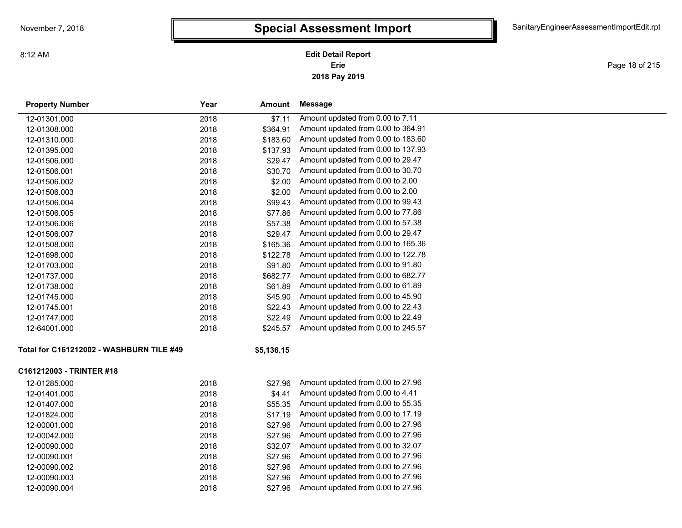**2018 Pay 2019 Erie Edit Detail Report**

Page 18 of 215

| <b>Property Number</b>                   | Year | Amount     | Message                            |
|------------------------------------------|------|------------|------------------------------------|
| 12-01301.000                             | 2018 | \$7.11     | Amount updated from 0.00 to 7.11   |
| 12-01308.000                             | 2018 | \$364.91   | Amount updated from 0.00 to 364.91 |
| 12-01310.000                             | 2018 | \$183.60   | Amount updated from 0.00 to 183.60 |
| 12-01395.000                             | 2018 | \$137.93   | Amount updated from 0.00 to 137.93 |
| 12-01506.000                             | 2018 | \$29.47    | Amount updated from 0.00 to 29.47  |
| 12-01506.001                             | 2018 | \$30.70    | Amount updated from 0.00 to 30.70  |
| 12-01506.002                             | 2018 | \$2.00     | Amount updated from 0.00 to 2.00   |
| 12-01506.003                             | 2018 | \$2.00     | Amount updated from 0.00 to 2.00   |
| 12-01506.004                             | 2018 | \$99.43    | Amount updated from 0.00 to 99.43  |
| 12-01506.005                             | 2018 | \$77.86    | Amount updated from 0.00 to 77.86  |
| 12-01506.006                             | 2018 | \$57.38    | Amount updated from 0.00 to 57.38  |
| 12-01506.007                             | 2018 | \$29.47    | Amount updated from 0.00 to 29.47  |
| 12-01508.000                             | 2018 | \$165.36   | Amount updated from 0.00 to 165.36 |
| 12-01698.000                             | 2018 | \$122.78   | Amount updated from 0.00 to 122.78 |
| 12-01703.000                             | 2018 | \$91.80    | Amount updated from 0.00 to 91.80  |
| 12-01737.000                             | 2018 | \$682.77   | Amount updated from 0.00 to 682.77 |
| 12-01738.000                             | 2018 | \$61.89    | Amount updated from 0.00 to 61.89  |
| 12-01745.000                             | 2018 | \$45.90    | Amount updated from 0.00 to 45.90  |
| 12-01745.001                             | 2018 | \$22.43    | Amount updated from 0.00 to 22.43  |
| 12-01747.000                             | 2018 | \$22.49    | Amount updated from 0.00 to 22.49  |
| 12-64001.000                             | 2018 | \$245.57   | Amount updated from 0.00 to 245.57 |
| Total for C161212002 - WASHBURN TILE #49 |      | \$5,136.15 |                                    |
| C161212003 - TRINTER #18                 |      |            |                                    |
| 12-01285.000                             | 2018 | \$27.96    | Amount updated from 0.00 to 27.96  |
| 12-01401.000                             | 2018 | \$4.41     | Amount updated from 0.00 to 4.41   |
| 12-01407.000                             | 2018 | \$55.35    | Amount updated from 0.00 to 55.35  |
| 12-01824.000                             | 2018 | \$17.19    | Amount updated from 0.00 to 17.19  |
| 12-00001.000                             | 2018 | \$27.96    | Amount updated from 0.00 to 27.96  |
| 12-00042.000                             | 2018 | \$27.96    | Amount updated from 0.00 to 27.96  |
| 12-00090.000                             | 2018 | \$32.07    | Amount updated from 0.00 to 32.07  |
| 12-00090.001                             | 2018 | \$27.96    | Amount updated from 0.00 to 27.96  |
| 12-00090.002                             | 2018 | \$27.96    | Amount updated from 0.00 to 27.96  |
| 12-00090.003                             | 2018 | \$27.96    | Amount updated from 0.00 to 27.96  |
| 12-00090.004                             | 2018 | \$27.96    | Amount updated from 0.00 to 27.96  |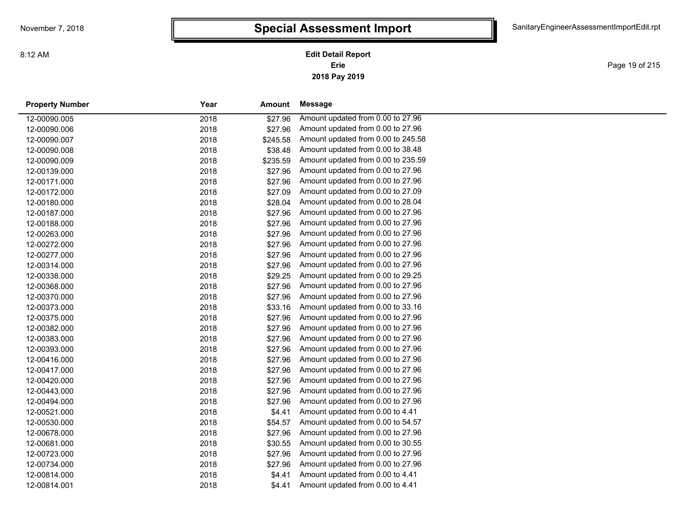Page 19 of 215

| <b>Property Number</b> | Year<br>Amount   |         | Message                            |  |
|------------------------|------------------|---------|------------------------------------|--|
| 12-00090.005           | 2018             | \$27.96 | Amount updated from 0.00 to 27.96  |  |
| 12-00090.006           | 2018             | \$27.96 | Amount updated from 0.00 to 27.96  |  |
| 12-00090.007           | 2018<br>\$245.58 |         | Amount updated from 0.00 to 245.58 |  |
| 12-00090.008           | 2018             | \$38.48 | Amount updated from 0.00 to 38.48  |  |
| 12-00090.009           | 2018<br>\$235.59 |         | Amount updated from 0.00 to 235.59 |  |
| 12-00139.000           | 2018             | \$27.96 | Amount updated from 0.00 to 27.96  |  |
| 12-00171.000           | 2018             | \$27.96 | Amount updated from 0.00 to 27.96  |  |
| 12-00172.000           | 2018             | \$27.09 | Amount updated from 0.00 to 27.09  |  |
| 12-00180.000           | 2018             | \$28.04 | Amount updated from 0.00 to 28.04  |  |
| 12-00187.000           | 2018             | \$27.96 | Amount updated from 0.00 to 27.96  |  |
| 12-00188.000           | 2018             | \$27.96 | Amount updated from 0.00 to 27.96  |  |
| 12-00263.000           | 2018             | \$27.96 | Amount updated from 0.00 to 27.96  |  |
| 12-00272.000           | 2018             | \$27.96 | Amount updated from 0.00 to 27.96  |  |
| 12-00277.000           | 2018             | \$27.96 | Amount updated from 0.00 to 27.96  |  |
| 12-00314.000           | 2018             | \$27.96 | Amount updated from 0.00 to 27.96  |  |
| 12-00338.000           | 2018             | \$29.25 | Amount updated from 0.00 to 29.25  |  |
| 12-00368.000           | 2018             | \$27.96 | Amount updated from 0.00 to 27.96  |  |
| 12-00370.000           | 2018             | \$27.96 | Amount updated from 0.00 to 27.96  |  |
| 12-00373.000           | 2018             | \$33.16 | Amount updated from 0.00 to 33.16  |  |
| 12-00375.000           | 2018             | \$27.96 | Amount updated from 0.00 to 27.96  |  |
| 12-00382.000           | 2018             | \$27.96 | Amount updated from 0.00 to 27.96  |  |
| 12-00383.000           | 2018             | \$27.96 | Amount updated from 0.00 to 27.96  |  |
| 12-00393.000           | 2018             | \$27.96 | Amount updated from 0.00 to 27.96  |  |
| 12-00416.000           | 2018             | \$27.96 | Amount updated from 0.00 to 27.96  |  |
| 12-00417.000           | 2018             | \$27.96 | Amount updated from 0.00 to 27.96  |  |
| 12-00420.000           | 2018             | \$27.96 | Amount updated from 0.00 to 27.96  |  |
| 12-00443.000           | 2018             | \$27.96 | Amount updated from 0.00 to 27.96  |  |
| 12-00494.000           | 2018             | \$27.96 | Amount updated from 0.00 to 27.96  |  |
| 12-00521.000           | 2018             | \$4.41  | Amount updated from 0.00 to 4.41   |  |
| 12-00530.000           | 2018             | \$54.57 | Amount updated from 0.00 to 54.57  |  |
| 12-00678.000           | 2018             | \$27.96 | Amount updated from 0.00 to 27.96  |  |
| 12-00681.000           | 2018             | \$30.55 | Amount updated from 0.00 to 30.55  |  |
| 12-00723.000           | 2018             | \$27.96 | Amount updated from 0.00 to 27.96  |  |
| 12-00734.000           | 2018             | \$27.96 | Amount updated from 0.00 to 27.96  |  |
| 12-00814.000           | 2018             | \$4.41  | Amount updated from 0.00 to 4.41   |  |
| 12-00814.001           | 2018             | \$4.41  | Amount updated from 0.00 to 4.41   |  |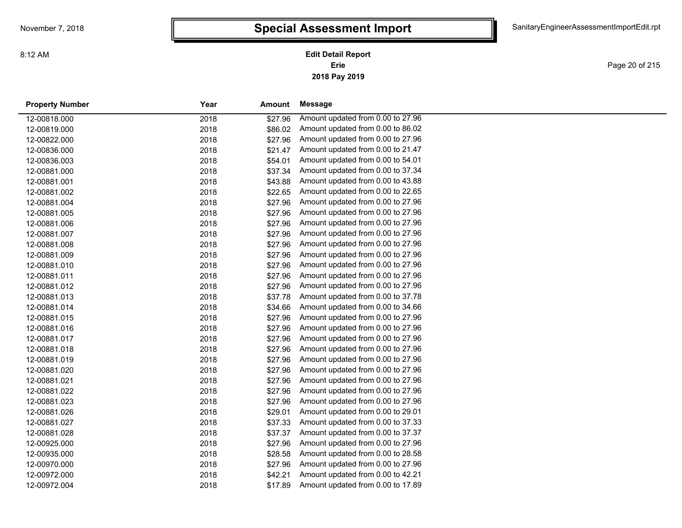Page 20 of 215

| <b>Property Number</b> | Year | Amount  | Message                           |  |
|------------------------|------|---------|-----------------------------------|--|
| 12-00818.000           | 2018 | \$27.96 | Amount updated from 0.00 to 27.96 |  |
| 12-00819.000           | 2018 | \$86.02 | Amount updated from 0.00 to 86.02 |  |
| 12-00822.000           | 2018 | \$27.96 | Amount updated from 0.00 to 27.96 |  |
| 12-00836.000           | 2018 | \$21.47 | Amount updated from 0.00 to 21.47 |  |
| 12-00836.003           | 2018 | \$54.01 | Amount updated from 0.00 to 54.01 |  |
| 12-00881.000           | 2018 | \$37.34 | Amount updated from 0.00 to 37.34 |  |
| 12-00881.001           | 2018 | \$43.88 | Amount updated from 0.00 to 43.88 |  |
| 12-00881.002           | 2018 | \$22.65 | Amount updated from 0.00 to 22.65 |  |
| 12-00881.004           | 2018 | \$27.96 | Amount updated from 0.00 to 27.96 |  |
| 12-00881.005           | 2018 | \$27.96 | Amount updated from 0.00 to 27.96 |  |
| 12-00881.006           | 2018 | \$27.96 | Amount updated from 0.00 to 27.96 |  |
| 12-00881.007           | 2018 | \$27.96 | Amount updated from 0.00 to 27.96 |  |
| 12-00881.008           | 2018 | \$27.96 | Amount updated from 0.00 to 27.96 |  |
| 12-00881.009           | 2018 | \$27.96 | Amount updated from 0.00 to 27.96 |  |
| 12-00881.010           | 2018 | \$27.96 | Amount updated from 0.00 to 27.96 |  |
| 12-00881.011           | 2018 | \$27.96 | Amount updated from 0.00 to 27.96 |  |
| 12-00881.012           | 2018 | \$27.96 | Amount updated from 0.00 to 27.96 |  |
| 12-00881.013           | 2018 | \$37.78 | Amount updated from 0.00 to 37.78 |  |
| 12-00881.014           | 2018 | \$34.66 | Amount updated from 0.00 to 34.66 |  |
| 12-00881.015           | 2018 | \$27.96 | Amount updated from 0.00 to 27.96 |  |
| 12-00881.016           | 2018 | \$27.96 | Amount updated from 0.00 to 27.96 |  |
| 12-00881.017           | 2018 | \$27.96 | Amount updated from 0.00 to 27.96 |  |
| 12-00881.018           | 2018 | \$27.96 | Amount updated from 0.00 to 27.96 |  |
| 12-00881.019           | 2018 | \$27.96 | Amount updated from 0.00 to 27.96 |  |
| 12-00881.020           | 2018 | \$27.96 | Amount updated from 0.00 to 27.96 |  |
| 12-00881.021           | 2018 | \$27.96 | Amount updated from 0.00 to 27.96 |  |
| 12-00881.022           | 2018 | \$27.96 | Amount updated from 0.00 to 27.96 |  |
| 12-00881.023           | 2018 | \$27.96 | Amount updated from 0.00 to 27.96 |  |
| 12-00881.026           | 2018 | \$29.01 | Amount updated from 0.00 to 29.01 |  |
| 12-00881.027           | 2018 | \$37.33 | Amount updated from 0.00 to 37.33 |  |
| 12-00881.028           | 2018 | \$37.37 | Amount updated from 0.00 to 37.37 |  |
| 12-00925.000           | 2018 | \$27.96 | Amount updated from 0.00 to 27.96 |  |
| 12-00935.000           | 2018 | \$28.58 | Amount updated from 0.00 to 28.58 |  |
| 12-00970.000           | 2018 | \$27.96 | Amount updated from 0.00 to 27.96 |  |
| 12-00972.000           | 2018 | \$42.21 | Amount updated from 0.00 to 42.21 |  |
| 12-00972.004           | 2018 | \$17.89 | Amount updated from 0.00 to 17.89 |  |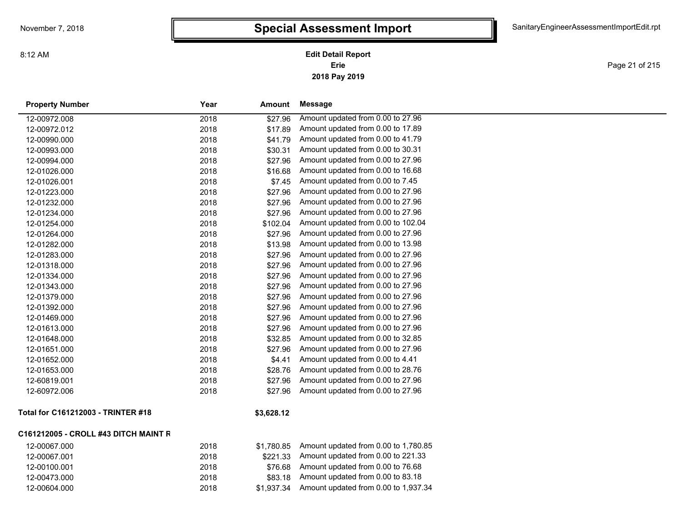Page 21 of 215

| <b>Property Number</b>               | Year | Amount     | <b>Message</b>                       |
|--------------------------------------|------|------------|--------------------------------------|
| 12-00972.008                         | 2018 | \$27.96    | Amount updated from 0.00 to 27.96    |
| 12-00972.012                         | 2018 | \$17.89    | Amount updated from 0.00 to 17.89    |
| 12-00990.000                         | 2018 | \$41.79    | Amount updated from 0.00 to 41.79    |
| 12-00993.000                         | 2018 | \$30.31    | Amount updated from 0.00 to 30.31    |
| 12-00994.000                         | 2018 | \$27.96    | Amount updated from 0.00 to 27.96    |
| 12-01026.000                         | 2018 | \$16.68    | Amount updated from 0.00 to 16.68    |
| 12-01026.001                         | 2018 | \$7.45     | Amount updated from 0.00 to 7.45     |
| 12-01223.000                         | 2018 | \$27.96    | Amount updated from 0.00 to 27.96    |
| 12-01232.000                         | 2018 | \$27.96    | Amount updated from 0.00 to 27.96    |
| 12-01234.000                         | 2018 | \$27.96    | Amount updated from 0.00 to 27.96    |
| 12-01254.000                         | 2018 | \$102.04   | Amount updated from 0.00 to 102.04   |
| 12-01264.000                         | 2018 | \$27.96    | Amount updated from 0.00 to 27.96    |
| 12-01282.000                         | 2018 | \$13.98    | Amount updated from 0.00 to 13.98    |
| 12-01283.000                         | 2018 | \$27.96    | Amount updated from 0.00 to 27.96    |
| 12-01318.000                         | 2018 | \$27.96    | Amount updated from 0.00 to 27.96    |
| 12-01334.000                         | 2018 | \$27.96    | Amount updated from 0.00 to 27.96    |
| 12-01343.000                         | 2018 | \$27.96    | Amount updated from 0.00 to 27.96    |
| 12-01379.000                         | 2018 | \$27.96    | Amount updated from 0.00 to 27.96    |
| 12-01392.000                         | 2018 | \$27.96    | Amount updated from 0.00 to 27.96    |
| 12-01469.000                         | 2018 | \$27.96    | Amount updated from 0.00 to 27.96    |
| 12-01613.000                         | 2018 | \$27.96    | Amount updated from 0.00 to 27.96    |
| 12-01648.000                         | 2018 | \$32.85    | Amount updated from 0.00 to 32.85    |
| 12-01651.000                         | 2018 | \$27.96    | Amount updated from 0.00 to 27.96    |
| 12-01652.000                         | 2018 | \$4.41     | Amount updated from 0.00 to 4.41     |
| 12-01653.000                         | 2018 | \$28.76    | Amount updated from 0.00 to 28.76    |
| 12-60819.001                         | 2018 | \$27.96    | Amount updated from 0.00 to 27.96    |
| 12-60972.006                         | 2018 | \$27.96    | Amount updated from 0.00 to 27.96    |
| Total for C161212003 - TRINTER #18   |      | \$3,628.12 |                                      |
| C161212005 - CROLL #43 DITCH MAINT R |      |            |                                      |
| 12-00067.000                         | 2018 | \$1,780.85 | Amount updated from 0.00 to 1,780.85 |
| 12-00067.001                         | 2018 | \$221.33   | Amount updated from 0.00 to 221.33   |
| 12-00100.001                         | 2018 | \$76.68    | Amount updated from 0.00 to 76.68    |

12-00473.000 2018 \$83.18 Amount updated from 0.00 to 83.18 12-00604.000 2018 \$1,937.34 Amount updated from 0.00 to 1,937.34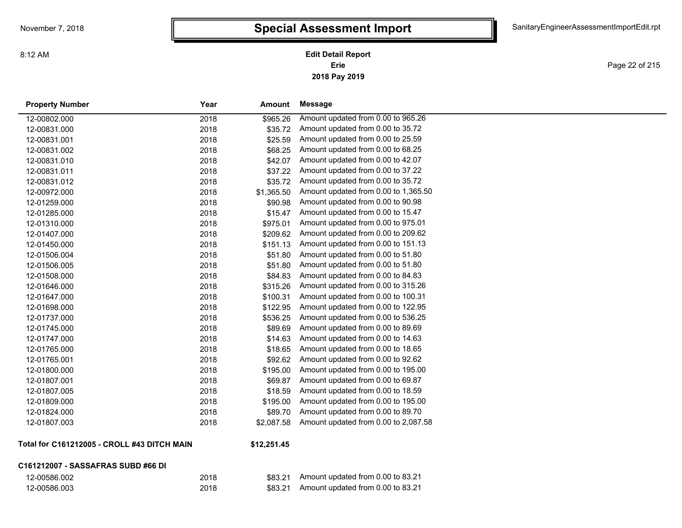**2018 Pay 2019 Erie Edit Detail Report**

Page 22 of 215

| <b>Property Number</b>                      | Year | Amount            | Message                              |
|---------------------------------------------|------|-------------------|--------------------------------------|
| 12-00802.000                                | 2018 | \$965.26          | Amount updated from 0.00 to 965.26   |
| 12-00831.000                                | 2018 | \$35.72           | Amount updated from 0.00 to 35.72    |
| 12-00831.001                                | 2018 | \$25.59           | Amount updated from 0.00 to 25.59    |
| 12-00831.002                                | 2018 | \$68.25           | Amount updated from 0.00 to 68.25    |
| 12-00831.010                                | 2018 | \$42.07           | Amount updated from 0.00 to 42.07    |
| 12-00831.011                                | 2018 | \$37.22           | Amount updated from 0.00 to 37.22    |
| 12-00831.012                                | 2018 | \$35.72           | Amount updated from 0.00 to 35.72    |
| 12-00972.000                                | 2018 | \$1,365.50        | Amount updated from 0.00 to 1,365.50 |
| 12-01259.000                                | 2018 | \$90.98           | Amount updated from 0.00 to 90.98    |
| 12-01285.000                                | 2018 | \$15.47           | Amount updated from 0.00 to 15.47    |
| 12-01310.000                                | 2018 | \$975.01          | Amount updated from 0.00 to 975.01   |
| 12-01407.000                                | 2018 | \$209.62          | Amount updated from 0.00 to 209.62   |
| 12-01450.000                                | 2018 | \$151.13          | Amount updated from 0.00 to 151.13   |
| 12-01506.004                                | 2018 | \$51.80           | Amount updated from 0.00 to 51.80    |
| 12-01506.005                                | 2018 | \$51.80           | Amount updated from 0.00 to 51.80    |
| 12-01508.000                                | 2018 | \$84.83           | Amount updated from 0.00 to 84.83    |
| 12-01646.000                                | 2018 | \$315.26          | Amount updated from 0.00 to 315.26   |
| 12-01647.000                                | 2018 | \$100.31          | Amount updated from 0.00 to 100.31   |
| 12-01698.000                                | 2018 | \$122.95          | Amount updated from 0.00 to 122.95   |
| 12-01737.000                                | 2018 | \$536.25          | Amount updated from 0.00 to 536.25   |
| 12-01745.000                                | 2018 | \$89.69           | Amount updated from 0.00 to 89.69    |
| 12-01747.000                                | 2018 | \$14.63           | Amount updated from 0.00 to 14.63    |
| 12-01765.000                                | 2018 | \$18.65           | Amount updated from 0.00 to 18.65    |
| 12-01765.001                                | 2018 | \$92.62           | Amount updated from 0.00 to 92.62    |
| 12-01800.000                                | 2018 | \$195.00          | Amount updated from 0.00 to 195.00   |
| 12-01807.001                                | 2018 | \$69.87           | Amount updated from 0.00 to 69.87    |
| 12-01807.005                                | 2018 | \$18.59           | Amount updated from 0.00 to 18.59    |
| 12-01809.000                                | 2018 | \$195.00          | Amount updated from 0.00 to 195.00   |
| 12-01824.000                                | 2018 | \$89.70           | Amount updated from 0.00 to 89.70    |
| 12-01807.003                                | 2018 | \$2,087.58        | Amount updated from 0.00 to 2,087.58 |
| Total for C161212005 - CROLL #43 DITCH MAIN |      | <b>412 251 45</b> |                                      |

**Total for C161212005 - CROLL #43 DITCH MAIN**

#### **\$12,251.45**

| C161212007 - SASSAFRAS SUBD #66 DI |
|------------------------------------|
|------------------------------------|

| 12-00586.002 |  |
|--------------|--|
| 12-00586.003 |  |

| \$83.21 | Amount |
|---------|--------|
|         |        |

12-00586.002 2018 \$83.21 Amount updated from 0.00 to 83.21 12-00586.003 2018 \$83.21 Amount updated from 0.00 to 83.21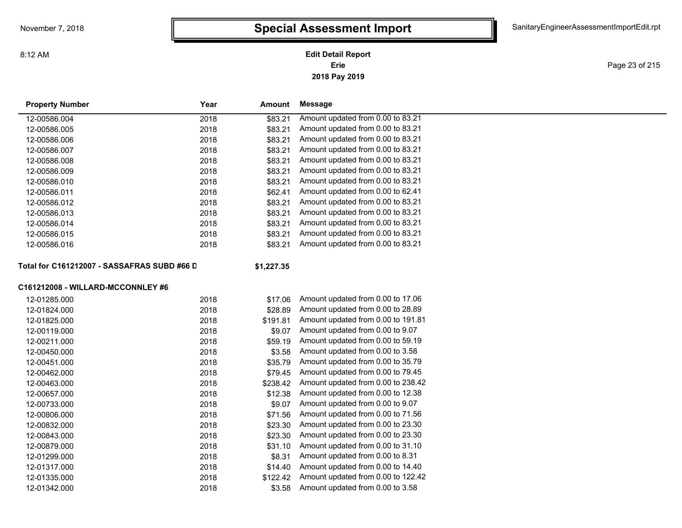### **2018 Pay 2019 Erie Edit Detail Report**

Page 23 of 215

| <b>Property Number</b>                      | Year<br>Amount   |        | Message                            |  |
|---------------------------------------------|------------------|--------|------------------------------------|--|
| 12-00586.004                                | 2018<br>\$83.21  |        | Amount updated from 0.00 to 83.21  |  |
| 12-00586.005                                | 2018<br>\$83.21  |        | Amount updated from 0.00 to 83.21  |  |
| 12-00586.006                                | \$83.21<br>2018  |        | Amount updated from 0.00 to 83.21  |  |
| 12-00586.007                                | 2018<br>\$83.21  |        | Amount updated from 0.00 to 83.21  |  |
| 12-00586.008                                | \$83.21<br>2018  |        | Amount updated from 0.00 to 83.21  |  |
| 12-00586.009                                | 2018<br>\$83.21  |        | Amount updated from 0.00 to 83.21  |  |
| 12-00586.010                                | 2018<br>\$83.21  |        | Amount updated from 0.00 to 83.21  |  |
| 12-00586.011                                | 2018<br>\$62.41  |        | Amount updated from 0.00 to 62.41  |  |
| 12-00586.012                                | \$83.21<br>2018  |        | Amount updated from 0.00 to 83.21  |  |
| 12-00586.013                                | 2018<br>\$83.21  |        | Amount updated from 0.00 to 83.21  |  |
| 12-00586.014                                | 2018<br>\$83.21  |        | Amount updated from 0.00 to 83.21  |  |
| 12-00586.015                                | \$83.21<br>2018  |        | Amount updated from 0.00 to 83.21  |  |
| 12-00586.016                                | \$83.21<br>2018  |        | Amount updated from 0.00 to 83.21  |  |
| Total for C161212007 - SASSAFRAS SUBD #66 D | \$1,227.35       |        |                                    |  |
| C161212008 - WILLARD-MCCONNLEY #6           |                  |        |                                    |  |
| 12-01285.000                                | 2018<br>\$17.06  |        | Amount updated from 0.00 to 17.06  |  |
| 12-01824.000                                | 2018<br>\$28.89  |        | Amount updated from 0.00 to 28.89  |  |
| 12-01825.000                                | 2018<br>\$191.81 |        | Amount updated from 0.00 to 191.81 |  |
| 12-00119.000                                | 2018             | \$9.07 | Amount updated from 0.00 to 9.07   |  |
| 12-00211.000                                | 2018<br>\$59.19  |        | Amount updated from 0.00 to 59.19  |  |
| 12-00450.000                                | 2018             | \$3.58 | Amount updated from 0.00 to 3.58   |  |
| 12-00451.000                                | 2018<br>\$35.79  |        | Amount updated from 0.00 to 35.79  |  |
| 12-00462.000                                | 2018<br>\$79.45  |        | Amount updated from 0.00 to 79.45  |  |
| 12-00463.000                                | 2018<br>\$238.42 |        | Amount updated from 0.00 to 238.42 |  |
| 12-00657.000                                | 2018<br>\$12.38  |        | Amount updated from 0.00 to 12.38  |  |
| 12-00733.000                                | 2018             | \$9.07 | Amount updated from 0.00 to 9.07   |  |
| 12-00806.000                                | 2018<br>\$71.56  |        | Amount updated from 0.00 to 71.56  |  |
| 12-00832.000                                | 2018<br>\$23.30  |        | Amount updated from 0.00 to 23.30  |  |
| 12-00843.000                                | 2018<br>\$23.30  |        | Amount updated from 0.00 to 23.30  |  |
| 12-00879.000                                | 2018<br>\$31.10  |        | Amount updated from 0.00 to 31.10  |  |
| 12-01299.000                                | 2018             | \$8.31 | Amount updated from 0.00 to 8.31   |  |
| 12-01317.000                                | 2018<br>\$14.40  |        | Amount updated from 0.00 to 14.40  |  |
| 12-01335.000                                | 2018<br>\$122.42 |        | Amount updated from 0.00 to 122.42 |  |
| 12-01342.000                                | 2018             | \$3.58 | Amount updated from 0.00 to 3.58   |  |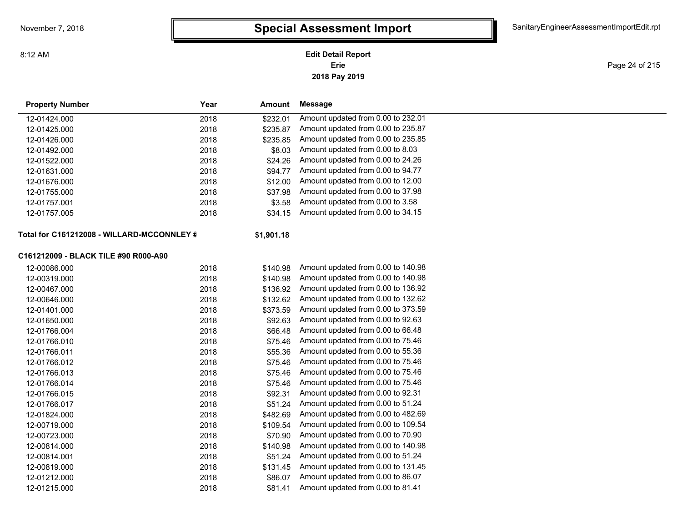### **2018 Pay 2019 Erie Edit Detail Report**

Page 24 of 215

| <b>Property Number</b>                     | Year | Amount     | Message                            |
|--------------------------------------------|------|------------|------------------------------------|
| 12-01424.000                               | 2018 | \$232.01   | Amount updated from 0.00 to 232.01 |
| 12-01425.000                               | 2018 | \$235.87   | Amount updated from 0.00 to 235.87 |
| 12-01426.000                               | 2018 | \$235.85   | Amount updated from 0.00 to 235.85 |
| 12-01492.000                               | 2018 | \$8.03     | Amount updated from 0.00 to 8.03   |
| 12-01522.000                               | 2018 | \$24.26    | Amount updated from 0.00 to 24.26  |
| 12-01631.000                               | 2018 | \$94.77    | Amount updated from 0.00 to 94.77  |
| 12-01676.000                               | 2018 | \$12.00    | Amount updated from 0.00 to 12.00  |
| 12-01755.000                               | 2018 | \$37.98    | Amount updated from 0.00 to 37.98  |
| 12-01757.001                               | 2018 | \$3.58     | Amount updated from 0.00 to 3.58   |
| 12-01757.005                               | 2018 | \$34.15    | Amount updated from 0.00 to 34.15  |
| Total for C161212008 - WILLARD-MCCONNLEY # |      | \$1,901.18 |                                    |
| C161212009 - BLACK TILE #90 R000-A90       |      |            |                                    |
| 12-00086.000                               | 2018 | \$140.98   | Amount updated from 0.00 to 140.98 |
| 12-00319.000                               | 2018 | \$140.98   | Amount updated from 0.00 to 140.98 |
| 12-00467.000                               | 2018 | \$136.92   | Amount updated from 0.00 to 136.92 |
| 12-00646.000                               | 2018 | \$132.62   | Amount updated from 0.00 to 132.62 |
| 12-01401.000                               | 2018 | \$373.59   | Amount updated from 0.00 to 373.59 |
| 12-01650.000                               | 2018 | \$92.63    | Amount updated from 0.00 to 92.63  |
| 12-01766.004                               | 2018 | \$66.48    | Amount updated from 0.00 to 66.48  |
| 12-01766.010                               | 2018 | \$75.46    | Amount updated from 0.00 to 75.46  |
| 12-01766.011                               | 2018 | \$55.36    | Amount updated from 0.00 to 55.36  |
| 12-01766.012                               | 2018 | \$75.46    | Amount updated from 0.00 to 75.46  |
| 12-01766.013                               | 2018 | \$75.46    | Amount updated from 0.00 to 75.46  |
| 12-01766.014                               | 2018 | \$75.46    | Amount updated from 0.00 to 75.46  |
| 12-01766.015                               | 2018 | \$92.31    | Amount updated from 0.00 to 92.31  |
| 12-01766.017                               | 2018 | \$51.24    | Amount updated from 0.00 to 51.24  |
| 12-01824.000                               | 2018 | \$482.69   | Amount updated from 0.00 to 482.69 |
| 12-00719.000                               | 2018 | \$109.54   | Amount updated from 0.00 to 109.54 |
| 12-00723.000                               | 2018 | \$70.90    | Amount updated from 0.00 to 70.90  |
| 12-00814.000                               | 2018 | \$140.98   | Amount updated from 0.00 to 140.98 |
| 12-00814.001                               | 2018 | \$51.24    | Amount updated from 0.00 to 51.24  |
| 12-00819.000                               | 2018 | \$131.45   | Amount updated from 0.00 to 131.45 |
| 12-01212.000                               | 2018 | \$86.07    | Amount updated from 0.00 to 86.07  |
| 12-01215.000                               | 2018 | \$81.41    | Amount updated from 0.00 to 81.41  |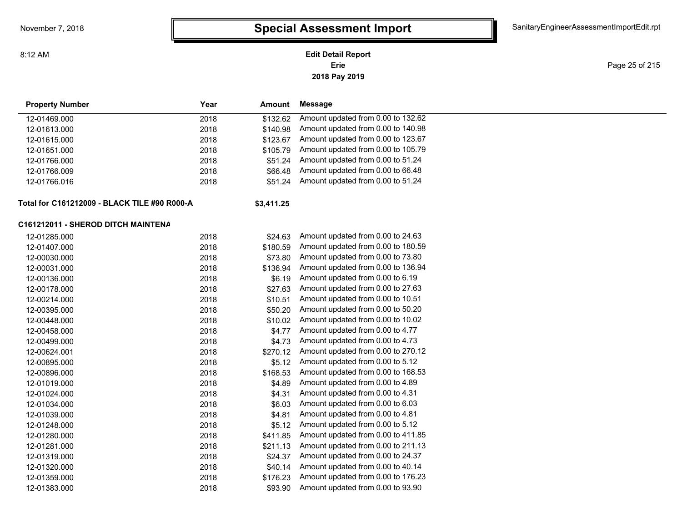8:12 AM

### **2018 Pay 2019 Erie Edit Detail Report**

Page 25 of 215

| <b>Property Number</b>                       | Year | Amount     | Message                            |  |
|----------------------------------------------|------|------------|------------------------------------|--|
| 12-01469.000                                 | 2018 | \$132.62   | Amount updated from 0.00 to 132.62 |  |
| 12-01613.000                                 | 2018 | \$140.98   | Amount updated from 0.00 to 140.98 |  |
| 12-01615.000                                 | 2018 | \$123.67   | Amount updated from 0.00 to 123.67 |  |
| 12-01651.000                                 | 2018 | \$105.79   | Amount updated from 0.00 to 105.79 |  |
| 12-01766.000                                 | 2018 | \$51.24    | Amount updated from 0.00 to 51.24  |  |
| 12-01766.009                                 | 2018 | \$66.48    | Amount updated from 0.00 to 66.48  |  |
| 12-01766.016                                 | 2018 | \$51.24    | Amount updated from 0.00 to 51.24  |  |
| Total for C161212009 - BLACK TILE #90 R000-A |      | \$3,411.25 |                                    |  |
| C161212011 - SHEROD DITCH MAINTENA           |      |            |                                    |  |
| 12-01285.000                                 | 2018 | \$24.63    | Amount updated from 0.00 to 24.63  |  |
| 12-01407.000                                 | 2018 | \$180.59   | Amount updated from 0.00 to 180.59 |  |
| 12-00030.000                                 | 2018 | \$73.80    | Amount updated from 0.00 to 73.80  |  |
| 12-00031.000                                 | 2018 | \$136.94   | Amount updated from 0.00 to 136.94 |  |
| 12-00136.000                                 | 2018 | \$6.19     | Amount updated from 0.00 to 6.19   |  |
| 12-00178.000                                 | 2018 | \$27.63    | Amount updated from 0.00 to 27.63  |  |
| 12-00214.000                                 | 2018 | \$10.51    | Amount updated from 0.00 to 10.51  |  |
| 12-00395.000                                 | 2018 | \$50.20    | Amount updated from 0.00 to 50.20  |  |
| 12-00448.000                                 | 2018 | \$10.02    | Amount updated from 0.00 to 10.02  |  |
| 12-00458.000                                 | 2018 | \$4.77     | Amount updated from 0.00 to 4.77   |  |
| 12-00499.000                                 | 2018 | \$4.73     | Amount updated from 0.00 to 4.73   |  |
| 12-00624.001                                 | 2018 | \$270.12   | Amount updated from 0.00 to 270.12 |  |
| 12-00895.000                                 | 2018 | \$5.12     | Amount updated from 0.00 to 5.12   |  |
| 12-00896.000                                 | 2018 | \$168.53   | Amount updated from 0.00 to 168.53 |  |
| 12-01019.000                                 | 2018 | \$4.89     | Amount updated from 0.00 to 4.89   |  |
| 12-01024.000                                 | 2018 | \$4.31     | Amount updated from 0.00 to 4.31   |  |
| 12-01034.000                                 | 2018 | \$6.03     | Amount updated from 0.00 to 6.03   |  |
| 12-01039.000                                 | 2018 | \$4.81     | Amount updated from 0.00 to 4.81   |  |
| 12-01248.000                                 | 2018 | \$5.12     | Amount updated from 0.00 to 5.12   |  |
| 12-01280.000                                 | 2018 | \$411.85   | Amount updated from 0.00 to 411.85 |  |
| 12-01281.000                                 | 2018 | \$211.13   | Amount updated from 0.00 to 211.13 |  |
| 12-01319.000                                 | 2018 | \$24.37    | Amount updated from 0.00 to 24.37  |  |
| 12-01320.000                                 | 2018 | \$40.14    | Amount updated from 0.00 to 40.14  |  |
| 12-01359.000                                 | 2018 | \$176.23   | Amount updated from 0.00 to 176.23 |  |
| 12-01383.000                                 | 2018 | \$93.90    | Amount updated from 0.00 to 93.90  |  |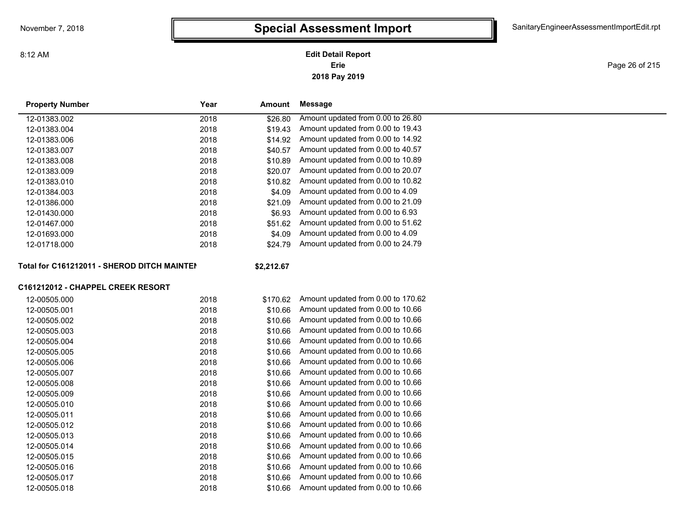**2018 Pay 2019 Erie Edit Detail Report**

Page 26 of 215

| <b>Property Number</b>                      | Year | Amount     | <b>Message</b>                     |  |
|---------------------------------------------|------|------------|------------------------------------|--|
| 12-01383.002                                | 2018 | \$26.80    | Amount updated from 0.00 to 26.80  |  |
| 12-01383.004                                | 2018 | \$19.43    | Amount updated from 0.00 to 19.43  |  |
| 12-01383.006                                | 2018 | \$14.92    | Amount updated from 0.00 to 14.92  |  |
| 12-01383.007                                | 2018 | \$40.57    | Amount updated from 0.00 to 40.57  |  |
| 12-01383.008                                | 2018 | \$10.89    | Amount updated from 0.00 to 10.89  |  |
| 12-01383.009                                | 2018 | \$20.07    | Amount updated from 0.00 to 20.07  |  |
| 12-01383.010                                | 2018 | \$10.82    | Amount updated from 0.00 to 10.82  |  |
| 12-01384.003                                | 2018 | \$4.09     | Amount updated from 0.00 to 4.09   |  |
| 12-01386.000                                | 2018 | \$21.09    | Amount updated from 0.00 to 21.09  |  |
| 12-01430.000                                | 2018 | \$6.93     | Amount updated from 0.00 to 6.93   |  |
| 12-01467.000                                | 2018 | \$51.62    | Amount updated from 0.00 to 51.62  |  |
| 12-01693.000                                | 2018 | \$4.09     | Amount updated from 0.00 to 4.09   |  |
| 12-01718.000                                | 2018 | \$24.79    | Amount updated from 0.00 to 24.79  |  |
| Total for C161212011 - SHEROD DITCH MAINTEN |      | \$2,212.67 |                                    |  |
| C161212012 - CHAPPEL CREEK RESORT           |      |            |                                    |  |
| 12-00505.000                                | 2018 | \$170.62   | Amount updated from 0.00 to 170.62 |  |
| 12-00505.001                                | 2018 | \$10.66    | Amount updated from 0.00 to 10.66  |  |
| 12-00505.002                                | 2018 | \$10.66    | Amount updated from 0.00 to 10.66  |  |
| 12-00505.003                                | 2018 | \$10.66    | Amount updated from 0.00 to 10.66  |  |
| 12-00505.004                                | 2018 | \$10.66    | Amount updated from 0.00 to 10.66  |  |
| 12-00505.005                                | 2018 | \$10.66    | Amount updated from 0.00 to 10.66  |  |
| 12-00505.006                                | 2018 | \$10.66    | Amount updated from 0.00 to 10.66  |  |
| 12-00505.007                                | 2018 | \$10.66    | Amount updated from 0.00 to 10.66  |  |
| 12-00505.008                                | 2018 | \$10.66    | Amount updated from 0.00 to 10.66  |  |
| 12-00505.009                                | 2018 | \$10.66    | Amount updated from 0.00 to 10.66  |  |
| 12-00505.010                                | 2018 | \$10.66    | Amount updated from 0.00 to 10.66  |  |
| 12-00505.011                                | 2018 | \$10.66    | Amount updated from 0.00 to 10.66  |  |
| 12-00505.012                                | 2018 | \$10.66    | Amount updated from 0.00 to 10.66  |  |
| 12-00505.013                                | 2018 | \$10.66    | Amount updated from 0.00 to 10.66  |  |
| 12-00505.014                                | 2018 | \$10.66    | Amount updated from 0.00 to 10.66  |  |
| 12-00505.015                                | 2018 | \$10.66    | Amount updated from 0.00 to 10.66  |  |
| 12-00505.016                                | 2018 | \$10.66    | Amount updated from 0.00 to 10.66  |  |
| 12-00505.017                                | 2018 | \$10.66    | Amount updated from 0.00 to 10.66  |  |

12-00505.018 2018 \$10.66 Amount updated from 0.00 to 10.66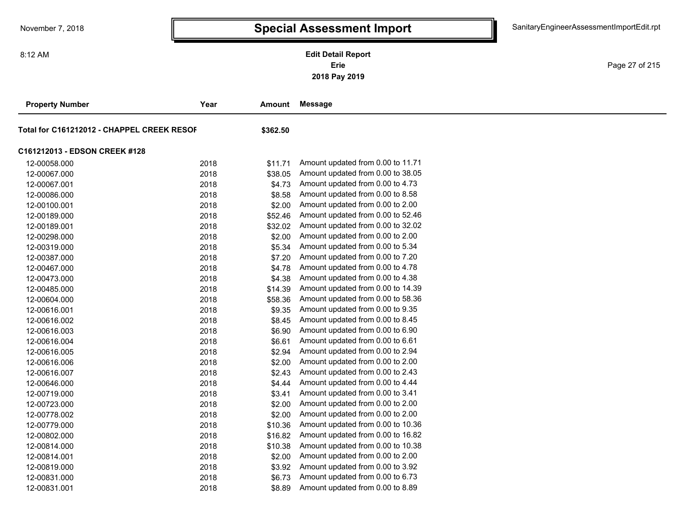**2018 Pay 2019 Erie Edit Detail Report**

Page 27 of 215

| <b>Property Number</b>                     | Year | Amount   | <b>Message</b>                    |
|--------------------------------------------|------|----------|-----------------------------------|
| Total for C161212012 - CHAPPEL CREEK RESOF |      | \$362.50 |                                   |
| C161212013 - EDSON CREEK #128              |      |          |                                   |
| 12-00058.000                               | 2018 | \$11.71  | Amount updated from 0.00 to 11.71 |
| 12-00067.000                               | 2018 | \$38.05  | Amount updated from 0.00 to 38.05 |
| 12-00067.001                               | 2018 | \$4.73   | Amount updated from 0.00 to 4.73  |
| 12-00086.000                               | 2018 | \$8.58   | Amount updated from 0.00 to 8.58  |
| 12-00100.001                               | 2018 | \$2.00   | Amount updated from 0.00 to 2.00  |
| 12-00189.000                               | 2018 | \$52.46  | Amount updated from 0.00 to 52.46 |
| 12-00189.001                               | 2018 | \$32.02  | Amount updated from 0.00 to 32.02 |
| 12-00298.000                               | 2018 | \$2.00   | Amount updated from 0.00 to 2.00  |
| 12-00319.000                               | 2018 | \$5.34   | Amount updated from 0.00 to 5.34  |
| 12-00387.000                               | 2018 | \$7.20   | Amount updated from 0.00 to 7.20  |
| 12-00467.000                               | 2018 | \$4.78   | Amount updated from 0.00 to 4.78  |
| 12-00473.000                               | 2018 | \$4.38   | Amount updated from 0.00 to 4.38  |
| 12-00485.000                               | 2018 | \$14.39  | Amount updated from 0.00 to 14.39 |
| 12-00604.000                               | 2018 | \$58.36  | Amount updated from 0.00 to 58.36 |
| 12-00616.001                               | 2018 | \$9.35   | Amount updated from 0.00 to 9.35  |
| 12-00616.002                               | 2018 | \$8.45   | Amount updated from 0.00 to 8.45  |
| 12-00616.003                               | 2018 | \$6.90   | Amount updated from 0.00 to 6.90  |
| 12-00616.004                               | 2018 | \$6.61   | Amount updated from 0.00 to 6.61  |
| 12-00616.005                               | 2018 | \$2.94   | Amount updated from 0.00 to 2.94  |
| 12-00616.006                               | 2018 | \$2.00   | Amount updated from 0.00 to 2.00  |
| 12-00616.007                               | 2018 | \$2.43   | Amount updated from 0.00 to 2.43  |
| 12-00646.000                               | 2018 | \$4.44   | Amount updated from 0.00 to 4.44  |
| 12-00719.000                               | 2018 | \$3.41   | Amount updated from 0.00 to 3.41  |
| 12-00723.000                               | 2018 | \$2.00   | Amount updated from 0.00 to 2.00  |
| 12-00778.002                               | 2018 | \$2.00   | Amount updated from 0.00 to 2.00  |
| 12-00779.000                               | 2018 | \$10.36  | Amount updated from 0.00 to 10.36 |
| 12-00802.000                               | 2018 | \$16.82  | Amount updated from 0.00 to 16.82 |
| 12-00814.000                               | 2018 | \$10.38  | Amount updated from 0.00 to 10.38 |
| 12-00814.001                               | 2018 | \$2.00   | Amount updated from 0.00 to 2.00  |
| 12-00819.000                               | 2018 | \$3.92   | Amount updated from 0.00 to 3.92  |
| 12-00831.000                               | 2018 | \$6.73   | Amount updated from 0.00 to 6.73  |
| 12-00831.001                               | 2018 | \$8.89   | Amount updated from 0.00 to 8.89  |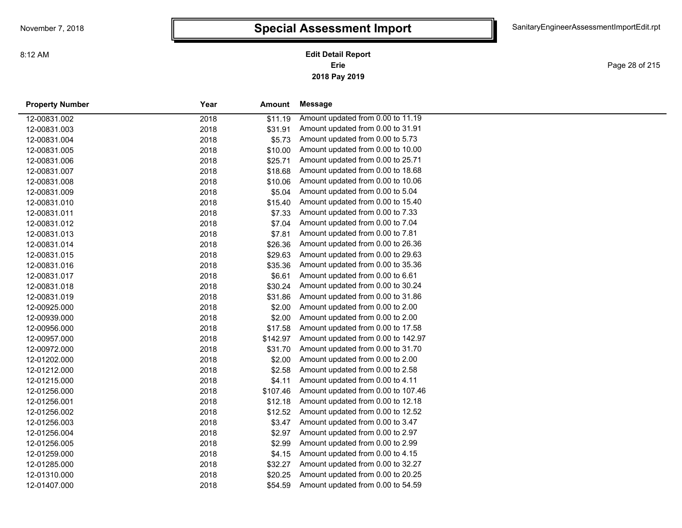Page 28 of 215

| <b>Property Number</b> | Year | Amount   | <b>Message</b>                     |
|------------------------|------|----------|------------------------------------|
| 12-00831.002           | 2018 | \$11.19  | Amount updated from 0.00 to 11.19  |
| 12-00831.003           | 2018 | \$31.91  | Amount updated from 0.00 to 31.91  |
| 12-00831.004           | 2018 | \$5.73   | Amount updated from 0.00 to 5.73   |
| 12-00831.005           | 2018 | \$10.00  | Amount updated from 0.00 to 10.00  |
| 12-00831.006           | 2018 | \$25.71  | Amount updated from 0.00 to 25.71  |
| 12-00831.007           | 2018 | \$18.68  | Amount updated from 0.00 to 18.68  |
| 12-00831.008           | 2018 | \$10.06  | Amount updated from 0.00 to 10.06  |
| 12-00831.009           | 2018 | \$5.04   | Amount updated from 0.00 to 5.04   |
| 12-00831.010           | 2018 | \$15.40  | Amount updated from 0.00 to 15.40  |
| 12-00831.011           | 2018 | \$7.33   | Amount updated from 0.00 to 7.33   |
| 12-00831.012           | 2018 | \$7.04   | Amount updated from 0.00 to 7.04   |
| 12-00831.013           | 2018 | \$7.81   | Amount updated from 0.00 to 7.81   |
| 12-00831.014           | 2018 | \$26.36  | Amount updated from 0.00 to 26.36  |
| 12-00831.015           | 2018 | \$29.63  | Amount updated from 0.00 to 29.63  |
| 12-00831.016           | 2018 | \$35.36  | Amount updated from 0.00 to 35.36  |
| 12-00831.017           | 2018 | \$6.61   | Amount updated from 0.00 to 6.61   |
| 12-00831.018           | 2018 | \$30.24  | Amount updated from 0.00 to 30.24  |
| 12-00831.019           | 2018 | \$31.86  | Amount updated from 0.00 to 31.86  |
| 12-00925.000           | 2018 | \$2.00   | Amount updated from 0.00 to 2.00   |
| 12-00939.000           | 2018 | \$2.00   | Amount updated from 0.00 to 2.00   |
| 12-00956.000           | 2018 | \$17.58  | Amount updated from 0.00 to 17.58  |
| 12-00957.000           | 2018 | \$142.97 | Amount updated from 0.00 to 142.97 |
| 12-00972.000           | 2018 | \$31.70  | Amount updated from 0.00 to 31.70  |
| 12-01202.000           | 2018 | \$2.00   | Amount updated from 0.00 to 2.00   |
| 12-01212.000           | 2018 | \$2.58   | Amount updated from 0.00 to 2.58   |
| 12-01215.000           | 2018 | \$4.11   | Amount updated from 0.00 to 4.11   |
| 12-01256.000           | 2018 | \$107.46 | Amount updated from 0.00 to 107.46 |
| 12-01256.001           | 2018 | \$12.18  | Amount updated from 0.00 to 12.18  |
| 12-01256.002           | 2018 | \$12.52  | Amount updated from 0.00 to 12.52  |
| 12-01256.003           | 2018 | \$3.47   | Amount updated from 0.00 to 3.47   |
| 12-01256.004           | 2018 | \$2.97   | Amount updated from 0.00 to 2.97   |
| 12-01256.005           | 2018 | \$2.99   | Amount updated from 0.00 to 2.99   |
| 12-01259.000           | 2018 | \$4.15   | Amount updated from 0.00 to 4.15   |
| 12-01285.000           | 2018 | \$32.27  | Amount updated from 0.00 to 32.27  |
| 12-01310.000           | 2018 | \$20.25  | Amount updated from 0.00 to 20.25  |
| 12-01407.000           | 2018 | \$54.59  | Amount updated from 0.00 to 54.59  |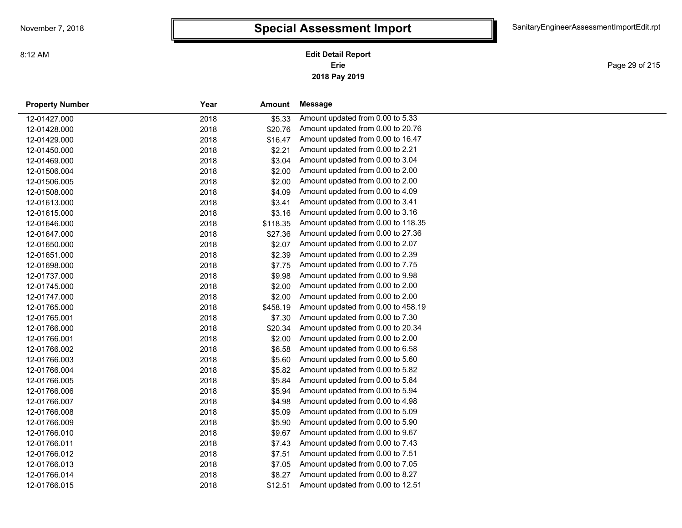**2018 Pay 2019 Erie Edit Detail Report**

Page 29 of 215

| <b>Property Number</b> | Year | Amount   | Message                            |
|------------------------|------|----------|------------------------------------|
| 12-01427.000           | 2018 | \$5.33   | Amount updated from 0.00 to 5.33   |
| 12-01428.000           | 2018 | \$20.76  | Amount updated from 0.00 to 20.76  |
| 12-01429.000           | 2018 | \$16.47  | Amount updated from 0.00 to 16.47  |
| 12-01450.000           | 2018 | \$2.21   | Amount updated from 0.00 to 2.21   |
| 12-01469.000           | 2018 | \$3.04   | Amount updated from 0.00 to 3.04   |
| 12-01506.004           | 2018 | \$2.00   | Amount updated from 0.00 to 2.00   |
| 12-01506.005           | 2018 | \$2.00   | Amount updated from 0.00 to 2.00   |
| 12-01508.000           | 2018 | \$4.09   | Amount updated from 0.00 to 4.09   |
| 12-01613.000           | 2018 | \$3.41   | Amount updated from 0.00 to 3.41   |
| 12-01615.000           | 2018 | \$3.16   | Amount updated from 0.00 to 3.16   |
| 12-01646.000           | 2018 | \$118.35 | Amount updated from 0.00 to 118.35 |
| 12-01647.000           | 2018 | \$27.36  | Amount updated from 0.00 to 27.36  |
| 12-01650.000           | 2018 | \$2.07   | Amount updated from 0.00 to 2.07   |
| 12-01651.000           | 2018 | \$2.39   | Amount updated from 0.00 to 2.39   |
| 12-01698.000           | 2018 | \$7.75   | Amount updated from 0.00 to 7.75   |
| 12-01737.000           | 2018 | \$9.98   | Amount updated from 0.00 to 9.98   |
| 12-01745.000           | 2018 | \$2.00   | Amount updated from 0.00 to 2.00   |
| 12-01747.000           | 2018 | \$2.00   | Amount updated from 0.00 to 2.00   |
| 12-01765.000           | 2018 | \$458.19 | Amount updated from 0.00 to 458.19 |
| 12-01765.001           | 2018 | \$7.30   | Amount updated from 0.00 to 7.30   |
| 12-01766.000           | 2018 | \$20.34  | Amount updated from 0.00 to 20.34  |
| 12-01766.001           | 2018 | \$2.00   | Amount updated from 0.00 to 2.00   |
| 12-01766.002           | 2018 | \$6.58   | Amount updated from 0.00 to 6.58   |
| 12-01766.003           | 2018 | \$5.60   | Amount updated from 0.00 to 5.60   |
| 12-01766.004           | 2018 | \$5.82   | Amount updated from 0.00 to 5.82   |
| 12-01766.005           | 2018 | \$5.84   | Amount updated from 0.00 to 5.84   |
| 12-01766.006           | 2018 | \$5.94   | Amount updated from 0.00 to 5.94   |
| 12-01766.007           | 2018 | \$4.98   | Amount updated from 0.00 to 4.98   |
| 12-01766.008           | 2018 | \$5.09   | Amount updated from 0.00 to 5.09   |
| 12-01766.009           | 2018 | \$5.90   | Amount updated from 0.00 to 5.90   |
| 12-01766.010           | 2018 | \$9.67   | Amount updated from 0.00 to 9.67   |
| 12-01766.011           | 2018 | \$7.43   | Amount updated from 0.00 to 7.43   |
| 12-01766.012           | 2018 | \$7.51   | Amount updated from 0.00 to 7.51   |
| 12-01766.013           | 2018 | \$7.05   | Amount updated from 0.00 to 7.05   |
| 12-01766.014           | 2018 | \$8.27   | Amount updated from 0.00 to 8.27   |
| 12-01766.015           | 2018 | \$12.51  | Amount updated from 0.00 to 12.51  |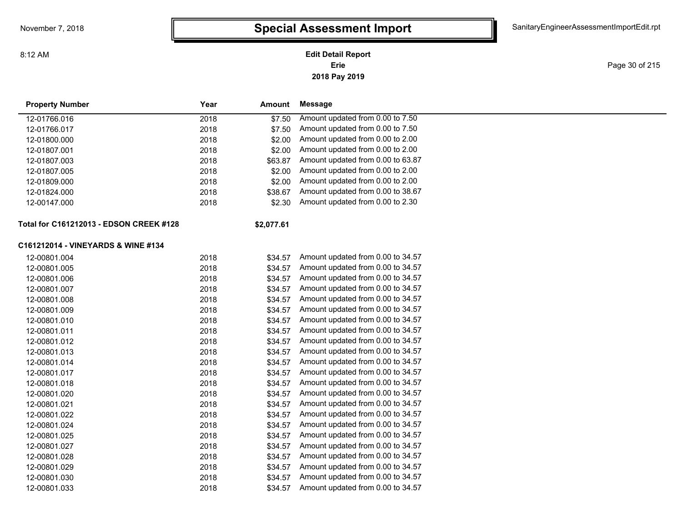**2018 Pay 2019 Erie Edit Detail Report**

Page 30 of 215

| <b>Property Number</b>                  | Year | <b>Amount</b> | Message                           |  |
|-----------------------------------------|------|---------------|-----------------------------------|--|
| 12-01766.016                            | 2018 | \$7.50        | Amount updated from 0.00 to 7.50  |  |
| 12-01766.017                            | 2018 | \$7.50        | Amount updated from 0.00 to 7.50  |  |
| 12-01800.000                            | 2018 | \$2.00        | Amount updated from 0.00 to 2.00  |  |
| 12-01807.001                            | 2018 | \$2.00        | Amount updated from 0.00 to 2.00  |  |
| 12-01807.003                            | 2018 | \$63.87       | Amount updated from 0.00 to 63.87 |  |
| 12-01807.005                            | 2018 | \$2.00        | Amount updated from 0.00 to 2.00  |  |
| 12-01809.000                            | 2018 | \$2.00        | Amount updated from 0.00 to 2.00  |  |
| 12-01824.000                            | 2018 | \$38.67       | Amount updated from 0.00 to 38.67 |  |
| 12-00147.000                            | 2018 | \$2.30        | Amount updated from 0.00 to 2.30  |  |
| Total for C161212013 - EDSON CREEK #128 |      | \$2,077.61    |                                   |  |
| C161212014 - VINEYARDS & WINE #134      |      |               |                                   |  |
| 12-00801.004                            | 2018 | \$34.57       | Amount updated from 0.00 to 34.57 |  |
| 12-00801.005                            | 2018 | \$34.57       | Amount updated from 0.00 to 34.57 |  |
| 12-00801.006                            | 2018 | \$34.57       | Amount updated from 0.00 to 34.57 |  |
| 12-00801.007                            | 2018 | \$34.57       | Amount updated from 0.00 to 34.57 |  |
| 12-00801.008                            | 2018 | \$34.57       | Amount updated from 0.00 to 34.57 |  |
| 12-00801.009                            | 2018 | \$34.57       | Amount updated from 0.00 to 34.57 |  |
| 12-00801.010                            | 2018 | \$34.57       | Amount updated from 0.00 to 34.57 |  |
| 12-00801.011                            | 2018 | \$34.57       | Amount updated from 0.00 to 34.57 |  |
| 12-00801.012                            | 2018 | \$34.57       | Amount updated from 0.00 to 34.57 |  |
| 12-00801.013                            | 2018 | \$34.57       | Amount updated from 0.00 to 34.57 |  |
| 12-00801.014                            | 2018 | \$34.57       | Amount updated from 0.00 to 34.57 |  |
| 12-00801.017                            | 2018 | \$34.57       | Amount updated from 0.00 to 34.57 |  |
| 12-00801.018                            | 2018 | \$34.57       | Amount updated from 0.00 to 34.57 |  |
| 12-00801.020                            | 2018 | \$34.57       | Amount updated from 0.00 to 34.57 |  |
| 12-00801.021                            | 2018 | \$34.57       | Amount updated from 0.00 to 34.57 |  |
| 12-00801.022                            | 2018 | \$34.57       | Amount updated from 0.00 to 34.57 |  |
| 12-00801.024                            | 2018 | \$34.57       | Amount updated from 0.00 to 34.57 |  |
| 12-00801.025                            | 2018 | \$34.57       | Amount updated from 0.00 to 34.57 |  |
| 12-00801.027                            | 2018 | \$34.57       | Amount updated from 0.00 to 34.57 |  |
| 12-00801.028                            | 2018 | \$34.57       | Amount updated from 0.00 to 34.57 |  |
| 12-00801.029                            | 2018 | \$34.57       | Amount updated from 0.00 to 34.57 |  |
| 12-00801.030                            | 2018 | \$34.57       | Amount updated from 0.00 to 34.57 |  |
| 12-00801.033                            | 2018 | \$34.57       | Amount updated from 0.00 to 34.57 |  |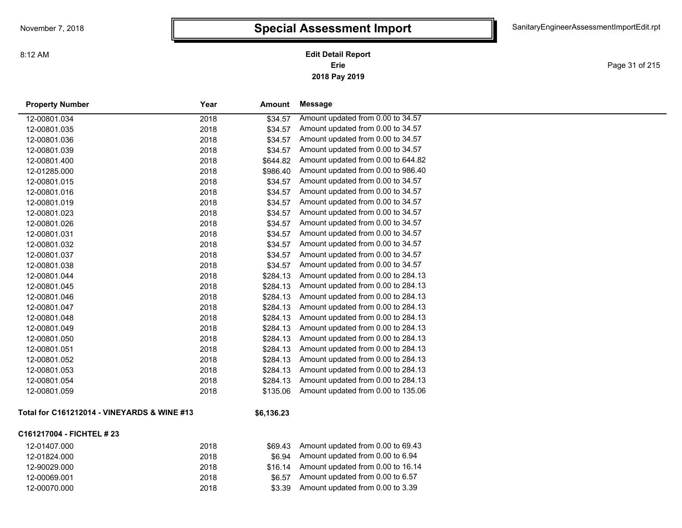**2018 Pay 2019 Erie Edit Detail Report**

Page 31 of 215

| <b>Property Number</b>                      | Year | <b>Amount</b> | <b>Message</b>                     |
|---------------------------------------------|------|---------------|------------------------------------|
| 12-00801.034                                | 2018 | \$34.57       | Amount updated from 0.00 to 34.57  |
| 12-00801.035                                | 2018 | \$34.57       | Amount updated from 0.00 to 34.57  |
| 12-00801.036                                | 2018 | \$34.57       | Amount updated from 0.00 to 34.57  |
| 12-00801.039                                | 2018 | \$34.57       | Amount updated from 0.00 to 34.57  |
| 12-00801.400                                | 2018 | \$644.82      | Amount updated from 0.00 to 644.82 |
| 12-01285.000                                | 2018 | \$986.40      | Amount updated from 0.00 to 986.40 |
| 12-00801.015                                | 2018 | \$34.57       | Amount updated from 0.00 to 34.57  |
| 12-00801.016                                | 2018 | \$34.57       | Amount updated from 0.00 to 34.57  |
| 12-00801.019                                | 2018 | \$34.57       | Amount updated from 0.00 to 34.57  |
| 12-00801.023                                | 2018 | \$34.57       | Amount updated from 0.00 to 34.57  |
| 12-00801.026                                | 2018 | \$34.57       | Amount updated from 0.00 to 34.57  |
| 12-00801.031                                | 2018 | \$34.57       | Amount updated from 0.00 to 34.57  |
| 12-00801.032                                | 2018 | \$34.57       | Amount updated from 0.00 to 34.57  |
| 12-00801.037                                | 2018 | \$34.57       | Amount updated from 0.00 to 34.57  |
| 12-00801.038                                | 2018 | \$34.57       | Amount updated from 0.00 to 34.57  |
| 12-00801.044                                | 2018 | \$284.13      | Amount updated from 0.00 to 284.13 |
| 12-00801.045                                | 2018 | \$284.13      | Amount updated from 0.00 to 284.13 |
| 12-00801.046                                | 2018 | \$284.13      | Amount updated from 0.00 to 284.13 |
| 12-00801.047                                | 2018 | \$284.13      | Amount updated from 0.00 to 284.13 |
| 12-00801.048                                | 2018 | \$284.13      | Amount updated from 0.00 to 284.13 |
| 12-00801.049                                | 2018 | \$284.13      | Amount updated from 0.00 to 284.13 |
| 12-00801.050                                | 2018 | \$284.13      | Amount updated from 0.00 to 284.13 |
| 12-00801.051                                | 2018 | \$284.13      | Amount updated from 0.00 to 284.13 |
| 12-00801.052                                | 2018 | \$284.13      | Amount updated from 0.00 to 284.13 |
| 12-00801.053                                | 2018 | \$284.13      | Amount updated from 0.00 to 284.13 |
| 12-00801.054                                | 2018 | \$284.13      | Amount updated from 0.00 to 284.13 |
| 12-00801.059                                | 2018 | \$135.06      | Amount updated from 0.00 to 135.06 |
| Total for C161212014 - VINEYARDS & WINE #13 |      | \$6,136.23    |                                    |
| C161217004 - FICHTEL # 23                   |      |               |                                    |
|                                             |      |               |                                    |

| 12-01407.000 | 2018 |        | $$69.43$ Amount updated from 0.00 to 69.43 |
|--------------|------|--------|--------------------------------------------|
| 12-01824.000 | 2018 |        | $$6.94$ Amount updated from 0.00 to 6.94   |
| 12-90029.000 | 2018 |        | $$16.14$ Amount updated from 0.00 to 16.14 |
| 12-00069.001 | 2018 | \$6.57 | Amount updated from 0.00 to 6.57           |
| 12-00070.000 | 2018 | \$3.39 | Amount updated from 0.00 to 3.39           |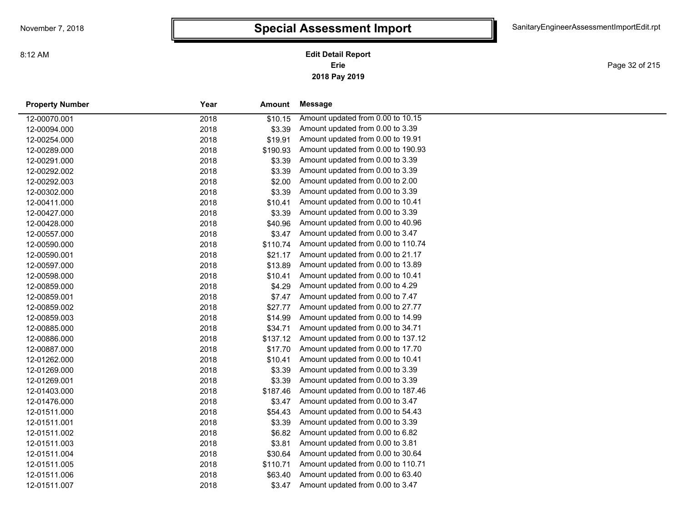**2018 Pay 2019 Erie Edit Detail Report**

Page 32 of 215

| <b>Property Number</b> | Year | Amount   | Message                            |
|------------------------|------|----------|------------------------------------|
| 12-00070.001           | 2018 | \$10.15  | Amount updated from 0.00 to 10.15  |
| 12-00094.000           | 2018 | \$3.39   | Amount updated from 0.00 to 3.39   |
| 12-00254.000           | 2018 | \$19.91  | Amount updated from 0.00 to 19.91  |
| 12-00289.000           | 2018 | \$190.93 | Amount updated from 0.00 to 190.93 |
| 12-00291.000           | 2018 | \$3.39   | Amount updated from 0.00 to 3.39   |
| 12-00292.002           | 2018 | \$3.39   | Amount updated from 0.00 to 3.39   |
| 12-00292.003           | 2018 | \$2.00   | Amount updated from 0.00 to 2.00   |
| 12-00302.000           | 2018 | \$3.39   | Amount updated from 0.00 to 3.39   |
| 12-00411.000           | 2018 | \$10.41  | Amount updated from 0.00 to 10.41  |
| 12-00427.000           | 2018 | \$3.39   | Amount updated from 0.00 to 3.39   |
| 12-00428.000           | 2018 | \$40.96  | Amount updated from 0.00 to 40.96  |
| 12-00557.000           | 2018 | \$3.47   | Amount updated from 0.00 to 3.47   |
| 12-00590.000           | 2018 | \$110.74 | Amount updated from 0.00 to 110.74 |
| 12-00590.001           | 2018 | \$21.17  | Amount updated from 0.00 to 21.17  |
| 12-00597.000           | 2018 | \$13.89  | Amount updated from 0.00 to 13.89  |
| 12-00598.000           | 2018 | \$10.41  | Amount updated from 0.00 to 10.41  |
| 12-00859.000           | 2018 | \$4.29   | Amount updated from 0.00 to 4.29   |
| 12-00859.001           | 2018 | \$7.47   | Amount updated from 0.00 to 7.47   |
| 12-00859.002           | 2018 | \$27.77  | Amount updated from 0.00 to 27.77  |
| 12-00859.003           | 2018 | \$14.99  | Amount updated from 0.00 to 14.99  |
| 12-00885.000           | 2018 | \$34.71  | Amount updated from 0.00 to 34.71  |
| 12-00886.000           | 2018 | \$137.12 | Amount updated from 0.00 to 137.12 |
| 12-00887.000           | 2018 | \$17.70  | Amount updated from 0.00 to 17.70  |
| 12-01262.000           | 2018 | \$10.41  | Amount updated from 0.00 to 10.41  |
| 12-01269.000           | 2018 | \$3.39   | Amount updated from 0.00 to 3.39   |
| 12-01269.001           | 2018 | \$3.39   | Amount updated from 0.00 to 3.39   |
| 12-01403.000           | 2018 | \$187.46 | Amount updated from 0.00 to 187.46 |
| 12-01476.000           | 2018 | \$3.47   | Amount updated from 0.00 to 3.47   |
| 12-01511.000           | 2018 | \$54.43  | Amount updated from 0.00 to 54.43  |
| 12-01511.001           | 2018 | \$3.39   | Amount updated from 0.00 to 3.39   |
| 12-01511.002           | 2018 | \$6.82   | Amount updated from 0.00 to 6.82   |
| 12-01511.003           | 2018 | \$3.81   | Amount updated from 0.00 to 3.81   |
| 12-01511.004           | 2018 | \$30.64  | Amount updated from 0.00 to 30.64  |
| 12-01511.005           | 2018 | \$110.71 | Amount updated from 0.00 to 110.71 |
| 12-01511.006           | 2018 | \$63.40  | Amount updated from 0.00 to 63.40  |
| 12-01511.007           | 2018 | \$3.47   | Amount updated from 0.00 to 3.47   |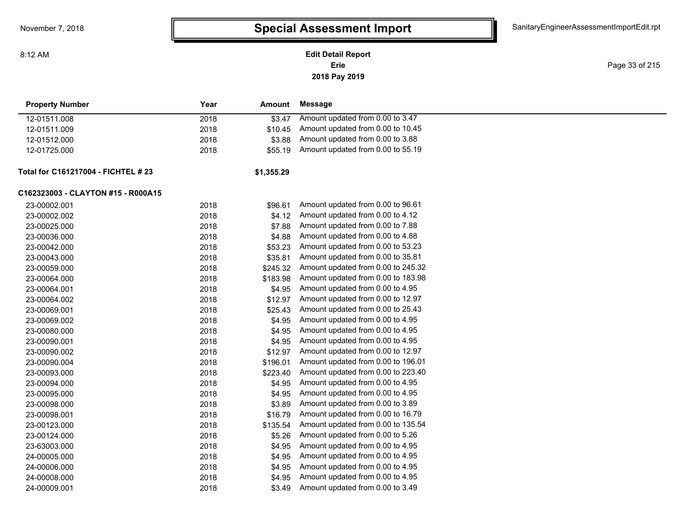**Erie Edit Detail Report**

**2018 Pay 2019**

Page 33 of 215

| <b>Property Number</b>              | Year | <b>Amount</b> | <b>Message</b>                     |
|-------------------------------------|------|---------------|------------------------------------|
| 12-01511.008                        | 2018 | \$3.47        | Amount updated from 0.00 to 3.47   |
| 12-01511.009                        | 2018 | \$10.45       | Amount updated from 0.00 to 10.45  |
| 12-01512.000                        | 2018 | \$3.88        | Amount updated from 0.00 to 3.88   |
| 12-01725.000                        | 2018 | \$55.19       | Amount updated from 0.00 to 55.19  |
| Total for C161217004 - FICHTEL # 23 |      | \$1,355.29    |                                    |
| C162323003 - CLAYTON #15 - R000A15  |      |               |                                    |
| 23-00002.001                        | 2018 | \$96.61       | Amount updated from 0.00 to 96.61  |
| 23-00002.002                        | 2018 | \$4.12        | Amount updated from 0.00 to 4.12   |
| 23-00025.000                        | 2018 | \$7.88        | Amount updated from 0.00 to 7.88   |
| 23-00036.000                        | 2018 | \$4.88        | Amount updated from 0.00 to 4.88   |
| 23-00042.000                        | 2018 | \$53.23       | Amount updated from 0.00 to 53.23  |
| 23-00043.000                        | 2018 | \$35.81       | Amount updated from 0.00 to 35.81  |
| 23-00059.000                        | 2018 | \$245.32      | Amount updated from 0.00 to 245.32 |
| 23-00064.000                        | 2018 | \$183.98      | Amount updated from 0.00 to 183.98 |
| 23-00064.001                        | 2018 | \$4.95        | Amount updated from 0.00 to 4.95   |
| 23-00064.002                        | 2018 | \$12.97       | Amount updated from 0.00 to 12.97  |
| 23-00069.001                        | 2018 | \$25.43       | Amount updated from 0.00 to 25.43  |
| 23-00069.002                        | 2018 | \$4.95        | Amount updated from 0.00 to 4.95   |
| 23-00080.000                        | 2018 | \$4.95        | Amount updated from 0.00 to 4.95   |
| 23-00090.001                        | 2018 | \$4.95        | Amount updated from 0.00 to 4.95   |
| 23-00090.002                        | 2018 | \$12.97       | Amount updated from 0.00 to 12.97  |
| 23-00090.004                        | 2018 | \$196.01      | Amount updated from 0.00 to 196.01 |
| 23-00093.000                        | 2018 | \$223.40      | Amount updated from 0.00 to 223.40 |
| 23-00094.000                        | 2018 | \$4.95        | Amount updated from 0.00 to 4.95   |
| 23-00095.000                        | 2018 | \$4.95        | Amount updated from 0.00 to 4.95   |
| 23-00098.000                        | 2018 | \$3.89        | Amount updated from 0.00 to 3.89   |
| 23-00098.001                        | 2018 | \$16.79       | Amount updated from 0.00 to 16.79  |
| 23-00123.000                        | 2018 | \$135.54      | Amount updated from 0.00 to 135.54 |
| 23-00124.000                        | 2018 | \$5.26        | Amount updated from 0.00 to 5.26   |
| 23-63003.000                        | 2018 | \$4.95        | Amount updated from 0.00 to 4.95   |
| 24-00005.000                        | 2018 | \$4.95        | Amount updated from 0.00 to 4.95   |
| 24-00006.000                        | 2018 | \$4.95        | Amount updated from 0.00 to 4.95   |
| 24-00008.000                        | 2018 | \$4.95        | Amount updated from 0.00 to 4.95   |
| 24-00009.001                        | 2018 | \$3.49        | Amount updated from 0.00 to 3.49   |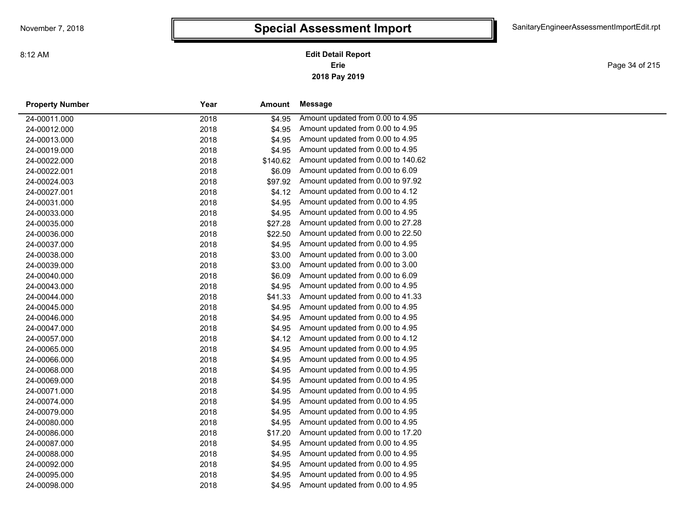Page 34 of 215

| <b>Property Number</b> | Year | Amount   | Message                            |
|------------------------|------|----------|------------------------------------|
| 24-00011.000           | 2018 | \$4.95   | Amount updated from 0.00 to 4.95   |
| 24-00012.000           | 2018 | \$4.95   | Amount updated from 0.00 to 4.95   |
| 24-00013.000           | 2018 | \$4.95   | Amount updated from 0.00 to 4.95   |
| 24-00019.000           | 2018 | \$4.95   | Amount updated from 0.00 to 4.95   |
| 24-00022.000           | 2018 | \$140.62 | Amount updated from 0.00 to 140.62 |
| 24-00022.001           | 2018 | \$6.09   | Amount updated from 0.00 to 6.09   |
| 24-00024.003           | 2018 | \$97.92  | Amount updated from 0.00 to 97.92  |
| 24-00027.001           | 2018 | \$4.12   | Amount updated from 0.00 to 4.12   |
| 24-00031.000           | 2018 | \$4.95   | Amount updated from 0.00 to 4.95   |
| 24-00033.000           | 2018 | \$4.95   | Amount updated from 0.00 to 4.95   |
| 24-00035.000           | 2018 | \$27.28  | Amount updated from 0.00 to 27.28  |
| 24-00036.000           | 2018 | \$22.50  | Amount updated from 0.00 to 22.50  |
| 24-00037.000           | 2018 | \$4.95   | Amount updated from 0.00 to 4.95   |
| 24-00038.000           | 2018 | \$3.00   | Amount updated from 0.00 to 3.00   |
| 24-00039.000           | 2018 | \$3.00   | Amount updated from 0.00 to 3.00   |
| 24-00040.000           | 2018 | \$6.09   | Amount updated from 0.00 to 6.09   |
| 24-00043.000           | 2018 | \$4.95   | Amount updated from 0.00 to 4.95   |
| 24-00044.000           | 2018 | \$41.33  | Amount updated from 0.00 to 41.33  |
| 24-00045.000           | 2018 | \$4.95   | Amount updated from 0.00 to 4.95   |
| 24-00046.000           | 2018 | \$4.95   | Amount updated from 0.00 to 4.95   |
| 24-00047.000           | 2018 | \$4.95   | Amount updated from 0.00 to 4.95   |
| 24-00057.000           | 2018 | \$4.12   | Amount updated from 0.00 to 4.12   |
| 24-00065.000           | 2018 | \$4.95   | Amount updated from 0.00 to 4.95   |
| 24-00066.000           | 2018 | \$4.95   | Amount updated from 0.00 to 4.95   |
| 24-00068.000           | 2018 | \$4.95   | Amount updated from 0.00 to 4.95   |
| 24-00069.000           | 2018 | \$4.95   | Amount updated from 0.00 to 4.95   |
| 24-00071.000           | 2018 | \$4.95   | Amount updated from 0.00 to 4.95   |
| 24-00074.000           | 2018 | \$4.95   | Amount updated from 0.00 to 4.95   |
| 24-00079.000           | 2018 | \$4.95   | Amount updated from 0.00 to 4.95   |
| 24-00080.000           | 2018 | \$4.95   | Amount updated from 0.00 to 4.95   |
| 24-00086.000           | 2018 | \$17.20  | Amount updated from 0.00 to 17.20  |
| 24-00087.000           | 2018 | \$4.95   | Amount updated from 0.00 to 4.95   |
| 24-00088.000           | 2018 | \$4.95   | Amount updated from 0.00 to 4.95   |
| 24-00092.000           | 2018 | \$4.95   | Amount updated from 0.00 to 4.95   |
| 24-00095.000           | 2018 | \$4.95   | Amount updated from 0.00 to 4.95   |
| 24-00098.000           | 2018 | \$4.95   | Amount updated from 0.00 to 4.95   |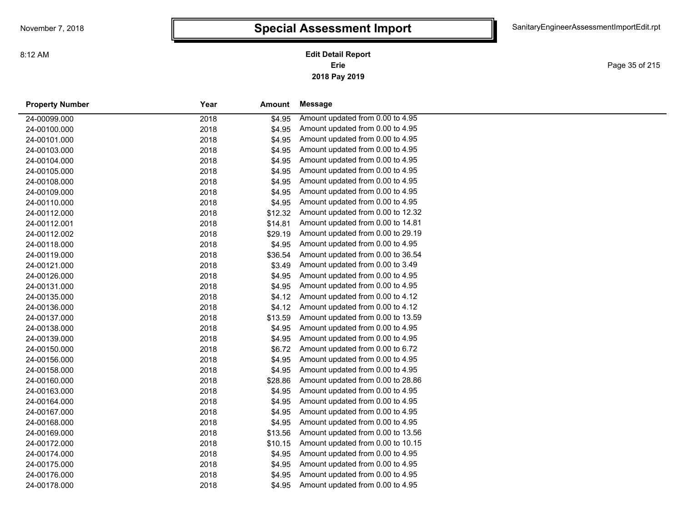Page 35 of 215

| <b>Property Number</b> | Year | Amount  | Message                           |
|------------------------|------|---------|-----------------------------------|
| 24-00099.000           | 2018 | \$4.95  | Amount updated from 0.00 to 4.95  |
| 24-00100.000           | 2018 | \$4.95  | Amount updated from 0.00 to 4.95  |
| 24-00101.000           | 2018 | \$4.95  | Amount updated from 0.00 to 4.95  |
| 24-00103.000           | 2018 | \$4.95  | Amount updated from 0.00 to 4.95  |
| 24-00104.000           | 2018 | \$4.95  | Amount updated from 0.00 to 4.95  |
| 24-00105.000           | 2018 | \$4.95  | Amount updated from 0.00 to 4.95  |
| 24-00108.000           | 2018 | \$4.95  | Amount updated from 0.00 to 4.95  |
| 24-00109.000           | 2018 | \$4.95  | Amount updated from 0.00 to 4.95  |
| 24-00110.000           | 2018 | \$4.95  | Amount updated from 0.00 to 4.95  |
| 24-00112.000           | 2018 | \$12.32 | Amount updated from 0.00 to 12.32 |
| 24-00112.001           | 2018 | \$14.81 | Amount updated from 0.00 to 14.81 |
| 24-00112.002           | 2018 | \$29.19 | Amount updated from 0.00 to 29.19 |
| 24-00118.000           | 2018 | \$4.95  | Amount updated from 0.00 to 4.95  |
| 24-00119.000           | 2018 | \$36.54 | Amount updated from 0.00 to 36.54 |
| 24-00121.000           | 2018 | \$3.49  | Amount updated from 0.00 to 3.49  |
| 24-00126.000           | 2018 | \$4.95  | Amount updated from 0.00 to 4.95  |
| 24-00131.000           | 2018 | \$4.95  | Amount updated from 0.00 to 4.95  |
| 24-00135.000           | 2018 | \$4.12  | Amount updated from 0.00 to 4.12  |
| 24-00136.000           | 2018 | \$4.12  | Amount updated from 0.00 to 4.12  |
| 24-00137.000           | 2018 | \$13.59 | Amount updated from 0.00 to 13.59 |
| 24-00138.000           | 2018 | \$4.95  | Amount updated from 0.00 to 4.95  |
| 24-00139.000           | 2018 | \$4.95  | Amount updated from 0.00 to 4.95  |
| 24-00150.000           | 2018 | \$6.72  | Amount updated from 0.00 to 6.72  |
| 24-00156.000           | 2018 | \$4.95  | Amount updated from 0.00 to 4.95  |
| 24-00158.000           | 2018 | \$4.95  | Amount updated from 0.00 to 4.95  |
| 24-00160.000           | 2018 | \$28.86 | Amount updated from 0.00 to 28.86 |
| 24-00163.000           | 2018 | \$4.95  | Amount updated from 0.00 to 4.95  |
| 24-00164.000           | 2018 | \$4.95  | Amount updated from 0.00 to 4.95  |
| 24-00167.000           | 2018 | \$4.95  | Amount updated from 0.00 to 4.95  |
| 24-00168.000           | 2018 | \$4.95  | Amount updated from 0.00 to 4.95  |
| 24-00169.000           | 2018 | \$13.56 | Amount updated from 0.00 to 13.56 |
| 24-00172.000           | 2018 | \$10.15 | Amount updated from 0.00 to 10.15 |
| 24-00174.000           | 2018 | \$4.95  | Amount updated from 0.00 to 4.95  |
| 24-00175.000           | 2018 | \$4.95  | Amount updated from 0.00 to 4.95  |
| 24-00176.000           | 2018 | \$4.95  | Amount updated from 0.00 to 4.95  |
| 24-00178.000           | 2018 | \$4.95  | Amount updated from 0.00 to 4.95  |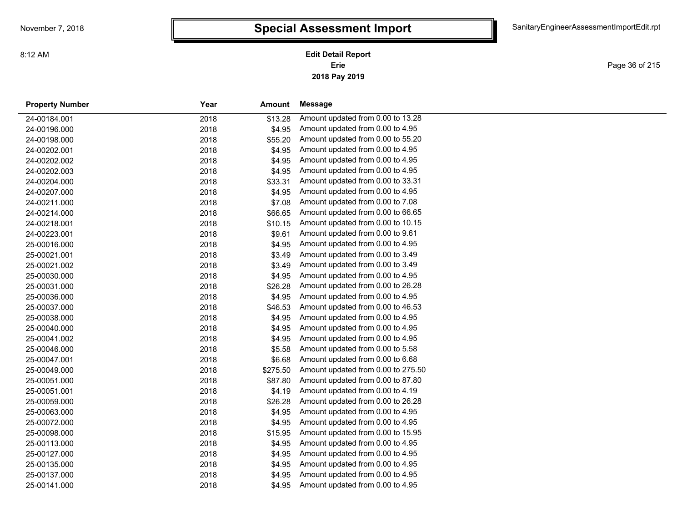Page 36 of 215

| <b>Property Number</b> | Year | Amount   | <b>Message</b>                     |
|------------------------|------|----------|------------------------------------|
| 24-00184.001           | 2018 | \$13.28  | Amount updated from 0.00 to 13.28  |
| 24-00196.000           | 2018 | \$4.95   | Amount updated from 0.00 to 4.95   |
| 24-00198.000           | 2018 | \$55.20  | Amount updated from 0.00 to 55.20  |
| 24-00202.001           | 2018 | \$4.95   | Amount updated from 0.00 to 4.95   |
| 24-00202.002           | 2018 | \$4.95   | Amount updated from 0.00 to 4.95   |
| 24-00202.003           | 2018 | \$4.95   | Amount updated from 0.00 to 4.95   |
| 24-00204.000           | 2018 | \$33.31  | Amount updated from 0.00 to 33.31  |
| 24-00207.000           | 2018 | \$4.95   | Amount updated from 0.00 to 4.95   |
| 24-00211.000           | 2018 | \$7.08   | Amount updated from 0.00 to 7.08   |
| 24-00214.000           | 2018 | \$66.65  | Amount updated from 0.00 to 66.65  |
| 24-00218.001           | 2018 | \$10.15  | Amount updated from 0.00 to 10.15  |
| 24-00223.001           | 2018 | \$9.61   | Amount updated from 0.00 to 9.61   |
| 25-00016.000           | 2018 | \$4.95   | Amount updated from 0.00 to 4.95   |
| 25-00021.001           | 2018 | \$3.49   | Amount updated from 0.00 to 3.49   |
| 25-00021.002           | 2018 | \$3.49   | Amount updated from 0.00 to 3.49   |
| 25-00030.000           | 2018 | \$4.95   | Amount updated from 0.00 to 4.95   |
| 25-00031.000           | 2018 | \$26.28  | Amount updated from 0.00 to 26.28  |
| 25-00036.000           | 2018 | \$4.95   | Amount updated from 0.00 to 4.95   |
| 25-00037.000           | 2018 | \$46.53  | Amount updated from 0.00 to 46.53  |
| 25-00038.000           | 2018 | \$4.95   | Amount updated from 0.00 to 4.95   |
| 25-00040.000           | 2018 | \$4.95   | Amount updated from 0.00 to 4.95   |
| 25-00041.002           | 2018 | \$4.95   | Amount updated from 0.00 to 4.95   |
| 25-00046.000           | 2018 | \$5.58   | Amount updated from 0.00 to 5.58   |
| 25-00047.001           | 2018 | \$6.68   | Amount updated from 0.00 to 6.68   |
| 25-00049.000           | 2018 | \$275.50 | Amount updated from 0.00 to 275.50 |
| 25-00051.000           | 2018 | \$87.80  | Amount updated from 0.00 to 87.80  |
| 25-00051.001           | 2018 | \$4.19   | Amount updated from 0.00 to 4.19   |
| 25-00059.000           | 2018 | \$26.28  | Amount updated from 0.00 to 26.28  |
| 25-00063.000           | 2018 | \$4.95   | Amount updated from 0.00 to 4.95   |
| 25-00072.000           | 2018 | \$4.95   | Amount updated from 0.00 to 4.95   |
| 25-00098.000           | 2018 | \$15.95  | Amount updated from 0.00 to 15.95  |
| 25-00113.000           | 2018 | \$4.95   | Amount updated from 0.00 to 4.95   |
| 25-00127.000           | 2018 | \$4.95   | Amount updated from 0.00 to 4.95   |
| 25-00135.000           | 2018 | \$4.95   | Amount updated from 0.00 to 4.95   |
| 25-00137.000           | 2018 | \$4.95   | Amount updated from 0.00 to 4.95   |
| 25-00141.000           | 2018 | \$4.95   | Amount updated from 0.00 to 4.95   |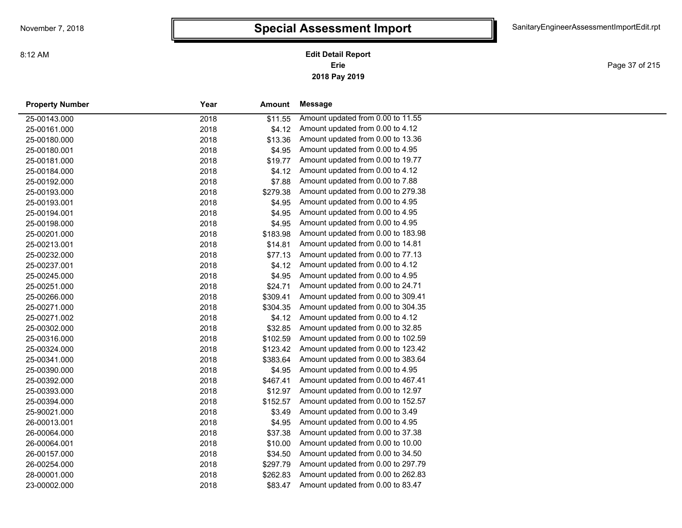**2018 Pay 2019 Erie Edit Detail Report**

Page 37 of 215

| <b>Property Number</b> | Year | Amount   | Message                            |
|------------------------|------|----------|------------------------------------|
| 25-00143.000           | 2018 | \$11.55  | Amount updated from 0.00 to 11.55  |
| 25-00161.000           | 2018 | \$4.12   | Amount updated from 0.00 to 4.12   |
| 25-00180.000           | 2018 | \$13.36  | Amount updated from 0.00 to 13.36  |
| 25-00180.001           | 2018 | \$4.95   | Amount updated from 0.00 to 4.95   |
| 25-00181.000           | 2018 | \$19.77  | Amount updated from 0.00 to 19.77  |
| 25-00184.000           | 2018 | \$4.12   | Amount updated from 0.00 to 4.12   |
| 25-00192.000           | 2018 | \$7.88   | Amount updated from 0.00 to 7.88   |
| 25-00193.000           | 2018 | \$279.38 | Amount updated from 0.00 to 279.38 |
| 25-00193.001           | 2018 | \$4.95   | Amount updated from 0.00 to 4.95   |
| 25-00194.001           | 2018 | \$4.95   | Amount updated from 0.00 to 4.95   |
| 25-00198.000           | 2018 | \$4.95   | Amount updated from 0.00 to 4.95   |
| 25-00201.000           | 2018 | \$183.98 | Amount updated from 0.00 to 183.98 |
| 25-00213.001           | 2018 | \$14.81  | Amount updated from 0.00 to 14.81  |
| 25-00232.000           | 2018 | \$77.13  | Amount updated from 0.00 to 77.13  |
| 25-00237.001           | 2018 | \$4.12   | Amount updated from 0.00 to 4.12   |
| 25-00245.000           | 2018 | \$4.95   | Amount updated from 0.00 to 4.95   |
| 25-00251.000           | 2018 | \$24.71  | Amount updated from 0.00 to 24.71  |
| 25-00266.000           | 2018 | \$309.41 | Amount updated from 0.00 to 309.41 |
| 25-00271.000           | 2018 | \$304.35 | Amount updated from 0.00 to 304.35 |
| 25-00271.002           | 2018 | \$4.12   | Amount updated from 0.00 to 4.12   |
| 25-00302.000           | 2018 | \$32.85  | Amount updated from 0.00 to 32.85  |
| 25-00316.000           | 2018 | \$102.59 | Amount updated from 0.00 to 102.59 |
| 25-00324.000           | 2018 | \$123.42 | Amount updated from 0.00 to 123.42 |
| 25-00341.000           | 2018 | \$383.64 | Amount updated from 0.00 to 383.64 |
| 25-00390.000           | 2018 | \$4.95   | Amount updated from 0.00 to 4.95   |
| 25-00392.000           | 2018 | \$467.41 | Amount updated from 0.00 to 467.41 |
| 25-00393.000           | 2018 | \$12.97  | Amount updated from 0.00 to 12.97  |
| 25-00394.000           | 2018 | \$152.57 | Amount updated from 0.00 to 152.57 |
| 25-90021.000           | 2018 | \$3.49   | Amount updated from 0.00 to 3.49   |
| 26-00013.001           | 2018 | \$4.95   | Amount updated from 0.00 to 4.95   |
| 26-00064.000           | 2018 | \$37.38  | Amount updated from 0.00 to 37.38  |
| 26-00064.001           | 2018 | \$10.00  | Amount updated from 0.00 to 10.00  |
| 26-00157.000           | 2018 | \$34.50  | Amount updated from 0.00 to 34.50  |
| 26-00254.000           | 2018 | \$297.79 | Amount updated from 0.00 to 297.79 |
| 28-00001.000           | 2018 | \$262.83 | Amount updated from 0.00 to 262.83 |
| 23-00002.000           | 2018 | \$83.47  | Amount updated from 0.00 to 83.47  |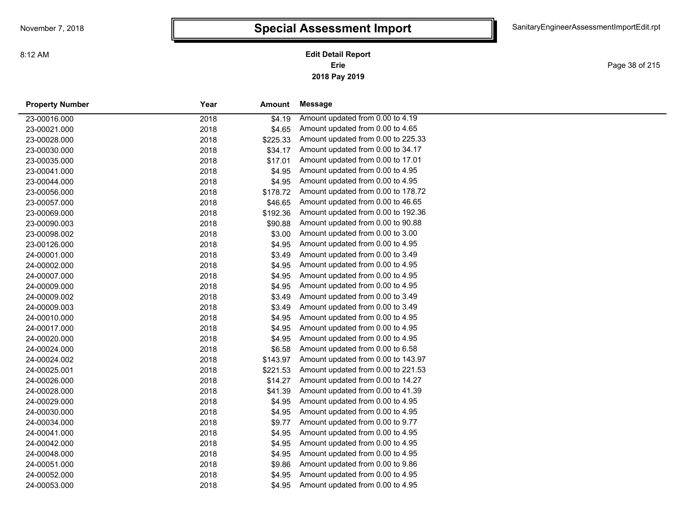**2018 Pay 2019 Erie Edit Detail Report**

Page 38 of 215

| <b>Property Number</b> | Year | Amount   | <b>Message</b>                     |
|------------------------|------|----------|------------------------------------|
| 23-00016.000           | 2018 | \$4.19   | Amount updated from 0.00 to 4.19   |
| 23-00021.000           | 2018 | \$4.65   | Amount updated from 0.00 to 4.65   |
| 23-00028.000           | 2018 | \$225.33 | Amount updated from 0.00 to 225.33 |
| 23-00030.000           | 2018 | \$34.17  | Amount updated from 0.00 to 34.17  |
| 23-00035.000           | 2018 | \$17.01  | Amount updated from 0.00 to 17.01  |
| 23-00041.000           | 2018 | \$4.95   | Amount updated from 0.00 to 4.95   |
| 23-00044.000           | 2018 | \$4.95   | Amount updated from 0.00 to 4.95   |
| 23-00056.000           | 2018 | \$178.72 | Amount updated from 0.00 to 178.72 |
| 23-00057.000           | 2018 | \$46.65  | Amount updated from 0.00 to 46.65  |
| 23-00069.000           | 2018 | \$192.36 | Amount updated from 0.00 to 192.36 |
| 23-00090.003           | 2018 | \$90.88  | Amount updated from 0.00 to 90.88  |
| 23-00098.002           | 2018 | \$3.00   | Amount updated from 0.00 to 3.00   |
| 23-00126.000           | 2018 | \$4.95   | Amount updated from 0.00 to 4.95   |
| 24-00001.000           | 2018 | \$3.49   | Amount updated from 0.00 to 3.49   |
| 24-00002.000           | 2018 | \$4.95   | Amount updated from 0.00 to 4.95   |
| 24-00007.000           | 2018 | \$4.95   | Amount updated from 0.00 to 4.95   |
| 24-00009.000           | 2018 | \$4.95   | Amount updated from 0.00 to 4.95   |
| 24-00009.002           | 2018 | \$3.49   | Amount updated from 0.00 to 3.49   |
| 24-00009.003           | 2018 | \$3.49   | Amount updated from 0.00 to 3.49   |
| 24-00010.000           | 2018 | \$4.95   | Amount updated from 0.00 to 4.95   |
| 24-00017.000           | 2018 | \$4.95   | Amount updated from 0.00 to 4.95   |
| 24-00020.000           | 2018 | \$4.95   | Amount updated from 0.00 to 4.95   |
| 24-00024.000           | 2018 | \$6.58   | Amount updated from 0.00 to 6.58   |
| 24-00024.002           | 2018 | \$143.97 | Amount updated from 0.00 to 143.97 |
| 24-00025.001           | 2018 | \$221.53 | Amount updated from 0.00 to 221.53 |
| 24-00026.000           | 2018 | \$14.27  | Amount updated from 0.00 to 14.27  |
| 24-00028.000           | 2018 | \$41.39  | Amount updated from 0.00 to 41.39  |
| 24-00029.000           | 2018 | \$4.95   | Amount updated from 0.00 to 4.95   |
| 24-00030.000           | 2018 | \$4.95   | Amount updated from 0.00 to 4.95   |
| 24-00034.000           | 2018 | \$9.77   | Amount updated from 0.00 to 9.77   |
| 24-00041.000           | 2018 | \$4.95   | Amount updated from 0.00 to 4.95   |
| 24-00042.000           | 2018 | \$4.95   | Amount updated from 0.00 to 4.95   |
| 24-00048.000           | 2018 | \$4.95   | Amount updated from 0.00 to 4.95   |
| 24-00051.000           | 2018 | \$9.86   | Amount updated from 0.00 to 9.86   |
| 24-00052.000           | 2018 | \$4.95   | Amount updated from 0.00 to 4.95   |
| 24-00053.000           | 2018 | \$4.95   | Amount updated from 0.00 to 4.95   |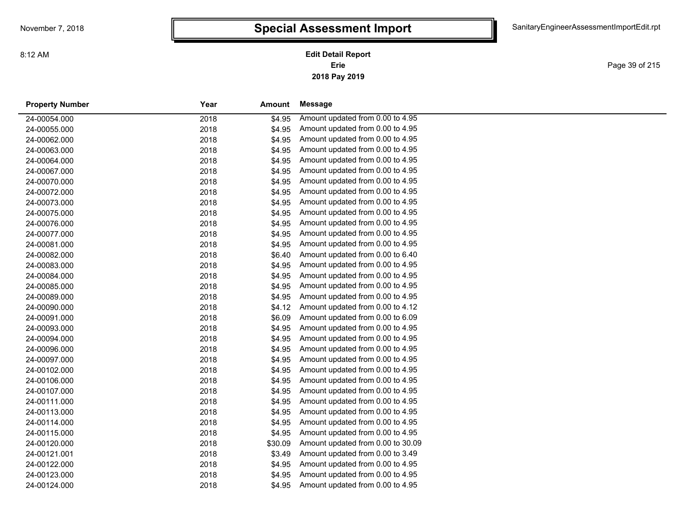Page 39 of 215

| <b>Property Number</b> | Year | <b>Amount</b> | Message                           |
|------------------------|------|---------------|-----------------------------------|
| 24-00054.000           | 2018 | \$4.95        | Amount updated from 0.00 to 4.95  |
| 24-00055.000           | 2018 | \$4.95        | Amount updated from 0.00 to 4.95  |
| 24-00062.000           | 2018 | \$4.95        | Amount updated from 0.00 to 4.95  |
| 24-00063.000           | 2018 | \$4.95        | Amount updated from 0.00 to 4.95  |
| 24-00064.000           | 2018 | \$4.95        | Amount updated from 0.00 to 4.95  |
| 24-00067.000           | 2018 | \$4.95        | Amount updated from 0.00 to 4.95  |
| 24-00070.000           | 2018 | \$4.95        | Amount updated from 0.00 to 4.95  |
| 24-00072.000           | 2018 | \$4.95        | Amount updated from 0.00 to 4.95  |
| 24-00073.000           | 2018 | \$4.95        | Amount updated from 0.00 to 4.95  |
| 24-00075.000           | 2018 | \$4.95        | Amount updated from 0.00 to 4.95  |
| 24-00076.000           | 2018 | \$4.95        | Amount updated from 0.00 to 4.95  |
| 24-00077.000           | 2018 | \$4.95        | Amount updated from 0.00 to 4.95  |
| 24-00081.000           | 2018 | \$4.95        | Amount updated from 0.00 to 4.95  |
| 24-00082.000           | 2018 | \$6.40        | Amount updated from 0.00 to 6.40  |
| 24-00083.000           | 2018 | \$4.95        | Amount updated from 0.00 to 4.95  |
| 24-00084.000           | 2018 | \$4.95        | Amount updated from 0.00 to 4.95  |
| 24-00085.000           | 2018 | \$4.95        | Amount updated from 0.00 to 4.95  |
| 24-00089.000           | 2018 | \$4.95        | Amount updated from 0.00 to 4.95  |
| 24-00090.000           | 2018 | \$4.12        | Amount updated from 0.00 to 4.12  |
| 24-00091.000           | 2018 | \$6.09        | Amount updated from 0.00 to 6.09  |
| 24-00093.000           | 2018 | \$4.95        | Amount updated from 0.00 to 4.95  |
| 24-00094.000           | 2018 | \$4.95        | Amount updated from 0.00 to 4.95  |
| 24-00096.000           | 2018 | \$4.95        | Amount updated from 0.00 to 4.95  |
| 24-00097.000           | 2018 | \$4.95        | Amount updated from 0.00 to 4.95  |
| 24-00102.000           | 2018 | \$4.95        | Amount updated from 0.00 to 4.95  |
| 24-00106.000           | 2018 | \$4.95        | Amount updated from 0.00 to 4.95  |
| 24-00107.000           | 2018 | \$4.95        | Amount updated from 0.00 to 4.95  |
| 24-00111.000           | 2018 | \$4.95        | Amount updated from 0.00 to 4.95  |
| 24-00113.000           | 2018 | \$4.95        | Amount updated from 0.00 to 4.95  |
| 24-00114.000           | 2018 | \$4.95        | Amount updated from 0.00 to 4.95  |
| 24-00115.000           | 2018 | \$4.95        | Amount updated from 0.00 to 4.95  |
| 24-00120.000           | 2018 | \$30.09       | Amount updated from 0.00 to 30.09 |
| 24-00121.001           | 2018 | \$3.49        | Amount updated from 0.00 to 3.49  |
| 24-00122.000           | 2018 | \$4.95        | Amount updated from 0.00 to 4.95  |
| 24-00123.000           | 2018 | \$4.95        | Amount updated from 0.00 to 4.95  |
| 24-00124.000           | 2018 | \$4.95        | Amount updated from 0.00 to 4.95  |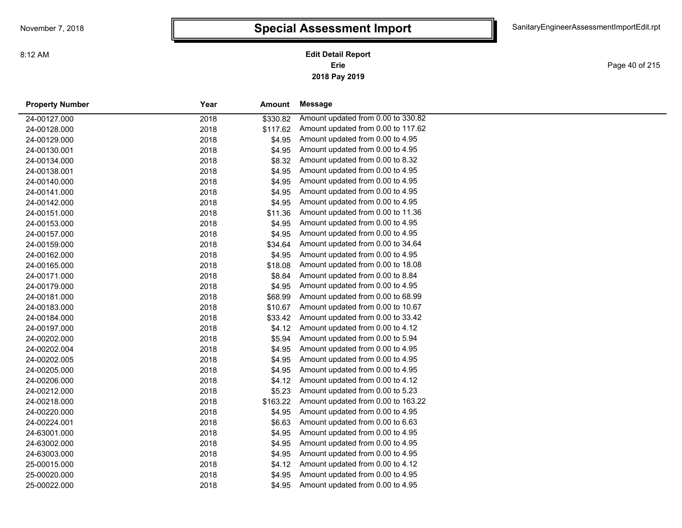8:12 AM

### **2018 Pay 2019 Erie Edit Detail Report**

Page 40 of 215

and a

| <b>Property Number</b> | Year | Amount   | Message                            |
|------------------------|------|----------|------------------------------------|
| 24-00127.000           | 2018 | \$330.82 | Amount updated from 0.00 to 330.82 |
| 24-00128.000           | 2018 | \$117.62 | Amount updated from 0.00 to 117.62 |
| 24-00129.000           | 2018 | \$4.95   | Amount updated from 0.00 to 4.95   |
| 24-00130.001           | 2018 | \$4.95   | Amount updated from 0.00 to 4.95   |
| 24-00134.000           | 2018 | \$8.32   | Amount updated from 0.00 to 8.32   |
| 24-00138.001           | 2018 | \$4.95   | Amount updated from 0.00 to 4.95   |
| 24-00140.000           | 2018 | \$4.95   | Amount updated from 0.00 to 4.95   |
| 24-00141.000           | 2018 | \$4.95   | Amount updated from 0.00 to 4.95   |
| 24-00142.000           | 2018 | \$4.95   | Amount updated from 0.00 to 4.95   |
| 24-00151.000           | 2018 | \$11.36  | Amount updated from 0.00 to 11.36  |
| 24-00153.000           | 2018 | \$4.95   | Amount updated from 0.00 to 4.95   |
| 24-00157.000           | 2018 | \$4.95   | Amount updated from 0.00 to 4.95   |
| 24-00159.000           | 2018 | \$34.64  | Amount updated from 0.00 to 34.64  |
| 24-00162.000           | 2018 | \$4.95   | Amount updated from 0.00 to 4.95   |
| 24-00165.000           | 2018 | \$18.08  | Amount updated from 0.00 to 18.08  |
| 24-00171.000           | 2018 | \$8.84   | Amount updated from 0.00 to 8.84   |
| 24-00179.000           | 2018 | \$4.95   | Amount updated from 0.00 to 4.95   |
| 24-00181.000           | 2018 | \$68.99  | Amount updated from 0.00 to 68.99  |
| 24-00183.000           | 2018 | \$10.67  | Amount updated from 0.00 to 10.67  |
| 24-00184.000           | 2018 | \$33.42  | Amount updated from 0.00 to 33.42  |
| 24-00197.000           | 2018 | \$4.12   | Amount updated from 0.00 to 4.12   |
| 24-00202.000           | 2018 | \$5.94   | Amount updated from 0.00 to 5.94   |
| 24-00202.004           | 2018 | \$4.95   | Amount updated from 0.00 to 4.95   |
| 24-00202.005           | 2018 | \$4.95   | Amount updated from 0.00 to 4.95   |
| 24-00205.000           | 2018 | \$4.95   | Amount updated from 0.00 to 4.95   |
| 24-00206.000           | 2018 | \$4.12   | Amount updated from 0.00 to 4.12   |
| 24-00212.000           | 2018 | \$5.23   | Amount updated from 0.00 to 5.23   |
| 24-00218.000           | 2018 | \$163.22 | Amount updated from 0.00 to 163.22 |
| 24-00220.000           | 2018 | \$4.95   | Amount updated from 0.00 to 4.95   |
| 24-00224.001           | 2018 | \$6.63   | Amount updated from 0.00 to 6.63   |
| 24-63001.000           | 2018 | \$4.95   | Amount updated from 0.00 to 4.95   |
| 24-63002.000           | 2018 | \$4.95   | Amount updated from 0.00 to 4.95   |
| 24-63003.000           | 2018 | \$4.95   | Amount updated from 0.00 to 4.95   |
| 25-00015.000           | 2018 | \$4.12   | Amount updated from 0.00 to 4.12   |
| 25-00020.000           | 2018 | \$4.95   | Amount updated from 0.00 to 4.95   |
| 25-00022.000           | 2018 | \$4.95   | Amount updated from 0.00 to 4.95   |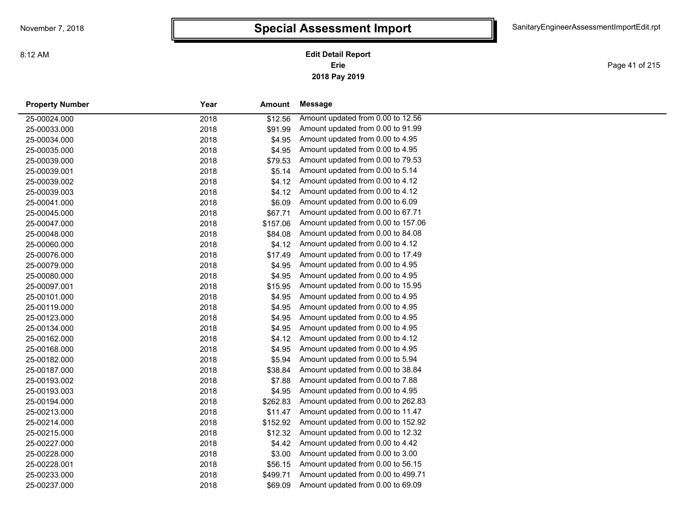Page 41 of 215

| <b>Property Number</b> | Year<br>Amount   | Message                            |
|------------------------|------------------|------------------------------------|
| 25-00024.000           | 2018<br>\$12.56  | Amount updated from 0.00 to 12.56  |
| 25-00033.000           | 2018<br>\$91.99  | Amount updated from 0.00 to 91.99  |
| 25-00034.000           | 2018<br>\$4.95   | Amount updated from 0.00 to 4.95   |
| 25-00035.000           | 2018<br>\$4.95   | Amount updated from 0.00 to 4.95   |
| 25-00039.000           | \$79.53<br>2018  | Amount updated from 0.00 to 79.53  |
| 25-00039.001           | 2018<br>\$5.14   | Amount updated from 0.00 to 5.14   |
| 25-00039.002           | 2018<br>\$4.12   | Amount updated from 0.00 to 4.12   |
| 25-00039.003           | 2018<br>\$4.12   | Amount updated from 0.00 to 4.12   |
| 25-00041.000           | 2018<br>\$6.09   | Amount updated from 0.00 to 6.09   |
| 25-00045.000           | 2018<br>\$67.71  | Amount updated from 0.00 to 67.71  |
| 25-00047.000           | 2018<br>\$157.06 | Amount updated from 0.00 to 157.06 |
| 25-00048.000           | 2018<br>\$84.08  | Amount updated from 0.00 to 84.08  |
| 25-00060.000           | 2018<br>\$4.12   | Amount updated from 0.00 to 4.12   |
| 25-00076.000           | 2018<br>\$17.49  | Amount updated from 0.00 to 17.49  |
| 25-00079.000           | 2018<br>\$4.95   | Amount updated from 0.00 to 4.95   |
| 25-00080.000           | 2018<br>\$4.95   | Amount updated from 0.00 to 4.95   |
| 25-00097.001           | \$15.95<br>2018  | Amount updated from 0.00 to 15.95  |
| 25-00101.000           | 2018<br>\$4.95   | Amount updated from 0.00 to 4.95   |
| 25-00119.000           | 2018<br>\$4.95   | Amount updated from 0.00 to 4.95   |
| 25-00123.000           | 2018<br>\$4.95   | Amount updated from 0.00 to 4.95   |
| 25-00134.000           | 2018<br>\$4.95   | Amount updated from 0.00 to 4.95   |
| 25-00162.000           | 2018<br>\$4.12   | Amount updated from 0.00 to 4.12   |
| 25-00168.000           | \$4.95<br>2018   | Amount updated from 0.00 to 4.95   |
| 25-00182.000           | 2018<br>\$5.94   | Amount updated from 0.00 to 5.94   |
| 25-00187.000           | 2018<br>\$38.84  | Amount updated from 0.00 to 38.84  |
| 25-00193.002           | 2018<br>\$7.88   | Amount updated from 0.00 to 7.88   |
| 25-00193.003           | 2018<br>\$4.95   | Amount updated from 0.00 to 4.95   |
| 25-00194.000           | 2018<br>\$262.83 | Amount updated from 0.00 to 262.83 |
| 25-00213.000           | \$11.47<br>2018  | Amount updated from 0.00 to 11.47  |
| 25-00214.000           | 2018<br>\$152.92 | Amount updated from 0.00 to 152.92 |
| 25-00215.000           | \$12.32<br>2018  | Amount updated from 0.00 to 12.32  |
| 25-00227.000           | \$4.42<br>2018   | Amount updated from 0.00 to 4.42   |
| 25-00228.000           | 2018<br>\$3.00   | Amount updated from 0.00 to 3.00   |
| 25-00228.001           | \$56.15<br>2018  | Amount updated from 0.00 to 56.15  |
| 25-00233.000           | 2018<br>\$499.71 | Amount updated from 0.00 to 499.71 |
| 25-00237.000           | 2018<br>\$69.09  | Amount updated from 0.00 to 69.09  |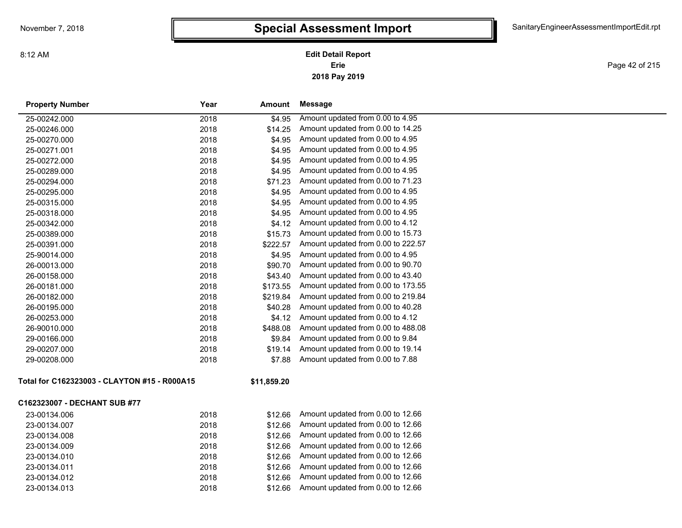**2018 Pay 2019 Erie Edit Detail Report**

Page 42 of 215

| <b>Property Number</b>                       | Year | Amount      | Message                            |
|----------------------------------------------|------|-------------|------------------------------------|
| 25-00242.000                                 | 2018 | \$4.95      | Amount updated from 0.00 to 4.95   |
| 25-00246.000                                 | 2018 | \$14.25     | Amount updated from 0.00 to 14.25  |
| 25-00270.000                                 | 2018 | \$4.95      | Amount updated from 0.00 to 4.95   |
| 25-00271.001                                 | 2018 | \$4.95      | Amount updated from 0.00 to 4.95   |
| 25-00272.000                                 | 2018 | \$4.95      | Amount updated from 0.00 to 4.95   |
| 25-00289.000                                 | 2018 | \$4.95      | Amount updated from 0.00 to 4.95   |
| 25-00294.000                                 | 2018 | \$71.23     | Amount updated from 0.00 to 71.23  |
| 25-00295.000                                 | 2018 | \$4.95      | Amount updated from 0.00 to 4.95   |
| 25-00315.000                                 | 2018 | \$4.95      | Amount updated from 0.00 to 4.95   |
| 25-00318.000                                 | 2018 | \$4.95      | Amount updated from 0.00 to 4.95   |
| 25-00342.000                                 | 2018 | \$4.12      | Amount updated from 0.00 to 4.12   |
| 25-00389.000                                 | 2018 | \$15.73     | Amount updated from 0.00 to 15.73  |
| 25-00391.000                                 | 2018 | \$222.57    | Amount updated from 0.00 to 222.57 |
| 25-90014.000                                 | 2018 | \$4.95      | Amount updated from 0.00 to 4.95   |
| 26-00013.000                                 | 2018 | \$90.70     | Amount updated from 0.00 to 90.70  |
| 26-00158.000                                 | 2018 | \$43.40     | Amount updated from 0.00 to 43.40  |
| 26-00181.000                                 | 2018 | \$173.55    | Amount updated from 0.00 to 173.55 |
| 26-00182.000                                 | 2018 | \$219.84    | Amount updated from 0.00 to 219.84 |
| 26-00195.000                                 | 2018 | \$40.28     | Amount updated from 0.00 to 40.28  |
| 26-00253.000                                 | 2018 | \$4.12      | Amount updated from 0.00 to 4.12   |
| 26-90010.000                                 | 2018 | \$488.08    | Amount updated from 0.00 to 488.08 |
| 29-00166.000                                 | 2018 | \$9.84      | Amount updated from 0.00 to 9.84   |
| 29-00207.000                                 | 2018 | \$19.14     | Amount updated from 0.00 to 19.14  |
| 29-00208.000                                 | 2018 | \$7.88      | Amount updated from 0.00 to 7.88   |
| Total for C162323003 - CLAYTON #15 - R000A15 |      | \$11,859.20 |                                    |
| C162323007 - DECHANT SUB #77                 |      |             |                                    |
| 23-00134.006                                 | 2018 | \$12.66     | Amount updated from 0.00 to 12.66  |
| 23-00134.007                                 | 2018 | \$12.66     | Amount updated from 0.00 to 12.66  |
| 23-00134.008                                 | 2018 | \$12.66     | Amount updated from 0.00 to 12.66  |
| 23-00134.009                                 | 2018 | \$12.66     | Amount updated from 0.00 to 12.66  |
| 23-00134.010                                 | 2018 | \$12.66     | Amount updated from 0.00 to 12.66  |
| 23-00134.011                                 | 2018 | \$12.66     | Amount updated from 0.00 to 12.66  |
| 23-00134.012                                 | 2018 | \$12.66     | Amount updated from 0.00 to 12.66  |
| 23-00134.013                                 | 2018 | \$12.66     | Amount updated from 0.00 to 12.66  |
|                                              |      |             |                                    |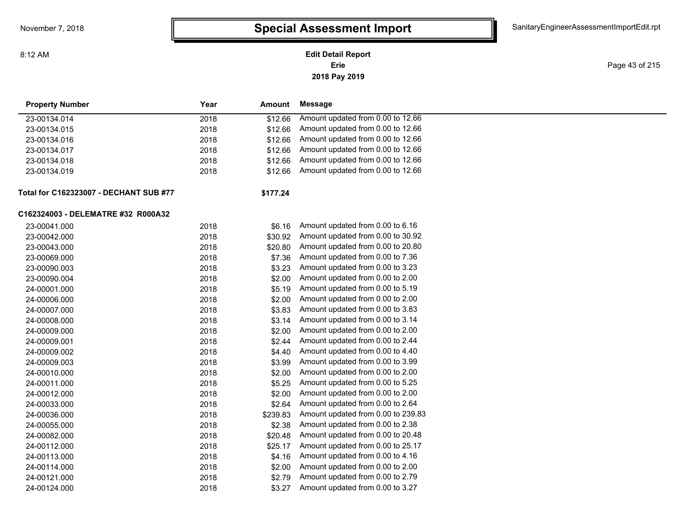8:12 AM

### **2018 Pay 2019 Erie Edit Detail Report**

Page 43 of 215

| <b>Property Number</b>                        | Year | Amount   | Message                            |
|-----------------------------------------------|------|----------|------------------------------------|
| 23-00134.014                                  | 2018 | \$12.66  | Amount updated from 0.00 to 12.66  |
| 23-00134.015                                  | 2018 | \$12.66  | Amount updated from 0.00 to 12.66  |
| 23-00134.016                                  | 2018 | \$12.66  | Amount updated from 0.00 to 12.66  |
| 23-00134.017                                  | 2018 | \$12.66  | Amount updated from 0.00 to 12.66  |
| 23-00134.018                                  | 2018 | \$12.66  | Amount updated from 0.00 to 12.66  |
| 23-00134.019                                  | 2018 | \$12.66  | Amount updated from 0.00 to 12.66  |
| <b>Total for C162323007 - DECHANT SUB #77</b> |      | \$177.24 |                                    |
| C162324003 - DELEMATRE #32 R000A32            |      |          |                                    |
| 23-00041.000                                  | 2018 | \$6.16   | Amount updated from 0.00 to 6.16   |
| 23-00042.000                                  | 2018 | \$30.92  | Amount updated from 0.00 to 30.92  |
| 23-00043.000                                  | 2018 | \$20.80  | Amount updated from 0.00 to 20.80  |
| 23-00069.000                                  | 2018 | \$7.36   | Amount updated from 0.00 to 7.36   |
| 23-00090.003                                  | 2018 | \$3.23   | Amount updated from 0.00 to 3.23   |
| 23-00090.004                                  | 2018 | \$2.00   | Amount updated from 0.00 to 2.00   |
| 24-00001.000                                  | 2018 | \$5.19   | Amount updated from 0.00 to 5.19   |
| 24-00006.000                                  | 2018 | \$2.00   | Amount updated from 0.00 to 2.00   |
| 24-00007.000                                  | 2018 | \$3.83   | Amount updated from 0.00 to 3.83   |
| 24-00008.000                                  | 2018 | \$3.14   | Amount updated from 0.00 to 3.14   |
| 24-00009.000                                  | 2018 | \$2.00   | Amount updated from 0.00 to 2.00   |
| 24-00009.001                                  | 2018 | \$2.44   | Amount updated from 0.00 to 2.44   |
| 24-00009.002                                  | 2018 | \$4.40   | Amount updated from 0.00 to 4.40   |
| 24-00009.003                                  | 2018 | \$3.99   | Amount updated from 0.00 to 3.99   |
| 24-00010.000                                  | 2018 | \$2.00   | Amount updated from 0.00 to 2.00   |
| 24-00011.000                                  | 2018 | \$5.25   | Amount updated from 0.00 to 5.25   |
| 24-00012.000                                  | 2018 | \$2.00   | Amount updated from 0.00 to 2.00   |
| 24-00033.000                                  | 2018 | \$2.64   | Amount updated from 0.00 to 2.64   |
| 24-00036.000                                  | 2018 | \$239.83 | Amount updated from 0.00 to 239.83 |
| 24-00055.000                                  | 2018 | \$2.38   | Amount updated from 0.00 to 2.38   |
| 24-00082.000                                  | 2018 | \$20.48  | Amount updated from 0.00 to 20.48  |
| 24-00112.000                                  | 2018 | \$25.17  | Amount updated from 0.00 to 25.17  |
| 24-00113.000                                  | 2018 | \$4.16   | Amount updated from 0.00 to 4.16   |
| 24-00114.000                                  | 2018 | \$2.00   | Amount updated from 0.00 to 2.00   |
| 24-00121.000                                  | 2018 | \$2.79   | Amount updated from 0.00 to 2.79   |
| 24-00124.000                                  | 2018 | \$3.27   | Amount updated from 0.00 to 3.27   |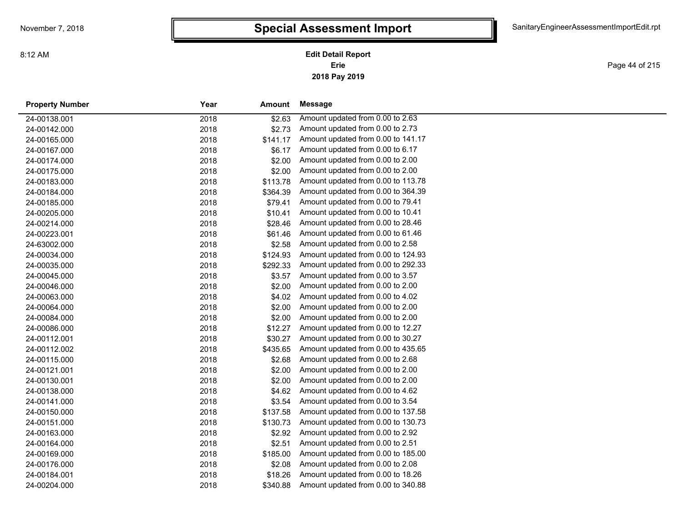**2018 Pay 2019 Erie Edit Detail Report**

Page 44 of 215

| <b>Property Number</b> | Year | Amount   | Message                            |
|------------------------|------|----------|------------------------------------|
| 24-00138.001           | 2018 | \$2.63   | Amount updated from 0.00 to 2.63   |
| 24-00142.000           | 2018 | \$2.73   | Amount updated from 0.00 to 2.73   |
| 24-00165.000           | 2018 | \$141.17 | Amount updated from 0.00 to 141.17 |
| 24-00167.000           | 2018 | \$6.17   | Amount updated from 0.00 to 6.17   |
| 24-00174.000           | 2018 | \$2.00   | Amount updated from 0.00 to 2.00   |
| 24-00175.000           | 2018 | \$2.00   | Amount updated from 0.00 to 2.00   |
| 24-00183.000           | 2018 | \$113.78 | Amount updated from 0.00 to 113.78 |
| 24-00184.000           | 2018 | \$364.39 | Amount updated from 0.00 to 364.39 |
| 24-00185.000           | 2018 | \$79.41  | Amount updated from 0.00 to 79.41  |
| 24-00205.000           | 2018 | \$10.41  | Amount updated from 0.00 to 10.41  |
| 24-00214.000           | 2018 | \$28.46  | Amount updated from 0.00 to 28.46  |
| 24-00223.001           | 2018 | \$61.46  | Amount updated from 0.00 to 61.46  |
| 24-63002.000           | 2018 | \$2.58   | Amount updated from 0.00 to 2.58   |
| 24-00034.000           | 2018 | \$124.93 | Amount updated from 0.00 to 124.93 |
| 24-00035.000           | 2018 | \$292.33 | Amount updated from 0.00 to 292.33 |
| 24-00045.000           | 2018 | \$3.57   | Amount updated from 0.00 to 3.57   |
| 24-00046.000           | 2018 | \$2.00   | Amount updated from 0.00 to 2.00   |
| 24-00063.000           | 2018 | \$4.02   | Amount updated from 0.00 to 4.02   |
| 24-00064.000           | 2018 | \$2.00   | Amount updated from 0.00 to 2.00   |
| 24-00084.000           | 2018 | \$2.00   | Amount updated from 0.00 to 2.00   |
| 24-00086.000           | 2018 | \$12.27  | Amount updated from 0.00 to 12.27  |
| 24-00112.001           | 2018 | \$30.27  | Amount updated from 0.00 to 30.27  |
| 24-00112.002           | 2018 | \$435.65 | Amount updated from 0.00 to 435.65 |
| 24-00115.000           | 2018 | \$2.68   | Amount updated from 0.00 to 2.68   |
| 24-00121.001           | 2018 | \$2.00   | Amount updated from 0.00 to 2.00   |
| 24-00130.001           | 2018 | \$2.00   | Amount updated from 0.00 to 2.00   |
| 24-00138.000           | 2018 | \$4.62   | Amount updated from 0.00 to 4.62   |
| 24-00141.000           | 2018 | \$3.54   | Amount updated from 0.00 to 3.54   |
| 24-00150.000           | 2018 | \$137.58 | Amount updated from 0.00 to 137.58 |
| 24-00151.000           | 2018 | \$130.73 | Amount updated from 0.00 to 130.73 |
| 24-00163.000           | 2018 | \$2.92   | Amount updated from 0.00 to 2.92   |
| 24-00164.000           | 2018 | \$2.51   | Amount updated from 0.00 to 2.51   |
| 24-00169.000           | 2018 | \$185.00 | Amount updated from 0.00 to 185.00 |
| 24-00176.000           | 2018 | \$2.08   | Amount updated from 0.00 to 2.08   |
| 24-00184.001           | 2018 | \$18.26  | Amount updated from 0.00 to 18.26  |
| 24-00204.000           | 2018 | \$340.88 | Amount updated from 0.00 to 340.88 |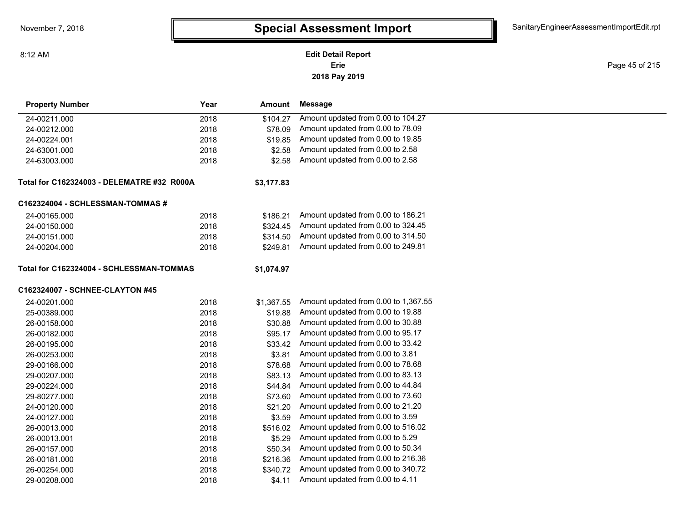8:12 AM

#### **2018 Pay 2019 Erie Edit Detail Report**

Page 45 of 215

| <b>Property Number</b>                     | Year | <b>Amount</b> | <b>Message</b>                       |
|--------------------------------------------|------|---------------|--------------------------------------|
| 24-00211.000                               | 2018 | \$104.27      | Amount updated from 0.00 to 104.27   |
| 24-00212.000                               | 2018 | \$78.09       | Amount updated from 0.00 to 78.09    |
| 24-00224.001                               | 2018 | \$19.85       | Amount updated from 0.00 to 19.85    |
| 24-63001.000                               | 2018 | \$2.58        | Amount updated from 0.00 to 2.58     |
| 24-63003.000                               | 2018 | \$2.58        | Amount updated from 0.00 to 2.58     |
| Total for C162324003 - DELEMATRE #32 R000A |      | \$3,177.83    |                                      |
| C162324004 - SCHLESSMAN-TOMMAS #           |      |               |                                      |
| 24-00165.000                               | 2018 | \$186.21      | Amount updated from 0.00 to 186.21   |
| 24-00150.000                               | 2018 | \$324.45      | Amount updated from 0.00 to 324.45   |
| 24-00151.000                               | 2018 | \$314.50      | Amount updated from 0.00 to 314.50   |
| 24-00204.000                               | 2018 | \$249.81      | Amount updated from 0.00 to 249.81   |
| Total for C162324004 - SCHLESSMAN-TOMMAS   |      | \$1,074.97    |                                      |
| C162324007 - SCHNEE-CLAYTON #45            |      |               |                                      |
| 24-00201.000                               | 2018 | \$1,367.55    | Amount updated from 0.00 to 1,367.55 |
| 25-00389.000                               | 2018 | \$19.88       | Amount updated from 0.00 to 19.88    |
| 26-00158.000                               | 2018 | \$30.88       | Amount updated from 0.00 to 30.88    |
| 26-00182.000                               | 2018 | \$95.17       | Amount updated from 0.00 to 95.17    |
| 26-00195.000                               | 2018 | \$33.42       | Amount updated from 0.00 to 33.42    |
| 26-00253.000                               | 2018 | \$3.81        | Amount updated from 0.00 to 3.81     |
| 29-00166.000                               | 2018 | \$78.68       | Amount updated from 0.00 to 78.68    |
| 29-00207.000                               | 2018 | \$83.13       | Amount updated from 0.00 to 83.13    |
| 29-00224.000                               | 2018 | \$44.84       | Amount updated from 0.00 to 44.84    |
| 29-80277.000                               | 2018 | \$73.60       | Amount updated from 0.00 to 73.60    |
| 24-00120.000                               | 2018 | \$21.20       | Amount updated from 0.00 to 21.20    |
| 24-00127.000                               | 2018 | \$3.59        | Amount updated from 0.00 to 3.59     |
| 26-00013.000                               | 2018 | \$516.02      | Amount updated from 0.00 to 516.02   |
| 26-00013.001                               | 2018 | \$5.29        | Amount updated from 0.00 to 5.29     |
| 26-00157.000                               | 2018 | \$50.34       | Amount updated from 0.00 to 50.34    |
| 26-00181.000                               | 2018 | \$216.36      | Amount updated from 0.00 to 216.36   |
| 26-00254.000                               | 2018 | \$340.72      | Amount updated from 0.00 to 340.72   |
| 29-00208.000                               | 2018 | \$4.11        | Amount updated from 0.00 to 4.11     |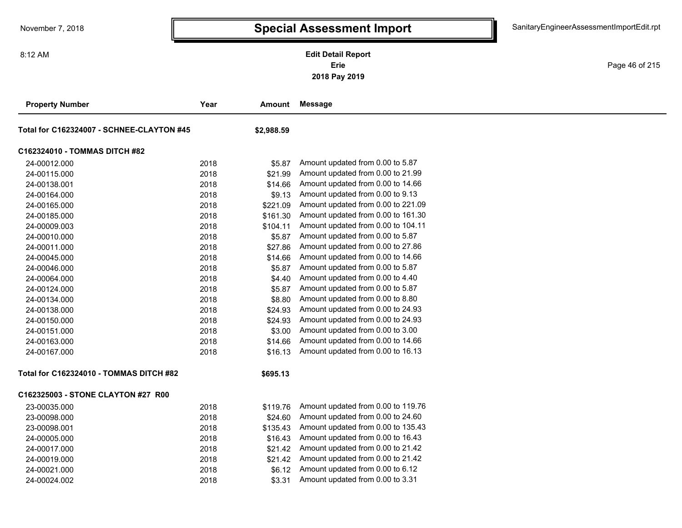8:12 AM

**2018 Pay 2019 Erie Edit Detail Report**

Page 46 of 215

| <b>Property Number</b>                         | Year | Amount     | <b>Message</b>                     |
|------------------------------------------------|------|------------|------------------------------------|
| Total for C162324007 - SCHNEE-CLAYTON #45      |      | \$2,988.59 |                                    |
| C162324010 - TOMMAS DITCH #82                  |      |            |                                    |
| 24-00012.000                                   | 2018 | \$5.87     | Amount updated from 0.00 to 5.87   |
| 24-00115.000                                   | 2018 | \$21.99    | Amount updated from 0.00 to 21.99  |
| 24-00138.001                                   | 2018 | \$14.66    | Amount updated from 0.00 to 14.66  |
| 24-00164.000                                   | 2018 | \$9.13     | Amount updated from 0.00 to 9.13   |
| 24-00165.000                                   | 2018 | \$221.09   | Amount updated from 0.00 to 221.09 |
| 24-00185.000                                   | 2018 | \$161.30   | Amount updated from 0.00 to 161.30 |
| 24-00009.003                                   | 2018 | \$104.11   | Amount updated from 0.00 to 104.11 |
| 24-00010.000                                   | 2018 | \$5.87     | Amount updated from 0.00 to 5.87   |
| 24-00011.000                                   | 2018 | \$27.86    | Amount updated from 0.00 to 27.86  |
| 24-00045.000                                   | 2018 | \$14.66    | Amount updated from 0.00 to 14.66  |
| 24-00046.000                                   | 2018 | \$5.87     | Amount updated from 0.00 to 5.87   |
| 24-00064.000                                   | 2018 | \$4.40     | Amount updated from 0.00 to 4.40   |
| 24-00124.000                                   | 2018 | \$5.87     | Amount updated from 0.00 to 5.87   |
| 24-00134.000                                   | 2018 | \$8.80     | Amount updated from 0.00 to 8.80   |
| 24-00138.000                                   | 2018 | \$24.93    | Amount updated from 0.00 to 24.93  |
| 24-00150.000                                   | 2018 | \$24.93    | Amount updated from 0.00 to 24.93  |
| 24-00151.000                                   | 2018 | \$3.00     | Amount updated from 0.00 to 3.00   |
| 24-00163.000                                   | 2018 | \$14.66    | Amount updated from 0.00 to 14.66  |
| 24-00167.000                                   | 2018 | \$16.13    | Amount updated from 0.00 to 16.13  |
| <b>Total for C162324010 - TOMMAS DITCH #82</b> |      | \$695.13   |                                    |
| C162325003 - STONE CLAYTON #27 R00             |      |            |                                    |
| 23-00035.000                                   | 2018 | \$119.76   | Amount updated from 0.00 to 119.76 |
| 23-00098.000                                   | 2018 | \$24.60    | Amount updated from 0.00 to 24.60  |
| 23-00098.001                                   | 2018 | \$135.43   | Amount updated from 0.00 to 135.43 |
| 24-00005.000                                   | 2018 | \$16.43    | Amount updated from 0.00 to 16.43  |
| 24-00017.000                                   | 2018 | \$21.42    | Amount updated from 0.00 to 21.42  |
| 24-00019.000                                   | 2018 | \$21.42    | Amount updated from 0.00 to 21.42  |
| 24-00021.000                                   | 2018 | \$6.12     | Amount updated from 0.00 to 6.12   |
| 24-00024.002                                   | 2018 | \$3.31     | Amount updated from 0.00 to 3.31   |
|                                                |      |            |                                    |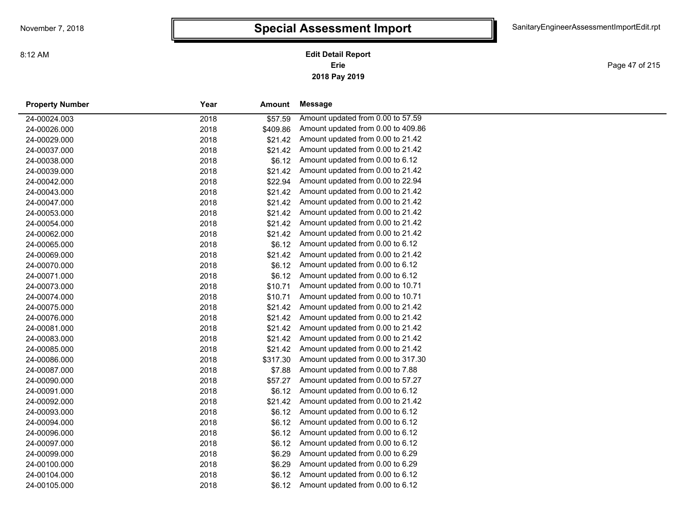Page 47 of 215

| <b>Property Number</b> | Year | Amount   | Message                            |
|------------------------|------|----------|------------------------------------|
| 24-00024.003           | 2018 | \$57.59  | Amount updated from 0.00 to 57.59  |
| 24-00026.000           | 2018 | \$409.86 | Amount updated from 0.00 to 409.86 |
| 24-00029.000           | 2018 | \$21.42  | Amount updated from 0.00 to 21.42  |
| 24-00037.000           | 2018 | \$21.42  | Amount updated from 0.00 to 21.42  |
| 24-00038.000           | 2018 | \$6.12   | Amount updated from 0.00 to 6.12   |
| 24-00039.000           | 2018 | \$21.42  | Amount updated from 0.00 to 21.42  |
| 24-00042.000           | 2018 | \$22.94  | Amount updated from 0.00 to 22.94  |
| 24-00043.000           | 2018 | \$21.42  | Amount updated from 0.00 to 21.42  |
| 24-00047.000           | 2018 | \$21.42  | Amount updated from 0.00 to 21.42  |
| 24-00053.000           | 2018 | \$21.42  | Amount updated from 0.00 to 21.42  |
| 24-00054.000           | 2018 | \$21.42  | Amount updated from 0.00 to 21.42  |
| 24-00062.000           | 2018 | \$21.42  | Amount updated from 0.00 to 21.42  |
| 24-00065.000           | 2018 | \$6.12   | Amount updated from 0.00 to 6.12   |
| 24-00069.000           | 2018 | \$21.42  | Amount updated from 0.00 to 21.42  |
| 24-00070.000           | 2018 | \$6.12   | Amount updated from 0.00 to 6.12   |
| 24-00071.000           | 2018 | \$6.12   | Amount updated from 0.00 to 6.12   |
| 24-00073.000           | 2018 | \$10.71  | Amount updated from 0.00 to 10.71  |
| 24-00074.000           | 2018 | \$10.71  | Amount updated from 0.00 to 10.71  |
| 24-00075.000           | 2018 | \$21.42  | Amount updated from 0.00 to 21.42  |
| 24-00076.000           | 2018 | \$21.42  | Amount updated from 0.00 to 21.42  |
| 24-00081.000           | 2018 | \$21.42  | Amount updated from 0.00 to 21.42  |
| 24-00083.000           | 2018 | \$21.42  | Amount updated from 0.00 to 21.42  |
| 24-00085.000           | 2018 | \$21.42  | Amount updated from 0.00 to 21.42  |
| 24-00086.000           | 2018 | \$317.30 | Amount updated from 0.00 to 317.30 |
| 24-00087.000           | 2018 | \$7.88   | Amount updated from 0.00 to 7.88   |
| 24-00090.000           | 2018 | \$57.27  | Amount updated from 0.00 to 57.27  |
| 24-00091.000           | 2018 | \$6.12   | Amount updated from 0.00 to 6.12   |
| 24-00092.000           | 2018 | \$21.42  | Amount updated from 0.00 to 21.42  |
| 24-00093.000           | 2018 | \$6.12   | Amount updated from 0.00 to 6.12   |
| 24-00094.000           | 2018 | \$6.12   | Amount updated from 0.00 to 6.12   |
| 24-00096.000           | 2018 | \$6.12   | Amount updated from 0.00 to 6.12   |
| 24-00097.000           | 2018 | \$6.12   | Amount updated from 0.00 to 6.12   |
| 24-00099.000           | 2018 | \$6.29   | Amount updated from 0.00 to 6.29   |
| 24-00100.000           | 2018 | \$6.29   | Amount updated from 0.00 to 6.29   |
| 24-00104.000           | 2018 | \$6.12   | Amount updated from 0.00 to 6.12   |
| 24-00105.000           | 2018 | \$6.12   | Amount updated from 0.00 to 6.12   |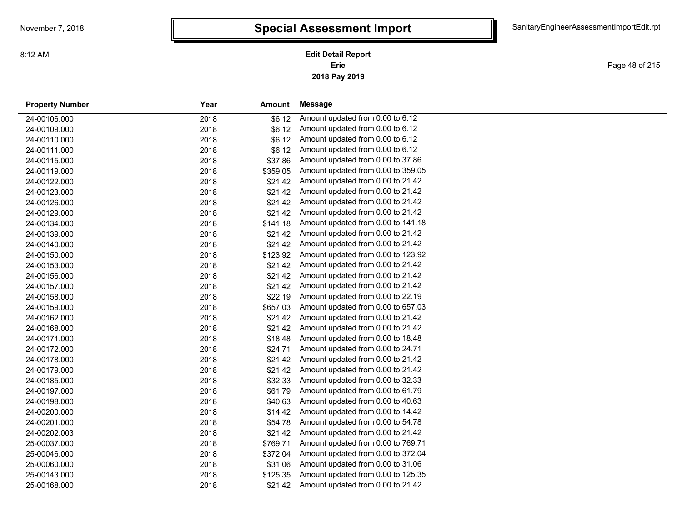**2018 Pay 2019 Erie Edit Detail Report**

Page 48 of 215

| <b>Property Number</b> | Year | Amount   | Message                            |
|------------------------|------|----------|------------------------------------|
| 24-00106.000           | 2018 | \$6.12   | Amount updated from 0.00 to 6.12   |
| 24-00109.000           | 2018 | \$6.12   | Amount updated from 0.00 to 6.12   |
| 24-00110.000           | 2018 | \$6.12   | Amount updated from 0.00 to 6.12   |
| 24-00111.000           | 2018 | \$6.12   | Amount updated from 0.00 to 6.12   |
| 24-00115.000           | 2018 | \$37.86  | Amount updated from 0.00 to 37.86  |
| 24-00119.000           | 2018 | \$359.05 | Amount updated from 0.00 to 359.05 |
| 24-00122.000           | 2018 | \$21.42  | Amount updated from 0.00 to 21.42  |
| 24-00123.000           | 2018 | \$21.42  | Amount updated from 0.00 to 21.42  |
| 24-00126.000           | 2018 | \$21.42  | Amount updated from 0.00 to 21.42  |
| 24-00129.000           | 2018 | \$21.42  | Amount updated from 0.00 to 21.42  |
| 24-00134.000           | 2018 | \$141.18 | Amount updated from 0.00 to 141.18 |
| 24-00139.000           | 2018 | \$21.42  | Amount updated from 0.00 to 21.42  |
| 24-00140.000           | 2018 | \$21.42  | Amount updated from 0.00 to 21.42  |
| 24-00150.000           | 2018 | \$123.92 | Amount updated from 0.00 to 123.92 |
| 24-00153.000           | 2018 | \$21.42  | Amount updated from 0.00 to 21.42  |
| 24-00156.000           | 2018 | \$21.42  | Amount updated from 0.00 to 21.42  |
| 24-00157.000           | 2018 | \$21.42  | Amount updated from 0.00 to 21.42  |
| 24-00158.000           | 2018 | \$22.19  | Amount updated from 0.00 to 22.19  |
| 24-00159.000           | 2018 | \$657.03 | Amount updated from 0.00 to 657.03 |
| 24-00162.000           | 2018 | \$21.42  | Amount updated from 0.00 to 21.42  |
| 24-00168.000           | 2018 | \$21.42  | Amount updated from 0.00 to 21.42  |
| 24-00171.000           | 2018 | \$18.48  | Amount updated from 0.00 to 18.48  |
| 24-00172.000           | 2018 | \$24.71  | Amount updated from 0.00 to 24.71  |
| 24-00178.000           | 2018 | \$21.42  | Amount updated from 0.00 to 21.42  |
| 24-00179.000           | 2018 | \$21.42  | Amount updated from 0.00 to 21.42  |
| 24-00185.000           | 2018 | \$32.33  | Amount updated from 0.00 to 32.33  |
| 24-00197.000           | 2018 | \$61.79  | Amount updated from 0.00 to 61.79  |
| 24-00198.000           | 2018 | \$40.63  | Amount updated from 0.00 to 40.63  |
| 24-00200.000           | 2018 | \$14.42  | Amount updated from 0.00 to 14.42  |
| 24-00201.000           | 2018 | \$54.78  | Amount updated from 0.00 to 54.78  |
| 24-00202.003           | 2018 | \$21.42  | Amount updated from 0.00 to 21.42  |
| 25-00037.000           | 2018 | \$769.71 | Amount updated from 0.00 to 769.71 |
| 25-00046.000           | 2018 | \$372.04 | Amount updated from 0.00 to 372.04 |
| 25-00060.000           | 2018 | \$31.06  | Amount updated from 0.00 to 31.06  |
| 25-00143.000           | 2018 | \$125.35 | Amount updated from 0.00 to 125.35 |
| 25-00168.000           | 2018 | \$21.42  | Amount updated from 0.00 to 21.42  |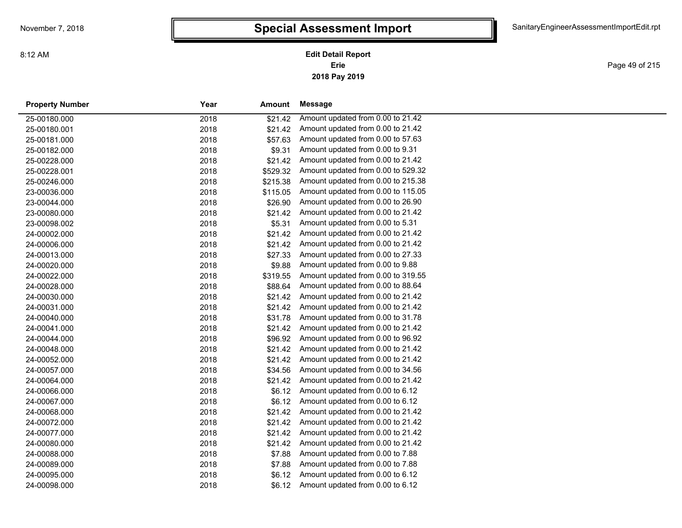**2018 Pay 2019 Erie Edit Detail Report**

Page 49 of 215

| <b>Property Number</b> | Year | Amount   | Message                            |  |
|------------------------|------|----------|------------------------------------|--|
| 25-00180.000           | 2018 | \$21.42  | Amount updated from 0.00 to 21.42  |  |
| 25-00180.001           | 2018 | \$21.42  | Amount updated from 0.00 to 21.42  |  |
| 25-00181.000           | 2018 | \$57.63  | Amount updated from 0.00 to 57.63  |  |
| 25-00182.000           | 2018 | \$9.31   | Amount updated from 0.00 to 9.31   |  |
| 25-00228.000           | 2018 | \$21.42  | Amount updated from 0.00 to 21.42  |  |
| 25-00228.001           | 2018 | \$529.32 | Amount updated from 0.00 to 529.32 |  |
| 25-00246.000           | 2018 | \$215.38 | Amount updated from 0.00 to 215.38 |  |
| 23-00036.000           | 2018 | \$115.05 | Amount updated from 0.00 to 115.05 |  |
| 23-00044.000           | 2018 | \$26.90  | Amount updated from 0.00 to 26.90  |  |
| 23-00080.000           | 2018 | \$21.42  | Amount updated from 0.00 to 21.42  |  |
| 23-00098.002           | 2018 | \$5.31   | Amount updated from 0.00 to 5.31   |  |
| 24-00002.000           | 2018 | \$21.42  | Amount updated from 0.00 to 21.42  |  |
| 24-00006.000           | 2018 | \$21.42  | Amount updated from 0.00 to 21.42  |  |
| 24-00013.000           | 2018 | \$27.33  | Amount updated from 0.00 to 27.33  |  |
| 24-00020.000           | 2018 | \$9.88   | Amount updated from 0.00 to 9.88   |  |
| 24-00022.000           | 2018 | \$319.55 | Amount updated from 0.00 to 319.55 |  |
| 24-00028.000           | 2018 | \$88.64  | Amount updated from 0.00 to 88.64  |  |
| 24-00030.000           | 2018 | \$21.42  | Amount updated from 0.00 to 21.42  |  |
| 24-00031.000           | 2018 | \$21.42  | Amount updated from 0.00 to 21.42  |  |
| 24-00040.000           | 2018 | \$31.78  | Amount updated from 0.00 to 31.78  |  |
| 24-00041.000           | 2018 | \$21.42  | Amount updated from 0.00 to 21.42  |  |
| 24-00044.000           | 2018 | \$96.92  | Amount updated from 0.00 to 96.92  |  |
| 24-00048.000           | 2018 | \$21.42  | Amount updated from 0.00 to 21.42  |  |
| 24-00052.000           | 2018 | \$21.42  | Amount updated from 0.00 to 21.42  |  |
| 24-00057.000           | 2018 | \$34.56  | Amount updated from 0.00 to 34.56  |  |
| 24-00064.000           | 2018 | \$21.42  | Amount updated from 0.00 to 21.42  |  |
| 24-00066.000           | 2018 | \$6.12   | Amount updated from 0.00 to 6.12   |  |
| 24-00067.000           | 2018 | \$6.12   | Amount updated from 0.00 to 6.12   |  |
| 24-00068.000           | 2018 | \$21.42  | Amount updated from 0.00 to 21.42  |  |
| 24-00072.000           | 2018 | \$21.42  | Amount updated from 0.00 to 21.42  |  |
| 24-00077.000           | 2018 | \$21.42  | Amount updated from 0.00 to 21.42  |  |
| 24-00080.000           | 2018 | \$21.42  | Amount updated from 0.00 to 21.42  |  |
| 24-00088.000           | 2018 | \$7.88   | Amount updated from 0.00 to 7.88   |  |
| 24-00089.000           | 2018 | \$7.88   | Amount updated from 0.00 to 7.88   |  |
| 24-00095.000           | 2018 | \$6.12   | Amount updated from 0.00 to 6.12   |  |
| 24-00098.000           | 2018 | \$6.12   | Amount updated from 0.00 to 6.12   |  |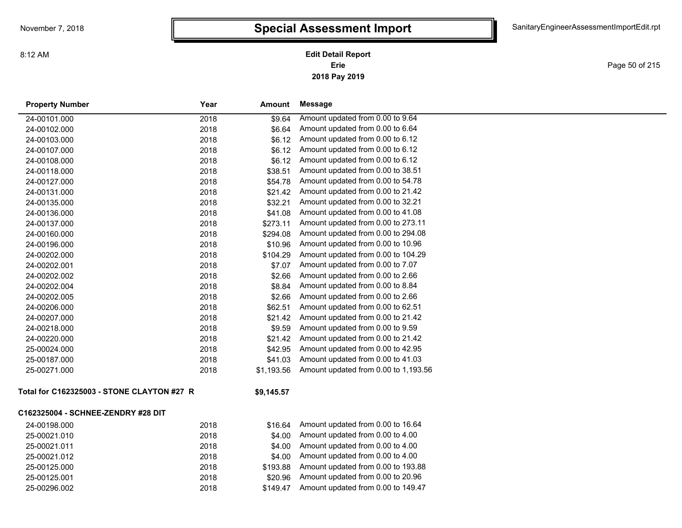**2018 Pay 2019 Erie Edit Detail Report**

Page 50 of 215

| <b>Property Number</b>                     | Year | Amount     | <b>Message</b>                       |  |  |  |
|--------------------------------------------|------|------------|--------------------------------------|--|--|--|
| 24-00101.000                               | 2018 | \$9.64     | Amount updated from 0.00 to 9.64     |  |  |  |
| 24-00102.000                               | 2018 | \$6.64     | Amount updated from 0.00 to 6.64     |  |  |  |
| 24-00103.000                               | 2018 | \$6.12     | Amount updated from 0.00 to 6.12     |  |  |  |
| 24-00107.000                               | 2018 | \$6.12     | Amount updated from 0.00 to 6.12     |  |  |  |
| 24-00108.000                               | 2018 | \$6.12     | Amount updated from 0.00 to 6.12     |  |  |  |
| 24-00118.000                               | 2018 | \$38.51    | Amount updated from 0.00 to 38.51    |  |  |  |
| 24-00127.000                               | 2018 | \$54.78    | Amount updated from 0.00 to 54.78    |  |  |  |
| 24-00131.000                               | 2018 | \$21.42    | Amount updated from 0.00 to 21.42    |  |  |  |
| 24-00135.000                               | 2018 | \$32.21    | Amount updated from 0.00 to 32.21    |  |  |  |
| 24-00136.000                               | 2018 | \$41.08    | Amount updated from 0.00 to 41.08    |  |  |  |
| 24-00137.000                               | 2018 | \$273.11   | Amount updated from 0.00 to 273.11   |  |  |  |
| 24-00160.000                               | 2018 | \$294.08   | Amount updated from 0.00 to 294.08   |  |  |  |
| 24-00196.000                               | 2018 | \$10.96    | Amount updated from 0.00 to 10.96    |  |  |  |
| 24-00202.000                               | 2018 | \$104.29   | Amount updated from 0.00 to 104.29   |  |  |  |
| 24-00202.001                               | 2018 | \$7.07     | Amount updated from 0.00 to 7.07     |  |  |  |
| 24-00202.002                               | 2018 | \$2.66     | Amount updated from 0.00 to 2.66     |  |  |  |
| 24-00202.004                               | 2018 | \$8.84     | Amount updated from 0.00 to 8.84     |  |  |  |
| 24-00202.005                               | 2018 | \$2.66     | Amount updated from 0.00 to 2.66     |  |  |  |
| 24-00206.000                               | 2018 | \$62.51    | Amount updated from 0.00 to 62.51    |  |  |  |
| 24-00207.000                               | 2018 | \$21.42    | Amount updated from 0.00 to 21.42    |  |  |  |
| 24-00218.000                               | 2018 | \$9.59     | Amount updated from 0.00 to 9.59     |  |  |  |
| 24-00220.000                               | 2018 | \$21.42    | Amount updated from 0.00 to 21.42    |  |  |  |
| 25-00024.000                               | 2018 | \$42.95    | Amount updated from 0.00 to 42.95    |  |  |  |
| 25-00187.000                               | 2018 | \$41.03    | Amount updated from 0.00 to 41.03    |  |  |  |
| 25-00271.000                               | 2018 | \$1,193.56 | Amount updated from 0.00 to 1,193.56 |  |  |  |
| Total for C162325003 - STONE CLAYTON #27 R |      | \$9,145.57 |                                      |  |  |  |
| C162325004 - SCHNEE-ZENDRY #28 DIT         |      |            |                                      |  |  |  |
| 24-00198.000                               | 2018 | \$16.64    | Amount updated from 0.00 to 16.64    |  |  |  |
| 25-00021.010                               | 2018 | \$4.00     | Amount updated from 0.00 to 4.00     |  |  |  |
| 25-00021.011                               | 2018 | \$4.00     | Amount updated from 0.00 to 4.00     |  |  |  |
| 25-00021.012                               | 2018 | \$4.00     | Amount updated from 0.00 to 4.00     |  |  |  |
| 25-00125.000                               | 2018 | \$193.88   | Amount updated from 0.00 to 193.88   |  |  |  |
| 25-00125.001                               | 2018 | \$20.96    | Amount updated from 0.00 to 20.96    |  |  |  |
| 25-00296.002                               | 2018 | \$149.47   | Amount updated from 0.00 to 149.47   |  |  |  |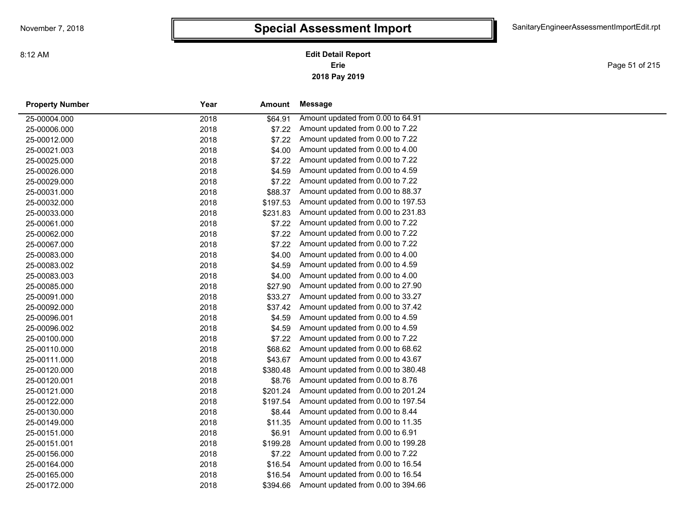Page 51 of 215

| <b>Property Number</b> | Year | Amount   | Message                            |
|------------------------|------|----------|------------------------------------|
| 25-00004.000           | 2018 | \$64.91  | Amount updated from 0.00 to 64.91  |
| 25-00006.000           | 2018 | \$7.22   | Amount updated from 0.00 to 7.22   |
| 25-00012.000           | 2018 | \$7.22   | Amount updated from 0.00 to 7.22   |
| 25-00021.003           | 2018 | \$4.00   | Amount updated from 0.00 to 4.00   |
| 25-00025.000           | 2018 | \$7.22   | Amount updated from 0.00 to 7.22   |
| 25-00026.000           | 2018 | \$4.59   | Amount updated from 0.00 to 4.59   |
| 25-00029.000           | 2018 | \$7.22   | Amount updated from 0.00 to 7.22   |
| 25-00031.000           | 2018 | \$88.37  | Amount updated from 0.00 to 88.37  |
| 25-00032.000           | 2018 | \$197.53 | Amount updated from 0.00 to 197.53 |
| 25-00033.000           | 2018 | \$231.83 | Amount updated from 0.00 to 231.83 |
| 25-00061.000           | 2018 | \$7.22   | Amount updated from 0.00 to 7.22   |
| 25-00062.000           | 2018 | \$7.22   | Amount updated from 0.00 to 7.22   |
| 25-00067.000           | 2018 | \$7.22   | Amount updated from 0.00 to 7.22   |
| 25-00083.000           | 2018 | \$4.00   | Amount updated from 0.00 to 4.00   |
| 25-00083.002           | 2018 | \$4.59   | Amount updated from 0.00 to 4.59   |
| 25-00083.003           | 2018 | \$4.00   | Amount updated from 0.00 to 4.00   |
| 25-00085.000           | 2018 | \$27.90  | Amount updated from 0.00 to 27.90  |
| 25-00091.000           | 2018 | \$33.27  | Amount updated from 0.00 to 33.27  |
| 25-00092.000           | 2018 | \$37.42  | Amount updated from 0.00 to 37.42  |
| 25-00096.001           | 2018 | \$4.59   | Amount updated from 0.00 to 4.59   |
| 25-00096.002           | 2018 | \$4.59   | Amount updated from 0.00 to 4.59   |
| 25-00100.000           | 2018 | \$7.22   | Amount updated from 0.00 to 7.22   |
| 25-00110.000           | 2018 | \$68.62  | Amount updated from 0.00 to 68.62  |
| 25-00111.000           | 2018 | \$43.67  | Amount updated from 0.00 to 43.67  |
| 25-00120.000           | 2018 | \$380.48 | Amount updated from 0.00 to 380.48 |
| 25-00120.001           | 2018 | \$8.76   | Amount updated from 0.00 to 8.76   |
| 25-00121.000           | 2018 | \$201.24 | Amount updated from 0.00 to 201.24 |
| 25-00122.000           | 2018 | \$197.54 | Amount updated from 0.00 to 197.54 |
| 25-00130.000           | 2018 | \$8.44   | Amount updated from 0.00 to 8.44   |
| 25-00149.000           | 2018 | \$11.35  | Amount updated from 0.00 to 11.35  |
| 25-00151.000           | 2018 | \$6.91   | Amount updated from 0.00 to 6.91   |
| 25-00151.001           | 2018 | \$199.28 | Amount updated from 0.00 to 199.28 |
| 25-00156.000           | 2018 | \$7.22   | Amount updated from 0.00 to 7.22   |
| 25-00164.000           | 2018 | \$16.54  | Amount updated from 0.00 to 16.54  |
| 25-00165.000           | 2018 | \$16.54  | Amount updated from 0.00 to 16.54  |
| 25-00172.000           | 2018 | \$394.66 | Amount updated from 0.00 to 394.66 |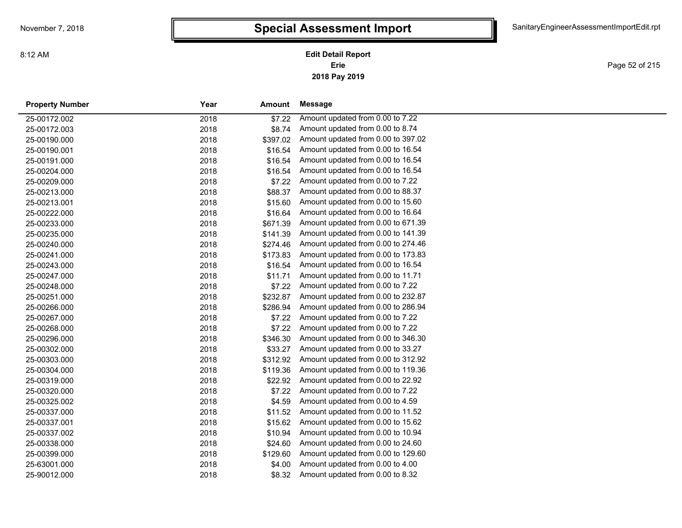**2018 Pay 2019 Erie Edit Detail Report**

Page 52 of 215

| <b>Property Number</b> | Year | Amount   | <b>Message</b>                     |
|------------------------|------|----------|------------------------------------|
| 25-00172.002           | 2018 | \$7.22   | Amount updated from 0.00 to 7.22   |
| 25-00172.003           | 2018 | \$8.74   | Amount updated from 0.00 to 8.74   |
| 25-00190.000           | 2018 | \$397.02 | Amount updated from 0.00 to 397.02 |
| 25-00190.001           | 2018 | \$16.54  | Amount updated from 0.00 to 16.54  |
| 25-00191.000           | 2018 | \$16.54  | Amount updated from 0.00 to 16.54  |
| 25-00204.000           | 2018 | \$16.54  | Amount updated from 0.00 to 16.54  |
| 25-00209.000           | 2018 | \$7.22   | Amount updated from 0.00 to 7.22   |
| 25-00213.000           | 2018 | \$88.37  | Amount updated from 0.00 to 88.37  |
| 25-00213.001           | 2018 | \$15.60  | Amount updated from 0.00 to 15.60  |
| 25-00222.000           | 2018 | \$16.64  | Amount updated from 0.00 to 16.64  |
| 25-00233.000           | 2018 | \$671.39 | Amount updated from 0.00 to 671.39 |
| 25-00235.000           | 2018 | \$141.39 | Amount updated from 0.00 to 141.39 |
| 25-00240.000           | 2018 | \$274.46 | Amount updated from 0.00 to 274.46 |
| 25-00241.000           | 2018 | \$173.83 | Amount updated from 0.00 to 173.83 |
| 25-00243.000           | 2018 | \$16.54  | Amount updated from 0.00 to 16.54  |
| 25-00247.000           | 2018 | \$11.71  | Amount updated from 0.00 to 11.71  |
| 25-00248.000           | 2018 | \$7.22   | Amount updated from 0.00 to 7.22   |
| 25-00251.000           | 2018 | \$232.87 | Amount updated from 0.00 to 232.87 |
| 25-00266.000           | 2018 | \$286.94 | Amount updated from 0.00 to 286.94 |
| 25-00267.000           | 2018 | \$7.22   | Amount updated from 0.00 to 7.22   |
| 25-00268.000           | 2018 | \$7.22   | Amount updated from 0.00 to 7.22   |
| 25-00296.000           | 2018 | \$346.30 | Amount updated from 0.00 to 346.30 |
| 25-00302.000           | 2018 | \$33.27  | Amount updated from 0.00 to 33.27  |
| 25-00303.000           | 2018 | \$312.92 | Amount updated from 0.00 to 312.92 |
| 25-00304.000           | 2018 | \$119.36 | Amount updated from 0.00 to 119.36 |
| 25-00319.000           | 2018 | \$22.92  | Amount updated from 0.00 to 22.92  |
| 25-00320.000           | 2018 | \$7.22   | Amount updated from 0.00 to 7.22   |
| 25-00325.002           | 2018 | \$4.59   | Amount updated from 0.00 to 4.59   |
| 25-00337.000           | 2018 | \$11.52  | Amount updated from 0.00 to 11.52  |
| 25-00337.001           | 2018 | \$15.62  | Amount updated from 0.00 to 15.62  |
| 25-00337.002           | 2018 | \$10.94  | Amount updated from 0.00 to 10.94  |
| 25-00338.000           | 2018 | \$24.60  | Amount updated from 0.00 to 24.60  |
| 25-00399.000           | 2018 | \$129.60 | Amount updated from 0.00 to 129.60 |
| 25-63001.000           | 2018 | \$4.00   | Amount updated from 0.00 to 4.00   |
| 25-90012.000           | 2018 | \$8.32   | Amount updated from 0.00 to 8.32   |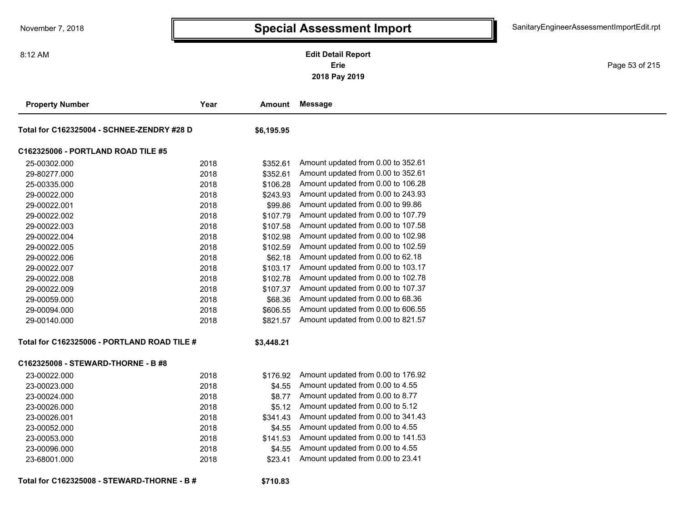8:12 AM

### **2018 Pay 2019 Erie Edit Detail Report**

Page 53 of 215

| <b>Property Number</b>                      | Year | Amount     | <b>Message</b>                     |
|---------------------------------------------|------|------------|------------------------------------|
| Total for C162325004 - SCHNEE-ZENDRY #28 D  |      | \$6,195.95 |                                    |
| C162325006 - PORTLAND ROAD TILE #5          |      |            |                                    |
| 25-00302.000                                | 2018 | \$352.61   | Amount updated from 0.00 to 352.61 |
| 29-80277.000                                | 2018 | \$352.61   | Amount updated from 0.00 to 352.61 |
| 25-00335.000                                | 2018 | \$106.28   | Amount updated from 0.00 to 106.28 |
| 29-00022.000                                | 2018 | \$243.93   | Amount updated from 0.00 to 243.93 |
| 29-00022.001                                | 2018 | \$99.86    | Amount updated from 0.00 to 99.86  |
| 29-00022.002                                | 2018 | \$107.79   | Amount updated from 0.00 to 107.79 |
| 29-00022.003                                | 2018 | \$107.58   | Amount updated from 0.00 to 107.58 |
| 29-00022.004                                | 2018 | \$102.98   | Amount updated from 0.00 to 102.98 |
| 29-00022.005                                | 2018 | \$102.59   | Amount updated from 0.00 to 102.59 |
| 29-00022.006                                | 2018 | \$62.18    | Amount updated from 0.00 to 62.18  |
| 29-00022.007                                | 2018 | \$103.17   | Amount updated from 0.00 to 103.17 |
| 29-00022.008                                | 2018 | \$102.78   | Amount updated from 0.00 to 102.78 |
| 29-00022.009                                | 2018 | \$107.37   | Amount updated from 0.00 to 107.37 |
| 29-00059.000                                | 2018 | \$68.36    | Amount updated from 0.00 to 68.36  |
| 29-00094.000                                | 2018 | \$606.55   | Amount updated from 0.00 to 606.55 |
| 29-00140.000                                | 2018 | \$821.57   | Amount updated from 0.00 to 821.57 |
| Total for C162325006 - PORTLAND ROAD TILE # |      | \$3,448.21 |                                    |
| C162325008 - STEWARD-THORNE - B #8          |      |            |                                    |
| 23-00022.000                                | 2018 | \$176.92   | Amount updated from 0.00 to 176.92 |
| 23-00023.000                                | 2018 | \$4.55     | Amount updated from 0.00 to 4.55   |
| 23-00024.000                                | 2018 | \$8.77     | Amount updated from 0.00 to 8.77   |
| 23-00026.000                                | 2018 | \$5.12     | Amount updated from 0.00 to 5.12   |
| 23-00026.001                                | 2018 | \$341.43   | Amount updated from 0.00 to 341.43 |
| 23-00052.000                                | 2018 | \$4.55     | Amount updated from 0.00 to 4.55   |
| 23-00053.000                                | 2018 | \$141.53   | Amount updated from 0.00 to 141.53 |
| 23-00096.000                                | 2018 | \$4.55     | Amount updated from 0.00 to 4.55   |
| 23-68001.000                                | 2018 | \$23.41    | Amount updated from 0.00 to 23.41  |
| Total for C162325008 - STEWARD-THORNE - B # |      | \$710.83   |                                    |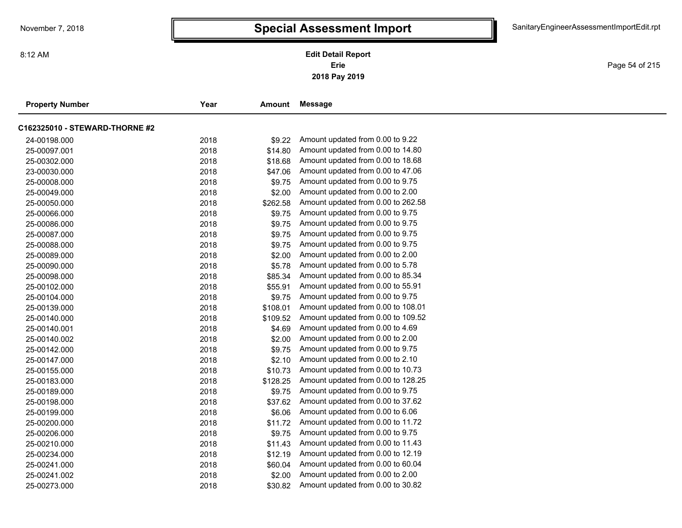Page 54 of 215

| <b>Property Number</b>         | Year | Amount   | Message                            |  |
|--------------------------------|------|----------|------------------------------------|--|
| C162325010 - STEWARD-THORNE #2 |      |          |                                    |  |
| 24-00198.000                   | 2018 | \$9.22   | Amount updated from 0.00 to 9.22   |  |
| 25-00097.001                   | 2018 | \$14.80  | Amount updated from 0.00 to 14.80  |  |
| 25-00302.000                   | 2018 | \$18.68  | Amount updated from 0.00 to 18.68  |  |
| 23-00030.000                   | 2018 | \$47.06  | Amount updated from 0.00 to 47.06  |  |
| 25-00008.000                   | 2018 | \$9.75   | Amount updated from 0.00 to 9.75   |  |
| 25-00049.000                   | 2018 | \$2.00   | Amount updated from 0.00 to 2.00   |  |
| 25-00050.000                   | 2018 | \$262.58 | Amount updated from 0.00 to 262.58 |  |
| 25-00066.000                   | 2018 | \$9.75   | Amount updated from 0.00 to 9.75   |  |
| 25-00086.000                   | 2018 | \$9.75   | Amount updated from 0.00 to 9.75   |  |
| 25-00087.000                   | 2018 | \$9.75   | Amount updated from 0.00 to 9.75   |  |
| 25-00088.000                   | 2018 | \$9.75   | Amount updated from 0.00 to 9.75   |  |
| 25-00089.000                   | 2018 | \$2.00   | Amount updated from 0.00 to 2.00   |  |
| 25-00090.000                   | 2018 | \$5.78   | Amount updated from 0.00 to 5.78   |  |
| 25-00098.000                   | 2018 | \$85.34  | Amount updated from 0.00 to 85.34  |  |
| 25-00102.000                   | 2018 | \$55.91  | Amount updated from 0.00 to 55.91  |  |
| 25-00104.000                   | 2018 | \$9.75   | Amount updated from 0.00 to 9.75   |  |
| 25-00139.000                   | 2018 | \$108.01 | Amount updated from 0.00 to 108.01 |  |
| 25-00140.000                   | 2018 | \$109.52 | Amount updated from 0.00 to 109.52 |  |
| 25-00140.001                   | 2018 | \$4.69   | Amount updated from 0.00 to 4.69   |  |
| 25-00140.002                   | 2018 | \$2.00   | Amount updated from 0.00 to 2.00   |  |
| 25-00142.000                   | 2018 | \$9.75   | Amount updated from 0.00 to 9.75   |  |
| 25-00147.000                   | 2018 | \$2.10   | Amount updated from 0.00 to 2.10   |  |
| 25-00155.000                   | 2018 | \$10.73  | Amount updated from 0.00 to 10.73  |  |
| 25-00183.000                   | 2018 | \$128.25 | Amount updated from 0.00 to 128.25 |  |
| 25-00189.000                   | 2018 | \$9.75   | Amount updated from 0.00 to 9.75   |  |
| 25-00198.000                   | 2018 | \$37.62  | Amount updated from 0.00 to 37.62  |  |
| 25-00199.000                   | 2018 | \$6.06   | Amount updated from 0.00 to 6.06   |  |
| 25-00200.000                   | 2018 | \$11.72  | Amount updated from 0.00 to 11.72  |  |
| 25-00206.000                   | 2018 | \$9.75   | Amount updated from 0.00 to 9.75   |  |
| 25-00210.000                   | 2018 | \$11.43  | Amount updated from 0.00 to 11.43  |  |
| 25-00234.000                   | 2018 | \$12.19  | Amount updated from 0.00 to 12.19  |  |
| 25-00241.000                   | 2018 | \$60.04  | Amount updated from 0.00 to 60.04  |  |
| 25-00241.002                   | 2018 | \$2.00   | Amount updated from 0.00 to 2.00   |  |
| 25-00273.000                   | 2018 | \$30.82  | Amount updated from 0.00 to 30.82  |  |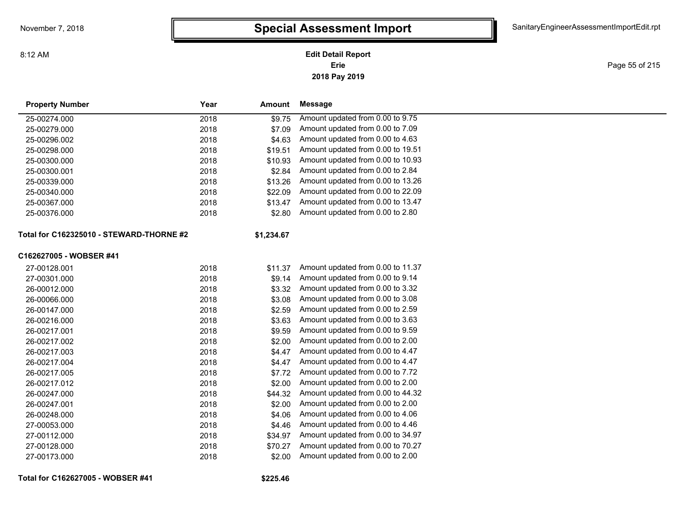8:12 AM

**2018 Pay 2019 Erie Edit Detail Report**

Page 55 of 215

| <b>Property Number</b>                   | Year | Amount     | <b>Message</b>                    |
|------------------------------------------|------|------------|-----------------------------------|
| 25-00274.000                             | 2018 | \$9.75     | Amount updated from 0.00 to 9.75  |
| 25-00279.000                             | 2018 | \$7.09     | Amount updated from 0.00 to 7.09  |
| 25-00296.002                             | 2018 | \$4.63     | Amount updated from 0.00 to 4.63  |
| 25-00298.000                             | 2018 | \$19.51    | Amount updated from 0.00 to 19.51 |
| 25-00300.000                             | 2018 | \$10.93    | Amount updated from 0.00 to 10.93 |
| 25-00300.001                             | 2018 | \$2.84     | Amount updated from 0.00 to 2.84  |
| 25-00339.000                             | 2018 | \$13.26    | Amount updated from 0.00 to 13.26 |
| 25-00340.000                             | 2018 | \$22.09    | Amount updated from 0.00 to 22.09 |
| 25-00367.000                             | 2018 | \$13.47    | Amount updated from 0.00 to 13.47 |
| 25-00376.000                             | 2018 | \$2.80     | Amount updated from 0.00 to 2.80  |
| Total for C162325010 - STEWARD-THORNE #2 |      | \$1,234.67 |                                   |
| C162627005 - WOBSER #41                  |      |            |                                   |
| 27-00128.001                             | 2018 | \$11.37    | Amount updated from 0.00 to 11.37 |
| 27-00301.000                             | 2018 | \$9.14     | Amount updated from 0.00 to 9.14  |
| 26-00012.000                             | 2018 | \$3.32     | Amount updated from 0.00 to 3.32  |
| 26-00066.000                             | 2018 | \$3.08     | Amount updated from 0.00 to 3.08  |
| 26-00147.000                             | 2018 | \$2.59     | Amount updated from 0.00 to 2.59  |
| 26-00216.000                             | 2018 | \$3.63     | Amount updated from 0.00 to 3.63  |
| 26-00217.001                             | 2018 | \$9.59     | Amount updated from 0.00 to 9.59  |
| 26-00217.002                             | 2018 | \$2.00     | Amount updated from 0.00 to 2.00  |
| 26-00217.003                             | 2018 | \$4.47     | Amount updated from 0.00 to 4.47  |
| 26-00217.004                             | 2018 | \$4.47     | Amount updated from 0.00 to 4.47  |
| 26-00217.005                             | 2018 | \$7.72     | Amount updated from 0.00 to 7.72  |
| 26-00217.012                             | 2018 | \$2.00     | Amount updated from 0.00 to 2.00  |
| 26-00247.000                             | 2018 | \$44.32    | Amount updated from 0.00 to 44.32 |
| 26-00247.001                             | 2018 | \$2.00     | Amount updated from 0.00 to 2.00  |
| 26-00248.000                             | 2018 | \$4.06     | Amount updated from 0.00 to 4.06  |
| 27-00053.000                             | 2018 | \$4.46     | Amount updated from 0.00 to 4.46  |
| 27-00112.000                             | 2018 | \$34.97    | Amount updated from 0.00 to 34.97 |
| 27-00128.000                             | 2018 | \$70.27    | Amount updated from 0.00 to 70.27 |
| 27-00173.000                             | 2018 | \$2.00     | Amount updated from 0.00 to 2.00  |

**Total for C162627005 - WOBSER #41**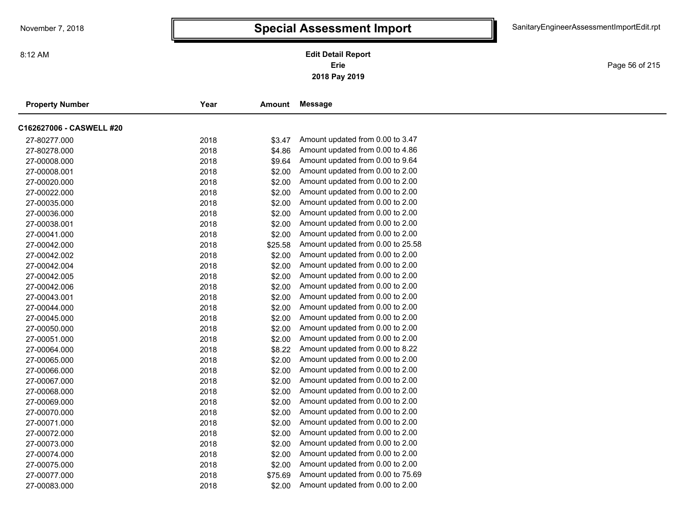Page 56 of 215

| <b>Property Number</b>   | Year | <b>Amount</b> | Message                           |
|--------------------------|------|---------------|-----------------------------------|
| C162627006 - CASWELL #20 |      |               |                                   |
| 27-80277.000             | 2018 | \$3.47        | Amount updated from 0.00 to 3.47  |
| 27-80278.000             | 2018 | \$4.86        | Amount updated from 0.00 to 4.86  |
| 27-00008.000             | 2018 | \$9.64        | Amount updated from 0.00 to 9.64  |
| 27-00008.001             | 2018 | \$2.00        | Amount updated from 0.00 to 2.00  |
| 27-00020.000             | 2018 | \$2.00        | Amount updated from 0.00 to 2.00  |
| 27-00022.000             | 2018 | \$2.00        | Amount updated from 0.00 to 2.00  |
| 27-00035.000             | 2018 | \$2.00        | Amount updated from 0.00 to 2.00  |
| 27-00036.000             | 2018 | \$2.00        | Amount updated from 0.00 to 2.00  |
| 27-00038.001             | 2018 | \$2.00        | Amount updated from 0.00 to 2.00  |
| 27-00041.000             | 2018 | \$2.00        | Amount updated from 0.00 to 2.00  |
| 27-00042.000             | 2018 | \$25.58       | Amount updated from 0.00 to 25.58 |
| 27-00042.002             | 2018 | \$2.00        | Amount updated from 0.00 to 2.00  |
| 27-00042.004             | 2018 | \$2.00        | Amount updated from 0.00 to 2.00  |
| 27-00042.005             | 2018 | \$2.00        | Amount updated from 0.00 to 2.00  |
| 27-00042.006             | 2018 | \$2.00        | Amount updated from 0.00 to 2.00  |
| 27-00043.001             | 2018 | \$2.00        | Amount updated from 0.00 to 2.00  |
| 27-00044.000             | 2018 | \$2.00        | Amount updated from 0.00 to 2.00  |
| 27-00045.000             | 2018 | \$2.00        | Amount updated from 0.00 to 2.00  |
| 27-00050.000             | 2018 | \$2.00        | Amount updated from 0.00 to 2.00  |
| 27-00051.000             | 2018 | \$2.00        | Amount updated from 0.00 to 2.00  |
| 27-00064.000             | 2018 | \$8.22        | Amount updated from 0.00 to 8.22  |
| 27-00065.000             | 2018 | \$2.00        | Amount updated from 0.00 to 2.00  |
| 27-00066.000             | 2018 | \$2.00        | Amount updated from 0.00 to 2.00  |
| 27-00067.000             | 2018 | \$2.00        | Amount updated from 0.00 to 2.00  |
| 27-00068.000             | 2018 | \$2.00        | Amount updated from 0.00 to 2.00  |
| 27-00069.000             | 2018 | \$2.00        | Amount updated from 0.00 to 2.00  |
| 27-00070.000             | 2018 | \$2.00        | Amount updated from 0.00 to 2.00  |
| 27-00071.000             | 2018 | \$2.00        | Amount updated from 0.00 to 2.00  |
| 27-00072.000             | 2018 | \$2.00        | Amount updated from 0.00 to 2.00  |
| 27-00073.000             | 2018 | \$2.00        | Amount updated from 0.00 to 2.00  |
| 27-00074.000             | 2018 | \$2.00        | Amount updated from 0.00 to 2.00  |
| 27-00075.000             | 2018 | \$2.00        | Amount updated from 0.00 to 2.00  |
| 27-00077.000             | 2018 | \$75.69       | Amount updated from 0.00 to 75.69 |
| 27-00083.000             | 2018 | \$2.00        | Amount updated from 0.00 to 2.00  |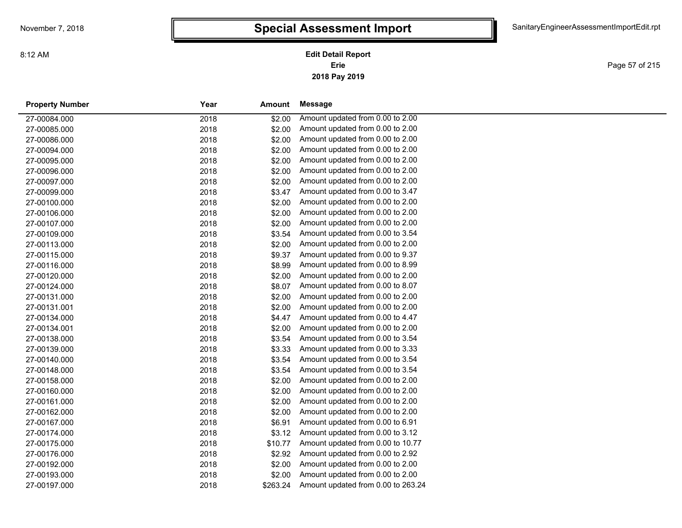Page 57 of 215

| <b>Property Number</b> | Year | Amount   | Message                            |
|------------------------|------|----------|------------------------------------|
| 27-00084.000           | 2018 | \$2.00   | Amount updated from 0.00 to 2.00   |
| 27-00085.000           | 2018 | \$2.00   | Amount updated from 0.00 to 2.00   |
| 27-00086.000           | 2018 | \$2.00   | Amount updated from 0.00 to 2.00   |
| 27-00094.000           | 2018 | \$2.00   | Amount updated from 0.00 to 2.00   |
| 27-00095.000           | 2018 | \$2.00   | Amount updated from 0.00 to 2.00   |
| 27-00096.000           | 2018 | \$2.00   | Amount updated from 0.00 to 2.00   |
| 27-00097.000           | 2018 | \$2.00   | Amount updated from 0.00 to 2.00   |
| 27-00099.000           | 2018 | \$3.47   | Amount updated from 0.00 to 3.47   |
| 27-00100.000           | 2018 | \$2.00   | Amount updated from 0.00 to 2.00   |
| 27-00106.000           | 2018 | \$2.00   | Amount updated from 0.00 to 2.00   |
| 27-00107.000           | 2018 | \$2.00   | Amount updated from 0.00 to 2.00   |
| 27-00109.000           | 2018 | \$3.54   | Amount updated from 0.00 to 3.54   |
| 27-00113.000           | 2018 | \$2.00   | Amount updated from 0.00 to 2.00   |
| 27-00115.000           | 2018 | \$9.37   | Amount updated from 0.00 to 9.37   |
| 27-00116.000           | 2018 | \$8.99   | Amount updated from 0.00 to 8.99   |
| 27-00120.000           | 2018 | \$2.00   | Amount updated from 0.00 to 2.00   |
| 27-00124.000           | 2018 | \$8.07   | Amount updated from 0.00 to 8.07   |
| 27-00131.000           | 2018 | \$2.00   | Amount updated from 0.00 to 2.00   |
| 27-00131.001           | 2018 | \$2.00   | Amount updated from 0.00 to 2.00   |
| 27-00134.000           | 2018 | \$4.47   | Amount updated from 0.00 to 4.47   |
| 27-00134.001           | 2018 | \$2.00   | Amount updated from 0.00 to 2.00   |
| 27-00138.000           | 2018 | \$3.54   | Amount updated from 0.00 to 3.54   |
| 27-00139.000           | 2018 | \$3.33   | Amount updated from 0.00 to 3.33   |
| 27-00140.000           | 2018 | \$3.54   | Amount updated from 0.00 to 3.54   |
| 27-00148.000           | 2018 | \$3.54   | Amount updated from 0.00 to 3.54   |
| 27-00158.000           | 2018 | \$2.00   | Amount updated from 0.00 to 2.00   |
| 27-00160.000           | 2018 | \$2.00   | Amount updated from 0.00 to 2.00   |
| 27-00161.000           | 2018 | \$2.00   | Amount updated from 0.00 to 2.00   |
| 27-00162.000           | 2018 | \$2.00   | Amount updated from 0.00 to 2.00   |
| 27-00167.000           | 2018 | \$6.91   | Amount updated from 0.00 to 6.91   |
| 27-00174.000           | 2018 | \$3.12   | Amount updated from 0.00 to 3.12   |
| 27-00175.000           | 2018 | \$10.77  | Amount updated from 0.00 to 10.77  |
| 27-00176.000           | 2018 | \$2.92   | Amount updated from 0.00 to 2.92   |
| 27-00192.000           | 2018 | \$2.00   | Amount updated from 0.00 to 2.00   |
| 27-00193.000           | 2018 | \$2.00   | Amount updated from 0.00 to 2.00   |
| 27-00197.000           | 2018 | \$263.24 | Amount updated from 0.00 to 263.24 |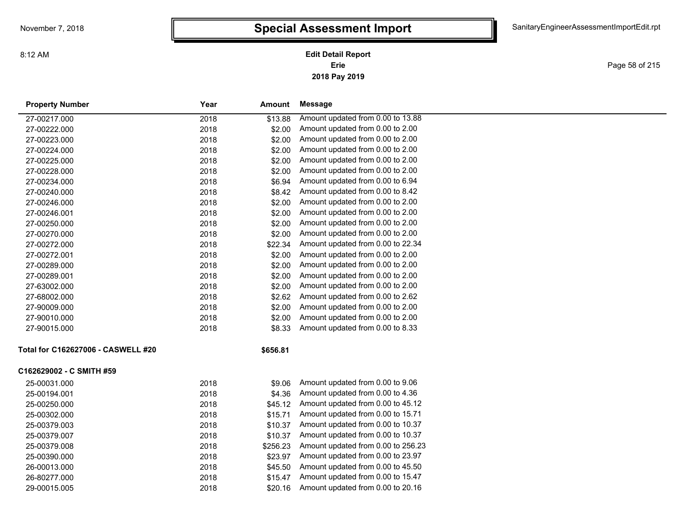**2018 Pay 2019 Erie Edit Detail Report**

Page 58 of 215

| <b>Property Number</b>             | Year | Amount   | Message                            |
|------------------------------------|------|----------|------------------------------------|
| 27-00217.000                       | 2018 | \$13.88  | Amount updated from 0.00 to 13.88  |
| 27-00222.000                       | 2018 | \$2.00   | Amount updated from 0.00 to 2.00   |
| 27-00223.000                       | 2018 | \$2.00   | Amount updated from 0.00 to 2.00   |
| 27-00224.000                       | 2018 | \$2.00   | Amount updated from 0.00 to 2.00   |
| 27-00225.000                       | 2018 | \$2.00   | Amount updated from 0.00 to 2.00   |
| 27-00228.000                       | 2018 | \$2.00   | Amount updated from 0.00 to 2.00   |
| 27-00234.000                       | 2018 | \$6.94   | Amount updated from 0.00 to 6.94   |
| 27-00240.000                       | 2018 | \$8.42   | Amount updated from 0.00 to 8.42   |
| 27-00246.000                       | 2018 | \$2.00   | Amount updated from 0.00 to 2.00   |
| 27-00246.001                       | 2018 | \$2.00   | Amount updated from 0.00 to 2.00   |
| 27-00250.000                       | 2018 | \$2.00   | Amount updated from 0.00 to 2.00   |
| 27-00270.000                       | 2018 | \$2.00   | Amount updated from 0.00 to 2.00   |
| 27-00272.000                       | 2018 | \$22.34  | Amount updated from 0.00 to 22.34  |
| 27-00272.001                       | 2018 | \$2.00   | Amount updated from 0.00 to 2.00   |
| 27-00289.000                       | 2018 | \$2.00   | Amount updated from 0.00 to 2.00   |
| 27-00289.001                       | 2018 | \$2.00   | Amount updated from 0.00 to 2.00   |
| 27-63002.000                       | 2018 | \$2.00   | Amount updated from 0.00 to 2.00   |
| 27-68002.000                       | 2018 | \$2.62   | Amount updated from 0.00 to 2.62   |
| 27-90009.000                       | 2018 | \$2.00   | Amount updated from 0.00 to 2.00   |
| 27-90010.000                       | 2018 | \$2.00   | Amount updated from 0.00 to 2.00   |
| 27-90015.000                       | 2018 | \$8.33   | Amount updated from 0.00 to 8.33   |
| Total for C162627006 - CASWELL #20 |      | \$656.81 |                                    |
| C162629002 - C SMITH #59           |      |          |                                    |
| 25-00031.000                       | 2018 | \$9.06   | Amount updated from 0.00 to 9.06   |
| 25-00194.001                       | 2018 | \$4.36   | Amount updated from 0.00 to 4.36   |
| 25-00250.000                       | 2018 | \$45.12  | Amount updated from 0.00 to 45.12  |
| 25-00302.000                       | 2018 | \$15.71  | Amount updated from 0.00 to 15.71  |
| 25-00379.003                       | 2018 | \$10.37  | Amount updated from 0.00 to 10.37  |
| 25-00379.007                       | 2018 | \$10.37  | Amount updated from 0.00 to 10.37  |
| 25-00379.008                       | 2018 | \$256.23 | Amount updated from 0.00 to 256.23 |
| 25-00390.000                       | 2018 | \$23.97  | Amount updated from 0.00 to 23.97  |
| 26-00013.000                       | 2018 | \$45.50  | Amount updated from 0.00 to 45.50  |
| 26-80277.000                       | 2018 | \$15.47  | Amount updated from 0.00 to 15.47  |
| 29-00015.005                       | 2018 | \$20.16  | Amount updated from 0.00 to 20.16  |
|                                    |      |          |                                    |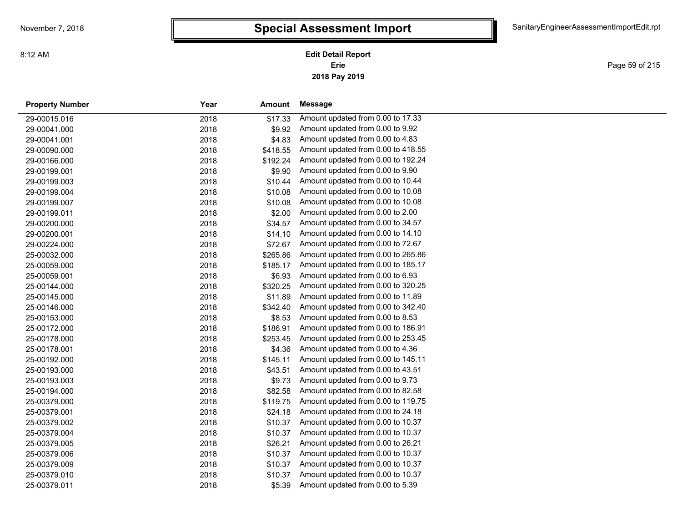**2018 Pay 2019 Erie Edit Detail Report**

Page 59 of 215

| <b>Property Number</b> | Year | Amount   | <b>Message</b>                     |
|------------------------|------|----------|------------------------------------|
| 29-00015.016           | 2018 | \$17.33  | Amount updated from 0.00 to 17.33  |
| 29-00041.000           | 2018 | \$9.92   | Amount updated from 0.00 to 9.92   |
| 29-00041.001           | 2018 | \$4.83   | Amount updated from 0.00 to 4.83   |
| 29-00090.000           | 2018 | \$418.55 | Amount updated from 0.00 to 418.55 |
| 29-00166.000           | 2018 | \$192.24 | Amount updated from 0.00 to 192.24 |
| 29-00199.001           | 2018 | \$9.90   | Amount updated from 0.00 to 9.90   |
| 29-00199.003           | 2018 | \$10.44  | Amount updated from 0.00 to 10.44  |
| 29-00199.004           | 2018 | \$10.08  | Amount updated from 0.00 to 10.08  |
| 29-00199.007           | 2018 | \$10.08  | Amount updated from 0.00 to 10.08  |
| 29-00199.011           | 2018 | \$2.00   | Amount updated from 0.00 to 2.00   |
| 29-00200.000           | 2018 | \$34.57  | Amount updated from 0.00 to 34.57  |
| 29-00200.001           | 2018 | \$14.10  | Amount updated from 0.00 to 14.10  |
| 29-00224.000           | 2018 | \$72.67  | Amount updated from 0.00 to 72.67  |
| 25-00032.000           | 2018 | \$265.86 | Amount updated from 0.00 to 265.86 |
| 25-00059.000           | 2018 | \$185.17 | Amount updated from 0.00 to 185.17 |
| 25-00059.001           | 2018 | \$6.93   | Amount updated from 0.00 to 6.93   |
| 25-00144.000           | 2018 | \$320.25 | Amount updated from 0.00 to 320.25 |
| 25-00145.000           | 2018 | \$11.89  | Amount updated from 0.00 to 11.89  |
| 25-00146.000           | 2018 | \$342.40 | Amount updated from 0.00 to 342.40 |
| 25-00153.000           | 2018 | \$8.53   | Amount updated from 0.00 to 8.53   |
| 25-00172.000           | 2018 | \$186.91 | Amount updated from 0.00 to 186.91 |
| 25-00178.000           | 2018 | \$253.45 | Amount updated from 0.00 to 253.45 |
| 25-00178.001           | 2018 | \$4.36   | Amount updated from 0.00 to 4.36   |
| 25-00192.000           | 2018 | \$145.11 | Amount updated from 0.00 to 145.11 |
| 25-00193.000           | 2018 | \$43.51  | Amount updated from 0.00 to 43.51  |
| 25-00193.003           | 2018 | \$9.73   | Amount updated from 0.00 to 9.73   |
| 25-00194.000           | 2018 | \$82.58  | Amount updated from 0.00 to 82.58  |
| 25-00379.000           | 2018 | \$119.75 | Amount updated from 0.00 to 119.75 |
| 25-00379.001           | 2018 | \$24.18  | Amount updated from 0.00 to 24.18  |
| 25-00379.002           | 2018 | \$10.37  | Amount updated from 0.00 to 10.37  |
| 25-00379.004           | 2018 | \$10.37  | Amount updated from 0.00 to 10.37  |
| 25-00379.005           | 2018 | \$26.21  | Amount updated from 0.00 to 26.21  |
| 25-00379.006           | 2018 | \$10.37  | Amount updated from 0.00 to 10.37  |
| 25-00379.009           | 2018 | \$10.37  | Amount updated from 0.00 to 10.37  |
| 25-00379.010           | 2018 | \$10.37  | Amount updated from 0.00 to 10.37  |
| 25-00379.011           | 2018 | \$5.39   | Amount updated from 0.00 to 5.39   |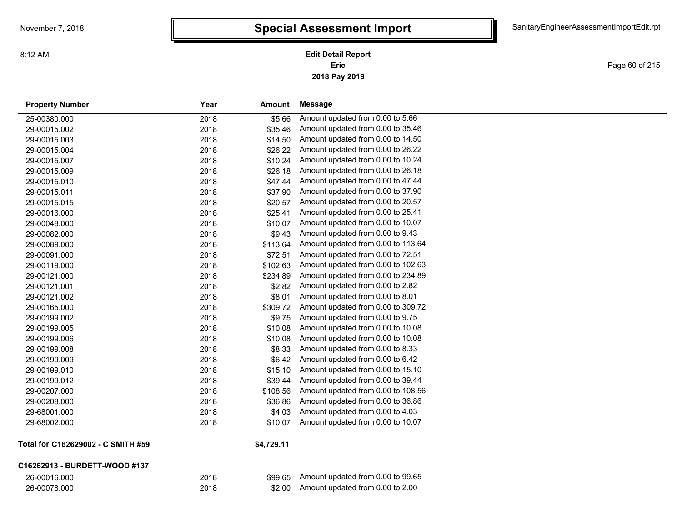**2018 Pay 2019 Erie Edit Detail Report**

Page 60 of 215

| <b>Property Number</b>           | Year | Amount           | <b>Message</b>                     |
|----------------------------------|------|------------------|------------------------------------|
| 25-00380.000                     | 2018 | \$5.66           | Amount updated from 0.00 to 5.66   |
| 29-00015.002                     | 2018 | \$35.46          | Amount updated from 0.00 to 35.46  |
| 29-00015.003                     | 2018 | \$14.50          | Amount updated from 0.00 to 14.50  |
| 29-00015.004                     | 2018 | \$26.22          | Amount updated from 0.00 to 26.22  |
| 29-00015.007                     | 2018 | \$10.24          | Amount updated from 0.00 to 10.24  |
| 29-00015.009                     | 2018 | \$26.18          | Amount updated from 0.00 to 26.18  |
| 29-00015.010                     | 2018 | \$47.44          | Amount updated from 0.00 to 47.44  |
| 29-00015.011                     | 2018 | \$37.90          | Amount updated from 0.00 to 37.90  |
| 29-00015.015                     | 2018 | \$20.57          | Amount updated from 0.00 to 20.57  |
| 29-00016.000                     | 2018 | \$25.41          | Amount updated from 0.00 to 25.41  |
| 29-00048.000                     | 2018 | \$10.07          | Amount updated from 0.00 to 10.07  |
| 29-00082.000                     | 2018 | \$9.43           | Amount updated from 0.00 to 9.43   |
| 29-00089.000                     | 2018 | \$113.64         | Amount updated from 0.00 to 113.64 |
| 29-00091.000                     | 2018 | \$72.51          | Amount updated from 0.00 to 72.51  |
| 29-00119.000                     | 2018 | \$102.63         | Amount updated from 0.00 to 102.63 |
| 29-00121.000                     | 2018 | \$234.89         | Amount updated from 0.00 to 234.89 |
| 29-00121.001                     | 2018 | \$2.82           | Amount updated from 0.00 to 2.82   |
| 29-00121.002                     | 2018 | \$8.01           | Amount updated from 0.00 to 8.01   |
| 29-00165.000                     | 2018 | \$309.72         | Amount updated from 0.00 to 309.72 |
| 29-00199.002                     | 2018 | \$9.75           | Amount updated from 0.00 to 9.75   |
| 29-00199.005                     | 2018 | \$10.08          | Amount updated from 0.00 to 10.08  |
| 29-00199.006                     | 2018 | \$10.08          | Amount updated from 0.00 to 10.08  |
| 29-00199.008                     | 2018 | \$8.33           | Amount updated from 0.00 to 8.33   |
| 29-00199.009                     | 2018 | \$6.42           | Amount updated from 0.00 to 6.42   |
| 29-00199.010                     | 2018 | \$15.10          | Amount updated from 0.00 to 15.10  |
| 29-00199.012                     | 2018 | \$39.44          | Amount updated from 0.00 to 39.44  |
| 29-00207.000                     | 2018 | \$108.56         | Amount updated from 0.00 to 108.56 |
| 29-00208.000                     | 2018 | \$36.86          | Amount updated from 0.00 to 36.86  |
| 29-68001.000                     | 2018 | \$4.03           | Amount updated from 0.00 to 4.03   |
| 29-68002.000                     | 2018 | \$10.07          | Amount updated from 0.00 to 10.07  |
| Total for C162620002 C SMITH #50 |      | <b>CA 700 44</b> |                                    |

#### **Total for C162629002 - C SMITH #59**

#### **\$4,729.11**

| C16262913 - BURDETT-WOOD #137 |      |         |                                   |
|-------------------------------|------|---------|-----------------------------------|
| 26-00016.000                  | 2018 | \$99.65 | Amount updated from 0.00 to 99.65 |
| 26-00078.000                  | 2018 | \$2.00  | Amount updated from 0.00 to 2.00  |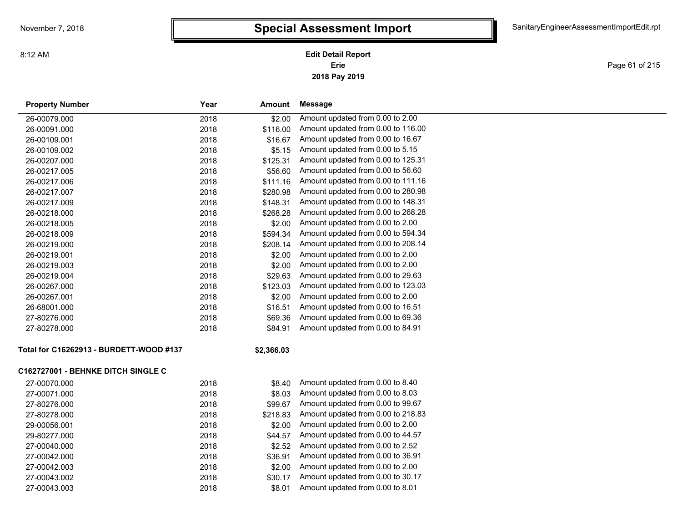**2018 Pay 2019 Erie Edit Detail Report**

Page 61 of 215

| <b>Property Number</b>                    | Year | Amount     | Message                            |
|-------------------------------------------|------|------------|------------------------------------|
| 26-00079.000                              | 2018 | \$2.00     | Amount updated from 0.00 to 2.00   |
| 26-00091.000                              | 2018 | \$116.00   | Amount updated from 0.00 to 116.00 |
| 26-00109.001                              | 2018 | \$16.67    | Amount updated from 0.00 to 16.67  |
| 26-00109.002                              | 2018 | \$5.15     | Amount updated from 0.00 to 5.15   |
| 26-00207.000                              | 2018 | \$125.31   | Amount updated from 0.00 to 125.31 |
| 26-00217.005                              | 2018 | \$56.60    | Amount updated from 0.00 to 56.60  |
| 26-00217.006                              | 2018 | \$111.16   | Amount updated from 0.00 to 111.16 |
| 26-00217.007                              | 2018 | \$280.98   | Amount updated from 0.00 to 280.98 |
| 26-00217.009                              | 2018 | \$148.31   | Amount updated from 0.00 to 148.31 |
| 26-00218.000                              | 2018 | \$268.28   | Amount updated from 0.00 to 268.28 |
| 26-00218.005                              | 2018 | \$2.00     | Amount updated from 0.00 to 2.00   |
| 26-00218.009                              | 2018 | \$594.34   | Amount updated from 0.00 to 594.34 |
| 26-00219.000                              | 2018 | \$208.14   | Amount updated from 0.00 to 208.14 |
| 26-00219.001                              | 2018 | \$2.00     | Amount updated from 0.00 to 2.00   |
| 26-00219.003                              | 2018 | \$2.00     | Amount updated from 0.00 to 2.00   |
| 26-00219.004                              | 2018 | \$29.63    | Amount updated from 0.00 to 29.63  |
| 26-00267.000                              | 2018 | \$123.03   | Amount updated from 0.00 to 123.03 |
| 26-00267.001                              | 2018 | \$2.00     | Amount updated from 0.00 to 2.00   |
| 26-68001.000                              | 2018 | \$16.51    | Amount updated from 0.00 to 16.51  |
| 27-80276.000                              | 2018 | \$69.36    | Amount updated from 0.00 to 69.36  |
| 27-80278.000                              | 2018 | \$84.91    | Amount updated from 0.00 to 84.91  |
| Total for C16262913 - BURDETT-WOOD #137   |      | \$2,366.03 |                                    |
| <b>C162727001 - BEHNKE DITCH SINGLE C</b> |      |            |                                    |
| 27-00070.000                              | 2018 | \$8.40     | Amount updated from 0.00 to 8.40   |
| 27-00071.000                              | 2018 | \$8.03     | Amount updated from 0.00 to 8.03   |
| 27-80276.000                              | 2018 | \$99.67    | Amount updated from 0.00 to 99.67  |
| 27-80278.000                              | 2018 | \$218.83   | Amount updated from 0.00 to 218.83 |
| 29-00056.001                              | 2018 | \$2.00     | Amount updated from 0.00 to 2.00   |
| 29-80277.000                              | 2018 | \$44.57    | Amount updated from 0.00 to 44.57  |
| 27-00040.000                              | 2018 | \$2.52     | Amount updated from 0.00 to 2.52   |
| 27-00042.000                              | 2018 | \$36.91    | Amount updated from 0.00 to 36.91  |
| 27-00042.003                              | 2018 | \$2.00     | Amount updated from 0.00 to 2.00   |
| 27-00043.002                              | 2018 | \$30.17    | Amount updated from 0.00 to 30.17  |
| 27-00043.003                              | 2018 | \$8.01     | Amount updated from 0.00 to 8.01   |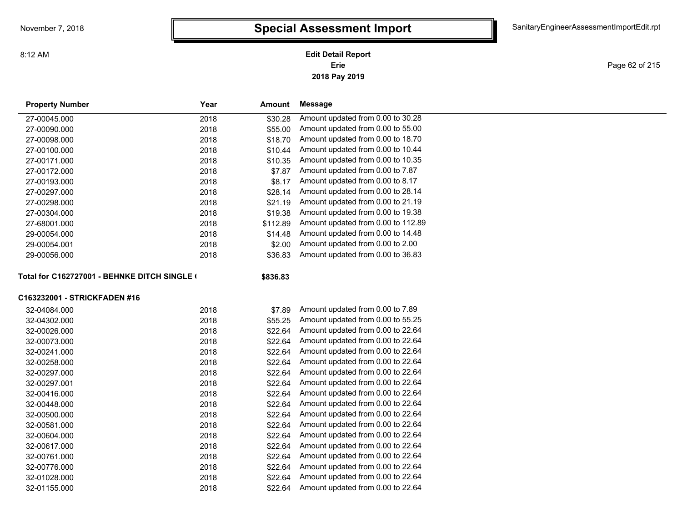8:12 AM

#### **2018 Pay 2019 Erie Edit Detail Report**

Page 62 of 215

| <b>Property Number</b>                       | Year     | Amount   | Message                            |  |
|----------------------------------------------|----------|----------|------------------------------------|--|
| 27-00045.000                                 | 2018     | \$30.28  | Amount updated from 0.00 to 30.28  |  |
| 27-00090.000                                 | 2018     | \$55.00  | Amount updated from 0.00 to 55.00  |  |
| 27-00098.000                                 | 2018     | \$18.70  | Amount updated from 0.00 to 18.70  |  |
| 27-00100.000                                 | 2018     | \$10.44  | Amount updated from 0.00 to 10.44  |  |
| 27-00171.000                                 | 2018     | \$10.35  | Amount updated from 0.00 to 10.35  |  |
| 27-00172.000                                 | 2018     | \$7.87   | Amount updated from 0.00 to 7.87   |  |
| 27-00193.000                                 | 2018     | \$8.17   | Amount updated from 0.00 to 8.17   |  |
| 27-00297.000                                 | 2018     | \$28.14  | Amount updated from 0.00 to 28.14  |  |
| 27-00298.000                                 | 2018     | \$21.19  | Amount updated from 0.00 to 21.19  |  |
| 27-00304.000                                 | 2018     | \$19.38  | Amount updated from 0.00 to 19.38  |  |
| 27-68001.000                                 | 2018     | \$112.89 | Amount updated from 0.00 to 112.89 |  |
| 29-00054.000                                 | 2018     | \$14.48  | Amount updated from 0.00 to 14.48  |  |
| 29-00054.001                                 | 2018     | \$2.00   | Amount updated from 0.00 to 2.00   |  |
| 29-00056.000                                 | 2018     | \$36.83  | Amount updated from 0.00 to 36.83  |  |
| Total for C162727001 - BEHNKE DITCH SINGLE ( | \$836.83 |          |                                    |  |
| C163232001 - STRICKFADEN #16                 |          |          |                                    |  |
| 32-04084.000                                 | 2018     | \$7.89   | Amount updated from 0.00 to 7.89   |  |
| 32-04302.000                                 | 2018     | \$55.25  | Amount updated from 0.00 to 55.25  |  |
| 32-00026.000                                 | 2018     | \$22.64  | Amount updated from 0.00 to 22.64  |  |
| 32-00073.000                                 | 2018     | \$22.64  | Amount updated from 0.00 to 22.64  |  |
| 32-00241.000                                 | 2018     | \$22.64  | Amount updated from 0.00 to 22.64  |  |
| 32-00258.000                                 | 2018     | \$22.64  | Amount updated from 0.00 to 22.64  |  |
| 32-00297.000                                 | 2018     | \$22.64  | Amount updated from 0.00 to 22.64  |  |
| 32-00297.001                                 | 2018     | \$22.64  | Amount updated from 0.00 to 22.64  |  |
| 32-00416.000                                 | 2018     | \$22.64  | Amount updated from 0.00 to 22.64  |  |
| 32-00448.000                                 | 2018     | \$22.64  | Amount updated from 0.00 to 22.64  |  |
| 32-00500.000                                 | 2018     | \$22.64  | Amount updated from 0.00 to 22.64  |  |
| 32-00581.000                                 | 2018     | \$22.64  | Amount updated from 0.00 to 22.64  |  |
| 32-00604.000                                 | 2018     | \$22.64  | Amount updated from 0.00 to 22.64  |  |
| 32-00617.000                                 | 2018     | \$22.64  | Amount updated from 0.00 to 22.64  |  |
| 32-00761.000                                 | 2018     | \$22.64  | Amount updated from 0.00 to 22.64  |  |
| 32-00776.000                                 | 2018     | \$22.64  | Amount updated from 0.00 to 22.64  |  |
| 32-01028.000                                 | 2018     | \$22.64  | Amount updated from 0.00 to 22.64  |  |
| 32-01155.000                                 | 2018     | \$22.64  | Amount updated from 0.00 to 22.64  |  |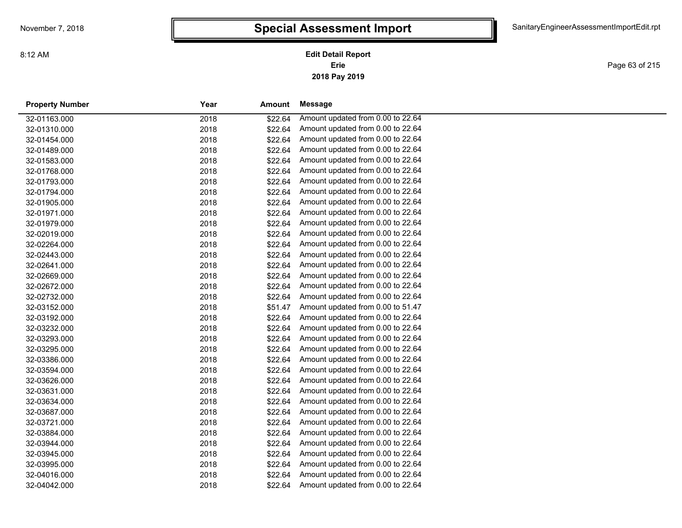**2018 Pay 2019 Erie Edit Detail Report**

Page 63 of 215

| <b>Property Number</b> | Year | Amount  | Message                           |
|------------------------|------|---------|-----------------------------------|
| 32-01163.000           | 2018 | \$22.64 | Amount updated from 0.00 to 22.64 |
| 32-01310.000           | 2018 | \$22.64 | Amount updated from 0.00 to 22.64 |
| 32-01454.000           | 2018 | \$22.64 | Amount updated from 0.00 to 22.64 |
| 32-01489.000           | 2018 | \$22.64 | Amount updated from 0.00 to 22.64 |
| 32-01583.000           | 2018 | \$22.64 | Amount updated from 0.00 to 22.64 |
| 32-01768.000           | 2018 | \$22.64 | Amount updated from 0.00 to 22.64 |
| 32-01793.000           | 2018 | \$22.64 | Amount updated from 0.00 to 22.64 |
| 32-01794.000           | 2018 | \$22.64 | Amount updated from 0.00 to 22.64 |
| 32-01905.000           | 2018 | \$22.64 | Amount updated from 0.00 to 22.64 |
| 32-01971.000           | 2018 | \$22.64 | Amount updated from 0.00 to 22.64 |
| 32-01979.000           | 2018 | \$22.64 | Amount updated from 0.00 to 22.64 |
| 32-02019.000           | 2018 | \$22.64 | Amount updated from 0.00 to 22.64 |
| 32-02264.000           | 2018 | \$22.64 | Amount updated from 0.00 to 22.64 |
| 32-02443.000           | 2018 | \$22.64 | Amount updated from 0.00 to 22.64 |
| 32-02641.000           | 2018 | \$22.64 | Amount updated from 0.00 to 22.64 |
| 32-02669.000           | 2018 | \$22.64 | Amount updated from 0.00 to 22.64 |
| 32-02672.000           | 2018 | \$22.64 | Amount updated from 0.00 to 22.64 |
| 32-02732.000           | 2018 | \$22.64 | Amount updated from 0.00 to 22.64 |
| 32-03152.000           | 2018 | \$51.47 | Amount updated from 0.00 to 51.47 |
| 32-03192.000           | 2018 | \$22.64 | Amount updated from 0.00 to 22.64 |
| 32-03232.000           | 2018 | \$22.64 | Amount updated from 0.00 to 22.64 |
| 32-03293.000           | 2018 | \$22.64 | Amount updated from 0.00 to 22.64 |
| 32-03295.000           | 2018 | \$22.64 | Amount updated from 0.00 to 22.64 |
| 32-03386.000           | 2018 | \$22.64 | Amount updated from 0.00 to 22.64 |
| 32-03594.000           | 2018 | \$22.64 | Amount updated from 0.00 to 22.64 |
| 32-03626.000           | 2018 | \$22.64 | Amount updated from 0.00 to 22.64 |
| 32-03631.000           | 2018 | \$22.64 | Amount updated from 0.00 to 22.64 |
| 32-03634.000           | 2018 | \$22.64 | Amount updated from 0.00 to 22.64 |
| 32-03687.000           | 2018 | \$22.64 | Amount updated from 0.00 to 22.64 |
| 32-03721.000           | 2018 | \$22.64 | Amount updated from 0.00 to 22.64 |
| 32-03884.000           | 2018 | \$22.64 | Amount updated from 0.00 to 22.64 |
| 32-03944.000           | 2018 | \$22.64 | Amount updated from 0.00 to 22.64 |
| 32-03945.000           | 2018 | \$22.64 | Amount updated from 0.00 to 22.64 |
| 32-03995.000           | 2018 | \$22.64 | Amount updated from 0.00 to 22.64 |
| 32-04016.000           | 2018 | \$22.64 | Amount updated from 0.00 to 22.64 |
| 32-04042.000           | 2018 | \$22.64 | Amount updated from 0.00 to 22.64 |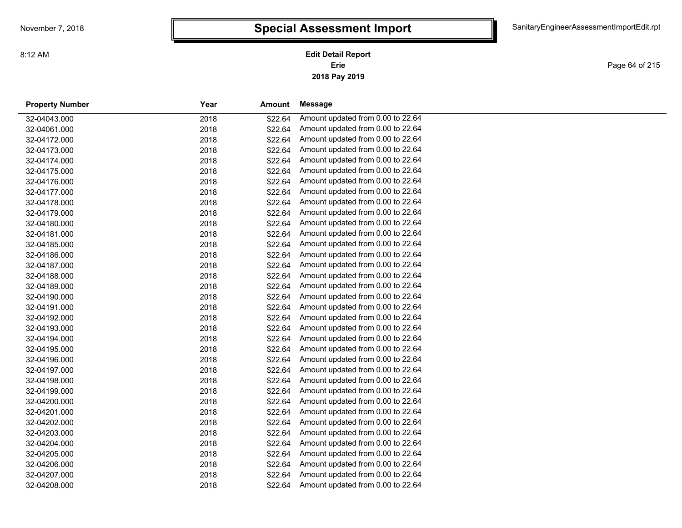**2018 Pay 2019 Erie Edit Detail Report**

Page 64 of 215

| <b>Property Number</b> | Year | Amount  | Message                           |
|------------------------|------|---------|-----------------------------------|
| 32-04043.000           | 2018 | \$22.64 | Amount updated from 0.00 to 22.64 |
| 32-04061.000           | 2018 | \$22.64 | Amount updated from 0.00 to 22.64 |
| 32-04172.000           | 2018 | \$22.64 | Amount updated from 0.00 to 22.64 |
| 32-04173.000           | 2018 | \$22.64 | Amount updated from 0.00 to 22.64 |
| 32-04174.000           | 2018 | \$22.64 | Amount updated from 0.00 to 22.64 |
| 32-04175.000           | 2018 | \$22.64 | Amount updated from 0.00 to 22.64 |
| 32-04176.000           | 2018 | \$22.64 | Amount updated from 0.00 to 22.64 |
| 32-04177.000           | 2018 | \$22.64 | Amount updated from 0.00 to 22.64 |
| 32-04178.000           | 2018 | \$22.64 | Amount updated from 0.00 to 22.64 |
| 32-04179.000           | 2018 | \$22.64 | Amount updated from 0.00 to 22.64 |
| 32-04180.000           | 2018 | \$22.64 | Amount updated from 0.00 to 22.64 |
| 32-04181.000           | 2018 | \$22.64 | Amount updated from 0.00 to 22.64 |
| 32-04185.000           | 2018 | \$22.64 | Amount updated from 0.00 to 22.64 |
| 32-04186.000           | 2018 | \$22.64 | Amount updated from 0.00 to 22.64 |
| 32-04187.000           | 2018 | \$22.64 | Amount updated from 0.00 to 22.64 |
| 32-04188.000           | 2018 | \$22.64 | Amount updated from 0.00 to 22.64 |
| 32-04189.000           | 2018 | \$22.64 | Amount updated from 0.00 to 22.64 |
| 32-04190.000           | 2018 | \$22.64 | Amount updated from 0.00 to 22.64 |
| 32-04191.000           | 2018 | \$22.64 | Amount updated from 0.00 to 22.64 |
| 32-04192.000           | 2018 | \$22.64 | Amount updated from 0.00 to 22.64 |
| 32-04193.000           | 2018 | \$22.64 | Amount updated from 0.00 to 22.64 |
| 32-04194.000           | 2018 | \$22.64 | Amount updated from 0.00 to 22.64 |
| 32-04195.000           | 2018 | \$22.64 | Amount updated from 0.00 to 22.64 |
| 32-04196.000           | 2018 | \$22.64 | Amount updated from 0.00 to 22.64 |
| 32-04197.000           | 2018 | \$22.64 | Amount updated from 0.00 to 22.64 |
| 32-04198.000           | 2018 | \$22.64 | Amount updated from 0.00 to 22.64 |
| 32-04199.000           | 2018 | \$22.64 | Amount updated from 0.00 to 22.64 |
| 32-04200.000           | 2018 | \$22.64 | Amount updated from 0.00 to 22.64 |
| 32-04201.000           | 2018 | \$22.64 | Amount updated from 0.00 to 22.64 |
| 32-04202.000           | 2018 | \$22.64 | Amount updated from 0.00 to 22.64 |
| 32-04203.000           | 2018 | \$22.64 | Amount updated from 0.00 to 22.64 |
| 32-04204.000           | 2018 | \$22.64 | Amount updated from 0.00 to 22.64 |
| 32-04205.000           | 2018 | \$22.64 | Amount updated from 0.00 to 22.64 |
| 32-04206.000           | 2018 | \$22.64 | Amount updated from 0.00 to 22.64 |
| 32-04207.000           | 2018 | \$22.64 | Amount updated from 0.00 to 22.64 |
| 32-04208.000           | 2018 | \$22.64 | Amount updated from 0.00 to 22.64 |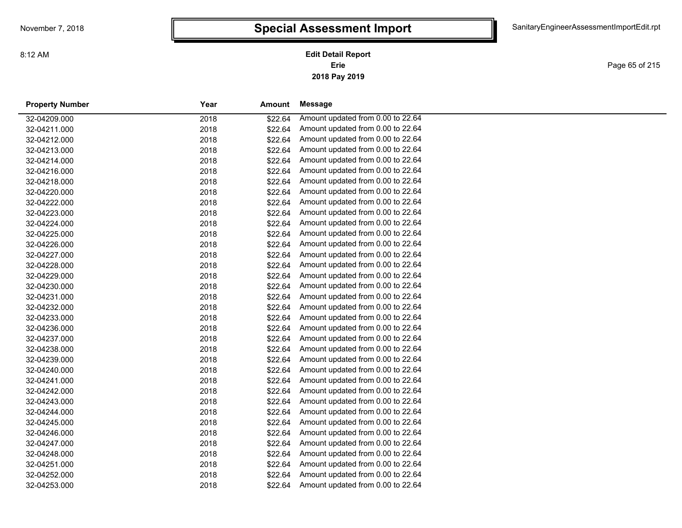Page 65 of 215

| <b>Property Number</b> | Year | <b>Amount</b> | Message                           |
|------------------------|------|---------------|-----------------------------------|
| 32-04209.000           | 2018 | \$22.64       | Amount updated from 0.00 to 22.64 |
| 32-04211.000           | 2018 | \$22.64       | Amount updated from 0.00 to 22.64 |
| 32-04212.000           | 2018 | \$22.64       | Amount updated from 0.00 to 22.64 |
| 32-04213.000           | 2018 | \$22.64       | Amount updated from 0.00 to 22.64 |
| 32-04214.000           | 2018 | \$22.64       | Amount updated from 0.00 to 22.64 |
| 32-04216.000           | 2018 | \$22.64       | Amount updated from 0.00 to 22.64 |
| 32-04218.000           | 2018 | \$22.64       | Amount updated from 0.00 to 22.64 |
| 32-04220.000           | 2018 | \$22.64       | Amount updated from 0.00 to 22.64 |
| 32-04222.000           | 2018 | \$22.64       | Amount updated from 0.00 to 22.64 |
| 32-04223.000           | 2018 | \$22.64       | Amount updated from 0.00 to 22.64 |
| 32-04224.000           | 2018 | \$22.64       | Amount updated from 0.00 to 22.64 |
| 32-04225.000           | 2018 | \$22.64       | Amount updated from 0.00 to 22.64 |
| 32-04226.000           | 2018 | \$22.64       | Amount updated from 0.00 to 22.64 |
| 32-04227.000           | 2018 | \$22.64       | Amount updated from 0.00 to 22.64 |
| 32-04228.000           | 2018 | \$22.64       | Amount updated from 0.00 to 22.64 |
| 32-04229.000           | 2018 | \$22.64       | Amount updated from 0.00 to 22.64 |
| 32-04230.000           | 2018 | \$22.64       | Amount updated from 0.00 to 22.64 |
| 32-04231.000           | 2018 | \$22.64       | Amount updated from 0.00 to 22.64 |
| 32-04232.000           | 2018 | \$22.64       | Amount updated from 0.00 to 22.64 |
| 32-04233.000           | 2018 | \$22.64       | Amount updated from 0.00 to 22.64 |
| 32-04236.000           | 2018 | \$22.64       | Amount updated from 0.00 to 22.64 |
| 32-04237.000           | 2018 | \$22.64       | Amount updated from 0.00 to 22.64 |
| 32-04238.000           | 2018 | \$22.64       | Amount updated from 0.00 to 22.64 |
| 32-04239.000           | 2018 | \$22.64       | Amount updated from 0.00 to 22.64 |
| 32-04240.000           | 2018 | \$22.64       | Amount updated from 0.00 to 22.64 |
| 32-04241.000           | 2018 | \$22.64       | Amount updated from 0.00 to 22.64 |
| 32-04242.000           | 2018 | \$22.64       | Amount updated from 0.00 to 22.64 |
| 32-04243.000           | 2018 | \$22.64       | Amount updated from 0.00 to 22.64 |
| 32-04244.000           | 2018 | \$22.64       | Amount updated from 0.00 to 22.64 |
| 32-04245.000           | 2018 | \$22.64       | Amount updated from 0.00 to 22.64 |
| 32-04246.000           | 2018 | \$22.64       | Amount updated from 0.00 to 22.64 |
| 32-04247.000           | 2018 | \$22.64       | Amount updated from 0.00 to 22.64 |
| 32-04248.000           | 2018 | \$22.64       | Amount updated from 0.00 to 22.64 |
| 32-04251.000           | 2018 | \$22.64       | Amount updated from 0.00 to 22.64 |
| 32-04252.000           | 2018 | \$22.64       | Amount updated from 0.00 to 22.64 |
| 32-04253.000           | 2018 | \$22.64       | Amount updated from 0.00 to 22.64 |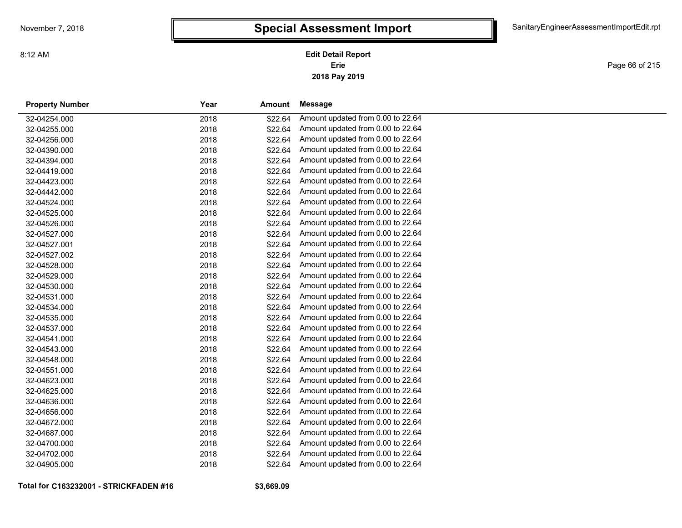Page 66 of 215

| <b>Property Number</b> | Year | <b>Amount</b> | Message                           |
|------------------------|------|---------------|-----------------------------------|
| 32-04254.000           | 2018 | \$22.64       | Amount updated from 0.00 to 22.64 |
| 32-04255.000           | 2018 | \$22.64       | Amount updated from 0.00 to 22.64 |
| 32-04256.000           | 2018 | \$22.64       | Amount updated from 0.00 to 22.64 |
| 32-04390.000           | 2018 | \$22.64       | Amount updated from 0.00 to 22.64 |
| 32-04394.000           | 2018 | \$22.64       | Amount updated from 0.00 to 22.64 |
| 32-04419.000           | 2018 | \$22.64       | Amount updated from 0.00 to 22.64 |
| 32-04423.000           | 2018 | \$22.64       | Amount updated from 0.00 to 22.64 |
| 32-04442.000           | 2018 | \$22.64       | Amount updated from 0.00 to 22.64 |
| 32-04524.000           | 2018 | \$22.64       | Amount updated from 0.00 to 22.64 |
| 32-04525.000           | 2018 | \$22.64       | Amount updated from 0.00 to 22.64 |
| 32-04526.000           | 2018 | \$22.64       | Amount updated from 0.00 to 22.64 |
| 32-04527.000           | 2018 | \$22.64       | Amount updated from 0.00 to 22.64 |
| 32-04527.001           | 2018 | \$22.64       | Amount updated from 0.00 to 22.64 |
| 32-04527.002           | 2018 | \$22.64       | Amount updated from 0.00 to 22.64 |
| 32-04528.000           | 2018 | \$22.64       | Amount updated from 0.00 to 22.64 |
| 32-04529.000           | 2018 | \$22.64       | Amount updated from 0.00 to 22.64 |
| 32-04530.000           | 2018 | \$22.64       | Amount updated from 0.00 to 22.64 |
| 32-04531.000           | 2018 | \$22.64       | Amount updated from 0.00 to 22.64 |
| 32-04534.000           | 2018 | \$22.64       | Amount updated from 0.00 to 22.64 |
| 32-04535.000           | 2018 | \$22.64       | Amount updated from 0.00 to 22.64 |
| 32-04537.000           | 2018 | \$22.64       | Amount updated from 0.00 to 22.64 |
| 32-04541.000           | 2018 | \$22.64       | Amount updated from 0.00 to 22.64 |
| 32-04543.000           | 2018 | \$22.64       | Amount updated from 0.00 to 22.64 |
| 32-04548.000           | 2018 | \$22.64       | Amount updated from 0.00 to 22.64 |
| 32-04551.000           | 2018 | \$22.64       | Amount updated from 0.00 to 22.64 |
| 32-04623.000           | 2018 | \$22.64       | Amount updated from 0.00 to 22.64 |
| 32-04625.000           | 2018 | \$22.64       | Amount updated from 0.00 to 22.64 |
| 32-04636.000           | 2018 | \$22.64       | Amount updated from 0.00 to 22.64 |
| 32-04656.000           | 2018 | \$22.64       | Amount updated from 0.00 to 22.64 |
| 32-04672.000           | 2018 | \$22.64       | Amount updated from 0.00 to 22.64 |
| 32-04687.000           | 2018 | \$22.64       | Amount updated from 0.00 to 22.64 |
| 32-04700.000           | 2018 | \$22.64       | Amount updated from 0.00 to 22.64 |
| 32-04702.000           | 2018 | \$22.64       | Amount updated from 0.00 to 22.64 |
| 32-04905.000           | 2018 | \$22.64       | Amount updated from 0.00 to 22.64 |

**Total for C163232001 - STRICKFADEN #16**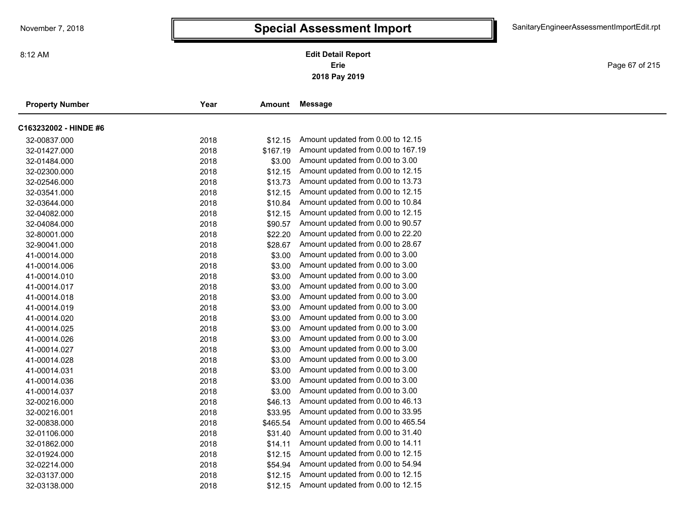Page 67 of 215

 $\overline{\phantom{0}}$ 

| <b>Property Number</b> | Year | Amount   | Message                            |  |
|------------------------|------|----------|------------------------------------|--|
| C163232002 - HINDE #6  |      |          |                                    |  |
| 32-00837.000           | 2018 | \$12.15  | Amount updated from 0.00 to 12.15  |  |
| 32-01427.000           | 2018 | \$167.19 | Amount updated from 0.00 to 167.19 |  |
| 32-01484.000           | 2018 | \$3.00   | Amount updated from 0.00 to 3.00   |  |
| 32-02300.000           | 2018 | \$12.15  | Amount updated from 0.00 to 12.15  |  |
| 32-02546.000           | 2018 | \$13.73  | Amount updated from 0.00 to 13.73  |  |
| 32-03541.000           | 2018 | \$12.15  | Amount updated from 0.00 to 12.15  |  |
| 32-03644.000           | 2018 | \$10.84  | Amount updated from 0.00 to 10.84  |  |
| 32-04082.000           | 2018 | \$12.15  | Amount updated from 0.00 to 12.15  |  |
| 32-04084.000           | 2018 | \$90.57  | Amount updated from 0.00 to 90.57  |  |
| 32-80001.000           | 2018 | \$22.20  | Amount updated from 0.00 to 22.20  |  |
| 32-90041.000           | 2018 | \$28.67  | Amount updated from 0.00 to 28.67  |  |
| 41-00014.000           | 2018 | \$3.00   | Amount updated from 0.00 to 3.00   |  |
| 41-00014.006           | 2018 | \$3.00   | Amount updated from 0.00 to 3.00   |  |
| 41-00014.010           | 2018 | \$3.00   | Amount updated from 0.00 to 3.00   |  |
| 41-00014.017           | 2018 | \$3.00   | Amount updated from 0.00 to 3.00   |  |
| 41-00014.018           | 2018 | \$3.00   | Amount updated from 0.00 to 3.00   |  |
| 41-00014.019           | 2018 | \$3.00   | Amount updated from 0.00 to 3.00   |  |
| 41-00014.020           | 2018 | \$3.00   | Amount updated from 0.00 to 3.00   |  |
| 41-00014.025           | 2018 | \$3.00   | Amount updated from 0.00 to 3.00   |  |
| 41-00014.026           | 2018 | \$3.00   | Amount updated from 0.00 to 3.00   |  |
| 41-00014.027           | 2018 | \$3.00   | Amount updated from 0.00 to 3.00   |  |
| 41-00014.028           | 2018 | \$3.00   | Amount updated from 0.00 to 3.00   |  |
| 41-00014.031           | 2018 | \$3.00   | Amount updated from 0.00 to 3.00   |  |
| 41-00014.036           | 2018 | \$3.00   | Amount updated from 0.00 to 3.00   |  |
| 41-00014.037           | 2018 | \$3.00   | Amount updated from 0.00 to 3.00   |  |
| 32-00216.000           | 2018 | \$46.13  | Amount updated from 0.00 to 46.13  |  |
| 32-00216.001           | 2018 | \$33.95  | Amount updated from 0.00 to 33.95  |  |
| 32-00838.000           | 2018 | \$465.54 | Amount updated from 0.00 to 465.54 |  |
| 32-01106.000           | 2018 | \$31.40  | Amount updated from 0.00 to 31.40  |  |
| 32-01862.000           | 2018 | \$14.11  | Amount updated from 0.00 to 14.11  |  |
| 32-01924.000           | 2018 | \$12.15  | Amount updated from 0.00 to 12.15  |  |
| 32-02214.000           | 2018 | \$54.94  | Amount updated from 0.00 to 54.94  |  |
| 32-03137.000           | 2018 | \$12.15  | Amount updated from 0.00 to 12.15  |  |
| 32-03138.000           | 2018 | \$12.15  | Amount updated from 0.00 to 12.15  |  |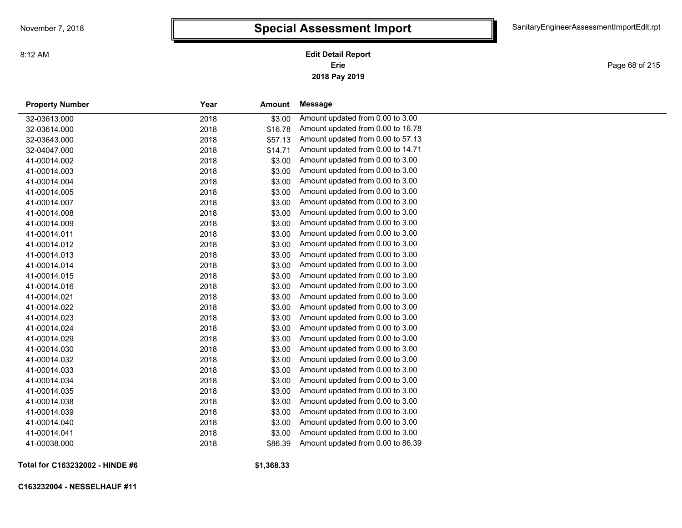Page 68 of 215

| <b>Property Number</b> | Year | Amount  | Message                           |
|------------------------|------|---------|-----------------------------------|
| 32-03613.000           | 2018 | \$3.00  | Amount updated from 0.00 to 3.00  |
| 32-03614.000           | 2018 | \$16.78 | Amount updated from 0.00 to 16.78 |
| 32-03643.000           | 2018 | \$57.13 | Amount updated from 0.00 to 57.13 |
| 32-04047.000           | 2018 | \$14.71 | Amount updated from 0.00 to 14.71 |
| 41-00014.002           | 2018 | \$3.00  | Amount updated from 0.00 to 3.00  |
| 41-00014.003           | 2018 | \$3.00  | Amount updated from 0.00 to 3.00  |
| 41-00014.004           | 2018 | \$3.00  | Amount updated from 0.00 to 3.00  |
| 41-00014.005           | 2018 | \$3.00  | Amount updated from 0.00 to 3.00  |
| 41-00014.007           | 2018 | \$3.00  | Amount updated from 0.00 to 3.00  |
| 41-00014.008           | 2018 | \$3.00  | Amount updated from 0.00 to 3.00  |
| 41-00014.009           | 2018 | \$3.00  | Amount updated from 0.00 to 3.00  |
| 41-00014.011           | 2018 | \$3.00  | Amount updated from 0.00 to 3.00  |
| 41-00014.012           | 2018 | \$3.00  | Amount updated from 0.00 to 3.00  |
| 41-00014.013           | 2018 | \$3.00  | Amount updated from 0.00 to 3.00  |
| 41-00014.014           | 2018 | \$3.00  | Amount updated from 0.00 to 3.00  |
| 41-00014.015           | 2018 | \$3.00  | Amount updated from 0.00 to 3.00  |
| 41-00014.016           | 2018 | \$3.00  | Amount updated from 0.00 to 3.00  |
| 41-00014.021           | 2018 | \$3.00  | Amount updated from 0.00 to 3.00  |
| 41-00014.022           | 2018 | \$3.00  | Amount updated from 0.00 to 3.00  |
| 41-00014.023           | 2018 | \$3.00  | Amount updated from 0.00 to 3.00  |
| 41-00014.024           | 2018 | \$3.00  | Amount updated from 0.00 to 3.00  |
| 41-00014.029           | 2018 | \$3.00  | Amount updated from 0.00 to 3.00  |
| 41-00014.030           | 2018 | \$3.00  | Amount updated from 0.00 to 3.00  |
| 41-00014.032           | 2018 | \$3.00  | Amount updated from 0.00 to 3.00  |
| 41-00014.033           | 2018 | \$3.00  | Amount updated from 0.00 to 3.00  |
| 41-00014.034           | 2018 | \$3.00  | Amount updated from 0.00 to 3.00  |
| 41-00014.035           | 2018 | \$3.00  | Amount updated from 0.00 to 3.00  |
| 41-00014.038           | 2018 | \$3.00  | Amount updated from 0.00 to 3.00  |
| 41-00014.039           | 2018 | \$3.00  | Amount updated from 0.00 to 3.00  |
| 41-00014.040           | 2018 | \$3.00  | Amount updated from 0.00 to 3.00  |
| 41-00014.041           | 2018 | \$3.00  | Amount updated from 0.00 to 3.00  |
| 41-00038.000           | 2018 | \$86.39 | Amount updated from 0.00 to 86.39 |
|                        |      |         |                                   |

**Total for C163232002 - HINDE #6**

**\$1,368.33**

**C163232004 - NESSELHAUF #11**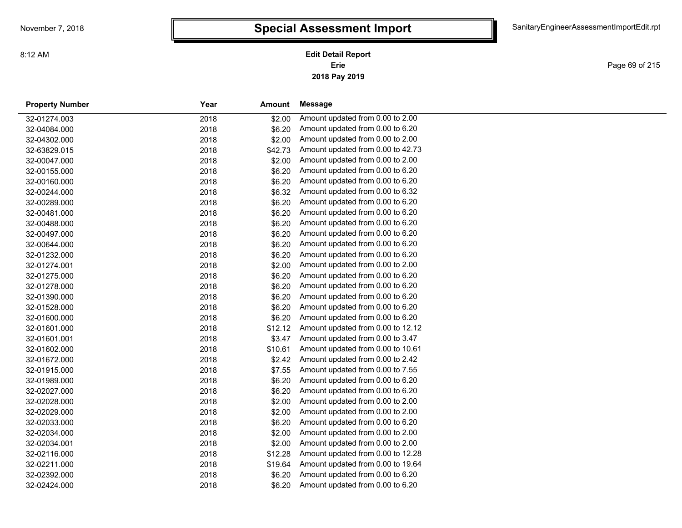**2018 Pay 2019 Erie Edit Detail Report**

Page 69 of 215

| <b>Property Number</b> | Year | Amount  | Message                           |
|------------------------|------|---------|-----------------------------------|
| 32-01274.003           | 2018 | \$2.00  | Amount updated from 0.00 to 2.00  |
| 32-04084.000           | 2018 | \$6.20  | Amount updated from 0.00 to 6.20  |
| 32-04302.000           | 2018 | \$2.00  | Amount updated from 0.00 to 2.00  |
| 32-63829.015           | 2018 | \$42.73 | Amount updated from 0.00 to 42.73 |
| 32-00047.000           | 2018 | \$2.00  | Amount updated from 0.00 to 2.00  |
| 32-00155.000           | 2018 | \$6.20  | Amount updated from 0.00 to 6.20  |
| 32-00160.000           | 2018 | \$6.20  | Amount updated from 0.00 to 6.20  |
| 32-00244.000           | 2018 | \$6.32  | Amount updated from 0.00 to 6.32  |
| 32-00289.000           | 2018 | \$6.20  | Amount updated from 0.00 to 6.20  |
| 32-00481.000           | 2018 | \$6.20  | Amount updated from 0.00 to 6.20  |
| 32-00488.000           | 2018 | \$6.20  | Amount updated from 0.00 to 6.20  |
| 32-00497.000           | 2018 | \$6.20  | Amount updated from 0.00 to 6.20  |
| 32-00644.000           | 2018 | \$6.20  | Amount updated from 0.00 to 6.20  |
| 32-01232.000           | 2018 | \$6.20  | Amount updated from 0.00 to 6.20  |
| 32-01274.001           | 2018 | \$2.00  | Amount updated from 0.00 to 2.00  |
| 32-01275.000           | 2018 | \$6.20  | Amount updated from 0.00 to 6.20  |
| 32-01278.000           | 2018 | \$6.20  | Amount updated from 0.00 to 6.20  |
| 32-01390.000           | 2018 | \$6.20  | Amount updated from 0.00 to 6.20  |
| 32-01528.000           | 2018 | \$6.20  | Amount updated from 0.00 to 6.20  |
| 32-01600.000           | 2018 | \$6.20  | Amount updated from 0.00 to 6.20  |
| 32-01601.000           | 2018 | \$12.12 | Amount updated from 0.00 to 12.12 |
| 32-01601.001           | 2018 | \$3.47  | Amount updated from 0.00 to 3.47  |
| 32-01602.000           | 2018 | \$10.61 | Amount updated from 0.00 to 10.61 |
| 32-01672.000           | 2018 | \$2.42  | Amount updated from 0.00 to 2.42  |
| 32-01915.000           | 2018 | \$7.55  | Amount updated from 0.00 to 7.55  |
| 32-01989.000           | 2018 | \$6.20  | Amount updated from 0.00 to 6.20  |
| 32-02027.000           | 2018 | \$6.20  | Amount updated from 0.00 to 6.20  |
| 32-02028.000           | 2018 | \$2.00  | Amount updated from 0.00 to 2.00  |
| 32-02029.000           | 2018 | \$2.00  | Amount updated from 0.00 to 2.00  |
| 32-02033.000           | 2018 | \$6.20  | Amount updated from 0.00 to 6.20  |
| 32-02034.000           | 2018 | \$2.00  | Amount updated from 0.00 to 2.00  |
| 32-02034.001           | 2018 | \$2.00  | Amount updated from 0.00 to 2.00  |
| 32-02116.000           | 2018 | \$12.28 | Amount updated from 0.00 to 12.28 |
| 32-02211.000           | 2018 | \$19.64 | Amount updated from 0.00 to 19.64 |
| 32-02392.000           | 2018 | \$6.20  | Amount updated from 0.00 to 6.20  |
| 32-02424.000           | 2018 | \$6.20  | Amount updated from 0.00 to 6.20  |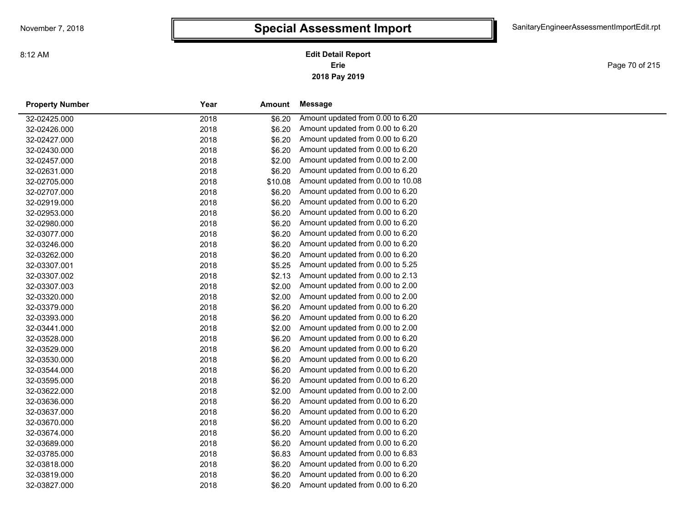**2018 Pay 2019 Erie Edit Detail Report**

Page 70 of 215

| <b>Property Number</b> | Year | <b>Amount</b> | Message                           |
|------------------------|------|---------------|-----------------------------------|
| 32-02425.000           | 2018 | \$6.20        | Amount updated from 0.00 to 6.20  |
| 32-02426.000           | 2018 | \$6.20        | Amount updated from 0.00 to 6.20  |
| 32-02427.000           | 2018 | \$6.20        | Amount updated from 0.00 to 6.20  |
| 32-02430.000           | 2018 | \$6.20        | Amount updated from 0.00 to 6.20  |
| 32-02457.000           | 2018 | \$2.00        | Amount updated from 0.00 to 2.00  |
| 32-02631.000           | 2018 | \$6.20        | Amount updated from 0.00 to 6.20  |
| 32-02705.000           | 2018 | \$10.08       | Amount updated from 0.00 to 10.08 |
| 32-02707.000           | 2018 | \$6.20        | Amount updated from 0.00 to 6.20  |
| 32-02919.000           | 2018 | \$6.20        | Amount updated from 0.00 to 6.20  |
| 32-02953.000           | 2018 | \$6.20        | Amount updated from 0.00 to 6.20  |
| 32-02980.000           | 2018 | \$6.20        | Amount updated from 0.00 to 6.20  |
| 32-03077.000           | 2018 | \$6.20        | Amount updated from 0.00 to 6.20  |
| 32-03246.000           | 2018 | \$6.20        | Amount updated from 0.00 to 6.20  |
| 32-03262.000           | 2018 | \$6.20        | Amount updated from 0.00 to 6.20  |
| 32-03307.001           | 2018 | \$5.25        | Amount updated from 0.00 to 5.25  |
| 32-03307.002           | 2018 | \$2.13        | Amount updated from 0.00 to 2.13  |
| 32-03307.003           | 2018 | \$2.00        | Amount updated from 0.00 to 2.00  |
| 32-03320.000           | 2018 | \$2.00        | Amount updated from 0.00 to 2.00  |
| 32-03379.000           | 2018 | \$6.20        | Amount updated from 0.00 to 6.20  |
| 32-03393.000           | 2018 | \$6.20        | Amount updated from 0.00 to 6.20  |
| 32-03441.000           | 2018 | \$2.00        | Amount updated from 0.00 to 2.00  |
| 32-03528.000           | 2018 | \$6.20        | Amount updated from 0.00 to 6.20  |
| 32-03529.000           | 2018 | \$6.20        | Amount updated from 0.00 to 6.20  |
| 32-03530.000           | 2018 | \$6.20        | Amount updated from 0.00 to 6.20  |
| 32-03544.000           | 2018 | \$6.20        | Amount updated from 0.00 to 6.20  |
| 32-03595.000           | 2018 | \$6.20        | Amount updated from 0.00 to 6.20  |
| 32-03622.000           | 2018 | \$2.00        | Amount updated from 0.00 to 2.00  |
| 32-03636.000           | 2018 | \$6.20        | Amount updated from 0.00 to 6.20  |
| 32-03637.000           | 2018 | \$6.20        | Amount updated from 0.00 to 6.20  |
| 32-03670.000           | 2018 | \$6.20        | Amount updated from 0.00 to 6.20  |
| 32-03674.000           | 2018 | \$6.20        | Amount updated from 0.00 to 6.20  |
| 32-03689.000           | 2018 | \$6.20        | Amount updated from 0.00 to 6.20  |
| 32-03785.000           | 2018 | \$6.83        | Amount updated from 0.00 to 6.83  |
| 32-03818.000           | 2018 | \$6.20        | Amount updated from 0.00 to 6.20  |
| 32-03819.000           | 2018 | \$6.20        | Amount updated from 0.00 to 6.20  |
| 32-03827.000           | 2018 | \$6.20        | Amount updated from 0.00 to 6.20  |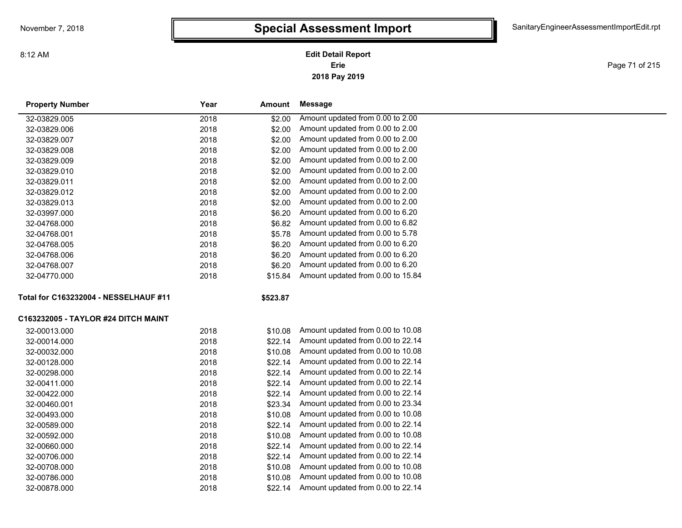8:12 AM

#### **2018 Pay 2019 Erie Edit Detail Report**

Page 71 of 215

| <b>Property Number</b>                | Year | Amount   | Message                           |
|---------------------------------------|------|----------|-----------------------------------|
| 32-03829.005                          | 2018 | \$2.00   | Amount updated from 0.00 to 2.00  |
| 32-03829.006                          | 2018 | \$2.00   | Amount updated from 0.00 to 2.00  |
| 32-03829.007                          | 2018 | \$2.00   | Amount updated from 0.00 to 2.00  |
| 32-03829.008                          | 2018 | \$2.00   | Amount updated from 0.00 to 2.00  |
| 32-03829.009                          | 2018 | \$2.00   | Amount updated from 0.00 to 2.00  |
| 32-03829.010                          | 2018 | \$2.00   | Amount updated from 0.00 to 2.00  |
| 32-03829.011                          | 2018 | \$2.00   | Amount updated from 0.00 to 2.00  |
| 32-03829.012                          | 2018 | \$2.00   | Amount updated from 0.00 to 2.00  |
| 32-03829.013                          | 2018 | \$2.00   | Amount updated from 0.00 to 2.00  |
| 32-03997.000                          | 2018 | \$6.20   | Amount updated from 0.00 to 6.20  |
| 32-04768.000                          | 2018 | \$6.82   | Amount updated from 0.00 to 6.82  |
| 32-04768.001                          | 2018 | \$5.78   | Amount updated from 0.00 to 5.78  |
| 32-04768.005                          | 2018 | \$6.20   | Amount updated from 0.00 to 6.20  |
| 32-04768.006                          | 2018 | \$6.20   | Amount updated from 0.00 to 6.20  |
| 32-04768.007                          | 2018 | \$6.20   | Amount updated from 0.00 to 6.20  |
| 32-04770.000                          | 2018 | \$15.84  | Amount updated from 0.00 to 15.84 |
| Total for C163232004 - NESSELHAUF #11 |      | \$523.87 |                                   |
| C163232005 - TAYLOR #24 DITCH MAINT   |      |          |                                   |
| 32-00013.000                          | 2018 | \$10.08  | Amount updated from 0.00 to 10.08 |
| 32-00014.000                          | 2018 | \$22.14  | Amount updated from 0.00 to 22.14 |
| 32-00032.000                          | 2018 | \$10.08  | Amount updated from 0.00 to 10.08 |
| 32-00128.000                          | 2018 | \$22.14  | Amount updated from 0.00 to 22.14 |
| 32-00298.000                          | 2018 | \$22.14  | Amount updated from 0.00 to 22.14 |
| 32-00411.000                          | 2018 | \$22.14  | Amount updated from 0.00 to 22.14 |
| 32-00422.000                          | 2018 | \$22.14  | Amount updated from 0.00 to 22.14 |
| 32-00460.001                          | 2018 | \$23.34  | Amount updated from 0.00 to 23.34 |
| 32-00493.000                          | 2018 | \$10.08  | Amount updated from 0.00 to 10.08 |
| 32-00589.000                          | 2018 | \$22.14  | Amount updated from 0.00 to 22.14 |
| 32-00592.000                          | 2018 | \$10.08  | Amount updated from 0.00 to 10.08 |
| 32-00660.000                          | 2018 | \$22.14  | Amount updated from 0.00 to 22.14 |
| 32-00706.000                          | 2018 | \$22.14  | Amount updated from 0.00 to 22.14 |
| 32-00708.000                          | 2018 | \$10.08  | Amount updated from 0.00 to 10.08 |
| 32-00786.000                          | 2018 | \$10.08  | Amount updated from 0.00 to 10.08 |
| 32-00878.000                          | 2018 | \$22.14  | Amount updated from 0.00 to 22.14 |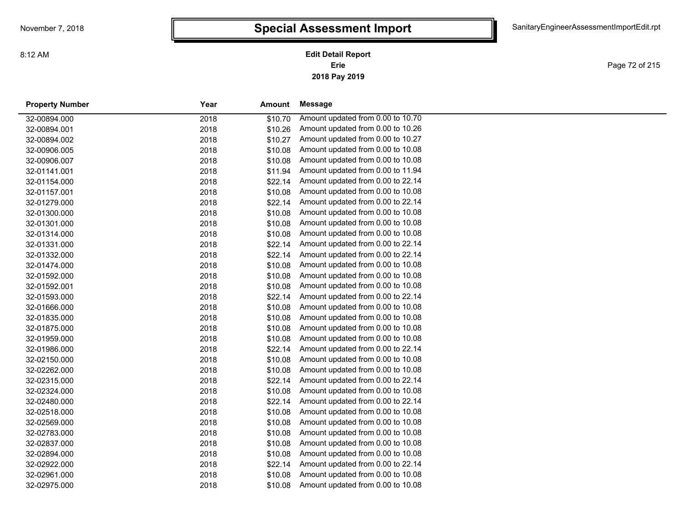Page 72 of 215

| <b>Property Number</b> | Year | <b>Amount</b> | Message                           |
|------------------------|------|---------------|-----------------------------------|
| 32-00894.000           | 2018 | \$10.70       | Amount updated from 0.00 to 10.70 |
| 32-00894.001           | 2018 | \$10.26       | Amount updated from 0.00 to 10.26 |
| 32-00894.002           | 2018 | \$10.27       | Amount updated from 0.00 to 10.27 |
| 32-00906.005           | 2018 | \$10.08       | Amount updated from 0.00 to 10.08 |
| 32-00906.007           | 2018 | \$10.08       | Amount updated from 0.00 to 10.08 |
| 32-01141.001           | 2018 | \$11.94       | Amount updated from 0.00 to 11.94 |
| 32-01154.000           | 2018 | \$22.14       | Amount updated from 0.00 to 22.14 |
| 32-01157.001           | 2018 | \$10.08       | Amount updated from 0.00 to 10.08 |
| 32-01279.000           | 2018 | \$22.14       | Amount updated from 0.00 to 22.14 |
| 32-01300.000           | 2018 | \$10.08       | Amount updated from 0.00 to 10.08 |
| 32-01301.000           | 2018 | \$10.08       | Amount updated from 0.00 to 10.08 |
| 32-01314.000           | 2018 | \$10.08       | Amount updated from 0.00 to 10.08 |
| 32-01331.000           | 2018 | \$22.14       | Amount updated from 0.00 to 22.14 |
| 32-01332.000           | 2018 | \$22.14       | Amount updated from 0.00 to 22.14 |
| 32-01474.000           | 2018 | \$10.08       | Amount updated from 0.00 to 10.08 |
| 32-01592.000           | 2018 | \$10.08       | Amount updated from 0.00 to 10.08 |
| 32-01592.001           | 2018 | \$10.08       | Amount updated from 0.00 to 10.08 |
| 32-01593.000           | 2018 | \$22.14       | Amount updated from 0.00 to 22.14 |
| 32-01666.000           | 2018 | \$10.08       | Amount updated from 0.00 to 10.08 |
| 32-01835.000           | 2018 | \$10.08       | Amount updated from 0.00 to 10.08 |
| 32-01875.000           | 2018 | \$10.08       | Amount updated from 0.00 to 10.08 |
| 32-01959.000           | 2018 | \$10.08       | Amount updated from 0.00 to 10.08 |
| 32-01986.000           | 2018 | \$22.14       | Amount updated from 0.00 to 22.14 |
| 32-02150.000           | 2018 | \$10.08       | Amount updated from 0.00 to 10.08 |
| 32-02262.000           | 2018 | \$10.08       | Amount updated from 0.00 to 10.08 |
| 32-02315.000           | 2018 | \$22.14       | Amount updated from 0.00 to 22.14 |
| 32-02324.000           | 2018 | \$10.08       | Amount updated from 0.00 to 10.08 |
| 32-02480.000           | 2018 | \$22.14       | Amount updated from 0.00 to 22.14 |
| 32-02518.000           | 2018 | \$10.08       | Amount updated from 0.00 to 10.08 |
| 32-02569.000           | 2018 | \$10.08       | Amount updated from 0.00 to 10.08 |
| 32-02783.000           | 2018 | \$10.08       | Amount updated from 0.00 to 10.08 |
| 32-02837.000           | 2018 | \$10.08       | Amount updated from 0.00 to 10.08 |
| 32-02894.000           | 2018 | \$10.08       | Amount updated from 0.00 to 10.08 |
| 32-02922.000           | 2018 | \$22.14       | Amount updated from 0.00 to 22.14 |
| 32-02961.000           | 2018 | \$10.08       | Amount updated from 0.00 to 10.08 |
| 32-02975.000           | 2018 | \$10.08       | Amount updated from 0.00 to 10.08 |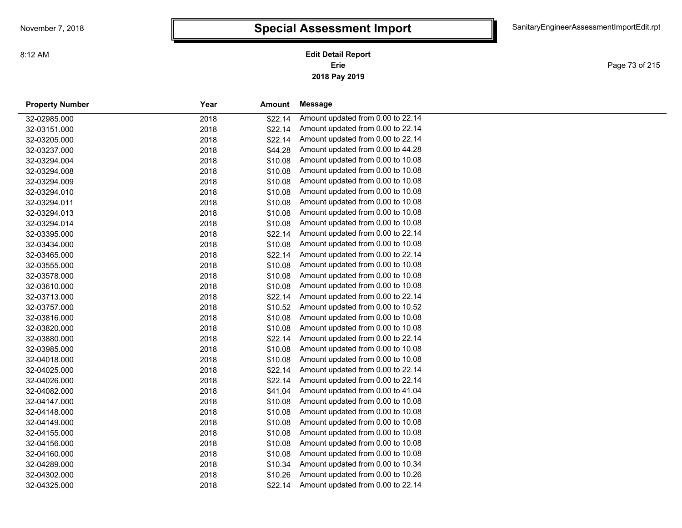**2018 Pay 2019 Erie Edit Detail Report**

Page 73 of 215

| <b>Property Number</b> | Year | Amount  | Message                           |
|------------------------|------|---------|-----------------------------------|
| 32-02985.000           | 2018 | \$22.14 | Amount updated from 0.00 to 22.14 |
| 32-03151.000           | 2018 | \$22.14 | Amount updated from 0.00 to 22.14 |
| 32-03205.000           | 2018 | \$22.14 | Amount updated from 0.00 to 22.14 |
| 32-03237.000           | 2018 | \$44.28 | Amount updated from 0.00 to 44.28 |
| 32-03294.004           | 2018 | \$10.08 | Amount updated from 0.00 to 10.08 |
| 32-03294.008           | 2018 | \$10.08 | Amount updated from 0.00 to 10.08 |
| 32-03294.009           | 2018 | \$10.08 | Amount updated from 0.00 to 10.08 |
| 32-03294.010           | 2018 | \$10.08 | Amount updated from 0.00 to 10.08 |
| 32-03294.011           | 2018 | \$10.08 | Amount updated from 0.00 to 10.08 |
| 32-03294.013           | 2018 | \$10.08 | Amount updated from 0.00 to 10.08 |
| 32-03294.014           | 2018 | \$10.08 | Amount updated from 0.00 to 10.08 |
| 32-03395.000           | 2018 | \$22.14 | Amount updated from 0.00 to 22.14 |
| 32-03434.000           | 2018 | \$10.08 | Amount updated from 0.00 to 10.08 |
| 32-03465.000           | 2018 | \$22.14 | Amount updated from 0.00 to 22.14 |
| 32-03555.000           | 2018 | \$10.08 | Amount updated from 0.00 to 10.08 |
| 32-03578.000           | 2018 | \$10.08 | Amount updated from 0.00 to 10.08 |
| 32-03610.000           | 2018 | \$10.08 | Amount updated from 0.00 to 10.08 |
| 32-03713.000           | 2018 | \$22.14 | Amount updated from 0.00 to 22.14 |
| 32-03757.000           | 2018 | \$10.52 | Amount updated from 0.00 to 10.52 |
| 32-03816.000           | 2018 | \$10.08 | Amount updated from 0.00 to 10.08 |
| 32-03820.000           | 2018 | \$10.08 | Amount updated from 0.00 to 10.08 |
| 32-03880.000           | 2018 | \$22.14 | Amount updated from 0.00 to 22.14 |
| 32-03985.000           | 2018 | \$10.08 | Amount updated from 0.00 to 10.08 |
| 32-04018.000           | 2018 | \$10.08 | Amount updated from 0.00 to 10.08 |
| 32-04025.000           | 2018 | \$22.14 | Amount updated from 0.00 to 22.14 |
| 32-04026.000           | 2018 | \$22.14 | Amount updated from 0.00 to 22.14 |
| 32-04082.000           | 2018 | \$41.04 | Amount updated from 0.00 to 41.04 |
| 32-04147.000           | 2018 | \$10.08 | Amount updated from 0.00 to 10.08 |
| 32-04148.000           | 2018 | \$10.08 | Amount updated from 0.00 to 10.08 |
| 32-04149.000           | 2018 | \$10.08 | Amount updated from 0.00 to 10.08 |
| 32-04155.000           | 2018 | \$10.08 | Amount updated from 0.00 to 10.08 |
| 32-04156.000           | 2018 | \$10.08 | Amount updated from 0.00 to 10.08 |
| 32-04160.000           | 2018 | \$10.08 | Amount updated from 0.00 to 10.08 |
| 32-04289.000           | 2018 | \$10.34 | Amount updated from 0.00 to 10.34 |
| 32-04302.000           | 2018 | \$10.26 | Amount updated from 0.00 to 10.26 |
| 32-04325.000           | 2018 | \$22.14 | Amount updated from 0.00 to 22.14 |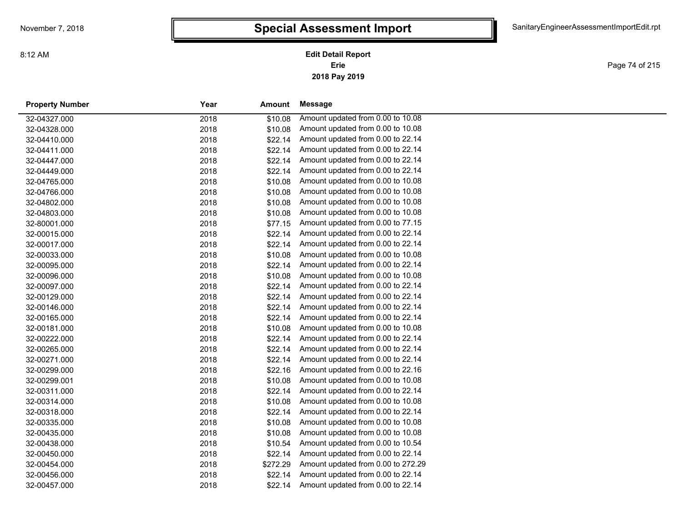Page 74 of 215

| <b>Property Number</b> | Year | Amount   | Message                            |
|------------------------|------|----------|------------------------------------|
| 32-04327.000           | 2018 | \$10.08  | Amount updated from 0.00 to 10.08  |
| 32-04328.000           | 2018 | \$10.08  | Amount updated from 0.00 to 10.08  |
| 32-04410.000           | 2018 | \$22.14  | Amount updated from 0.00 to 22.14  |
| 32-04411.000           | 2018 | \$22.14  | Amount updated from 0.00 to 22.14  |
| 32-04447.000           | 2018 | \$22.14  | Amount updated from 0.00 to 22.14  |
| 32-04449.000           | 2018 | \$22.14  | Amount updated from 0.00 to 22.14  |
| 32-04765.000           | 2018 | \$10.08  | Amount updated from 0.00 to 10.08  |
| 32-04766.000           | 2018 | \$10.08  | Amount updated from 0.00 to 10.08  |
| 32-04802.000           | 2018 | \$10.08  | Amount updated from 0.00 to 10.08  |
| 32-04803.000           | 2018 | \$10.08  | Amount updated from 0.00 to 10.08  |
| 32-80001.000           | 2018 | \$77.15  | Amount updated from 0.00 to 77.15  |
| 32-00015.000           | 2018 | \$22.14  | Amount updated from 0.00 to 22.14  |
| 32-00017.000           | 2018 | \$22.14  | Amount updated from 0.00 to 22.14  |
| 32-00033.000           | 2018 | \$10.08  | Amount updated from 0.00 to 10.08  |
| 32-00095.000           | 2018 | \$22.14  | Amount updated from 0.00 to 22.14  |
| 32-00096.000           | 2018 | \$10.08  | Amount updated from 0.00 to 10.08  |
| 32-00097.000           | 2018 | \$22.14  | Amount updated from 0.00 to 22.14  |
| 32-00129.000           | 2018 | \$22.14  | Amount updated from 0.00 to 22.14  |
| 32-00146.000           | 2018 | \$22.14  | Amount updated from 0.00 to 22.14  |
| 32-00165.000           | 2018 | \$22.14  | Amount updated from 0.00 to 22.14  |
| 32-00181.000           | 2018 | \$10.08  | Amount updated from 0.00 to 10.08  |
| 32-00222.000           | 2018 | \$22.14  | Amount updated from 0.00 to 22.14  |
| 32-00265.000           | 2018 | \$22.14  | Amount updated from 0.00 to 22.14  |
| 32-00271.000           | 2018 | \$22.14  | Amount updated from 0.00 to 22.14  |
| 32-00299.000           | 2018 | \$22.16  | Amount updated from 0.00 to 22.16  |
| 32-00299.001           | 2018 | \$10.08  | Amount updated from 0.00 to 10.08  |
| 32-00311.000           | 2018 | \$22.14  | Amount updated from 0.00 to 22.14  |
| 32-00314.000           | 2018 | \$10.08  | Amount updated from 0.00 to 10.08  |
| 32-00318.000           | 2018 | \$22.14  | Amount updated from 0.00 to 22.14  |
| 32-00335.000           | 2018 | \$10.08  | Amount updated from 0.00 to 10.08  |
| 32-00435.000           | 2018 | \$10.08  | Amount updated from 0.00 to 10.08  |
| 32-00438.000           | 2018 | \$10.54  | Amount updated from 0.00 to 10.54  |
| 32-00450.000           | 2018 | \$22.14  | Amount updated from 0.00 to 22.14  |
| 32-00454.000           | 2018 | \$272.29 | Amount updated from 0.00 to 272.29 |
| 32-00456.000           | 2018 | \$22.14  | Amount updated from 0.00 to 22.14  |
| 32-00457.000           | 2018 | \$22.14  | Amount updated from 0.00 to 22.14  |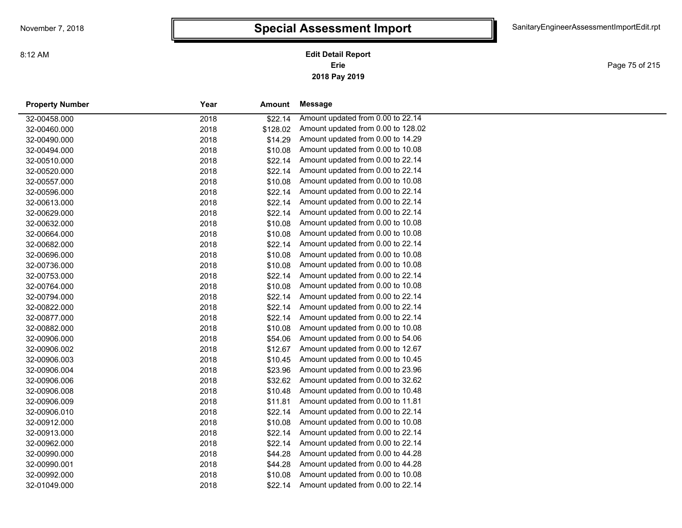**2018 Pay 2019 Erie Edit Detail Report**

Page 75 of 215

| <b>Property Number</b> | Year | Amount   | Message                            |
|------------------------|------|----------|------------------------------------|
| 32-00458.000           | 2018 | \$22.14  | Amount updated from 0.00 to 22.14  |
| 32-00460.000           | 2018 | \$128.02 | Amount updated from 0.00 to 128.02 |
| 32-00490.000           | 2018 | \$14.29  | Amount updated from 0.00 to 14.29  |
| 32-00494.000           | 2018 | \$10.08  | Amount updated from 0.00 to 10.08  |
| 32-00510.000           | 2018 | \$22.14  | Amount updated from 0.00 to 22.14  |
| 32-00520.000           | 2018 | \$22.14  | Amount updated from 0.00 to 22.14  |
| 32-00557.000           | 2018 | \$10.08  | Amount updated from 0.00 to 10.08  |
| 32-00596.000           | 2018 | \$22.14  | Amount updated from 0.00 to 22.14  |
| 32-00613.000           | 2018 | \$22.14  | Amount updated from 0.00 to 22.14  |
| 32-00629.000           | 2018 | \$22.14  | Amount updated from 0.00 to 22.14  |
| 32-00632.000           | 2018 | \$10.08  | Amount updated from 0.00 to 10.08  |
| 32-00664.000           | 2018 | \$10.08  | Amount updated from 0.00 to 10.08  |
| 32-00682.000           | 2018 | \$22.14  | Amount updated from 0.00 to 22.14  |
| 32-00696.000           | 2018 | \$10.08  | Amount updated from 0.00 to 10.08  |
| 32-00736.000           | 2018 | \$10.08  | Amount updated from 0.00 to 10.08  |
| 32-00753.000           | 2018 | \$22.14  | Amount updated from 0.00 to 22.14  |
| 32-00764.000           | 2018 | \$10.08  | Amount updated from 0.00 to 10.08  |
| 32-00794.000           | 2018 | \$22.14  | Amount updated from 0.00 to 22.14  |
| 32-00822.000           | 2018 | \$22.14  | Amount updated from 0.00 to 22.14  |
| 32-00877.000           | 2018 | \$22.14  | Amount updated from 0.00 to 22.14  |
| 32-00882.000           | 2018 | \$10.08  | Amount updated from 0.00 to 10.08  |
| 32-00906.000           | 2018 | \$54.06  | Amount updated from 0.00 to 54.06  |
| 32-00906.002           | 2018 | \$12.67  | Amount updated from 0.00 to 12.67  |
| 32-00906.003           | 2018 | \$10.45  | Amount updated from 0.00 to 10.45  |
| 32-00906.004           | 2018 | \$23.96  | Amount updated from 0.00 to 23.96  |
| 32-00906.006           | 2018 | \$32.62  | Amount updated from 0.00 to 32.62  |
| 32-00906.008           | 2018 | \$10.48  | Amount updated from 0.00 to 10.48  |
| 32-00906.009           | 2018 | \$11.81  | Amount updated from 0.00 to 11.81  |
| 32-00906.010           | 2018 | \$22.14  | Amount updated from 0.00 to 22.14  |
| 32-00912.000           | 2018 | \$10.08  | Amount updated from 0.00 to 10.08  |
| 32-00913.000           | 2018 | \$22.14  | Amount updated from 0.00 to 22.14  |
| 32-00962.000           | 2018 | \$22.14  | Amount updated from 0.00 to 22.14  |
| 32-00990.000           | 2018 | \$44.28  | Amount updated from 0.00 to 44.28  |
| 32-00990.001           | 2018 | \$44.28  | Amount updated from 0.00 to 44.28  |
| 32-00992.000           | 2018 | \$10.08  | Amount updated from 0.00 to 10.08  |
| 32-01049.000           | 2018 | \$22.14  | Amount updated from 0.00 to 22.14  |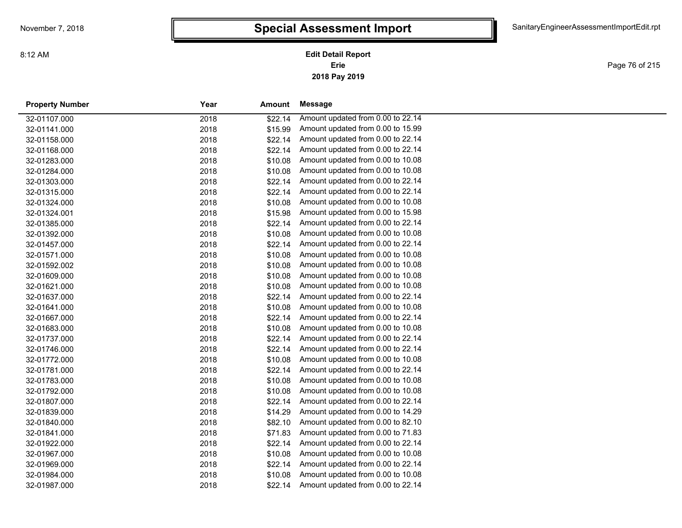**2018 Pay 2019 Erie Edit Detail Report**

Page 76 of 215

| <b>Property Number</b> | Year | Amount  | Message                           |
|------------------------|------|---------|-----------------------------------|
| 32-01107.000           | 2018 | \$22.14 | Amount updated from 0.00 to 22.14 |
| 32-01141.000           | 2018 | \$15.99 | Amount updated from 0.00 to 15.99 |
| 32-01158.000           | 2018 | \$22.14 | Amount updated from 0.00 to 22.14 |
| 32-01168.000           | 2018 | \$22.14 | Amount updated from 0.00 to 22.14 |
| 32-01283.000           | 2018 | \$10.08 | Amount updated from 0.00 to 10.08 |
| 32-01284.000           | 2018 | \$10.08 | Amount updated from 0.00 to 10.08 |
| 32-01303.000           | 2018 | \$22.14 | Amount updated from 0.00 to 22.14 |
| 32-01315.000           | 2018 | \$22.14 | Amount updated from 0.00 to 22.14 |
| 32-01324.000           | 2018 | \$10.08 | Amount updated from 0.00 to 10.08 |
| 32-01324.001           | 2018 | \$15.98 | Amount updated from 0.00 to 15.98 |
| 32-01385.000           | 2018 | \$22.14 | Amount updated from 0.00 to 22.14 |
| 32-01392.000           | 2018 | \$10.08 | Amount updated from 0.00 to 10.08 |
| 32-01457.000           | 2018 | \$22.14 | Amount updated from 0.00 to 22.14 |
| 32-01571.000           | 2018 | \$10.08 | Amount updated from 0.00 to 10.08 |
| 32-01592.002           | 2018 | \$10.08 | Amount updated from 0.00 to 10.08 |
| 32-01609.000           | 2018 | \$10.08 | Amount updated from 0.00 to 10.08 |
| 32-01621.000           | 2018 | \$10.08 | Amount updated from 0.00 to 10.08 |
| 32-01637.000           | 2018 | \$22.14 | Amount updated from 0.00 to 22.14 |
| 32-01641.000           | 2018 | \$10.08 | Amount updated from 0.00 to 10.08 |
| 32-01667.000           | 2018 | \$22.14 | Amount updated from 0.00 to 22.14 |
| 32-01683.000           | 2018 | \$10.08 | Amount updated from 0.00 to 10.08 |
| 32-01737.000           | 2018 | \$22.14 | Amount updated from 0.00 to 22.14 |
| 32-01746.000           | 2018 | \$22.14 | Amount updated from 0.00 to 22.14 |
| 32-01772.000           | 2018 | \$10.08 | Amount updated from 0.00 to 10.08 |
| 32-01781.000           | 2018 | \$22.14 | Amount updated from 0.00 to 22.14 |
| 32-01783.000           | 2018 | \$10.08 | Amount updated from 0.00 to 10.08 |
| 32-01792.000           | 2018 | \$10.08 | Amount updated from 0.00 to 10.08 |
| 32-01807.000           | 2018 | \$22.14 | Amount updated from 0.00 to 22.14 |
| 32-01839.000           | 2018 | \$14.29 | Amount updated from 0.00 to 14.29 |
| 32-01840.000           | 2018 | \$82.10 | Amount updated from 0.00 to 82.10 |
| 32-01841.000           | 2018 | \$71.83 | Amount updated from 0.00 to 71.83 |
| 32-01922.000           | 2018 | \$22.14 | Amount updated from 0.00 to 22.14 |
| 32-01967.000           | 2018 | \$10.08 | Amount updated from 0.00 to 10.08 |
| 32-01969.000           | 2018 | \$22.14 | Amount updated from 0.00 to 22.14 |
| 32-01984.000           | 2018 | \$10.08 | Amount updated from 0.00 to 10.08 |
| 32-01987.000           | 2018 | \$22.14 | Amount updated from 0.00 to 22.14 |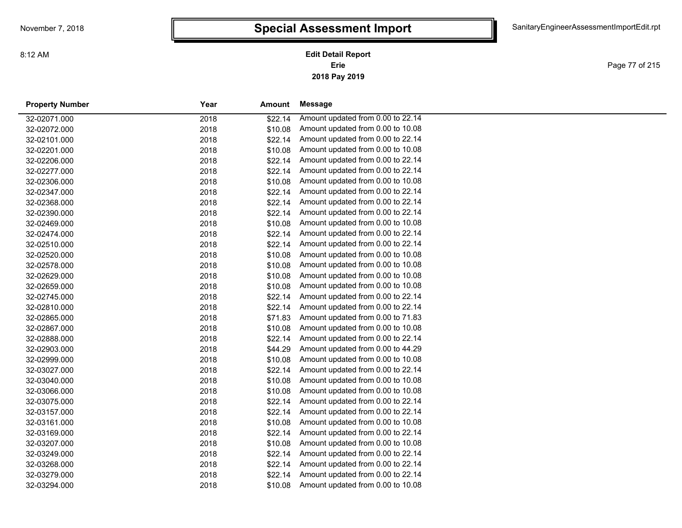**2018 Pay 2019 Erie Edit Detail Report**

Page 77 of 215

| <b>Property Number</b> | Year | Amount  | Message                           |
|------------------------|------|---------|-----------------------------------|
| 32-02071.000           | 2018 | \$22.14 | Amount updated from 0.00 to 22.14 |
| 32-02072.000           | 2018 | \$10.08 | Amount updated from 0.00 to 10.08 |
| 32-02101.000           | 2018 | \$22.14 | Amount updated from 0.00 to 22.14 |
| 32-02201.000           | 2018 | \$10.08 | Amount updated from 0.00 to 10.08 |
| 32-02206.000           | 2018 | \$22.14 | Amount updated from 0.00 to 22.14 |
| 32-02277.000           | 2018 | \$22.14 | Amount updated from 0.00 to 22.14 |
| 32-02306.000           | 2018 | \$10.08 | Amount updated from 0.00 to 10.08 |
| 32-02347.000           | 2018 | \$22.14 | Amount updated from 0.00 to 22.14 |
| 32-02368.000           | 2018 | \$22.14 | Amount updated from 0.00 to 22.14 |
| 32-02390.000           | 2018 | \$22.14 | Amount updated from 0.00 to 22.14 |
| 32-02469.000           | 2018 | \$10.08 | Amount updated from 0.00 to 10.08 |
| 32-02474.000           | 2018 | \$22.14 | Amount updated from 0.00 to 22.14 |
| 32-02510.000           | 2018 | \$22.14 | Amount updated from 0.00 to 22.14 |
| 32-02520.000           | 2018 | \$10.08 | Amount updated from 0.00 to 10.08 |
| 32-02578.000           | 2018 | \$10.08 | Amount updated from 0.00 to 10.08 |
| 32-02629.000           | 2018 | \$10.08 | Amount updated from 0.00 to 10.08 |
| 32-02659.000           | 2018 | \$10.08 | Amount updated from 0.00 to 10.08 |
| 32-02745.000           | 2018 | \$22.14 | Amount updated from 0.00 to 22.14 |
| 32-02810.000           | 2018 | \$22.14 | Amount updated from 0.00 to 22.14 |
| 32-02865.000           | 2018 | \$71.83 | Amount updated from 0.00 to 71.83 |
| 32-02867.000           | 2018 | \$10.08 | Amount updated from 0.00 to 10.08 |
| 32-02888.000           | 2018 | \$22.14 | Amount updated from 0.00 to 22.14 |
| 32-02903.000           | 2018 | \$44.29 | Amount updated from 0.00 to 44.29 |
| 32-02999.000           | 2018 | \$10.08 | Amount updated from 0.00 to 10.08 |
| 32-03027.000           | 2018 | \$22.14 | Amount updated from 0.00 to 22.14 |
| 32-03040.000           | 2018 | \$10.08 | Amount updated from 0.00 to 10.08 |
| 32-03066.000           | 2018 | \$10.08 | Amount updated from 0.00 to 10.08 |
| 32-03075.000           | 2018 | \$22.14 | Amount updated from 0.00 to 22.14 |
| 32-03157.000           | 2018 | \$22.14 | Amount updated from 0.00 to 22.14 |
| 32-03161.000           | 2018 | \$10.08 | Amount updated from 0.00 to 10.08 |
| 32-03169.000           | 2018 | \$22.14 | Amount updated from 0.00 to 22.14 |
| 32-03207.000           | 2018 | \$10.08 | Amount updated from 0.00 to 10.08 |
| 32-03249.000           | 2018 | \$22.14 | Amount updated from 0.00 to 22.14 |
| 32-03268.000           | 2018 | \$22.14 | Amount updated from 0.00 to 22.14 |
| 32-03279.000           | 2018 | \$22.14 | Amount updated from 0.00 to 22.14 |
| 32-03294.000           | 2018 | \$10.08 | Amount updated from 0.00 to 10.08 |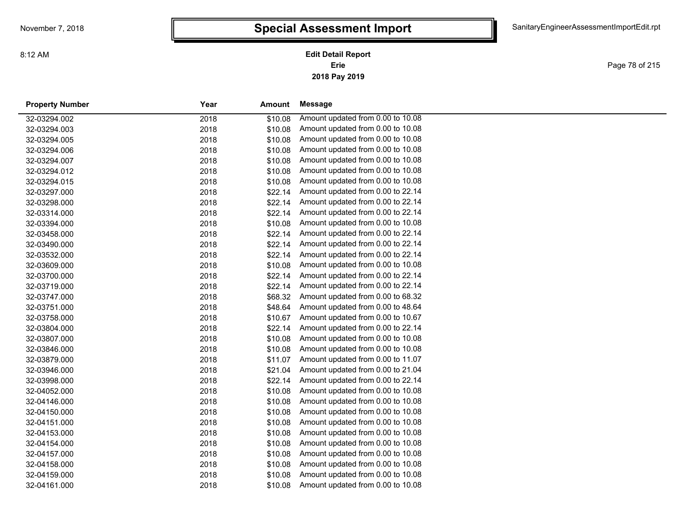Page 78 of 215

| <b>Property Number</b> | Year | <b>Amount</b> | <b>Message</b>                    |
|------------------------|------|---------------|-----------------------------------|
| 32-03294.002           | 2018 | \$10.08       | Amount updated from 0.00 to 10.08 |
| 32-03294.003           | 2018 | \$10.08       | Amount updated from 0.00 to 10.08 |
| 32-03294.005           | 2018 | \$10.08       | Amount updated from 0.00 to 10.08 |
| 32-03294.006           | 2018 | \$10.08       | Amount updated from 0.00 to 10.08 |
| 32-03294.007           | 2018 | \$10.08       | Amount updated from 0.00 to 10.08 |
| 32-03294.012           | 2018 | \$10.08       | Amount updated from 0.00 to 10.08 |
| 32-03294.015           | 2018 | \$10.08       | Amount updated from 0.00 to 10.08 |
| 32-03297.000           | 2018 | \$22.14       | Amount updated from 0.00 to 22.14 |
| 32-03298.000           | 2018 | \$22.14       | Amount updated from 0.00 to 22.14 |
| 32-03314.000           | 2018 | \$22.14       | Amount updated from 0.00 to 22.14 |
| 32-03394.000           | 2018 | \$10.08       | Amount updated from 0.00 to 10.08 |
| 32-03458.000           | 2018 | \$22.14       | Amount updated from 0.00 to 22.14 |
| 32-03490.000           | 2018 | \$22.14       | Amount updated from 0.00 to 22.14 |
| 32-03532.000           | 2018 | \$22.14       | Amount updated from 0.00 to 22.14 |
| 32-03609.000           | 2018 | \$10.08       | Amount updated from 0.00 to 10.08 |
| 32-03700.000           | 2018 | \$22.14       | Amount updated from 0.00 to 22.14 |
| 32-03719.000           | 2018 | \$22.14       | Amount updated from 0.00 to 22.14 |
| 32-03747.000           | 2018 | \$68.32       | Amount updated from 0.00 to 68.32 |
| 32-03751.000           | 2018 | \$48.64       | Amount updated from 0.00 to 48.64 |
| 32-03758.000           | 2018 | \$10.67       | Amount updated from 0.00 to 10.67 |
| 32-03804.000           | 2018 | \$22.14       | Amount updated from 0.00 to 22.14 |
| 32-03807.000           | 2018 | \$10.08       | Amount updated from 0.00 to 10.08 |
| 32-03846.000           | 2018 | \$10.08       | Amount updated from 0.00 to 10.08 |
| 32-03879.000           | 2018 | \$11.07       | Amount updated from 0.00 to 11.07 |
| 32-03946.000           | 2018 | \$21.04       | Amount updated from 0.00 to 21.04 |
| 32-03998.000           | 2018 | \$22.14       | Amount updated from 0.00 to 22.14 |
| 32-04052.000           | 2018 | \$10.08       | Amount updated from 0.00 to 10.08 |
| 32-04146.000           | 2018 | \$10.08       | Amount updated from 0.00 to 10.08 |
| 32-04150.000           | 2018 | \$10.08       | Amount updated from 0.00 to 10.08 |
| 32-04151.000           | 2018 | \$10.08       | Amount updated from 0.00 to 10.08 |
| 32-04153.000           | 2018 | \$10.08       | Amount updated from 0.00 to 10.08 |
| 32-04154.000           | 2018 | \$10.08       | Amount updated from 0.00 to 10.08 |
| 32-04157.000           | 2018 | \$10.08       | Amount updated from 0.00 to 10.08 |
| 32-04158.000           | 2018 | \$10.08       | Amount updated from 0.00 to 10.08 |
| 32-04159.000           | 2018 | \$10.08       | Amount updated from 0.00 to 10.08 |
| 32-04161.000           | 2018 | \$10.08       | Amount updated from 0.00 to 10.08 |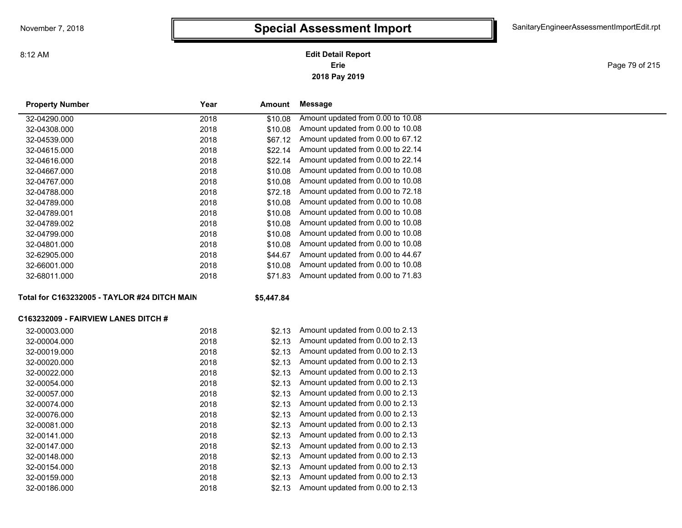8:12 AM

### **2018 Pay 2019 Erie Edit Detail Report**

Page 79 of 215

| <b>Property Number</b>                       | Year | Amount     | <b>Message</b>                    |
|----------------------------------------------|------|------------|-----------------------------------|
| 32-04290.000                                 | 2018 | \$10.08    | Amount updated from 0.00 to 10.08 |
| 32-04308.000                                 | 2018 | \$10.08    | Amount updated from 0.00 to 10.08 |
| 32-04539.000                                 | 2018 | \$67.12    | Amount updated from 0.00 to 67.12 |
| 32-04615.000                                 | 2018 | \$22.14    | Amount updated from 0.00 to 22.14 |
| 32-04616.000                                 | 2018 | \$22.14    | Amount updated from 0.00 to 22.14 |
| 32-04667.000                                 | 2018 | \$10.08    | Amount updated from 0.00 to 10.08 |
| 32-04767.000                                 | 2018 | \$10.08    | Amount updated from 0.00 to 10.08 |
| 32-04788.000                                 | 2018 | \$72.18    | Amount updated from 0.00 to 72.18 |
| 32-04789.000                                 | 2018 | \$10.08    | Amount updated from 0.00 to 10.08 |
| 32-04789.001                                 | 2018 | \$10.08    | Amount updated from 0.00 to 10.08 |
| 32-04789.002                                 | 2018 | \$10.08    | Amount updated from 0.00 to 10.08 |
| 32-04799.000                                 | 2018 | \$10.08    | Amount updated from 0.00 to 10.08 |
| 32-04801.000                                 | 2018 | \$10.08    | Amount updated from 0.00 to 10.08 |
| 32-62905.000                                 | 2018 | \$44.67    | Amount updated from 0.00 to 44.67 |
| 32-66001.000                                 | 2018 | \$10.08    | Amount updated from 0.00 to 10.08 |
| 32-68011.000                                 | 2018 | \$71.83    | Amount updated from 0.00 to 71.83 |
| Total for C163232005 - TAYLOR #24 DITCH MAIN |      | \$5,447.84 |                                   |
| C163232009 - FAIRVIEW LANES DITCH #          |      |            |                                   |
| 32-00003.000                                 | 2018 | \$2.13     | Amount updated from 0.00 to 2.13  |
| 32-00004.000                                 | 2018 | \$2.13     | Amount updated from 0.00 to 2.13  |
| 32-00019.000                                 | 2018 | \$2.13     | Amount updated from 0.00 to 2.13  |
| 32-00020.000                                 | 2018 | \$2.13     | Amount updated from 0.00 to 2.13  |
| 32-00022.000                                 | 2018 | \$2.13     | Amount updated from 0.00 to 2.13  |
| 32-00054.000                                 | 2018 | \$2.13     | Amount updated from 0.00 to 2.13  |
| 32-00057.000                                 | 2018 | \$2.13     | Amount updated from 0.00 to 2.13  |
| 32-00074.000                                 | 2018 | \$2.13     | Amount updated from 0.00 to 2.13  |
| 32-00076.000                                 | 2018 | \$2.13     | Amount updated from 0.00 to 2.13  |
| 32-00081.000                                 | 2018 | \$2.13     | Amount updated from 0.00 to 2.13  |
| 32-00141.000                                 | 2018 | \$2.13     | Amount updated from 0.00 to 2.13  |
| 32-00147.000                                 | 2018 | \$2.13     | Amount updated from 0.00 to 2.13  |
| 32-00148.000                                 | 2018 | \$2.13     | Amount updated from 0.00 to 2.13  |
| 32-00154.000                                 | 2018 | \$2.13     | Amount updated from 0.00 to 2.13  |
| 32-00159.000                                 | 2018 | \$2.13     | Amount updated from 0.00 to 2.13  |
| 32-00186.000                                 | 2018 | \$2.13     | Amount updated from 0.00 to 2.13  |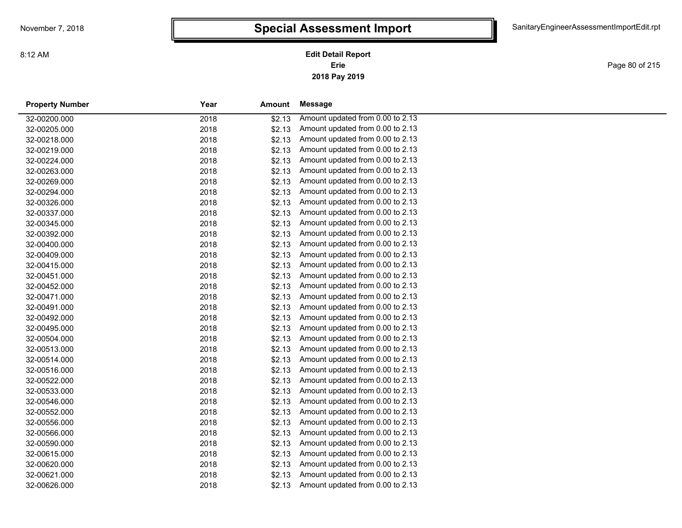**2018 Pay 2019 Erie Edit Detail Report**

Page 80 of 215

| <b>Property Number</b> | Year | Amount | Message                          |
|------------------------|------|--------|----------------------------------|
| 32-00200.000           | 2018 | \$2.13 | Amount updated from 0.00 to 2.13 |
| 32-00205.000           | 2018 | \$2.13 | Amount updated from 0.00 to 2.13 |
| 32-00218.000           | 2018 | \$2.13 | Amount updated from 0.00 to 2.13 |
| 32-00219.000           | 2018 | \$2.13 | Amount updated from 0.00 to 2.13 |
| 32-00224.000           | 2018 | \$2.13 | Amount updated from 0.00 to 2.13 |
| 32-00263.000           | 2018 | \$2.13 | Amount updated from 0.00 to 2.13 |
| 32-00269.000           | 2018 | \$2.13 | Amount updated from 0.00 to 2.13 |
| 32-00294.000           | 2018 | \$2.13 | Amount updated from 0.00 to 2.13 |
| 32-00326.000           | 2018 | \$2.13 | Amount updated from 0.00 to 2.13 |
| 32-00337.000           | 2018 | \$2.13 | Amount updated from 0.00 to 2.13 |
| 32-00345.000           | 2018 | \$2.13 | Amount updated from 0.00 to 2.13 |
| 32-00392.000           | 2018 | \$2.13 | Amount updated from 0.00 to 2.13 |
| 32-00400.000           | 2018 | \$2.13 | Amount updated from 0.00 to 2.13 |
| 32-00409.000           | 2018 | \$2.13 | Amount updated from 0.00 to 2.13 |
| 32-00415.000           | 2018 | \$2.13 | Amount updated from 0.00 to 2.13 |
| 32-00451.000           | 2018 | \$2.13 | Amount updated from 0.00 to 2.13 |
| 32-00452.000           | 2018 | \$2.13 | Amount updated from 0.00 to 2.13 |
| 32-00471.000           | 2018 | \$2.13 | Amount updated from 0.00 to 2.13 |
| 32-00491.000           | 2018 | \$2.13 | Amount updated from 0.00 to 2.13 |
| 32-00492.000           | 2018 | \$2.13 | Amount updated from 0.00 to 2.13 |
| 32-00495.000           | 2018 | \$2.13 | Amount updated from 0.00 to 2.13 |
| 32-00504.000           | 2018 | \$2.13 | Amount updated from 0.00 to 2.13 |
| 32-00513.000           | 2018 | \$2.13 | Amount updated from 0.00 to 2.13 |
| 32-00514.000           | 2018 | \$2.13 | Amount updated from 0.00 to 2.13 |
| 32-00516.000           | 2018 | \$2.13 | Amount updated from 0.00 to 2.13 |
| 32-00522.000           | 2018 | \$2.13 | Amount updated from 0.00 to 2.13 |
| 32-00533.000           | 2018 | \$2.13 | Amount updated from 0.00 to 2.13 |
| 32-00546.000           | 2018 | \$2.13 | Amount updated from 0.00 to 2.13 |
| 32-00552.000           | 2018 | \$2.13 | Amount updated from 0.00 to 2.13 |
| 32-00556.000           | 2018 | \$2.13 | Amount updated from 0.00 to 2.13 |
| 32-00566.000           | 2018 | \$2.13 | Amount updated from 0.00 to 2.13 |
| 32-00590.000           | 2018 | \$2.13 | Amount updated from 0.00 to 2.13 |
| 32-00615.000           | 2018 | \$2.13 | Amount updated from 0.00 to 2.13 |
| 32-00620.000           | 2018 | \$2.13 | Amount updated from 0.00 to 2.13 |
| 32-00621.000           | 2018 | \$2.13 | Amount updated from 0.00 to 2.13 |
| 32-00626.000           | 2018 | \$2.13 | Amount updated from 0.00 to 2.13 |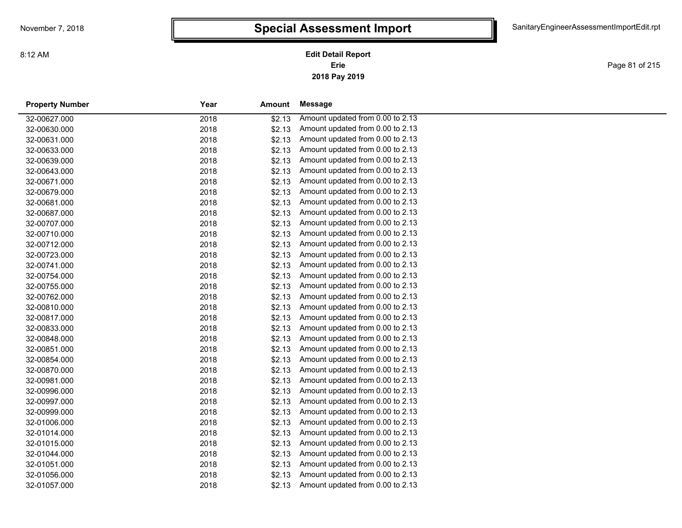**2018 Pay 2019 Erie Edit Detail Report**

Page 81 of 215

| <b>Property Number</b> | Year | Amount | Message                          |
|------------------------|------|--------|----------------------------------|
| 32-00627.000           | 2018 | \$2.13 | Amount updated from 0.00 to 2.13 |
| 32-00630.000           | 2018 | \$2.13 | Amount updated from 0.00 to 2.13 |
| 32-00631.000           | 2018 | \$2.13 | Amount updated from 0.00 to 2.13 |
| 32-00633.000           | 2018 | \$2.13 | Amount updated from 0.00 to 2.13 |
| 32-00639.000           | 2018 | \$2.13 | Amount updated from 0.00 to 2.13 |
| 32-00643.000           | 2018 | \$2.13 | Amount updated from 0.00 to 2.13 |
| 32-00671.000           | 2018 | \$2.13 | Amount updated from 0.00 to 2.13 |
| 32-00679.000           | 2018 | \$2.13 | Amount updated from 0.00 to 2.13 |
| 32-00681.000           | 2018 | \$2.13 | Amount updated from 0.00 to 2.13 |
| 32-00687.000           | 2018 | \$2.13 | Amount updated from 0.00 to 2.13 |
| 32-00707.000           | 2018 | \$2.13 | Amount updated from 0.00 to 2.13 |
| 32-00710.000           | 2018 | \$2.13 | Amount updated from 0.00 to 2.13 |
| 32-00712.000           | 2018 | \$2.13 | Amount updated from 0.00 to 2.13 |
| 32-00723.000           | 2018 | \$2.13 | Amount updated from 0.00 to 2.13 |
| 32-00741.000           | 2018 | \$2.13 | Amount updated from 0.00 to 2.13 |
| 32-00754.000           | 2018 | \$2.13 | Amount updated from 0.00 to 2.13 |
| 32-00755.000           | 2018 | \$2.13 | Amount updated from 0.00 to 2.13 |
| 32-00762.000           | 2018 | \$2.13 | Amount updated from 0.00 to 2.13 |
| 32-00810.000           | 2018 | \$2.13 | Amount updated from 0.00 to 2.13 |
| 32-00817.000           | 2018 | \$2.13 | Amount updated from 0.00 to 2.13 |
| 32-00833.000           | 2018 | \$2.13 | Amount updated from 0.00 to 2.13 |
| 32-00848.000           | 2018 | \$2.13 | Amount updated from 0.00 to 2.13 |
| 32-00851.000           | 2018 | \$2.13 | Amount updated from 0.00 to 2.13 |
| 32-00854.000           | 2018 | \$2.13 | Amount updated from 0.00 to 2.13 |
| 32-00870.000           | 2018 | \$2.13 | Amount updated from 0.00 to 2.13 |
| 32-00981.000           | 2018 | \$2.13 | Amount updated from 0.00 to 2.13 |
| 32-00996.000           | 2018 | \$2.13 | Amount updated from 0.00 to 2.13 |
| 32-00997.000           | 2018 | \$2.13 | Amount updated from 0.00 to 2.13 |
| 32-00999.000           | 2018 | \$2.13 | Amount updated from 0.00 to 2.13 |
| 32-01006.000           | 2018 | \$2.13 | Amount updated from 0.00 to 2.13 |
| 32-01014.000           | 2018 | \$2.13 | Amount updated from 0.00 to 2.13 |
| 32-01015.000           | 2018 | \$2.13 | Amount updated from 0.00 to 2.13 |
| 32-01044.000           | 2018 | \$2.13 | Amount updated from 0.00 to 2.13 |
| 32-01051.000           | 2018 | \$2.13 | Amount updated from 0.00 to 2.13 |
| 32-01056.000           | 2018 | \$2.13 | Amount updated from 0.00 to 2.13 |
| 32-01057.000           | 2018 | \$2.13 | Amount updated from 0.00 to 2.13 |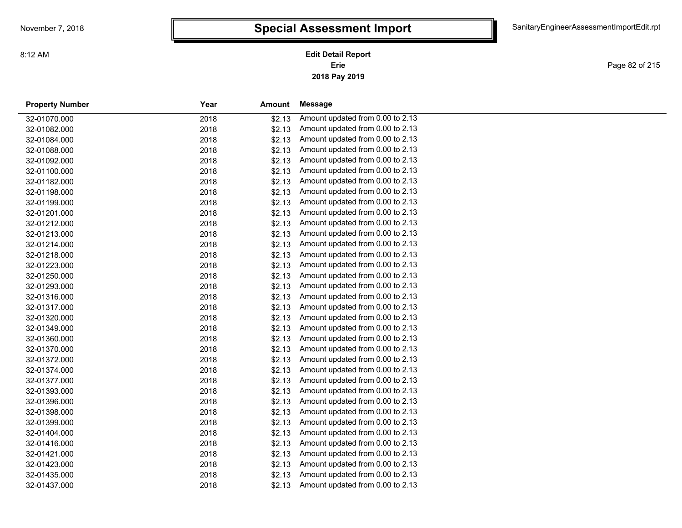**2018 Pay 2019 Erie Edit Detail Report**

Page 82 of 215

| <b>Property Number</b> | Year | <b>Amount</b> | Message                          |
|------------------------|------|---------------|----------------------------------|
| 32-01070.000           | 2018 | \$2.13        | Amount updated from 0.00 to 2.13 |
| 32-01082.000           | 2018 | \$2.13        | Amount updated from 0.00 to 2.13 |
| 32-01084.000           | 2018 | \$2.13        | Amount updated from 0.00 to 2.13 |
| 32-01088.000           | 2018 | \$2.13        | Amount updated from 0.00 to 2.13 |
| 32-01092.000           | 2018 | \$2.13        | Amount updated from 0.00 to 2.13 |
| 32-01100.000           | 2018 | \$2.13        | Amount updated from 0.00 to 2.13 |
| 32-01182.000           | 2018 | \$2.13        | Amount updated from 0.00 to 2.13 |
| 32-01198.000           | 2018 | \$2.13        | Amount updated from 0.00 to 2.13 |
| 32-01199.000           | 2018 | \$2.13        | Amount updated from 0.00 to 2.13 |
| 32-01201.000           | 2018 | \$2.13        | Amount updated from 0.00 to 2.13 |
| 32-01212.000           | 2018 | \$2.13        | Amount updated from 0.00 to 2.13 |
| 32-01213.000           | 2018 | \$2.13        | Amount updated from 0.00 to 2.13 |
| 32-01214.000           | 2018 | \$2.13        | Amount updated from 0.00 to 2.13 |
| 32-01218.000           | 2018 | \$2.13        | Amount updated from 0.00 to 2.13 |
| 32-01223.000           | 2018 | \$2.13        | Amount updated from 0.00 to 2.13 |
| 32-01250.000           | 2018 | \$2.13        | Amount updated from 0.00 to 2.13 |
| 32-01293.000           | 2018 | \$2.13        | Amount updated from 0.00 to 2.13 |
| 32-01316.000           | 2018 | \$2.13        | Amount updated from 0.00 to 2.13 |
| 32-01317.000           | 2018 | \$2.13        | Amount updated from 0.00 to 2.13 |
| 32-01320.000           | 2018 | \$2.13        | Amount updated from 0.00 to 2.13 |
| 32-01349.000           | 2018 | \$2.13        | Amount updated from 0.00 to 2.13 |
| 32-01360.000           | 2018 | \$2.13        | Amount updated from 0.00 to 2.13 |
| 32-01370.000           | 2018 | \$2.13        | Amount updated from 0.00 to 2.13 |
| 32-01372.000           | 2018 | \$2.13        | Amount updated from 0.00 to 2.13 |
| 32-01374.000           | 2018 | \$2.13        | Amount updated from 0.00 to 2.13 |
| 32-01377.000           | 2018 | \$2.13        | Amount updated from 0.00 to 2.13 |
| 32-01393.000           | 2018 | \$2.13        | Amount updated from 0.00 to 2.13 |
| 32-01396.000           | 2018 | \$2.13        | Amount updated from 0.00 to 2.13 |
| 32-01398.000           | 2018 | \$2.13        | Amount updated from 0.00 to 2.13 |
| 32-01399.000           | 2018 | \$2.13        | Amount updated from 0.00 to 2.13 |
| 32-01404.000           | 2018 | \$2.13        | Amount updated from 0.00 to 2.13 |
| 32-01416.000           | 2018 | \$2.13        | Amount updated from 0.00 to 2.13 |
| 32-01421.000           | 2018 | \$2.13        | Amount updated from 0.00 to 2.13 |
| 32-01423.000           | 2018 | \$2.13        | Amount updated from 0.00 to 2.13 |
| 32-01435.000           | 2018 | \$2.13        | Amount updated from 0.00 to 2.13 |
| 32-01437.000           | 2018 | \$2.13        | Amount updated from 0.00 to 2.13 |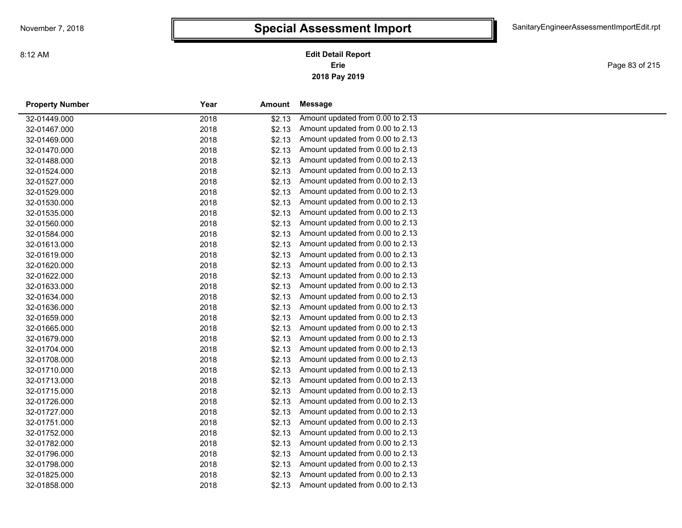**2018 Pay 2019 Erie Edit Detail Report**

Page 83 of 215

| <b>Property Number</b> | Year | Amount | Message                          |  |
|------------------------|------|--------|----------------------------------|--|
| 32-01449.000           | 2018 | \$2.13 | Amount updated from 0.00 to 2.13 |  |
| 32-01467.000           | 2018 | \$2.13 | Amount updated from 0.00 to 2.13 |  |
| 32-01469.000           | 2018 | \$2.13 | Amount updated from 0.00 to 2.13 |  |
| 32-01470.000           | 2018 | \$2.13 | Amount updated from 0.00 to 2.13 |  |
| 32-01488.000           | 2018 | \$2.13 | Amount updated from 0.00 to 2.13 |  |
| 32-01524.000           | 2018 | \$2.13 | Amount updated from 0.00 to 2.13 |  |
| 32-01527.000           | 2018 | \$2.13 | Amount updated from 0.00 to 2.13 |  |
| 32-01529.000           | 2018 | \$2.13 | Amount updated from 0.00 to 2.13 |  |
| 32-01530.000           | 2018 | \$2.13 | Amount updated from 0.00 to 2.13 |  |
| 32-01535.000           | 2018 | \$2.13 | Amount updated from 0.00 to 2.13 |  |
| 32-01560.000           | 2018 | \$2.13 | Amount updated from 0.00 to 2.13 |  |
| 32-01584.000           | 2018 | \$2.13 | Amount updated from 0.00 to 2.13 |  |
| 32-01613.000           | 2018 | \$2.13 | Amount updated from 0.00 to 2.13 |  |
| 32-01619.000           | 2018 | \$2.13 | Amount updated from 0.00 to 2.13 |  |
| 32-01620.000           | 2018 | \$2.13 | Amount updated from 0.00 to 2.13 |  |
| 32-01622.000           | 2018 | \$2.13 | Amount updated from 0.00 to 2.13 |  |
| 32-01633.000           | 2018 | \$2.13 | Amount updated from 0.00 to 2.13 |  |
| 32-01634.000           | 2018 | \$2.13 | Amount updated from 0.00 to 2.13 |  |
| 32-01636.000           | 2018 | \$2.13 | Amount updated from 0.00 to 2.13 |  |
| 32-01659.000           | 2018 | \$2.13 | Amount updated from 0.00 to 2.13 |  |
| 32-01665.000           | 2018 | \$2.13 | Amount updated from 0.00 to 2.13 |  |
| 32-01679.000           | 2018 | \$2.13 | Amount updated from 0.00 to 2.13 |  |
| 32-01704.000           | 2018 | \$2.13 | Amount updated from 0.00 to 2.13 |  |
| 32-01708.000           | 2018 | \$2.13 | Amount updated from 0.00 to 2.13 |  |
| 32-01710.000           | 2018 | \$2.13 | Amount updated from 0.00 to 2.13 |  |
| 32-01713.000           | 2018 | \$2.13 | Amount updated from 0.00 to 2.13 |  |
| 32-01715.000           | 2018 | \$2.13 | Amount updated from 0.00 to 2.13 |  |
| 32-01726.000           | 2018 | \$2.13 | Amount updated from 0.00 to 2.13 |  |
| 32-01727.000           | 2018 | \$2.13 | Amount updated from 0.00 to 2.13 |  |
| 32-01751.000           | 2018 | \$2.13 | Amount updated from 0.00 to 2.13 |  |
| 32-01752.000           | 2018 | \$2.13 | Amount updated from 0.00 to 2.13 |  |
| 32-01782.000           | 2018 | \$2.13 | Amount updated from 0.00 to 2.13 |  |
| 32-01796.000           | 2018 | \$2.13 | Amount updated from 0.00 to 2.13 |  |
| 32-01798.000           | 2018 | \$2.13 | Amount updated from 0.00 to 2.13 |  |
| 32-01825.000           | 2018 | \$2.13 | Amount updated from 0.00 to 2.13 |  |
| 32-01858.000           | 2018 | \$2.13 | Amount updated from 0.00 to 2.13 |  |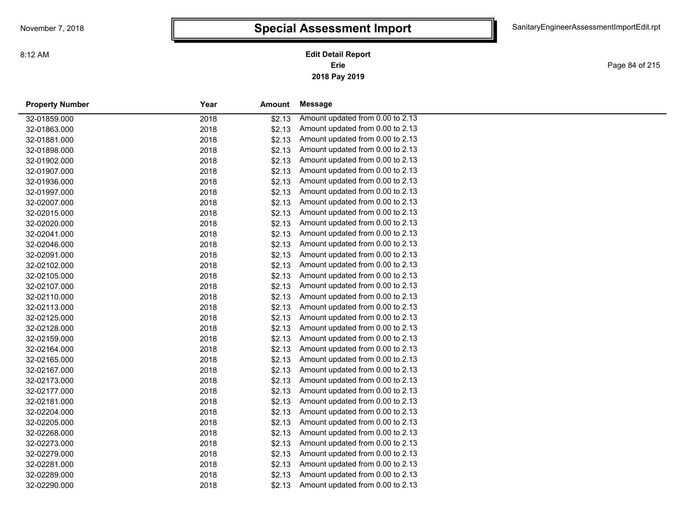**2018 Pay 2019 Erie Edit Detail Report**

Page 84 of 215

| <b>Property Number</b> | Year | <b>Amount</b> | <b>Message</b>                   |
|------------------------|------|---------------|----------------------------------|
| 32-01859.000           | 2018 | \$2.13        | Amount updated from 0.00 to 2.13 |
| 32-01863.000           | 2018 | \$2.13        | Amount updated from 0.00 to 2.13 |
| 32-01881.000           | 2018 | \$2.13        | Amount updated from 0.00 to 2.13 |
| 32-01898.000           | 2018 | \$2.13        | Amount updated from 0.00 to 2.13 |
| 32-01902.000           | 2018 | \$2.13        | Amount updated from 0.00 to 2.13 |
| 32-01907.000           | 2018 | \$2.13        | Amount updated from 0.00 to 2.13 |
| 32-01936.000           | 2018 | \$2.13        | Amount updated from 0.00 to 2.13 |
| 32-01997.000           | 2018 | \$2.13        | Amount updated from 0.00 to 2.13 |
| 32-02007.000           | 2018 | \$2.13        | Amount updated from 0.00 to 2.13 |
| 32-02015.000           | 2018 | \$2.13        | Amount updated from 0.00 to 2.13 |
| 32-02020.000           | 2018 | \$2.13        | Amount updated from 0.00 to 2.13 |
| 32-02041.000           | 2018 | \$2.13        | Amount updated from 0.00 to 2.13 |
| 32-02046.000           | 2018 | \$2.13        | Amount updated from 0.00 to 2.13 |
| 32-02091.000           | 2018 | \$2.13        | Amount updated from 0.00 to 2.13 |
| 32-02102.000           | 2018 | \$2.13        | Amount updated from 0.00 to 2.13 |
| 32-02105.000           | 2018 | \$2.13        | Amount updated from 0.00 to 2.13 |
| 32-02107.000           | 2018 | \$2.13        | Amount updated from 0.00 to 2.13 |
| 32-02110.000           | 2018 | \$2.13        | Amount updated from 0.00 to 2.13 |
| 32-02113.000           | 2018 | \$2.13        | Amount updated from 0.00 to 2.13 |
| 32-02125.000           | 2018 | \$2.13        | Amount updated from 0.00 to 2.13 |
| 32-02128.000           | 2018 | \$2.13        | Amount updated from 0.00 to 2.13 |
| 32-02159.000           | 2018 | \$2.13        | Amount updated from 0.00 to 2.13 |
| 32-02164.000           | 2018 | \$2.13        | Amount updated from 0.00 to 2.13 |
| 32-02165.000           | 2018 | \$2.13        | Amount updated from 0.00 to 2.13 |
| 32-02167.000           | 2018 | \$2.13        | Amount updated from 0.00 to 2.13 |
| 32-02173.000           | 2018 | \$2.13        | Amount updated from 0.00 to 2.13 |
| 32-02177.000           | 2018 | \$2.13        | Amount updated from 0.00 to 2.13 |
| 32-02181.000           | 2018 | \$2.13        | Amount updated from 0.00 to 2.13 |
| 32-02204.000           | 2018 | \$2.13        | Amount updated from 0.00 to 2.13 |
| 32-02205.000           | 2018 | \$2.13        | Amount updated from 0.00 to 2.13 |
| 32-02268.000           | 2018 | \$2.13        | Amount updated from 0.00 to 2.13 |
| 32-02273.000           | 2018 | \$2.13        | Amount updated from 0.00 to 2.13 |
| 32-02279.000           | 2018 | \$2.13        | Amount updated from 0.00 to 2.13 |
| 32-02281.000           | 2018 | \$2.13        | Amount updated from 0.00 to 2.13 |
| 32-02289.000           | 2018 | \$2.13        | Amount updated from 0.00 to 2.13 |
| 32-02290.000           | 2018 | \$2.13        | Amount updated from 0.00 to 2.13 |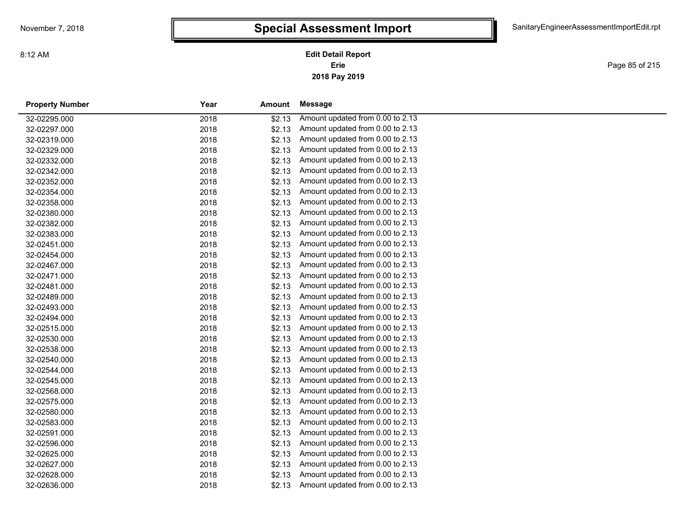**2018 Pay 2019 Erie Edit Detail Report**

Page 85 of 215

| <b>Property Number</b> | Year | Amount | Message                          |
|------------------------|------|--------|----------------------------------|
| 32-02295.000           | 2018 | \$2.13 | Amount updated from 0.00 to 2.13 |
| 32-02297.000           | 2018 | \$2.13 | Amount updated from 0.00 to 2.13 |
| 32-02319.000           | 2018 | \$2.13 | Amount updated from 0.00 to 2.13 |
| 32-02329.000           | 2018 | \$2.13 | Amount updated from 0.00 to 2.13 |
| 32-02332.000           | 2018 | \$2.13 | Amount updated from 0.00 to 2.13 |
| 32-02342.000           | 2018 | \$2.13 | Amount updated from 0.00 to 2.13 |
| 32-02352.000           | 2018 | \$2.13 | Amount updated from 0.00 to 2.13 |
| 32-02354.000           | 2018 | \$2.13 | Amount updated from 0.00 to 2.13 |
| 32-02358.000           | 2018 | \$2.13 | Amount updated from 0.00 to 2.13 |
| 32-02380.000           | 2018 | \$2.13 | Amount updated from 0.00 to 2.13 |
| 32-02382.000           | 2018 | \$2.13 | Amount updated from 0.00 to 2.13 |
| 32-02383.000           | 2018 | \$2.13 | Amount updated from 0.00 to 2.13 |
| 32-02451.000           | 2018 | \$2.13 | Amount updated from 0.00 to 2.13 |
| 32-02454.000           | 2018 | \$2.13 | Amount updated from 0.00 to 2.13 |
| 32-02467.000           | 2018 | \$2.13 | Amount updated from 0.00 to 2.13 |
| 32-02471.000           | 2018 | \$2.13 | Amount updated from 0.00 to 2.13 |
| 32-02481.000           | 2018 | \$2.13 | Amount updated from 0.00 to 2.13 |
| 32-02489.000           | 2018 | \$2.13 | Amount updated from 0.00 to 2.13 |
| 32-02493.000           | 2018 | \$2.13 | Amount updated from 0.00 to 2.13 |
| 32-02494.000           | 2018 | \$2.13 | Amount updated from 0.00 to 2.13 |
| 32-02515.000           | 2018 | \$2.13 | Amount updated from 0.00 to 2.13 |
| 32-02530.000           | 2018 | \$2.13 | Amount updated from 0.00 to 2.13 |
| 32-02538.000           | 2018 | \$2.13 | Amount updated from 0.00 to 2.13 |
| 32-02540.000           | 2018 | \$2.13 | Amount updated from 0.00 to 2.13 |
| 32-02544.000           | 2018 | \$2.13 | Amount updated from 0.00 to 2.13 |
| 32-02545.000           | 2018 | \$2.13 | Amount updated from 0.00 to 2.13 |
| 32-02568.000           | 2018 | \$2.13 | Amount updated from 0.00 to 2.13 |
| 32-02575.000           | 2018 | \$2.13 | Amount updated from 0.00 to 2.13 |
| 32-02580.000           | 2018 | \$2.13 | Amount updated from 0.00 to 2.13 |
| 32-02583.000           | 2018 | \$2.13 | Amount updated from 0.00 to 2.13 |
| 32-02591.000           | 2018 | \$2.13 | Amount updated from 0.00 to 2.13 |
| 32-02596.000           | 2018 | \$2.13 | Amount updated from 0.00 to 2.13 |
| 32-02625.000           | 2018 | \$2.13 | Amount updated from 0.00 to 2.13 |
| 32-02627.000           | 2018 | \$2.13 | Amount updated from 0.00 to 2.13 |
| 32-02628.000           | 2018 | \$2.13 | Amount updated from 0.00 to 2.13 |
| 32-02636.000           | 2018 | \$2.13 | Amount updated from 0.00 to 2.13 |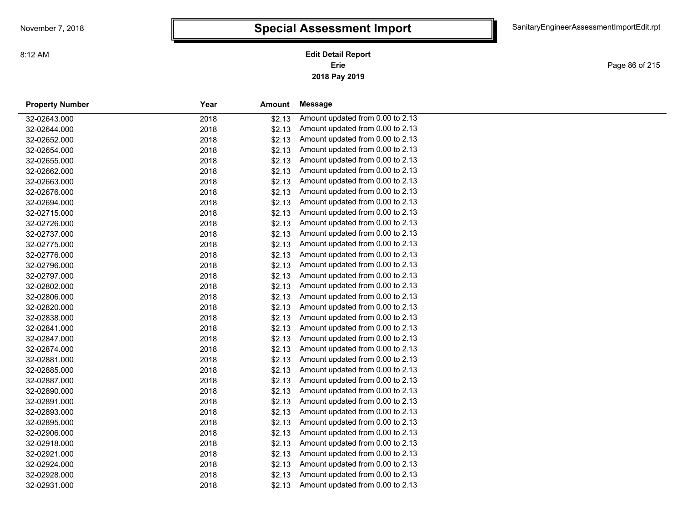**2018 Pay 2019 Erie Edit Detail Report**

Page 86 of 215

| <b>Property Number</b> | Year | <b>Amount</b> | <b>Message</b>                   |  |
|------------------------|------|---------------|----------------------------------|--|
| 32-02643.000           | 2018 | \$2.13        | Amount updated from 0.00 to 2.13 |  |
| 32-02644.000           | 2018 | \$2.13        | Amount updated from 0.00 to 2.13 |  |
| 32-02652.000           | 2018 | \$2.13        | Amount updated from 0.00 to 2.13 |  |
| 32-02654.000           | 2018 | \$2.13        | Amount updated from 0.00 to 2.13 |  |
| 32-02655.000           | 2018 | \$2.13        | Amount updated from 0.00 to 2.13 |  |
| 32-02662.000           | 2018 | \$2.13        | Amount updated from 0.00 to 2.13 |  |
| 32-02663.000           | 2018 | \$2.13        | Amount updated from 0.00 to 2.13 |  |
| 32-02676.000           | 2018 | \$2.13        | Amount updated from 0.00 to 2.13 |  |
| 32-02694.000           | 2018 | \$2.13        | Amount updated from 0.00 to 2.13 |  |
| 32-02715.000           | 2018 | \$2.13        | Amount updated from 0.00 to 2.13 |  |
| 32-02726.000           | 2018 | \$2.13        | Amount updated from 0.00 to 2.13 |  |
| 32-02737.000           | 2018 | \$2.13        | Amount updated from 0.00 to 2.13 |  |
| 32-02775.000           | 2018 | \$2.13        | Amount updated from 0.00 to 2.13 |  |
| 32-02776.000           | 2018 | \$2.13        | Amount updated from 0.00 to 2.13 |  |
| 32-02796.000           | 2018 | \$2.13        | Amount updated from 0.00 to 2.13 |  |
| 32-02797.000           | 2018 | \$2.13        | Amount updated from 0.00 to 2.13 |  |
| 32-02802.000           | 2018 | \$2.13        | Amount updated from 0.00 to 2.13 |  |
| 32-02806.000           | 2018 | \$2.13        | Amount updated from 0.00 to 2.13 |  |
| 32-02820.000           | 2018 | \$2.13        | Amount updated from 0.00 to 2.13 |  |
| 32-02838.000           | 2018 | \$2.13        | Amount updated from 0.00 to 2.13 |  |
| 32-02841.000           | 2018 | \$2.13        | Amount updated from 0.00 to 2.13 |  |
| 32-02847.000           | 2018 | \$2.13        | Amount updated from 0.00 to 2.13 |  |
| 32-02874.000           | 2018 | \$2.13        | Amount updated from 0.00 to 2.13 |  |
| 32-02881.000           | 2018 | \$2.13        | Amount updated from 0.00 to 2.13 |  |
| 32-02885.000           | 2018 | \$2.13        | Amount updated from 0.00 to 2.13 |  |
| 32-02887.000           | 2018 | \$2.13        | Amount updated from 0.00 to 2.13 |  |
| 32-02890.000           | 2018 | \$2.13        | Amount updated from 0.00 to 2.13 |  |
| 32-02891.000           | 2018 | \$2.13        | Amount updated from 0.00 to 2.13 |  |
| 32-02893.000           | 2018 | \$2.13        | Amount updated from 0.00 to 2.13 |  |
| 32-02895.000           | 2018 | \$2.13        | Amount updated from 0.00 to 2.13 |  |
| 32-02906.000           | 2018 | \$2.13        | Amount updated from 0.00 to 2.13 |  |
| 32-02918.000           | 2018 | \$2.13        | Amount updated from 0.00 to 2.13 |  |
| 32-02921.000           | 2018 | \$2.13        | Amount updated from 0.00 to 2.13 |  |
| 32-02924.000           | 2018 | \$2.13        | Amount updated from 0.00 to 2.13 |  |
| 32-02928.000           | 2018 | \$2.13        | Amount updated from 0.00 to 2.13 |  |
| 32-02931.000           | 2018 | \$2.13        | Amount updated from 0.00 to 2.13 |  |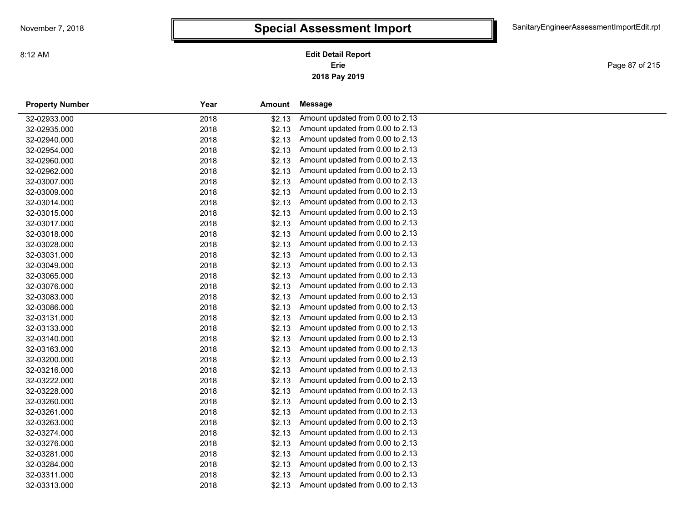**2018 Pay 2019 Erie Edit Detail Report**

Page 87 of 215

| <b>Property Number</b> | Year | <b>Amount</b> | <b>Message</b>                   |
|------------------------|------|---------------|----------------------------------|
| 32-02933.000           | 2018 | \$2.13        | Amount updated from 0.00 to 2.13 |
| 32-02935.000           | 2018 | \$2.13        | Amount updated from 0.00 to 2.13 |
| 32-02940.000           | 2018 | \$2.13        | Amount updated from 0.00 to 2.13 |
| 32-02954.000           | 2018 | \$2.13        | Amount updated from 0.00 to 2.13 |
| 32-02960.000           | 2018 | \$2.13        | Amount updated from 0.00 to 2.13 |
| 32-02962.000           | 2018 | \$2.13        | Amount updated from 0.00 to 2.13 |
| 32-03007.000           | 2018 | \$2.13        | Amount updated from 0.00 to 2.13 |
| 32-03009.000           | 2018 | \$2.13        | Amount updated from 0.00 to 2.13 |
| 32-03014.000           | 2018 | \$2.13        | Amount updated from 0.00 to 2.13 |
| 32-03015.000           | 2018 | \$2.13        | Amount updated from 0.00 to 2.13 |
| 32-03017.000           | 2018 | \$2.13        | Amount updated from 0.00 to 2.13 |
| 32-03018.000           | 2018 | \$2.13        | Amount updated from 0.00 to 2.13 |
| 32-03028.000           | 2018 | \$2.13        | Amount updated from 0.00 to 2.13 |
| 32-03031.000           | 2018 | \$2.13        | Amount updated from 0.00 to 2.13 |
| 32-03049.000           | 2018 | \$2.13        | Amount updated from 0.00 to 2.13 |
| 32-03065.000           | 2018 | \$2.13        | Amount updated from 0.00 to 2.13 |
| 32-03076.000           | 2018 | \$2.13        | Amount updated from 0.00 to 2.13 |
| 32-03083.000           | 2018 | \$2.13        | Amount updated from 0.00 to 2.13 |
| 32-03086.000           | 2018 | \$2.13        | Amount updated from 0.00 to 2.13 |
| 32-03131.000           | 2018 | \$2.13        | Amount updated from 0.00 to 2.13 |
| 32-03133.000           | 2018 | \$2.13        | Amount updated from 0.00 to 2.13 |
| 32-03140.000           | 2018 | \$2.13        | Amount updated from 0.00 to 2.13 |
| 32-03163.000           | 2018 | \$2.13        | Amount updated from 0.00 to 2.13 |
| 32-03200.000           | 2018 | \$2.13        | Amount updated from 0.00 to 2.13 |
| 32-03216.000           | 2018 | \$2.13        | Amount updated from 0.00 to 2.13 |
| 32-03222.000           | 2018 | \$2.13        | Amount updated from 0.00 to 2.13 |
| 32-03228.000           | 2018 | \$2.13        | Amount updated from 0.00 to 2.13 |
| 32-03260.000           | 2018 | \$2.13        | Amount updated from 0.00 to 2.13 |
| 32-03261.000           | 2018 | \$2.13        | Amount updated from 0.00 to 2.13 |
| 32-03263.000           | 2018 | \$2.13        | Amount updated from 0.00 to 2.13 |
| 32-03274.000           | 2018 | \$2.13        | Amount updated from 0.00 to 2.13 |
| 32-03276.000           | 2018 | \$2.13        | Amount updated from 0.00 to 2.13 |
| 32-03281.000           | 2018 | \$2.13        | Amount updated from 0.00 to 2.13 |
| 32-03284.000           | 2018 | \$2.13        | Amount updated from 0.00 to 2.13 |
| 32-03311.000           | 2018 | \$2.13        | Amount updated from 0.00 to 2.13 |
| 32-03313.000           | 2018 | \$2.13        | Amount updated from 0.00 to 2.13 |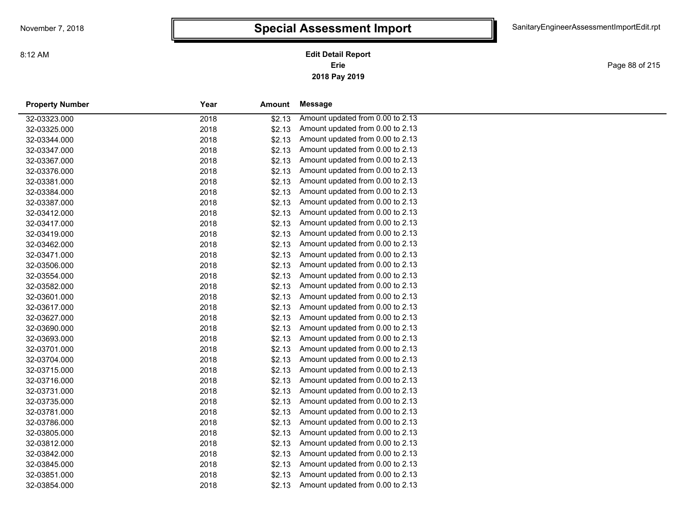**2018 Pay 2019 Erie Edit Detail Report**

Page 88 of 215

| <b>Property Number</b> | Year | <b>Amount</b> | <b>Message</b>                   |
|------------------------|------|---------------|----------------------------------|
| 32-03323.000           | 2018 | \$2.13        | Amount updated from 0.00 to 2.13 |
| 32-03325.000           | 2018 | \$2.13        | Amount updated from 0.00 to 2.13 |
| 32-03344.000           | 2018 | \$2.13        | Amount updated from 0.00 to 2.13 |
| 32-03347.000           | 2018 | \$2.13        | Amount updated from 0.00 to 2.13 |
| 32-03367.000           | 2018 | \$2.13        | Amount updated from 0.00 to 2.13 |
| 32-03376.000           | 2018 | \$2.13        | Amount updated from 0.00 to 2.13 |
| 32-03381.000           | 2018 | \$2.13        | Amount updated from 0.00 to 2.13 |
| 32-03384.000           | 2018 | \$2.13        | Amount updated from 0.00 to 2.13 |
| 32-03387.000           | 2018 | \$2.13        | Amount updated from 0.00 to 2.13 |
| 32-03412.000           | 2018 | \$2.13        | Amount updated from 0.00 to 2.13 |
| 32-03417.000           | 2018 | \$2.13        | Amount updated from 0.00 to 2.13 |
| 32-03419.000           | 2018 | \$2.13        | Amount updated from 0.00 to 2.13 |
| 32-03462.000           | 2018 | \$2.13        | Amount updated from 0.00 to 2.13 |
| 32-03471.000           | 2018 | \$2.13        | Amount updated from 0.00 to 2.13 |
| 32-03506.000           | 2018 | \$2.13        | Amount updated from 0.00 to 2.13 |
| 32-03554.000           | 2018 | \$2.13        | Amount updated from 0.00 to 2.13 |
| 32-03582.000           | 2018 | \$2.13        | Amount updated from 0.00 to 2.13 |
| 32-03601.000           | 2018 | \$2.13        | Amount updated from 0.00 to 2.13 |
| 32-03617.000           | 2018 | \$2.13        | Amount updated from 0.00 to 2.13 |
| 32-03627.000           | 2018 | \$2.13        | Amount updated from 0.00 to 2.13 |
| 32-03690.000           | 2018 | \$2.13        | Amount updated from 0.00 to 2.13 |
| 32-03693.000           | 2018 | \$2.13        | Amount updated from 0.00 to 2.13 |
| 32-03701.000           | 2018 | \$2.13        | Amount updated from 0.00 to 2.13 |
| 32-03704.000           | 2018 | \$2.13        | Amount updated from 0.00 to 2.13 |
| 32-03715.000           | 2018 | \$2.13        | Amount updated from 0.00 to 2.13 |
| 32-03716.000           | 2018 | \$2.13        | Amount updated from 0.00 to 2.13 |
| 32-03731.000           | 2018 | \$2.13        | Amount updated from 0.00 to 2.13 |
| 32-03735.000           | 2018 | \$2.13        | Amount updated from 0.00 to 2.13 |
| 32-03781.000           | 2018 | \$2.13        | Amount updated from 0.00 to 2.13 |
| 32-03786.000           | 2018 | \$2.13        | Amount updated from 0.00 to 2.13 |
| 32-03805.000           | 2018 | \$2.13        | Amount updated from 0.00 to 2.13 |
| 32-03812.000           | 2018 | \$2.13        | Amount updated from 0.00 to 2.13 |
| 32-03842.000           | 2018 | \$2.13        | Amount updated from 0.00 to 2.13 |
| 32-03845.000           | 2018 | \$2.13        | Amount updated from 0.00 to 2.13 |
| 32-03851.000           | 2018 | \$2.13        | Amount updated from 0.00 to 2.13 |
| 32-03854.000           | 2018 | \$2.13        | Amount updated from 0.00 to 2.13 |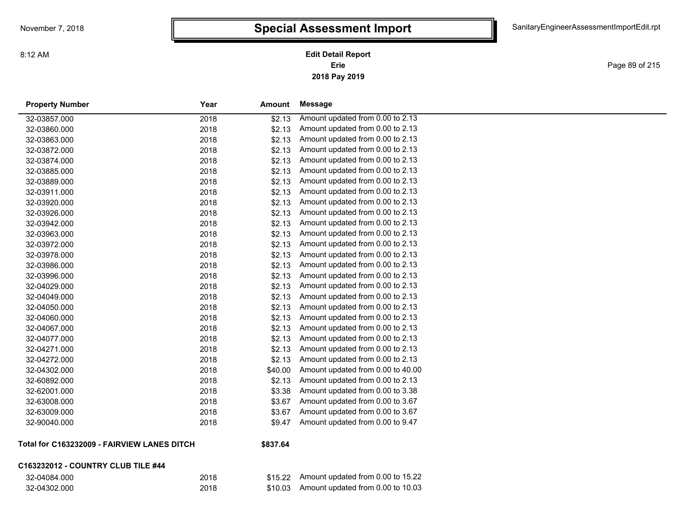**2018 Pay 2019 Erie Edit Detail Report**

Page 89 of 215

| <b>Property Number</b> | Year | <b>Amount</b> | <b>Message</b>                    |
|------------------------|------|---------------|-----------------------------------|
| 32-03857.000           | 2018 | \$2.13        | Amount updated from 0.00 to 2.13  |
| 32-03860.000           | 2018 | \$2.13        | Amount updated from 0.00 to 2.13  |
| 32-03863.000           | 2018 | \$2.13        | Amount updated from 0.00 to 2.13  |
| 32-03872.000           | 2018 | \$2.13        | Amount updated from 0.00 to 2.13  |
| 32-03874.000           | 2018 | \$2.13        | Amount updated from 0.00 to 2.13  |
| 32-03885.000           | 2018 | \$2.13        | Amount updated from 0.00 to 2.13  |
| 32-03889.000           | 2018 | \$2.13        | Amount updated from 0.00 to 2.13  |
| 32-03911.000           | 2018 | \$2.13        | Amount updated from 0.00 to 2.13  |
| 32-03920.000           | 2018 | \$2.13        | Amount updated from 0.00 to 2.13  |
| 32-03926.000           | 2018 | \$2.13        | Amount updated from 0.00 to 2.13  |
| 32-03942.000           | 2018 | \$2.13        | Amount updated from 0.00 to 2.13  |
| 32-03963.000           | 2018 | \$2.13        | Amount updated from 0.00 to 2.13  |
| 32-03972.000           | 2018 | \$2.13        | Amount updated from 0.00 to 2.13  |
| 32-03978.000           | 2018 | \$2.13        | Amount updated from 0.00 to 2.13  |
| 32-03986.000           | 2018 | \$2.13        | Amount updated from 0.00 to 2.13  |
| 32-03996.000           | 2018 | \$2.13        | Amount updated from 0.00 to 2.13  |
| 32-04029.000           | 2018 | \$2.13        | Amount updated from 0.00 to 2.13  |
| 32-04049.000           | 2018 | \$2.13        | Amount updated from 0.00 to 2.13  |
| 32-04050.000           | 2018 | \$2.13        | Amount updated from 0.00 to 2.13  |
| 32-04060.000           | 2018 | \$2.13        | Amount updated from 0.00 to 2.13  |
| 32-04067.000           | 2018 | \$2.13        | Amount updated from 0.00 to 2.13  |
| 32-04077.000           | 2018 | \$2.13        | Amount updated from 0.00 to 2.13  |
| 32-04271.000           | 2018 | \$2.13        | Amount updated from 0.00 to 2.13  |
| 32-04272.000           | 2018 | \$2.13        | Amount updated from 0.00 to 2.13  |
| 32-04302.000           | 2018 | \$40.00       | Amount updated from 0.00 to 40.00 |
| 32-60892.000           | 2018 | \$2.13        | Amount updated from 0.00 to 2.13  |
| 32-62001.000           | 2018 | \$3.38        | Amount updated from 0.00 to 3.38  |
| 32-63008.000           | 2018 | \$3.67        | Amount updated from 0.00 to 3.67  |
| 32-63009.000           | 2018 | \$3.67        | Amount updated from 0.00 to 3.67  |
| 32-90040.000           | 2018 | \$9.47        | Amount updated from 0.00 to 9.47  |
|                        |      |               |                                   |

#### **Total for C163232009 - FAIRVIEW LANES DITCH \$837.64**

#### **C163232012 - COUNTRY CLUB TILE #44**

| 32-04084.000 |  |  |
|--------------|--|--|
| 32-04302.000 |  |  |

| 32-04084.000 | 2018 | \$15.22 Amount updated from 0.00 to 15.22  |
|--------------|------|--------------------------------------------|
| 32-04302.000 | 2018 | $$10.03$ Amount updated from 0.00 to 10.03 |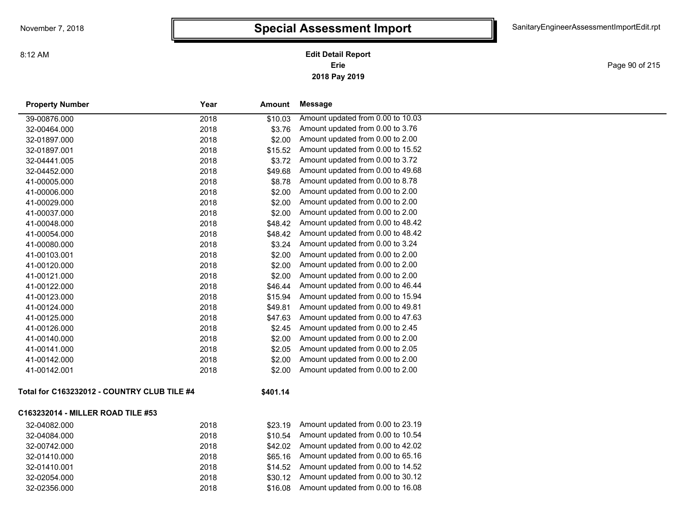**2018 Pay 2019 Erie Edit Detail Report**

Page 90 of 215

| <b>Property Number</b>                      | Year | <b>Amount</b> | <b>Message</b>                    |
|---------------------------------------------|------|---------------|-----------------------------------|
| 39-00876.000                                | 2018 | \$10.03       | Amount updated from 0.00 to 10.03 |
| 32-00464.000                                | 2018 | \$3.76        | Amount updated from 0.00 to 3.76  |
| 32-01897.000                                | 2018 | \$2.00        | Amount updated from 0.00 to 2.00  |
| 32-01897.001                                | 2018 | \$15.52       | Amount updated from 0.00 to 15.52 |
| 32-04441.005                                | 2018 | \$3.72        | Amount updated from 0.00 to 3.72  |
| 32-04452.000                                | 2018 | \$49.68       | Amount updated from 0.00 to 49.68 |
| 41-00005.000                                | 2018 | \$8.78        | Amount updated from 0.00 to 8.78  |
| 41-00006.000                                | 2018 | \$2.00        | Amount updated from 0.00 to 2.00  |
| 41-00029.000                                | 2018 | \$2.00        | Amount updated from 0.00 to 2.00  |
| 41-00037.000                                | 2018 | \$2.00        | Amount updated from 0.00 to 2.00  |
| 41-00048.000                                | 2018 | \$48.42       | Amount updated from 0.00 to 48.42 |
| 41-00054.000                                | 2018 | \$48.42       | Amount updated from 0.00 to 48.42 |
| 41-00080.000                                | 2018 | \$3.24        | Amount updated from 0.00 to 3.24  |
| 41-00103.001                                | 2018 | \$2.00        | Amount updated from 0.00 to 2.00  |
| 41-00120.000                                | 2018 | \$2.00        | Amount updated from 0.00 to 2.00  |
| 41-00121.000                                | 2018 | \$2.00        | Amount updated from 0.00 to 2.00  |
| 41-00122.000                                | 2018 | \$46.44       | Amount updated from 0.00 to 46.44 |
| 41-00123.000                                | 2018 | \$15.94       | Amount updated from 0.00 to 15.94 |
| 41-00124.000                                | 2018 | \$49.81       | Amount updated from 0.00 to 49.81 |
| 41-00125.000                                | 2018 | \$47.63       | Amount updated from 0.00 to 47.63 |
| 41-00126.000                                | 2018 | \$2.45        | Amount updated from 0.00 to 2.45  |
| 41-00140.000                                | 2018 | \$2.00        | Amount updated from 0.00 to 2.00  |
| 41-00141.000                                | 2018 | \$2.05        | Amount updated from 0.00 to 2.05  |
| 41-00142.000                                | 2018 | \$2.00        | Amount updated from 0.00 to 2.00  |
| 41-00142.001                                | 2018 | \$2.00        | Amount updated from 0.00 to 2.00  |
| Total for C163232012 - COUNTRY CLUB TILE #4 |      | \$401.14      |                                   |
| C163232014 - MILLER ROAD TILE #53           |      |               |                                   |
| 32-04082.000                                | 2018 | \$23.19       | Amount updated from 0.00 to 23.19 |
| 32-04084.000                                | 2018 | \$10.54       | Amount updated from 0.00 to 10.54 |
| 32-00742.000                                | 2018 | \$42.02       | Amount updated from 0.00 to 42.02 |
| 32-01410.000                                | 2018 | \$65.16       | Amount updated from 0.00 to 65.16 |
| 32-01410.001                                | 2018 | \$14.52       | Amount updated from 0.00 to 14.52 |
| 32-02054.000                                | 2018 | \$30.12       | Amount updated from 0.00 to 30.12 |
| 32-02356.000                                | 2018 | \$16.08       | Amount updated from 0.00 to 16.08 |
|                                             |      |               |                                   |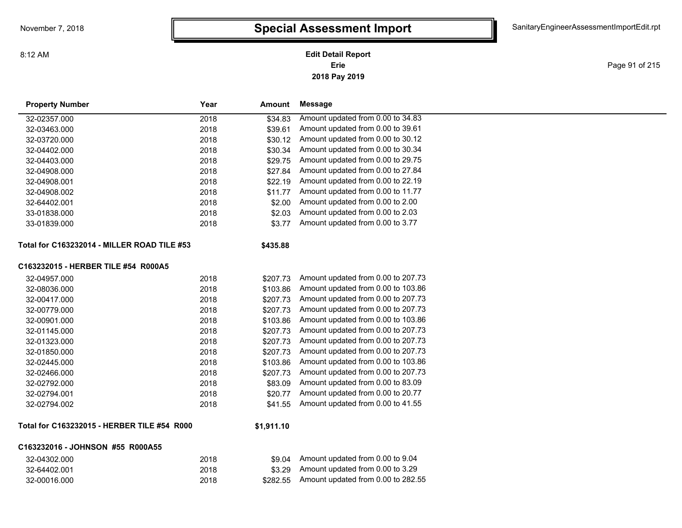Page 91 of 215

| <b>Property Number</b>                             | Year | Amount     | <b>Message</b>                     |
|----------------------------------------------------|------|------------|------------------------------------|
| 32-02357.000                                       | 2018 | \$34.83    | Amount updated from 0.00 to 34.83  |
| 32-03463.000                                       | 2018 | \$39.61    | Amount updated from 0.00 to 39.61  |
| 32-03720.000                                       | 2018 | \$30.12    | Amount updated from 0.00 to 30.12  |
| 32-04402.000                                       | 2018 | \$30.34    | Amount updated from 0.00 to 30.34  |
| 32-04403.000                                       | 2018 | \$29.75    | Amount updated from 0.00 to 29.75  |
| 32-04908.000                                       | 2018 | \$27.84    | Amount updated from 0.00 to 27.84  |
| 32-04908.001                                       | 2018 | \$22.19    | Amount updated from 0.00 to 22.19  |
| 32-04908.002                                       | 2018 | \$11.77    | Amount updated from 0.00 to 11.77  |
| 32-64402.001                                       | 2018 | \$2.00     | Amount updated from 0.00 to 2.00   |
| 33-01838.000                                       | 2018 | \$2.03     | Amount updated from 0.00 to 2.03   |
| 33-01839.000                                       | 2018 | \$3.77     | Amount updated from 0.00 to 3.77   |
| <b>Total for C163232014 - MILLER ROAD TILE #53</b> |      | \$435.88   |                                    |
| C163232015 - HERBER TILE #54 R000A5                |      |            |                                    |
| 32-04957.000                                       | 2018 | \$207.73   | Amount updated from 0.00 to 207.73 |
| 32-08036.000                                       | 2018 | \$103.86   | Amount updated from 0.00 to 103.86 |
| 32-00417.000                                       | 2018 | \$207.73   | Amount updated from 0.00 to 207.73 |
| 32-00779.000                                       | 2018 | \$207.73   | Amount updated from 0.00 to 207.73 |
| 32-00901.000                                       | 2018 | \$103.86   | Amount updated from 0.00 to 103.86 |
| 32-01145.000                                       | 2018 | \$207.73   | Amount updated from 0.00 to 207.73 |
| 32-01323.000                                       | 2018 | \$207.73   | Amount updated from 0.00 to 207.73 |
| 32-01850.000                                       | 2018 | \$207.73   | Amount updated from 0.00 to 207.73 |
| 32-02445.000                                       | 2018 | \$103.86   | Amount updated from 0.00 to 103.86 |
| 32-02466.000                                       | 2018 | \$207.73   | Amount updated from 0.00 to 207.73 |
| 32-02792.000                                       | 2018 | \$83.09    | Amount updated from 0.00 to 83.09  |
| 32-02794.001                                       | 2018 | \$20.77    | Amount updated from 0.00 to 20.77  |
| 32-02794.002                                       | 2018 | \$41.55    | Amount updated from 0.00 to 41.55  |
| Total for C163232015 - HERBER TILE #54 R000        |      | \$1,911.10 |                                    |
| C163232016 - JOHNSON #55 R000A55                   |      |            |                                    |
| 32-04302.000                                       | 2018 | \$9.04     | Amount updated from 0.00 to 9.04   |
| 32-64402.001                                       | 2018 | \$3.29     | Amount updated from 0.00 to 3.29   |
| 32-00016.000                                       | 2018 | \$282.55   | Amount updated from 0.00 to 282.55 |

8:12 AM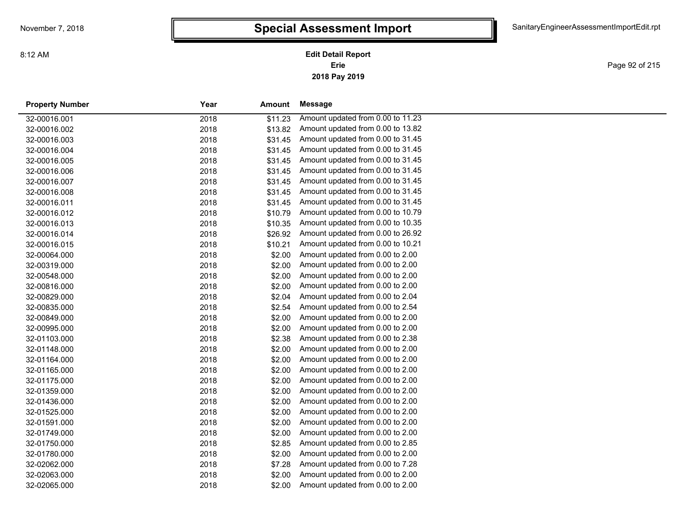**2018 Pay 2019 Erie Edit Detail Report**

Page 92 of 215

| <b>Property Number</b> | Year | Amount  | Message                           |
|------------------------|------|---------|-----------------------------------|
| 32-00016.001           | 2018 | \$11.23 | Amount updated from 0.00 to 11.23 |
| 32-00016.002           | 2018 | \$13.82 | Amount updated from 0.00 to 13.82 |
| 32-00016.003           | 2018 | \$31.45 | Amount updated from 0.00 to 31.45 |
| 32-00016.004           | 2018 | \$31.45 | Amount updated from 0.00 to 31.45 |
| 32-00016.005           | 2018 | \$31.45 | Amount updated from 0.00 to 31.45 |
| 32-00016.006           | 2018 | \$31.45 | Amount updated from 0.00 to 31.45 |
| 32-00016.007           | 2018 | \$31.45 | Amount updated from 0.00 to 31.45 |
| 32-00016.008           | 2018 | \$31.45 | Amount updated from 0.00 to 31.45 |
| 32-00016.011           | 2018 | \$31.45 | Amount updated from 0.00 to 31.45 |
| 32-00016.012           | 2018 | \$10.79 | Amount updated from 0.00 to 10.79 |
| 32-00016.013           | 2018 | \$10.35 | Amount updated from 0.00 to 10.35 |
| 32-00016.014           | 2018 | \$26.92 | Amount updated from 0.00 to 26.92 |
| 32-00016.015           | 2018 | \$10.21 | Amount updated from 0.00 to 10.21 |
| 32-00064.000           | 2018 | \$2.00  | Amount updated from 0.00 to 2.00  |
| 32-00319.000           | 2018 | \$2.00  | Amount updated from 0.00 to 2.00  |
| 32-00548.000           | 2018 | \$2.00  | Amount updated from 0.00 to 2.00  |
| 32-00816.000           | 2018 | \$2.00  | Amount updated from 0.00 to 2.00  |
| 32-00829.000           | 2018 | \$2.04  | Amount updated from 0.00 to 2.04  |
| 32-00835.000           | 2018 | \$2.54  | Amount updated from 0.00 to 2.54  |
| 32-00849.000           | 2018 | \$2.00  | Amount updated from 0.00 to 2.00  |
| 32-00995.000           | 2018 | \$2.00  | Amount updated from 0.00 to 2.00  |
| 32-01103.000           | 2018 | \$2.38  | Amount updated from 0.00 to 2.38  |
| 32-01148.000           | 2018 | \$2.00  | Amount updated from 0.00 to 2.00  |
| 32-01164.000           | 2018 | \$2.00  | Amount updated from 0.00 to 2.00  |
| 32-01165.000           | 2018 | \$2.00  | Amount updated from 0.00 to 2.00  |
| 32-01175.000           | 2018 | \$2.00  | Amount updated from 0.00 to 2.00  |
| 32-01359.000           | 2018 | \$2.00  | Amount updated from 0.00 to 2.00  |
| 32-01436.000           | 2018 | \$2.00  | Amount updated from 0.00 to 2.00  |
| 32-01525.000           | 2018 | \$2.00  | Amount updated from 0.00 to 2.00  |
| 32-01591.000           | 2018 | \$2.00  | Amount updated from 0.00 to 2.00  |
| 32-01749.000           | 2018 | \$2.00  | Amount updated from 0.00 to 2.00  |
| 32-01750.000           | 2018 | \$2.85  | Amount updated from 0.00 to 2.85  |
| 32-01780.000           | 2018 | \$2.00  | Amount updated from 0.00 to 2.00  |
| 32-02062.000           | 2018 | \$7.28  | Amount updated from 0.00 to 7.28  |
| 32-02063.000           | 2018 | \$2.00  | Amount updated from 0.00 to 2.00  |
| 32-02065.000           | 2018 | \$2.00  | Amount updated from 0.00 to 2.00  |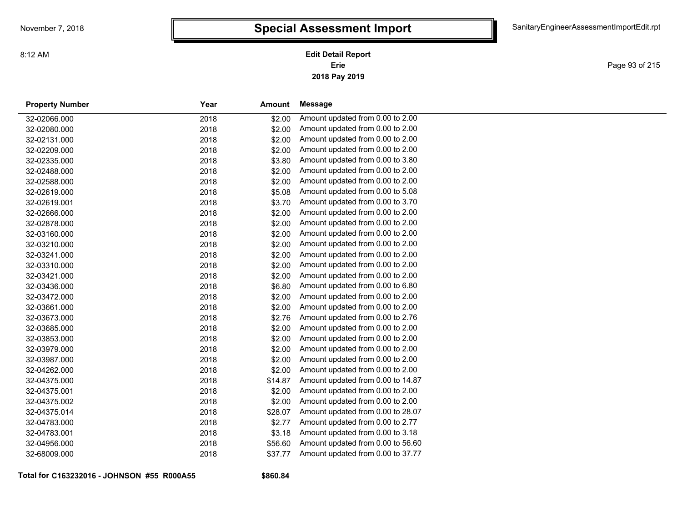Page 93 of 215

| <b>Property Number</b> | Year | <b>Amount</b> | <b>Message</b>                    |
|------------------------|------|---------------|-----------------------------------|
| 32-02066.000           | 2018 | \$2.00        | Amount updated from 0.00 to 2.00  |
| 32-02080.000           | 2018 | \$2.00        | Amount updated from 0.00 to 2.00  |
| 32-02131.000           | 2018 | \$2.00        | Amount updated from 0.00 to 2.00  |
| 32-02209.000           | 2018 | \$2.00        | Amount updated from 0.00 to 2.00  |
| 32-02335.000           | 2018 | \$3.80        | Amount updated from 0.00 to 3.80  |
| 32-02488.000           | 2018 | \$2.00        | Amount updated from 0.00 to 2.00  |
| 32-02588.000           | 2018 | \$2.00        | Amount updated from 0.00 to 2.00  |
| 32-02619.000           | 2018 | \$5.08        | Amount updated from 0.00 to 5.08  |
| 32-02619.001           | 2018 | \$3.70        | Amount updated from 0.00 to 3.70  |
| 32-02666.000           | 2018 | \$2.00        | Amount updated from 0.00 to 2.00  |
| 32-02878.000           | 2018 | \$2.00        | Amount updated from 0.00 to 2.00  |
| 32-03160.000           | 2018 | \$2.00        | Amount updated from 0.00 to 2.00  |
| 32-03210.000           | 2018 | \$2.00        | Amount updated from 0.00 to 2.00  |
| 32-03241.000           | 2018 | \$2.00        | Amount updated from 0.00 to 2.00  |
| 32-03310.000           | 2018 | \$2.00        | Amount updated from 0.00 to 2.00  |
| 32-03421.000           | 2018 | \$2.00        | Amount updated from 0.00 to 2.00  |
| 32-03436.000           | 2018 | \$6.80        | Amount updated from 0.00 to 6.80  |
| 32-03472.000           | 2018 | \$2.00        | Amount updated from 0.00 to 2.00  |
| 32-03661.000           | 2018 | \$2.00        | Amount updated from 0.00 to 2.00  |
| 32-03673.000           | 2018 | \$2.76        | Amount updated from 0.00 to 2.76  |
| 32-03685.000           | 2018 | \$2.00        | Amount updated from 0.00 to 2.00  |
| 32-03853.000           | 2018 | \$2.00        | Amount updated from 0.00 to 2.00  |
| 32-03979.000           | 2018 | \$2.00        | Amount updated from 0.00 to 2.00  |
| 32-03987.000           | 2018 | \$2.00        | Amount updated from 0.00 to 2.00  |
| 32-04262.000           | 2018 | \$2.00        | Amount updated from 0.00 to 2.00  |
| 32-04375.000           | 2018 | \$14.87       | Amount updated from 0.00 to 14.87 |
| 32-04375.001           | 2018 | \$2.00        | Amount updated from 0.00 to 2.00  |
| 32-04375.002           | 2018 | \$2.00        | Amount updated from 0.00 to 2.00  |
| 32-04375.014           | 2018 | \$28.07       | Amount updated from 0.00 to 28.07 |
| 32-04783.000           | 2018 | \$2.77        | Amount updated from 0.00 to 2.77  |
| 32-04783.001           | 2018 | \$3.18        | Amount updated from 0.00 to 3.18  |
| 32-04956.000           | 2018 | \$56.60       | Amount updated from 0.00 to 56.60 |
| 32-68009.000           | 2018 | \$37.77       | Amount updated from 0.00 to 37.77 |
|                        |      |               |                                   |

**Total for C163232016 - JOHNSON #55 R000A55**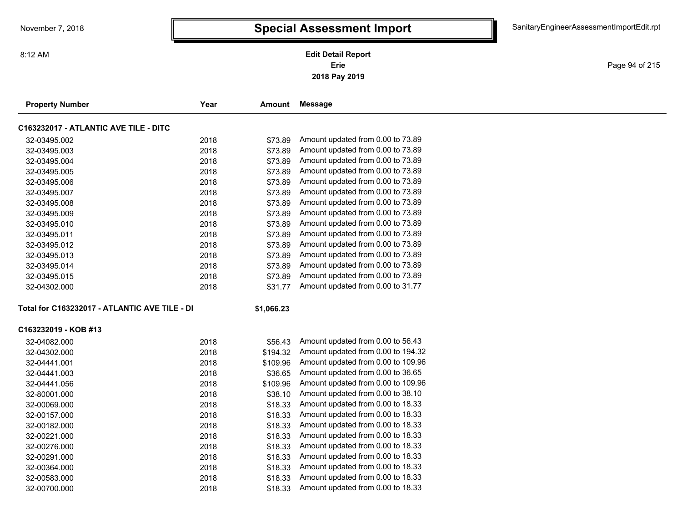Page 94 of 215

| <b>Property Number</b>                        | Year | <b>Amount</b> | Message                            |  |
|-----------------------------------------------|------|---------------|------------------------------------|--|
| C163232017 - ATLANTIC AVE TILE - DITC         |      |               |                                    |  |
| 32-03495.002                                  | 2018 | \$73.89       | Amount updated from 0.00 to 73.89  |  |
| 32-03495.003                                  | 2018 | \$73.89       | Amount updated from 0.00 to 73.89  |  |
| 32-03495.004                                  | 2018 | \$73.89       | Amount updated from 0.00 to 73.89  |  |
| 32-03495.005                                  | 2018 | \$73.89       | Amount updated from 0.00 to 73.89  |  |
| 32-03495.006                                  | 2018 | \$73.89       | Amount updated from 0.00 to 73.89  |  |
| 32-03495.007                                  | 2018 | \$73.89       | Amount updated from 0.00 to 73.89  |  |
| 32-03495.008                                  | 2018 | \$73.89       | Amount updated from 0.00 to 73.89  |  |
| 32-03495.009                                  | 2018 | \$73.89       | Amount updated from 0.00 to 73.89  |  |
| 32-03495.010                                  | 2018 | \$73.89       | Amount updated from 0.00 to 73.89  |  |
| 32-03495.011                                  | 2018 | \$73.89       | Amount updated from 0.00 to 73.89  |  |
| 32-03495.012                                  | 2018 | \$73.89       | Amount updated from 0.00 to 73.89  |  |
| 32-03495.013                                  | 2018 | \$73.89       | Amount updated from 0.00 to 73.89  |  |
| 32-03495.014                                  | 2018 | \$73.89       | Amount updated from 0.00 to 73.89  |  |
| 32-03495.015                                  | 2018 | \$73.89       | Amount updated from 0.00 to 73.89  |  |
| 32-04302.000                                  | 2018 | \$31.77       | Amount updated from 0.00 to 31.77  |  |
| Total for C163232017 - ATLANTIC AVE TILE - DI |      | \$1,066.23    |                                    |  |
| C163232019 - KOB #13                          |      |               |                                    |  |
| 32-04082.000                                  | 2018 | \$56.43       | Amount updated from 0.00 to 56.43  |  |
| 32-04302.000                                  | 2018 | \$194.32      | Amount updated from 0.00 to 194.32 |  |
| 32-04441.001                                  | 2018 | \$109.96      | Amount updated from 0.00 to 109.96 |  |
| 32-04441.003                                  | 2018 | \$36.65       | Amount updated from 0.00 to 36.65  |  |
| 32-04441.056                                  | 2018 | \$109.96      | Amount updated from 0.00 to 109.96 |  |
| 32-80001.000                                  | 2018 | \$38.10       | Amount updated from 0.00 to 38.10  |  |
| 32-00069.000                                  | 2018 | \$18.33       | Amount updated from 0.00 to 18.33  |  |
| 32-00157.000                                  | 2018 | \$18.33       | Amount updated from 0.00 to 18.33  |  |
| 32-00182.000                                  | 2018 | \$18.33       | Amount updated from 0.00 to 18.33  |  |
| 32-00221.000                                  | 2018 | \$18.33       | Amount updated from 0.00 to 18.33  |  |
| 32-00276.000                                  | 2018 | \$18.33       | Amount updated from 0.00 to 18.33  |  |
| 32-00291.000                                  | 2018 | \$18.33       | Amount updated from 0.00 to 18.33  |  |
| 32-00364.000                                  | 2018 | \$18.33       | Amount updated from 0.00 to 18.33  |  |
| 32-00583.000                                  | 2018 | \$18.33       | Amount updated from 0.00 to 18.33  |  |
| 32-00700.000                                  | 2018 | \$18.33       | Amount updated from 0.00 to 18.33  |  |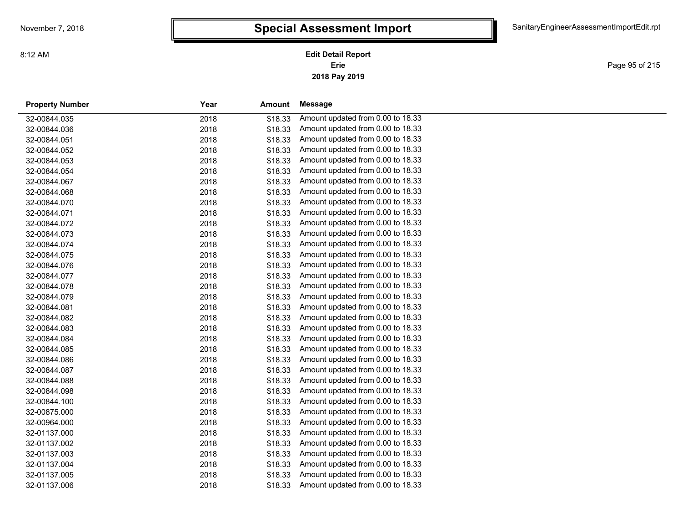Page 95 of 215

| <b>Property Number</b> | Year<br>Amount  | Message                           |
|------------------------|-----------------|-----------------------------------|
| 32-00844.035           | 2018<br>\$18.33 | Amount updated from 0.00 to 18.33 |
| 32-00844.036           | \$18.33<br>2018 | Amount updated from 0.00 to 18.33 |
| 32-00844.051           | \$18.33<br>2018 | Amount updated from 0.00 to 18.33 |
| 32-00844.052           | \$18.33<br>2018 | Amount updated from 0.00 to 18.33 |
| 32-00844.053           | \$18.33<br>2018 | Amount updated from 0.00 to 18.33 |
| 32-00844.054           | 2018<br>\$18.33 | Amount updated from 0.00 to 18.33 |
| 32-00844.067           | \$18.33<br>2018 | Amount updated from 0.00 to 18.33 |
| 32-00844.068           | 2018<br>\$18.33 | Amount updated from 0.00 to 18.33 |
| 32-00844.070           | 2018<br>\$18.33 | Amount updated from 0.00 to 18.33 |
| 32-00844.071           | 2018<br>\$18.33 | Amount updated from 0.00 to 18.33 |
| 32-00844.072           | 2018<br>\$18.33 | Amount updated from 0.00 to 18.33 |
| 32-00844.073           | \$18.33<br>2018 | Amount updated from 0.00 to 18.33 |
| 32-00844.074           | \$18.33<br>2018 | Amount updated from 0.00 to 18.33 |
| 32-00844.075           | \$18.33<br>2018 | Amount updated from 0.00 to 18.33 |
| 32-00844.076           | \$18.33<br>2018 | Amount updated from 0.00 to 18.33 |
| 32-00844.077           | \$18.33<br>2018 | Amount updated from 0.00 to 18.33 |
| 32-00844.078           | \$18.33<br>2018 | Amount updated from 0.00 to 18.33 |
| 32-00844.079           | \$18.33<br>2018 | Amount updated from 0.00 to 18.33 |
| 32-00844.081           | \$18.33<br>2018 | Amount updated from 0.00 to 18.33 |
| 32-00844.082           | \$18.33<br>2018 | Amount updated from 0.00 to 18.33 |
| 32-00844.083           | \$18.33<br>2018 | Amount updated from 0.00 to 18.33 |
| 32-00844.084           | 2018<br>\$18.33 | Amount updated from 0.00 to 18.33 |
| 32-00844.085           | \$18.33<br>2018 | Amount updated from 0.00 to 18.33 |
| 32-00844.086           | 2018<br>\$18.33 | Amount updated from 0.00 to 18.33 |
| 32-00844.087           | 2018<br>\$18.33 | Amount updated from 0.00 to 18.33 |
| 32-00844.088           | 2018<br>\$18.33 | Amount updated from 0.00 to 18.33 |
| 32-00844.098           | \$18.33<br>2018 | Amount updated from 0.00 to 18.33 |
| 32-00844.100           | 2018<br>\$18.33 | Amount updated from 0.00 to 18.33 |
| 32-00875.000           | \$18.33<br>2018 | Amount updated from 0.00 to 18.33 |
| 32-00964.000           | 2018<br>\$18.33 | Amount updated from 0.00 to 18.33 |
| 32-01137.000           | \$18.33<br>2018 | Amount updated from 0.00 to 18.33 |
| 32-01137.002           | 2018<br>\$18.33 | Amount updated from 0.00 to 18.33 |
| 32-01137.003           | 2018<br>\$18.33 | Amount updated from 0.00 to 18.33 |
| 32-01137.004           | 2018<br>\$18.33 | Amount updated from 0.00 to 18.33 |
| 32-01137.005           | 2018<br>\$18.33 | Amount updated from 0.00 to 18.33 |
| 32-01137.006           | 2018<br>\$18.33 | Amount updated from 0.00 to 18.33 |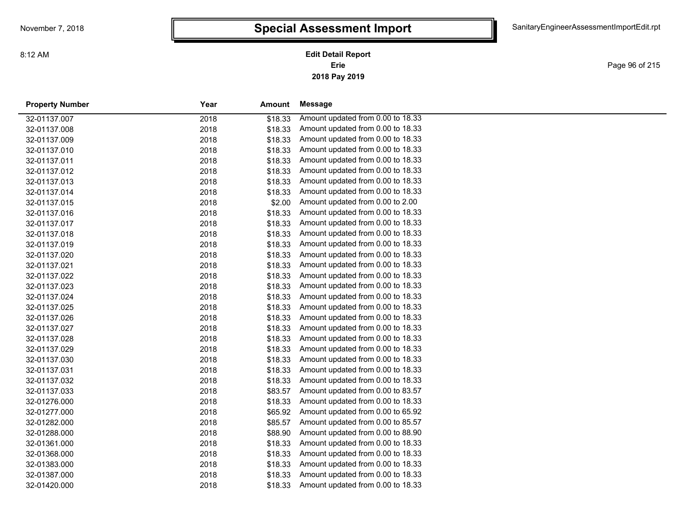**2018 Pay 2019 Erie Edit Detail Report**

Page 96 of 215

| <b>Property Number</b> | Year | Amount  | Message                           |  |
|------------------------|------|---------|-----------------------------------|--|
| 32-01137.007           | 2018 | \$18.33 | Amount updated from 0.00 to 18.33 |  |
| 32-01137.008           | 2018 | \$18.33 | Amount updated from 0.00 to 18.33 |  |
| 32-01137.009           | 2018 | \$18.33 | Amount updated from 0.00 to 18.33 |  |
| 32-01137.010           | 2018 | \$18.33 | Amount updated from 0.00 to 18.33 |  |
| 32-01137.011           | 2018 | \$18.33 | Amount updated from 0.00 to 18.33 |  |
| 32-01137.012           | 2018 | \$18.33 | Amount updated from 0.00 to 18.33 |  |
| 32-01137.013           | 2018 | \$18.33 | Amount updated from 0.00 to 18.33 |  |
| 32-01137.014           | 2018 | \$18.33 | Amount updated from 0.00 to 18.33 |  |
| 32-01137.015           | 2018 | \$2.00  | Amount updated from 0.00 to 2.00  |  |
| 32-01137.016           | 2018 | \$18.33 | Amount updated from 0.00 to 18.33 |  |
| 32-01137.017           | 2018 | \$18.33 | Amount updated from 0.00 to 18.33 |  |
| 32-01137.018           | 2018 | \$18.33 | Amount updated from 0.00 to 18.33 |  |
| 32-01137.019           | 2018 | \$18.33 | Amount updated from 0.00 to 18.33 |  |
| 32-01137.020           | 2018 | \$18.33 | Amount updated from 0.00 to 18.33 |  |
| 32-01137.021           | 2018 | \$18.33 | Amount updated from 0.00 to 18.33 |  |
| 32-01137.022           | 2018 | \$18.33 | Amount updated from 0.00 to 18.33 |  |
| 32-01137.023           | 2018 | \$18.33 | Amount updated from 0.00 to 18.33 |  |
| 32-01137.024           | 2018 | \$18.33 | Amount updated from 0.00 to 18.33 |  |
| 32-01137.025           | 2018 | \$18.33 | Amount updated from 0.00 to 18.33 |  |
| 32-01137.026           | 2018 | \$18.33 | Amount updated from 0.00 to 18.33 |  |
| 32-01137.027           | 2018 | \$18.33 | Amount updated from 0.00 to 18.33 |  |
| 32-01137.028           | 2018 | \$18.33 | Amount updated from 0.00 to 18.33 |  |
| 32-01137.029           | 2018 | \$18.33 | Amount updated from 0.00 to 18.33 |  |
| 32-01137.030           | 2018 | \$18.33 | Amount updated from 0.00 to 18.33 |  |
| 32-01137.031           | 2018 | \$18.33 | Amount updated from 0.00 to 18.33 |  |
| 32-01137.032           | 2018 | \$18.33 | Amount updated from 0.00 to 18.33 |  |
| 32-01137.033           | 2018 | \$83.57 | Amount updated from 0.00 to 83.57 |  |
| 32-01276.000           | 2018 | \$18.33 | Amount updated from 0.00 to 18.33 |  |
| 32-01277.000           | 2018 | \$65.92 | Amount updated from 0.00 to 65.92 |  |
| 32-01282.000           | 2018 | \$85.57 | Amount updated from 0.00 to 85.57 |  |
| 32-01288.000           | 2018 | \$88.90 | Amount updated from 0.00 to 88.90 |  |
| 32-01361.000           | 2018 | \$18.33 | Amount updated from 0.00 to 18.33 |  |
| 32-01368.000           | 2018 | \$18.33 | Amount updated from 0.00 to 18.33 |  |
| 32-01383.000           | 2018 | \$18.33 | Amount updated from 0.00 to 18.33 |  |
| 32-01387.000           | 2018 | \$18.33 | Amount updated from 0.00 to 18.33 |  |
| 32-01420.000           | 2018 | \$18.33 | Amount updated from 0.00 to 18.33 |  |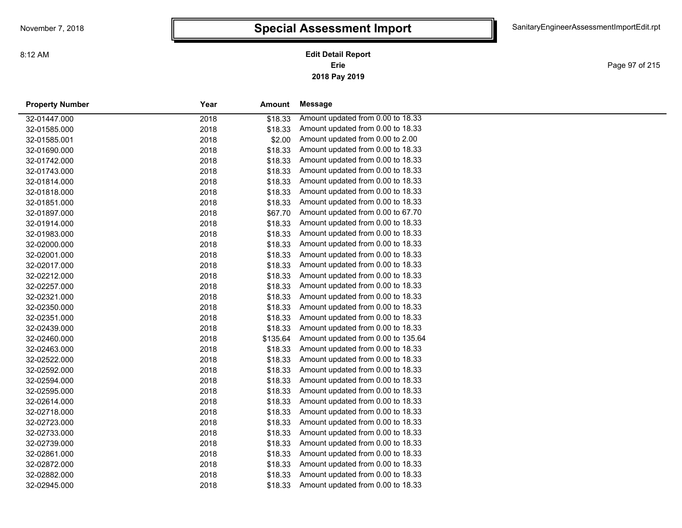**2018 Pay 2019 Erie Edit Detail Report**

Page 97 of 215

| <b>Property Number</b> | Year | Amount   | Message                            |
|------------------------|------|----------|------------------------------------|
| 32-01447.000           | 2018 | \$18.33  | Amount updated from 0.00 to 18.33  |
| 32-01585.000           | 2018 | \$18.33  | Amount updated from 0.00 to 18.33  |
| 32-01585.001           | 2018 | \$2.00   | Amount updated from 0.00 to 2.00   |
| 32-01690.000           | 2018 | \$18.33  | Amount updated from 0.00 to 18.33  |
| 32-01742.000           | 2018 | \$18.33  | Amount updated from 0.00 to 18.33  |
| 32-01743.000           | 2018 | \$18.33  | Amount updated from 0.00 to 18.33  |
| 32-01814.000           | 2018 | \$18.33  | Amount updated from 0.00 to 18.33  |
| 32-01818.000           | 2018 | \$18.33  | Amount updated from 0.00 to 18.33  |
| 32-01851.000           | 2018 | \$18.33  | Amount updated from 0.00 to 18.33  |
| 32-01897.000           | 2018 | \$67.70  | Amount updated from 0.00 to 67.70  |
| 32-01914.000           | 2018 | \$18.33  | Amount updated from 0.00 to 18.33  |
| 32-01983.000           | 2018 | \$18.33  | Amount updated from 0.00 to 18.33  |
| 32-02000.000           | 2018 | \$18.33  | Amount updated from 0.00 to 18.33  |
| 32-02001.000           | 2018 | \$18.33  | Amount updated from 0.00 to 18.33  |
| 32-02017.000           | 2018 | \$18.33  | Amount updated from 0.00 to 18.33  |
| 32-02212.000           | 2018 | \$18.33  | Amount updated from 0.00 to 18.33  |
| 32-02257.000           | 2018 | \$18.33  | Amount updated from 0.00 to 18.33  |
| 32-02321.000           | 2018 | \$18.33  | Amount updated from 0.00 to 18.33  |
| 32-02350.000           | 2018 | \$18.33  | Amount updated from 0.00 to 18.33  |
| 32-02351.000           | 2018 | \$18.33  | Amount updated from 0.00 to 18.33  |
| 32-02439.000           | 2018 | \$18.33  | Amount updated from 0.00 to 18.33  |
| 32-02460.000           | 2018 | \$135.64 | Amount updated from 0.00 to 135.64 |
| 32-02463.000           | 2018 | \$18.33  | Amount updated from 0.00 to 18.33  |
| 32-02522.000           | 2018 | \$18.33  | Amount updated from 0.00 to 18.33  |
| 32-02592.000           | 2018 | \$18.33  | Amount updated from 0.00 to 18.33  |
| 32-02594.000           | 2018 | \$18.33  | Amount updated from 0.00 to 18.33  |
| 32-02595.000           | 2018 | \$18.33  | Amount updated from 0.00 to 18.33  |
| 32-02614.000           | 2018 | \$18.33  | Amount updated from 0.00 to 18.33  |
| 32-02718.000           | 2018 | \$18.33  | Amount updated from 0.00 to 18.33  |
| 32-02723.000           | 2018 | \$18.33  | Amount updated from 0.00 to 18.33  |
| 32-02733.000           | 2018 | \$18.33  | Amount updated from 0.00 to 18.33  |
| 32-02739.000           | 2018 | \$18.33  | Amount updated from 0.00 to 18.33  |
| 32-02861.000           | 2018 | \$18.33  | Amount updated from 0.00 to 18.33  |
| 32-02872.000           | 2018 | \$18.33  | Amount updated from 0.00 to 18.33  |
| 32-02882.000           | 2018 | \$18.33  | Amount updated from 0.00 to 18.33  |
| 32-02945.000           | 2018 | \$18.33  | Amount updated from 0.00 to 18.33  |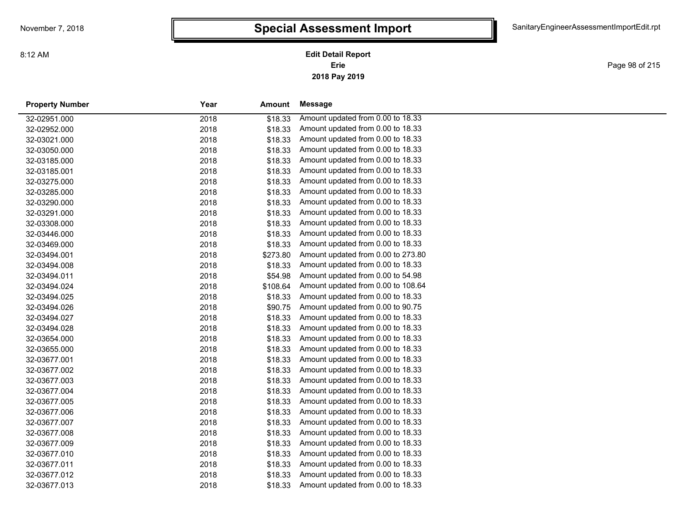Page 98 of 215

| <b>Property Number</b> | Year | Amount   | Message                            |
|------------------------|------|----------|------------------------------------|
| 32-02951.000           | 2018 | \$18.33  | Amount updated from 0.00 to 18.33  |
| 32-02952.000           | 2018 | \$18.33  | Amount updated from 0.00 to 18.33  |
| 32-03021.000           | 2018 | \$18.33  | Amount updated from 0.00 to 18.33  |
| 32-03050.000           | 2018 | \$18.33  | Amount updated from 0.00 to 18.33  |
| 32-03185.000           | 2018 | \$18.33  | Amount updated from 0.00 to 18.33  |
| 32-03185.001           | 2018 | \$18.33  | Amount updated from 0.00 to 18.33  |
| 32-03275.000           | 2018 | \$18.33  | Amount updated from 0.00 to 18.33  |
| 32-03285.000           | 2018 | \$18.33  | Amount updated from 0.00 to 18.33  |
| 32-03290.000           | 2018 | \$18.33  | Amount updated from 0.00 to 18.33  |
| 32-03291.000           | 2018 | \$18.33  | Amount updated from 0.00 to 18.33  |
| 32-03308.000           | 2018 | \$18.33  | Amount updated from 0.00 to 18.33  |
| 32-03446.000           | 2018 | \$18.33  | Amount updated from 0.00 to 18.33  |
| 32-03469.000           | 2018 | \$18.33  | Amount updated from 0.00 to 18.33  |
| 32-03494.001           | 2018 | \$273.80 | Amount updated from 0.00 to 273.80 |
| 32-03494.008           | 2018 | \$18.33  | Amount updated from 0.00 to 18.33  |
| 32-03494.011           | 2018 | \$54.98  | Amount updated from 0.00 to 54.98  |
| 32-03494.024           | 2018 | \$108.64 | Amount updated from 0.00 to 108.64 |
| 32-03494.025           | 2018 | \$18.33  | Amount updated from 0.00 to 18.33  |
| 32-03494.026           | 2018 | \$90.75  | Amount updated from 0.00 to 90.75  |
| 32-03494.027           | 2018 | \$18.33  | Amount updated from 0.00 to 18.33  |
| 32-03494.028           | 2018 | \$18.33  | Amount updated from 0.00 to 18.33  |
| 32-03654.000           | 2018 | \$18.33  | Amount updated from 0.00 to 18.33  |
| 32-03655.000           | 2018 | \$18.33  | Amount updated from 0.00 to 18.33  |
| 32-03677.001           | 2018 | \$18.33  | Amount updated from 0.00 to 18.33  |
| 32-03677.002           | 2018 | \$18.33  | Amount updated from 0.00 to 18.33  |
| 32-03677.003           | 2018 | \$18.33  | Amount updated from 0.00 to 18.33  |
| 32-03677.004           | 2018 | \$18.33  | Amount updated from 0.00 to 18.33  |
| 32-03677.005           | 2018 | \$18.33  | Amount updated from 0.00 to 18.33  |
| 32-03677.006           | 2018 | \$18.33  | Amount updated from 0.00 to 18.33  |
| 32-03677.007           | 2018 | \$18.33  | Amount updated from 0.00 to 18.33  |
| 32-03677.008           | 2018 | \$18.33  | Amount updated from 0.00 to 18.33  |
| 32-03677.009           | 2018 | \$18.33  | Amount updated from 0.00 to 18.33  |
| 32-03677.010           | 2018 | \$18.33  | Amount updated from 0.00 to 18.33  |
| 32-03677.011           | 2018 | \$18.33  | Amount updated from 0.00 to 18.33  |
| 32-03677.012           | 2018 | \$18.33  | Amount updated from 0.00 to 18.33  |
| 32-03677.013           | 2018 | \$18.33  | Amount updated from 0.00 to 18.33  |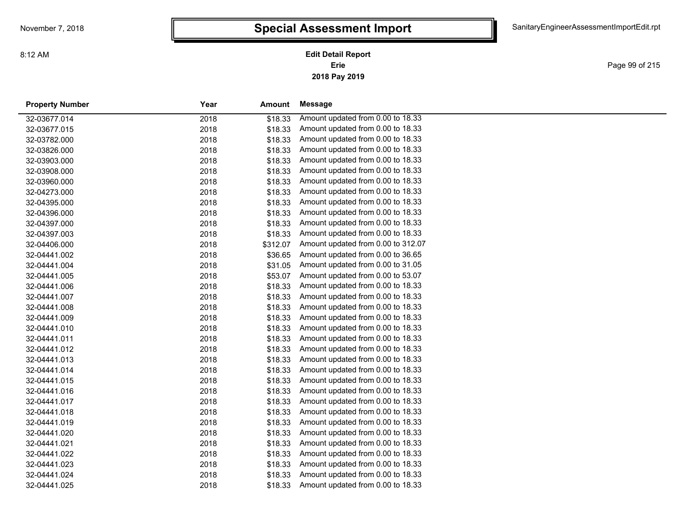Page 99 of 215

| <b>Property Number</b> | Year | Amount   | Message                            |  |
|------------------------|------|----------|------------------------------------|--|
| 32-03677.014           | 2018 | \$18.33  | Amount updated from 0.00 to 18.33  |  |
| 32-03677.015           | 2018 | \$18.33  | Amount updated from 0.00 to 18.33  |  |
| 32-03782.000           | 2018 | \$18.33  | Amount updated from 0.00 to 18.33  |  |
| 32-03826.000           | 2018 | \$18.33  | Amount updated from 0.00 to 18.33  |  |
| 32-03903.000           | 2018 | \$18.33  | Amount updated from 0.00 to 18.33  |  |
| 32-03908.000           | 2018 | \$18.33  | Amount updated from 0.00 to 18.33  |  |
| 32-03960.000           | 2018 | \$18.33  | Amount updated from 0.00 to 18.33  |  |
| 32-04273.000           | 2018 | \$18.33  | Amount updated from 0.00 to 18.33  |  |
| 32-04395.000           | 2018 | \$18.33  | Amount updated from 0.00 to 18.33  |  |
| 32-04396.000           | 2018 | \$18.33  | Amount updated from 0.00 to 18.33  |  |
| 32-04397.000           | 2018 | \$18.33  | Amount updated from 0.00 to 18.33  |  |
| 32-04397.003           | 2018 | \$18.33  | Amount updated from 0.00 to 18.33  |  |
| 32-04406.000           | 2018 | \$312.07 | Amount updated from 0.00 to 312.07 |  |
| 32-04441.002           | 2018 | \$36.65  | Amount updated from 0.00 to 36.65  |  |
| 32-04441.004           | 2018 | \$31.05  | Amount updated from 0.00 to 31.05  |  |
| 32-04441.005           | 2018 | \$53.07  | Amount updated from 0.00 to 53.07  |  |
| 32-04441.006           | 2018 | \$18.33  | Amount updated from 0.00 to 18.33  |  |
| 32-04441.007           | 2018 | \$18.33  | Amount updated from 0.00 to 18.33  |  |
| 32-04441.008           | 2018 | \$18.33  | Amount updated from 0.00 to 18.33  |  |
| 32-04441.009           | 2018 | \$18.33  | Amount updated from 0.00 to 18.33  |  |
| 32-04441.010           | 2018 | \$18.33  | Amount updated from 0.00 to 18.33  |  |
| 32-04441.011           | 2018 | \$18.33  | Amount updated from 0.00 to 18.33  |  |
| 32-04441.012           | 2018 | \$18.33  | Amount updated from 0.00 to 18.33  |  |
| 32-04441.013           | 2018 | \$18.33  | Amount updated from 0.00 to 18.33  |  |
| 32-04441.014           | 2018 | \$18.33  | Amount updated from 0.00 to 18.33  |  |
| 32-04441.015           | 2018 | \$18.33  | Amount updated from 0.00 to 18.33  |  |
| 32-04441.016           | 2018 | \$18.33  | Amount updated from 0.00 to 18.33  |  |
| 32-04441.017           | 2018 | \$18.33  | Amount updated from 0.00 to 18.33  |  |
| 32-04441.018           | 2018 | \$18.33  | Amount updated from 0.00 to 18.33  |  |
| 32-04441.019           | 2018 | \$18.33  | Amount updated from 0.00 to 18.33  |  |
| 32-04441.020           | 2018 | \$18.33  | Amount updated from 0.00 to 18.33  |  |
| 32-04441.021           | 2018 | \$18.33  | Amount updated from 0.00 to 18.33  |  |
| 32-04441.022           | 2018 | \$18.33  | Amount updated from 0.00 to 18.33  |  |
| 32-04441.023           | 2018 | \$18.33  | Amount updated from 0.00 to 18.33  |  |
| 32-04441.024           | 2018 | \$18.33  | Amount updated from 0.00 to 18.33  |  |
| 32-04441.025           | 2018 | \$18.33  | Amount updated from 0.00 to 18.33  |  |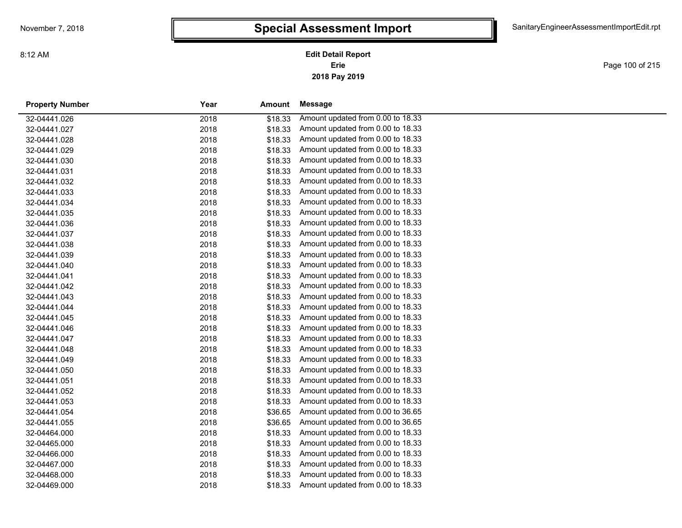**2018 Pay 2019 Erie Edit Detail Report**

Page 100 of 215

| <b>Property Number</b> | Year<br>Amount  | Message                           |
|------------------------|-----------------|-----------------------------------|
| 32-04441.026           | 2018<br>\$18.33 | Amount updated from 0.00 to 18.33 |
| 32-04441.027           | 2018<br>\$18.33 | Amount updated from 0.00 to 18.33 |
| 32-04441.028           | 2018<br>\$18.33 | Amount updated from 0.00 to 18.33 |
| 32-04441.029           | \$18.33<br>2018 | Amount updated from 0.00 to 18.33 |
| 32-04441.030           | \$18.33<br>2018 | Amount updated from 0.00 to 18.33 |
| 32-04441.031           | 2018<br>\$18.33 | Amount updated from 0.00 to 18.33 |
| 32-04441.032           | 2018<br>\$18.33 | Amount updated from 0.00 to 18.33 |
| 32-04441.033           | 2018<br>\$18.33 | Amount updated from 0.00 to 18.33 |
| 32-04441.034           | 2018<br>\$18.33 | Amount updated from 0.00 to 18.33 |
| 32-04441.035           | 2018<br>\$18.33 | Amount updated from 0.00 to 18.33 |
| 32-04441.036           | 2018<br>\$18.33 | Amount updated from 0.00 to 18.33 |
| 32-04441.037           | \$18.33<br>2018 | Amount updated from 0.00 to 18.33 |
| 32-04441.038           | \$18.33<br>2018 | Amount updated from 0.00 to 18.33 |
| 32-04441.039           | \$18.33<br>2018 | Amount updated from 0.00 to 18.33 |
| 32-04441.040           | \$18.33<br>2018 | Amount updated from 0.00 to 18.33 |
| 32-04441.041           | \$18.33<br>2018 | Amount updated from 0.00 to 18.33 |
| 32-04441.042           | \$18.33<br>2018 | Amount updated from 0.00 to 18.33 |
| 32-04441.043           | \$18.33<br>2018 | Amount updated from 0.00 to 18.33 |
| 32-04441.044           | \$18.33<br>2018 | Amount updated from 0.00 to 18.33 |
| 32-04441.045           | 2018<br>\$18.33 | Amount updated from 0.00 to 18.33 |
| 32-04441.046           | 2018<br>\$18.33 | Amount updated from 0.00 to 18.33 |
| 32-04441.047           | \$18.33<br>2018 | Amount updated from 0.00 to 18.33 |
| 32-04441.048           | 2018<br>\$18.33 | Amount updated from 0.00 to 18.33 |
| 32-04441.049           | 2018<br>\$18.33 | Amount updated from 0.00 to 18.33 |
| 32-04441.050           | 2018<br>\$18.33 | Amount updated from 0.00 to 18.33 |
| 32-04441.051           | 2018<br>\$18.33 | Amount updated from 0.00 to 18.33 |
| 32-04441.052           | 2018<br>\$18.33 | Amount updated from 0.00 to 18.33 |
| 32-04441.053           | 2018<br>\$18.33 | Amount updated from 0.00 to 18.33 |
| 32-04441.054           | 2018<br>\$36.65 | Amount updated from 0.00 to 36.65 |
| 32-04441.055           | 2018<br>\$36.65 | Amount updated from 0.00 to 36.65 |
| 32-04464.000           | \$18.33<br>2018 | Amount updated from 0.00 to 18.33 |
| 32-04465.000           | 2018<br>\$18.33 | Amount updated from 0.00 to 18.33 |
| 32-04466.000           | 2018<br>\$18.33 | Amount updated from 0.00 to 18.33 |
| 32-04467.000           | 2018<br>\$18.33 | Amount updated from 0.00 to 18.33 |
| 32-04468.000           | 2018<br>\$18.33 | Amount updated from 0.00 to 18.33 |
| 32-04469.000           | 2018<br>\$18.33 | Amount updated from 0.00 to 18.33 |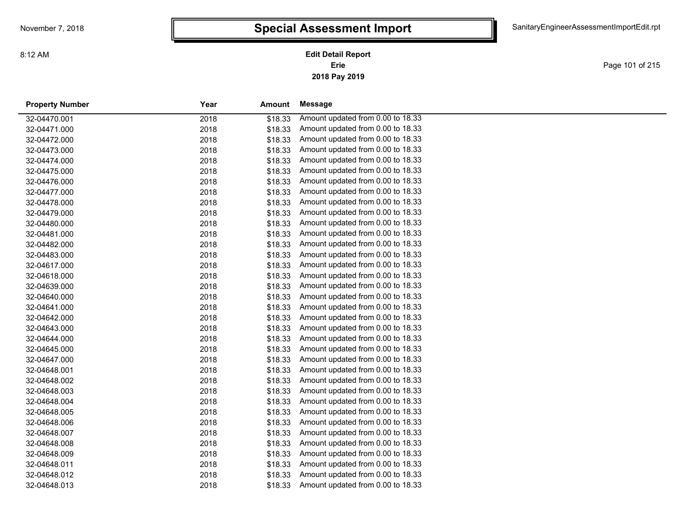**2018 Pay 2019 Erie Edit Detail Report**

Page 101 of 215

| <b>Property Number</b> | Year | Amount  | Message                           |
|------------------------|------|---------|-----------------------------------|
| 32-04470.001           | 2018 | \$18.33 | Amount updated from 0.00 to 18.33 |
| 32-04471.000           | 2018 | \$18.33 | Amount updated from 0.00 to 18.33 |
| 32-04472.000           | 2018 | \$18.33 | Amount updated from 0.00 to 18.33 |
| 32-04473.000           | 2018 | \$18.33 | Amount updated from 0.00 to 18.33 |
| 32-04474.000           | 2018 | \$18.33 | Amount updated from 0.00 to 18.33 |
| 32-04475.000           | 2018 | \$18.33 | Amount updated from 0.00 to 18.33 |
| 32-04476.000           | 2018 | \$18.33 | Amount updated from 0.00 to 18.33 |
| 32-04477.000           | 2018 | \$18.33 | Amount updated from 0.00 to 18.33 |
| 32-04478.000           | 2018 | \$18.33 | Amount updated from 0.00 to 18.33 |
| 32-04479.000           | 2018 | \$18.33 | Amount updated from 0.00 to 18.33 |
| 32-04480.000           | 2018 | \$18.33 | Amount updated from 0.00 to 18.33 |
| 32-04481.000           | 2018 | \$18.33 | Amount updated from 0.00 to 18.33 |
| 32-04482.000           | 2018 | \$18.33 | Amount updated from 0.00 to 18.33 |
| 32-04483.000           | 2018 | \$18.33 | Amount updated from 0.00 to 18.33 |
| 32-04617.000           | 2018 | \$18.33 | Amount updated from 0.00 to 18.33 |
| 32-04618.000           | 2018 | \$18.33 | Amount updated from 0.00 to 18.33 |
| 32-04639.000           | 2018 | \$18.33 | Amount updated from 0.00 to 18.33 |
| 32-04640.000           | 2018 | \$18.33 | Amount updated from 0.00 to 18.33 |
| 32-04641.000           | 2018 | \$18.33 | Amount updated from 0.00 to 18.33 |
| 32-04642.000           | 2018 | \$18.33 | Amount updated from 0.00 to 18.33 |
| 32-04643.000           | 2018 | \$18.33 | Amount updated from 0.00 to 18.33 |
| 32-04644.000           | 2018 | \$18.33 | Amount updated from 0.00 to 18.33 |
| 32-04645.000           | 2018 | \$18.33 | Amount updated from 0.00 to 18.33 |
| 32-04647.000           | 2018 | \$18.33 | Amount updated from 0.00 to 18.33 |
| 32-04648.001           | 2018 | \$18.33 | Amount updated from 0.00 to 18.33 |
| 32-04648.002           | 2018 | \$18.33 | Amount updated from 0.00 to 18.33 |
| 32-04648.003           | 2018 | \$18.33 | Amount updated from 0.00 to 18.33 |
| 32-04648.004           | 2018 | \$18.33 | Amount updated from 0.00 to 18.33 |
| 32-04648.005           | 2018 | \$18.33 | Amount updated from 0.00 to 18.33 |
| 32-04648.006           | 2018 | \$18.33 | Amount updated from 0.00 to 18.33 |
| 32-04648.007           | 2018 | \$18.33 | Amount updated from 0.00 to 18.33 |
| 32-04648.008           | 2018 | \$18.33 | Amount updated from 0.00 to 18.33 |
| 32-04648.009           | 2018 | \$18.33 | Amount updated from 0.00 to 18.33 |
| 32-04648.011           | 2018 | \$18.33 | Amount updated from 0.00 to 18.33 |
| 32-04648.012           | 2018 | \$18.33 | Amount updated from 0.00 to 18.33 |
| 32-04648.013           | 2018 | \$18.33 | Amount updated from 0.00 to 18.33 |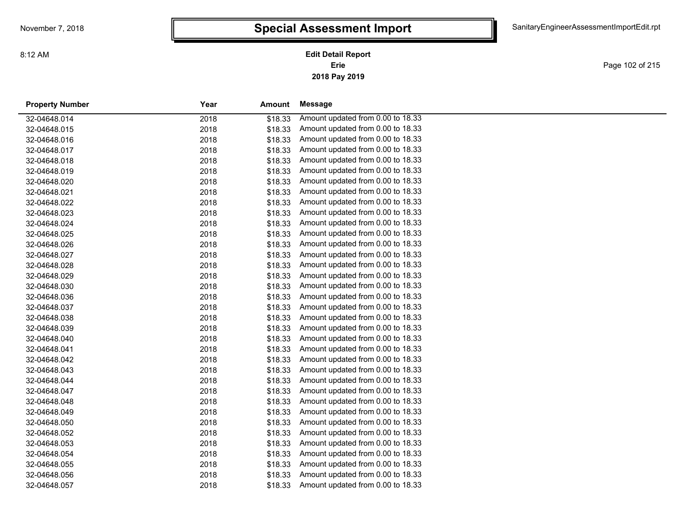**2018 Pay 2019 Erie Edit Detail Report**

Page 102 of 215

| <b>Property Number</b> | Year | Amount  | Message                           |
|------------------------|------|---------|-----------------------------------|
| 32-04648.014           | 2018 | \$18.33 | Amount updated from 0.00 to 18.33 |
| 32-04648.015           | 2018 | \$18.33 | Amount updated from 0.00 to 18.33 |
| 32-04648.016           | 2018 | \$18.33 | Amount updated from 0.00 to 18.33 |
| 32-04648.017           | 2018 | \$18.33 | Amount updated from 0.00 to 18.33 |
| 32-04648.018           | 2018 | \$18.33 | Amount updated from 0.00 to 18.33 |
| 32-04648.019           | 2018 | \$18.33 | Amount updated from 0.00 to 18.33 |
| 32-04648.020           | 2018 | \$18.33 | Amount updated from 0.00 to 18.33 |
| 32-04648.021           | 2018 | \$18.33 | Amount updated from 0.00 to 18.33 |
| 32-04648.022           | 2018 | \$18.33 | Amount updated from 0.00 to 18.33 |
| 32-04648.023           | 2018 | \$18.33 | Amount updated from 0.00 to 18.33 |
| 32-04648.024           | 2018 | \$18.33 | Amount updated from 0.00 to 18.33 |
| 32-04648.025           | 2018 | \$18.33 | Amount updated from 0.00 to 18.33 |
| 32-04648.026           | 2018 | \$18.33 | Amount updated from 0.00 to 18.33 |
| 32-04648.027           | 2018 | \$18.33 | Amount updated from 0.00 to 18.33 |
| 32-04648.028           | 2018 | \$18.33 | Amount updated from 0.00 to 18.33 |
| 32-04648.029           | 2018 | \$18.33 | Amount updated from 0.00 to 18.33 |
| 32-04648.030           | 2018 | \$18.33 | Amount updated from 0.00 to 18.33 |
| 32-04648.036           | 2018 | \$18.33 | Amount updated from 0.00 to 18.33 |
| 32-04648.037           | 2018 | \$18.33 | Amount updated from 0.00 to 18.33 |
| 32-04648.038           | 2018 | \$18.33 | Amount updated from 0.00 to 18.33 |
| 32-04648.039           | 2018 | \$18.33 | Amount updated from 0.00 to 18.33 |
| 32-04648.040           | 2018 | \$18.33 | Amount updated from 0.00 to 18.33 |
| 32-04648.041           | 2018 | \$18.33 | Amount updated from 0.00 to 18.33 |
| 32-04648.042           | 2018 | \$18.33 | Amount updated from 0.00 to 18.33 |
| 32-04648.043           | 2018 | \$18.33 | Amount updated from 0.00 to 18.33 |
| 32-04648.044           | 2018 | \$18.33 | Amount updated from 0.00 to 18.33 |
| 32-04648.047           | 2018 | \$18.33 | Amount updated from 0.00 to 18.33 |
| 32-04648.048           | 2018 | \$18.33 | Amount updated from 0.00 to 18.33 |
| 32-04648.049           | 2018 | \$18.33 | Amount updated from 0.00 to 18.33 |
| 32-04648.050           | 2018 | \$18.33 | Amount updated from 0.00 to 18.33 |
| 32-04648.052           | 2018 | \$18.33 | Amount updated from 0.00 to 18.33 |
| 32-04648.053           | 2018 | \$18.33 | Amount updated from 0.00 to 18.33 |
| 32-04648.054           | 2018 | \$18.33 | Amount updated from 0.00 to 18.33 |
| 32-04648.055           | 2018 | \$18.33 | Amount updated from 0.00 to 18.33 |
| 32-04648.056           | 2018 | \$18.33 | Amount updated from 0.00 to 18.33 |
| 32-04648.057           | 2018 | \$18.33 | Amount updated from 0.00 to 18.33 |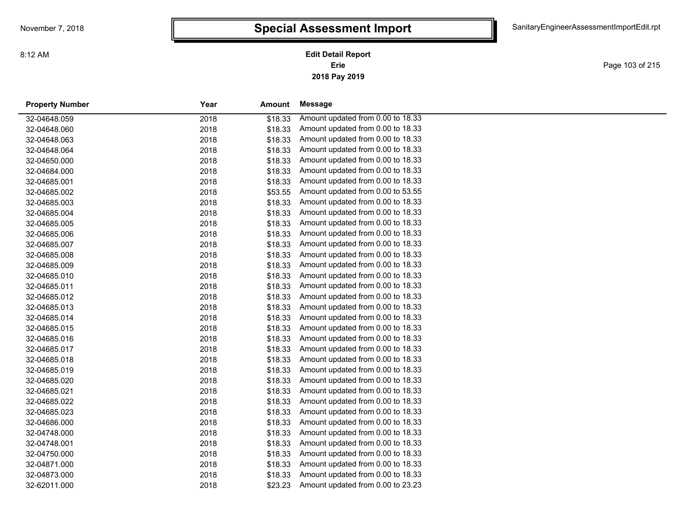Page 103 of 215

| <b>Property Number</b> | Year<br>Amount |         | Message                           |  |
|------------------------|----------------|---------|-----------------------------------|--|
| 32-04648.059           | 2018           | \$18.33 | Amount updated from 0.00 to 18.33 |  |
| 32-04648.060           | 2018           | \$18.33 | Amount updated from 0.00 to 18.33 |  |
| 32-04648.063           | 2018           | \$18.33 | Amount updated from 0.00 to 18.33 |  |
| 32-04648.064           | 2018           | \$18.33 | Amount updated from 0.00 to 18.33 |  |
| 32-04650.000           | 2018           | \$18.33 | Amount updated from 0.00 to 18.33 |  |
| 32-04684.000           | 2018           | \$18.33 | Amount updated from 0.00 to 18.33 |  |
| 32-04685.001           | 2018           | \$18.33 | Amount updated from 0.00 to 18.33 |  |
| 32-04685.002           | 2018           | \$53.55 | Amount updated from 0.00 to 53.55 |  |
| 32-04685.003           | 2018           | \$18.33 | Amount updated from 0.00 to 18.33 |  |
| 32-04685.004           | 2018           | \$18.33 | Amount updated from 0.00 to 18.33 |  |
| 32-04685.005           | 2018           | \$18.33 | Amount updated from 0.00 to 18.33 |  |
| 32-04685.006           | 2018           | \$18.33 | Amount updated from 0.00 to 18.33 |  |
| 32-04685.007           | 2018           | \$18.33 | Amount updated from 0.00 to 18.33 |  |
| 32-04685.008           | 2018           | \$18.33 | Amount updated from 0.00 to 18.33 |  |
| 32-04685.009           | 2018           | \$18.33 | Amount updated from 0.00 to 18.33 |  |
| 32-04685.010           | 2018           | \$18.33 | Amount updated from 0.00 to 18.33 |  |
| 32-04685.011           | 2018           | \$18.33 | Amount updated from 0.00 to 18.33 |  |
| 32-04685.012           | 2018           | \$18.33 | Amount updated from 0.00 to 18.33 |  |
| 32-04685.013           | 2018           | \$18.33 | Amount updated from 0.00 to 18.33 |  |
| 32-04685.014           | 2018           | \$18.33 | Amount updated from 0.00 to 18.33 |  |
| 32-04685.015           | 2018           | \$18.33 | Amount updated from 0.00 to 18.33 |  |
| 32-04685.016           | 2018           | \$18.33 | Amount updated from 0.00 to 18.33 |  |
| 32-04685.017           | 2018           | \$18.33 | Amount updated from 0.00 to 18.33 |  |
| 32-04685.018           | 2018           | \$18.33 | Amount updated from 0.00 to 18.33 |  |
| 32-04685.019           | 2018           | \$18.33 | Amount updated from 0.00 to 18.33 |  |
| 32-04685.020           | 2018           | \$18.33 | Amount updated from 0.00 to 18.33 |  |
| 32-04685.021           | 2018           | \$18.33 | Amount updated from 0.00 to 18.33 |  |
| 32-04685.022           | 2018           | \$18.33 | Amount updated from 0.00 to 18.33 |  |
| 32-04685.023           | 2018           | \$18.33 | Amount updated from 0.00 to 18.33 |  |
| 32-04686.000           | 2018           | \$18.33 | Amount updated from 0.00 to 18.33 |  |
| 32-04748.000           | 2018           | \$18.33 | Amount updated from 0.00 to 18.33 |  |
| 32-04748.001           | 2018           | \$18.33 | Amount updated from 0.00 to 18.33 |  |
| 32-04750.000           | 2018           | \$18.33 | Amount updated from 0.00 to 18.33 |  |
| 32-04871.000           | 2018           | \$18.33 | Amount updated from 0.00 to 18.33 |  |
| 32-04873.000           | 2018           | \$18.33 | Amount updated from 0.00 to 18.33 |  |
| 32-62011.000           | 2018           | \$23.23 | Amount updated from 0.00 to 23.23 |  |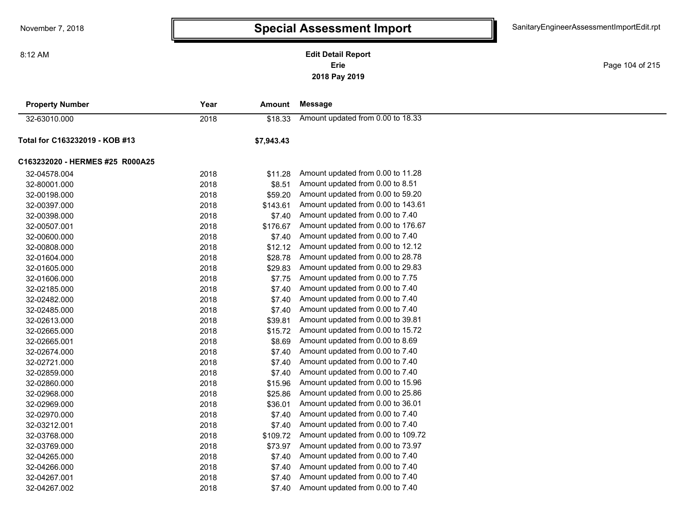8:12 AM

**2018 Pay 2019 Erie Edit Detail Report**

Page 104 of 215

| <b>Property Number</b>          | Year | Amount     | <b>Message</b>                     |  |
|---------------------------------|------|------------|------------------------------------|--|
| 32-63010.000                    | 2018 | \$18.33    | Amount updated from 0.00 to 18.33  |  |
| Total for C163232019 - KOB #13  |      | \$7,943.43 |                                    |  |
| C163232020 - HERMES #25 R000A25 |      |            |                                    |  |
| 32-04578.004                    | 2018 | \$11.28    | Amount updated from 0.00 to 11.28  |  |
| 32-80001.000                    | 2018 | \$8.51     | Amount updated from 0.00 to 8.51   |  |
| 32-00198.000                    | 2018 | \$59.20    | Amount updated from 0.00 to 59.20  |  |
| 32-00397.000                    | 2018 | \$143.61   | Amount updated from 0.00 to 143.61 |  |
| 32-00398.000                    | 2018 | \$7.40     | Amount updated from 0.00 to 7.40   |  |
| 32-00507.001                    | 2018 | \$176.67   | Amount updated from 0.00 to 176.67 |  |
| 32-00600.000                    | 2018 | \$7.40     | Amount updated from 0.00 to 7.40   |  |
| 32-00808.000                    | 2018 | \$12.12    | Amount updated from 0.00 to 12.12  |  |
| 32-01604.000                    | 2018 | \$28.78    | Amount updated from 0.00 to 28.78  |  |
| 32-01605.000                    | 2018 | \$29.83    | Amount updated from 0.00 to 29.83  |  |
| 32-01606.000                    | 2018 | \$7.75     | Amount updated from 0.00 to 7.75   |  |
| 32-02185.000                    | 2018 | \$7.40     | Amount updated from 0.00 to 7.40   |  |
| 32-02482.000                    | 2018 | \$7.40     | Amount updated from 0.00 to 7.40   |  |
| 32-02485.000                    | 2018 | \$7.40     | Amount updated from 0.00 to 7.40   |  |
| 32-02613.000                    | 2018 | \$39.81    | Amount updated from 0.00 to 39.81  |  |
| 32-02665.000                    | 2018 | \$15.72    | Amount updated from 0.00 to 15.72  |  |
| 32-02665.001                    | 2018 | \$8.69     | Amount updated from 0.00 to 8.69   |  |
| 32-02674.000                    | 2018 | \$7.40     | Amount updated from 0.00 to 7.40   |  |
| 32-02721.000                    | 2018 | \$7.40     | Amount updated from 0.00 to 7.40   |  |
| 32-02859.000                    | 2018 | \$7.40     | Amount updated from 0.00 to 7.40   |  |
| 32-02860.000                    | 2018 | \$15.96    | Amount updated from 0.00 to 15.96  |  |
| 32-02968.000                    | 2018 | \$25.86    | Amount updated from 0.00 to 25.86  |  |
| 32-02969.000                    | 2018 | \$36.01    | Amount updated from 0.00 to 36.01  |  |
| 32-02970.000                    | 2018 | \$7.40     | Amount updated from 0.00 to 7.40   |  |
| 32-03212.001                    | 2018 | \$7.40     | Amount updated from 0.00 to 7.40   |  |
| 32-03768.000                    | 2018 | \$109.72   | Amount updated from 0.00 to 109.72 |  |
| 32-03769.000                    | 2018 | \$73.97    | Amount updated from 0.00 to 73.97  |  |
| 32-04265.000                    | 2018 | \$7.40     | Amount updated from 0.00 to 7.40   |  |
| 32-04266.000                    | 2018 | \$7.40     | Amount updated from 0.00 to 7.40   |  |
| 32-04267.001                    | 2018 | \$7.40     | Amount updated from 0.00 to 7.40   |  |
| 32-04267.002                    | 2018 | \$7.40     | Amount updated from 0.00 to 7.40   |  |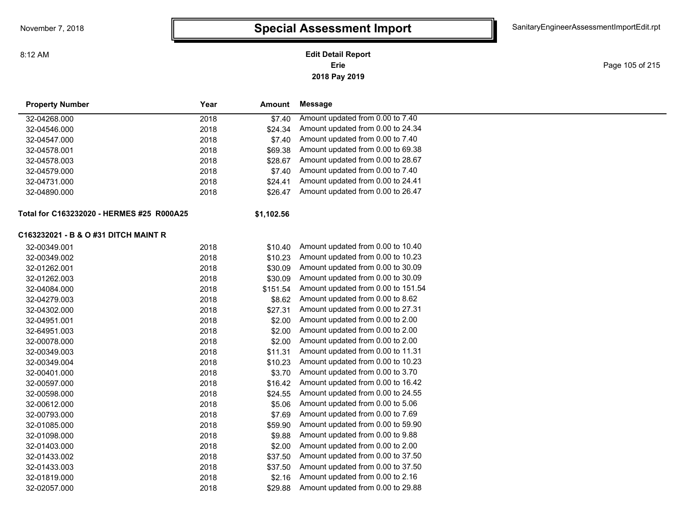8:12 AM

### **2018 Pay 2019 Erie Edit Detail Report**

Page 105 of 215

| <b>Property Number</b>                    | Year | Amount     | <b>Message</b>                     |
|-------------------------------------------|------|------------|------------------------------------|
| 32-04268.000                              | 2018 | \$7.40     | Amount updated from 0.00 to 7.40   |
| 32-04546.000                              | 2018 | \$24.34    | Amount updated from 0.00 to 24.34  |
| 32-04547.000                              | 2018 | \$7.40     | Amount updated from 0.00 to 7.40   |
| 32-04578.001                              | 2018 | \$69.38    | Amount updated from 0.00 to 69.38  |
| 32-04578.003                              | 2018 | \$28.67    | Amount updated from 0.00 to 28.67  |
| 32-04579.000                              | 2018 | \$7.40     | Amount updated from 0.00 to 7.40   |
| 32-04731.000                              | 2018 | \$24.41    | Amount updated from 0.00 to 24.41  |
| 32-04890.000                              | 2018 | \$26.47    | Amount updated from 0.00 to 26.47  |
| Total for C163232020 - HERMES #25 R000A25 |      | \$1,102.56 |                                    |
| C163232021 - B & O #31 DITCH MAINT R      |      |            |                                    |
| 32-00349.001                              | 2018 | \$10.40    | Amount updated from 0.00 to 10.40  |
| 32-00349.002                              | 2018 | \$10.23    | Amount updated from 0.00 to 10.23  |
| 32-01262.001                              | 2018 | \$30.09    | Amount updated from 0.00 to 30.09  |
| 32-01262.003                              | 2018 | \$30.09    | Amount updated from 0.00 to 30.09  |
| 32-04084.000                              | 2018 | \$151.54   | Amount updated from 0.00 to 151.54 |
| 32-04279.003                              | 2018 | \$8.62     | Amount updated from 0.00 to 8.62   |
| 32-04302.000                              | 2018 | \$27.31    | Amount updated from 0.00 to 27.31  |
| 32-04951.001                              | 2018 | \$2.00     | Amount updated from 0.00 to 2.00   |
| 32-64951.003                              | 2018 | \$2.00     | Amount updated from 0.00 to 2.00   |
| 32-00078.000                              | 2018 | \$2.00     | Amount updated from 0.00 to 2.00   |
| 32-00349.003                              | 2018 | \$11.31    | Amount updated from 0.00 to 11.31  |
| 32-00349.004                              | 2018 | \$10.23    | Amount updated from 0.00 to 10.23  |
| 32-00401.000                              | 2018 | \$3.70     | Amount updated from 0.00 to 3.70   |
| 32-00597.000                              | 2018 | \$16.42    | Amount updated from 0.00 to 16.42  |
| 32-00598.000                              | 2018 | \$24.55    | Amount updated from 0.00 to 24.55  |
| 32-00612.000                              | 2018 | \$5.06     | Amount updated from 0.00 to 5.06   |
| 32-00793.000                              | 2018 | \$7.69     | Amount updated from 0.00 to 7.69   |
| 32-01085.000                              | 2018 | \$59.90    | Amount updated from 0.00 to 59.90  |
| 32-01098.000                              | 2018 | \$9.88     | Amount updated from 0.00 to 9.88   |
| 32-01403.000                              | 2018 | \$2.00     | Amount updated from 0.00 to 2.00   |
| 32-01433.002                              | 2018 | \$37.50    | Amount updated from 0.00 to 37.50  |
| 32-01433.003                              | 2018 | \$37.50    | Amount updated from 0.00 to 37.50  |
| 32-01819.000                              | 2018 | \$2.16     | Amount updated from 0.00 to 2.16   |
| 32-02057.000                              | 2018 | \$29.88    | Amount updated from 0.00 to 29.88  |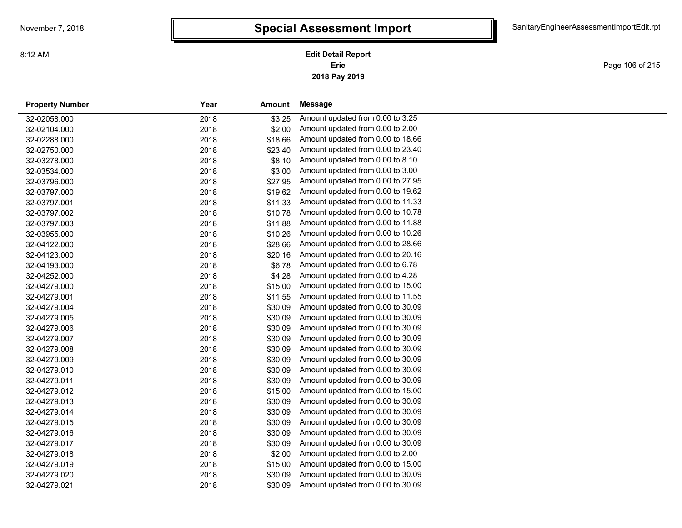**2018 Pay 2019 Erie Edit Detail Report**

Page 106 of 215

| <b>Property Number</b> | Year | <b>Amount</b> | Message                           |  |
|------------------------|------|---------------|-----------------------------------|--|
| 32-02058.000           | 2018 | \$3.25        | Amount updated from 0.00 to 3.25  |  |
| 32-02104.000           | 2018 | \$2.00        | Amount updated from 0.00 to 2.00  |  |
| 32-02288.000           | 2018 | \$18.66       | Amount updated from 0.00 to 18.66 |  |
| 32-02750.000           | 2018 | \$23.40       | Amount updated from 0.00 to 23.40 |  |
| 32-03278.000           | 2018 | \$8.10        | Amount updated from 0.00 to 8.10  |  |
| 32-03534.000           | 2018 | \$3.00        | Amount updated from 0.00 to 3.00  |  |
| 32-03796.000           | 2018 | \$27.95       | Amount updated from 0.00 to 27.95 |  |
| 32-03797.000           | 2018 | \$19.62       | Amount updated from 0.00 to 19.62 |  |
| 32-03797.001           | 2018 | \$11.33       | Amount updated from 0.00 to 11.33 |  |
| 32-03797.002           | 2018 | \$10.78       | Amount updated from 0.00 to 10.78 |  |
| 32-03797.003           | 2018 | \$11.88       | Amount updated from 0.00 to 11.88 |  |
| 32-03955.000           | 2018 | \$10.26       | Amount updated from 0.00 to 10.26 |  |
| 32-04122.000           | 2018 | \$28.66       | Amount updated from 0.00 to 28.66 |  |
| 32-04123.000           | 2018 | \$20.16       | Amount updated from 0.00 to 20.16 |  |
| 32-04193.000           | 2018 | \$6.78        | Amount updated from 0.00 to 6.78  |  |
| 32-04252.000           | 2018 | \$4.28        | Amount updated from 0.00 to 4.28  |  |
| 32-04279.000           | 2018 | \$15.00       | Amount updated from 0.00 to 15.00 |  |
| 32-04279.001           | 2018 | \$11.55       | Amount updated from 0.00 to 11.55 |  |
| 32-04279.004           | 2018 | \$30.09       | Amount updated from 0.00 to 30.09 |  |
| 32-04279.005           | 2018 | \$30.09       | Amount updated from 0.00 to 30.09 |  |
| 32-04279.006           | 2018 | \$30.09       | Amount updated from 0.00 to 30.09 |  |
| 32-04279.007           | 2018 | \$30.09       | Amount updated from 0.00 to 30.09 |  |
| 32-04279.008           | 2018 | \$30.09       | Amount updated from 0.00 to 30.09 |  |
| 32-04279.009           | 2018 | \$30.09       | Amount updated from 0.00 to 30.09 |  |
| 32-04279.010           | 2018 | \$30.09       | Amount updated from 0.00 to 30.09 |  |
| 32-04279.011           | 2018 | \$30.09       | Amount updated from 0.00 to 30.09 |  |
| 32-04279.012           | 2018 | \$15.00       | Amount updated from 0.00 to 15.00 |  |
| 32-04279.013           | 2018 | \$30.09       | Amount updated from 0.00 to 30.09 |  |
| 32-04279.014           | 2018 | \$30.09       | Amount updated from 0.00 to 30.09 |  |
| 32-04279.015           | 2018 | \$30.09       | Amount updated from 0.00 to 30.09 |  |
| 32-04279.016           | 2018 | \$30.09       | Amount updated from 0.00 to 30.09 |  |
| 32-04279.017           | 2018 | \$30.09       | Amount updated from 0.00 to 30.09 |  |
| 32-04279.018           | 2018 | \$2.00        | Amount updated from 0.00 to 2.00  |  |
| 32-04279.019           | 2018 | \$15.00       | Amount updated from 0.00 to 15.00 |  |
| 32-04279.020           | 2018 | \$30.09       | Amount updated from 0.00 to 30.09 |  |
| 32-04279.021           | 2018 | \$30.09       | Amount updated from 0.00 to 30.09 |  |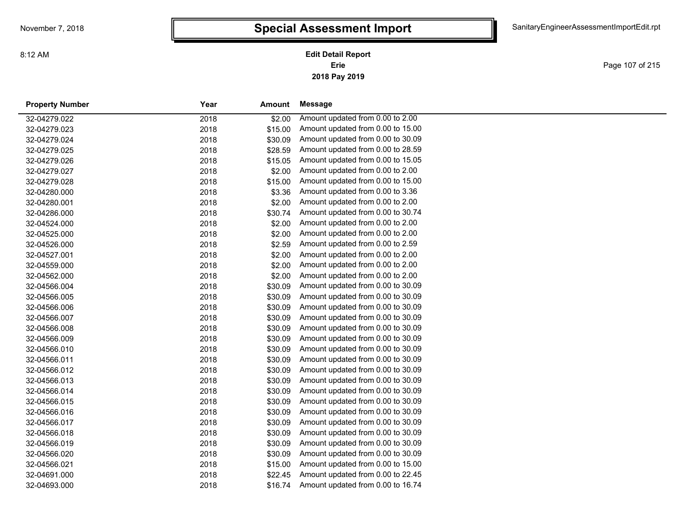**2018 Pay 2019 Erie Edit Detail Report**

Page 107 of 215

| <b>Property Number</b> | Year | Amount  | Message                           |
|------------------------|------|---------|-----------------------------------|
| 32-04279.022           | 2018 | \$2.00  | Amount updated from 0.00 to 2.00  |
| 32-04279.023           | 2018 | \$15.00 | Amount updated from 0.00 to 15.00 |
| 32-04279.024           | 2018 | \$30.09 | Amount updated from 0.00 to 30.09 |
| 32-04279.025           | 2018 | \$28.59 | Amount updated from 0.00 to 28.59 |
| 32-04279.026           | 2018 | \$15.05 | Amount updated from 0.00 to 15.05 |
| 32-04279.027           | 2018 | \$2.00  | Amount updated from 0.00 to 2.00  |
| 32-04279.028           | 2018 | \$15.00 | Amount updated from 0.00 to 15.00 |
| 32-04280.000           | 2018 | \$3.36  | Amount updated from 0.00 to 3.36  |
| 32-04280.001           | 2018 | \$2.00  | Amount updated from 0.00 to 2.00  |
| 32-04286.000           | 2018 | \$30.74 | Amount updated from 0.00 to 30.74 |
| 32-04524.000           | 2018 | \$2.00  | Amount updated from 0.00 to 2.00  |
| 32-04525.000           | 2018 | \$2.00  | Amount updated from 0.00 to 2.00  |
| 32-04526.000           | 2018 | \$2.59  | Amount updated from 0.00 to 2.59  |
| 32-04527.001           | 2018 | \$2.00  | Amount updated from 0.00 to 2.00  |
| 32-04559.000           | 2018 | \$2.00  | Amount updated from 0.00 to 2.00  |
| 32-04562.000           | 2018 | \$2.00  | Amount updated from 0.00 to 2.00  |
| 32-04566.004           | 2018 | \$30.09 | Amount updated from 0.00 to 30.09 |
| 32-04566.005           | 2018 | \$30.09 | Amount updated from 0.00 to 30.09 |
| 32-04566.006           | 2018 | \$30.09 | Amount updated from 0.00 to 30.09 |
| 32-04566.007           | 2018 | \$30.09 | Amount updated from 0.00 to 30.09 |
| 32-04566.008           | 2018 | \$30.09 | Amount updated from 0.00 to 30.09 |
| 32-04566.009           | 2018 | \$30.09 | Amount updated from 0.00 to 30.09 |
| 32-04566.010           | 2018 | \$30.09 | Amount updated from 0.00 to 30.09 |
| 32-04566.011           | 2018 | \$30.09 | Amount updated from 0.00 to 30.09 |
| 32-04566.012           | 2018 | \$30.09 | Amount updated from 0.00 to 30.09 |
| 32-04566.013           | 2018 | \$30.09 | Amount updated from 0.00 to 30.09 |
| 32-04566.014           | 2018 | \$30.09 | Amount updated from 0.00 to 30.09 |
| 32-04566.015           | 2018 | \$30.09 | Amount updated from 0.00 to 30.09 |
| 32-04566.016           | 2018 | \$30.09 | Amount updated from 0.00 to 30.09 |
| 32-04566.017           | 2018 | \$30.09 | Amount updated from 0.00 to 30.09 |
| 32-04566.018           | 2018 | \$30.09 | Amount updated from 0.00 to 30.09 |
| 32-04566.019           | 2018 | \$30.09 | Amount updated from 0.00 to 30.09 |
| 32-04566.020           | 2018 | \$30.09 | Amount updated from 0.00 to 30.09 |
| 32-04566.021           | 2018 | \$15.00 | Amount updated from 0.00 to 15.00 |
| 32-04691.000           | 2018 | \$22.45 | Amount updated from 0.00 to 22.45 |
| 32-04693.000           | 2018 | \$16.74 | Amount updated from 0.00 to 16.74 |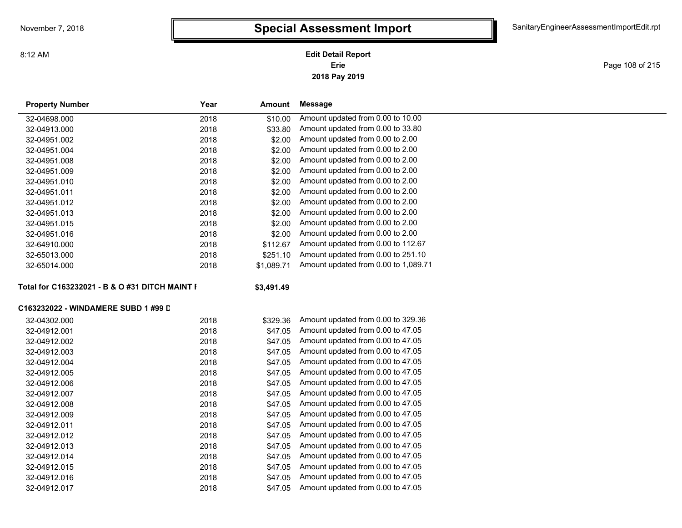8:12 AM

#### **2018 Pay 2019 Erie Edit Detail Report**

Page 108 of 215

| <b>Property Number</b>                         | Year | Amount     | <b>Message</b>                       |
|------------------------------------------------|------|------------|--------------------------------------|
| 32-04698.000                                   | 2018 | \$10.00    | Amount updated from 0.00 to 10.00    |
| 32-04913.000                                   | 2018 | \$33.80    | Amount updated from 0.00 to 33.80    |
| 32-04951.002                                   | 2018 | \$2.00     | Amount updated from 0.00 to 2.00     |
| 32-04951.004                                   | 2018 | \$2.00     | Amount updated from 0.00 to 2.00     |
| 32-04951.008                                   | 2018 | \$2.00     | Amount updated from 0.00 to 2.00     |
| 32-04951.009                                   | 2018 | \$2.00     | Amount updated from 0.00 to 2.00     |
| 32-04951.010                                   | 2018 | \$2.00     | Amount updated from 0.00 to 2.00     |
| 32-04951.011                                   | 2018 | \$2.00     | Amount updated from 0.00 to 2.00     |
| 32-04951.012                                   | 2018 | \$2.00     | Amount updated from 0.00 to 2.00     |
| 32-04951.013                                   | 2018 | \$2.00     | Amount updated from 0.00 to 2.00     |
| 32-04951.015                                   | 2018 | \$2.00     | Amount updated from 0.00 to 2.00     |
| 32-04951.016                                   | 2018 | \$2.00     | Amount updated from 0.00 to 2.00     |
| 32-64910.000                                   | 2018 | \$112.67   | Amount updated from 0.00 to 112.67   |
| 32-65013.000                                   | 2018 | \$251.10   | Amount updated from 0.00 to 251.10   |
| 32-65014.000                                   | 2018 | \$1,089.71 | Amount updated from 0.00 to 1,089.71 |
| Total for C163232021 - B & O #31 DITCH MAINT I |      | \$3,491.49 |                                      |
| C163232022 - WINDAMERE SUBD 1 #99 D            |      |            |                                      |
| 32-04302.000                                   | 2018 | \$329.36   | Amount updated from 0.00 to 329.36   |
| 32-04912.001                                   | 2018 | \$47.05    | Amount updated from 0.00 to 47.05    |
| 32-04912.002                                   | 2018 | \$47.05    | Amount updated from 0.00 to 47.05    |
| 32-04912.003                                   | 2018 | \$47.05    | Amount updated from 0.00 to 47.05    |
| 32-04912.004                                   | 2018 | \$47.05    | Amount updated from 0.00 to 47.05    |
| 32-04912.005                                   | 2018 | \$47.05    | Amount updated from 0.00 to 47.05    |
| 32-04912.006                                   | 2018 | \$47.05    | Amount updated from 0.00 to 47.05    |
| 32-04912.007                                   | 2018 | \$47.05    | Amount updated from 0.00 to 47.05    |
| 32-04912.008                                   | 2018 | \$47.05    | Amount updated from 0.00 to 47.05    |
| 32-04912.009                                   | 2018 | \$47.05    | Amount updated from 0.00 to 47.05    |
| 32-04912.011                                   | 2018 | \$47.05    | Amount updated from 0.00 to 47.05    |
| 32-04912.012                                   | 2018 | \$47.05    | Amount updated from 0.00 to 47.05    |
| 32-04912.013                                   | 2018 | \$47.05    | Amount updated from 0.00 to 47.05    |
| 32-04912.014                                   | 2018 | \$47.05    | Amount updated from 0.00 to 47.05    |
| 32-04912.015                                   | 2018 | \$47.05    | Amount updated from 0.00 to 47.05    |
| 32-04912.016                                   | 2018 | \$47.05    | Amount updated from 0.00 to 47.05    |
| 32-04912.017                                   | 2018 | \$47.05    | Amount updated from 0.00 to 47.05    |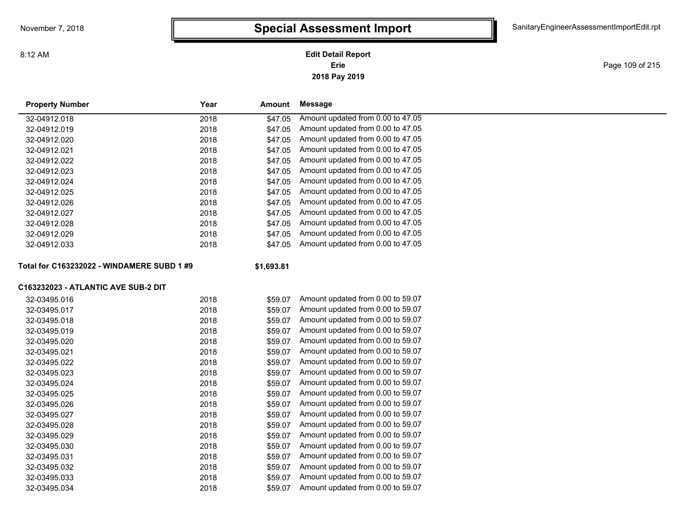**2018 Pay 2019 Erie Edit Detail Report**

Page 109 of 215

| <b>Property Number</b>                     | Year | <b>Amount</b> | <b>Message</b>                    |  |
|--------------------------------------------|------|---------------|-----------------------------------|--|
| 32-04912.018                               | 2018 | \$47.05       | Amount updated from 0.00 to 47.05 |  |
| 32-04912.019                               | 2018 | \$47.05       | Amount updated from 0.00 to 47.05 |  |
| 32-04912.020                               | 2018 | \$47.05       | Amount updated from 0.00 to 47.05 |  |
| 32-04912.021                               | 2018 | \$47.05       | Amount updated from 0.00 to 47.05 |  |
| 32-04912.022                               | 2018 | \$47.05       | Amount updated from 0.00 to 47.05 |  |
| 32-04912.023                               | 2018 | \$47.05       | Amount updated from 0.00 to 47.05 |  |
| 32-04912.024                               | 2018 | \$47.05       | Amount updated from 0.00 to 47.05 |  |
| 32-04912.025                               | 2018 | \$47.05       | Amount updated from 0.00 to 47.05 |  |
| 32-04912.026                               | 2018 | \$47.05       | Amount updated from 0.00 to 47.05 |  |
| 32-04912.027                               | 2018 | \$47.05       | Amount updated from 0.00 to 47.05 |  |
| 32-04912.028                               | 2018 | \$47.05       | Amount updated from 0.00 to 47.05 |  |
| 32-04912.029                               | 2018 | \$47.05       | Amount updated from 0.00 to 47.05 |  |
| 32-04912.033                               | 2018 | \$47.05       | Amount updated from 0.00 to 47.05 |  |
|                                            |      |               |                                   |  |
| Total for C163232022 - WINDAMERE SUBD 1 #9 |      | \$1,693.81    |                                   |  |
| C163232023 - ATLANTIC AVE SUB-2 DIT        |      |               |                                   |  |
| 32-03495.016                               | 2018 | \$59.07       | Amount updated from 0.00 to 59.07 |  |
| 32-03495.017                               | 2018 | \$59.07       | Amount updated from 0.00 to 59.07 |  |
| 32-03495.018                               | 2018 | \$59.07       | Amount updated from 0.00 to 59.07 |  |
| 32-03495.019                               | 2018 | \$59.07       | Amount updated from 0.00 to 59.07 |  |
| 32-03495.020                               | 2018 | \$59.07       | Amount updated from 0.00 to 59.07 |  |
| 32-03495.021                               | 2018 | \$59.07       | Amount updated from 0.00 to 59.07 |  |
| 32-03495.022                               | 2018 | \$59.07       | Amount updated from 0.00 to 59.07 |  |
| 32-03495.023                               | 2018 | \$59.07       | Amount updated from 0.00 to 59.07 |  |
| 32-03495.024                               | 2018 | \$59.07       | Amount updated from 0.00 to 59.07 |  |
| 32-03495.025                               | 2018 | \$59.07       | Amount updated from 0.00 to 59.07 |  |
| 32-03495.026                               | 2018 | \$59.07       | Amount updated from 0.00 to 59.07 |  |
| 32-03495.027                               | 2018 | \$59.07       | Amount updated from 0.00 to 59.07 |  |
| 32-03495.028                               | 2018 | \$59.07       | Amount updated from 0.00 to 59.07 |  |
| 32-03495.029                               | 2018 | \$59.07       | Amount updated from 0.00 to 59.07 |  |
| 32-03495.030                               | 2018 | \$59.07       | Amount updated from 0.00 to 59.07 |  |
| 32-03495.031                               | 2018 | \$59.07       | Amount updated from 0.00 to 59.07 |  |
| 32-03495.032                               | 2018 | \$59.07       | Amount updated from 0.00 to 59.07 |  |
| 32-03495.033                               | 2018 | \$59.07       | Amount updated from 0.00 to 59.07 |  |

32-03495.034 2018 \$59.07 Amount updated from 0.00 to 59.07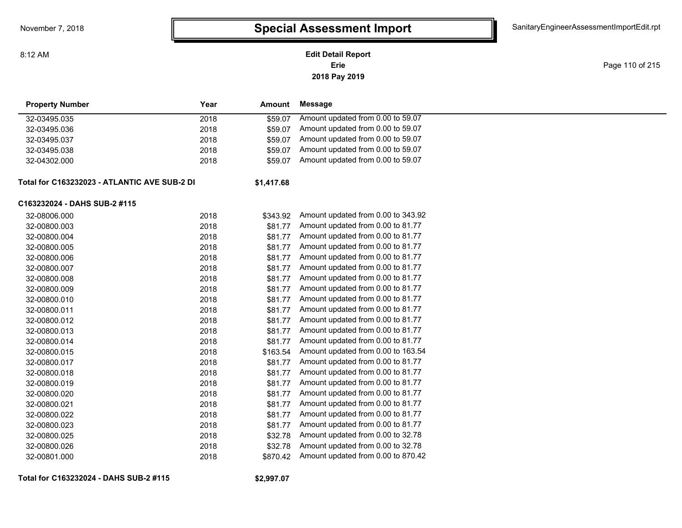#### **2018 Pay 2019 Erie Edit Detail Report**

Page 110 of 215

| <b>Property Number</b>                       | Year | Amount     | <b>Message</b>                     |
|----------------------------------------------|------|------------|------------------------------------|
| 32-03495.035                                 | 2018 | \$59.07    | Amount updated from 0.00 to 59.07  |
| 32-03495.036                                 | 2018 | \$59.07    | Amount updated from 0.00 to 59.07  |
| 32-03495.037                                 | 2018 | \$59.07    | Amount updated from 0.00 to 59.07  |
| 32-03495.038                                 | 2018 | \$59.07    | Amount updated from 0.00 to 59.07  |
| 32-04302.000                                 | 2018 | \$59.07    | Amount updated from 0.00 to 59.07  |
| Total for C163232023 - ATLANTIC AVE SUB-2 DI |      | \$1,417.68 |                                    |
| C163232024 - DAHS SUB-2 #115                 |      |            |                                    |
| 32-08006.000                                 | 2018 | \$343.92   | Amount updated from 0.00 to 343.92 |
| 32-00800.003                                 | 2018 | \$81.77    | Amount updated from 0.00 to 81.77  |
| 32-00800.004                                 | 2018 | \$81.77    | Amount updated from 0.00 to 81.77  |
| 32-00800.005                                 | 2018 | \$81.77    | Amount updated from 0.00 to 81.77  |
| 32-00800.006                                 | 2018 | \$81.77    | Amount updated from 0.00 to 81.77  |
| 32-00800.007                                 | 2018 | \$81.77    | Amount updated from 0.00 to 81.77  |
| 32-00800.008                                 | 2018 | \$81.77    | Amount updated from 0.00 to 81.77  |
| 32-00800.009                                 | 2018 | \$81.77    | Amount updated from 0.00 to 81.77  |
| 32-00800.010                                 | 2018 | \$81.77    | Amount updated from 0.00 to 81.77  |
| 32-00800.011                                 | 2018 | \$81.77    | Amount updated from 0.00 to 81.77  |
| 32-00800.012                                 | 2018 | \$81.77    | Amount updated from 0.00 to 81.77  |
| 32-00800.013                                 | 2018 | \$81.77    | Amount updated from 0.00 to 81.77  |
| 32-00800.014                                 | 2018 | \$81.77    | Amount updated from 0.00 to 81.77  |
| 32-00800.015                                 | 2018 | \$163.54   | Amount updated from 0.00 to 163.54 |
| 32-00800.017                                 | 2018 | \$81.77    | Amount updated from 0.00 to 81.77  |
| 32-00800.018                                 | 2018 | \$81.77    | Amount updated from 0.00 to 81.77  |
| 32-00800.019                                 | 2018 | \$81.77    | Amount updated from 0.00 to 81.77  |
| 32-00800.020                                 | 2018 | \$81.77    | Amount updated from 0.00 to 81.77  |
| 32-00800.021                                 | 2018 | \$81.77    | Amount updated from 0.00 to 81.77  |
| 32-00800.022                                 | 2018 | \$81.77    | Amount updated from 0.00 to 81.77  |
| 32-00800.023                                 | 2018 | \$81.77    | Amount updated from 0.00 to 81.77  |
| 32-00800.025                                 | 2018 | \$32.78    | Amount updated from 0.00 to 32.78  |
| 32-00800.026                                 | 2018 | \$32.78    | Amount updated from 0.00 to 32.78  |
| 32-00801.000                                 | 2018 | \$870.42   | Amount updated from 0.00 to 870.42 |

**Total for C163232024 - DAHS SUB-2 #115**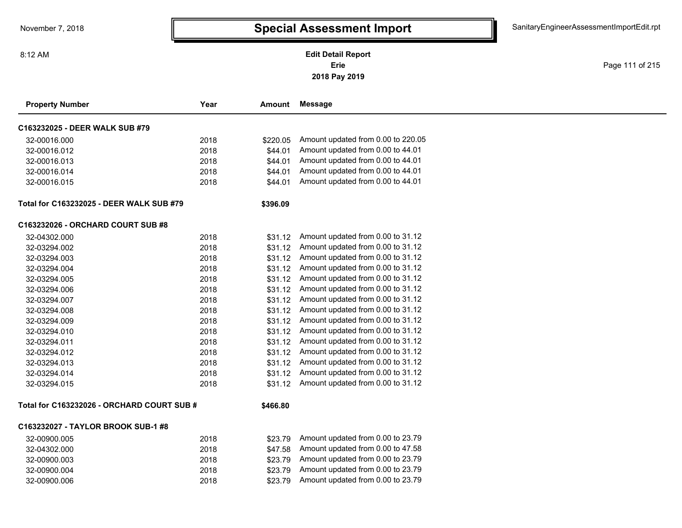Page 111 of 215

| <b>Property Number</b>                     | Year | Amount   | <b>Message</b>                     |
|--------------------------------------------|------|----------|------------------------------------|
| C163232025 - DEER WALK SUB #79             |      |          |                                    |
| 32-00016.000                               | 2018 | \$220.05 | Amount updated from 0.00 to 220.05 |
| 32-00016.012                               | 2018 | \$44.01  | Amount updated from 0.00 to 44.01  |
| 32-00016.013                               | 2018 | \$44.01  | Amount updated from 0.00 to 44.01  |
| 32-00016.014                               | 2018 | \$44.01  | Amount updated from 0.00 to 44.01  |
| 32-00016.015                               | 2018 | \$44.01  | Amount updated from 0.00 to 44.01  |
| Total for C163232025 - DEER WALK SUB #79   |      | \$396.09 |                                    |
| C163232026 - ORCHARD COURT SUB #8          |      |          |                                    |
| 32-04302.000                               | 2018 | \$31.12  | Amount updated from 0.00 to 31.12  |
| 32-03294.002                               | 2018 | \$31.12  | Amount updated from 0.00 to 31.12  |
| 32-03294.003                               | 2018 | \$31.12  | Amount updated from 0.00 to 31.12  |
| 32-03294.004                               | 2018 | \$31.12  | Amount updated from 0.00 to 31.12  |
| 32-03294.005                               | 2018 | \$31.12  | Amount updated from 0.00 to 31.12  |
| 32-03294.006                               | 2018 | \$31.12  | Amount updated from 0.00 to 31.12  |
| 32-03294.007                               | 2018 | \$31.12  | Amount updated from 0.00 to 31.12  |
| 32-03294.008                               | 2018 | \$31.12  | Amount updated from 0.00 to 31.12  |
| 32-03294.009                               | 2018 | \$31.12  | Amount updated from 0.00 to 31.12  |
| 32-03294.010                               | 2018 | \$31.12  | Amount updated from 0.00 to 31.12  |
| 32-03294.011                               | 2018 | \$31.12  | Amount updated from 0.00 to 31.12  |
| 32-03294.012                               | 2018 | \$31.12  | Amount updated from 0.00 to 31.12  |
| 32-03294.013                               | 2018 | \$31.12  | Amount updated from 0.00 to 31.12  |
| 32-03294.014                               | 2018 | \$31.12  | Amount updated from 0.00 to 31.12  |
| 32-03294.015                               | 2018 | \$31.12  | Amount updated from 0.00 to 31.12  |
| Total for C163232026 - ORCHARD COURT SUB # |      | \$466.80 |                                    |
| C163232027 - TAYLOR BROOK SUB-1 #8         |      |          |                                    |
| 32-00900.005                               | 2018 | \$23.79  | Amount updated from 0.00 to 23.79  |
| 32-04302.000                               | 2018 | \$47.58  | Amount updated from 0.00 to 47.58  |
| 32-00900.003                               | 2018 | \$23.79  | Amount updated from 0.00 to 23.79  |
| 32-00900.004                               | 2018 | \$23.79  | Amount updated from 0.00 to 23.79  |
| 32-00900.006                               | 2018 | \$23.79  | Amount updated from 0.00 to 23.79  |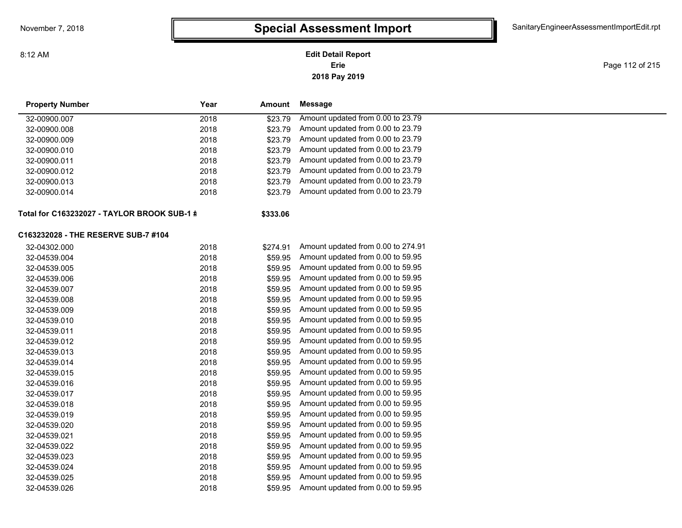## **2018 Pay 2019 Erie Edit Detail Report**

Page 112 of 215

| <b>Property Number</b>                      | Year<br>Amount   | <b>Message</b>                     |  |
|---------------------------------------------|------------------|------------------------------------|--|
| 32-00900.007                                | 2018<br>\$23.79  | Amount updated from 0.00 to 23.79  |  |
| 32-00900.008                                | 2018<br>\$23.79  | Amount updated from 0.00 to 23.79  |  |
| 32-00900.009                                | 2018<br>\$23.79  | Amount updated from 0.00 to 23.79  |  |
| 32-00900.010                                | 2018<br>\$23.79  | Amount updated from 0.00 to 23.79  |  |
| 32-00900.011                                | \$23.79<br>2018  | Amount updated from 0.00 to 23.79  |  |
| 32-00900.012                                | 2018<br>\$23.79  | Amount updated from 0.00 to 23.79  |  |
| 32-00900.013                                | 2018<br>\$23.79  | Amount updated from 0.00 to 23.79  |  |
| 32-00900.014                                | 2018<br>\$23.79  | Amount updated from 0.00 to 23.79  |  |
| Total for C163232027 - TAYLOR BROOK SUB-1 # | \$333.06         |                                    |  |
| C163232028 - THE RESERVE SUB-7 #104         |                  |                                    |  |
| 32-04302.000                                | 2018<br>\$274.91 | Amount updated from 0.00 to 274.91 |  |
| 32-04539.004                                | 2018<br>\$59.95  | Amount updated from 0.00 to 59.95  |  |
| 32-04539.005                                | 2018<br>\$59.95  | Amount updated from 0.00 to 59.95  |  |
| 32-04539.006                                | \$59.95<br>2018  | Amount updated from 0.00 to 59.95  |  |
| 32-04539.007                                | 2018<br>\$59.95  | Amount updated from 0.00 to 59.95  |  |
| 32-04539.008                                | 2018<br>\$59.95  | Amount updated from 0.00 to 59.95  |  |
| 32-04539.009                                | 2018<br>\$59.95  | Amount updated from 0.00 to 59.95  |  |
| 32-04539.010                                | 2018<br>\$59.95  | Amount updated from 0.00 to 59.95  |  |
| 32-04539.011                                | \$59.95<br>2018  | Amount updated from 0.00 to 59.95  |  |
| 32-04539.012                                | \$59.95<br>2018  | Amount updated from 0.00 to 59.95  |  |
| 32-04539.013                                | 2018<br>\$59.95  | Amount updated from 0.00 to 59.95  |  |
| 32-04539.014                                | \$59.95<br>2018  | Amount updated from 0.00 to 59.95  |  |
| 32-04539.015                                | \$59.95<br>2018  | Amount updated from 0.00 to 59.95  |  |
| 32-04539.016                                | 2018<br>\$59.95  | Amount updated from 0.00 to 59.95  |  |
| 32-04539.017                                | 2018<br>\$59.95  | Amount updated from 0.00 to 59.95  |  |
| 32-04539.018                                | 2018<br>\$59.95  | Amount updated from 0.00 to 59.95  |  |
| 32-04539.019                                | 2018<br>\$59.95  | Amount updated from 0.00 to 59.95  |  |
| 32-04539.020                                | 2018<br>\$59.95  | Amount updated from 0.00 to 59.95  |  |
| 32-04539.021                                | 2018<br>\$59.95  | Amount updated from 0.00 to 59.95  |  |
| 32-04539.022                                | 2018<br>\$59.95  | Amount updated from 0.00 to 59.95  |  |
| 32-04539.023                                | 2018<br>\$59.95  | Amount updated from 0.00 to 59.95  |  |
| 32-04539.024                                | 2018<br>\$59.95  | Amount updated from 0.00 to 59.95  |  |
| 32-04539.025                                | 2018<br>\$59.95  | Amount updated from 0.00 to 59.95  |  |
| 32-04539.026                                | 2018<br>\$59.95  | Amount updated from 0.00 to 59.95  |  |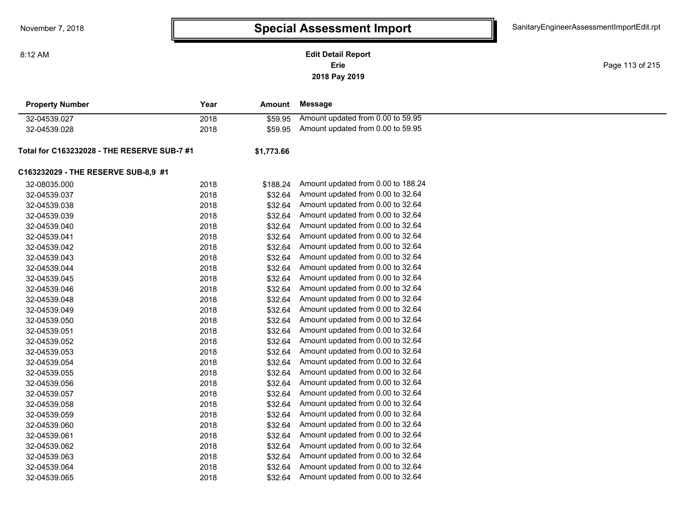**2018 Pay 2019 Erie Edit Detail Report**

Page 113 of 215

| <b>Property Number</b>                      | Year | Amount     | <b>Message</b>                     |  |
|---------------------------------------------|------|------------|------------------------------------|--|
| 32-04539.027                                | 2018 | \$59.95    | Amount updated from 0.00 to 59.95  |  |
| 32-04539.028                                | 2018 | \$59.95    | Amount updated from 0.00 to 59.95  |  |
| Total for C163232028 - THE RESERVE SUB-7 #1 |      | \$1,773.66 |                                    |  |
| C163232029 - THE RESERVE SUB-8,9 #1         |      |            |                                    |  |
| 32-08035.000                                | 2018 | \$188.24   | Amount updated from 0.00 to 188.24 |  |
| 32-04539.037                                | 2018 | \$32.64    | Amount updated from 0.00 to 32.64  |  |
| 32-04539.038                                | 2018 | \$32.64    | Amount updated from 0.00 to 32.64  |  |
| 32-04539.039                                | 2018 | \$32.64    | Amount updated from 0.00 to 32.64  |  |
| 32-04539.040                                | 2018 | \$32.64    | Amount updated from 0.00 to 32.64  |  |
| 32-04539.041                                | 2018 | \$32.64    | Amount updated from 0.00 to 32.64  |  |
| 32-04539.042                                | 2018 | \$32.64    | Amount updated from 0.00 to 32.64  |  |
| 32-04539.043                                | 2018 | \$32.64    | Amount updated from 0.00 to 32.64  |  |
| 32-04539.044                                | 2018 | \$32.64    | Amount updated from 0.00 to 32.64  |  |
| 32-04539.045                                | 2018 | \$32.64    | Amount updated from 0.00 to 32.64  |  |
| 32-04539.046                                | 2018 | \$32.64    | Amount updated from 0.00 to 32.64  |  |
| 32-04539.048                                | 2018 | \$32.64    | Amount updated from 0.00 to 32.64  |  |
| 32-04539.049                                | 2018 | \$32.64    | Amount updated from 0.00 to 32.64  |  |
| 32-04539.050                                | 2018 | \$32.64    | Amount updated from 0.00 to 32.64  |  |
| 32-04539.051                                | 2018 | \$32.64    | Amount updated from 0.00 to 32.64  |  |
| 32-04539.052                                | 2018 | \$32.64    | Amount updated from 0.00 to 32.64  |  |
| 32-04539.053                                | 2018 | \$32.64    | Amount updated from 0.00 to 32.64  |  |
| 32-04539.054                                | 2018 | \$32.64    | Amount updated from 0.00 to 32.64  |  |
| 32-04539.055                                | 2018 | \$32.64    | Amount updated from 0.00 to 32.64  |  |
| 32-04539.056                                | 2018 | \$32.64    | Amount updated from 0.00 to 32.64  |  |
| 32-04539.057                                | 2018 | \$32.64    | Amount updated from 0.00 to 32.64  |  |
| 32-04539.058                                | 2018 | \$32.64    | Amount updated from 0.00 to 32.64  |  |
| 32-04539.059                                | 2018 | \$32.64    | Amount updated from 0.00 to 32.64  |  |
| 32-04539.060                                | 2018 | \$32.64    | Amount updated from 0.00 to 32.64  |  |
| 32-04539.061                                | 2018 | \$32.64    | Amount updated from 0.00 to 32.64  |  |
| 32-04539.062                                | 2018 | \$32.64    | Amount updated from 0.00 to 32.64  |  |
| 32-04539.063                                | 2018 | \$32.64    | Amount updated from 0.00 to 32.64  |  |
| 32-04539.064                                | 2018 | \$32.64    | Amount updated from 0.00 to 32.64  |  |
| 32-04539.065                                | 2018 | \$32.64    | Amount updated from 0.00 to 32.64  |  |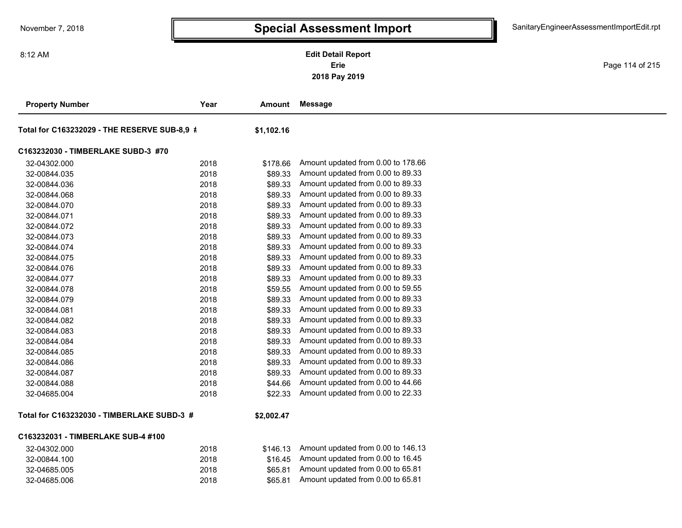**2018 Pay 2019 Erie Edit Detail Report**

Page 114 of 215

| <b>Property Number</b>                       | Year | Amount     | <b>Message</b>                     |
|----------------------------------------------|------|------------|------------------------------------|
| Total for C163232029 - THE RESERVE SUB-8,9 # |      | \$1,102.16 |                                    |
| C163232030 - TIMBERLAKE SUBD-3 #70           |      |            |                                    |
| 32-04302.000                                 | 2018 | \$178.66   | Amount updated from 0.00 to 178.66 |
| 32-00844.035                                 | 2018 | \$89.33    | Amount updated from 0.00 to 89.33  |
| 32-00844.036                                 | 2018 | \$89.33    | Amount updated from 0.00 to 89.33  |
| 32-00844.068                                 | 2018 | \$89.33    | Amount updated from 0.00 to 89.33  |
| 32-00844.070                                 | 2018 | \$89.33    | Amount updated from 0.00 to 89.33  |
| 32-00844.071                                 | 2018 | \$89.33    | Amount updated from 0.00 to 89.33  |
| 32-00844.072                                 | 2018 | \$89.33    | Amount updated from 0.00 to 89.33  |
| 32-00844.073                                 | 2018 | \$89.33    | Amount updated from 0.00 to 89.33  |
| 32-00844.074                                 | 2018 | \$89.33    | Amount updated from 0.00 to 89.33  |
| 32-00844.075                                 | 2018 | \$89.33    | Amount updated from 0.00 to 89.33  |
| 32-00844.076                                 | 2018 | \$89.33    | Amount updated from 0.00 to 89.33  |
| 32-00844.077                                 | 2018 | \$89.33    | Amount updated from 0.00 to 89.33  |
| 32-00844.078                                 | 2018 | \$59.55    | Amount updated from 0.00 to 59.55  |
| 32-00844.079                                 | 2018 | \$89.33    | Amount updated from 0.00 to 89.33  |
| 32-00844.081                                 | 2018 | \$89.33    | Amount updated from 0.00 to 89.33  |
| 32-00844.082                                 | 2018 | \$89.33    | Amount updated from 0.00 to 89.33  |
| 32-00844.083                                 | 2018 | \$89.33    | Amount updated from 0.00 to 89.33  |
| 32-00844.084                                 | 2018 | \$89.33    | Amount updated from 0.00 to 89.33  |
| 32-00844.085                                 | 2018 | \$89.33    | Amount updated from 0.00 to 89.33  |
| 32-00844.086                                 | 2018 | \$89.33    | Amount updated from 0.00 to 89.33  |
| 32-00844.087                                 | 2018 | \$89.33    | Amount updated from 0.00 to 89.33  |
| 32-00844.088                                 | 2018 | \$44.66    | Amount updated from 0.00 to 44.66  |
| 32-04685.004                                 | 2018 | \$22.33    | Amount updated from 0.00 to 22.33  |
| Total for C163232030 - TIMBERLAKE SUBD-3 #   |      | \$2,002.47 |                                    |
| C163232031 - TIMBERLAKE SUB-4 #100           |      |            |                                    |
| 32-04302.000                                 | 2018 | \$146.13   | Amount updated from 0.00 to 146.13 |
| 32-00844.100                                 | 2018 | \$16.45    | Amount updated from 0.00 to 16.45  |
| 32-04685.005                                 | 2018 | \$65.81    | Amount updated from 0.00 to 65.81  |
| 32-04685.006                                 | 2018 | \$65.81    | Amount updated from 0.00 to 65.81  |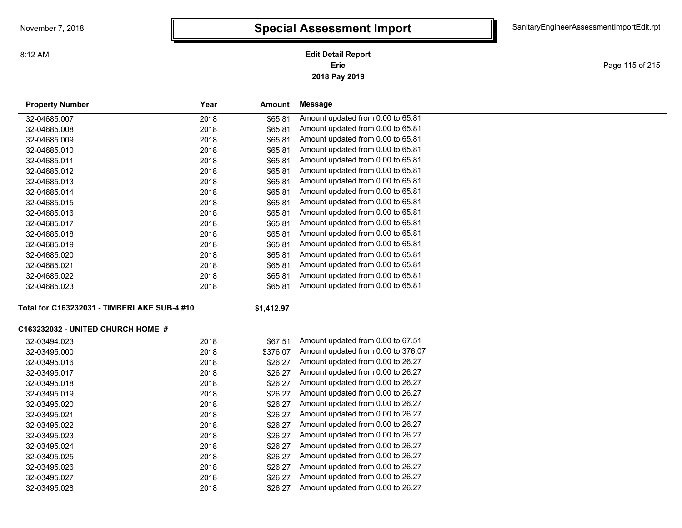**2018 Pay 2019 Erie Edit Detail Report**

Page 115 of 215

| <b>Property Number</b>                      | Year | Amount     | <b>Message</b>                     |
|---------------------------------------------|------|------------|------------------------------------|
| 32-04685.007                                | 2018 | \$65.81    | Amount updated from 0.00 to 65.81  |
| 32-04685.008                                | 2018 | \$65.81    | Amount updated from 0.00 to 65.81  |
| 32-04685.009                                | 2018 | \$65.81    | Amount updated from 0.00 to 65.81  |
| 32-04685.010                                | 2018 | \$65.81    | Amount updated from 0.00 to 65.81  |
| 32-04685.011                                | 2018 | \$65.81    | Amount updated from 0.00 to 65.81  |
| 32-04685.012                                | 2018 | \$65.81    | Amount updated from 0.00 to 65.81  |
| 32-04685.013                                | 2018 | \$65.81    | Amount updated from 0.00 to 65.81  |
| 32-04685.014                                | 2018 | \$65.81    | Amount updated from 0.00 to 65.81  |
| 32-04685.015                                | 2018 | \$65.81    | Amount updated from 0.00 to 65.81  |
| 32-04685.016                                | 2018 | \$65.81    | Amount updated from 0.00 to 65.81  |
| 32-04685.017                                | 2018 | \$65.81    | Amount updated from 0.00 to 65.81  |
| 32-04685.018                                | 2018 | \$65.81    | Amount updated from 0.00 to 65.81  |
| 32-04685.019                                | 2018 | \$65.81    | Amount updated from 0.00 to 65.81  |
| 32-04685.020                                | 2018 | \$65.81    | Amount updated from 0.00 to 65.81  |
| 32-04685.021                                | 2018 | \$65.81    | Amount updated from 0.00 to 65.81  |
| 32-04685.022                                | 2018 | \$65.81    | Amount updated from 0.00 to 65.81  |
| 32-04685.023                                | 2018 | \$65.81    | Amount updated from 0.00 to 65.81  |
| Total for C163232031 - TIMBERLAKE SUB-4 #10 |      | \$1,412.97 |                                    |
|                                             |      |            |                                    |
| <b>C163232032 - UNITED CHURCH HOME #</b>    |      |            |                                    |
| 32-03494.023                                | 2018 | \$67.51    | Amount updated from 0.00 to 67.51  |
| 32-03495.000                                | 2018 | \$376.07   | Amount updated from 0.00 to 376.07 |
| 32-03495.016                                | 2018 | \$26.27    | Amount updated from 0.00 to 26.27  |
| 32-03495.017                                | 2018 | \$26.27    | Amount updated from 0.00 to 26.27  |
| 32-03495.018                                | 2018 | \$26.27    | Amount updated from 0.00 to 26.27  |
| 32-03495.019                                | 2018 | \$26.27    | Amount updated from 0.00 to 26.27  |
| 32-03495.020                                | 2018 | \$26.27    | Amount updated from 0.00 to 26.27  |
| 32-03495.021                                | 2018 | \$26.27    | Amount updated from 0.00 to 26.27  |
| 32-03495.022                                | 2018 | \$26.27    | Amount updated from 0.00 to 26.27  |
| 32-03495.023                                | 2018 | \$26.27    | Amount updated from 0.00 to 26.27  |
| 32-03495.024                                | 2018 | \$26.27    | Amount updated from 0.00 to 26.27  |
| 32-03495.025                                | 2018 | \$26.27    | Amount updated from 0.00 to 26.27  |
| 32-03495.026                                | 2018 | \$26.27    | Amount updated from 0.00 to 26.27  |
| 32-03495.027                                | 2018 | \$26.27    | Amount updated from 0.00 to 26.27  |
| 32-03495.028                                | 2018 | \$26.27    | Amount updated from 0.00 to 26.27  |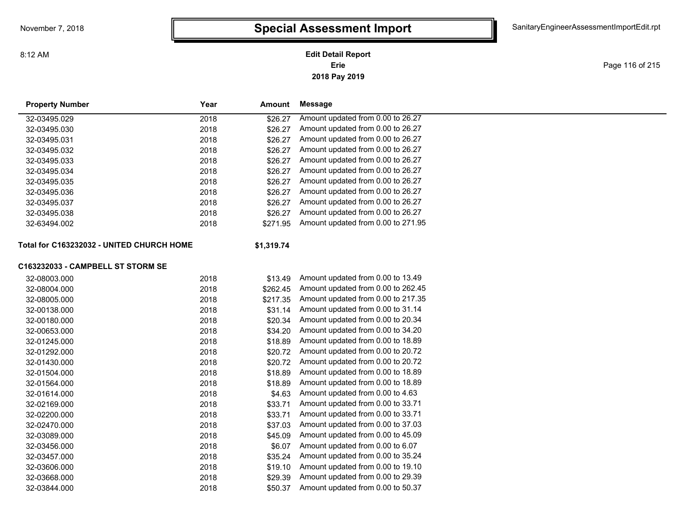8:12 AM

**2018 Pay 2019 Erie Edit Detail Report**

Page 116 of 215

| <b>Property Number</b>                    | Year          | Amount     | Message                            |
|-------------------------------------------|---------------|------------|------------------------------------|
| 32-03495.029                              | 2018          | \$26.27    | Amount updated from 0.00 to 26.27  |
| 32-03495.030                              | 2018          | \$26.27    | Amount updated from 0.00 to 26.27  |
| 32-03495.031                              | 2018          | \$26.27    | Amount updated from 0.00 to 26.27  |
| 32-03495.032                              | 2018          | \$26.27    | Amount updated from 0.00 to 26.27  |
| 32-03495.033                              | 2018          | \$26.27    | Amount updated from 0.00 to 26.27  |
| 32-03495.034                              | 2018          | \$26.27    | Amount updated from 0.00 to 26.27  |
| 32-03495.035                              | 2018          | \$26.27    | Amount updated from 0.00 to 26.27  |
| 32-03495.036                              | 2018          | \$26.27    | Amount updated from 0.00 to 26.27  |
| 32-03495.037                              | 2018          | \$26.27    | Amount updated from 0.00 to 26.27  |
| 32-03495.038                              | 2018          | \$26.27    | Amount updated from 0.00 to 26.27  |
| 32-63494.002                              | 2018          | \$271.95   | Amount updated from 0.00 to 271.95 |
| Total for C163232032 - UNITED CHURCH HOME |               | \$1,319.74 |                                    |
| C163232033 - CAMPBELL ST STORM SE         |               |            |                                    |
| 32-08003.000                              | 2018          | \$13.49    | Amount updated from 0.00 to 13.49  |
| 32-08004.000                              | 2018          | \$262.45   | Amount updated from 0.00 to 262.45 |
| 32-08005.000                              | 2018          | \$217.35   | Amount updated from 0.00 to 217.35 |
| 32-00138.000                              | 2018          | \$31.14    | Amount updated from 0.00 to 31.14  |
| 32-00180.000                              | 2018          | \$20.34    | Amount updated from 0.00 to 20.34  |
| 0.0000000000                              | $\sim$ $\sim$ |            |                                    |

| 32-00138.000 | 2018 | \$31.14 | Amount updated from 0.00 to 31.14 |
|--------------|------|---------|-----------------------------------|
| 32-00180.000 | 2018 | \$20.34 | Amount updated from 0.00 to 20.34 |
| 32-00653.000 | 2018 | \$34.20 | Amount updated from 0.00 to 34.20 |
| 32-01245.000 | 2018 | \$18.89 | Amount updated from 0.00 to 18.89 |
| 32-01292.000 | 2018 | \$20.72 | Amount updated from 0.00 to 20.72 |
| 32-01430.000 | 2018 | \$20.72 | Amount updated from 0.00 to 20.72 |
| 32-01504.000 | 2018 | \$18.89 | Amount updated from 0.00 to 18.89 |
| 32-01564.000 | 2018 | \$18.89 | Amount updated from 0.00 to 18.89 |
| 32-01614.000 | 2018 | \$4.63  | Amount updated from 0.00 to 4.63  |
| 32-02169.000 | 2018 | \$33.71 | Amount updated from 0.00 to 33.71 |
| 32-02200.000 | 2018 | \$33.71 | Amount updated from 0.00 to 33.71 |
| 32-02470.000 | 2018 | \$37.03 | Amount updated from 0.00 to 37.03 |
| 32-03089.000 | 2018 | \$45.09 | Amount updated from 0.00 to 45.09 |
| 32-03456.000 | 2018 | \$6.07  | Amount updated from 0.00 to 6.07  |
| 32-03457.000 | 2018 | \$35.24 | Amount updated from 0.00 to 35.24 |
| 32-03606.000 | 2018 | \$19.10 | Amount updated from 0.00 to 19.10 |
| 32-03668.000 | 2018 | \$29.39 | Amount updated from 0.00 to 29.39 |
| 32-03844.000 | 2018 | \$50.37 | Amount updated from 0.00 to 50.37 |
|              |      |         |                                   |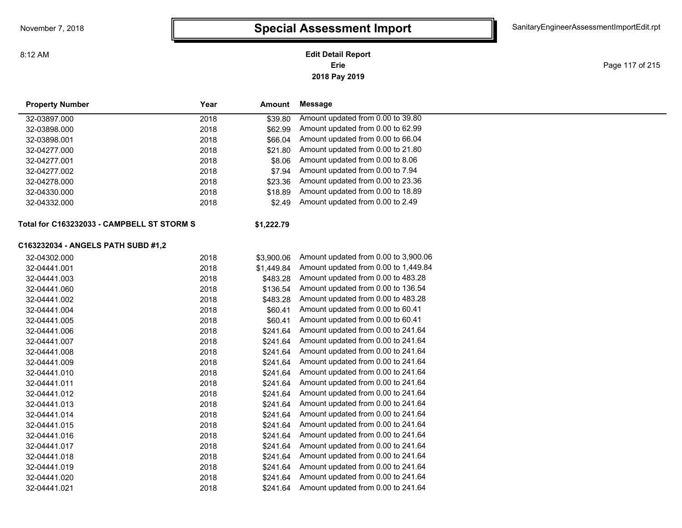### **2018 Pay 2019 Erie Edit Detail Report**

Page 117 of 215

| <b>Property Number</b>                     | Year | Amount     | <b>Message</b>                       |  |
|--------------------------------------------|------|------------|--------------------------------------|--|
| 32-03897.000                               | 2018 | \$39.80    | Amount updated from 0.00 to 39.80    |  |
| 32-03898.000                               | 2018 | \$62.99    | Amount updated from 0.00 to 62.99    |  |
| 32-03898.001                               | 2018 | \$66.04    | Amount updated from 0.00 to 66.04    |  |
| 32-04277.000                               | 2018 | \$21.80    | Amount updated from 0.00 to 21.80    |  |
| 32-04277.001                               | 2018 | \$8.06     | Amount updated from 0.00 to 8.06     |  |
| 32-04277.002                               | 2018 | \$7.94     | Amount updated from 0.00 to 7.94     |  |
| 32-04278.000                               | 2018 | \$23.36    | Amount updated from 0.00 to 23.36    |  |
| 32-04330.000                               | 2018 | \$18.89    | Amount updated from 0.00 to 18.89    |  |
| 32-04332.000                               | 2018 | \$2.49     | Amount updated from 0.00 to 2.49     |  |
| Total for C163232033 - CAMPBELL ST STORM S |      | \$1,222.79 |                                      |  |
| C163232034 - ANGELS PATH SUBD #1,2         |      |            |                                      |  |
| 32-04302.000                               | 2018 | \$3,900.06 | Amount updated from 0.00 to 3,900.06 |  |
| 32-04441.001                               | 2018 | \$1,449.84 | Amount updated from 0.00 to 1,449.84 |  |
| 32-04441.003                               | 2018 | \$483.28   | Amount updated from 0.00 to 483.28   |  |
| 32-04441.060                               | 2018 | \$136.54   | Amount updated from 0.00 to 136.54   |  |
| 32-04441.002                               | 2018 | \$483.28   | Amount updated from 0.00 to 483.28   |  |
| 32-04441.004                               | 2018 | \$60.41    | Amount updated from 0.00 to 60.41    |  |
| 32-04441.005                               | 2018 | \$60.41    | Amount updated from 0.00 to 60.41    |  |
| 32-04441.006                               | 2018 | \$241.64   | Amount updated from 0.00 to 241.64   |  |
| 32-04441.007                               | 2018 | \$241.64   | Amount updated from 0.00 to 241.64   |  |
| 32-04441.008                               | 2018 | \$241.64   | Amount updated from 0.00 to 241.64   |  |
| 32-04441.009                               | 2018 | \$241.64   | Amount updated from 0.00 to 241.64   |  |
| 32-04441.010                               | 2018 | \$241.64   | Amount updated from 0.00 to 241.64   |  |
| 32-04441.011                               | 2018 | \$241.64   | Amount updated from 0.00 to 241.64   |  |
| 32-04441.012                               | 2018 | \$241.64   | Amount updated from 0.00 to 241.64   |  |
| 32-04441.013                               | 2018 | \$241.64   | Amount updated from 0.00 to 241.64   |  |
| 32-04441.014                               | 2018 | \$241.64   | Amount updated from 0.00 to 241.64   |  |
| 32-04441.015                               | 2018 | \$241.64   | Amount updated from 0.00 to 241.64   |  |
| 32-04441.016                               | 2018 | \$241.64   | Amount updated from 0.00 to 241.64   |  |
| 32-04441.017                               | 2018 | \$241.64   | Amount updated from 0.00 to 241.64   |  |
| 32-04441.018                               | 2018 | \$241.64   | Amount updated from 0.00 to 241.64   |  |
| 32-04441.019                               | 2018 | \$241.64   | Amount updated from 0.00 to 241.64   |  |
| 32-04441.020                               | 2018 | \$241.64   | Amount updated from 0.00 to 241.64   |  |
| 32-04441.021                               | 2018 | \$241.64   | Amount updated from 0.00 to 241.64   |  |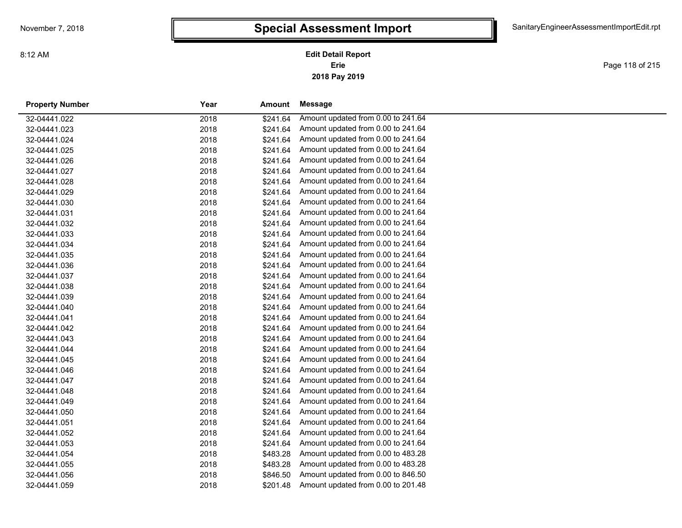Page 118 of 215

| <b>Property Number</b> | Year | Amount   | Message                            |
|------------------------|------|----------|------------------------------------|
| 32-04441.022           | 2018 | \$241.64 | Amount updated from 0.00 to 241.64 |
| 32-04441.023           | 2018 | \$241.64 | Amount updated from 0.00 to 241.64 |
| 32-04441.024           | 2018 | \$241.64 | Amount updated from 0.00 to 241.64 |
| 32-04441.025           | 2018 | \$241.64 | Amount updated from 0.00 to 241.64 |
| 32-04441.026           | 2018 | \$241.64 | Amount updated from 0.00 to 241.64 |
| 32-04441.027           | 2018 | \$241.64 | Amount updated from 0.00 to 241.64 |
| 32-04441.028           | 2018 | \$241.64 | Amount updated from 0.00 to 241.64 |
| 32-04441.029           | 2018 | \$241.64 | Amount updated from 0.00 to 241.64 |
| 32-04441.030           | 2018 | \$241.64 | Amount updated from 0.00 to 241.64 |
| 32-04441.031           | 2018 | \$241.64 | Amount updated from 0.00 to 241.64 |
| 32-04441.032           | 2018 | \$241.64 | Amount updated from 0.00 to 241.64 |
| 32-04441.033           | 2018 | \$241.64 | Amount updated from 0.00 to 241.64 |
| 32-04441.034           | 2018 | \$241.64 | Amount updated from 0.00 to 241.64 |
| 32-04441.035           | 2018 | \$241.64 | Amount updated from 0.00 to 241.64 |
| 32-04441.036           | 2018 | \$241.64 | Amount updated from 0.00 to 241.64 |
| 32-04441.037           | 2018 | \$241.64 | Amount updated from 0.00 to 241.64 |
| 32-04441.038           | 2018 | \$241.64 | Amount updated from 0.00 to 241.64 |
| 32-04441.039           | 2018 | \$241.64 | Amount updated from 0.00 to 241.64 |
| 32-04441.040           | 2018 | \$241.64 | Amount updated from 0.00 to 241.64 |
| 32-04441.041           | 2018 | \$241.64 | Amount updated from 0.00 to 241.64 |
| 32-04441.042           | 2018 | \$241.64 | Amount updated from 0.00 to 241.64 |
| 32-04441.043           | 2018 | \$241.64 | Amount updated from 0.00 to 241.64 |
| 32-04441.044           | 2018 | \$241.64 | Amount updated from 0.00 to 241.64 |
| 32-04441.045           | 2018 | \$241.64 | Amount updated from 0.00 to 241.64 |
| 32-04441.046           | 2018 | \$241.64 | Amount updated from 0.00 to 241.64 |
| 32-04441.047           | 2018 | \$241.64 | Amount updated from 0.00 to 241.64 |
| 32-04441.048           | 2018 | \$241.64 | Amount updated from 0.00 to 241.64 |
| 32-04441.049           | 2018 | \$241.64 | Amount updated from 0.00 to 241.64 |
| 32-04441.050           | 2018 | \$241.64 | Amount updated from 0.00 to 241.64 |
| 32-04441.051           | 2018 | \$241.64 | Amount updated from 0.00 to 241.64 |
| 32-04441.052           | 2018 | \$241.64 | Amount updated from 0.00 to 241.64 |
| 32-04441.053           | 2018 | \$241.64 | Amount updated from 0.00 to 241.64 |
| 32-04441.054           | 2018 | \$483.28 | Amount updated from 0.00 to 483.28 |
| 32-04441.055           | 2018 | \$483.28 | Amount updated from 0.00 to 483.28 |
| 32-04441.056           | 2018 | \$846.50 | Amount updated from 0.00 to 846.50 |
| 32-04441.059           | 2018 | \$201.48 | Amount updated from 0.00 to 201.48 |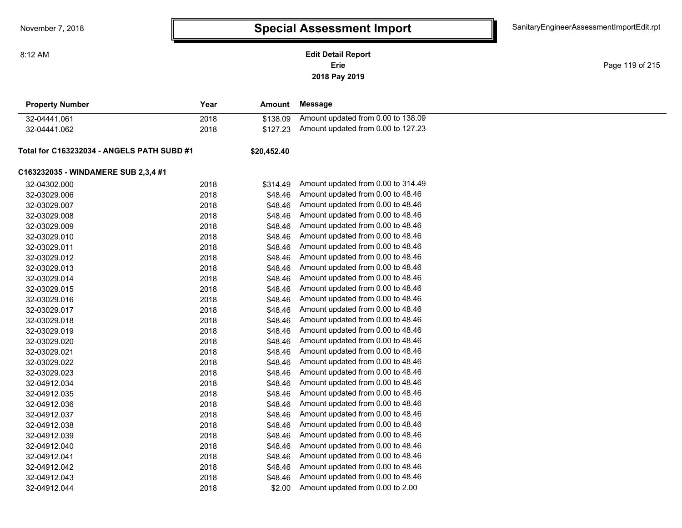**2018 Pay 2019 Erie Edit Detail Report**

Page 119 of 215

| <b>Property Number</b>                     | Year | Amount      | Message                            |  |
|--------------------------------------------|------|-------------|------------------------------------|--|
| 32-04441.061                               | 2018 | \$138.09    | Amount updated from 0.00 to 138.09 |  |
| 32-04441.062                               | 2018 | \$127.23    | Amount updated from 0.00 to 127.23 |  |
| Total for C163232034 - ANGELS PATH SUBD #1 |      | \$20,452.40 |                                    |  |
| C163232035 - WINDAMERE SUB 2,3,4 #1        |      |             |                                    |  |
| 32-04302.000                               | 2018 | \$314.49    | Amount updated from 0.00 to 314.49 |  |
| 32-03029.006                               | 2018 | \$48.46     | Amount updated from 0.00 to 48.46  |  |
| 32-03029.007                               | 2018 | \$48.46     | Amount updated from 0.00 to 48.46  |  |
| 32-03029.008                               | 2018 | \$48.46     | Amount updated from 0.00 to 48.46  |  |
| 32-03029.009                               | 2018 | \$48.46     | Amount updated from 0.00 to 48.46  |  |
| 32-03029.010                               | 2018 | \$48.46     | Amount updated from 0.00 to 48.46  |  |
| 32-03029.011                               | 2018 | \$48.46     | Amount updated from 0.00 to 48.46  |  |
| 32-03029.012                               | 2018 | \$48.46     | Amount updated from 0.00 to 48.46  |  |
| 32-03029.013                               | 2018 | \$48.46     | Amount updated from 0.00 to 48.46  |  |
| 32-03029.014                               | 2018 | \$48.46     | Amount updated from 0.00 to 48.46  |  |
| 32-03029.015                               | 2018 | \$48.46     | Amount updated from 0.00 to 48.46  |  |
| 32-03029.016                               | 2018 | \$48.46     | Amount updated from 0.00 to 48.46  |  |
| 32-03029.017                               | 2018 | \$48.46     | Amount updated from 0.00 to 48.46  |  |
| 32-03029.018                               | 2018 | \$48.46     | Amount updated from 0.00 to 48.46  |  |
| 32-03029.019                               | 2018 | \$48.46     | Amount updated from 0.00 to 48.46  |  |
| 32-03029.020                               | 2018 | \$48.46     | Amount updated from 0.00 to 48.46  |  |
| 32-03029.021                               | 2018 | \$48.46     | Amount updated from 0.00 to 48.46  |  |
| 32-03029.022                               | 2018 | \$48.46     | Amount updated from 0.00 to 48.46  |  |
| 32-03029.023                               | 2018 | \$48.46     | Amount updated from 0.00 to 48.46  |  |
| 32-04912.034                               | 2018 | \$48.46     | Amount updated from 0.00 to 48.46  |  |
| 32-04912.035                               | 2018 | \$48.46     | Amount updated from 0.00 to 48.46  |  |
| 32-04912.036                               | 2018 | \$48.46     | Amount updated from 0.00 to 48.46  |  |
| 32-04912.037                               | 2018 | \$48.46     | Amount updated from 0.00 to 48.46  |  |
| 32-04912.038                               | 2018 | \$48.46     | Amount updated from 0.00 to 48.46  |  |
| 32-04912.039                               | 2018 | \$48.46     | Amount updated from 0.00 to 48.46  |  |
| 32-04912.040                               | 2018 | \$48.46     | Amount updated from 0.00 to 48.46  |  |
| 32-04912.041                               | 2018 | \$48.46     | Amount updated from 0.00 to 48.46  |  |
| 32-04912.042                               | 2018 | \$48.46     | Amount updated from 0.00 to 48.46  |  |
| 32-04912.043                               | 2018 | \$48.46     | Amount updated from 0.00 to 48.46  |  |
| 32-04912.044                               | 2018 | \$2.00      | Amount updated from 0.00 to 2.00   |  |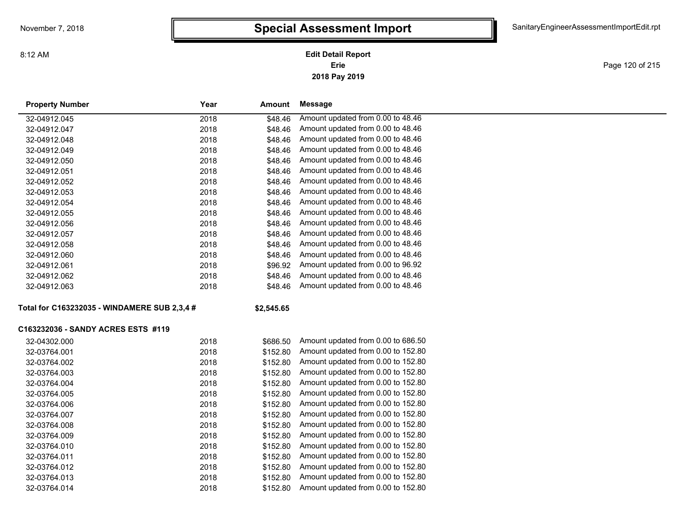# **Special Assessment Import**

**2018 Pay 2019 Erie Edit Detail Report**

Page 120 of 215

| <b>Property Number</b>                       | Year | Amount     | <b>Message</b>                     |
|----------------------------------------------|------|------------|------------------------------------|
| 32-04912.045                                 | 2018 | \$48.46    | Amount updated from 0.00 to 48.46  |
| 32-04912.047                                 | 2018 | \$48.46    | Amount updated from 0.00 to 48.46  |
| 32-04912.048                                 | 2018 | \$48.46    | Amount updated from 0.00 to 48.46  |
| 32-04912.049                                 | 2018 | \$48.46    | Amount updated from 0.00 to 48.46  |
| 32-04912.050                                 | 2018 | \$48.46    | Amount updated from 0.00 to 48.46  |
| 32-04912.051                                 | 2018 | \$48.46    | Amount updated from 0.00 to 48.46  |
| 32-04912.052                                 | 2018 | \$48.46    | Amount updated from 0.00 to 48.46  |
| 32-04912.053                                 | 2018 | \$48.46    | Amount updated from 0.00 to 48.46  |
| 32-04912.054                                 | 2018 | \$48.46    | Amount updated from 0.00 to 48.46  |
| 32-04912.055                                 | 2018 | \$48.46    | Amount updated from 0.00 to 48.46  |
| 32-04912.056                                 | 2018 | \$48.46    | Amount updated from 0.00 to 48.46  |
| 32-04912.057                                 | 2018 | \$48.46    | Amount updated from 0.00 to 48.46  |
| 32-04912.058                                 | 2018 | \$48.46    | Amount updated from 0.00 to 48.46  |
| 32-04912.060                                 | 2018 | \$48.46    | Amount updated from 0.00 to 48.46  |
| 32-04912.061                                 | 2018 | \$96.92    | Amount updated from 0.00 to 96.92  |
| 32-04912.062                                 | 2018 | \$48.46    | Amount updated from 0.00 to 48.46  |
| 32-04912.063                                 | 2018 | \$48.46    | Amount updated from 0.00 to 48.46  |
| Total for C163232035 - WINDAMERE SUB 2,3,4 # |      | \$2,545.65 |                                    |
| C163232036 - SANDY ACRES ESTS #119           |      |            |                                    |
| 32-04302.000                                 | 2018 | \$686.50   | Amount updated from 0.00 to 686.50 |
| 32-03764.001                                 | 2018 | \$152.80   | Amount updated from 0.00 to 152.80 |
| 32-03764.002                                 | 2018 | \$152.80   | Amount updated from 0.00 to 152.80 |
| 32-03764.003                                 | 2018 | \$152.80   | Amount updated from 0.00 to 152.80 |
| 32-03764.004                                 | 2018 | \$152.80   | Amount updated from 0.00 to 152.80 |
| 32-03764.005                                 | 2018 | \$152.80   | Amount updated from 0.00 to 152.80 |
| 32-03764.006                                 | 2018 | \$152.80   | Amount updated from 0.00 to 152.80 |
| 32-03764.007                                 | 2018 | \$152.80   | Amount updated from 0.00 to 152.80 |
| 32-03764.008                                 | 2018 | \$152.80   | Amount updated from 0.00 to 152.80 |
| 32-03764.009                                 | 2018 | \$152.80   | Amount updated from 0.00 to 152.80 |
| 32-03764.010                                 | 2018 | \$152.80   | Amount updated from 0.00 to 152.80 |
| 32-03764.011                                 | 2018 | \$152.80   | Amount updated from 0.00 to 152.80 |
| 32-03764.012                                 | 2018 | \$152.80   | Amount updated from 0.00 to 152.80 |
| 32-03764.013                                 | 2018 | \$152.80   | Amount updated from 0.00 to 152.80 |
| 32-03764.014                                 | 2018 | \$152.80   | Amount updated from 0.00 to 152.80 |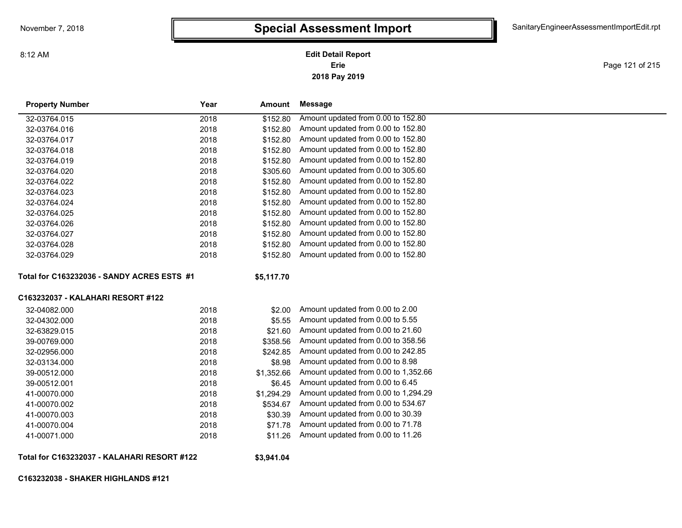**2018 Pay 2019 Erie Edit Detail Report**

Page 121 of 215

| <b>Property Number</b>                     | Year | Amount     | <b>Message</b>                       |
|--------------------------------------------|------|------------|--------------------------------------|
| 32-03764.015                               | 2018 | \$152.80   | Amount updated from 0.00 to 152.80   |
| 32-03764.016                               | 2018 | \$152.80   | Amount updated from 0.00 to 152.80   |
| 32-03764.017                               | 2018 | \$152.80   | Amount updated from 0.00 to 152.80   |
| 32-03764.018                               | 2018 | \$152.80   | Amount updated from 0.00 to 152.80   |
| 32-03764.019                               | 2018 | \$152.80   | Amount updated from 0.00 to 152.80   |
| 32-03764.020                               | 2018 | \$305.60   | Amount updated from 0.00 to 305.60   |
| 32-03764.022                               | 2018 | \$152.80   | Amount updated from 0.00 to 152.80   |
| 32-03764.023                               | 2018 | \$152.80   | Amount updated from 0.00 to 152.80   |
| 32-03764.024                               | 2018 | \$152.80   | Amount updated from 0.00 to 152.80   |
| 32-03764.025                               | 2018 | \$152.80   | Amount updated from 0.00 to 152.80   |
| 32-03764.026                               | 2018 | \$152.80   | Amount updated from 0.00 to 152.80   |
| 32-03764.027                               | 2018 | \$152.80   | Amount updated from 0.00 to 152.80   |
| 32-03764.028                               | 2018 | \$152.80   | Amount updated from 0.00 to 152.80   |
| 32-03764.029                               | 2018 | \$152.80   | Amount updated from 0.00 to 152.80   |
| Total for C163232036 - SANDY ACRES ESTS #1 |      | \$5,117.70 |                                      |
| C163232037 - KALAHARI RESORT #122          |      |            |                                      |
| 32-04082.000                               | 2018 | \$2.00     | Amount updated from 0.00 to 2.00     |
| 32-04302.000                               | 2018 | \$5.55     | Amount updated from 0.00 to 5.55     |
| 32-63829.015                               | 2018 | \$21.60    | Amount updated from 0.00 to 21.60    |
| 39-00769.000                               | 2018 | \$358.56   | Amount updated from 0.00 to 358.56   |
| 32-02956.000                               | 2018 | \$242.85   | Amount updated from 0.00 to 242.85   |
| 32-03134.000                               | 2018 | \$8.98     | Amount updated from 0.00 to 8.98     |
| 39-00512.000                               | 2018 | \$1,352.66 | Amount updated from 0.00 to 1,352.66 |
| 39-00512.001                               | 2018 | \$6.45     | Amount updated from 0.00 to 6.45     |
| 41-00070.000                               | 2018 | \$1,294.29 | Amount updated from 0.00 to 1,294.29 |
| 41-00070.002                               | 2018 | \$534.67   | Amount updated from 0.00 to 534.67   |
| 41-00070.003                               | 2018 | \$30.39    | Amount updated from 0.00 to 30.39    |
| 41-00070.004                               | 2018 | \$71.78    | Amount updated from 0.00 to 71.78    |

**Total for C163232037 - KALAHARI RESORT #122**

**\$3,941.04**

41-00071.000 2018 \$11.26 Amount updated from 0.00 to 11.26

**C163232038 - SHAKER HIGHLANDS #121**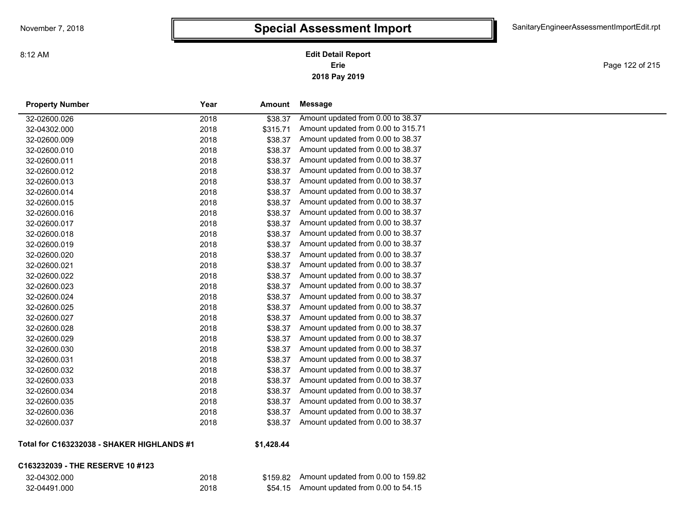Page 122 of 215

| <b>Property Number</b>                     | Year | <b>Amount</b> | <b>Message</b>                     |
|--------------------------------------------|------|---------------|------------------------------------|
| 32-02600.026                               | 2018 | \$38.37       | Amount updated from 0.00 to 38.37  |
| 32-04302.000                               | 2018 | \$315.71      | Amount updated from 0.00 to 315.71 |
| 32-02600.009                               | 2018 | \$38.37       | Amount updated from 0.00 to 38.37  |
| 32-02600.010                               | 2018 | \$38.37       | Amount updated from 0.00 to 38.37  |
| 32-02600.011                               | 2018 | \$38.37       | Amount updated from 0.00 to 38.37  |
| 32-02600.012                               | 2018 | \$38.37       | Amount updated from 0.00 to 38.37  |
| 32-02600.013                               | 2018 | \$38.37       | Amount updated from 0.00 to 38.37  |
| 32-02600.014                               | 2018 | \$38.37       | Amount updated from 0.00 to 38.37  |
| 32-02600.015                               | 2018 | \$38.37       | Amount updated from 0.00 to 38.37  |
| 32-02600.016                               | 2018 | \$38.37       | Amount updated from 0.00 to 38.37  |
| 32-02600.017                               | 2018 | \$38.37       | Amount updated from 0.00 to 38.37  |
| 32-02600.018                               | 2018 | \$38.37       | Amount updated from 0.00 to 38.37  |
| 32-02600.019                               | 2018 | \$38.37       | Amount updated from 0.00 to 38.37  |
| 32-02600.020                               | 2018 | \$38.37       | Amount updated from 0.00 to 38.37  |
| 32-02600.021                               | 2018 | \$38.37       | Amount updated from 0.00 to 38.37  |
| 32-02600.022                               | 2018 | \$38.37       | Amount updated from 0.00 to 38.37  |
| 32-02600.023                               | 2018 | \$38.37       | Amount updated from 0.00 to 38.37  |
| 32-02600.024                               | 2018 | \$38.37       | Amount updated from 0.00 to 38.37  |
| 32-02600.025                               | 2018 | \$38.37       | Amount updated from 0.00 to 38.37  |
| 32-02600.027                               | 2018 | \$38.37       | Amount updated from 0.00 to 38.37  |
| 32-02600.028                               | 2018 | \$38.37       | Amount updated from 0.00 to 38.37  |
| 32-02600.029                               | 2018 | \$38.37       | Amount updated from 0.00 to 38.37  |
| 32-02600.030                               | 2018 | \$38.37       | Amount updated from 0.00 to 38.37  |
| 32-02600.031                               | 2018 | \$38.37       | Amount updated from 0.00 to 38.37  |
| 32-02600.032                               | 2018 | \$38.37       | Amount updated from 0.00 to 38.37  |
| 32-02600.033                               | 2018 | \$38.37       | Amount updated from 0.00 to 38.37  |
| 32-02600.034                               | 2018 | \$38.37       | Amount updated from 0.00 to 38.37  |
| 32-02600.035                               | 2018 | \$38.37       | Amount updated from 0.00 to 38.37  |
| 32-02600.036                               | 2018 | \$38.37       | Amount updated from 0.00 to 38.37  |
| 32-02600.037                               | 2018 | \$38.37       | Amount updated from 0.00 to 38.37  |
| Total for C163232038 - SHAKER HIGHLANDS #1 |      | \$1,428,44    |                                    |

**Total for C163232038 - SHAKER HIGHLANDS #1**

#### **\$1,428.44**

#### **C163232039 - THE RESERVE 10 #123**

| 32-04302.000 |  |
|--------------|--|
| 32-04491.000 |  |

| 32-04302.000 | 2018 | \$159.82 Amount updated from 0.00 to 159.82 |
|--------------|------|---------------------------------------------|
| 32-04491.000 | 2018 | $$54.15$ Amount updated from 0.00 to 54.15  |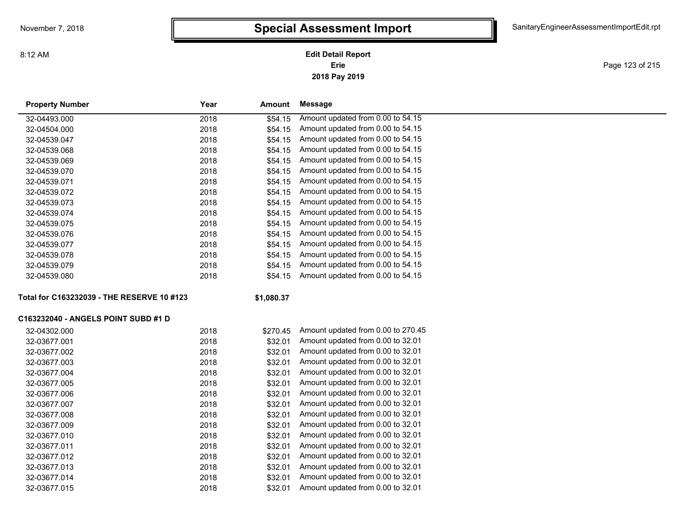#### **2018 Pay 2019 Erie Edit Detail Report**

Page 123 of 215

| <b>Property Number</b>                     | Year | Amount     | <b>Message</b>                     |
|--------------------------------------------|------|------------|------------------------------------|
| 32-04493.000                               | 2018 | \$54.15    | Amount updated from 0.00 to 54.15  |
| 32-04504.000                               | 2018 | \$54.15    | Amount updated from 0.00 to 54.15  |
| 32-04539.047                               | 2018 | \$54.15    | Amount updated from 0.00 to 54.15  |
| 32-04539.068                               | 2018 | \$54.15    | Amount updated from 0.00 to 54.15  |
| 32-04539.069                               | 2018 | \$54.15    | Amount updated from 0.00 to 54.15  |
| 32-04539.070                               | 2018 | \$54.15    | Amount updated from 0.00 to 54.15  |
| 32-04539.071                               | 2018 | \$54.15    | Amount updated from 0.00 to 54.15  |
| 32-04539.072                               | 2018 | \$54.15    | Amount updated from 0.00 to 54.15  |
| 32-04539.073                               | 2018 | \$54.15    | Amount updated from 0.00 to 54.15  |
| 32-04539.074                               | 2018 | \$54.15    | Amount updated from 0.00 to 54.15  |
| 32-04539.075                               | 2018 | \$54.15    | Amount updated from 0.00 to 54.15  |
| 32-04539.076                               | 2018 | \$54.15    | Amount updated from 0.00 to 54.15  |
| 32-04539.077                               | 2018 | \$54.15    | Amount updated from 0.00 to 54.15  |
| 32-04539.078                               | 2018 | \$54.15    | Amount updated from 0.00 to 54.15  |
| 32-04539.079                               | 2018 | \$54.15    | Amount updated from 0.00 to 54.15  |
| 32-04539.080                               | 2018 | \$54.15    | Amount updated from 0.00 to 54.15  |
| Total for C163232039 - THE RESERVE 10 #123 |      | \$1,080.37 |                                    |
| C163232040 - ANGELS POINT SUBD #1 D        |      |            |                                    |
| 32-04302.000                               | 2018 | \$270.45   | Amount updated from 0.00 to 270.45 |
| 32-03677.001                               | 2018 | \$32.01    | Amount updated from 0.00 to 32.01  |
| 32-03677.002                               | 2018 | \$32.01    | Amount updated from 0.00 to 32.01  |
| 32-03677.003                               | 2018 | \$32.01    | Amount updated from 0.00 to 32.01  |
| 32-03677.004                               | 2018 | \$32.01    | Amount updated from 0.00 to 32.01  |
| 32-03677.005                               | 2018 | \$32.01    | Amount updated from 0.00 to 32.01  |
| 32-03677.006                               | 2018 | \$32.01    | Amount updated from 0.00 to 32.01  |
| 32-03677.007                               | 2018 | \$32.01    | Amount updated from 0.00 to 32.01  |
| 32-03677.008                               | 2018 | \$32.01    | Amount updated from 0.00 to 32.01  |
| 32-03677.009                               | 2018 | \$32.01    | Amount updated from 0.00 to 32.01  |
| 32-03677.010                               | 2018 | \$32.01    | Amount updated from 0.00 to 32.01  |
| 32-03677.011                               | 2018 | \$32.01    | Amount updated from 0.00 to 32.01  |
| 32-03677.012                               | 2018 | \$32.01    | Amount updated from 0.00 to 32.01  |
| 32-03677.013                               | 2018 | \$32.01    | Amount updated from 0.00 to 32.01  |
| 32-03677.014                               | 2018 | \$32.01    | Amount updated from 0.00 to 32.01  |
| 32-03677.015                               | 2018 | \$32.01    | Amount updated from 0.00 to 32.01  |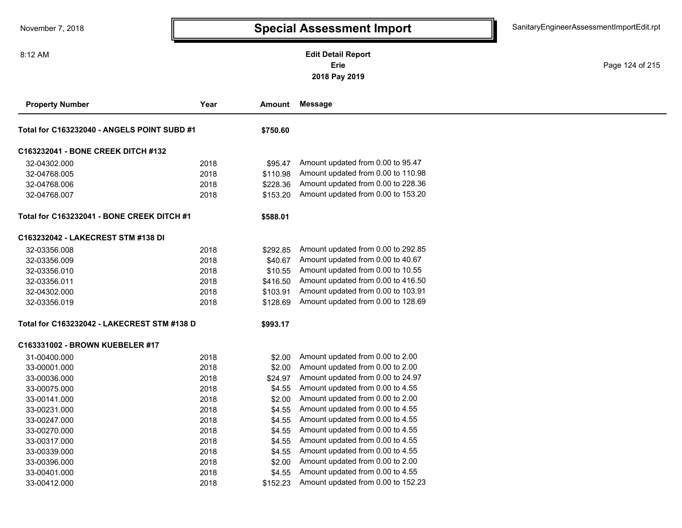### **2018 Pay 2019 Erie Edit Detail Report**

Page 124 of 215

| <b>Property Number</b>                      | Year | Amount   | <b>Message</b>                     |
|---------------------------------------------|------|----------|------------------------------------|
| Total for C163232040 - ANGELS POINT SUBD #1 |      | \$750.60 |                                    |
| C163232041 - BONE CREEK DITCH #132          |      |          |                                    |
| 32-04302.000                                | 2018 | \$95.47  | Amount updated from 0.00 to 95.47  |
| 32-04768.005                                | 2018 | \$110.98 | Amount updated from 0.00 to 110.98 |
| 32-04768.006                                | 2018 | \$228.36 | Amount updated from 0.00 to 228.36 |
| 32-04768.007                                | 2018 | \$153.20 | Amount updated from 0.00 to 153.20 |
| Total for C163232041 - BONE CREEK DITCH #1  |      | \$588.01 |                                    |
| C163232042 - LAKECREST STM #138 DI          |      |          |                                    |
| 32-03356.008                                | 2018 | \$292.85 | Amount updated from 0.00 to 292.85 |
| 32-03356.009                                | 2018 | \$40.67  | Amount updated from 0.00 to 40.67  |
| 32-03356.010                                | 2018 | \$10.55  | Amount updated from 0.00 to 10.55  |
| 32-03356.011                                | 2018 | \$416.50 | Amount updated from 0.00 to 416.50 |
| 32-04302.000                                | 2018 | \$103.91 | Amount updated from 0.00 to 103.91 |
| 32-03356.019                                | 2018 | \$128.69 | Amount updated from 0.00 to 128.69 |
| Total for C163232042 - LAKECREST STM #138 D |      | \$993.17 |                                    |
| C163331002 - BROWN KUEBELER #17             |      |          |                                    |
| 31-00400.000                                | 2018 | \$2.00   | Amount updated from 0.00 to 2.00   |
| 33-00001.000                                | 2018 | \$2.00   | Amount updated from 0.00 to 2.00   |
| 33-00036.000                                | 2018 | \$24.97  | Amount updated from 0.00 to 24.97  |
| 33-00075.000                                | 2018 | \$4.55   | Amount updated from 0.00 to 4.55   |
| 33-00141.000                                | 2018 | \$2.00   | Amount updated from 0.00 to 2.00   |
| 33-00231.000                                | 2018 | \$4.55   | Amount updated from 0.00 to 4.55   |
| 33-00247.000                                | 2018 | \$4.55   | Amount updated from 0.00 to 4.55   |
| 33-00270.000                                | 2018 | \$4.55   | Amount updated from 0.00 to 4.55   |
| 33-00317.000                                | 2018 | \$4.55   | Amount updated from 0.00 to 4.55   |
| 33-00339.000                                | 2018 | \$4.55   | Amount updated from 0.00 to 4.55   |
| 33-00396.000                                | 2018 | \$2.00   | Amount updated from 0.00 to 2.00   |
| 33-00401.000                                | 2018 | \$4.55   | Amount updated from 0.00 to 4.55   |
| 33-00412.000                                | 2018 | \$152.23 | Amount updated from 0.00 to 152.23 |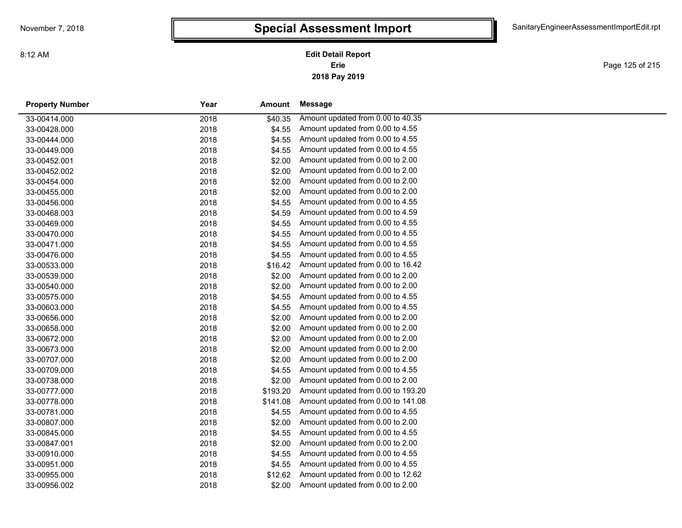Page 125 of 215

| <b>Property Number</b> | Year | Amount   | Message                            |  |
|------------------------|------|----------|------------------------------------|--|
| 33-00414.000           | 2018 | \$40.35  | Amount updated from 0.00 to 40.35  |  |
| 33-00428.000           | 2018 | \$4.55   | Amount updated from 0.00 to 4.55   |  |
| 33-00444.000           | 2018 | \$4.55   | Amount updated from 0.00 to 4.55   |  |
| 33-00449.000           | 2018 | \$4.55   | Amount updated from 0.00 to 4.55   |  |
| 33-00452.001           | 2018 | \$2.00   | Amount updated from 0.00 to 2.00   |  |
| 33-00452.002           | 2018 | \$2.00   | Amount updated from 0.00 to 2.00   |  |
| 33-00454.000           | 2018 | \$2.00   | Amount updated from 0.00 to 2.00   |  |
| 33-00455.000           | 2018 | \$2.00   | Amount updated from 0.00 to 2.00   |  |
| 33-00456.000           | 2018 | \$4.55   | Amount updated from 0.00 to 4.55   |  |
| 33-00468.003           | 2018 | \$4.59   | Amount updated from 0.00 to 4.59   |  |
| 33-00469.000           | 2018 | \$4.55   | Amount updated from 0.00 to 4.55   |  |
| 33-00470.000           | 2018 | \$4.55   | Amount updated from 0.00 to 4.55   |  |
| 33-00471.000           | 2018 | \$4.55   | Amount updated from 0.00 to 4.55   |  |
| 33-00476.000           | 2018 | \$4.55   | Amount updated from 0.00 to 4.55   |  |
| 33-00533.000           | 2018 | \$16.42  | Amount updated from 0.00 to 16.42  |  |
| 33-00539.000           | 2018 | \$2.00   | Amount updated from 0.00 to 2.00   |  |
| 33-00540.000           | 2018 | \$2.00   | Amount updated from 0.00 to 2.00   |  |
| 33-00575.000           | 2018 | \$4.55   | Amount updated from 0.00 to 4.55   |  |
| 33-00603.000           | 2018 | \$4.55   | Amount updated from 0.00 to 4.55   |  |
| 33-00656.000           | 2018 | \$2.00   | Amount updated from 0.00 to 2.00   |  |
| 33-00658.000           | 2018 | \$2.00   | Amount updated from 0.00 to 2.00   |  |
| 33-00672.000           | 2018 | \$2.00   | Amount updated from 0.00 to 2.00   |  |
| 33-00673.000           | 2018 | \$2.00   | Amount updated from 0.00 to 2.00   |  |
| 33-00707.000           | 2018 | \$2.00   | Amount updated from 0.00 to 2.00   |  |
| 33-00709.000           | 2018 | \$4.55   | Amount updated from 0.00 to 4.55   |  |
| 33-00738.000           | 2018 | \$2.00   | Amount updated from 0.00 to 2.00   |  |
| 33-00777.000           | 2018 | \$193.20 | Amount updated from 0.00 to 193.20 |  |
| 33-00778.000           | 2018 | \$141.08 | Amount updated from 0.00 to 141.08 |  |
| 33-00781.000           | 2018 | \$4.55   | Amount updated from 0.00 to 4.55   |  |
| 33-00807.000           | 2018 | \$2.00   | Amount updated from 0.00 to 2.00   |  |
| 33-00845.000           | 2018 | \$4.55   | Amount updated from 0.00 to 4.55   |  |
| 33-00847.001           | 2018 | \$2.00   | Amount updated from 0.00 to 2.00   |  |
| 33-00910.000           | 2018 | \$4.55   | Amount updated from 0.00 to 4.55   |  |
| 33-00951.000           | 2018 | \$4.55   | Amount updated from 0.00 to 4.55   |  |
| 33-00955.000           | 2018 | \$12.62  | Amount updated from 0.00 to 12.62  |  |
| 33-00956.002           | 2018 | \$2.00   | Amount updated from 0.00 to 2.00   |  |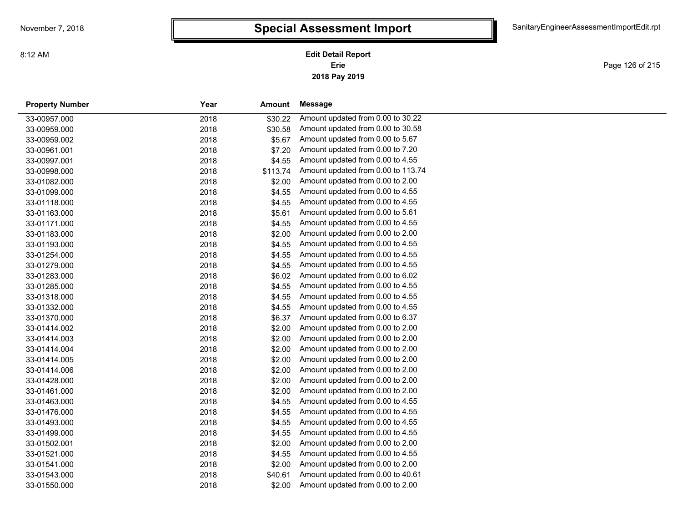# **Special Assessment Import**

**2018 Pay 2019 Erie Edit Detail Report**

Page 126 of 215

| <b>Property Number</b> | Year | Amount   | Message                            |
|------------------------|------|----------|------------------------------------|
| 33-00957.000           | 2018 | \$30.22  | Amount updated from 0.00 to 30.22  |
| 33-00959.000           | 2018 | \$30.58  | Amount updated from 0.00 to 30.58  |
| 33-00959.002           | 2018 | \$5.67   | Amount updated from 0.00 to 5.67   |
| 33-00961.001           | 2018 | \$7.20   | Amount updated from 0.00 to 7.20   |
| 33-00997.001           | 2018 | \$4.55   | Amount updated from 0.00 to 4.55   |
| 33-00998.000           | 2018 | \$113.74 | Amount updated from 0.00 to 113.74 |
| 33-01082.000           | 2018 | \$2.00   | Amount updated from 0.00 to 2.00   |
| 33-01099.000           | 2018 | \$4.55   | Amount updated from 0.00 to 4.55   |
| 33-01118.000           | 2018 | \$4.55   | Amount updated from 0.00 to 4.55   |
| 33-01163.000           | 2018 | \$5.61   | Amount updated from 0.00 to 5.61   |
| 33-01171.000           | 2018 | \$4.55   | Amount updated from 0.00 to 4.55   |
| 33-01183.000           | 2018 | \$2.00   | Amount updated from 0.00 to 2.00   |
| 33-01193.000           | 2018 | \$4.55   | Amount updated from 0.00 to 4.55   |
| 33-01254.000           | 2018 | \$4.55   | Amount updated from 0.00 to 4.55   |
| 33-01279.000           | 2018 | \$4.55   | Amount updated from 0.00 to 4.55   |
| 33-01283.000           | 2018 | \$6.02   | Amount updated from 0.00 to 6.02   |
| 33-01285.000           | 2018 | \$4.55   | Amount updated from 0.00 to 4.55   |
| 33-01318.000           | 2018 | \$4.55   | Amount updated from 0.00 to 4.55   |
| 33-01332.000           | 2018 | \$4.55   | Amount updated from 0.00 to 4.55   |
| 33-01370.000           | 2018 | \$6.37   | Amount updated from 0.00 to 6.37   |
| 33-01414.002           | 2018 | \$2.00   | Amount updated from 0.00 to 2.00   |
| 33-01414.003           | 2018 | \$2.00   | Amount updated from 0.00 to 2.00   |
| 33-01414.004           | 2018 | \$2.00   | Amount updated from 0.00 to 2.00   |
| 33-01414.005           | 2018 | \$2.00   | Amount updated from 0.00 to 2.00   |
| 33-01414.006           | 2018 | \$2.00   | Amount updated from 0.00 to 2.00   |
| 33-01428.000           | 2018 | \$2.00   | Amount updated from 0.00 to 2.00   |
| 33-01461.000           | 2018 | \$2.00   | Amount updated from 0.00 to 2.00   |
| 33-01463.000           | 2018 | \$4.55   | Amount updated from 0.00 to 4.55   |
| 33-01476.000           | 2018 | \$4.55   | Amount updated from 0.00 to 4.55   |
| 33-01493.000           | 2018 | \$4.55   | Amount updated from 0.00 to 4.55   |
| 33-01499.000           | 2018 | \$4.55   | Amount updated from 0.00 to 4.55   |
| 33-01502.001           | 2018 | \$2.00   | Amount updated from 0.00 to 2.00   |
| 33-01521.000           | 2018 | \$4.55   | Amount updated from 0.00 to 4.55   |
| 33-01541.000           | 2018 | \$2.00   | Amount updated from 0.00 to 2.00   |
| 33-01543.000           | 2018 | \$40.61  | Amount updated from 0.00 to 40.61  |
| 33-01550.000           | 2018 | \$2.00   | Amount updated from 0.00 to 2.00   |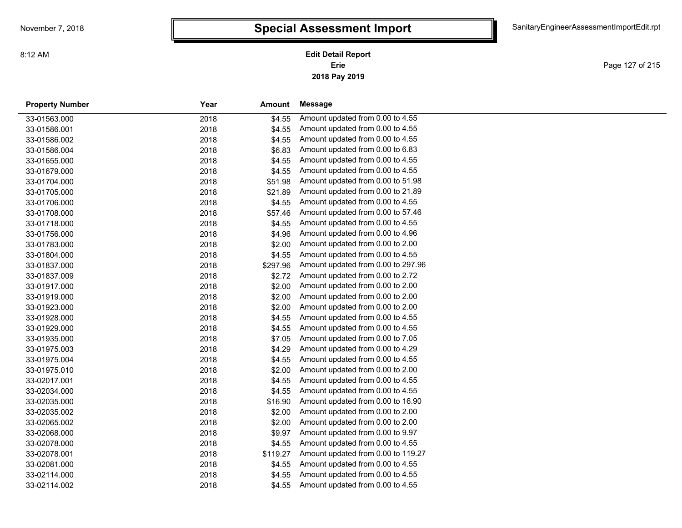Page 127 of 215

| <b>Property Number</b> | Year | Amount   | Message                            |
|------------------------|------|----------|------------------------------------|
| 33-01563.000           | 2018 | \$4.55   | Amount updated from 0.00 to 4.55   |
| 33-01586.001           | 2018 | \$4.55   | Amount updated from 0.00 to 4.55   |
| 33-01586.002           | 2018 | \$4.55   | Amount updated from 0.00 to 4.55   |
| 33-01586.004           | 2018 | \$6.83   | Amount updated from 0.00 to 6.83   |
| 33-01655.000           | 2018 | \$4.55   | Amount updated from 0.00 to 4.55   |
| 33-01679.000           | 2018 | \$4.55   | Amount updated from 0.00 to 4.55   |
| 33-01704.000           | 2018 | \$51.98  | Amount updated from 0.00 to 51.98  |
| 33-01705.000           | 2018 | \$21.89  | Amount updated from 0.00 to 21.89  |
| 33-01706.000           | 2018 | \$4.55   | Amount updated from 0.00 to 4.55   |
| 33-01708.000           | 2018 | \$57.46  | Amount updated from 0.00 to 57.46  |
| 33-01718.000           | 2018 | \$4.55   | Amount updated from 0.00 to 4.55   |
| 33-01756.000           | 2018 | \$4.96   | Amount updated from 0.00 to 4.96   |
| 33-01783.000           | 2018 | \$2.00   | Amount updated from 0.00 to 2.00   |
| 33-01804.000           | 2018 | \$4.55   | Amount updated from 0.00 to 4.55   |
| 33-01837.000           | 2018 | \$297.96 | Amount updated from 0.00 to 297.96 |
| 33-01837.009           | 2018 | \$2.72   | Amount updated from 0.00 to 2.72   |
| 33-01917.000           | 2018 | \$2.00   | Amount updated from 0.00 to 2.00   |
| 33-01919.000           | 2018 | \$2.00   | Amount updated from 0.00 to 2.00   |
| 33-01923.000           | 2018 | \$2.00   | Amount updated from 0.00 to 2.00   |
| 33-01928.000           | 2018 | \$4.55   | Amount updated from 0.00 to 4.55   |
| 33-01929.000           | 2018 | \$4.55   | Amount updated from 0.00 to 4.55   |
| 33-01935.000           | 2018 | \$7.05   | Amount updated from 0.00 to 7.05   |
| 33-01975.003           | 2018 | \$4.29   | Amount updated from 0.00 to 4.29   |
| 33-01975.004           | 2018 | \$4.55   | Amount updated from 0.00 to 4.55   |
| 33-01975.010           | 2018 | \$2.00   | Amount updated from 0.00 to 2.00   |
| 33-02017.001           | 2018 | \$4.55   | Amount updated from 0.00 to 4.55   |
| 33-02034.000           | 2018 | \$4.55   | Amount updated from 0.00 to 4.55   |
| 33-02035.000           | 2018 | \$16.90  | Amount updated from 0.00 to 16.90  |
| 33-02035.002           | 2018 | \$2.00   | Amount updated from 0.00 to 2.00   |
| 33-02065.002           | 2018 | \$2.00   | Amount updated from 0.00 to 2.00   |
| 33-02068.000           | 2018 | \$9.97   | Amount updated from 0.00 to 9.97   |
| 33-02078.000           | 2018 | \$4.55   | Amount updated from 0.00 to 4.55   |
| 33-02078.001           | 2018 | \$119.27 | Amount updated from 0.00 to 119.27 |
| 33-02081.000           | 2018 | \$4.55   | Amount updated from 0.00 to 4.55   |
| 33-02114.000           | 2018 | \$4.55   | Amount updated from 0.00 to 4.55   |
| 33-02114.002           | 2018 | \$4.55   | Amount updated from 0.00 to 4.55   |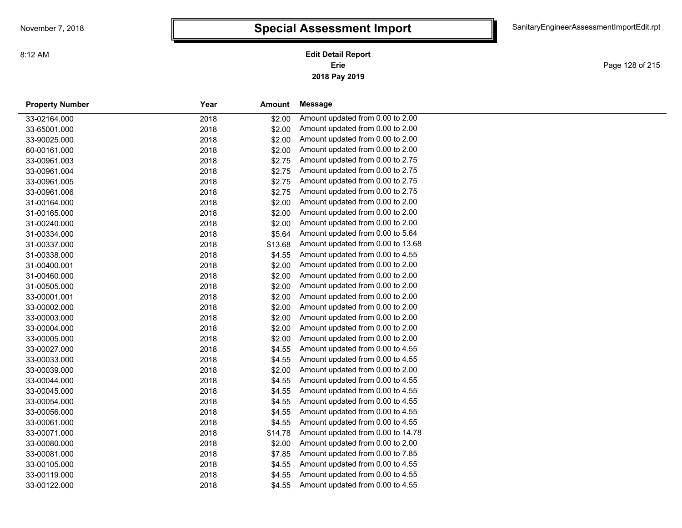# **Special Assessment Import**

**2018 Pay 2019 Erie Edit Detail Report**

Page 128 of 215

| <b>Property Number</b> | Year | Amount  | <b>Message</b>                    |
|------------------------|------|---------|-----------------------------------|
| 33-02164.000           | 2018 | \$2.00  | Amount updated from 0.00 to 2.00  |
| 33-65001.000           | 2018 | \$2.00  | Amount updated from 0.00 to 2.00  |
| 33-90025.000           | 2018 | \$2.00  | Amount updated from 0.00 to 2.00  |
| 60-00161.000           | 2018 | \$2.00  | Amount updated from 0.00 to 2.00  |
| 33-00961.003           | 2018 | \$2.75  | Amount updated from 0.00 to 2.75  |
| 33-00961.004           | 2018 | \$2.75  | Amount updated from 0.00 to 2.75  |
| 33-00961.005           | 2018 | \$2.75  | Amount updated from 0.00 to 2.75  |
| 33-00961.006           | 2018 | \$2.75  | Amount updated from 0.00 to 2.75  |
| 31-00164.000           | 2018 | \$2.00  | Amount updated from 0.00 to 2.00  |
| 31-00165.000           | 2018 | \$2.00  | Amount updated from 0.00 to 2.00  |
| 31-00240.000           | 2018 | \$2.00  | Amount updated from 0.00 to 2.00  |
| 31-00334.000           | 2018 | \$5.64  | Amount updated from 0.00 to 5.64  |
| 31-00337.000           | 2018 | \$13.68 | Amount updated from 0.00 to 13.68 |
| 31-00338.000           | 2018 | \$4.55  | Amount updated from 0.00 to 4.55  |
| 31-00400.001           | 2018 | \$2.00  | Amount updated from 0.00 to 2.00  |
| 31-00460.000           | 2018 | \$2.00  | Amount updated from 0.00 to 2.00  |
| 31-00505.000           | 2018 | \$2.00  | Amount updated from 0.00 to 2.00  |
| 33-00001.001           | 2018 | \$2.00  | Amount updated from 0.00 to 2.00  |
| 33-00002.000           | 2018 | \$2.00  | Amount updated from 0.00 to 2.00  |
| 33-00003.000           | 2018 | \$2.00  | Amount updated from 0.00 to 2.00  |
| 33-00004.000           | 2018 | \$2.00  | Amount updated from 0.00 to 2.00  |
| 33-00005.000           | 2018 | \$2.00  | Amount updated from 0.00 to 2.00  |
| 33-00027.000           | 2018 | \$4.55  | Amount updated from 0.00 to 4.55  |
| 33-00033.000           | 2018 | \$4.55  | Amount updated from 0.00 to 4.55  |
| 33-00039.000           | 2018 | \$2.00  | Amount updated from 0.00 to 2.00  |
| 33-00044.000           | 2018 | \$4.55  | Amount updated from 0.00 to 4.55  |
| 33-00045.000           | 2018 | \$4.55  | Amount updated from 0.00 to 4.55  |
| 33-00054.000           | 2018 | \$4.55  | Amount updated from 0.00 to 4.55  |
| 33-00056.000           | 2018 | \$4.55  | Amount updated from 0.00 to 4.55  |
| 33-00061.000           | 2018 | \$4.55  | Amount updated from 0.00 to 4.55  |
| 33-00071.000           | 2018 | \$14.78 | Amount updated from 0.00 to 14.78 |
| 33-00080.000           | 2018 | \$2.00  | Amount updated from 0.00 to 2.00  |
| 33-00081.000           | 2018 | \$7.85  | Amount updated from 0.00 to 7.85  |
| 33-00105.000           | 2018 | \$4.55  | Amount updated from 0.00 to 4.55  |
| 33-00119.000           | 2018 | \$4.55  | Amount updated from 0.00 to 4.55  |
| 33-00122.000           | 2018 | \$4.55  | Amount updated from 0.00 to 4.55  |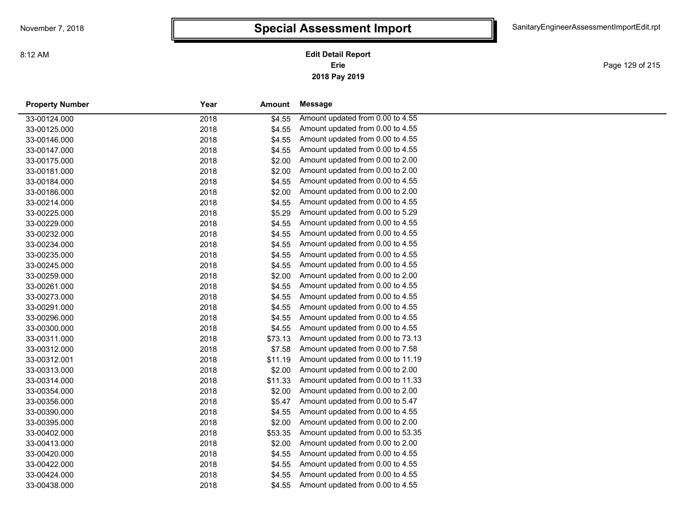# **Special Assessment Import**

**2018 Pay 2019 Erie Edit Detail Report**

Page 129 of 215

| <b>Property Number</b> | Year | Amount  | Message                           |  |
|------------------------|------|---------|-----------------------------------|--|
| 33-00124.000           | 2018 | \$4.55  | Amount updated from 0.00 to 4.55  |  |
| 33-00125.000           | 2018 | \$4.55  | Amount updated from 0.00 to 4.55  |  |
| 33-00146.000           | 2018 | \$4.55  | Amount updated from 0.00 to 4.55  |  |
| 33-00147.000           | 2018 | \$4.55  | Amount updated from 0.00 to 4.55  |  |
| 33-00175.000           | 2018 | \$2.00  | Amount updated from 0.00 to 2.00  |  |
| 33-00181.000           | 2018 | \$2.00  | Amount updated from 0.00 to 2.00  |  |
| 33-00184.000           | 2018 | \$4.55  | Amount updated from 0.00 to 4.55  |  |
| 33-00186.000           | 2018 | \$2.00  | Amount updated from 0.00 to 2.00  |  |
| 33-00214.000           | 2018 | \$4.55  | Amount updated from 0.00 to 4.55  |  |
| 33-00225.000           | 2018 | \$5.29  | Amount updated from 0.00 to 5.29  |  |
| 33-00229.000           | 2018 | \$4.55  | Amount updated from 0.00 to 4.55  |  |
| 33-00232.000           | 2018 | \$4.55  | Amount updated from 0.00 to 4.55  |  |
| 33-00234.000           | 2018 | \$4.55  | Amount updated from 0.00 to 4.55  |  |
| 33-00235.000           | 2018 | \$4.55  | Amount updated from 0.00 to 4.55  |  |
| 33-00245.000           | 2018 | \$4.55  | Amount updated from 0.00 to 4.55  |  |
| 33-00259.000           | 2018 | \$2.00  | Amount updated from 0.00 to 2.00  |  |
| 33-00261.000           | 2018 | \$4.55  | Amount updated from 0.00 to 4.55  |  |
| 33-00273.000           | 2018 | \$4.55  | Amount updated from 0.00 to 4.55  |  |
| 33-00291.000           | 2018 | \$4.55  | Amount updated from 0.00 to 4.55  |  |
| 33-00296.000           | 2018 | \$4.55  | Amount updated from 0.00 to 4.55  |  |
| 33-00300.000           | 2018 | \$4.55  | Amount updated from 0.00 to 4.55  |  |
| 33-00311.000           | 2018 | \$73.13 | Amount updated from 0.00 to 73.13 |  |
| 33-00312.000           | 2018 | \$7.58  | Amount updated from 0.00 to 7.58  |  |
| 33-00312.001           | 2018 | \$11.19 | Amount updated from 0.00 to 11.19 |  |
| 33-00313.000           | 2018 | \$2.00  | Amount updated from 0.00 to 2.00  |  |
| 33-00314.000           | 2018 | \$11.33 | Amount updated from 0.00 to 11.33 |  |
| 33-00354.000           | 2018 | \$2.00  | Amount updated from 0.00 to 2.00  |  |
| 33-00356.000           | 2018 | \$5.47  | Amount updated from 0.00 to 5.47  |  |
| 33-00390.000           | 2018 | \$4.55  | Amount updated from 0.00 to 4.55  |  |
| 33-00395.000           | 2018 | \$2.00  | Amount updated from 0.00 to 2.00  |  |
| 33-00402.000           | 2018 | \$53.35 | Amount updated from 0.00 to 53.35 |  |
| 33-00413.000           | 2018 | \$2.00  | Amount updated from 0.00 to 2.00  |  |
| 33-00420.000           | 2018 | \$4.55  | Amount updated from 0.00 to 4.55  |  |
| 33-00422.000           | 2018 | \$4.55  | Amount updated from 0.00 to 4.55  |  |
| 33-00424.000           | 2018 | \$4.55  | Amount updated from 0.00 to 4.55  |  |
| 33-00438.000           | 2018 | \$4.55  | Amount updated from 0.00 to 4.55  |  |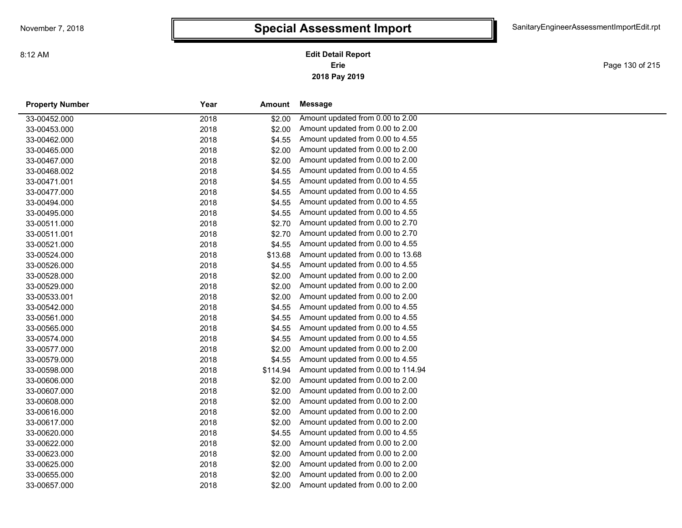Page 130 of 215

| <b>Property Number</b> | Year | Amount   | Message                            |
|------------------------|------|----------|------------------------------------|
| 33-00452.000           | 2018 | \$2.00   | Amount updated from 0.00 to 2.00   |
| 33-00453.000           | 2018 | \$2.00   | Amount updated from 0.00 to 2.00   |
| 33-00462.000           | 2018 | \$4.55   | Amount updated from 0.00 to 4.55   |
| 33-00465.000           | 2018 | \$2.00   | Amount updated from 0.00 to 2.00   |
| 33-00467.000           | 2018 | \$2.00   | Amount updated from 0.00 to 2.00   |
| 33-00468.002           | 2018 | \$4.55   | Amount updated from 0.00 to 4.55   |
| 33-00471.001           | 2018 | \$4.55   | Amount updated from 0.00 to 4.55   |
| 33-00477.000           | 2018 | \$4.55   | Amount updated from 0.00 to 4.55   |
| 33-00494.000           | 2018 | \$4.55   | Amount updated from 0.00 to 4.55   |
| 33-00495.000           | 2018 | \$4.55   | Amount updated from 0.00 to 4.55   |
| 33-00511.000           | 2018 | \$2.70   | Amount updated from 0.00 to 2.70   |
| 33-00511.001           | 2018 | \$2.70   | Amount updated from 0.00 to 2.70   |
| 33-00521.000           | 2018 | \$4.55   | Amount updated from 0.00 to 4.55   |
| 33-00524.000           | 2018 | \$13.68  | Amount updated from 0.00 to 13.68  |
| 33-00526.000           | 2018 | \$4.55   | Amount updated from 0.00 to 4.55   |
| 33-00528.000           | 2018 | \$2.00   | Amount updated from 0.00 to 2.00   |
| 33-00529.000           | 2018 | \$2.00   | Amount updated from 0.00 to 2.00   |
| 33-00533.001           | 2018 | \$2.00   | Amount updated from 0.00 to 2.00   |
| 33-00542.000           | 2018 | \$4.55   | Amount updated from 0.00 to 4.55   |
| 33-00561.000           | 2018 | \$4.55   | Amount updated from 0.00 to 4.55   |
| 33-00565.000           | 2018 | \$4.55   | Amount updated from 0.00 to 4.55   |
| 33-00574.000           | 2018 | \$4.55   | Amount updated from 0.00 to 4.55   |
| 33-00577.000           | 2018 | \$2.00   | Amount updated from 0.00 to 2.00   |
| 33-00579.000           | 2018 | \$4.55   | Amount updated from 0.00 to 4.55   |
| 33-00598.000           | 2018 | \$114.94 | Amount updated from 0.00 to 114.94 |
| 33-00606.000           | 2018 | \$2.00   | Amount updated from 0.00 to 2.00   |
| 33-00607.000           | 2018 | \$2.00   | Amount updated from 0.00 to 2.00   |
| 33-00608.000           | 2018 | \$2.00   | Amount updated from 0.00 to 2.00   |
| 33-00616.000           | 2018 | \$2.00   | Amount updated from 0.00 to 2.00   |
| 33-00617.000           | 2018 | \$2.00   | Amount updated from 0.00 to 2.00   |
| 33-00620.000           | 2018 | \$4.55   | Amount updated from 0.00 to 4.55   |
| 33-00622.000           | 2018 | \$2.00   | Amount updated from 0.00 to 2.00   |
| 33-00623.000           | 2018 | \$2.00   | Amount updated from 0.00 to 2.00   |
| 33-00625.000           | 2018 | \$2.00   | Amount updated from 0.00 to 2.00   |
| 33-00655.000           | 2018 | \$2.00   | Amount updated from 0.00 to 2.00   |
| 33-00657.000           | 2018 | \$2.00   | Amount updated from 0.00 to 2.00   |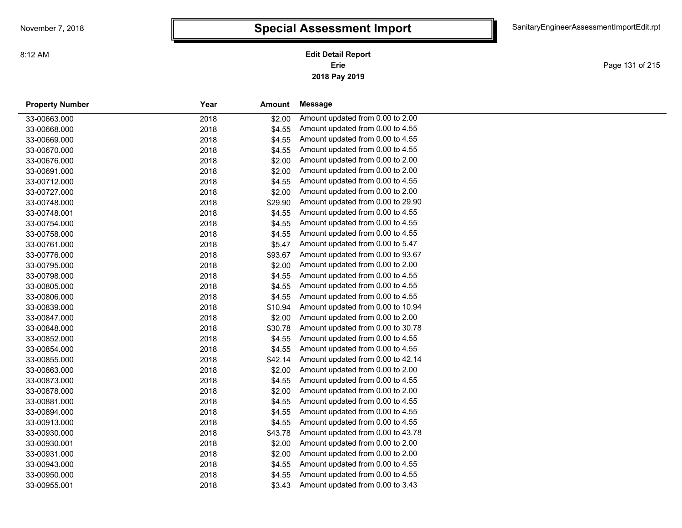Page 131 of 215

| <b>Property Number</b> | Year | Amount  | Message                           |
|------------------------|------|---------|-----------------------------------|
| 33-00663.000           | 2018 | \$2.00  | Amount updated from 0.00 to 2.00  |
| 33-00668.000           | 2018 | \$4.55  | Amount updated from 0.00 to 4.55  |
| 33-00669.000           | 2018 | \$4.55  | Amount updated from 0.00 to 4.55  |
| 33-00670.000           | 2018 | \$4.55  | Amount updated from 0.00 to 4.55  |
| 33-00676.000           | 2018 | \$2.00  | Amount updated from 0.00 to 2.00  |
| 33-00691.000           | 2018 | \$2.00  | Amount updated from 0.00 to 2.00  |
| 33-00712.000           | 2018 | \$4.55  | Amount updated from 0.00 to 4.55  |
| 33-00727.000           | 2018 | \$2.00  | Amount updated from 0.00 to 2.00  |
| 33-00748.000           | 2018 | \$29.90 | Amount updated from 0.00 to 29.90 |
| 33-00748.001           | 2018 | \$4.55  | Amount updated from 0.00 to 4.55  |
| 33-00754.000           | 2018 | \$4.55  | Amount updated from 0.00 to 4.55  |
| 33-00758.000           | 2018 | \$4.55  | Amount updated from 0.00 to 4.55  |
| 33-00761.000           | 2018 | \$5.47  | Amount updated from 0.00 to 5.47  |
| 33-00776.000           | 2018 | \$93.67 | Amount updated from 0.00 to 93.67 |
| 33-00795.000           | 2018 | \$2.00  | Amount updated from 0.00 to 2.00  |
| 33-00798.000           | 2018 | \$4.55  | Amount updated from 0.00 to 4.55  |
| 33-00805.000           | 2018 | \$4.55  | Amount updated from 0.00 to 4.55  |
| 33-00806.000           | 2018 | \$4.55  | Amount updated from 0.00 to 4.55  |
| 33-00839.000           | 2018 | \$10.94 | Amount updated from 0.00 to 10.94 |
| 33-00847.000           | 2018 | \$2.00  | Amount updated from 0.00 to 2.00  |
| 33-00848.000           | 2018 | \$30.78 | Amount updated from 0.00 to 30.78 |
| 33-00852.000           | 2018 | \$4.55  | Amount updated from 0.00 to 4.55  |
| 33-00854.000           | 2018 | \$4.55  | Amount updated from 0.00 to 4.55  |
| 33-00855.000           | 2018 | \$42.14 | Amount updated from 0.00 to 42.14 |
| 33-00863.000           | 2018 | \$2.00  | Amount updated from 0.00 to 2.00  |
| 33-00873.000           | 2018 | \$4.55  | Amount updated from 0.00 to 4.55  |
| 33-00878.000           | 2018 | \$2.00  | Amount updated from 0.00 to 2.00  |
| 33-00881.000           | 2018 | \$4.55  | Amount updated from 0.00 to 4.55  |
| 33-00894.000           | 2018 | \$4.55  | Amount updated from 0.00 to 4.55  |
| 33-00913.000           | 2018 | \$4.55  | Amount updated from 0.00 to 4.55  |
| 33-00930.000           | 2018 | \$43.78 | Amount updated from 0.00 to 43.78 |
| 33-00930.001           | 2018 | \$2.00  | Amount updated from 0.00 to 2.00  |
| 33-00931.000           | 2018 | \$2.00  | Amount updated from 0.00 to 2.00  |
| 33-00943.000           | 2018 | \$4.55  | Amount updated from 0.00 to 4.55  |
| 33-00950.000           | 2018 | \$4.55  | Amount updated from 0.00 to 4.55  |
| 33-00955.001           | 2018 | \$3.43  | Amount updated from 0.00 to 3.43  |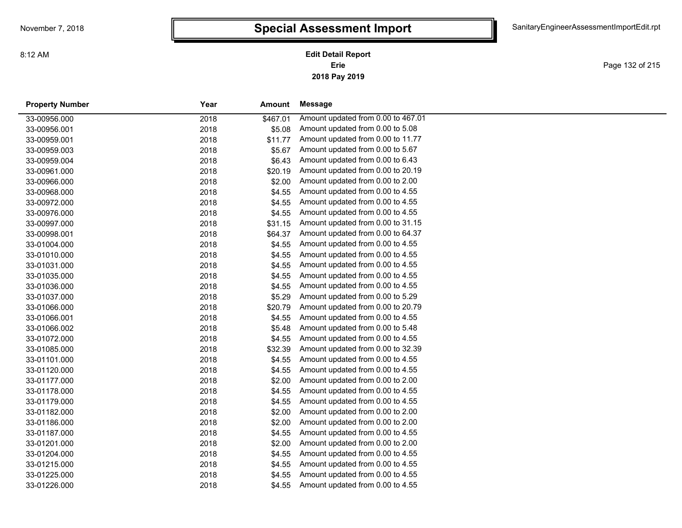Page 132 of 215

| <b>Property Number</b> | Year | Amount   | Message                            |
|------------------------|------|----------|------------------------------------|
| 33-00956.000           | 2018 | \$467.01 | Amount updated from 0.00 to 467.01 |
| 33-00956.001           | 2018 | \$5.08   | Amount updated from 0.00 to 5.08   |
| 33-00959.001           | 2018 | \$11.77  | Amount updated from 0.00 to 11.77  |
| 33-00959.003           | 2018 | \$5.67   | Amount updated from 0.00 to 5.67   |
| 33-00959.004           | 2018 | \$6.43   | Amount updated from 0.00 to 6.43   |
| 33-00961.000           | 2018 | \$20.19  | Amount updated from 0.00 to 20.19  |
| 33-00966.000           | 2018 | \$2.00   | Amount updated from 0.00 to 2.00   |
| 33-00968.000           | 2018 | \$4.55   | Amount updated from 0.00 to 4.55   |
| 33-00972.000           | 2018 | \$4.55   | Amount updated from 0.00 to 4.55   |
| 33-00976.000           | 2018 | \$4.55   | Amount updated from 0.00 to 4.55   |
| 33-00997.000           | 2018 | \$31.15  | Amount updated from 0.00 to 31.15  |
| 33-00998.001           | 2018 | \$64.37  | Amount updated from 0.00 to 64.37  |
| 33-01004.000           | 2018 | \$4.55   | Amount updated from 0.00 to 4.55   |
| 33-01010.000           | 2018 | \$4.55   | Amount updated from 0.00 to 4.55   |
| 33-01031.000           | 2018 | \$4.55   | Amount updated from 0.00 to 4.55   |
| 33-01035.000           | 2018 | \$4.55   | Amount updated from 0.00 to 4.55   |
| 33-01036.000           | 2018 | \$4.55   | Amount updated from 0.00 to 4.55   |
| 33-01037.000           | 2018 | \$5.29   | Amount updated from 0.00 to 5.29   |
| 33-01066.000           | 2018 | \$20.79  | Amount updated from 0.00 to 20.79  |
| 33-01066.001           | 2018 | \$4.55   | Amount updated from 0.00 to 4.55   |
| 33-01066.002           | 2018 | \$5.48   | Amount updated from 0.00 to 5.48   |
| 33-01072.000           | 2018 | \$4.55   | Amount updated from 0.00 to 4.55   |
| 33-01085.000           | 2018 | \$32.39  | Amount updated from 0.00 to 32.39  |
| 33-01101.000           | 2018 | \$4.55   | Amount updated from 0.00 to 4.55   |
| 33-01120.000           | 2018 | \$4.55   | Amount updated from 0.00 to 4.55   |
| 33-01177.000           | 2018 | \$2.00   | Amount updated from 0.00 to 2.00   |
| 33-01178.000           | 2018 | \$4.55   | Amount updated from 0.00 to 4.55   |
| 33-01179.000           | 2018 | \$4.55   | Amount updated from 0.00 to 4.55   |
| 33-01182.000           | 2018 | \$2.00   | Amount updated from 0.00 to 2.00   |
| 33-01186.000           | 2018 | \$2.00   | Amount updated from 0.00 to 2.00   |
| 33-01187.000           | 2018 | \$4.55   | Amount updated from 0.00 to 4.55   |
| 33-01201.000           | 2018 | \$2.00   | Amount updated from 0.00 to 2.00   |
| 33-01204.000           | 2018 | \$4.55   | Amount updated from 0.00 to 4.55   |
| 33-01215.000           | 2018 | \$4.55   | Amount updated from 0.00 to 4.55   |
| 33-01225.000           | 2018 | \$4.55   | Amount updated from 0.00 to 4.55   |
| 33-01226.000           | 2018 | \$4.55   | Amount updated from 0.00 to 4.55   |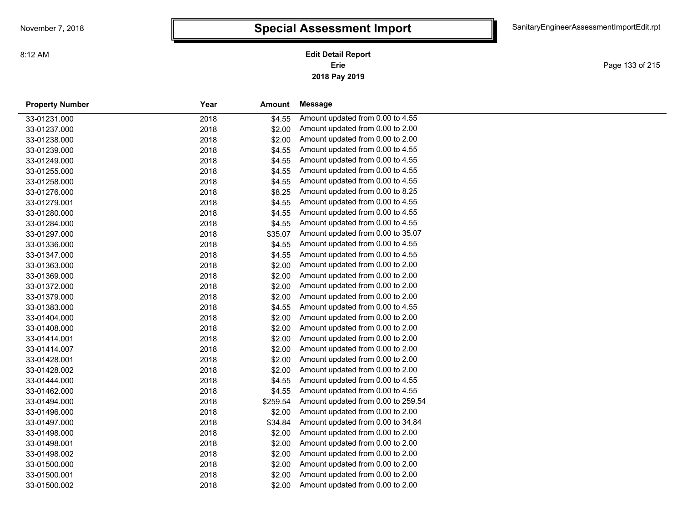Page 133 of 215

| <b>Property Number</b> | Year | Amount   | Message                            |
|------------------------|------|----------|------------------------------------|
| 33-01231.000           | 2018 | \$4.55   | Amount updated from 0.00 to 4.55   |
| 33-01237.000           | 2018 | \$2.00   | Amount updated from 0.00 to 2.00   |
| 33-01238.000           | 2018 | \$2.00   | Amount updated from 0.00 to 2.00   |
| 33-01239.000           | 2018 | \$4.55   | Amount updated from 0.00 to 4.55   |
| 33-01249.000           | 2018 | \$4.55   | Amount updated from 0.00 to 4.55   |
| 33-01255.000           | 2018 | \$4.55   | Amount updated from 0.00 to 4.55   |
| 33-01258.000           | 2018 | \$4.55   | Amount updated from 0.00 to 4.55   |
| 33-01276.000           | 2018 | \$8.25   | Amount updated from 0.00 to 8.25   |
| 33-01279.001           | 2018 | \$4.55   | Amount updated from 0.00 to 4.55   |
| 33-01280.000           | 2018 | \$4.55   | Amount updated from 0.00 to 4.55   |
| 33-01284.000           | 2018 | \$4.55   | Amount updated from 0.00 to 4.55   |
| 33-01297.000           | 2018 | \$35.07  | Amount updated from 0.00 to 35.07  |
| 33-01336.000           | 2018 | \$4.55   | Amount updated from 0.00 to 4.55   |
| 33-01347.000           | 2018 | \$4.55   | Amount updated from 0.00 to 4.55   |
| 33-01363.000           | 2018 | \$2.00   | Amount updated from 0.00 to 2.00   |
| 33-01369.000           | 2018 | \$2.00   | Amount updated from 0.00 to 2.00   |
| 33-01372.000           | 2018 | \$2.00   | Amount updated from 0.00 to 2.00   |
| 33-01379.000           | 2018 | \$2.00   | Amount updated from 0.00 to 2.00   |
| 33-01383.000           | 2018 | \$4.55   | Amount updated from 0.00 to 4.55   |
| 33-01404.000           | 2018 | \$2.00   | Amount updated from 0.00 to 2.00   |
| 33-01408.000           | 2018 | \$2.00   | Amount updated from 0.00 to 2.00   |
| 33-01414.001           | 2018 | \$2.00   | Amount updated from 0.00 to 2.00   |
| 33-01414.007           | 2018 | \$2.00   | Amount updated from 0.00 to 2.00   |
| 33-01428.001           | 2018 | \$2.00   | Amount updated from 0.00 to 2.00   |
| 33-01428.002           | 2018 | \$2.00   | Amount updated from 0.00 to 2.00   |
| 33-01444.000           | 2018 | \$4.55   | Amount updated from 0.00 to 4.55   |
| 33-01462.000           | 2018 | \$4.55   | Amount updated from 0.00 to 4.55   |
| 33-01494.000           | 2018 | \$259.54 | Amount updated from 0.00 to 259.54 |
| 33-01496.000           | 2018 | \$2.00   | Amount updated from 0.00 to 2.00   |
| 33-01497.000           | 2018 | \$34.84  | Amount updated from 0.00 to 34.84  |
| 33-01498.000           | 2018 | \$2.00   | Amount updated from 0.00 to 2.00   |
| 33-01498.001           | 2018 | \$2.00   | Amount updated from 0.00 to 2.00   |
| 33-01498.002           | 2018 | \$2.00   | Amount updated from 0.00 to 2.00   |
| 33-01500.000           | 2018 | \$2.00   | Amount updated from 0.00 to 2.00   |
| 33-01500.001           | 2018 | \$2.00   | Amount updated from 0.00 to 2.00   |
| 33-01500.002           | 2018 | \$2.00   | Amount updated from 0.00 to 2.00   |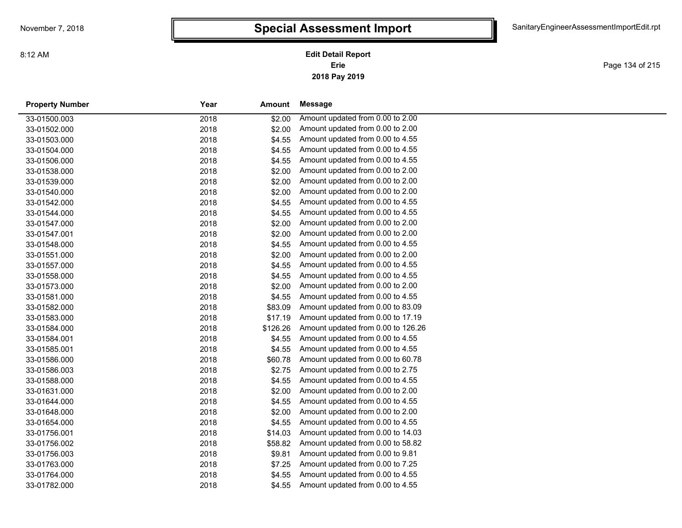Page 134 of 215

| <b>Property Number</b> | Year | Amount   | Message                            |
|------------------------|------|----------|------------------------------------|
| 33-01500.003           | 2018 | \$2.00   | Amount updated from 0.00 to 2.00   |
| 33-01502.000           | 2018 | \$2.00   | Amount updated from 0.00 to 2.00   |
| 33-01503.000           | 2018 | \$4.55   | Amount updated from 0.00 to 4.55   |
| 33-01504.000           | 2018 | \$4.55   | Amount updated from 0.00 to 4.55   |
| 33-01506.000           | 2018 | \$4.55   | Amount updated from 0.00 to 4.55   |
| 33-01538.000           | 2018 | \$2.00   | Amount updated from 0.00 to 2.00   |
| 33-01539.000           | 2018 | \$2.00   | Amount updated from 0.00 to 2.00   |
| 33-01540.000           | 2018 | \$2.00   | Amount updated from 0.00 to 2.00   |
| 33-01542.000           | 2018 | \$4.55   | Amount updated from 0.00 to 4.55   |
| 33-01544.000           | 2018 | \$4.55   | Amount updated from 0.00 to 4.55   |
| 33-01547.000           | 2018 | \$2.00   | Amount updated from 0.00 to 2.00   |
| 33-01547.001           | 2018 | \$2.00   | Amount updated from 0.00 to 2.00   |
| 33-01548.000           | 2018 | \$4.55   | Amount updated from 0.00 to 4.55   |
| 33-01551.000           | 2018 | \$2.00   | Amount updated from 0.00 to 2.00   |
| 33-01557.000           | 2018 | \$4.55   | Amount updated from 0.00 to 4.55   |
| 33-01558.000           | 2018 | \$4.55   | Amount updated from 0.00 to 4.55   |
| 33-01573.000           | 2018 | \$2.00   | Amount updated from 0.00 to 2.00   |
| 33-01581.000           | 2018 | \$4.55   | Amount updated from 0.00 to 4.55   |
| 33-01582.000           | 2018 | \$83.09  | Amount updated from 0.00 to 83.09  |
| 33-01583.000           | 2018 | \$17.19  | Amount updated from 0.00 to 17.19  |
| 33-01584.000           | 2018 | \$126.26 | Amount updated from 0.00 to 126.26 |
| 33-01584.001           | 2018 | \$4.55   | Amount updated from 0.00 to 4.55   |
| 33-01585.001           | 2018 | \$4.55   | Amount updated from 0.00 to 4.55   |
| 33-01586.000           | 2018 | \$60.78  | Amount updated from 0.00 to 60.78  |
| 33-01586.003           | 2018 | \$2.75   | Amount updated from 0.00 to 2.75   |
| 33-01588.000           | 2018 | \$4.55   | Amount updated from 0.00 to 4.55   |
| 33-01631.000           | 2018 | \$2.00   | Amount updated from 0.00 to 2.00   |
| 33-01644.000           | 2018 | \$4.55   | Amount updated from 0.00 to 4.55   |
| 33-01648.000           | 2018 | \$2.00   | Amount updated from 0.00 to 2.00   |
| 33-01654.000           | 2018 | \$4.55   | Amount updated from 0.00 to 4.55   |
| 33-01756.001           | 2018 | \$14.03  | Amount updated from 0.00 to 14.03  |
| 33-01756.002           | 2018 | \$58.82  | Amount updated from 0.00 to 58.82  |
| 33-01756.003           | 2018 | \$9.81   | Amount updated from 0.00 to 9.81   |
| 33-01763.000           | 2018 | \$7.25   | Amount updated from 0.00 to 7.25   |
| 33-01764.000           | 2018 | \$4.55   | Amount updated from 0.00 to 4.55   |
| 33-01782.000           | 2018 | \$4.55   | Amount updated from 0.00 to 4.55   |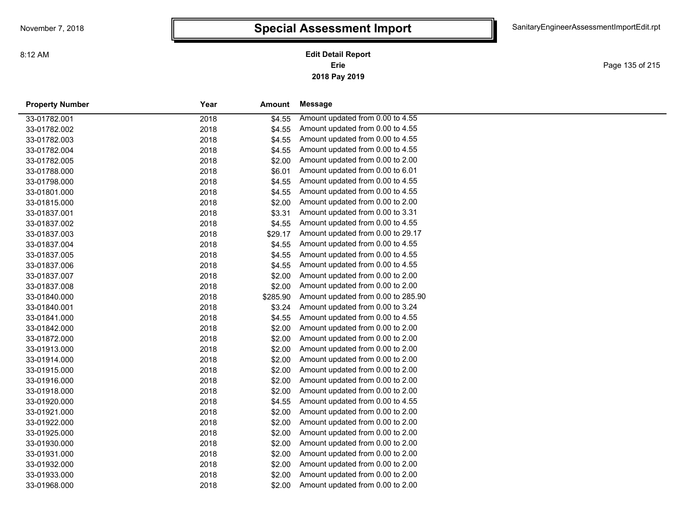Page 135 of 215

| <b>Property Number</b> | Year | Amount   | Message                            |
|------------------------|------|----------|------------------------------------|
| 33-01782.001           | 2018 | \$4.55   | Amount updated from 0.00 to 4.55   |
| 33-01782.002           | 2018 | \$4.55   | Amount updated from 0.00 to 4.55   |
| 33-01782.003           | 2018 | \$4.55   | Amount updated from 0.00 to 4.55   |
| 33-01782.004           | 2018 | \$4.55   | Amount updated from 0.00 to 4.55   |
| 33-01782.005           | 2018 | \$2.00   | Amount updated from 0.00 to 2.00   |
| 33-01788.000           | 2018 | \$6.01   | Amount updated from 0.00 to 6.01   |
| 33-01798.000           | 2018 | \$4.55   | Amount updated from 0.00 to 4.55   |
| 33-01801.000           | 2018 | \$4.55   | Amount updated from 0.00 to 4.55   |
| 33-01815.000           | 2018 | \$2.00   | Amount updated from 0.00 to 2.00   |
| 33-01837.001           | 2018 | \$3.31   | Amount updated from 0.00 to 3.31   |
| 33-01837.002           | 2018 | \$4.55   | Amount updated from 0.00 to 4.55   |
| 33-01837.003           | 2018 | \$29.17  | Amount updated from 0.00 to 29.17  |
| 33-01837.004           | 2018 | \$4.55   | Amount updated from 0.00 to 4.55   |
| 33-01837.005           | 2018 | \$4.55   | Amount updated from 0.00 to 4.55   |
| 33-01837.006           | 2018 | \$4.55   | Amount updated from 0.00 to 4.55   |
| 33-01837.007           | 2018 | \$2.00   | Amount updated from 0.00 to 2.00   |
| 33-01837.008           | 2018 | \$2.00   | Amount updated from 0.00 to 2.00   |
| 33-01840.000           | 2018 | \$285.90 | Amount updated from 0.00 to 285.90 |
| 33-01840.001           | 2018 | \$3.24   | Amount updated from 0.00 to 3.24   |
| 33-01841.000           | 2018 | \$4.55   | Amount updated from 0.00 to 4.55   |
| 33-01842.000           | 2018 | \$2.00   | Amount updated from 0.00 to 2.00   |
| 33-01872.000           | 2018 | \$2.00   | Amount updated from 0.00 to 2.00   |
| 33-01913.000           | 2018 | \$2.00   | Amount updated from 0.00 to 2.00   |
| 33-01914.000           | 2018 | \$2.00   | Amount updated from 0.00 to 2.00   |
| 33-01915.000           | 2018 | \$2.00   | Amount updated from 0.00 to 2.00   |
| 33-01916.000           | 2018 | \$2.00   | Amount updated from 0.00 to 2.00   |
| 33-01918.000           | 2018 | \$2.00   | Amount updated from 0.00 to 2.00   |
| 33-01920.000           | 2018 | \$4.55   | Amount updated from 0.00 to 4.55   |
| 33-01921.000           | 2018 | \$2.00   | Amount updated from 0.00 to 2.00   |
| 33-01922.000           | 2018 | \$2.00   | Amount updated from 0.00 to 2.00   |
| 33-01925.000           | 2018 | \$2.00   | Amount updated from 0.00 to 2.00   |
| 33-01930.000           | 2018 | \$2.00   | Amount updated from 0.00 to 2.00   |
| 33-01931.000           | 2018 | \$2.00   | Amount updated from 0.00 to 2.00   |
| 33-01932.000           | 2018 | \$2.00   | Amount updated from 0.00 to 2.00   |
| 33-01933.000           | 2018 | \$2.00   | Amount updated from 0.00 to 2.00   |
| 33-01968.000           | 2018 | \$2.00   | Amount updated from 0.00 to 2.00   |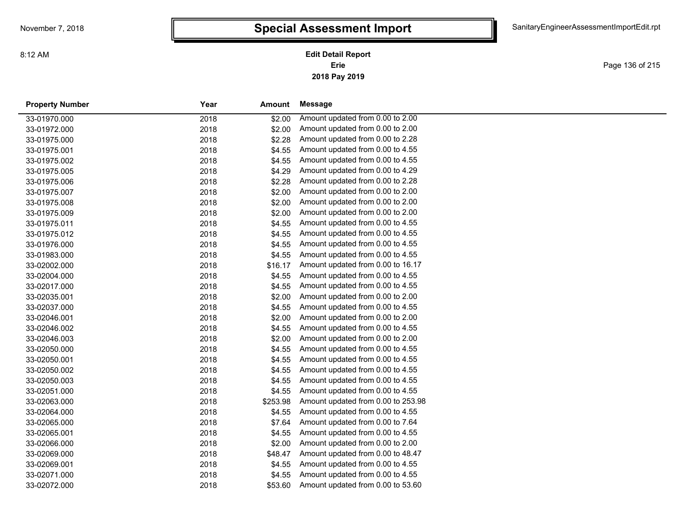Page 136 of 215

| <b>Property Number</b> | Year | Amount   | Message                            |
|------------------------|------|----------|------------------------------------|
| 33-01970.000           | 2018 | \$2.00   | Amount updated from 0.00 to 2.00   |
| 33-01972.000           | 2018 | \$2.00   | Amount updated from 0.00 to 2.00   |
| 33-01975.000           | 2018 | \$2.28   | Amount updated from 0.00 to 2.28   |
| 33-01975.001           | 2018 | \$4.55   | Amount updated from 0.00 to 4.55   |
| 33-01975.002           | 2018 | \$4.55   | Amount updated from 0.00 to 4.55   |
| 33-01975.005           | 2018 | \$4.29   | Amount updated from 0.00 to 4.29   |
| 33-01975.006           | 2018 | \$2.28   | Amount updated from 0.00 to 2.28   |
| 33-01975.007           | 2018 | \$2.00   | Amount updated from 0.00 to 2.00   |
| 33-01975.008           | 2018 | \$2.00   | Amount updated from 0.00 to 2.00   |
| 33-01975.009           | 2018 | \$2.00   | Amount updated from 0.00 to 2.00   |
| 33-01975.011           | 2018 | \$4.55   | Amount updated from 0.00 to 4.55   |
| 33-01975.012           | 2018 | \$4.55   | Amount updated from 0.00 to 4.55   |
| 33-01976.000           | 2018 | \$4.55   | Amount updated from 0.00 to 4.55   |
| 33-01983.000           | 2018 | \$4.55   | Amount updated from 0.00 to 4.55   |
| 33-02002.000           | 2018 | \$16.17  | Amount updated from 0.00 to 16.17  |
| 33-02004.000           | 2018 | \$4.55   | Amount updated from 0.00 to 4.55   |
| 33-02017.000           | 2018 | \$4.55   | Amount updated from 0.00 to 4.55   |
| 33-02035.001           | 2018 | \$2.00   | Amount updated from 0.00 to 2.00   |
| 33-02037.000           | 2018 | \$4.55   | Amount updated from 0.00 to 4.55   |
| 33-02046.001           | 2018 | \$2.00   | Amount updated from 0.00 to 2.00   |
| 33-02046.002           | 2018 | \$4.55   | Amount updated from 0.00 to 4.55   |
| 33-02046.003           | 2018 | \$2.00   | Amount updated from 0.00 to 2.00   |
| 33-02050.000           | 2018 | \$4.55   | Amount updated from 0.00 to 4.55   |
| 33-02050.001           | 2018 | \$4.55   | Amount updated from 0.00 to 4.55   |
| 33-02050.002           | 2018 | \$4.55   | Amount updated from 0.00 to 4.55   |
| 33-02050.003           | 2018 | \$4.55   | Amount updated from 0.00 to 4.55   |
| 33-02051.000           | 2018 | \$4.55   | Amount updated from 0.00 to 4.55   |
| 33-02063.000           | 2018 | \$253.98 | Amount updated from 0.00 to 253.98 |
| 33-02064.000           | 2018 | \$4.55   | Amount updated from 0.00 to 4.55   |
| 33-02065.000           | 2018 | \$7.64   | Amount updated from 0.00 to 7.64   |
| 33-02065.001           | 2018 | \$4.55   | Amount updated from 0.00 to 4.55   |
| 33-02066.000           | 2018 | \$2.00   | Amount updated from 0.00 to 2.00   |
| 33-02069.000           | 2018 | \$48.47  | Amount updated from 0.00 to 48.47  |
| 33-02069.001           | 2018 | \$4.55   | Amount updated from 0.00 to 4.55   |
| 33-02071.000           | 2018 | \$4.55   | Amount updated from 0.00 to 4.55   |
| 33-02072.000           | 2018 | \$53.60  | Amount updated from 0.00 to 53.60  |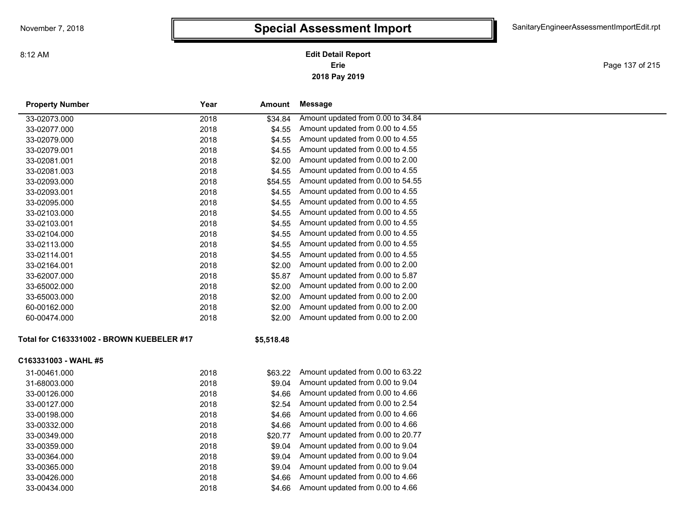**2018 Pay 2019 Erie Edit Detail Report**

Page 137 of 215

| <b>Property Number</b>                    | Year | Amount     | <b>Message</b>                    |
|-------------------------------------------|------|------------|-----------------------------------|
| 33-02073.000                              | 2018 | \$34.84    | Amount updated from 0.00 to 34.84 |
| 33-02077.000                              | 2018 | \$4.55     | Amount updated from 0.00 to 4.55  |
| 33-02079.000                              | 2018 | \$4.55     | Amount updated from 0.00 to 4.55  |
| 33-02079.001                              | 2018 | \$4.55     | Amount updated from 0.00 to 4.55  |
| 33-02081.001                              | 2018 | \$2.00     | Amount updated from 0.00 to 2.00  |
| 33-02081.003                              | 2018 | \$4.55     | Amount updated from 0.00 to 4.55  |
| 33-02093.000                              | 2018 | \$54.55    | Amount updated from 0.00 to 54.55 |
| 33-02093.001                              | 2018 | \$4.55     | Amount updated from 0.00 to 4.55  |
| 33-02095.000                              | 2018 | \$4.55     | Amount updated from 0.00 to 4.55  |
| 33-02103.000                              | 2018 | \$4.55     | Amount updated from 0.00 to 4.55  |
| 33-02103.001                              | 2018 | \$4.55     | Amount updated from 0.00 to 4.55  |
| 33-02104.000                              | 2018 | \$4.55     | Amount updated from 0.00 to 4.55  |
| 33-02113.000                              | 2018 | \$4.55     | Amount updated from 0.00 to 4.55  |
| 33-02114.001                              | 2018 | \$4.55     | Amount updated from 0.00 to 4.55  |
| 33-02164.001                              | 2018 | \$2.00     | Amount updated from 0.00 to 2.00  |
| 33-62007.000                              | 2018 | \$5.87     | Amount updated from 0.00 to 5.87  |
| 33-65002.000                              | 2018 | \$2.00     | Amount updated from 0.00 to 2.00  |
| 33-65003.000                              | 2018 | \$2.00     | Amount updated from 0.00 to 2.00  |
| 60-00162.000                              | 2018 | \$2.00     | Amount updated from 0.00 to 2.00  |
| 60-00474.000                              | 2018 | \$2.00     | Amount updated from 0.00 to 2.00  |
| Total for C163331002 - BROWN KUEBELER #17 |      | \$5,518.48 |                                   |
| C163331003 - WAHL #5                      |      |            |                                   |
| 31-00461.000                              | 2018 | \$63.22    | Amount updated from 0.00 to 63.22 |
| 31-68003.000                              | 2018 | \$9.04     | Amount updated from 0.00 to 9.04  |
| 33-00126.000                              | 2018 | \$4.66     | Amount updated from 0.00 to 4.66  |
| 33-00127.000                              | 2018 | \$2.54     | Amount updated from 0.00 to 2.54  |
| 33-00198.000                              | 2018 | \$4.66     | Amount updated from 0.00 to 4.66  |
| 33-00332.000                              | 2018 | \$4.66     | Amount updated from 0.00 to 4.66  |
| 33-00349.000                              | 2018 | \$20.77    | Amount updated from 0.00 to 20.77 |
| 33-00359.000                              | 2018 | \$9.04     | Amount updated from 0.00 to 9.04  |
| 33-00364.000                              | 2018 | \$9.04     | Amount updated from 0.00 to 9.04  |
| 33-00365.000                              | 2018 | \$9.04     | Amount updated from 0.00 to 9.04  |
| 33-00426.000                              | 2018 | \$4.66     | Amount updated from 0.00 to 4.66  |
| 33-00434.000                              | 2018 | \$4.66     | Amount updated from 0.00 to 4.66  |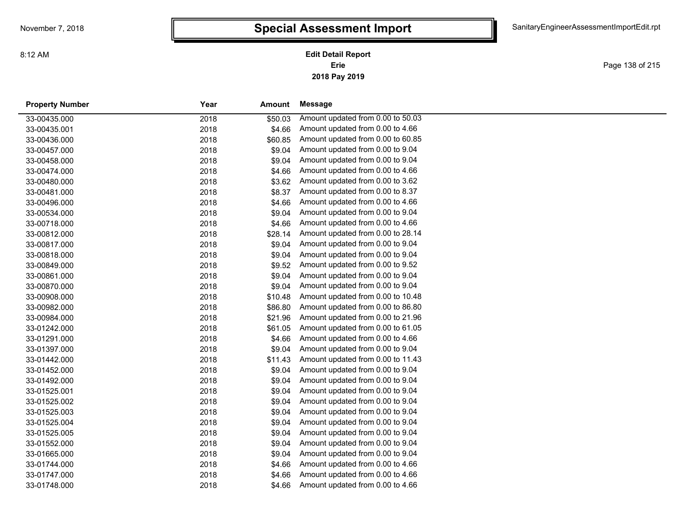Page 138 of 215

| <b>Property Number</b> | Year | Amount  | Message                           |
|------------------------|------|---------|-----------------------------------|
| 33-00435.000           | 2018 | \$50.03 | Amount updated from 0.00 to 50.03 |
| 33-00435.001           | 2018 | \$4.66  | Amount updated from 0.00 to 4.66  |
| 33-00436.000           | 2018 | \$60.85 | Amount updated from 0.00 to 60.85 |
| 33-00457.000           | 2018 | \$9.04  | Amount updated from 0.00 to 9.04  |
| 33-00458.000           | 2018 | \$9.04  | Amount updated from 0.00 to 9.04  |
| 33-00474.000           | 2018 | \$4.66  | Amount updated from 0.00 to 4.66  |
| 33-00480.000           | 2018 | \$3.62  | Amount updated from 0.00 to 3.62  |
| 33-00481.000           | 2018 | \$8.37  | Amount updated from 0.00 to 8.37  |
| 33-00496.000           | 2018 | \$4.66  | Amount updated from 0.00 to 4.66  |
| 33-00534.000           | 2018 | \$9.04  | Amount updated from 0.00 to 9.04  |
| 33-00718.000           | 2018 | \$4.66  | Amount updated from 0.00 to 4.66  |
| 33-00812.000           | 2018 | \$28.14 | Amount updated from 0.00 to 28.14 |
| 33-00817.000           | 2018 | \$9.04  | Amount updated from 0.00 to 9.04  |
| 33-00818.000           | 2018 | \$9.04  | Amount updated from 0.00 to 9.04  |
| 33-00849.000           | 2018 | \$9.52  | Amount updated from 0.00 to 9.52  |
| 33-00861.000           | 2018 | \$9.04  | Amount updated from 0.00 to 9.04  |
| 33-00870.000           | 2018 | \$9.04  | Amount updated from 0.00 to 9.04  |
| 33-00908.000           | 2018 | \$10.48 | Amount updated from 0.00 to 10.48 |
| 33-00982.000           | 2018 | \$86.80 | Amount updated from 0.00 to 86.80 |
| 33-00984.000           | 2018 | \$21.96 | Amount updated from 0.00 to 21.96 |
| 33-01242.000           | 2018 | \$61.05 | Amount updated from 0.00 to 61.05 |
| 33-01291.000           | 2018 | \$4.66  | Amount updated from 0.00 to 4.66  |
| 33-01397.000           | 2018 | \$9.04  | Amount updated from 0.00 to 9.04  |
| 33-01442.000           | 2018 | \$11.43 | Amount updated from 0.00 to 11.43 |
| 33-01452.000           | 2018 | \$9.04  | Amount updated from 0.00 to 9.04  |
| 33-01492.000           | 2018 | \$9.04  | Amount updated from 0.00 to 9.04  |
| 33-01525.001           | 2018 | \$9.04  | Amount updated from 0.00 to 9.04  |
| 33-01525.002           | 2018 | \$9.04  | Amount updated from 0.00 to 9.04  |
| 33-01525.003           | 2018 | \$9.04  | Amount updated from 0.00 to 9.04  |
| 33-01525.004           | 2018 | \$9.04  | Amount updated from 0.00 to 9.04  |
| 33-01525.005           | 2018 | \$9.04  | Amount updated from 0.00 to 9.04  |
| 33-01552.000           | 2018 | \$9.04  | Amount updated from 0.00 to 9.04  |
| 33-01665.000           | 2018 | \$9.04  | Amount updated from 0.00 to 9.04  |
| 33-01744.000           | 2018 | \$4.66  | Amount updated from 0.00 to 4.66  |
| 33-01747.000           | 2018 | \$4.66  | Amount updated from 0.00 to 4.66  |
| 33-01748.000           | 2018 | \$4.66  | Amount updated from 0.00 to 4.66  |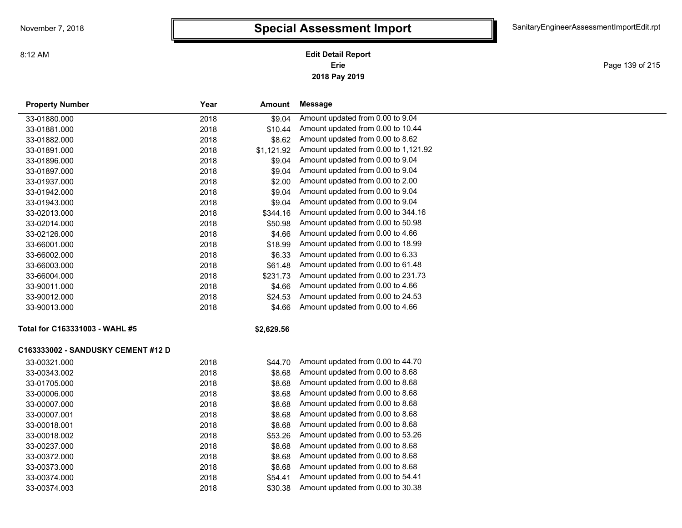### **2018 Pay 2019 Erie Edit Detail Report**

Page 139 of 215

| <b>Property Number</b>             | Year | Amount     | <b>Message</b>                       |
|------------------------------------|------|------------|--------------------------------------|
| 33-01880.000                       | 2018 | \$9.04     | Amount updated from 0.00 to 9.04     |
| 33-01881.000                       | 2018 | \$10.44    | Amount updated from 0.00 to 10.44    |
| 33-01882.000                       | 2018 | \$8.62     | Amount updated from 0.00 to 8.62     |
| 33-01891.000                       | 2018 | \$1,121.92 | Amount updated from 0.00 to 1,121.92 |
| 33-01896.000                       | 2018 | \$9.04     | Amount updated from 0.00 to 9.04     |
| 33-01897.000                       | 2018 | \$9.04     | Amount updated from 0.00 to 9.04     |
| 33-01937.000                       | 2018 | \$2.00     | Amount updated from 0.00 to 2.00     |
| 33-01942.000                       | 2018 | \$9.04     | Amount updated from 0.00 to 9.04     |
| 33-01943.000                       | 2018 | \$9.04     | Amount updated from 0.00 to 9.04     |
| 33-02013.000                       | 2018 | \$344.16   | Amount updated from 0.00 to 344.16   |
| 33-02014.000                       | 2018 | \$50.98    | Amount updated from 0.00 to 50.98    |
| 33-02126.000                       | 2018 | \$4.66     | Amount updated from 0.00 to 4.66     |
| 33-66001.000                       | 2018 | \$18.99    | Amount updated from 0.00 to 18.99    |
| 33-66002.000                       | 2018 | \$6.33     | Amount updated from 0.00 to 6.33     |
| 33-66003.000                       | 2018 | \$61.48    | Amount updated from 0.00 to 61.48    |
| 33-66004.000                       | 2018 | \$231.73   | Amount updated from 0.00 to 231.73   |
| 33-90011.000                       | 2018 | \$4.66     | Amount updated from 0.00 to 4.66     |
| 33-90012.000                       | 2018 | \$24.53    | Amount updated from 0.00 to 24.53    |
| 33-90013.000                       | 2018 | \$4.66     | Amount updated from 0.00 to 4.66     |
| Total for C163331003 - WAHL #5     |      | \$2,629.56 |                                      |
| C163333002 - SANDUSKY CEMENT #12 D |      |            |                                      |
| 33-00321.000                       | 2018 | \$44.70    | Amount updated from 0.00 to 44.70    |
| 33-00343.002                       | 2018 | \$8.68     | Amount updated from 0.00 to 8.68     |
| 33-01705.000                       | 2018 | \$8.68     | Amount updated from 0.00 to 8.68     |
| 33-00006.000                       | 2018 | \$8.68     | Amount updated from 0.00 to 8.68     |
| 33-00007.000                       | 2018 | \$8.68     | Amount updated from 0.00 to 8.68     |
| 33-00007.001                       | 2018 | \$8.68     | Amount updated from 0.00 to 8.68     |
| 33-00018.001                       | 2018 | \$8.68     | Amount updated from 0.00 to 8.68     |
| 33-00018.002                       | 2018 | \$53.26    | Amount updated from 0.00 to 53.26    |
| 33-00237.000                       | 2018 | \$8.68     | Amount updated from 0.00 to 8.68     |
| 33-00372.000                       | 2018 | \$8.68     | Amount updated from 0.00 to 8.68     |
| 33-00373.000                       | 2018 | \$8.68     | Amount updated from 0.00 to 8.68     |
| 33-00374.000                       | 2018 | \$54.41    | Amount updated from 0.00 to 54.41    |
| 33-00374.003                       | 2018 | \$30.38    | Amount updated from 0.00 to 30.38    |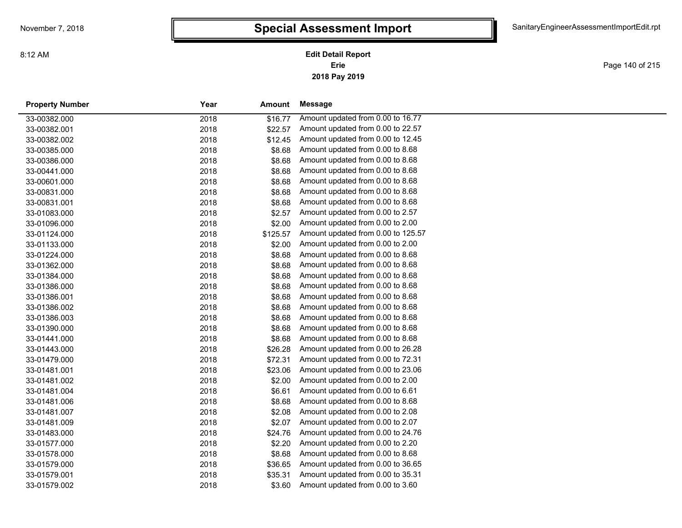# **Special Assessment Import**

**2018 Pay 2019 Erie Edit Detail Report**

Page 140 of 215

| <b>Property Number</b> | Year | Amount   | Message                            |
|------------------------|------|----------|------------------------------------|
| 33-00382.000           | 2018 | \$16.77  | Amount updated from 0.00 to 16.77  |
| 33-00382.001           | 2018 | \$22.57  | Amount updated from 0.00 to 22.57  |
| 33-00382.002           | 2018 | \$12.45  | Amount updated from 0.00 to 12.45  |
| 33-00385.000           | 2018 | \$8.68   | Amount updated from 0.00 to 8.68   |
| 33-00386.000           | 2018 | \$8.68   | Amount updated from 0.00 to 8.68   |
| 33-00441.000           | 2018 | \$8.68   | Amount updated from 0.00 to 8.68   |
| 33-00601.000           | 2018 | \$8.68   | Amount updated from 0.00 to 8.68   |
| 33-00831.000           | 2018 | \$8.68   | Amount updated from 0.00 to 8.68   |
| 33-00831.001           | 2018 | \$8.68   | Amount updated from 0.00 to 8.68   |
| 33-01083.000           | 2018 | \$2.57   | Amount updated from 0.00 to 2.57   |
| 33-01096.000           | 2018 | \$2.00   | Amount updated from 0.00 to 2.00   |
| 33-01124.000           | 2018 | \$125.57 | Amount updated from 0.00 to 125.57 |
| 33-01133.000           | 2018 | \$2.00   | Amount updated from 0.00 to 2.00   |
| 33-01224.000           | 2018 | \$8.68   | Amount updated from 0.00 to 8.68   |
| 33-01362.000           | 2018 | \$8.68   | Amount updated from 0.00 to 8.68   |
| 33-01384.000           | 2018 | \$8.68   | Amount updated from 0.00 to 8.68   |
| 33-01386.000           | 2018 | \$8.68   | Amount updated from 0.00 to 8.68   |
| 33-01386.001           | 2018 | \$8.68   | Amount updated from 0.00 to 8.68   |
| 33-01386.002           | 2018 | \$8.68   | Amount updated from 0.00 to 8.68   |
| 33-01386.003           | 2018 | \$8.68   | Amount updated from 0.00 to 8.68   |
| 33-01390.000           | 2018 | \$8.68   | Amount updated from 0.00 to 8.68   |
| 33-01441.000           | 2018 | \$8.68   | Amount updated from 0.00 to 8.68   |
| 33-01443.000           | 2018 | \$26.28  | Amount updated from 0.00 to 26.28  |
| 33-01479.000           | 2018 | \$72.31  | Amount updated from 0.00 to 72.31  |
| 33-01481.001           | 2018 | \$23.06  | Amount updated from 0.00 to 23.06  |
| 33-01481.002           | 2018 | \$2.00   | Amount updated from 0.00 to 2.00   |
| 33-01481.004           | 2018 | \$6.61   | Amount updated from 0.00 to 6.61   |
| 33-01481.006           | 2018 | \$8.68   | Amount updated from 0.00 to 8.68   |
| 33-01481.007           | 2018 | \$2.08   | Amount updated from 0.00 to 2.08   |
| 33-01481.009           | 2018 | \$2.07   | Amount updated from 0.00 to 2.07   |
| 33-01483.000           | 2018 | \$24.76  | Amount updated from 0.00 to 24.76  |
| 33-01577.000           | 2018 | \$2.20   | Amount updated from 0.00 to 2.20   |
| 33-01578.000           | 2018 | \$8.68   | Amount updated from 0.00 to 8.68   |
| 33-01579.000           | 2018 | \$36.65  | Amount updated from 0.00 to 36.65  |
| 33-01579.001           | 2018 | \$35.31  | Amount updated from 0.00 to 35.31  |
| 33-01579.002           | 2018 | \$3.60   | Amount updated from 0.00 to 3.60   |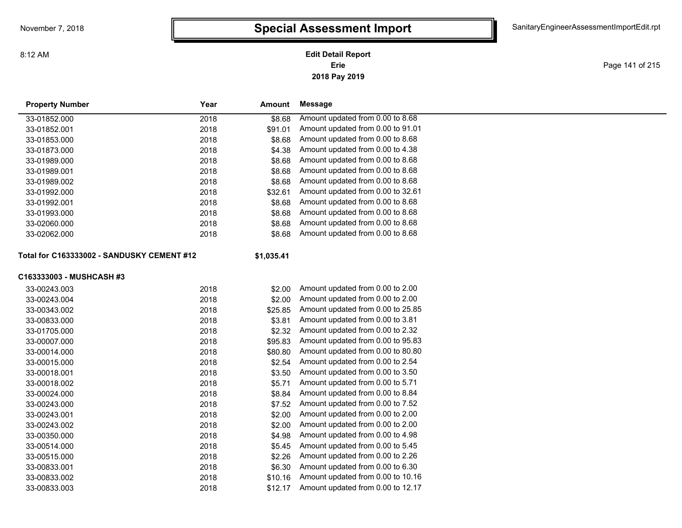### **2018 Pay 2019 Erie Edit Detail Report**

Page 141 of 215

| <b>Property Number</b>                     | Year | <b>Amount</b> | Message                           |  |
|--------------------------------------------|------|---------------|-----------------------------------|--|
| 33-01852.000                               | 2018 | \$8.68        | Amount updated from 0.00 to 8.68  |  |
| 33-01852.001                               | 2018 | \$91.01       | Amount updated from 0.00 to 91.01 |  |
| 33-01853.000                               | 2018 | \$8.68        | Amount updated from 0.00 to 8.68  |  |
| 33-01873.000                               | 2018 | \$4.38        | Amount updated from 0.00 to 4.38  |  |
| 33-01989.000                               | 2018 | \$8.68        | Amount updated from 0.00 to 8.68  |  |
| 33-01989.001                               | 2018 | \$8.68        | Amount updated from 0.00 to 8.68  |  |
| 33-01989.002                               | 2018 | \$8.68        | Amount updated from 0.00 to 8.68  |  |
| 33-01992.000                               | 2018 | \$32.61       | Amount updated from 0.00 to 32.61 |  |
| 33-01992.001                               | 2018 | \$8.68        | Amount updated from 0.00 to 8.68  |  |
| 33-01993.000                               | 2018 | \$8.68        | Amount updated from 0.00 to 8.68  |  |
| 33-02060.000                               | 2018 | \$8.68        | Amount updated from 0.00 to 8.68  |  |
| 33-02062.000                               | 2018 | \$8.68        | Amount updated from 0.00 to 8.68  |  |
| Total for C163333002 - SANDUSKY CEMENT #12 |      | \$1,035.41    |                                   |  |
| C163333003 - MUSHCASH #3                   |      |               |                                   |  |
| 33-00243.003                               | 2018 | \$2.00        | Amount updated from 0.00 to 2.00  |  |
| 33-00243.004                               | 2018 | \$2.00        | Amount updated from 0.00 to 2.00  |  |
| 33-00343.002                               | 2018 | \$25.85       | Amount updated from 0.00 to 25.85 |  |
| 33-00833.000                               | 2018 | \$3.81        | Amount updated from 0.00 to 3.81  |  |
| 33-01705.000                               | 2018 | \$2.32        | Amount updated from 0.00 to 2.32  |  |
| 33-00007.000                               | 2018 | \$95.83       | Amount updated from 0.00 to 95.83 |  |
| 33-00014.000                               | 2018 | \$80.80       | Amount updated from 0.00 to 80.80 |  |
| 33-00015.000                               | 2018 | \$2.54        | Amount updated from 0.00 to 2.54  |  |
| 33-00018.001                               | 2018 | \$3.50        | Amount updated from 0.00 to 3.50  |  |
| 33-00018.002                               | 2018 | \$5.71        | Amount updated from 0.00 to 5.71  |  |
| 33-00024.000                               | 2018 | \$8.84        | Amount updated from 0.00 to 8.84  |  |
| 33-00243.000                               | 2018 | \$7.52        | Amount updated from 0.00 to 7.52  |  |
| 33-00243.001                               | 2018 | \$2.00        | Amount updated from 0.00 to 2.00  |  |
| 33-00243.002                               | 2018 | \$2.00        | Amount updated from 0.00 to 2.00  |  |
| 33-00350.000                               | 2018 | \$4.98        | Amount updated from 0.00 to 4.98  |  |
| 33-00514.000                               | 2018 | \$5.45        | Amount updated from 0.00 to 5.45  |  |
| 33-00515.000                               | 2018 | \$2.26        | Amount updated from 0.00 to 2.26  |  |
| 33-00833.001                               | 2018 | \$6.30        | Amount updated from 0.00 to 6.30  |  |
| 33-00833.002                               | 2018 | \$10.16       | Amount updated from 0.00 to 10.16 |  |
| 33-00833.003                               | 2018 | \$12.17       | Amount updated from 0.00 to 12.17 |  |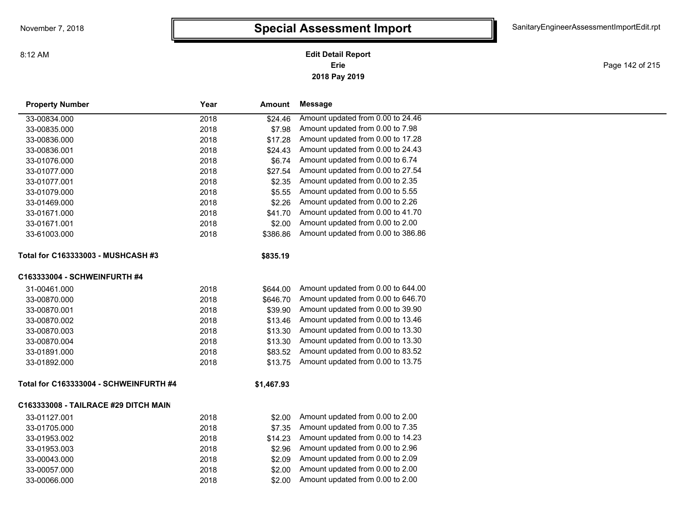### **2018 Pay 2019 Erie Edit Detail Report**

Page 142 of 215

| <b>Property Number</b>                 | Year | Amount     | <b>Message</b>                     |
|----------------------------------------|------|------------|------------------------------------|
| 33-00834.000                           | 2018 | \$24.46    | Amount updated from 0.00 to 24.46  |
| 33-00835.000                           | 2018 | \$7.98     | Amount updated from 0.00 to 7.98   |
| 33-00836.000                           | 2018 | \$17.28    | Amount updated from 0.00 to 17.28  |
| 33-00836.001                           | 2018 | \$24.43    | Amount updated from 0.00 to 24.43  |
| 33-01076.000                           | 2018 | \$6.74     | Amount updated from 0.00 to 6.74   |
| 33-01077.000                           | 2018 | \$27.54    | Amount updated from 0.00 to 27.54  |
| 33-01077.001                           | 2018 | \$2.35     | Amount updated from 0.00 to 2.35   |
| 33-01079.000                           | 2018 | \$5.55     | Amount updated from 0.00 to 5.55   |
| 33-01469.000                           | 2018 | \$2.26     | Amount updated from 0.00 to 2.26   |
| 33-01671.000                           | 2018 | \$41.70    | Amount updated from 0.00 to 41.70  |
| 33-01671.001                           | 2018 | \$2.00     | Amount updated from 0.00 to 2.00   |
| 33-61003.000                           | 2018 | \$386.86   | Amount updated from 0.00 to 386.86 |
| Total for C163333003 - MUSHCASH #3     |      | \$835.19   |                                    |
| C163333004 - SCHWEINFURTH #4           |      |            |                                    |
| 31-00461.000                           | 2018 | \$644.00   | Amount updated from 0.00 to 644.00 |
| 33-00870.000                           | 2018 | \$646.70   | Amount updated from 0.00 to 646.70 |
| 33-00870.001                           | 2018 | \$39.90    | Amount updated from 0.00 to 39.90  |
| 33-00870.002                           | 2018 | \$13.46    | Amount updated from 0.00 to 13.46  |
| 33-00870.003                           | 2018 | \$13.30    | Amount updated from 0.00 to 13.30  |
| 33-00870.004                           | 2018 | \$13.30    | Amount updated from 0.00 to 13.30  |
| 33-01891.000                           | 2018 | \$83.52    | Amount updated from 0.00 to 83.52  |
| 33-01892.000                           | 2018 | \$13.75    | Amount updated from 0.00 to 13.75  |
| Total for C163333004 - SCHWEINFURTH #4 |      | \$1,467.93 |                                    |
| C163333008 - TAILRACE #29 DITCH MAIN   |      |            |                                    |
| 33-01127.001                           | 2018 | \$2.00     | Amount updated from 0.00 to 2.00   |
| 33-01705.000                           | 2018 | \$7.35     | Amount updated from 0.00 to 7.35   |
| 33-01953.002                           | 2018 | \$14.23    | Amount updated from 0.00 to 14.23  |
| 33-01953.003                           | 2018 | \$2.96     | Amount updated from 0.00 to 2.96   |
| 33-00043.000                           | 2018 | \$2.09     | Amount updated from 0.00 to 2.09   |
| 33-00057.000                           | 2018 | \$2.00     | Amount updated from 0.00 to 2.00   |
| 33-00066.000                           | 2018 | \$2.00     | Amount updated from 0.00 to 2.00   |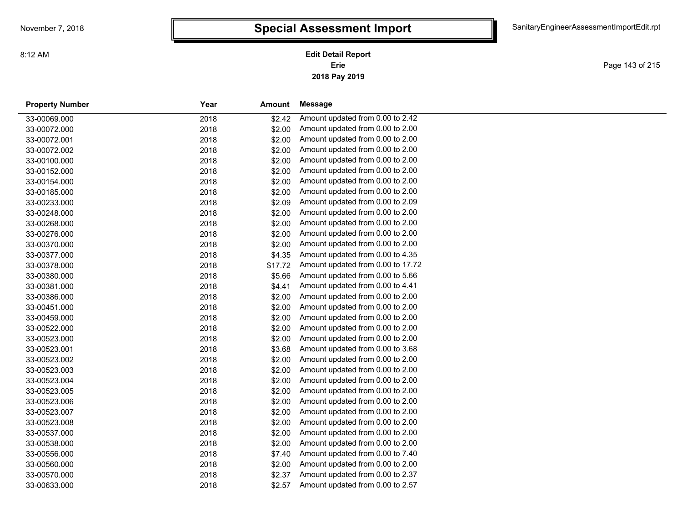# **Special Assessment Import**

**2018 Pay 2019 Erie Edit Detail Report**

Page 143 of 215

| <b>Property Number</b> | Year | Amount  | <b>Message</b>                    |
|------------------------|------|---------|-----------------------------------|
| 33-00069.000           | 2018 | \$2.42  | Amount updated from 0.00 to 2.42  |
| 33-00072.000           | 2018 | \$2.00  | Amount updated from 0.00 to 2.00  |
| 33-00072.001           | 2018 | \$2.00  | Amount updated from 0.00 to 2.00  |
| 33-00072.002           | 2018 | \$2.00  | Amount updated from 0.00 to 2.00  |
| 33-00100.000           | 2018 | \$2.00  | Amount updated from 0.00 to 2.00  |
| 33-00152.000           | 2018 | \$2.00  | Amount updated from 0.00 to 2.00  |
| 33-00154.000           | 2018 | \$2.00  | Amount updated from 0.00 to 2.00  |
| 33-00185.000           | 2018 | \$2.00  | Amount updated from 0.00 to 2.00  |
| 33-00233.000           | 2018 | \$2.09  | Amount updated from 0.00 to 2.09  |
| 33-00248.000           | 2018 | \$2.00  | Amount updated from 0.00 to 2.00  |
| 33-00268.000           | 2018 | \$2.00  | Amount updated from 0.00 to 2.00  |
| 33-00276.000           | 2018 | \$2.00  | Amount updated from 0.00 to 2.00  |
| 33-00370.000           | 2018 | \$2.00  | Amount updated from 0.00 to 2.00  |
| 33-00377.000           | 2018 | \$4.35  | Amount updated from 0.00 to 4.35  |
| 33-00378.000           | 2018 | \$17.72 | Amount updated from 0.00 to 17.72 |
| 33-00380.000           | 2018 | \$5.66  | Amount updated from 0.00 to 5.66  |
| 33-00381.000           | 2018 | \$4.41  | Amount updated from 0.00 to 4.41  |
| 33-00386.000           | 2018 | \$2.00  | Amount updated from 0.00 to 2.00  |
| 33-00451.000           | 2018 | \$2.00  | Amount updated from 0.00 to 2.00  |
| 33-00459.000           | 2018 | \$2.00  | Amount updated from 0.00 to 2.00  |
| 33-00522.000           | 2018 | \$2.00  | Amount updated from 0.00 to 2.00  |
| 33-00523.000           | 2018 | \$2.00  | Amount updated from 0.00 to 2.00  |
| 33-00523.001           | 2018 | \$3.68  | Amount updated from 0.00 to 3.68  |
| 33-00523.002           | 2018 | \$2.00  | Amount updated from 0.00 to 2.00  |
| 33-00523.003           | 2018 | \$2.00  | Amount updated from 0.00 to 2.00  |
| 33-00523.004           | 2018 | \$2.00  | Amount updated from 0.00 to 2.00  |
| 33-00523.005           | 2018 | \$2.00  | Amount updated from 0.00 to 2.00  |
| 33-00523.006           | 2018 | \$2.00  | Amount updated from 0.00 to 2.00  |
| 33-00523.007           | 2018 | \$2.00  | Amount updated from 0.00 to 2.00  |
| 33-00523.008           | 2018 | \$2.00  | Amount updated from 0.00 to 2.00  |
| 33-00537.000           | 2018 | \$2.00  | Amount updated from 0.00 to 2.00  |
| 33-00538.000           | 2018 | \$2.00  | Amount updated from 0.00 to 2.00  |
| 33-00556.000           | 2018 | \$7.40  | Amount updated from 0.00 to 7.40  |
| 33-00560.000           | 2018 | \$2.00  | Amount updated from 0.00 to 2.00  |
| 33-00570.000           | 2018 | \$2.37  | Amount updated from 0.00 to 2.37  |
| 33-00633.000           | 2018 | \$2.57  | Amount updated from 0.00 to 2.57  |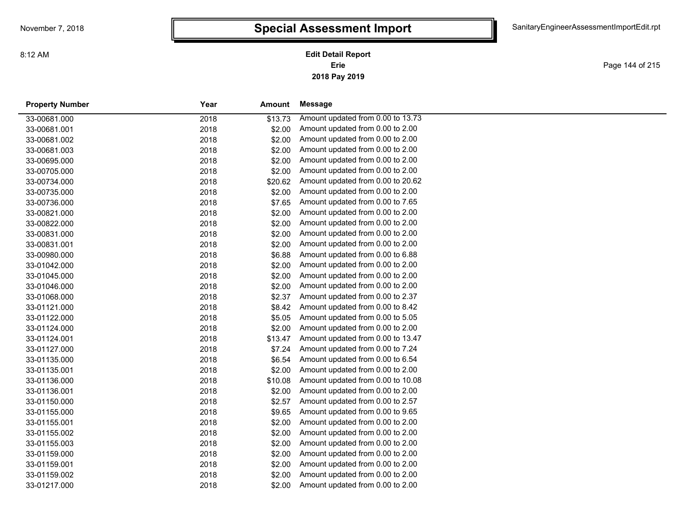# **Special Assessment Import**

**2018 Pay 2019 Erie Edit Detail Report**

Page 144 of 215

and a

| <b>Property Number</b> | Year | Amount  | Message                           |
|------------------------|------|---------|-----------------------------------|
| 33-00681.000           | 2018 | \$13.73 | Amount updated from 0.00 to 13.73 |
| 33-00681.001           | 2018 | \$2.00  | Amount updated from 0.00 to 2.00  |
| 33-00681.002           | 2018 | \$2.00  | Amount updated from 0.00 to 2.00  |
| 33-00681.003           | 2018 | \$2.00  | Amount updated from 0.00 to 2.00  |
| 33-00695.000           | 2018 | \$2.00  | Amount updated from 0.00 to 2.00  |
| 33-00705.000           | 2018 | \$2.00  | Amount updated from 0.00 to 2.00  |
| 33-00734.000           | 2018 | \$20.62 | Amount updated from 0.00 to 20.62 |
| 33-00735.000           | 2018 | \$2.00  | Amount updated from 0.00 to 2.00  |
| 33-00736.000           | 2018 | \$7.65  | Amount updated from 0.00 to 7.65  |
| 33-00821.000           | 2018 | \$2.00  | Amount updated from 0.00 to 2.00  |
| 33-00822.000           | 2018 | \$2.00  | Amount updated from 0.00 to 2.00  |
| 33-00831.000           | 2018 | \$2.00  | Amount updated from 0.00 to 2.00  |
| 33-00831.001           | 2018 | \$2.00  | Amount updated from 0.00 to 2.00  |
| 33-00980.000           | 2018 | \$6.88  | Amount updated from 0.00 to 6.88  |
| 33-01042.000           | 2018 | \$2.00  | Amount updated from 0.00 to 2.00  |
| 33-01045.000           | 2018 | \$2.00  | Amount updated from 0.00 to 2.00  |
| 33-01046.000           | 2018 | \$2.00  | Amount updated from 0.00 to 2.00  |
| 33-01068.000           | 2018 | \$2.37  | Amount updated from 0.00 to 2.37  |
| 33-01121.000           | 2018 | \$8.42  | Amount updated from 0.00 to 8.42  |
| 33-01122.000           | 2018 | \$5.05  | Amount updated from 0.00 to 5.05  |
| 33-01124.000           | 2018 | \$2.00  | Amount updated from 0.00 to 2.00  |
| 33-01124.001           | 2018 | \$13.47 | Amount updated from 0.00 to 13.47 |
| 33-01127.000           | 2018 | \$7.24  | Amount updated from 0.00 to 7.24  |
| 33-01135.000           | 2018 | \$6.54  | Amount updated from 0.00 to 6.54  |
| 33-01135.001           | 2018 | \$2.00  | Amount updated from 0.00 to 2.00  |
| 33-01136.000           | 2018 | \$10.08 | Amount updated from 0.00 to 10.08 |
| 33-01136.001           | 2018 | \$2.00  | Amount updated from 0.00 to 2.00  |
| 33-01150.000           | 2018 | \$2.57  | Amount updated from 0.00 to 2.57  |
| 33-01155.000           | 2018 | \$9.65  | Amount updated from 0.00 to 9.65  |
| 33-01155.001           | 2018 | \$2.00  | Amount updated from 0.00 to 2.00  |
| 33-01155.002           | 2018 | \$2.00  | Amount updated from 0.00 to 2.00  |
| 33-01155.003           | 2018 | \$2.00  | Amount updated from 0.00 to 2.00  |
| 33-01159.000           | 2018 | \$2.00  | Amount updated from 0.00 to 2.00  |
| 33-01159.001           | 2018 | \$2.00  | Amount updated from 0.00 to 2.00  |
| 33-01159.002           | 2018 | \$2.00  | Amount updated from 0.00 to 2.00  |
| 33-01217.000           | 2018 | \$2.00  | Amount updated from 0.00 to 2.00  |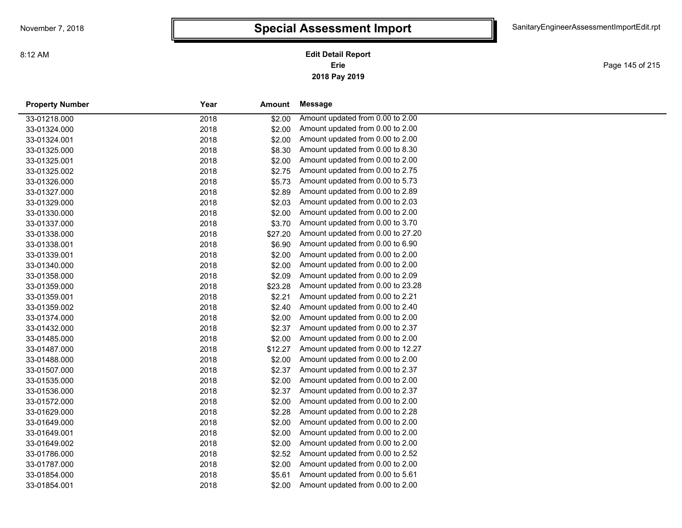Page 145 of 215

| <b>Property Number</b> | Year | Amount  | Message                           |
|------------------------|------|---------|-----------------------------------|
| 33-01218.000           | 2018 | \$2.00  | Amount updated from 0.00 to 2.00  |
| 33-01324.000           | 2018 | \$2.00  | Amount updated from 0.00 to 2.00  |
| 33-01324.001           | 2018 | \$2.00  | Amount updated from 0.00 to 2.00  |
| 33-01325.000           | 2018 | \$8.30  | Amount updated from 0.00 to 8.30  |
| 33-01325.001           | 2018 | \$2.00  | Amount updated from 0.00 to 2.00  |
| 33-01325.002           | 2018 | \$2.75  | Amount updated from 0.00 to 2.75  |
| 33-01326.000           | 2018 | \$5.73  | Amount updated from 0.00 to 5.73  |
| 33-01327.000           | 2018 | \$2.89  | Amount updated from 0.00 to 2.89  |
| 33-01329.000           | 2018 | \$2.03  | Amount updated from 0.00 to 2.03  |
| 33-01330.000           | 2018 | \$2.00  | Amount updated from 0.00 to 2.00  |
| 33-01337.000           | 2018 | \$3.70  | Amount updated from 0.00 to 3.70  |
| 33-01338.000           | 2018 | \$27.20 | Amount updated from 0.00 to 27.20 |
| 33-01338.001           | 2018 | \$6.90  | Amount updated from 0.00 to 6.90  |
| 33-01339.001           | 2018 | \$2.00  | Amount updated from 0.00 to 2.00  |
| 33-01340.000           | 2018 | \$2.00  | Amount updated from 0.00 to 2.00  |
| 33-01358.000           | 2018 | \$2.09  | Amount updated from 0.00 to 2.09  |
| 33-01359.000           | 2018 | \$23.28 | Amount updated from 0.00 to 23.28 |
| 33-01359.001           | 2018 | \$2.21  | Amount updated from 0.00 to 2.21  |
| 33-01359.002           | 2018 | \$2.40  | Amount updated from 0.00 to 2.40  |
| 33-01374.000           | 2018 | \$2.00  | Amount updated from 0.00 to 2.00  |
| 33-01432.000           | 2018 | \$2.37  | Amount updated from 0.00 to 2.37  |
| 33-01485.000           | 2018 | \$2.00  | Amount updated from 0.00 to 2.00  |
| 33-01487.000           | 2018 | \$12.27 | Amount updated from 0.00 to 12.27 |
| 33-01488.000           | 2018 | \$2.00  | Amount updated from 0.00 to 2.00  |
| 33-01507.000           | 2018 | \$2.37  | Amount updated from 0.00 to 2.37  |
| 33-01535.000           | 2018 | \$2.00  | Amount updated from 0.00 to 2.00  |
| 33-01536.000           | 2018 | \$2.37  | Amount updated from 0.00 to 2.37  |
| 33-01572.000           | 2018 | \$2.00  | Amount updated from 0.00 to 2.00  |
| 33-01629.000           | 2018 | \$2.28  | Amount updated from 0.00 to 2.28  |
| 33-01649.000           | 2018 | \$2.00  | Amount updated from 0.00 to 2.00  |
| 33-01649.001           | 2018 | \$2.00  | Amount updated from 0.00 to 2.00  |
| 33-01649.002           | 2018 | \$2.00  | Amount updated from 0.00 to 2.00  |
| 33-01786.000           | 2018 | \$2.52  | Amount updated from 0.00 to 2.52  |
| 33-01787.000           | 2018 | \$2.00  | Amount updated from 0.00 to 2.00  |
| 33-01854.000           | 2018 | \$5.61  | Amount updated from 0.00 to 5.61  |
| 33-01854.001           | 2018 | \$2.00  | Amount updated from 0.00 to 2.00  |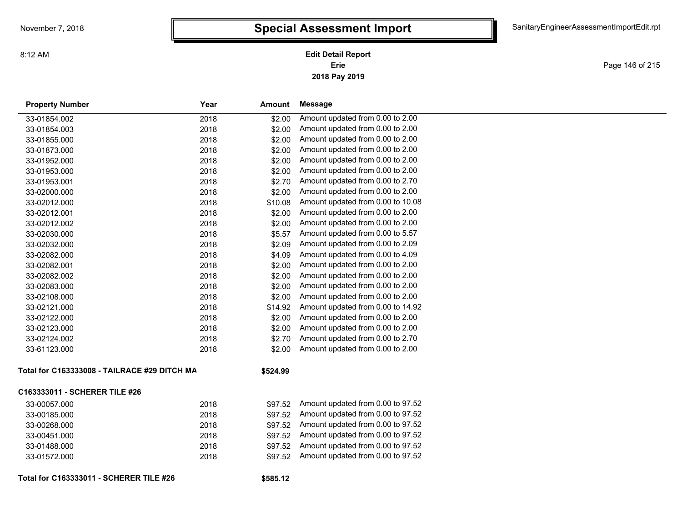Page 146 of 215

| <b>Property Number</b>                       | Year | Amount   | <b>Message</b>                    |
|----------------------------------------------|------|----------|-----------------------------------|
| 33-01854.002                                 | 2018 | \$2.00   | Amount updated from 0.00 to 2.00  |
| 33-01854.003                                 | 2018 | \$2.00   | Amount updated from 0.00 to 2.00  |
| 33-01855.000                                 | 2018 | \$2.00   | Amount updated from 0.00 to 2.00  |
| 33-01873.000                                 | 2018 | \$2.00   | Amount updated from 0.00 to 2.00  |
| 33-01952.000                                 | 2018 | \$2.00   | Amount updated from 0.00 to 2.00  |
| 33-01953.000                                 | 2018 | \$2.00   | Amount updated from 0.00 to 2.00  |
| 33-01953.001                                 | 2018 | \$2.70   | Amount updated from 0.00 to 2.70  |
| 33-02000.000                                 | 2018 | \$2.00   | Amount updated from 0.00 to 2.00  |
| 33-02012.000                                 | 2018 | \$10.08  | Amount updated from 0.00 to 10.08 |
| 33-02012.001                                 | 2018 | \$2.00   | Amount updated from 0.00 to 2.00  |
| 33-02012.002                                 | 2018 | \$2.00   | Amount updated from 0.00 to 2.00  |
| 33-02030.000                                 | 2018 | \$5.57   | Amount updated from 0.00 to 5.57  |
| 33-02032.000                                 | 2018 | \$2.09   | Amount updated from 0.00 to 2.09  |
| 33-02082.000                                 | 2018 | \$4.09   | Amount updated from 0.00 to 4.09  |
| 33-02082.001                                 | 2018 | \$2.00   | Amount updated from 0.00 to 2.00  |
| 33-02082.002                                 | 2018 | \$2.00   | Amount updated from 0.00 to 2.00  |
| 33-02083.000                                 | 2018 | \$2.00   | Amount updated from 0.00 to 2.00  |
| 33-02108.000                                 | 2018 | \$2.00   | Amount updated from 0.00 to 2.00  |
| 33-02121.000                                 | 2018 | \$14.92  | Amount updated from 0.00 to 14.92 |
| 33-02122.000                                 | 2018 | \$2.00   | Amount updated from 0.00 to 2.00  |
| 33-02123.000                                 | 2018 | \$2.00   | Amount updated from 0.00 to 2.00  |
| 33-02124.002                                 | 2018 | \$2.70   | Amount updated from 0.00 to 2.70  |
| 33-61123.000                                 | 2018 | \$2.00   | Amount updated from 0.00 to 2.00  |
| Total for C163333008 - TAILRACE #29 DITCH MA |      | \$524.99 |                                   |
| C163333011 - SCHERER TILE #26                |      |          |                                   |
| 33-00057.000                                 | 2018 | \$97.52  | Amount updated from 0.00 to 97.52 |
| 33-00185.000                                 | 2018 | \$97.52  | Amount updated from 0.00 to 97.52 |
| 33-00268.000                                 | 2018 | \$97.52  | Amount updated from 0.00 to 97.52 |
| 33-00451.000                                 | 2018 | \$97.52  | Amount updated from 0.00 to 97.52 |
| 33-01488.000                                 | 2018 | \$97.52  | Amount updated from 0.00 to 97.52 |
| 33-01572.000                                 | 2018 | \$97.52  | Amount updated from 0.00 to 97.52 |
| Total for C163333011 - SCHERER TILE #26      |      | \$585.12 |                                   |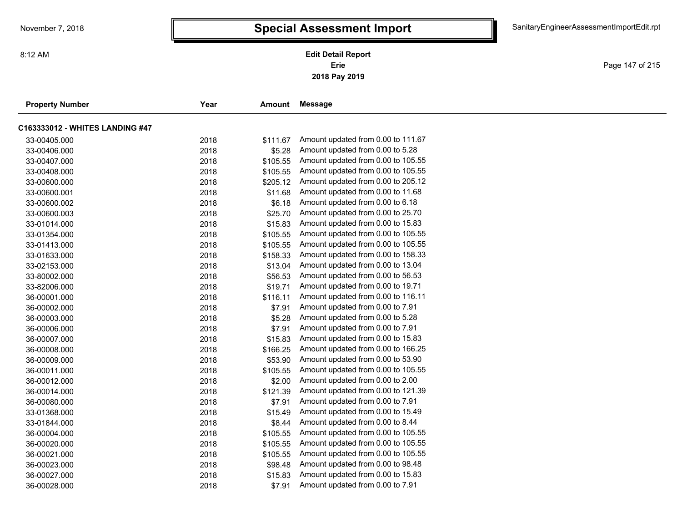Page 147 of 215

| <b>Property Number</b>          | Year | Amount   | Message                            |
|---------------------------------|------|----------|------------------------------------|
| C163333012 - WHITES LANDING #47 |      |          |                                    |
| 33-00405.000                    | 2018 | \$111.67 | Amount updated from 0.00 to 111.67 |
| 33-00406.000                    | 2018 | \$5.28   | Amount updated from 0.00 to 5.28   |
| 33-00407.000                    | 2018 | \$105.55 | Amount updated from 0.00 to 105.55 |
| 33-00408.000                    | 2018 | \$105.55 | Amount updated from 0.00 to 105.55 |
| 33-00600.000                    | 2018 | \$205.12 | Amount updated from 0.00 to 205.12 |
| 33-00600.001                    | 2018 | \$11.68  | Amount updated from 0.00 to 11.68  |
| 33-00600.002                    | 2018 | \$6.18   | Amount updated from 0.00 to 6.18   |
| 33-00600.003                    | 2018 | \$25.70  | Amount updated from 0.00 to 25.70  |
| 33-01014.000                    | 2018 | \$15.83  | Amount updated from 0.00 to 15.83  |
| 33-01354.000                    | 2018 | \$105.55 | Amount updated from 0.00 to 105.55 |
| 33-01413.000                    | 2018 | \$105.55 | Amount updated from 0.00 to 105.55 |
| 33-01633.000                    | 2018 | \$158.33 | Amount updated from 0.00 to 158.33 |
| 33-02153.000                    | 2018 | \$13.04  | Amount updated from 0.00 to 13.04  |
| 33-80002.000                    | 2018 | \$56.53  | Amount updated from 0.00 to 56.53  |
| 33-82006.000                    | 2018 | \$19.71  | Amount updated from 0.00 to 19.71  |
| 36-00001.000                    | 2018 | \$116.11 | Amount updated from 0.00 to 116.11 |
| 36-00002.000                    | 2018 | \$7.91   | Amount updated from 0.00 to 7.91   |
| 36-00003.000                    | 2018 | \$5.28   | Amount updated from 0.00 to 5.28   |
| 36-00006.000                    | 2018 | \$7.91   | Amount updated from 0.00 to 7.91   |
| 36-00007.000                    | 2018 | \$15.83  | Amount updated from 0.00 to 15.83  |
| 36-00008.000                    | 2018 | \$166.25 | Amount updated from 0.00 to 166.25 |
| 36-00009.000                    | 2018 | \$53.90  | Amount updated from 0.00 to 53.90  |
| 36-00011.000                    | 2018 | \$105.55 | Amount updated from 0.00 to 105.55 |
| 36-00012.000                    | 2018 | \$2.00   | Amount updated from 0.00 to 2.00   |
| 36-00014.000                    | 2018 | \$121.39 | Amount updated from 0.00 to 121.39 |
| 36-00080.000                    | 2018 | \$7.91   | Amount updated from 0.00 to 7.91   |
| 33-01368.000                    | 2018 | \$15.49  | Amount updated from 0.00 to 15.49  |
| 33-01844.000                    | 2018 | \$8.44   | Amount updated from 0.00 to 8.44   |
| 36-00004.000                    | 2018 | \$105.55 | Amount updated from 0.00 to 105.55 |
| 36-00020.000                    | 2018 | \$105.55 | Amount updated from 0.00 to 105.55 |
| 36-00021.000                    | 2018 | \$105.55 | Amount updated from 0.00 to 105.55 |
| 36-00023.000                    | 2018 | \$98.48  | Amount updated from 0.00 to 98.48  |
| 36-00027.000                    | 2018 | \$15.83  | Amount updated from 0.00 to 15.83  |
| 36-00028.000                    | 2018 | \$7.91   | Amount updated from 0.00 to 7.91   |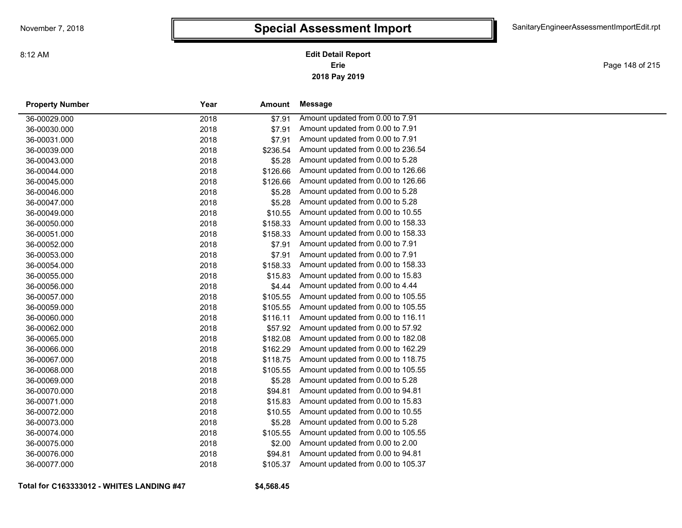**2018 Pay 2019 Erie Edit Detail Report**

Page 148 of 215

| <b>Property Number</b> | Year | Amount   | <b>Message</b>                     |
|------------------------|------|----------|------------------------------------|
| 36-00029.000           | 2018 | \$7.91   | Amount updated from 0.00 to 7.91   |
| 36-00030.000           | 2018 | \$7.91   | Amount updated from 0.00 to 7.91   |
| 36-00031.000           | 2018 | \$7.91   | Amount updated from 0.00 to 7.91   |
| 36-00039.000           | 2018 | \$236.54 | Amount updated from 0.00 to 236.54 |
| 36-00043.000           | 2018 | \$5.28   | Amount updated from 0.00 to 5.28   |
| 36-00044.000           | 2018 | \$126.66 | Amount updated from 0.00 to 126.66 |
| 36-00045.000           | 2018 | \$126.66 | Amount updated from 0.00 to 126.66 |
| 36-00046.000           | 2018 | \$5.28   | Amount updated from 0.00 to 5.28   |
| 36-00047.000           | 2018 | \$5.28   | Amount updated from 0.00 to 5.28   |
| 36-00049.000           | 2018 | \$10.55  | Amount updated from 0.00 to 10.55  |
| 36-00050.000           | 2018 | \$158.33 | Amount updated from 0.00 to 158.33 |
| 36-00051.000           | 2018 | \$158.33 | Amount updated from 0.00 to 158.33 |
| 36-00052.000           | 2018 | \$7.91   | Amount updated from 0.00 to 7.91   |
| 36-00053.000           | 2018 | \$7.91   | Amount updated from 0.00 to 7.91   |
| 36-00054.000           | 2018 | \$158.33 | Amount updated from 0.00 to 158.33 |
| 36-00055.000           | 2018 | \$15.83  | Amount updated from 0.00 to 15.83  |
| 36-00056.000           | 2018 | \$4.44   | Amount updated from 0.00 to 4.44   |
| 36-00057.000           | 2018 | \$105.55 | Amount updated from 0.00 to 105.55 |
| 36-00059.000           | 2018 | \$105.55 | Amount updated from 0.00 to 105.55 |
| 36-00060.000           | 2018 | \$116.11 | Amount updated from 0.00 to 116.11 |
| 36-00062.000           | 2018 | \$57.92  | Amount updated from 0.00 to 57.92  |
| 36-00065.000           | 2018 | \$182.08 | Amount updated from 0.00 to 182.08 |
| 36-00066.000           | 2018 | \$162.29 | Amount updated from 0.00 to 162.29 |
| 36-00067.000           | 2018 | \$118.75 | Amount updated from 0.00 to 118.75 |
| 36-00068.000           | 2018 | \$105.55 | Amount updated from 0.00 to 105.55 |
| 36-00069.000           | 2018 | \$5.28   | Amount updated from 0.00 to 5.28   |
| 36-00070.000           | 2018 | \$94.81  | Amount updated from 0.00 to 94.81  |
| 36-00071.000           | 2018 | \$15.83  | Amount updated from 0.00 to 15.83  |
| 36-00072.000           | 2018 | \$10.55  | Amount updated from 0.00 to 10.55  |
| 36-00073.000           | 2018 | \$5.28   | Amount updated from 0.00 to 5.28   |
| 36-00074.000           | 2018 | \$105.55 | Amount updated from 0.00 to 105.55 |
| 36-00075.000           | 2018 | \$2.00   | Amount updated from 0.00 to 2.00   |
| 36-00076.000           | 2018 | \$94.81  | Amount updated from 0.00 to 94.81  |
| 36-00077.000           | 2018 | \$105.37 | Amount updated from 0.00 to 105.37 |

**Total for C163333012 - WHITES LANDING #47**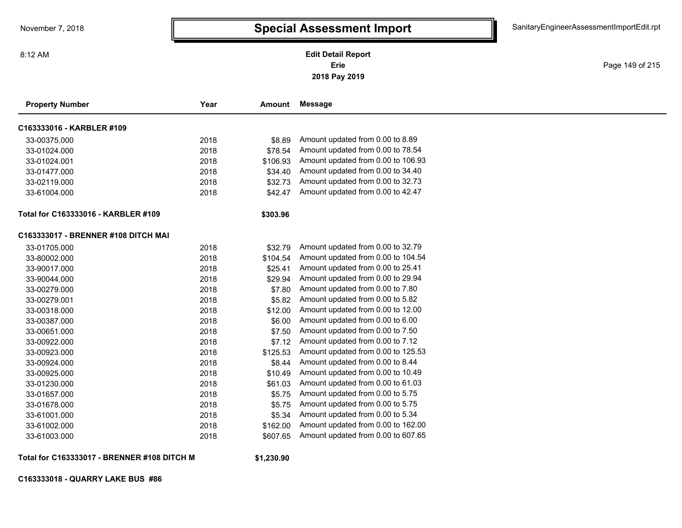Page 149 of 215

| <b>Property Number</b>              | Year | Amount   | <b>Message</b>                     |
|-------------------------------------|------|----------|------------------------------------|
| C163333016 - KARBLER #109           |      |          |                                    |
| 33-00375.000                        | 2018 | \$8.89   | Amount updated from 0.00 to 8.89   |
| 33-01024.000                        | 2018 | \$78.54  | Amount updated from 0.00 to 78.54  |
| 33-01024.001                        | 2018 | \$106.93 | Amount updated from 0.00 to 106.93 |
| 33-01477.000                        | 2018 | \$34.40  | Amount updated from 0.00 to 34.40  |
| 33-02119.000                        | 2018 | \$32.73  | Amount updated from 0.00 to 32.73  |
| 33-61004.000                        | 2018 | \$42.47  | Amount updated from 0.00 to 42.47  |
| Total for C163333016 - KARBLER #109 |      | \$303.96 |                                    |
| C163333017 - BRENNER #108 DITCH MAI |      |          |                                    |
| 33-01705.000                        | 2018 | \$32.79  | Amount updated from 0.00 to 32.79  |
| 33-80002.000                        | 2018 | \$104.54 | Amount updated from 0.00 to 104.54 |
| 33-90017.000                        | 2018 | \$25.41  | Amount updated from 0.00 to 25.41  |
| 33-90044.000                        | 2018 | \$29.94  | Amount updated from 0.00 to 29.94  |
| 33-00279.000                        | 2018 | \$7.80   | Amount updated from 0.00 to 7.80   |
| 33-00279.001                        | 2018 | \$5.82   | Amount updated from 0.00 to 5.82   |
| 33-00318.000                        | 2018 | \$12.00  | Amount updated from 0.00 to 12.00  |
| 33-00387.000                        | 2018 | \$6.00   | Amount updated from 0.00 to 6.00   |
| 33-00651.000                        | 2018 | \$7.50   | Amount updated from 0.00 to 7.50   |
| 33-00922.000                        | 2018 | \$7.12   | Amount updated from 0.00 to 7.12   |
| 33-00923.000                        | 2018 | \$125.53 | Amount updated from 0.00 to 125.53 |
| 33-00924.000                        | 2018 | \$8.44   | Amount updated from 0.00 to 8.44   |
| 33-00925.000                        | 2018 | \$10.49  | Amount updated from 0.00 to 10.49  |
| 33-01230.000                        | 2018 | \$61.03  | Amount updated from 0.00 to 61.03  |
| 33-01657.000                        | 2018 | \$5.75   | Amount updated from 0.00 to 5.75   |
| 33-01678.000                        | 2018 | \$5.75   | Amount updated from 0.00 to 5.75   |
| 33-61001.000                        | 2018 | \$5.34   | Amount updated from 0.00 to 5.34   |
| 33-61002.000                        | 2018 | \$162.00 | Amount updated from 0.00 to 162.00 |
| 33-61003.000                        | 2018 | \$607.65 | Amount updated from 0.00 to 607.65 |

**Total for C163333017 - BRENNER #108 DITCH M**

**\$1,230.90**

**C163333018 - QUARRY LAKE BUS #86**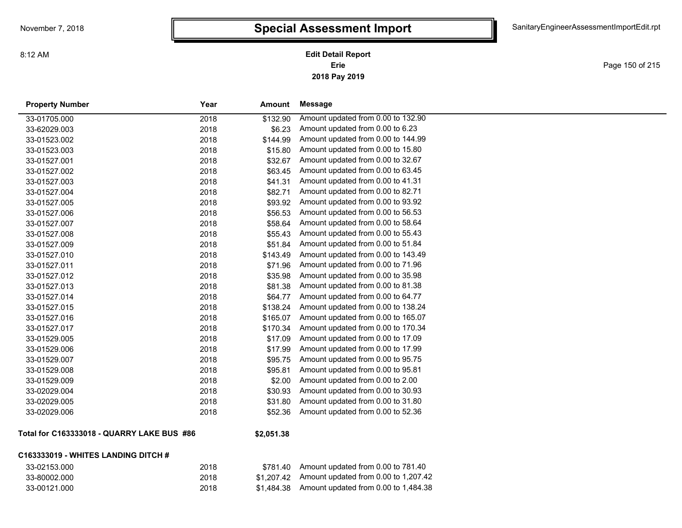**2018 Pay 2019 Erie Edit Detail Report**

Page 150 of 215

| <b>Property Number</b>                      | Year | Amount     | <b>Message</b>                     |
|---------------------------------------------|------|------------|------------------------------------|
| 33-01705.000                                | 2018 | \$132.90   | Amount updated from 0.00 to 132.90 |
| 33-62029.003                                | 2018 | \$6.23     | Amount updated from 0.00 to 6.23   |
| 33-01523.002                                | 2018 | \$144.99   | Amount updated from 0.00 to 144.99 |
| 33-01523.003                                | 2018 | \$15.80    | Amount updated from 0.00 to 15.80  |
| 33-01527.001                                | 2018 | \$32.67    | Amount updated from 0.00 to 32.67  |
| 33-01527.002                                | 2018 | \$63.45    | Amount updated from 0.00 to 63.45  |
| 33-01527.003                                | 2018 | \$41.31    | Amount updated from 0.00 to 41.31  |
| 33-01527.004                                | 2018 | \$82.71    | Amount updated from 0.00 to 82.71  |
| 33-01527.005                                | 2018 | \$93.92    | Amount updated from 0.00 to 93.92  |
| 33-01527.006                                | 2018 | \$56.53    | Amount updated from 0.00 to 56.53  |
| 33-01527.007                                | 2018 | \$58.64    | Amount updated from 0.00 to 58.64  |
| 33-01527.008                                | 2018 | \$55.43    | Amount updated from 0.00 to 55.43  |
| 33-01527.009                                | 2018 | \$51.84    | Amount updated from 0.00 to 51.84  |
| 33-01527.010                                | 2018 | \$143.49   | Amount updated from 0.00 to 143.49 |
| 33-01527.011                                | 2018 | \$71.96    | Amount updated from 0.00 to 71.96  |
| 33-01527.012                                | 2018 | \$35.98    | Amount updated from 0.00 to 35.98  |
| 33-01527.013                                | 2018 | \$81.38    | Amount updated from 0.00 to 81.38  |
| 33-01527.014                                | 2018 | \$64.77    | Amount updated from 0.00 to 64.77  |
| 33-01527.015                                | 2018 | \$138.24   | Amount updated from 0.00 to 138.24 |
| 33-01527.016                                | 2018 | \$165.07   | Amount updated from 0.00 to 165.07 |
| 33-01527.017                                | 2018 | \$170.34   | Amount updated from 0.00 to 170.34 |
| 33-01529.005                                | 2018 | \$17.09    | Amount updated from 0.00 to 17.09  |
| 33-01529.006                                | 2018 | \$17.99    | Amount updated from 0.00 to 17.99  |
| 33-01529.007                                | 2018 | \$95.75    | Amount updated from 0.00 to 95.75  |
| 33-01529.008                                | 2018 | \$95.81    | Amount updated from 0.00 to 95.81  |
| 33-01529.009                                | 2018 | \$2.00     | Amount updated from 0.00 to 2.00   |
| 33-02029.004                                | 2018 | \$30.93    | Amount updated from 0.00 to 30.93  |
| 33-02029.005                                | 2018 | \$31.80    | Amount updated from 0.00 to 31.80  |
| 33-02029.006                                | 2018 | \$52.36    | Amount updated from 0.00 to 52.36  |
| Total for C163333018 - QUARRY LAKE BUS  #86 |      | \$2,051.38 |                                    |

#### **C163333019 - WHITES LANDING DITCH #**

| 33-02153.000 | 2018 | \$781.40   | Amount updated from 0.00 to 781.40               |
|--------------|------|------------|--------------------------------------------------|
| 33-80002.000 | 2018 |            | $$1.207.42$ Amount updated from 0.00 to 1,207.42 |
| 33-00121.000 | 2018 | \$1.484.38 | Amount updated from 0.00 to 1,484.38             |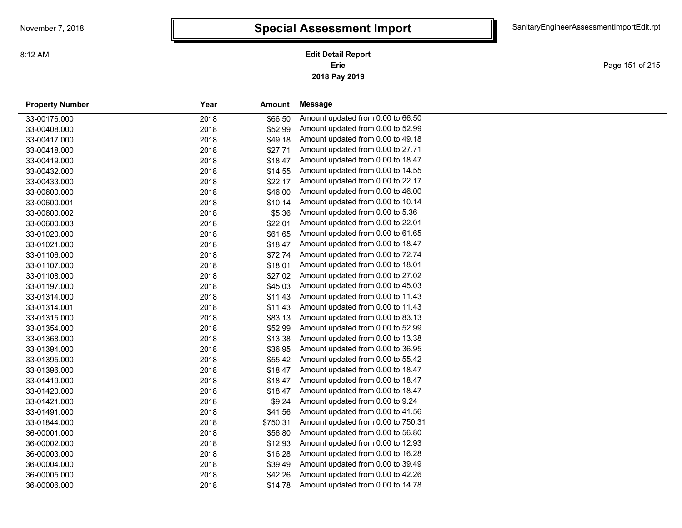**2018 Pay 2019 Erie Edit Detail Report**

Page 151 of 215

| <b>Property Number</b> | Year | Amount   | Message                            |  |
|------------------------|------|----------|------------------------------------|--|
| 33-00176.000           | 2018 | \$66.50  | Amount updated from 0.00 to 66.50  |  |
| 33-00408.000           | 2018 | \$52.99  | Amount updated from 0.00 to 52.99  |  |
| 33-00417.000           | 2018 | \$49.18  | Amount updated from 0.00 to 49.18  |  |
| 33-00418.000           | 2018 | \$27.71  | Amount updated from 0.00 to 27.71  |  |
| 33-00419.000           | 2018 | \$18.47  | Amount updated from 0.00 to 18.47  |  |
| 33-00432.000           | 2018 | \$14.55  | Amount updated from 0.00 to 14.55  |  |
| 33-00433.000           | 2018 | \$22.17  | Amount updated from 0.00 to 22.17  |  |
| 33-00600.000           | 2018 | \$46.00  | Amount updated from 0.00 to 46.00  |  |
| 33-00600.001           | 2018 | \$10.14  | Amount updated from 0.00 to 10.14  |  |
| 33-00600.002           | 2018 | \$5.36   | Amount updated from 0.00 to 5.36   |  |
| 33-00600.003           | 2018 | \$22.01  | Amount updated from 0.00 to 22.01  |  |
| 33-01020.000           | 2018 | \$61.65  | Amount updated from 0.00 to 61.65  |  |
| 33-01021.000           | 2018 | \$18.47  | Amount updated from 0.00 to 18.47  |  |
| 33-01106.000           | 2018 | \$72.74  | Amount updated from 0.00 to 72.74  |  |
| 33-01107.000           | 2018 | \$18.01  | Amount updated from 0.00 to 18.01  |  |
| 33-01108.000           | 2018 | \$27.02  | Amount updated from 0.00 to 27.02  |  |
| 33-01197.000           | 2018 | \$45.03  | Amount updated from 0.00 to 45.03  |  |
| 33-01314.000           | 2018 | \$11.43  | Amount updated from 0.00 to 11.43  |  |
| 33-01314.001           | 2018 | \$11.43  | Amount updated from 0.00 to 11.43  |  |
| 33-01315.000           | 2018 | \$83.13  | Amount updated from 0.00 to 83.13  |  |
| 33-01354.000           | 2018 | \$52.99  | Amount updated from 0.00 to 52.99  |  |
| 33-01368.000           | 2018 | \$13.38  | Amount updated from 0.00 to 13.38  |  |
| 33-01394.000           | 2018 | \$36.95  | Amount updated from 0.00 to 36.95  |  |
| 33-01395.000           | 2018 | \$55.42  | Amount updated from 0.00 to 55.42  |  |
| 33-01396.000           | 2018 | \$18.47  | Amount updated from 0.00 to 18.47  |  |
| 33-01419.000           | 2018 | \$18.47  | Amount updated from 0.00 to 18.47  |  |
| 33-01420.000           | 2018 | \$18.47  | Amount updated from 0.00 to 18.47  |  |
| 33-01421.000           | 2018 | \$9.24   | Amount updated from 0.00 to 9.24   |  |
| 33-01491.000           | 2018 | \$41.56  | Amount updated from 0.00 to 41.56  |  |
| 33-01844.000           | 2018 | \$750.31 | Amount updated from 0.00 to 750.31 |  |
| 36-00001.000           | 2018 | \$56.80  | Amount updated from 0.00 to 56.80  |  |
| 36-00002.000           | 2018 | \$12.93  | Amount updated from 0.00 to 12.93  |  |
| 36-00003.000           | 2018 | \$16.28  | Amount updated from 0.00 to 16.28  |  |
| 36-00004.000           | 2018 | \$39.49  | Amount updated from 0.00 to 39.49  |  |
| 36-00005.000           | 2018 | \$42.26  | Amount updated from 0.00 to 42.26  |  |
| 36-00006.000           | 2018 | \$14.78  | Amount updated from 0.00 to 14.78  |  |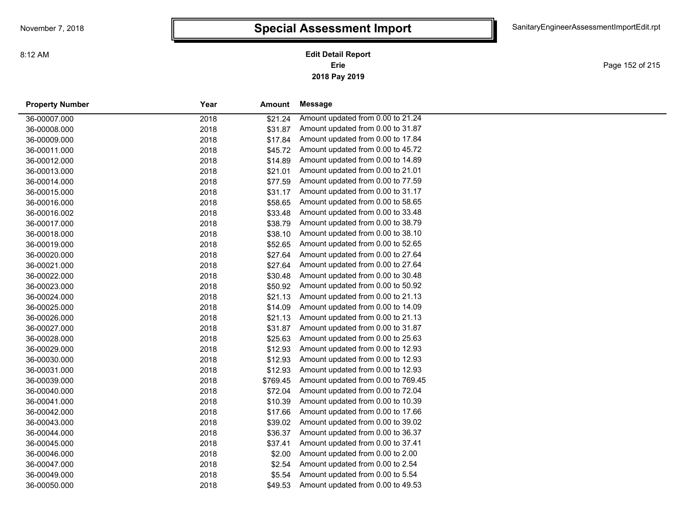**2018 Pay 2019 Erie Edit Detail Report**

Page 152 of 215

| <b>Property Number</b> | Year | Amount   | Message                            |
|------------------------|------|----------|------------------------------------|
| 36-00007.000           | 2018 | \$21.24  | Amount updated from 0.00 to 21.24  |
| 36-00008.000           | 2018 | \$31.87  | Amount updated from 0.00 to 31.87  |
| 36-00009.000           | 2018 | \$17.84  | Amount updated from 0.00 to 17.84  |
| 36-00011.000           | 2018 | \$45.72  | Amount updated from 0.00 to 45.72  |
| 36-00012.000           | 2018 | \$14.89  | Amount updated from 0.00 to 14.89  |
| 36-00013.000           | 2018 | \$21.01  | Amount updated from 0.00 to 21.01  |
| 36-00014.000           | 2018 | \$77.59  | Amount updated from 0.00 to 77.59  |
| 36-00015.000           | 2018 | \$31.17  | Amount updated from 0.00 to 31.17  |
| 36-00016.000           | 2018 | \$58.65  | Amount updated from 0.00 to 58.65  |
| 36-00016.002           | 2018 | \$33.48  | Amount updated from 0.00 to 33.48  |
| 36-00017.000           | 2018 | \$38.79  | Amount updated from 0.00 to 38.79  |
| 36-00018.000           | 2018 | \$38.10  | Amount updated from 0.00 to 38.10  |
| 36-00019.000           | 2018 | \$52.65  | Amount updated from 0.00 to 52.65  |
| 36-00020.000           | 2018 | \$27.64  | Amount updated from 0.00 to 27.64  |
| 36-00021.000           | 2018 | \$27.64  | Amount updated from 0.00 to 27.64  |
| 36-00022.000           | 2018 | \$30.48  | Amount updated from 0.00 to 30.48  |
| 36-00023.000           | 2018 | \$50.92  | Amount updated from 0.00 to 50.92  |
| 36-00024.000           | 2018 | \$21.13  | Amount updated from 0.00 to 21.13  |
| 36-00025.000           | 2018 | \$14.09  | Amount updated from 0.00 to 14.09  |
| 36-00026.000           | 2018 | \$21.13  | Amount updated from 0.00 to 21.13  |
| 36-00027.000           | 2018 | \$31.87  | Amount updated from 0.00 to 31.87  |
| 36-00028.000           | 2018 | \$25.63  | Amount updated from 0.00 to 25.63  |
| 36-00029.000           | 2018 | \$12.93  | Amount updated from 0.00 to 12.93  |
| 36-00030.000           | 2018 | \$12.93  | Amount updated from 0.00 to 12.93  |
| 36-00031.000           | 2018 | \$12.93  | Amount updated from 0.00 to 12.93  |
| 36-00039.000           | 2018 | \$769.45 | Amount updated from 0.00 to 769.45 |
| 36-00040.000           | 2018 | \$72.04  | Amount updated from 0.00 to 72.04  |
| 36-00041.000           | 2018 | \$10.39  | Amount updated from 0.00 to 10.39  |
| 36-00042.000           | 2018 | \$17.66  | Amount updated from 0.00 to 17.66  |
| 36-00043.000           | 2018 | \$39.02  | Amount updated from 0.00 to 39.02  |
| 36-00044.000           | 2018 | \$36.37  | Amount updated from 0.00 to 36.37  |
| 36-00045.000           | 2018 | \$37.41  | Amount updated from 0.00 to 37.41  |
| 36-00046.000           | 2018 | \$2.00   | Amount updated from 0.00 to 2.00   |
| 36-00047.000           | 2018 | \$2.54   | Amount updated from 0.00 to 2.54   |
| 36-00049.000           | 2018 | \$5.54   | Amount updated from 0.00 to 5.54   |
| 36-00050.000           | 2018 | \$49.53  | Amount updated from 0.00 to 49.53  |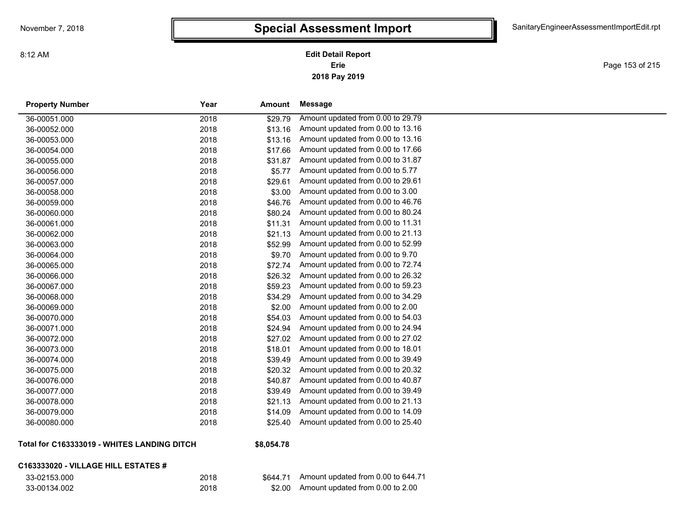**2018 Pay 2019 Erie Edit Detail Report**

Page 153 of 215

| <b>Property Number</b> | Year | <b>Amount</b> | <b>Message</b>                    |
|------------------------|------|---------------|-----------------------------------|
| 36-00051.000           | 2018 | \$29.79       | Amount updated from 0.00 to 29.79 |
| 36-00052.000           | 2018 | \$13.16       | Amount updated from 0.00 to 13.16 |
| 36-00053.000           | 2018 | \$13.16       | Amount updated from 0.00 to 13.16 |
| 36-00054.000           | 2018 | \$17.66       | Amount updated from 0.00 to 17.66 |
| 36-00055.000           | 2018 | \$31.87       | Amount updated from 0.00 to 31.87 |
| 36-00056.000           | 2018 | \$5.77        | Amount updated from 0.00 to 5.77  |
| 36-00057.000           | 2018 | \$29.61       | Amount updated from 0.00 to 29.61 |
| 36-00058.000           | 2018 | \$3.00        | Amount updated from 0.00 to 3.00  |
| 36-00059.000           | 2018 | \$46.76       | Amount updated from 0.00 to 46.76 |
| 36-00060.000           | 2018 | \$80.24       | Amount updated from 0.00 to 80.24 |
| 36-00061.000           | 2018 | \$11.31       | Amount updated from 0.00 to 11.31 |
| 36-00062.000           | 2018 | \$21.13       | Amount updated from 0.00 to 21.13 |
| 36-00063.000           | 2018 | \$52.99       | Amount updated from 0.00 to 52.99 |
| 36-00064.000           | 2018 | \$9.70        | Amount updated from 0.00 to 9.70  |
| 36-00065.000           | 2018 | \$72.74       | Amount updated from 0.00 to 72.74 |
| 36-00066.000           | 2018 | \$26.32       | Amount updated from 0.00 to 26.32 |
| 36-00067.000           | 2018 | \$59.23       | Amount updated from 0.00 to 59.23 |
| 36-00068.000           | 2018 | \$34.29       | Amount updated from 0.00 to 34.29 |
| 36-00069.000           | 2018 | \$2.00        | Amount updated from 0.00 to 2.00  |
| 36-00070.000           | 2018 | \$54.03       | Amount updated from 0.00 to 54.03 |
| 36-00071.000           | 2018 | \$24.94       | Amount updated from 0.00 to 24.94 |
| 36-00072.000           | 2018 | \$27.02       | Amount updated from 0.00 to 27.02 |
| 36-00073.000           | 2018 | \$18.01       | Amount updated from 0.00 to 18.01 |
| 36-00074.000           | 2018 | \$39.49       | Amount updated from 0.00 to 39.49 |
| 36-00075.000           | 2018 | \$20.32       | Amount updated from 0.00 to 20.32 |
| 36-00076.000           | 2018 | \$40.87       | Amount updated from 0.00 to 40.87 |
| 36-00077.000           | 2018 | \$39.49       | Amount updated from 0.00 to 39.49 |
| 36-00078.000           | 2018 | \$21.13       | Amount updated from 0.00 to 21.13 |
| 36-00079.000           | 2018 | \$14.09       | Amount updated from 0.00 to 14.09 |
| 36-00080.000           | 2018 | \$25.40       | Amount updated from 0.00 to 25.40 |
|                        |      |               |                                   |

#### **Total for C163333019 - WHITES LANDING DITCH**

#### **\$8,054.78**

#### **C163333020 - VILLAGE HILL ESTATES #**

| 33-02153.000 |  |
|--------------|--|
| 33-00134.002 |  |

| $40,00$ . $10$ |  |  |
|----------------|--|--|
|                |  |  |

| 33-02153.000 | 2018 | \$644.71 | Amount updated from 0.00 to 644.71 |
|--------------|------|----------|------------------------------------|
| 33-00134.002 | 2018 | \$2.00   | Amount updated from 0.00 to 2.00   |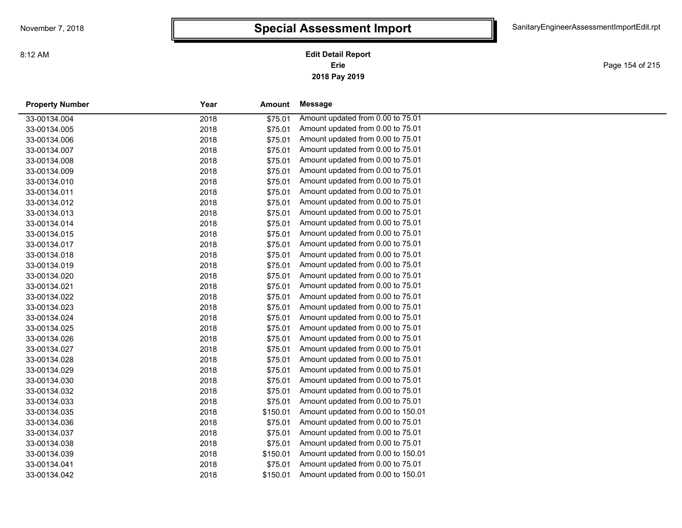**2018 Pay 2019 Erie Edit Detail Report**

Page 154 of 215

| <b>Property Number</b> | Year | Amount   | Message                            |  |
|------------------------|------|----------|------------------------------------|--|
| 33-00134.004           | 2018 | \$75.01  | Amount updated from 0.00 to 75.01  |  |
| 33-00134.005           | 2018 | \$75.01  | Amount updated from 0.00 to 75.01  |  |
| 33-00134.006           | 2018 | \$75.01  | Amount updated from 0.00 to 75.01  |  |
| 33-00134.007           | 2018 | \$75.01  | Amount updated from 0.00 to 75.01  |  |
| 33-00134.008           | 2018 | \$75.01  | Amount updated from 0.00 to 75.01  |  |
| 33-00134.009           | 2018 | \$75.01  | Amount updated from 0.00 to 75.01  |  |
| 33-00134.010           | 2018 | \$75.01  | Amount updated from 0.00 to 75.01  |  |
| 33-00134.011           | 2018 | \$75.01  | Amount updated from 0.00 to 75.01  |  |
| 33-00134.012           | 2018 | \$75.01  | Amount updated from 0.00 to 75.01  |  |
| 33-00134.013           | 2018 | \$75.01  | Amount updated from 0.00 to 75.01  |  |
| 33-00134.014           | 2018 | \$75.01  | Amount updated from 0.00 to 75.01  |  |
| 33-00134.015           | 2018 | \$75.01  | Amount updated from 0.00 to 75.01  |  |
| 33-00134.017           | 2018 | \$75.01  | Amount updated from 0.00 to 75.01  |  |
| 33-00134.018           | 2018 | \$75.01  | Amount updated from 0.00 to 75.01  |  |
| 33-00134.019           | 2018 | \$75.01  | Amount updated from 0.00 to 75.01  |  |
| 33-00134.020           | 2018 | \$75.01  | Amount updated from 0.00 to 75.01  |  |
| 33-00134.021           | 2018 | \$75.01  | Amount updated from 0.00 to 75.01  |  |
| 33-00134.022           | 2018 | \$75.01  | Amount updated from 0.00 to 75.01  |  |
| 33-00134.023           | 2018 | \$75.01  | Amount updated from 0.00 to 75.01  |  |
| 33-00134.024           | 2018 | \$75.01  | Amount updated from 0.00 to 75.01  |  |
| 33-00134.025           | 2018 | \$75.01  | Amount updated from 0.00 to 75.01  |  |
| 33-00134.026           | 2018 | \$75.01  | Amount updated from 0.00 to 75.01  |  |
| 33-00134.027           | 2018 | \$75.01  | Amount updated from 0.00 to 75.01  |  |
| 33-00134.028           | 2018 | \$75.01  | Amount updated from 0.00 to 75.01  |  |
| 33-00134.029           | 2018 | \$75.01  | Amount updated from 0.00 to 75.01  |  |
| 33-00134.030           | 2018 | \$75.01  | Amount updated from 0.00 to 75.01  |  |
| 33-00134.032           | 2018 | \$75.01  | Amount updated from 0.00 to 75.01  |  |
| 33-00134.033           | 2018 | \$75.01  | Amount updated from 0.00 to 75.01  |  |
| 33-00134.035           | 2018 | \$150.01 | Amount updated from 0.00 to 150.01 |  |
| 33-00134.036           | 2018 | \$75.01  | Amount updated from 0.00 to 75.01  |  |
| 33-00134.037           | 2018 | \$75.01  | Amount updated from 0.00 to 75.01  |  |
| 33-00134.038           | 2018 | \$75.01  | Amount updated from 0.00 to 75.01  |  |
| 33-00134.039           | 2018 | \$150.01 | Amount updated from 0.00 to 150.01 |  |
| 33-00134.041           | 2018 | \$75.01  | Amount updated from 0.00 to 75.01  |  |
| 33-00134.042           | 2018 | \$150.01 | Amount updated from 0.00 to 150.01 |  |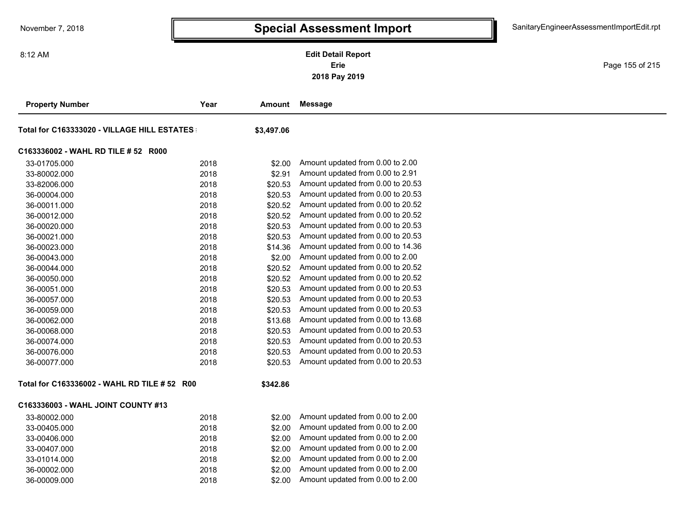**2018 Pay 2019 Erie Edit Detail Report**

Page 155 of 215

| <b>Property Number</b>                       | Year | Amount     | <b>Message</b>                    |
|----------------------------------------------|------|------------|-----------------------------------|
| Total for C163333020 - VILLAGE HILL ESTATES  |      | \$3,497.06 |                                   |
| C163336002 - WAHL RD TILE # 52 R000          |      |            |                                   |
| 33-01705.000                                 | 2018 | \$2.00     | Amount updated from 0.00 to 2.00  |
| 33-80002.000                                 | 2018 | \$2.91     | Amount updated from 0.00 to 2.91  |
| 33-82006.000                                 | 2018 | \$20.53    | Amount updated from 0.00 to 20.53 |
| 36-00004.000                                 | 2018 | \$20.53    | Amount updated from 0.00 to 20.53 |
| 36-00011.000                                 | 2018 | \$20.52    | Amount updated from 0.00 to 20.52 |
| 36-00012.000                                 | 2018 | \$20.52    | Amount updated from 0.00 to 20.52 |
| 36-00020.000                                 | 2018 | \$20.53    | Amount updated from 0.00 to 20.53 |
| 36-00021.000                                 | 2018 | \$20.53    | Amount updated from 0.00 to 20.53 |
| 36-00023.000                                 | 2018 | \$14.36    | Amount updated from 0.00 to 14.36 |
| 36-00043.000                                 | 2018 | \$2.00     | Amount updated from 0.00 to 2.00  |
| 36-00044.000                                 | 2018 | \$20.52    | Amount updated from 0.00 to 20.52 |
| 36-00050.000                                 | 2018 | \$20.52    | Amount updated from 0.00 to 20.52 |
| 36-00051.000                                 | 2018 | \$20.53    | Amount updated from 0.00 to 20.53 |
| 36-00057.000                                 | 2018 | \$20.53    | Amount updated from 0.00 to 20.53 |
| 36-00059.000                                 | 2018 | \$20.53    | Amount updated from 0.00 to 20.53 |
| 36-00062.000                                 | 2018 | \$13.68    | Amount updated from 0.00 to 13.68 |
| 36-00068.000                                 | 2018 | \$20.53    | Amount updated from 0.00 to 20.53 |
| 36-00074.000                                 | 2018 | \$20.53    | Amount updated from 0.00 to 20.53 |
| 36-00076.000                                 | 2018 | \$20.53    | Amount updated from 0.00 to 20.53 |
| 36-00077.000                                 | 2018 | \$20.53    | Amount updated from 0.00 to 20.53 |
| Total for C163336002 - WAHL RD TILE # 52 R00 |      | \$342.86   |                                   |
| C163336003 - WAHL JOINT COUNTY #13           |      |            |                                   |
| 33-80002.000                                 | 2018 | \$2.00     | Amount updated from 0.00 to 2.00  |
| 33-00405.000                                 | 2018 | \$2.00     | Amount updated from 0.00 to 2.00  |
| 33-00406.000                                 | 2018 | \$2.00     | Amount updated from 0.00 to 2.00  |
| 33-00407.000                                 | 2018 | \$2.00     | Amount updated from 0.00 to 2.00  |
| 33-01014.000                                 | 2018 | \$2.00     | Amount updated from 0.00 to 2.00  |
| 36-00002.000                                 | 2018 | \$2.00     | Amount updated from 0.00 to 2.00  |
| 36-00009.000                                 | 2018 | \$2.00     | Amount updated from 0.00 to 2.00  |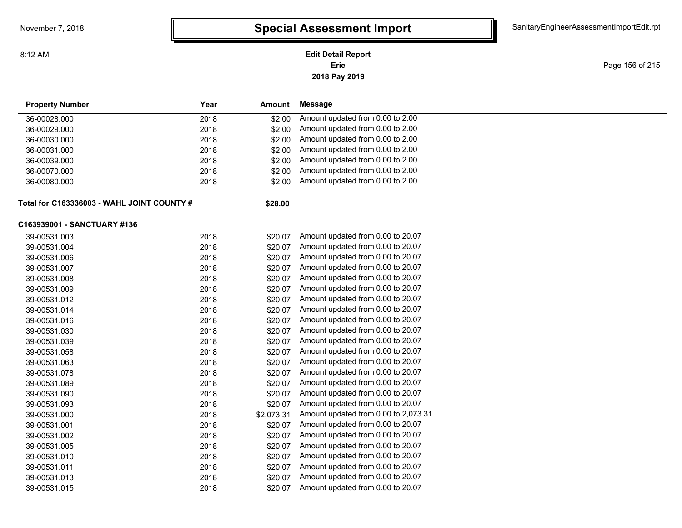### **2018 Pay 2019 Erie Edit Detail Report**

Page 156 of 215

| <b>Property Number</b>                    | Year<br><b>Amount</b> |         | Message                              |  |
|-------------------------------------------|-----------------------|---------|--------------------------------------|--|
| 36-00028.000                              | 2018                  | \$2.00  | Amount updated from 0.00 to 2.00     |  |
| 36-00029.000                              | 2018                  | \$2.00  | Amount updated from 0.00 to 2.00     |  |
| 36-00030.000                              | 2018                  | \$2.00  | Amount updated from 0.00 to 2.00     |  |
| 36-00031.000                              | 2018                  | \$2.00  | Amount updated from 0.00 to 2.00     |  |
| 36-00039.000                              | 2018                  | \$2.00  | Amount updated from 0.00 to 2.00     |  |
| 36-00070.000                              | 2018                  | \$2.00  | Amount updated from 0.00 to 2.00     |  |
| 36-00080.000                              | 2018                  | \$2.00  | Amount updated from 0.00 to 2.00     |  |
| Total for C163336003 - WAHL JOINT COUNTY# |                       | \$28.00 |                                      |  |
| C163939001 - SANCTUARY #136               |                       |         |                                      |  |
| 39-00531.003                              | 2018                  | \$20.07 | Amount updated from 0.00 to 20.07    |  |
| 39-00531.004                              | 2018                  | \$20.07 | Amount updated from 0.00 to 20.07    |  |
| 39-00531.006                              | 2018                  | \$20.07 | Amount updated from 0.00 to 20.07    |  |
| 39-00531.007                              | 2018                  | \$20.07 | Amount updated from 0.00 to 20.07    |  |
| 39-00531.008                              | 2018                  | \$20.07 | Amount updated from 0.00 to 20.07    |  |
| 39-00531.009                              | 2018                  | \$20.07 | Amount updated from 0.00 to 20.07    |  |
| 39-00531.012                              | 2018                  | \$20.07 | Amount updated from 0.00 to 20.07    |  |
| 39-00531.014                              | 2018                  | \$20.07 | Amount updated from 0.00 to 20.07    |  |
| 39-00531.016                              | 2018                  | \$20.07 | Amount updated from 0.00 to 20.07    |  |
| 39-00531.030                              | 2018                  | \$20.07 | Amount updated from 0.00 to 20.07    |  |
| 39-00531.039                              | 2018                  | \$20.07 | Amount updated from 0.00 to 20.07    |  |
| 39-00531.058                              | 2018                  | \$20.07 | Amount updated from 0.00 to 20.07    |  |
| 39-00531.063                              | 2018                  | \$20.07 | Amount updated from 0.00 to 20.07    |  |
| 39-00531.078                              | 2018                  | \$20.07 | Amount updated from 0.00 to 20.07    |  |
| 39-00531.089                              | 2018                  | \$20.07 | Amount updated from 0.00 to 20.07    |  |
| 39-00531.090                              | 2018                  | \$20.07 | Amount updated from 0.00 to 20.07    |  |
| 39-00531.093                              | 2018                  | \$20.07 | Amount updated from 0.00 to 20.07    |  |
| 39-00531.000                              | 2018<br>\$2,073.31    |         | Amount updated from 0.00 to 2,073.31 |  |
| 39-00531.001                              | 2018                  | \$20.07 | Amount updated from 0.00 to 20.07    |  |
| 39-00531.002                              | 2018                  | \$20.07 | Amount updated from 0.00 to 20.07    |  |
| 39-00531.005                              | 2018                  | \$20.07 | Amount updated from 0.00 to 20.07    |  |
| 39-00531.010                              | 2018                  | \$20.07 | Amount updated from 0.00 to 20.07    |  |
| 39-00531.011                              | 2018                  | \$20.07 | Amount updated from 0.00 to 20.07    |  |
| 39-00531.013                              | 2018                  | \$20.07 | Amount updated from 0.00 to 20.07    |  |
| 39-00531.015                              | 2018                  | \$20.07 | Amount updated from 0.00 to 20.07    |  |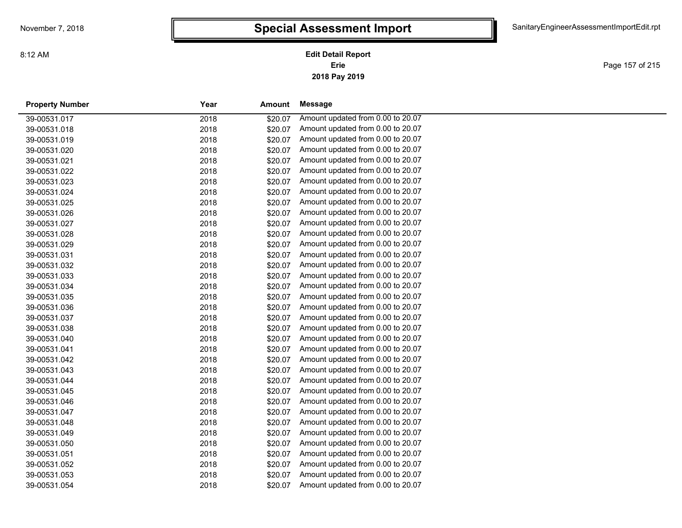**2018 Pay 2019 Erie Edit Detail Report**

Page 157 of 215

| <b>Property Number</b> | Year | Amount  | Message                           |  |
|------------------------|------|---------|-----------------------------------|--|
| 39-00531.017           | 2018 | \$20.07 | Amount updated from 0.00 to 20.07 |  |
| 39-00531.018           | 2018 | \$20.07 | Amount updated from 0.00 to 20.07 |  |
| 39-00531.019           | 2018 | \$20.07 | Amount updated from 0.00 to 20.07 |  |
| 39-00531.020           | 2018 | \$20.07 | Amount updated from 0.00 to 20.07 |  |
| 39-00531.021           | 2018 | \$20.07 | Amount updated from 0.00 to 20.07 |  |
| 39-00531.022           | 2018 | \$20.07 | Amount updated from 0.00 to 20.07 |  |
| 39-00531.023           | 2018 | \$20.07 | Amount updated from 0.00 to 20.07 |  |
| 39-00531.024           | 2018 | \$20.07 | Amount updated from 0.00 to 20.07 |  |
| 39-00531.025           | 2018 | \$20.07 | Amount updated from 0.00 to 20.07 |  |
| 39-00531.026           | 2018 | \$20.07 | Amount updated from 0.00 to 20.07 |  |
| 39-00531.027           | 2018 | \$20.07 | Amount updated from 0.00 to 20.07 |  |
| 39-00531.028           | 2018 | \$20.07 | Amount updated from 0.00 to 20.07 |  |
| 39-00531.029           | 2018 | \$20.07 | Amount updated from 0.00 to 20.07 |  |
| 39-00531.031           | 2018 | \$20.07 | Amount updated from 0.00 to 20.07 |  |
| 39-00531.032           | 2018 | \$20.07 | Amount updated from 0.00 to 20.07 |  |
| 39-00531.033           | 2018 | \$20.07 | Amount updated from 0.00 to 20.07 |  |
| 39-00531.034           | 2018 | \$20.07 | Amount updated from 0.00 to 20.07 |  |
| 39-00531.035           | 2018 | \$20.07 | Amount updated from 0.00 to 20.07 |  |
| 39-00531.036           | 2018 | \$20.07 | Amount updated from 0.00 to 20.07 |  |
| 39-00531.037           | 2018 | \$20.07 | Amount updated from 0.00 to 20.07 |  |
| 39-00531.038           | 2018 | \$20.07 | Amount updated from 0.00 to 20.07 |  |
| 39-00531.040           | 2018 | \$20.07 | Amount updated from 0.00 to 20.07 |  |
| 39-00531.041           | 2018 | \$20.07 | Amount updated from 0.00 to 20.07 |  |
| 39-00531.042           | 2018 | \$20.07 | Amount updated from 0.00 to 20.07 |  |
| 39-00531.043           | 2018 | \$20.07 | Amount updated from 0.00 to 20.07 |  |
| 39-00531.044           | 2018 | \$20.07 | Amount updated from 0.00 to 20.07 |  |
| 39-00531.045           | 2018 | \$20.07 | Amount updated from 0.00 to 20.07 |  |
| 39-00531.046           | 2018 | \$20.07 | Amount updated from 0.00 to 20.07 |  |
| 39-00531.047           | 2018 | \$20.07 | Amount updated from 0.00 to 20.07 |  |
| 39-00531.048           | 2018 | \$20.07 | Amount updated from 0.00 to 20.07 |  |
| 39-00531.049           | 2018 | \$20.07 | Amount updated from 0.00 to 20.07 |  |
| 39-00531.050           | 2018 | \$20.07 | Amount updated from 0.00 to 20.07 |  |
| 39-00531.051           | 2018 | \$20.07 | Amount updated from 0.00 to 20.07 |  |
| 39-00531.052           | 2018 | \$20.07 | Amount updated from 0.00 to 20.07 |  |
| 39-00531.053           | 2018 | \$20.07 | Amount updated from 0.00 to 20.07 |  |
| 39-00531.054           | 2018 | \$20.07 | Amount updated from 0.00 to 20.07 |  |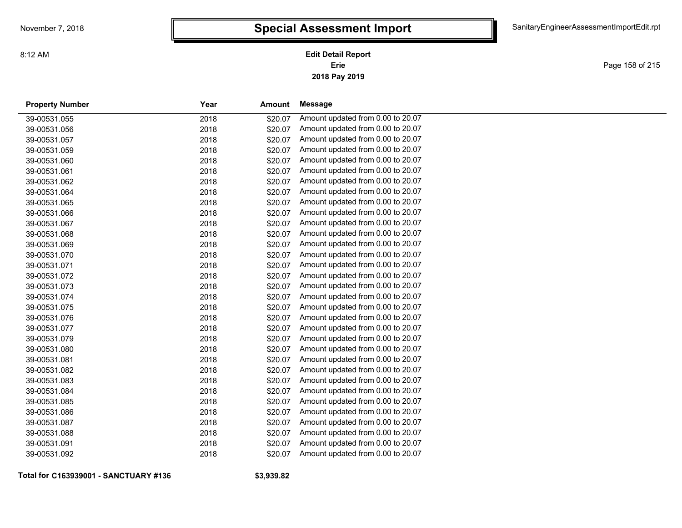**2018 Pay 2019 Erie Edit Detail Report**

Page 158 of 215

| <b>Property Number</b> | Year | <b>Amount</b> | <b>Message</b>                    |
|------------------------|------|---------------|-----------------------------------|
| 39-00531.055           | 2018 | \$20.07       | Amount updated from 0.00 to 20.07 |
| 39-00531.056           | 2018 | \$20.07       | Amount updated from 0.00 to 20.07 |
| 39-00531.057           | 2018 | \$20.07       | Amount updated from 0.00 to 20.07 |
| 39-00531.059           | 2018 | \$20.07       | Amount updated from 0.00 to 20.07 |
| 39-00531.060           | 2018 | \$20.07       | Amount updated from 0.00 to 20.07 |
| 39-00531.061           | 2018 | \$20.07       | Amount updated from 0.00 to 20.07 |
| 39-00531.062           | 2018 | \$20.07       | Amount updated from 0.00 to 20.07 |
| 39-00531.064           | 2018 | \$20.07       | Amount updated from 0.00 to 20.07 |
| 39-00531.065           | 2018 | \$20.07       | Amount updated from 0.00 to 20.07 |
| 39-00531.066           | 2018 | \$20.07       | Amount updated from 0.00 to 20.07 |
| 39-00531.067           | 2018 | \$20.07       | Amount updated from 0.00 to 20.07 |
| 39-00531.068           | 2018 | \$20.07       | Amount updated from 0.00 to 20.07 |
| 39-00531.069           | 2018 | \$20.07       | Amount updated from 0.00 to 20.07 |
| 39-00531.070           | 2018 | \$20.07       | Amount updated from 0.00 to 20.07 |
| 39-00531.071           | 2018 | \$20.07       | Amount updated from 0.00 to 20.07 |
| 39-00531.072           | 2018 | \$20.07       | Amount updated from 0.00 to 20.07 |
| 39-00531.073           | 2018 | \$20.07       | Amount updated from 0.00 to 20.07 |
| 39-00531.074           | 2018 | \$20.07       | Amount updated from 0.00 to 20.07 |
| 39-00531.075           | 2018 | \$20.07       | Amount updated from 0.00 to 20.07 |
| 39-00531.076           | 2018 | \$20.07       | Amount updated from 0.00 to 20.07 |
| 39-00531.077           | 2018 | \$20.07       | Amount updated from 0.00 to 20.07 |
| 39-00531.079           | 2018 | \$20.07       | Amount updated from 0.00 to 20.07 |
| 39-00531.080           | 2018 | \$20.07       | Amount updated from 0.00 to 20.07 |
| 39-00531.081           | 2018 | \$20.07       | Amount updated from 0.00 to 20.07 |
| 39-00531.082           | 2018 | \$20.07       | Amount updated from 0.00 to 20.07 |
| 39-00531.083           | 2018 | \$20.07       | Amount updated from 0.00 to 20.07 |
| 39-00531.084           | 2018 | \$20.07       | Amount updated from 0.00 to 20.07 |
| 39-00531.085           | 2018 | \$20.07       | Amount updated from 0.00 to 20.07 |
| 39-00531.086           | 2018 | \$20.07       | Amount updated from 0.00 to 20.07 |
| 39-00531.087           | 2018 | \$20.07       | Amount updated from 0.00 to 20.07 |
| 39-00531.088           | 2018 | \$20.07       | Amount updated from 0.00 to 20.07 |
| 39-00531.091           | 2018 | \$20.07       | Amount updated from 0.00 to 20.07 |
| 39-00531.092           | 2018 | \$20.07       | Amount updated from 0.00 to 20.07 |
|                        |      |               |                                   |

**Total for C163939001 - SANCTUARY #136**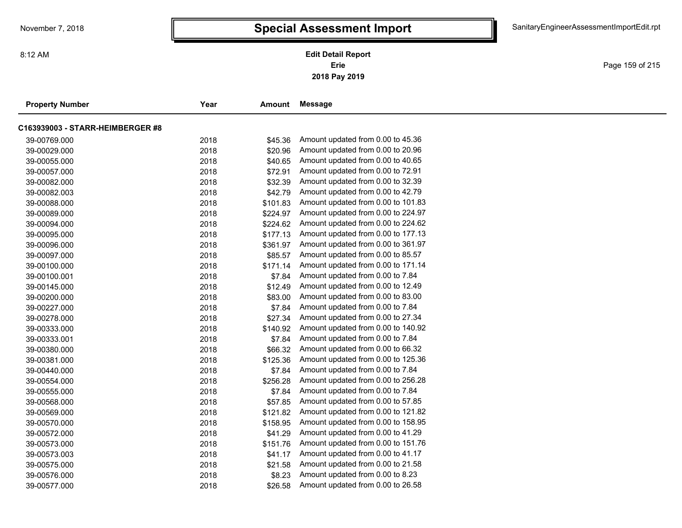Page 159 of 215

| <b>Property Number</b>           | Year | <b>Amount</b> | Message                            |
|----------------------------------|------|---------------|------------------------------------|
| C163939003 - STARR-HEIMBERGER #8 |      |               |                                    |
| 39-00769.000                     | 2018 | \$45.36       | Amount updated from 0.00 to 45.36  |
| 39-00029.000                     | 2018 | \$20.96       | Amount updated from 0.00 to 20.96  |
| 39-00055.000                     | 2018 | \$40.65       | Amount updated from 0.00 to 40.65  |
| 39-00057.000                     | 2018 | \$72.91       | Amount updated from 0.00 to 72.91  |
| 39-00082.000                     | 2018 | \$32.39       | Amount updated from 0.00 to 32.39  |
| 39-00082.003                     | 2018 | \$42.79       | Amount updated from 0.00 to 42.79  |
| 39-00088.000                     | 2018 | \$101.83      | Amount updated from 0.00 to 101.83 |
| 39-00089.000                     | 2018 | \$224.97      | Amount updated from 0.00 to 224.97 |
| 39-00094.000                     | 2018 | \$224.62      | Amount updated from 0.00 to 224.62 |
| 39-00095.000                     | 2018 | \$177.13      | Amount updated from 0.00 to 177.13 |
| 39-00096.000                     | 2018 | \$361.97      | Amount updated from 0.00 to 361.97 |
| 39-00097.000                     | 2018 | \$85.57       | Amount updated from 0.00 to 85.57  |
| 39-00100.000                     | 2018 | \$171.14      | Amount updated from 0.00 to 171.14 |
| 39-00100.001                     | 2018 | \$7.84        | Amount updated from 0.00 to 7.84   |
| 39-00145.000                     | 2018 | \$12.49       | Amount updated from 0.00 to 12.49  |
| 39-00200.000                     | 2018 | \$83.00       | Amount updated from 0.00 to 83.00  |
| 39-00227.000                     | 2018 | \$7.84        | Amount updated from 0.00 to 7.84   |
| 39-00278.000                     | 2018 | \$27.34       | Amount updated from 0.00 to 27.34  |
| 39-00333.000                     | 2018 | \$140.92      | Amount updated from 0.00 to 140.92 |
| 39-00333.001                     | 2018 | \$7.84        | Amount updated from 0.00 to 7.84   |
| 39-00380.000                     | 2018 | \$66.32       | Amount updated from 0.00 to 66.32  |
| 39-00381.000                     | 2018 | \$125.36      | Amount updated from 0.00 to 125.36 |
| 39-00440.000                     | 2018 | \$7.84        | Amount updated from 0.00 to 7.84   |
| 39-00554.000                     | 2018 | \$256.28      | Amount updated from 0.00 to 256.28 |
| 39-00555.000                     | 2018 | \$7.84        | Amount updated from 0.00 to 7.84   |
| 39-00568.000                     | 2018 | \$57.85       | Amount updated from 0.00 to 57.85  |
| 39-00569.000                     | 2018 | \$121.82      | Amount updated from 0.00 to 121.82 |
| 39-00570.000                     | 2018 | \$158.95      | Amount updated from 0.00 to 158.95 |
| 39-00572.000                     | 2018 | \$41.29       | Amount updated from 0.00 to 41.29  |
| 39-00573.000                     | 2018 | \$151.76      | Amount updated from 0.00 to 151.76 |
| 39-00573.003                     | 2018 | \$41.17       | Amount updated from 0.00 to 41.17  |
| 39-00575.000                     | 2018 | \$21.58       | Amount updated from 0.00 to 21.58  |
| 39-00576.000                     | 2018 | \$8.23        | Amount updated from 0.00 to 8.23   |
| 39-00577.000                     | 2018 | \$26.58       | Amount updated from 0.00 to 26.58  |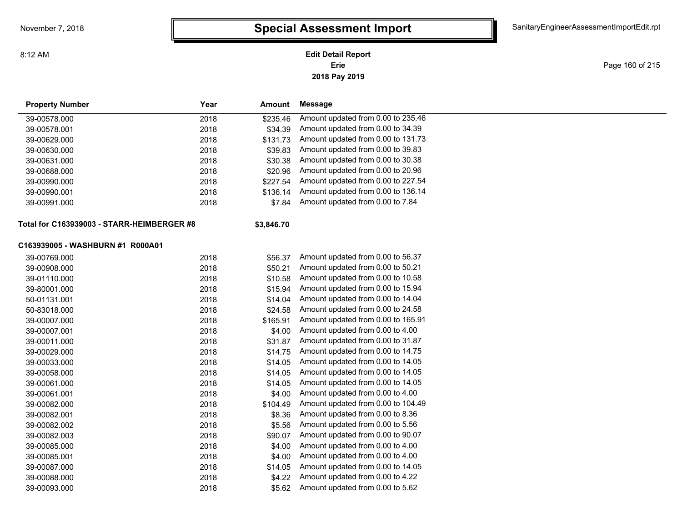**2018 Pay 2019 Erie Edit Detail Report**

Page 160 of 215

| <b>Property Number</b>                     | Year | Amount     | <b>Message</b>                     |  |
|--------------------------------------------|------|------------|------------------------------------|--|
| 39-00578.000                               | 2018 | \$235.46   | Amount updated from 0.00 to 235.46 |  |
| 39-00578.001                               | 2018 | \$34.39    | Amount updated from 0.00 to 34.39  |  |
| 39-00629.000                               | 2018 | \$131.73   | Amount updated from 0.00 to 131.73 |  |
| 39-00630.000                               | 2018 | \$39.83    | Amount updated from 0.00 to 39.83  |  |
| 39-00631.000                               | 2018 | \$30.38    | Amount updated from 0.00 to 30.38  |  |
| 39-00688.000                               | 2018 | \$20.96    | Amount updated from 0.00 to 20.96  |  |
| 39-00990.000                               | 2018 | \$227.54   | Amount updated from 0.00 to 227.54 |  |
| 39-00990.001                               | 2018 | \$136.14   | Amount updated from 0.00 to 136.14 |  |
| 39-00991.000                               | 2018 | \$7.84     | Amount updated from 0.00 to 7.84   |  |
| Total for C163939003 - STARR-HEIMBERGER #8 |      | \$3,846.70 |                                    |  |
| C163939005 - WASHBURN #1 R000A01           |      |            |                                    |  |
| 39-00769.000                               | 2018 | \$56.37    | Amount updated from 0.00 to 56.37  |  |
| 39-00908.000                               | 2018 | \$50.21    | Amount updated from 0.00 to 50.21  |  |
| 39-01110.000                               | 2018 | \$10.58    | Amount updated from 0.00 to 10.58  |  |
| 39-80001.000                               | 2018 | \$15.94    | Amount updated from 0.00 to 15.94  |  |
| 50-01131.001                               | 2018 | \$14.04    | Amount updated from 0.00 to 14.04  |  |
| 50-83018.000                               | 2018 | \$24.58    | Amount updated from 0.00 to 24.58  |  |
| 39-00007.000                               | 2018 | \$165.91   | Amount updated from 0.00 to 165.91 |  |
| 39-00007.001                               | 2018 | \$4.00     | Amount updated from 0.00 to 4.00   |  |
| 39-00011.000                               | 2018 | \$31.87    | Amount updated from 0.00 to 31.87  |  |
| 39-00029.000                               | 2018 | \$14.75    | Amount updated from 0.00 to 14.75  |  |
| 39-00033.000                               | 2018 | \$14.05    | Amount updated from 0.00 to 14.05  |  |
| 39-00058.000                               | 2018 | \$14.05    | Amount updated from 0.00 to 14.05  |  |
| 39-00061.000                               | 2018 | \$14.05    | Amount updated from 0.00 to 14.05  |  |
| 39-00061.001                               | 2018 | \$4.00     | Amount updated from 0.00 to 4.00   |  |
| 39-00082.000                               | 2018 | \$104.49   | Amount updated from 0.00 to 104.49 |  |
| 39-00082.001                               | 2018 | \$8.36     | Amount updated from 0.00 to 8.36   |  |
| 39-00082.002                               | 2018 | \$5.56     | Amount updated from 0.00 to 5.56   |  |
| 39-00082.003                               | 2018 | \$90.07    | Amount updated from 0.00 to 90.07  |  |
| 39-00085.000                               | 2018 | \$4.00     | Amount updated from 0.00 to 4.00   |  |
| 39-00085.001                               | 2018 | \$4.00     | Amount updated from 0.00 to 4.00   |  |
| 39-00087.000                               | 2018 | \$14.05    | Amount updated from 0.00 to 14.05  |  |
| 39-00088.000                               | 2018 | \$4.22     | Amount updated from 0.00 to 4.22   |  |
| 39-00093.000                               | 2018 | \$5.62     | Amount updated from 0.00 to 5.62   |  |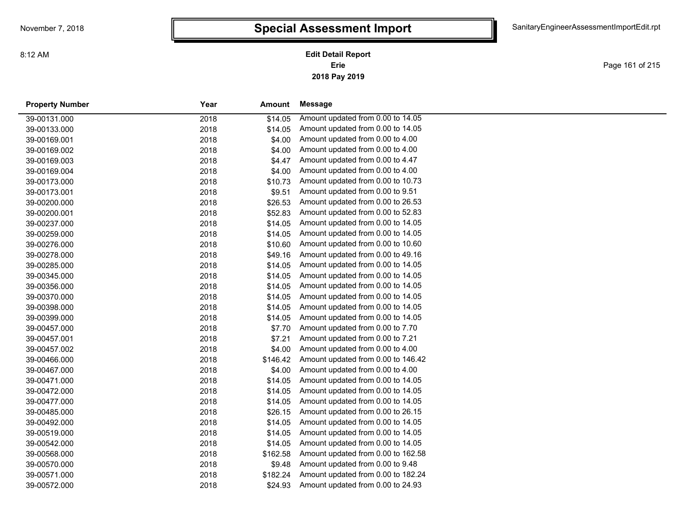Page 161 of 215

| <b>Property Number</b> | Year<br>Amount   |        | Message                            |  |
|------------------------|------------------|--------|------------------------------------|--|
| 39-00131.000           | 2018<br>\$14.05  |        | Amount updated from 0.00 to 14.05  |  |
| 39-00133.000           | 2018<br>\$14.05  |        | Amount updated from 0.00 to 14.05  |  |
| 39-00169.001           | 2018             | \$4.00 | Amount updated from 0.00 to 4.00   |  |
| 39-00169.002           | 2018             | \$4.00 | Amount updated from 0.00 to 4.00   |  |
| 39-00169.003           | 2018             | \$4.47 | Amount updated from 0.00 to 4.47   |  |
| 39-00169.004           | 2018             | \$4.00 | Amount updated from 0.00 to 4.00   |  |
| 39-00173.000           | \$10.73<br>2018  |        | Amount updated from 0.00 to 10.73  |  |
| 39-00173.001           | 2018             | \$9.51 | Amount updated from 0.00 to 9.51   |  |
| 39-00200.000           | 2018<br>\$26.53  |        | Amount updated from 0.00 to 26.53  |  |
| 39-00200.001           | 2018<br>\$52.83  |        | Amount updated from 0.00 to 52.83  |  |
| 39-00237.000           | 2018<br>\$14.05  |        | Amount updated from 0.00 to 14.05  |  |
| 39-00259.000           | 2018<br>\$14.05  |        | Amount updated from 0.00 to 14.05  |  |
| 39-00276.000           | 2018<br>\$10.60  |        | Amount updated from 0.00 to 10.60  |  |
| 39-00278.000           | \$49.16<br>2018  |        | Amount updated from 0.00 to 49.16  |  |
| 39-00285.000           | 2018<br>\$14.05  |        | Amount updated from 0.00 to 14.05  |  |
| 39-00345.000           | \$14.05<br>2018  |        | Amount updated from 0.00 to 14.05  |  |
| 39-00356.000           | 2018<br>\$14.05  |        | Amount updated from 0.00 to 14.05  |  |
| 39-00370.000           | \$14.05<br>2018  |        | Amount updated from 0.00 to 14.05  |  |
| 39-00398.000           | 2018<br>\$14.05  |        | Amount updated from 0.00 to 14.05  |  |
| 39-00399.000           | 2018<br>\$14.05  |        | Amount updated from 0.00 to 14.05  |  |
| 39-00457.000           | 2018             | \$7.70 | Amount updated from 0.00 to 7.70   |  |
| 39-00457.001           | 2018             | \$7.21 | Amount updated from 0.00 to 7.21   |  |
| 39-00457.002           | 2018             | \$4.00 | Amount updated from 0.00 to 4.00   |  |
| 39-00466.000           | 2018<br>\$146.42 |        | Amount updated from 0.00 to 146.42 |  |
| 39-00467.000           | 2018             | \$4.00 | Amount updated from 0.00 to 4.00   |  |
| 39-00471.000           | \$14.05<br>2018  |        | Amount updated from 0.00 to 14.05  |  |
| 39-00472.000           | 2018<br>\$14.05  |        | Amount updated from 0.00 to 14.05  |  |
| 39-00477.000           | \$14.05<br>2018  |        | Amount updated from 0.00 to 14.05  |  |
| 39-00485.000           | \$26.15<br>2018  |        | Amount updated from 0.00 to 26.15  |  |
| 39-00492.000           | \$14.05<br>2018  |        | Amount updated from 0.00 to 14.05  |  |
| 39-00519.000           | \$14.05<br>2018  |        | Amount updated from 0.00 to 14.05  |  |
| 39-00542.000           | 2018<br>\$14.05  |        | Amount updated from 0.00 to 14.05  |  |
| 39-00568.000           | 2018<br>\$162.58 |        | Amount updated from 0.00 to 162.58 |  |
| 39-00570.000           | 2018             | \$9.48 | Amount updated from 0.00 to 9.48   |  |
| 39-00571.000           | 2018<br>\$182.24 |        | Amount updated from 0.00 to 182.24 |  |
| 39-00572.000           | 2018<br>\$24.93  |        | Amount updated from 0.00 to 24.93  |  |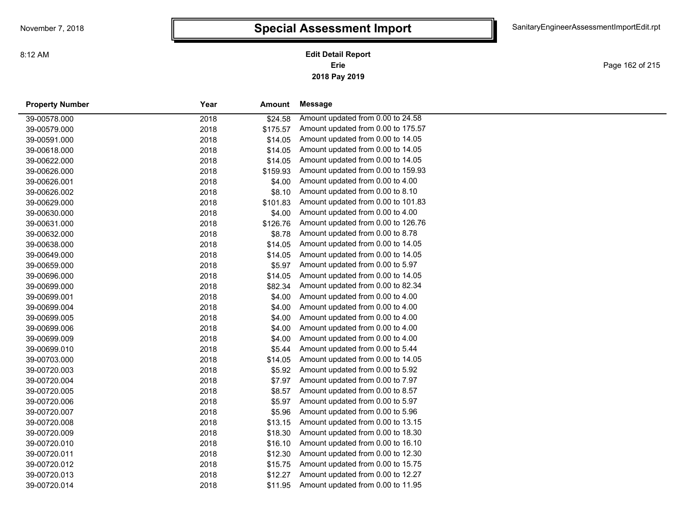**2018 Pay 2019 Erie Edit Detail Report**

Page 162 of 215

| <b>Property Number</b> | Year | Amount   | Message                            |
|------------------------|------|----------|------------------------------------|
| 39-00578.000           | 2018 | \$24.58  | Amount updated from 0.00 to 24.58  |
| 39-00579.000           | 2018 | \$175.57 | Amount updated from 0.00 to 175.57 |
| 39-00591.000           | 2018 | \$14.05  | Amount updated from 0.00 to 14.05  |
| 39-00618.000           | 2018 | \$14.05  | Amount updated from 0.00 to 14.05  |
| 39-00622.000           | 2018 | \$14.05  | Amount updated from 0.00 to 14.05  |
| 39-00626.000           | 2018 | \$159.93 | Amount updated from 0.00 to 159.93 |
| 39-00626.001           | 2018 | \$4.00   | Amount updated from 0.00 to 4.00   |
| 39-00626.002           | 2018 | \$8.10   | Amount updated from 0.00 to 8.10   |
| 39-00629.000           | 2018 | \$101.83 | Amount updated from 0.00 to 101.83 |
| 39-00630.000           | 2018 | \$4.00   | Amount updated from 0.00 to 4.00   |
| 39-00631.000           | 2018 | \$126.76 | Amount updated from 0.00 to 126.76 |
| 39-00632.000           | 2018 | \$8.78   | Amount updated from 0.00 to 8.78   |
| 39-00638.000           | 2018 | \$14.05  | Amount updated from 0.00 to 14.05  |
| 39-00649.000           | 2018 | \$14.05  | Amount updated from 0.00 to 14.05  |
| 39-00659.000           | 2018 | \$5.97   | Amount updated from 0.00 to 5.97   |
| 39-00696.000           | 2018 | \$14.05  | Amount updated from 0.00 to 14.05  |
| 39-00699.000           | 2018 | \$82.34  | Amount updated from 0.00 to 82.34  |
| 39-00699.001           | 2018 | \$4.00   | Amount updated from 0.00 to 4.00   |
| 39-00699.004           | 2018 | \$4.00   | Amount updated from 0.00 to 4.00   |
| 39-00699.005           | 2018 | \$4.00   | Amount updated from 0.00 to 4.00   |
| 39-00699.006           | 2018 | \$4.00   | Amount updated from 0.00 to 4.00   |
| 39-00699.009           | 2018 | \$4.00   | Amount updated from 0.00 to 4.00   |
| 39-00699.010           | 2018 | \$5.44   | Amount updated from 0.00 to 5.44   |
| 39-00703.000           | 2018 | \$14.05  | Amount updated from 0.00 to 14.05  |
| 39-00720.003           | 2018 | \$5.92   | Amount updated from 0.00 to 5.92   |
| 39-00720.004           | 2018 | \$7.97   | Amount updated from 0.00 to 7.97   |
| 39-00720.005           | 2018 | \$8.57   | Amount updated from 0.00 to 8.57   |
| 39-00720.006           | 2018 | \$5.97   | Amount updated from 0.00 to 5.97   |
| 39-00720.007           | 2018 | \$5.96   | Amount updated from 0.00 to 5.96   |
| 39-00720.008           | 2018 | \$13.15  | Amount updated from 0.00 to 13.15  |
| 39-00720.009           | 2018 | \$18.30  | Amount updated from 0.00 to 18.30  |
| 39-00720.010           | 2018 | \$16.10  | Amount updated from 0.00 to 16.10  |
| 39-00720.011           | 2018 | \$12.30  | Amount updated from 0.00 to 12.30  |
| 39-00720.012           | 2018 | \$15.75  | Amount updated from 0.00 to 15.75  |
| 39-00720.013           | 2018 | \$12.27  | Amount updated from 0.00 to 12.27  |
| 39-00720.014           | 2018 | \$11.95  | Amount updated from 0.00 to 11.95  |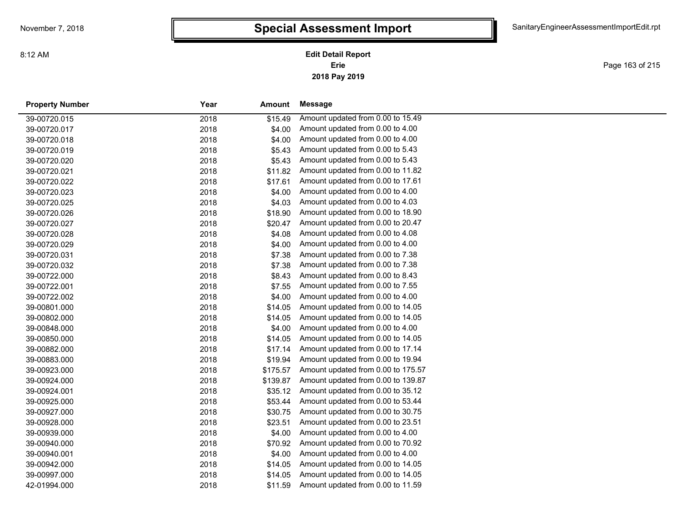**2018 Pay 2019 Erie Edit Detail Report**

Page 163 of 215

| <b>Property Number</b> | Year | Amount   | Message                            |
|------------------------|------|----------|------------------------------------|
| 39-00720.015           | 2018 | \$15.49  | Amount updated from 0.00 to 15.49  |
| 39-00720.017           | 2018 | \$4.00   | Amount updated from 0.00 to 4.00   |
| 39-00720.018           | 2018 | \$4.00   | Amount updated from 0.00 to 4.00   |
| 39-00720.019           | 2018 | \$5.43   | Amount updated from 0.00 to 5.43   |
| 39-00720.020           | 2018 | \$5.43   | Amount updated from 0.00 to 5.43   |
| 39-00720.021           | 2018 | \$11.82  | Amount updated from 0.00 to 11.82  |
| 39-00720.022           | 2018 | \$17.61  | Amount updated from 0.00 to 17.61  |
| 39-00720.023           | 2018 | \$4.00   | Amount updated from 0.00 to 4.00   |
| 39-00720.025           | 2018 | \$4.03   | Amount updated from 0.00 to 4.03   |
| 39-00720.026           | 2018 | \$18.90  | Amount updated from 0.00 to 18.90  |
| 39-00720.027           | 2018 | \$20.47  | Amount updated from 0.00 to 20.47  |
| 39-00720.028           | 2018 | \$4.08   | Amount updated from 0.00 to 4.08   |
| 39-00720.029           | 2018 | \$4.00   | Amount updated from 0.00 to 4.00   |
| 39-00720.031           | 2018 | \$7.38   | Amount updated from 0.00 to 7.38   |
| 39-00720.032           | 2018 | \$7.38   | Amount updated from 0.00 to 7.38   |
| 39-00722.000           | 2018 | \$8.43   | Amount updated from 0.00 to 8.43   |
| 39-00722.001           | 2018 | \$7.55   | Amount updated from 0.00 to 7.55   |
| 39-00722.002           | 2018 | \$4.00   | Amount updated from 0.00 to 4.00   |
| 39-00801.000           | 2018 | \$14.05  | Amount updated from 0.00 to 14.05  |
| 39-00802.000           | 2018 | \$14.05  | Amount updated from 0.00 to 14.05  |
| 39-00848.000           | 2018 | \$4.00   | Amount updated from 0.00 to 4.00   |
| 39-00850.000           | 2018 | \$14.05  | Amount updated from 0.00 to 14.05  |
| 39-00882.000           | 2018 | \$17.14  | Amount updated from 0.00 to 17.14  |
| 39-00883.000           | 2018 | \$19.94  | Amount updated from 0.00 to 19.94  |
| 39-00923.000           | 2018 | \$175.57 | Amount updated from 0.00 to 175.57 |
| 39-00924.000           | 2018 | \$139.87 | Amount updated from 0.00 to 139.87 |
| 39-00924.001           | 2018 | \$35.12  | Amount updated from 0.00 to 35.12  |
| 39-00925.000           | 2018 | \$53.44  | Amount updated from 0.00 to 53.44  |
| 39-00927.000           | 2018 | \$30.75  | Amount updated from 0.00 to 30.75  |
| 39-00928.000           | 2018 | \$23.51  | Amount updated from 0.00 to 23.51  |
| 39-00939.000           | 2018 | \$4.00   | Amount updated from 0.00 to 4.00   |
| 39-00940.000           | 2018 | \$70.92  | Amount updated from 0.00 to 70.92  |
| 39-00940.001           | 2018 | \$4.00   | Amount updated from 0.00 to 4.00   |
| 39-00942.000           | 2018 | \$14.05  | Amount updated from 0.00 to 14.05  |
| 39-00997.000           | 2018 | \$14.05  | Amount updated from 0.00 to 14.05  |
| 42-01994.000           | 2018 | \$11.59  | Amount updated from 0.00 to 11.59  |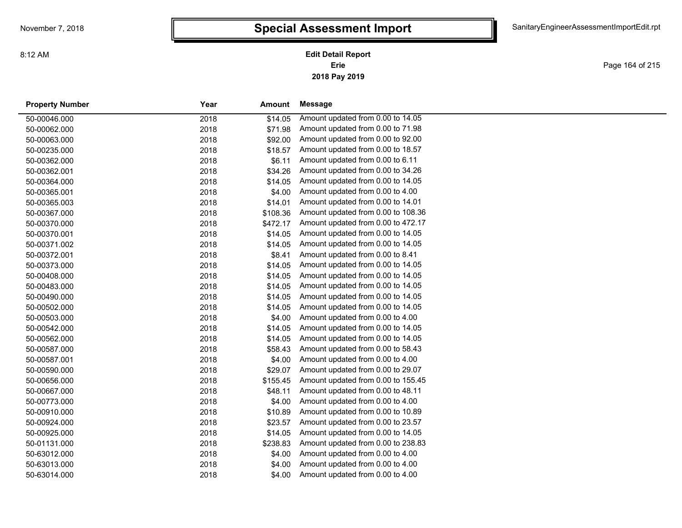**2018 Pay 2019 Erie Edit Detail Report**

Page 164 of 215

| <b>Property Number</b> | Year | Amount   | <b>Message</b>                     |
|------------------------|------|----------|------------------------------------|
| 50-00046.000           | 2018 | \$14.05  | Amount updated from 0.00 to 14.05  |
| 50-00062.000           | 2018 | \$71.98  | Amount updated from 0.00 to 71.98  |
| 50-00063.000           | 2018 | \$92.00  | Amount updated from 0.00 to 92.00  |
| 50-00235.000           | 2018 | \$18.57  | Amount updated from 0.00 to 18.57  |
| 50-00362.000           | 2018 | \$6.11   | Amount updated from 0.00 to 6.11   |
| 50-00362.001           | 2018 | \$34.26  | Amount updated from 0.00 to 34.26  |
| 50-00364.000           | 2018 | \$14.05  | Amount updated from 0.00 to 14.05  |
| 50-00365.001           | 2018 | \$4.00   | Amount updated from 0.00 to 4.00   |
| 50-00365.003           | 2018 | \$14.01  | Amount updated from 0.00 to 14.01  |
| 50-00367.000           | 2018 | \$108.36 | Amount updated from 0.00 to 108.36 |
| 50-00370.000           | 2018 | \$472.17 | Amount updated from 0.00 to 472.17 |
| 50-00370.001           | 2018 | \$14.05  | Amount updated from 0.00 to 14.05  |
| 50-00371.002           | 2018 | \$14.05  | Amount updated from 0.00 to 14.05  |
| 50-00372.001           | 2018 | \$8.41   | Amount updated from 0.00 to 8.41   |
| 50-00373.000           | 2018 | \$14.05  | Amount updated from 0.00 to 14.05  |
| 50-00408.000           | 2018 | \$14.05  | Amount updated from 0.00 to 14.05  |
| 50-00483.000           | 2018 | \$14.05  | Amount updated from 0.00 to 14.05  |
| 50-00490.000           | 2018 | \$14.05  | Amount updated from 0.00 to 14.05  |
| 50-00502.000           | 2018 | \$14.05  | Amount updated from 0.00 to 14.05  |
| 50-00503.000           | 2018 | \$4.00   | Amount updated from 0.00 to 4.00   |
| 50-00542.000           | 2018 | \$14.05  | Amount updated from 0.00 to 14.05  |
| 50-00562.000           | 2018 | \$14.05  | Amount updated from 0.00 to 14.05  |
| 50-00587.000           | 2018 | \$58.43  | Amount updated from 0.00 to 58.43  |
| 50-00587.001           | 2018 | \$4.00   | Amount updated from 0.00 to 4.00   |
| 50-00590.000           | 2018 | \$29.07  | Amount updated from 0.00 to 29.07  |
| 50-00656.000           | 2018 | \$155.45 | Amount updated from 0.00 to 155.45 |
| 50-00667.000           | 2018 | \$48.11  | Amount updated from 0.00 to 48.11  |
| 50-00773.000           | 2018 | \$4.00   | Amount updated from 0.00 to 4.00   |
| 50-00910.000           | 2018 | \$10.89  | Amount updated from 0.00 to 10.89  |
| 50-00924.000           | 2018 | \$23.57  | Amount updated from 0.00 to 23.57  |
| 50-00925.000           | 2018 | \$14.05  | Amount updated from 0.00 to 14.05  |
| 50-01131.000           | 2018 | \$238.83 | Amount updated from 0.00 to 238.83 |
| 50-63012.000           | 2018 | \$4.00   | Amount updated from 0.00 to 4.00   |
| 50-63013.000           | 2018 | \$4.00   | Amount updated from 0.00 to 4.00   |
| 50-63014.000           | 2018 | \$4.00   | Amount updated from 0.00 to 4.00   |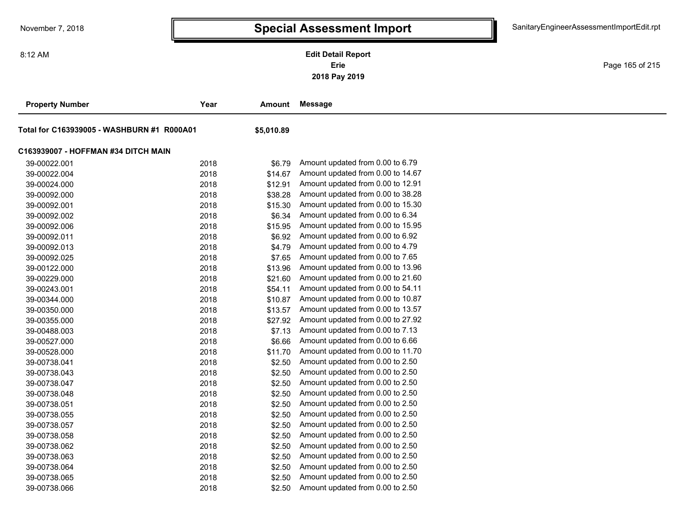**2018 Pay 2019 Erie Edit Detail Report**

Page 165 of 215

| <b>Property Number</b>                     | Year | Amount     | <b>Message</b>                    |
|--------------------------------------------|------|------------|-----------------------------------|
| Total for C163939005 - WASHBURN #1 R000A01 |      | \$5,010.89 |                                   |
| C163939007 - HOFFMAN #34 DITCH MAIN        |      |            |                                   |
| 39-00022.001                               | 2018 | \$6.79     | Amount updated from 0.00 to 6.79  |
| 39-00022.004                               | 2018 | \$14.67    | Amount updated from 0.00 to 14.67 |
| 39-00024.000                               | 2018 | \$12.91    | Amount updated from 0.00 to 12.91 |
| 39-00092.000                               | 2018 | \$38.28    | Amount updated from 0.00 to 38.28 |
| 39-00092.001                               | 2018 | \$15.30    | Amount updated from 0.00 to 15.30 |
| 39-00092.002                               | 2018 | \$6.34     | Amount updated from 0.00 to 6.34  |
| 39-00092.006                               | 2018 | \$15.95    | Amount updated from 0.00 to 15.95 |
| 39-00092.011                               | 2018 | \$6.92     | Amount updated from 0.00 to 6.92  |
| 39-00092.013                               | 2018 | \$4.79     | Amount updated from 0.00 to 4.79  |
| 39-00092.025                               | 2018 | \$7.65     | Amount updated from 0.00 to 7.65  |
| 39-00122.000                               | 2018 | \$13.96    | Amount updated from 0.00 to 13.96 |
| 39-00229.000                               | 2018 | \$21.60    | Amount updated from 0.00 to 21.60 |
| 39-00243.001                               | 2018 | \$54.11    | Amount updated from 0.00 to 54.11 |
| 39-00344.000                               | 2018 | \$10.87    | Amount updated from 0.00 to 10.87 |
| 39-00350.000                               | 2018 | \$13.57    | Amount updated from 0.00 to 13.57 |
| 39-00355.000                               | 2018 | \$27.92    | Amount updated from 0.00 to 27.92 |
| 39-00488.003                               | 2018 | \$7.13     | Amount updated from 0.00 to 7.13  |
| 39-00527.000                               | 2018 | \$6.66     | Amount updated from 0.00 to 6.66  |
| 39-00528.000                               | 2018 | \$11.70    | Amount updated from 0.00 to 11.70 |
| 39-00738.041                               | 2018 | \$2.50     | Amount updated from 0.00 to 2.50  |
| 39-00738.043                               | 2018 | \$2.50     | Amount updated from 0.00 to 2.50  |
| 39-00738.047                               | 2018 | \$2.50     | Amount updated from 0.00 to 2.50  |
| 39-00738.048                               | 2018 | \$2.50     | Amount updated from 0.00 to 2.50  |
| 39-00738.051                               | 2018 | \$2.50     | Amount updated from 0.00 to 2.50  |
| 39-00738.055                               | 2018 | \$2.50     | Amount updated from 0.00 to 2.50  |
| 39-00738.057                               | 2018 | \$2.50     | Amount updated from 0.00 to 2.50  |
| 39-00738.058                               | 2018 | \$2.50     | Amount updated from 0.00 to 2.50  |
| 39-00738.062                               | 2018 | \$2.50     | Amount updated from 0.00 to 2.50  |
| 39-00738.063                               | 2018 | \$2.50     | Amount updated from 0.00 to 2.50  |
| 39-00738.064                               | 2018 | \$2.50     | Amount updated from 0.00 to 2.50  |
| 39-00738.065                               | 2018 | \$2.50     | Amount updated from 0.00 to 2.50  |
| 39-00738.066                               | 2018 | \$2.50     | Amount updated from 0.00 to 2.50  |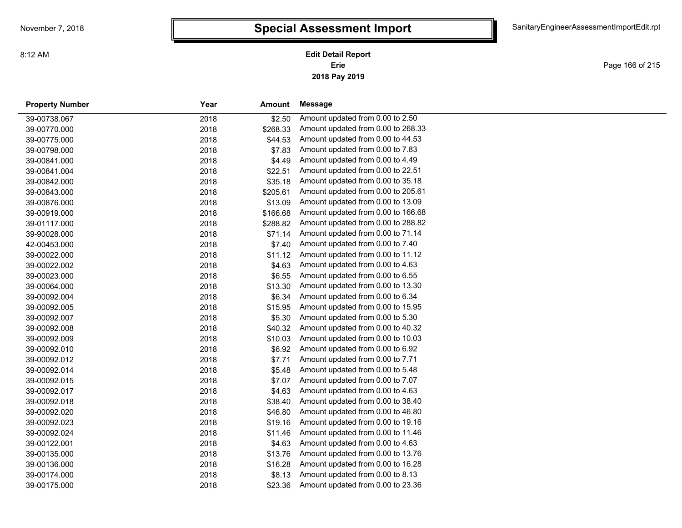**2018 Pay 2019 Erie Edit Detail Report**

Page 166 of 215

| <b>Property Number</b> | Year | Amount   | Message                            |
|------------------------|------|----------|------------------------------------|
| 39-00738.067           | 2018 | \$2.50   | Amount updated from 0.00 to 2.50   |
| 39-00770.000           | 2018 | \$268.33 | Amount updated from 0.00 to 268.33 |
| 39-00775.000           | 2018 | \$44.53  | Amount updated from 0.00 to 44.53  |
| 39-00798.000           | 2018 | \$7.83   | Amount updated from 0.00 to 7.83   |
| 39-00841.000           | 2018 | \$4.49   | Amount updated from 0.00 to 4.49   |
| 39-00841.004           | 2018 | \$22.51  | Amount updated from 0.00 to 22.51  |
| 39-00842.000           | 2018 | \$35.18  | Amount updated from 0.00 to 35.18  |
| 39-00843.000           | 2018 | \$205.61 | Amount updated from 0.00 to 205.61 |
| 39-00876.000           | 2018 | \$13.09  | Amount updated from 0.00 to 13.09  |
| 39-00919.000           | 2018 | \$166.68 | Amount updated from 0.00 to 166.68 |
| 39-01117.000           | 2018 | \$288.82 | Amount updated from 0.00 to 288.82 |
| 39-90028.000           | 2018 | \$71.14  | Amount updated from 0.00 to 71.14  |
| 42-00453.000           | 2018 | \$7.40   | Amount updated from 0.00 to 7.40   |
| 39-00022.000           | 2018 | \$11.12  | Amount updated from 0.00 to 11.12  |
| 39-00022.002           | 2018 | \$4.63   | Amount updated from 0.00 to 4.63   |
| 39-00023.000           | 2018 | \$6.55   | Amount updated from 0.00 to 6.55   |
| 39-00064.000           | 2018 | \$13.30  | Amount updated from 0.00 to 13.30  |
| 39-00092.004           | 2018 | \$6.34   | Amount updated from 0.00 to 6.34   |
| 39-00092.005           | 2018 | \$15.95  | Amount updated from 0.00 to 15.95  |
| 39-00092.007           | 2018 | \$5.30   | Amount updated from 0.00 to 5.30   |
| 39-00092.008           | 2018 | \$40.32  | Amount updated from 0.00 to 40.32  |
| 39-00092.009           | 2018 | \$10.03  | Amount updated from 0.00 to 10.03  |
| 39-00092.010           | 2018 | \$6.92   | Amount updated from 0.00 to 6.92   |
| 39-00092.012           | 2018 | \$7.71   | Amount updated from 0.00 to 7.71   |
| 39-00092.014           | 2018 | \$5.48   | Amount updated from 0.00 to 5.48   |
| 39-00092.015           | 2018 | \$7.07   | Amount updated from 0.00 to 7.07   |
| 39-00092.017           | 2018 | \$4.63   | Amount updated from 0.00 to 4.63   |
| 39-00092.018           | 2018 | \$38.40  | Amount updated from 0.00 to 38.40  |
| 39-00092.020           | 2018 | \$46.80  | Amount updated from 0.00 to 46.80  |
| 39-00092.023           | 2018 | \$19.16  | Amount updated from 0.00 to 19.16  |
| 39-00092.024           | 2018 | \$11.46  | Amount updated from 0.00 to 11.46  |
| 39-00122.001           | 2018 | \$4.63   | Amount updated from 0.00 to 4.63   |
| 39-00135.000           | 2018 | \$13.76  | Amount updated from 0.00 to 13.76  |
| 39-00136.000           | 2018 | \$16.28  | Amount updated from 0.00 to 16.28  |
| 39-00174.000           | 2018 | \$8.13   | Amount updated from 0.00 to 8.13   |
| 39-00175.000           | 2018 | \$23.36  | Amount updated from 0.00 to 23.36  |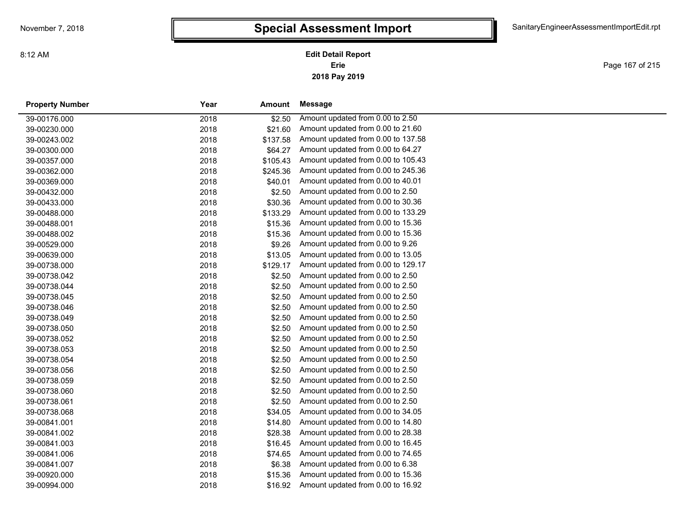**2018 Pay 2019 Erie Edit Detail Report**

Page 167 of 215

| <b>Property Number</b> | Year | Amount   | Message                            |
|------------------------|------|----------|------------------------------------|
| 39-00176.000           | 2018 | \$2.50   | Amount updated from 0.00 to 2.50   |
| 39-00230.000           | 2018 | \$21.60  | Amount updated from 0.00 to 21.60  |
| 39-00243.002           | 2018 | \$137.58 | Amount updated from 0.00 to 137.58 |
| 39-00300.000           | 2018 | \$64.27  | Amount updated from 0.00 to 64.27  |
| 39-00357.000           | 2018 | \$105.43 | Amount updated from 0.00 to 105.43 |
| 39-00362.000           | 2018 | \$245.36 | Amount updated from 0.00 to 245.36 |
| 39-00369.000           | 2018 | \$40.01  | Amount updated from 0.00 to 40.01  |
| 39-00432.000           | 2018 | \$2.50   | Amount updated from 0.00 to 2.50   |
| 39-00433.000           | 2018 | \$30.36  | Amount updated from 0.00 to 30.36  |
| 39-00488.000           | 2018 | \$133.29 | Amount updated from 0.00 to 133.29 |
| 39-00488.001           | 2018 | \$15.36  | Amount updated from 0.00 to 15.36  |
| 39-00488.002           | 2018 | \$15.36  | Amount updated from 0.00 to 15.36  |
| 39-00529.000           | 2018 | \$9.26   | Amount updated from 0.00 to 9.26   |
| 39-00639.000           | 2018 | \$13.05  | Amount updated from 0.00 to 13.05  |
| 39-00738.000           | 2018 | \$129.17 | Amount updated from 0.00 to 129.17 |
| 39-00738.042           | 2018 | \$2.50   | Amount updated from 0.00 to 2.50   |
| 39-00738.044           | 2018 | \$2.50   | Amount updated from 0.00 to 2.50   |
| 39-00738.045           | 2018 | \$2.50   | Amount updated from 0.00 to 2.50   |
| 39-00738.046           | 2018 | \$2.50   | Amount updated from 0.00 to 2.50   |
| 39-00738.049           | 2018 | \$2.50   | Amount updated from 0.00 to 2.50   |
| 39-00738.050           | 2018 | \$2.50   | Amount updated from 0.00 to 2.50   |
| 39-00738.052           | 2018 | \$2.50   | Amount updated from 0.00 to 2.50   |
| 39-00738.053           | 2018 | \$2.50   | Amount updated from 0.00 to 2.50   |
| 39-00738.054           | 2018 | \$2.50   | Amount updated from 0.00 to 2.50   |
| 39-00738.056           | 2018 | \$2.50   | Amount updated from 0.00 to 2.50   |
| 39-00738.059           | 2018 | \$2.50   | Amount updated from 0.00 to 2.50   |
| 39-00738.060           | 2018 | \$2.50   | Amount updated from 0.00 to 2.50   |
| 39-00738.061           | 2018 | \$2.50   | Amount updated from 0.00 to 2.50   |
| 39-00738.068           | 2018 | \$34.05  | Amount updated from 0.00 to 34.05  |
| 39-00841.001           | 2018 | \$14.80  | Amount updated from 0.00 to 14.80  |
| 39-00841.002           | 2018 | \$28.38  | Amount updated from 0.00 to 28.38  |
| 39-00841.003           | 2018 | \$16.45  | Amount updated from 0.00 to 16.45  |
| 39-00841.006           | 2018 | \$74.65  | Amount updated from 0.00 to 74.65  |
| 39-00841.007           | 2018 | \$6.38   | Amount updated from 0.00 to 6.38   |
| 39-00920.000           | 2018 | \$15.36  | Amount updated from 0.00 to 15.36  |
| 39-00994.000           | 2018 | \$16.92  | Amount updated from 0.00 to 16.92  |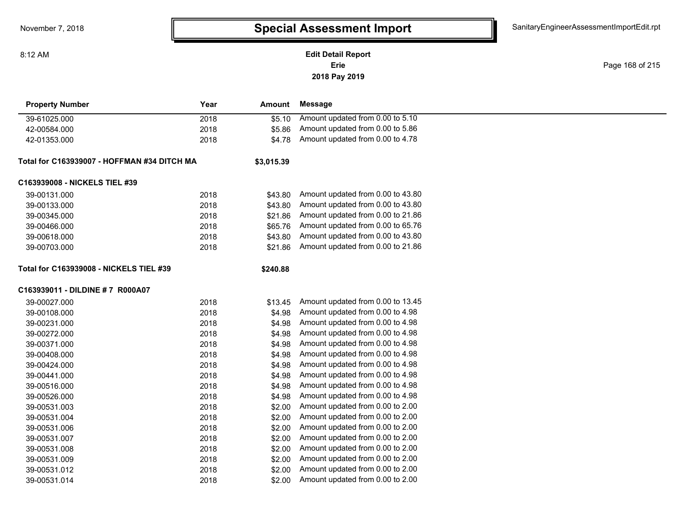**2018 Pay 2019 Erie Edit Detail Report**

Page 168 of 215

| <b>Property Number</b>                         | Year | <b>Amount</b> | <b>Message</b>                    |  |
|------------------------------------------------|------|---------------|-----------------------------------|--|
| 39-61025.000                                   | 2018 | \$5.10        | Amount updated from 0.00 to 5.10  |  |
| 42-00584.000                                   | 2018 | \$5.86        | Amount updated from 0.00 to 5.86  |  |
| 42-01353.000                                   | 2018 | \$4.78        | Amount updated from 0.00 to 4.78  |  |
| Total for C163939007 - HOFFMAN #34 DITCH MA    |      | \$3,015.39    |                                   |  |
| C163939008 - NICKELS TIEL #39                  |      |               |                                   |  |
| 39-00131.000                                   | 2018 | \$43.80       | Amount updated from 0.00 to 43.80 |  |
| 39-00133.000                                   | 2018 | \$43.80       | Amount updated from 0.00 to 43.80 |  |
| 39-00345.000                                   | 2018 | \$21.86       | Amount updated from 0.00 to 21.86 |  |
| 39-00466.000                                   | 2018 | \$65.76       | Amount updated from 0.00 to 65.76 |  |
| 39-00618.000                                   | 2018 | \$43.80       | Amount updated from 0.00 to 43.80 |  |
| 39-00703.000                                   | 2018 | \$21.86       | Amount updated from 0.00 to 21.86 |  |
| <b>Total for C163939008 - NICKELS TIEL #39</b> |      | \$240.88      |                                   |  |
| C163939011 - DILDINE # 7 R000A07               |      |               |                                   |  |
| 39-00027.000                                   | 2018 | \$13.45       | Amount updated from 0.00 to 13.45 |  |
| 39-00108.000                                   | 2018 | \$4.98        | Amount updated from 0.00 to 4.98  |  |
| 39-00231.000                                   | 2018 | \$4.98        | Amount updated from 0.00 to 4.98  |  |
| 39-00272.000                                   | 2018 | \$4.98        | Amount updated from 0.00 to 4.98  |  |
| 39-00371.000                                   | 2018 | \$4.98        | Amount updated from 0.00 to 4.98  |  |
| 39-00408.000                                   | 2018 | \$4.98        | Amount updated from 0.00 to 4.98  |  |
| 39-00424.000                                   | 2018 | \$4.98        | Amount updated from 0.00 to 4.98  |  |
| 39-00441.000                                   | 2018 | \$4.98        | Amount updated from 0.00 to 4.98  |  |
| 39-00516.000                                   | 2018 | \$4.98        | Amount updated from 0.00 to 4.98  |  |
| 39-00526.000                                   | 2018 | \$4.98        | Amount updated from 0.00 to 4.98  |  |
| 39-00531.003                                   | 2018 | \$2.00        | Amount updated from 0.00 to 2.00  |  |
| 39-00531.004                                   | 2018 | \$2.00        | Amount updated from 0.00 to 2.00  |  |
| 39-00531.006                                   | 2018 | \$2.00        | Amount updated from 0.00 to 2.00  |  |
| 39-00531.007                                   | 2018 | \$2.00        | Amount updated from 0.00 to 2.00  |  |
| 39-00531.008                                   | 2018 | \$2.00        | Amount updated from 0.00 to 2.00  |  |
| 39-00531.009                                   | 2018 | \$2.00        | Amount updated from 0.00 to 2.00  |  |
| 39-00531.012                                   | 2018 | \$2.00        | Amount updated from 0.00 to 2.00  |  |

39-00531.014 2018 \$2.00 Amount updated from 0.00 to 2.00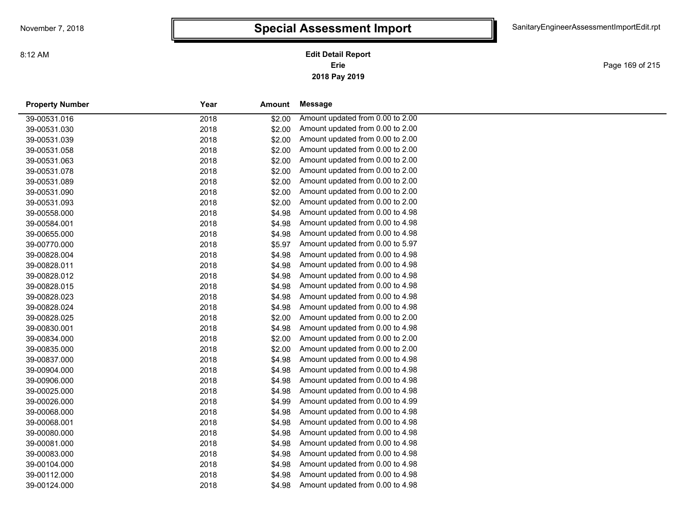**2018 Pay 2019 Erie Edit Detail Report**

Page 169 of 215

| <b>Property Number</b> | Year | Amount | Message                          |
|------------------------|------|--------|----------------------------------|
| 39-00531.016           | 2018 | \$2.00 | Amount updated from 0.00 to 2.00 |
| 39-00531.030           | 2018 | \$2.00 | Amount updated from 0.00 to 2.00 |
| 39-00531.039           | 2018 | \$2.00 | Amount updated from 0.00 to 2.00 |
| 39-00531.058           | 2018 | \$2.00 | Amount updated from 0.00 to 2.00 |
| 39-00531.063           | 2018 | \$2.00 | Amount updated from 0.00 to 2.00 |
| 39-00531.078           | 2018 | \$2.00 | Amount updated from 0.00 to 2.00 |
| 39-00531.089           | 2018 | \$2.00 | Amount updated from 0.00 to 2.00 |
| 39-00531.090           | 2018 | \$2.00 | Amount updated from 0.00 to 2.00 |
| 39-00531.093           | 2018 | \$2.00 | Amount updated from 0.00 to 2.00 |
| 39-00558.000           | 2018 | \$4.98 | Amount updated from 0.00 to 4.98 |
| 39-00584.001           | 2018 | \$4.98 | Amount updated from 0.00 to 4.98 |
| 39-00655.000           | 2018 | \$4.98 | Amount updated from 0.00 to 4.98 |
| 39-00770.000           | 2018 | \$5.97 | Amount updated from 0.00 to 5.97 |
| 39-00828.004           | 2018 | \$4.98 | Amount updated from 0.00 to 4.98 |
| 39-00828.011           | 2018 | \$4.98 | Amount updated from 0.00 to 4.98 |
| 39-00828.012           | 2018 | \$4.98 | Amount updated from 0.00 to 4.98 |
| 39-00828.015           | 2018 | \$4.98 | Amount updated from 0.00 to 4.98 |
| 39-00828.023           | 2018 | \$4.98 | Amount updated from 0.00 to 4.98 |
| 39-00828.024           | 2018 | \$4.98 | Amount updated from 0.00 to 4.98 |
| 39-00828.025           | 2018 | \$2.00 | Amount updated from 0.00 to 2.00 |
| 39-00830.001           | 2018 | \$4.98 | Amount updated from 0.00 to 4.98 |
| 39-00834.000           | 2018 | \$2.00 | Amount updated from 0.00 to 2.00 |
| 39-00835.000           | 2018 | \$2.00 | Amount updated from 0.00 to 2.00 |
| 39-00837.000           | 2018 | \$4.98 | Amount updated from 0.00 to 4.98 |
| 39-00904.000           | 2018 | \$4.98 | Amount updated from 0.00 to 4.98 |
| 39-00906.000           | 2018 | \$4.98 | Amount updated from 0.00 to 4.98 |
| 39-00025.000           | 2018 | \$4.98 | Amount updated from 0.00 to 4.98 |
| 39-00026.000           | 2018 | \$4.99 | Amount updated from 0.00 to 4.99 |
| 39-00068.000           | 2018 | \$4.98 | Amount updated from 0.00 to 4.98 |
| 39-00068.001           | 2018 | \$4.98 | Amount updated from 0.00 to 4.98 |
| 39-00080.000           | 2018 | \$4.98 | Amount updated from 0.00 to 4.98 |
| 39-00081.000           | 2018 | \$4.98 | Amount updated from 0.00 to 4.98 |
| 39-00083.000           | 2018 | \$4.98 | Amount updated from 0.00 to 4.98 |
| 39-00104.000           | 2018 | \$4.98 | Amount updated from 0.00 to 4.98 |
| 39-00112.000           | 2018 | \$4.98 | Amount updated from 0.00 to 4.98 |
| 39-00124.000           | 2018 | \$4.98 | Amount updated from 0.00 to 4.98 |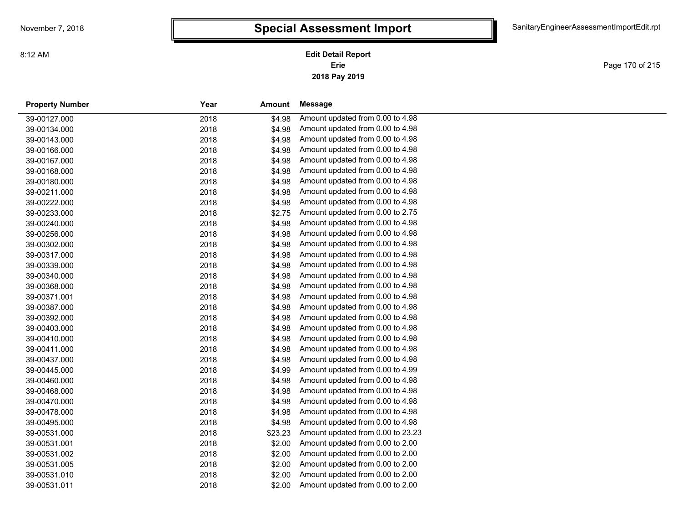Page 170 of 215

| <b>Property Number</b> | Year | Amount  | Message                           |
|------------------------|------|---------|-----------------------------------|
| 39-00127.000           | 2018 | \$4.98  | Amount updated from 0.00 to 4.98  |
| 39-00134.000           | 2018 | \$4.98  | Amount updated from 0.00 to 4.98  |
| 39-00143.000           | 2018 | \$4.98  | Amount updated from 0.00 to 4.98  |
| 39-00166.000           | 2018 | \$4.98  | Amount updated from 0.00 to 4.98  |
| 39-00167.000           | 2018 | \$4.98  | Amount updated from 0.00 to 4.98  |
| 39-00168.000           | 2018 | \$4.98  | Amount updated from 0.00 to 4.98  |
| 39-00180.000           | 2018 | \$4.98  | Amount updated from 0.00 to 4.98  |
| 39-00211.000           | 2018 | \$4.98  | Amount updated from 0.00 to 4.98  |
| 39-00222.000           | 2018 | \$4.98  | Amount updated from 0.00 to 4.98  |
| 39-00233.000           | 2018 | \$2.75  | Amount updated from 0.00 to 2.75  |
| 39-00240.000           | 2018 | \$4.98  | Amount updated from 0.00 to 4.98  |
| 39-00256.000           | 2018 | \$4.98  | Amount updated from 0.00 to 4.98  |
| 39-00302.000           | 2018 | \$4.98  | Amount updated from 0.00 to 4.98  |
| 39-00317.000           | 2018 | \$4.98  | Amount updated from 0.00 to 4.98  |
| 39-00339.000           | 2018 | \$4.98  | Amount updated from 0.00 to 4.98  |
| 39-00340.000           | 2018 | \$4.98  | Amount updated from 0.00 to 4.98  |
| 39-00368.000           | 2018 | \$4.98  | Amount updated from 0.00 to 4.98  |
| 39-00371.001           | 2018 | \$4.98  | Amount updated from 0.00 to 4.98  |
| 39-00387.000           | 2018 | \$4.98  | Amount updated from 0.00 to 4.98  |
| 39-00392.000           | 2018 | \$4.98  | Amount updated from 0.00 to 4.98  |
| 39-00403.000           | 2018 | \$4.98  | Amount updated from 0.00 to 4.98  |
| 39-00410.000           | 2018 | \$4.98  | Amount updated from 0.00 to 4.98  |
| 39-00411.000           | 2018 | \$4.98  | Amount updated from 0.00 to 4.98  |
| 39-00437.000           | 2018 | \$4.98  | Amount updated from 0.00 to 4.98  |
| 39-00445.000           | 2018 | \$4.99  | Amount updated from 0.00 to 4.99  |
| 39-00460.000           | 2018 | \$4.98  | Amount updated from 0.00 to 4.98  |
| 39-00468.000           | 2018 | \$4.98  | Amount updated from 0.00 to 4.98  |
| 39-00470.000           | 2018 | \$4.98  | Amount updated from 0.00 to 4.98  |
| 39-00478.000           | 2018 | \$4.98  | Amount updated from 0.00 to 4.98  |
| 39-00495.000           | 2018 | \$4.98  | Amount updated from 0.00 to 4.98  |
| 39-00531.000           | 2018 | \$23.23 | Amount updated from 0.00 to 23.23 |
| 39-00531.001           | 2018 | \$2.00  | Amount updated from 0.00 to 2.00  |
| 39-00531.002           | 2018 | \$2.00  | Amount updated from 0.00 to 2.00  |
| 39-00531.005           | 2018 | \$2.00  | Amount updated from 0.00 to 2.00  |
| 39-00531.010           | 2018 | \$2.00  | Amount updated from 0.00 to 2.00  |
| 39-00531.011           | 2018 | \$2.00  | Amount updated from 0.00 to 2.00  |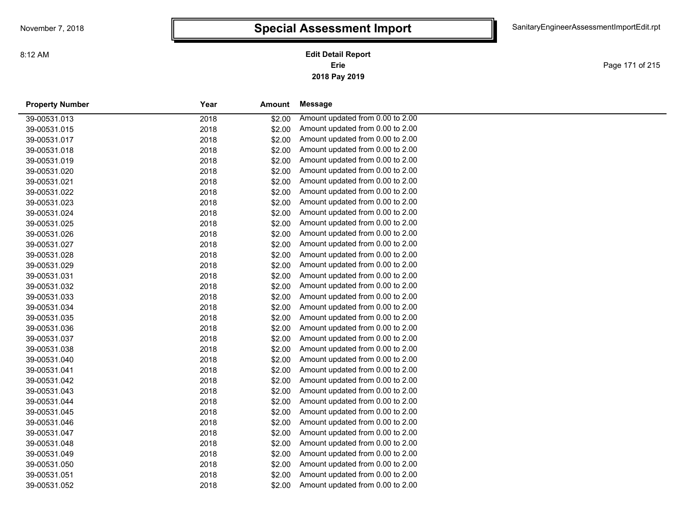**2018 Pay 2019 Erie Edit Detail Report**

Page 171 of 215

| <b>Property Number</b> | Year | Amount | Message                          |  |
|------------------------|------|--------|----------------------------------|--|
| 39-00531.013           | 2018 | \$2.00 | Amount updated from 0.00 to 2.00 |  |
| 39-00531.015           | 2018 | \$2.00 | Amount updated from 0.00 to 2.00 |  |
| 39-00531.017           | 2018 | \$2.00 | Amount updated from 0.00 to 2.00 |  |
| 39-00531.018           | 2018 | \$2.00 | Amount updated from 0.00 to 2.00 |  |
| 39-00531.019           | 2018 | \$2.00 | Amount updated from 0.00 to 2.00 |  |
| 39-00531.020           | 2018 | \$2.00 | Amount updated from 0.00 to 2.00 |  |
| 39-00531.021           | 2018 | \$2.00 | Amount updated from 0.00 to 2.00 |  |
| 39-00531.022           | 2018 | \$2.00 | Amount updated from 0.00 to 2.00 |  |
| 39-00531.023           | 2018 | \$2.00 | Amount updated from 0.00 to 2.00 |  |
| 39-00531.024           | 2018 | \$2.00 | Amount updated from 0.00 to 2.00 |  |
| 39-00531.025           | 2018 | \$2.00 | Amount updated from 0.00 to 2.00 |  |
| 39-00531.026           | 2018 | \$2.00 | Amount updated from 0.00 to 2.00 |  |
| 39-00531.027           | 2018 | \$2.00 | Amount updated from 0.00 to 2.00 |  |
| 39-00531.028           | 2018 | \$2.00 | Amount updated from 0.00 to 2.00 |  |
| 39-00531.029           | 2018 | \$2.00 | Amount updated from 0.00 to 2.00 |  |
| 39-00531.031           | 2018 | \$2.00 | Amount updated from 0.00 to 2.00 |  |
| 39-00531.032           | 2018 | \$2.00 | Amount updated from 0.00 to 2.00 |  |
| 39-00531.033           | 2018 | \$2.00 | Amount updated from 0.00 to 2.00 |  |
| 39-00531.034           | 2018 | \$2.00 | Amount updated from 0.00 to 2.00 |  |
| 39-00531.035           | 2018 | \$2.00 | Amount updated from 0.00 to 2.00 |  |
| 39-00531.036           | 2018 | \$2.00 | Amount updated from 0.00 to 2.00 |  |
| 39-00531.037           | 2018 | \$2.00 | Amount updated from 0.00 to 2.00 |  |
| 39-00531.038           | 2018 | \$2.00 | Amount updated from 0.00 to 2.00 |  |
| 39-00531.040           | 2018 | \$2.00 | Amount updated from 0.00 to 2.00 |  |
| 39-00531.041           | 2018 | \$2.00 | Amount updated from 0.00 to 2.00 |  |
| 39-00531.042           | 2018 | \$2.00 | Amount updated from 0.00 to 2.00 |  |
| 39-00531.043           | 2018 | \$2.00 | Amount updated from 0.00 to 2.00 |  |
| 39-00531.044           | 2018 | \$2.00 | Amount updated from 0.00 to 2.00 |  |
| 39-00531.045           | 2018 | \$2.00 | Amount updated from 0.00 to 2.00 |  |
| 39-00531.046           | 2018 | \$2.00 | Amount updated from 0.00 to 2.00 |  |
| 39-00531.047           | 2018 | \$2.00 | Amount updated from 0.00 to 2.00 |  |
| 39-00531.048           | 2018 | \$2.00 | Amount updated from 0.00 to 2.00 |  |
| 39-00531.049           | 2018 | \$2.00 | Amount updated from 0.00 to 2.00 |  |
| 39-00531.050           | 2018 | \$2.00 | Amount updated from 0.00 to 2.00 |  |
| 39-00531.051           | 2018 | \$2.00 | Amount updated from 0.00 to 2.00 |  |
| 39-00531.052           | 2018 | \$2.00 | Amount updated from 0.00 to 2.00 |  |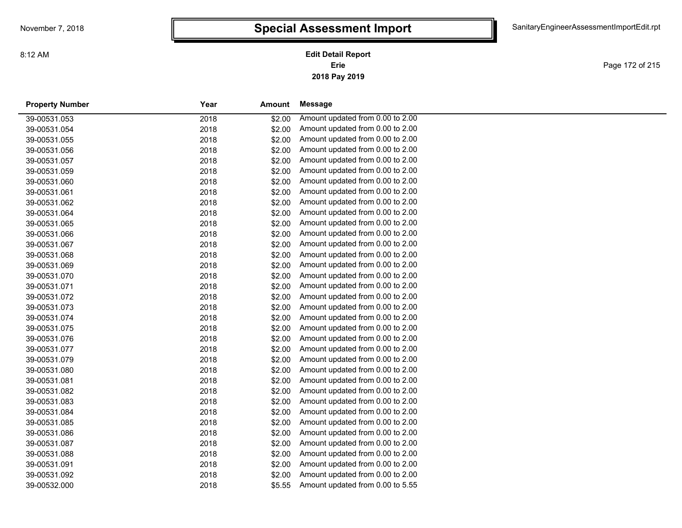**2018 Pay 2019 Erie Edit Detail Report**

Page 172 of 215

| <b>Property Number</b> | Year | Amount | Message                          |
|------------------------|------|--------|----------------------------------|
| 39-00531.053           | 2018 | \$2.00 | Amount updated from 0.00 to 2.00 |
| 39-00531.054           | 2018 | \$2.00 | Amount updated from 0.00 to 2.00 |
| 39-00531.055           | 2018 | \$2.00 | Amount updated from 0.00 to 2.00 |
| 39-00531.056           | 2018 | \$2.00 | Amount updated from 0.00 to 2.00 |
| 39-00531.057           | 2018 | \$2.00 | Amount updated from 0.00 to 2.00 |
| 39-00531.059           | 2018 | \$2.00 | Amount updated from 0.00 to 2.00 |
| 39-00531.060           | 2018 | \$2.00 | Amount updated from 0.00 to 2.00 |
| 39-00531.061           | 2018 | \$2.00 | Amount updated from 0.00 to 2.00 |
| 39-00531.062           | 2018 | \$2.00 | Amount updated from 0.00 to 2.00 |
| 39-00531.064           | 2018 | \$2.00 | Amount updated from 0.00 to 2.00 |
| 39-00531.065           | 2018 | \$2.00 | Amount updated from 0.00 to 2.00 |
| 39-00531.066           | 2018 | \$2.00 | Amount updated from 0.00 to 2.00 |
| 39-00531.067           | 2018 | \$2.00 | Amount updated from 0.00 to 2.00 |
| 39-00531.068           | 2018 | \$2.00 | Amount updated from 0.00 to 2.00 |
| 39-00531.069           | 2018 | \$2.00 | Amount updated from 0.00 to 2.00 |
| 39-00531.070           | 2018 | \$2.00 | Amount updated from 0.00 to 2.00 |
| 39-00531.071           | 2018 | \$2.00 | Amount updated from 0.00 to 2.00 |
| 39-00531.072           | 2018 | \$2.00 | Amount updated from 0.00 to 2.00 |
| 39-00531.073           | 2018 | \$2.00 | Amount updated from 0.00 to 2.00 |
| 39-00531.074           | 2018 | \$2.00 | Amount updated from 0.00 to 2.00 |
| 39-00531.075           | 2018 | \$2.00 | Amount updated from 0.00 to 2.00 |
| 39-00531.076           | 2018 | \$2.00 | Amount updated from 0.00 to 2.00 |
| 39-00531.077           | 2018 | \$2.00 | Amount updated from 0.00 to 2.00 |
| 39-00531.079           | 2018 | \$2.00 | Amount updated from 0.00 to 2.00 |
| 39-00531.080           | 2018 | \$2.00 | Amount updated from 0.00 to 2.00 |
| 39-00531.081           | 2018 | \$2.00 | Amount updated from 0.00 to 2.00 |
| 39-00531.082           | 2018 | \$2.00 | Amount updated from 0.00 to 2.00 |
| 39-00531.083           | 2018 | \$2.00 | Amount updated from 0.00 to 2.00 |
| 39-00531.084           | 2018 | \$2.00 | Amount updated from 0.00 to 2.00 |
| 39-00531.085           | 2018 | \$2.00 | Amount updated from 0.00 to 2.00 |
| 39-00531.086           | 2018 | \$2.00 | Amount updated from 0.00 to 2.00 |
| 39-00531.087           | 2018 | \$2.00 | Amount updated from 0.00 to 2.00 |
| 39-00531.088           | 2018 | \$2.00 | Amount updated from 0.00 to 2.00 |
| 39-00531.091           | 2018 | \$2.00 | Amount updated from 0.00 to 2.00 |
| 39-00531.092           | 2018 | \$2.00 | Amount updated from 0.00 to 2.00 |
| 39-00532.000           | 2018 | \$5.55 | Amount updated from 0.00 to 5.55 |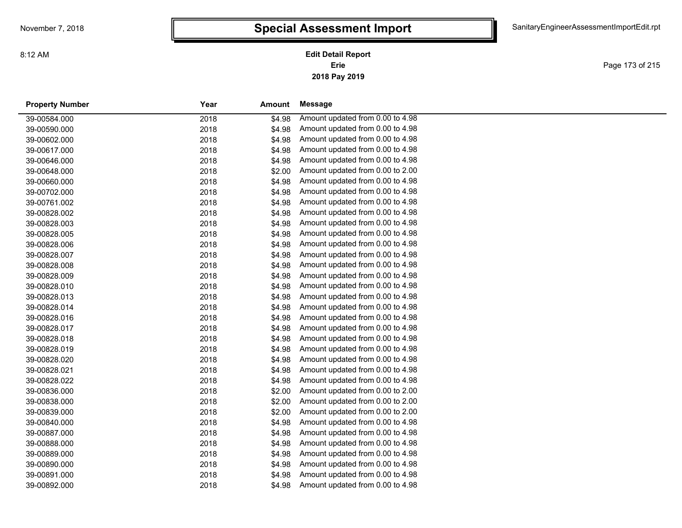Page 173 of 215

| <b>Property Number</b> | Year | Amount | Message                          |
|------------------------|------|--------|----------------------------------|
| 39-00584.000           | 2018 | \$4.98 | Amount updated from 0.00 to 4.98 |
| 39-00590.000           | 2018 | \$4.98 | Amount updated from 0.00 to 4.98 |
| 39-00602.000           | 2018 | \$4.98 | Amount updated from 0.00 to 4.98 |
| 39-00617.000           | 2018 | \$4.98 | Amount updated from 0.00 to 4.98 |
| 39-00646.000           | 2018 | \$4.98 | Amount updated from 0.00 to 4.98 |
| 39-00648.000           | 2018 | \$2.00 | Amount updated from 0.00 to 2.00 |
| 39-00660.000           | 2018 | \$4.98 | Amount updated from 0.00 to 4.98 |
| 39-00702.000           | 2018 | \$4.98 | Amount updated from 0.00 to 4.98 |
| 39-00761.002           | 2018 | \$4.98 | Amount updated from 0.00 to 4.98 |
| 39-00828.002           | 2018 | \$4.98 | Amount updated from 0.00 to 4.98 |
| 39-00828.003           | 2018 | \$4.98 | Amount updated from 0.00 to 4.98 |
| 39-00828.005           | 2018 | \$4.98 | Amount updated from 0.00 to 4.98 |
| 39-00828.006           | 2018 | \$4.98 | Amount updated from 0.00 to 4.98 |
| 39-00828.007           | 2018 | \$4.98 | Amount updated from 0.00 to 4.98 |
| 39-00828.008           | 2018 | \$4.98 | Amount updated from 0.00 to 4.98 |
| 39-00828.009           | 2018 | \$4.98 | Amount updated from 0.00 to 4.98 |
| 39-00828.010           | 2018 | \$4.98 | Amount updated from 0.00 to 4.98 |
| 39-00828.013           | 2018 | \$4.98 | Amount updated from 0.00 to 4.98 |
| 39-00828.014           | 2018 | \$4.98 | Amount updated from 0.00 to 4.98 |
| 39-00828.016           | 2018 | \$4.98 | Amount updated from 0.00 to 4.98 |
| 39-00828.017           | 2018 | \$4.98 | Amount updated from 0.00 to 4.98 |
| 39-00828.018           | 2018 | \$4.98 | Amount updated from 0.00 to 4.98 |
| 39-00828.019           | 2018 | \$4.98 | Amount updated from 0.00 to 4.98 |
| 39-00828.020           | 2018 | \$4.98 | Amount updated from 0.00 to 4.98 |
| 39-00828.021           | 2018 | \$4.98 | Amount updated from 0.00 to 4.98 |
| 39-00828.022           | 2018 | \$4.98 | Amount updated from 0.00 to 4.98 |
| 39-00836.000           | 2018 | \$2.00 | Amount updated from 0.00 to 2.00 |
| 39-00838.000           | 2018 | \$2.00 | Amount updated from 0.00 to 2.00 |
| 39-00839.000           | 2018 | \$2.00 | Amount updated from 0.00 to 2.00 |
| 39-00840.000           | 2018 | \$4.98 | Amount updated from 0.00 to 4.98 |
| 39-00887.000           | 2018 | \$4.98 | Amount updated from 0.00 to 4.98 |
| 39-00888.000           | 2018 | \$4.98 | Amount updated from 0.00 to 4.98 |
| 39-00889.000           | 2018 | \$4.98 | Amount updated from 0.00 to 4.98 |
| 39-00890.000           | 2018 | \$4.98 | Amount updated from 0.00 to 4.98 |
| 39-00891.000           | 2018 | \$4.98 | Amount updated from 0.00 to 4.98 |
| 39-00892.000           | 2018 | \$4.98 | Amount updated from 0.00 to 4.98 |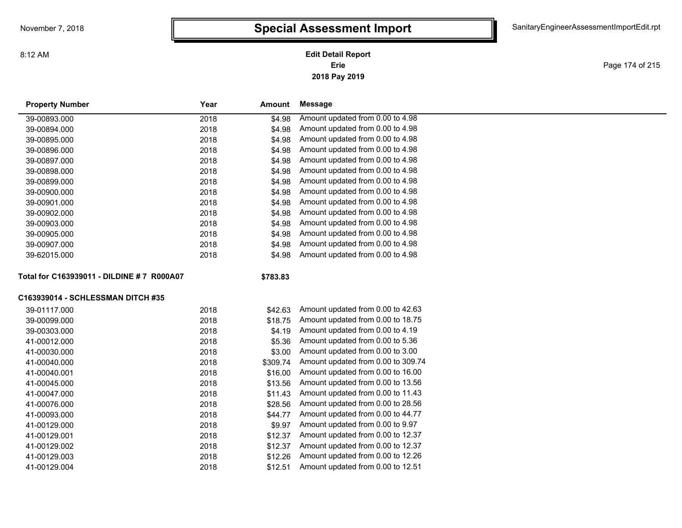### **2018 Pay 2019 Erie Edit Detail Report**

Page 174 of 215

| <b>Property Number</b>                     | Year | Amount   | <b>Message</b>                     |
|--------------------------------------------|------|----------|------------------------------------|
| 39-00893.000                               | 2018 | \$4.98   | Amount updated from 0.00 to 4.98   |
| 39-00894.000                               | 2018 | \$4.98   | Amount updated from 0.00 to 4.98   |
| 39-00895.000                               | 2018 | \$4.98   | Amount updated from 0.00 to 4.98   |
| 39-00896.000                               | 2018 | \$4.98   | Amount updated from 0.00 to 4.98   |
| 39-00897.000                               | 2018 | \$4.98   | Amount updated from 0.00 to 4.98   |
| 39-00898.000                               | 2018 | \$4.98   | Amount updated from 0.00 to 4.98   |
| 39-00899.000                               | 2018 | \$4.98   | Amount updated from 0.00 to 4.98   |
| 39-00900.000                               | 2018 | \$4.98   | Amount updated from 0.00 to 4.98   |
| 39-00901.000                               | 2018 | \$4.98   | Amount updated from 0.00 to 4.98   |
| 39-00902.000                               | 2018 | \$4.98   | Amount updated from 0.00 to 4.98   |
| 39-00903.000                               | 2018 | \$4.98   | Amount updated from 0.00 to 4.98   |
| 39-00905.000                               | 2018 | \$4.98   | Amount updated from 0.00 to 4.98   |
| 39-00907.000                               | 2018 | \$4.98   | Amount updated from 0.00 to 4.98   |
| 39-62015.000                               | 2018 | \$4.98   | Amount updated from 0.00 to 4.98   |
| Total for C163939011 - DILDINE # 7 R000A07 |      | \$783.83 |                                    |
| C163939014 - SCHLESSMAN DITCH #35          |      |          |                                    |
| 39-01117.000                               | 2018 | \$42.63  | Amount updated from 0.00 to 42.63  |
| 39-00099.000                               | 2018 | \$18.75  | Amount updated from 0.00 to 18.75  |
| 39-00303.000                               | 2018 | \$4.19   | Amount updated from 0.00 to 4.19   |
| 41-00012.000                               | 2018 | \$5.36   | Amount updated from 0.00 to 5.36   |
| 41-00030.000                               | 2018 | \$3.00   | Amount updated from 0.00 to 3.00   |
| 41-00040.000                               | 2018 | \$309.74 | Amount updated from 0.00 to 309.74 |
| 41-00040.001                               | 2018 | \$16.00  | Amount updated from 0.00 to 16.00  |
| 41-00045.000                               | 2018 | \$13.56  | Amount updated from 0.00 to 13.56  |
| 41-00047.000                               | 2018 | \$11.43  | Amount updated from 0.00 to 11.43  |
| 41-00076.000                               | 2018 | \$28.56  | Amount updated from 0.00 to 28.56  |
| 41-00093.000                               | 2018 | \$44.77  | Amount updated from 0.00 to 44.77  |
| 41-00129.000                               | 2018 | \$9.97   | Amount updated from 0.00 to 9.97   |
| 41-00129.001                               | 2018 | \$12.37  | Amount updated from 0.00 to 12.37  |
| 41-00129.002                               | 2018 | \$12.37  | Amount updated from 0.00 to 12.37  |
| 41-00129.003                               | 2018 | \$12.26  | Amount updated from 0.00 to 12.26  |
| 41-00129.004                               | 2018 | \$12.51  | Amount updated from 0.00 to 12.51  |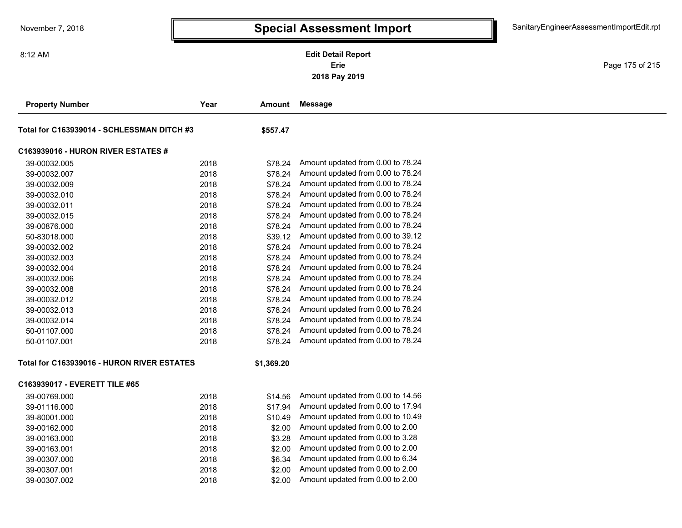**2018 Pay 2019 Erie Edit Detail Report**

Page 175 of 215

| <b>Property Number</b>                     | Year | Amount     | <b>Message</b>                    |
|--------------------------------------------|------|------------|-----------------------------------|
| Total for C163939014 - SCHLESSMAN DITCH #3 |      | \$557.47   |                                   |
| <b>C163939016 - HURON RIVER ESTATES #</b>  |      |            |                                   |
| 39-00032.005                               | 2018 | \$78.24    | Amount updated from 0.00 to 78.24 |
| 39-00032.007                               | 2018 | \$78.24    | Amount updated from 0.00 to 78.24 |
| 39-00032.009                               | 2018 | \$78.24    | Amount updated from 0.00 to 78.24 |
| 39-00032.010                               | 2018 | \$78.24    | Amount updated from 0.00 to 78.24 |
| 39-00032.011                               | 2018 | \$78.24    | Amount updated from 0.00 to 78.24 |
| 39-00032.015                               | 2018 | \$78.24    | Amount updated from 0.00 to 78.24 |
| 39-00876.000                               | 2018 | \$78.24    | Amount updated from 0.00 to 78.24 |
| 50-83018.000                               | 2018 | \$39.12    | Amount updated from 0.00 to 39.12 |
| 39-00032.002                               | 2018 | \$78.24    | Amount updated from 0.00 to 78.24 |
| 39-00032.003                               | 2018 | \$78.24    | Amount updated from 0.00 to 78.24 |
| 39-00032.004                               | 2018 | \$78.24    | Amount updated from 0.00 to 78.24 |
| 39-00032.006                               | 2018 | \$78.24    | Amount updated from 0.00 to 78.24 |
| 39-00032.008                               | 2018 | \$78.24    | Amount updated from 0.00 to 78.24 |
| 39-00032.012                               | 2018 | \$78.24    | Amount updated from 0.00 to 78.24 |
| 39-00032.013                               | 2018 | \$78.24    | Amount updated from 0.00 to 78.24 |
| 39-00032.014                               | 2018 | \$78.24    | Amount updated from 0.00 to 78.24 |
| 50-01107.000                               | 2018 | \$78.24    | Amount updated from 0.00 to 78.24 |
| 50-01107.001                               | 2018 | \$78.24    | Amount updated from 0.00 to 78.24 |
| Total for C163939016 - HURON RIVER ESTATES |      | \$1,369.20 |                                   |
| C163939017 - EVERETT TILE #65              |      |            |                                   |
| 39-00769.000                               | 2018 | \$14.56    | Amount updated from 0.00 to 14.56 |
| 39-01116.000                               | 2018 | \$17.94    | Amount updated from 0.00 to 17.94 |
| 39-80001.000                               | 2018 | \$10.49    | Amount updated from 0.00 to 10.49 |
| 39-00162.000                               | 2018 | \$2.00     | Amount updated from 0.00 to 2.00  |
| 39-00163.000                               | 2018 | \$3.28     | Amount updated from 0.00 to 3.28  |
| 39-00163.001                               | 2018 | \$2.00     | Amount updated from 0.00 to 2.00  |
| 39-00307.000                               | 2018 | \$6.34     | Amount updated from 0.00 to 6.34  |
| 39-00307.001                               | 2018 | \$2.00     | Amount updated from 0.00 to 2.00  |
| 39-00307.002                               | 2018 | \$2.00     | Amount updated from 0.00 to 2.00  |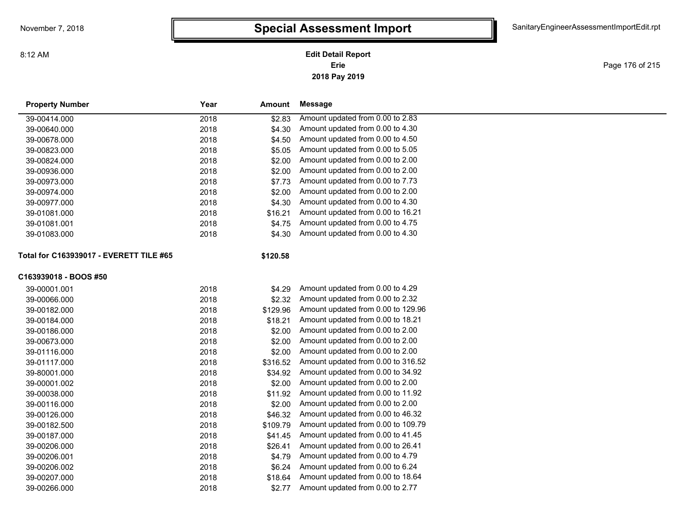**2018 Pay 2019 Erie Edit Detail Report**

Page 176 of 215

| <b>Property Number</b>                  | Year | Amount   | Message                            |
|-----------------------------------------|------|----------|------------------------------------|
| 39-00414.000                            | 2018 | \$2.83   | Amount updated from 0.00 to 2.83   |
| 39-00640.000                            | 2018 | \$4.30   | Amount updated from 0.00 to 4.30   |
| 39-00678.000                            | 2018 | \$4.50   | Amount updated from 0.00 to 4.50   |
| 39-00823.000                            | 2018 | \$5.05   | Amount updated from 0.00 to 5.05   |
| 39-00824.000                            | 2018 | \$2.00   | Amount updated from 0.00 to 2.00   |
| 39-00936.000                            | 2018 | \$2.00   | Amount updated from 0.00 to 2.00   |
| 39-00973.000                            | 2018 | \$7.73   | Amount updated from 0.00 to 7.73   |
| 39-00974.000                            | 2018 | \$2.00   | Amount updated from 0.00 to 2.00   |
| 39-00977.000                            | 2018 | \$4.30   | Amount updated from 0.00 to 4.30   |
| 39-01081.000                            | 2018 | \$16.21  | Amount updated from 0.00 to 16.21  |
| 39-01081.001                            | 2018 | \$4.75   | Amount updated from 0.00 to 4.75   |
| 39-01083.000                            | 2018 | \$4.30   | Amount updated from 0.00 to 4.30   |
| Total for C163939017 - EVERETT TILE #65 |      | \$120.58 |                                    |
| C163939018 - BOOS #50                   |      |          |                                    |
| 39-00001.001                            | 2018 | \$4.29   | Amount updated from 0.00 to 4.29   |
| 39-00066.000                            | 2018 | \$2.32   | Amount updated from 0.00 to 2.32   |
| 39-00182.000                            | 2018 | \$129.96 | Amount updated from 0.00 to 129.96 |
| 39-00184.000                            | 2018 | \$18.21  | Amount updated from 0.00 to 18.21  |
| 39-00186.000                            | 2018 | \$2.00   | Amount updated from 0.00 to 2.00   |
| 39-00673.000                            | 2018 | \$2.00   | Amount updated from 0.00 to 2.00   |
| 39-01116.000                            | 2018 | \$2.00   | Amount updated from 0.00 to 2.00   |
| 39-01117.000                            | 2018 | \$316.52 | Amount updated from 0.00 to 316.52 |
| 39-80001.000                            | 2018 | \$34.92  | Amount updated from 0.00 to 34.92  |
| 39-00001.002                            | 2018 | \$2.00   | Amount updated from 0.00 to 2.00   |
| 39-00038.000                            | 2018 | \$11.92  | Amount updated from 0.00 to 11.92  |
| 39-00116.000                            | 2018 | \$2.00   | Amount updated from 0.00 to 2.00   |
| 39-00126.000                            | 2018 | \$46.32  | Amount updated from 0.00 to 46.32  |
| 39-00182.500                            | 2018 | \$109.79 | Amount updated from 0.00 to 109.79 |
| 39-00187.000                            | 2018 | \$41.45  | Amount updated from 0.00 to 41.45  |
| 39-00206.000                            | 2018 | \$26.41  | Amount updated from 0.00 to 26.41  |
| 39-00206.001                            | 2018 | \$4.79   | Amount updated from 0.00 to 4.79   |
| 39-00206.002                            | 2018 | \$6.24   | Amount updated from 0.00 to 6.24   |
| 39-00207.000                            | 2018 | \$18.64  | Amount updated from 0.00 to 18.64  |
| 39-00266.000                            | 2018 | \$2.77   | Amount updated from 0.00 to 2.77   |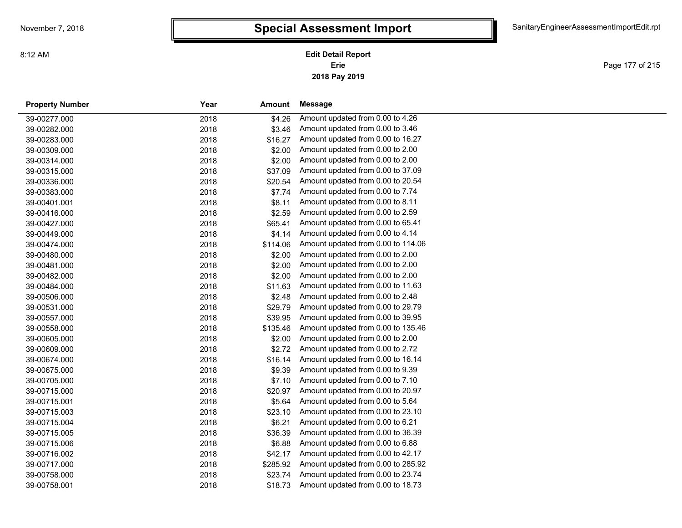Page 177 of 215

| <b>Property Number</b> | Year | Amount   | Message                            |
|------------------------|------|----------|------------------------------------|
| 39-00277.000           | 2018 | \$4.26   | Amount updated from 0.00 to 4.26   |
| 39-00282.000           | 2018 | \$3.46   | Amount updated from 0.00 to 3.46   |
| 39-00283.000           | 2018 | \$16.27  | Amount updated from 0.00 to 16.27  |
| 39-00309.000           | 2018 | \$2.00   | Amount updated from 0.00 to 2.00   |
| 39-00314.000           | 2018 | \$2.00   | Amount updated from 0.00 to 2.00   |
| 39-00315.000           | 2018 | \$37.09  | Amount updated from 0.00 to 37.09  |
| 39-00336.000           | 2018 | \$20.54  | Amount updated from 0.00 to 20.54  |
| 39-00383.000           | 2018 | \$7.74   | Amount updated from 0.00 to 7.74   |
| 39-00401.001           | 2018 | \$8.11   | Amount updated from 0.00 to 8.11   |
| 39-00416.000           | 2018 | \$2.59   | Amount updated from 0.00 to 2.59   |
| 39-00427.000           | 2018 | \$65.41  | Amount updated from 0.00 to 65.41  |
| 39-00449.000           | 2018 | \$4.14   | Amount updated from 0.00 to 4.14   |
| 39-00474.000           | 2018 | \$114.06 | Amount updated from 0.00 to 114.06 |
| 39-00480.000           | 2018 | \$2.00   | Amount updated from 0.00 to 2.00   |
| 39-00481.000           | 2018 | \$2.00   | Amount updated from 0.00 to 2.00   |
| 39-00482.000           | 2018 | \$2.00   | Amount updated from 0.00 to 2.00   |
| 39-00484.000           | 2018 | \$11.63  | Amount updated from 0.00 to 11.63  |
| 39-00506.000           | 2018 | \$2.48   | Amount updated from 0.00 to 2.48   |
| 39-00531.000           | 2018 | \$29.79  | Amount updated from 0.00 to 29.79  |
| 39-00557.000           | 2018 | \$39.95  | Amount updated from 0.00 to 39.95  |
| 39-00558.000           | 2018 | \$135.46 | Amount updated from 0.00 to 135.46 |
| 39-00605.000           | 2018 | \$2.00   | Amount updated from 0.00 to 2.00   |
| 39-00609.000           | 2018 | \$2.72   | Amount updated from 0.00 to 2.72   |
| 39-00674.000           | 2018 | \$16.14  | Amount updated from 0.00 to 16.14  |
| 39-00675.000           | 2018 | \$9.39   | Amount updated from 0.00 to 9.39   |
| 39-00705.000           | 2018 | \$7.10   | Amount updated from 0.00 to 7.10   |
| 39-00715.000           | 2018 | \$20.97  | Amount updated from 0.00 to 20.97  |
| 39-00715.001           | 2018 | \$5.64   | Amount updated from 0.00 to 5.64   |
| 39-00715.003           | 2018 | \$23.10  | Amount updated from 0.00 to 23.10  |
| 39-00715.004           | 2018 | \$6.21   | Amount updated from 0.00 to 6.21   |
| 39-00715.005           | 2018 | \$36.39  | Amount updated from 0.00 to 36.39  |
| 39-00715.006           | 2018 | \$6.88   | Amount updated from 0.00 to 6.88   |
| 39-00716.002           | 2018 | \$42.17  | Amount updated from 0.00 to 42.17  |
| 39-00717.000           | 2018 | \$285.92 | Amount updated from 0.00 to 285.92 |
| 39-00758.000           | 2018 | \$23.74  | Amount updated from 0.00 to 23.74  |
| 39-00758.001           | 2018 | \$18.73  | Amount updated from 0.00 to 18.73  |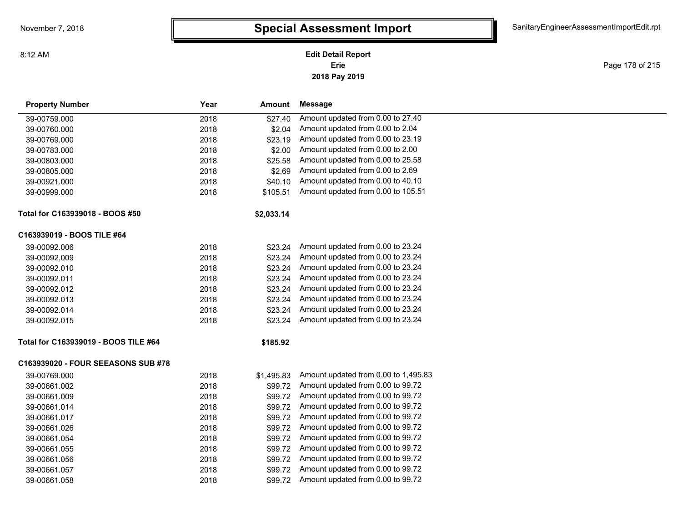### **2018 Pay 2019 Erie Edit Detail Report**

Page 178 of 215

| <b>Property Number</b>               | Year | Amount     | Message                              |  |
|--------------------------------------|------|------------|--------------------------------------|--|
| 39-00759.000                         | 2018 | \$27.40    | Amount updated from 0.00 to 27.40    |  |
| 39-00760.000                         | 2018 | \$2.04     | Amount updated from 0.00 to 2.04     |  |
| 39-00769.000                         | 2018 | \$23.19    | Amount updated from 0.00 to 23.19    |  |
| 39-00783.000                         | 2018 | \$2.00     | Amount updated from 0.00 to 2.00     |  |
| 39-00803.000                         | 2018 | \$25.58    | Amount updated from 0.00 to 25.58    |  |
| 39-00805.000                         | 2018 | \$2.69     | Amount updated from 0.00 to 2.69     |  |
| 39-00921.000                         | 2018 | \$40.10    | Amount updated from 0.00 to 40.10    |  |
| 39-00999.000                         | 2018 | \$105.51   | Amount updated from 0.00 to 105.51   |  |
| Total for C163939018 - BOOS #50      |      | \$2,033.14 |                                      |  |
| C163939019 - BOOS TILE #64           |      |            |                                      |  |
| 39-00092.006                         | 2018 | \$23.24    | Amount updated from 0.00 to 23.24    |  |
| 39-00092.009                         | 2018 | \$23.24    | Amount updated from 0.00 to 23.24    |  |
| 39-00092.010                         | 2018 | \$23.24    | Amount updated from 0.00 to 23.24    |  |
| 39-00092.011                         | 2018 | \$23.24    | Amount updated from 0.00 to 23.24    |  |
| 39-00092.012                         | 2018 | \$23.24    | Amount updated from 0.00 to 23.24    |  |
| 39-00092.013                         | 2018 | \$23.24    | Amount updated from 0.00 to 23.24    |  |
| 39-00092.014                         | 2018 | \$23.24    | Amount updated from 0.00 to 23.24    |  |
| 39-00092.015                         | 2018 | \$23.24    | Amount updated from 0.00 to 23.24    |  |
| Total for C163939019 - BOOS TILE #64 |      | \$185.92   |                                      |  |
| C163939020 - FOUR SEEASONS SUB #78   |      |            |                                      |  |
| 39-00769.000                         | 2018 | \$1,495.83 | Amount updated from 0.00 to 1,495.83 |  |
| 39-00661.002                         | 2018 | \$99.72    | Amount updated from 0.00 to 99.72    |  |
| 39-00661.009                         | 2018 | \$99.72    | Amount updated from 0.00 to 99.72    |  |
| 39-00661.014                         | 2018 | \$99.72    | Amount updated from 0.00 to 99.72    |  |
| 39-00661.017                         | 2018 | \$99.72    | Amount updated from 0.00 to 99.72    |  |
| 39-00661.026                         | 2018 | \$99.72    | Amount updated from 0.00 to 99.72    |  |
| 39-00661.054                         | 2018 | \$99.72    | Amount updated from 0.00 to 99.72    |  |
| 39-00661.055                         | 2018 | \$99.72    | Amount updated from 0.00 to 99.72    |  |
| 39-00661.056                         | 2018 | \$99.72    | Amount updated from 0.00 to 99.72    |  |
| 39-00661.057                         | 2018 | \$99.72    | Amount updated from 0.00 to 99.72    |  |
| 39-00661.058                         | 2018 | \$99.72    | Amount updated from 0.00 to 99.72    |  |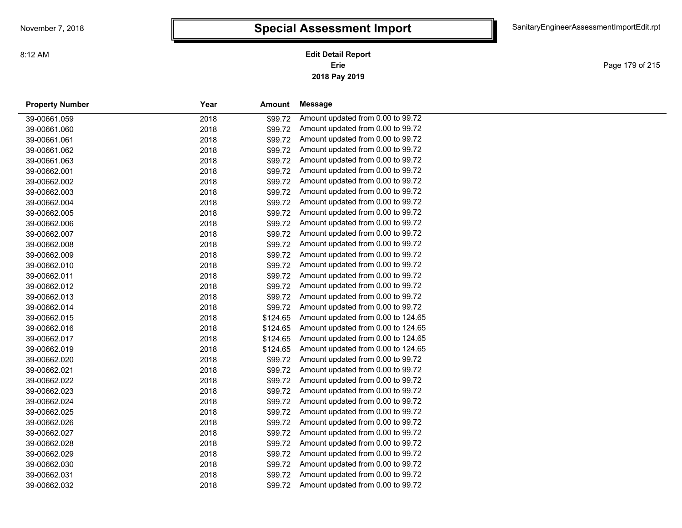**2018 Pay 2019 Erie Edit Detail Report**

Page 179 of 215

| <b>Property Number</b> | Year | Amount   | Message                            |
|------------------------|------|----------|------------------------------------|
| 39-00661.059           | 2018 | \$99.72  | Amount updated from 0.00 to 99.72  |
| 39-00661.060           | 2018 | \$99.72  | Amount updated from 0.00 to 99.72  |
| 39-00661.061           | 2018 | \$99.72  | Amount updated from 0.00 to 99.72  |
| 39-00661.062           | 2018 | \$99.72  | Amount updated from 0.00 to 99.72  |
| 39-00661.063           | 2018 | \$99.72  | Amount updated from 0.00 to 99.72  |
| 39-00662.001           | 2018 | \$99.72  | Amount updated from 0.00 to 99.72  |
| 39-00662.002           | 2018 | \$99.72  | Amount updated from 0.00 to 99.72  |
| 39-00662.003           | 2018 | \$99.72  | Amount updated from 0.00 to 99.72  |
| 39-00662.004           | 2018 | \$99.72  | Amount updated from 0.00 to 99.72  |
| 39-00662.005           | 2018 | \$99.72  | Amount updated from 0.00 to 99.72  |
| 39-00662.006           | 2018 | \$99.72  | Amount updated from 0.00 to 99.72  |
| 39-00662.007           | 2018 | \$99.72  | Amount updated from 0.00 to 99.72  |
| 39-00662.008           | 2018 | \$99.72  | Amount updated from 0.00 to 99.72  |
| 39-00662.009           | 2018 | \$99.72  | Amount updated from 0.00 to 99.72  |
| 39-00662.010           | 2018 | \$99.72  | Amount updated from 0.00 to 99.72  |
| 39-00662.011           | 2018 | \$99.72  | Amount updated from 0.00 to 99.72  |
| 39-00662.012           | 2018 | \$99.72  | Amount updated from 0.00 to 99.72  |
| 39-00662.013           | 2018 | \$99.72  | Amount updated from 0.00 to 99.72  |
| 39-00662.014           | 2018 | \$99.72  | Amount updated from 0.00 to 99.72  |
| 39-00662.015           | 2018 | \$124.65 | Amount updated from 0.00 to 124.65 |
| 39-00662.016           | 2018 | \$124.65 | Amount updated from 0.00 to 124.65 |
| 39-00662.017           | 2018 | \$124.65 | Amount updated from 0.00 to 124.65 |
| 39-00662.019           | 2018 | \$124.65 | Amount updated from 0.00 to 124.65 |
| 39-00662.020           | 2018 | \$99.72  | Amount updated from 0.00 to 99.72  |
| 39-00662.021           | 2018 | \$99.72  | Amount updated from 0.00 to 99.72  |
| 39-00662.022           | 2018 | \$99.72  | Amount updated from 0.00 to 99.72  |
| 39-00662.023           | 2018 | \$99.72  | Amount updated from 0.00 to 99.72  |
| 39-00662.024           | 2018 | \$99.72  | Amount updated from 0.00 to 99.72  |
| 39-00662.025           | 2018 | \$99.72  | Amount updated from 0.00 to 99.72  |
| 39-00662.026           | 2018 | \$99.72  | Amount updated from 0.00 to 99.72  |
| 39-00662.027           | 2018 | \$99.72  | Amount updated from 0.00 to 99.72  |
| 39-00662.028           | 2018 | \$99.72  | Amount updated from 0.00 to 99.72  |
| 39-00662.029           | 2018 | \$99.72  | Amount updated from 0.00 to 99.72  |
| 39-00662.030           | 2018 | \$99.72  | Amount updated from 0.00 to 99.72  |
| 39-00662.031           | 2018 | \$99.72  | Amount updated from 0.00 to 99.72  |
| 39-00662.032           | 2018 | \$99.72  | Amount updated from 0.00 to 99.72  |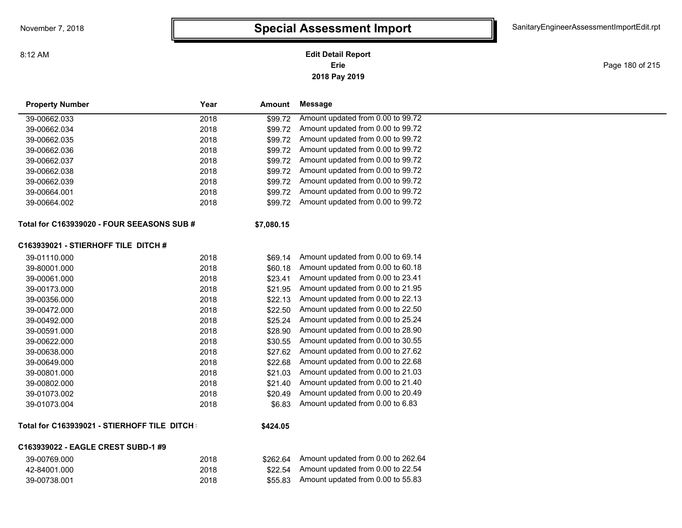**2018 Pay 2019 Erie Edit Detail Report**

Page 180 of 215

| <b>Property Number</b>                      | Year | Amount     | <b>Message</b>                    |  |  |  |
|---------------------------------------------|------|------------|-----------------------------------|--|--|--|
| 39-00662.033                                | 2018 | \$99.72    | Amount updated from 0.00 to 99.72 |  |  |  |
| 39-00662.034                                | 2018 | \$99.72    | Amount updated from 0.00 to 99.72 |  |  |  |
| 39-00662.035                                | 2018 | \$99.72    | Amount updated from 0.00 to 99.72 |  |  |  |
| 39-00662.036                                | 2018 | \$99.72    | Amount updated from 0.00 to 99.72 |  |  |  |
| 39-00662.037                                | 2018 | \$99.72    | Amount updated from 0.00 to 99.72 |  |  |  |
| 39-00662.038                                | 2018 | \$99.72    | Amount updated from 0.00 to 99.72 |  |  |  |
| 39-00662.039                                | 2018 | \$99.72    | Amount updated from 0.00 to 99.72 |  |  |  |
| 39-00664.001                                | 2018 | \$99.72    | Amount updated from 0.00 to 99.72 |  |  |  |
| 39-00664.002                                | 2018 | \$99.72    | Amount updated from 0.00 to 99.72 |  |  |  |
| Total for C163939020 - FOUR SEEASONS SUB #  |      | \$7,080.15 |                                   |  |  |  |
| C163939021 - STIERHOFF TILE DITCH #         |      |            |                                   |  |  |  |
| 39-01110.000                                | 2018 | \$69.14    | Amount updated from 0.00 to 69.14 |  |  |  |
| 39-80001.000                                | 2018 | \$60.18    | Amount updated from 0.00 to 60.18 |  |  |  |
| 39-00061.000                                | 2018 | \$23.41    | Amount updated from 0.00 to 23.41 |  |  |  |
| 39-00173.000                                | 2018 | \$21.95    | Amount updated from 0.00 to 21.95 |  |  |  |
| 39-00356.000                                | 2018 | \$22.13    | Amount updated from 0.00 to 22.13 |  |  |  |
| 39-00472.000                                | 2018 | \$22.50    | Amount updated from 0.00 to 22.50 |  |  |  |
| 39-00492.000                                | 2018 | \$25.24    | Amount updated from 0.00 to 25.24 |  |  |  |
| 39-00591.000                                | 2018 | \$28.90    | Amount updated from 0.00 to 28.90 |  |  |  |
| 39-00622.000                                | 2018 | \$30.55    | Amount updated from 0.00 to 30.55 |  |  |  |
| 39-00638.000                                | 2018 | \$27.62    | Amount updated from 0.00 to 27.62 |  |  |  |
| 39-00649.000                                | 2018 | \$22.68    | Amount updated from 0.00 to 22.68 |  |  |  |
| 39-00801.000                                | 2018 | \$21.03    | Amount updated from 0.00 to 21.03 |  |  |  |
| 39-00802.000                                | 2018 | \$21.40    | Amount updated from 0.00 to 21.40 |  |  |  |
| 39-01073.002                                | 2018 | \$20.49    | Amount updated from 0.00 to 20.49 |  |  |  |
| 39-01073.004                                | 2018 | \$6.83     | Amount updated from 0.00 to 6.83  |  |  |  |
| Total for C163939021 - STIERHOFF TILE DITCH |      | \$424.05   |                                   |  |  |  |
| C163939022 - EAGLE CREST SUBD-1 #9          |      |            |                                   |  |  |  |

#### 39-00769.000 2018 \$262.64 Amount updated from 0.00 to 262.64 42-84001.000 2018 \$22.54 Amount updated from 0.00 to 22.54 39-00738.001 2018 \$55.83 Amount updated from 0.00 to 55.83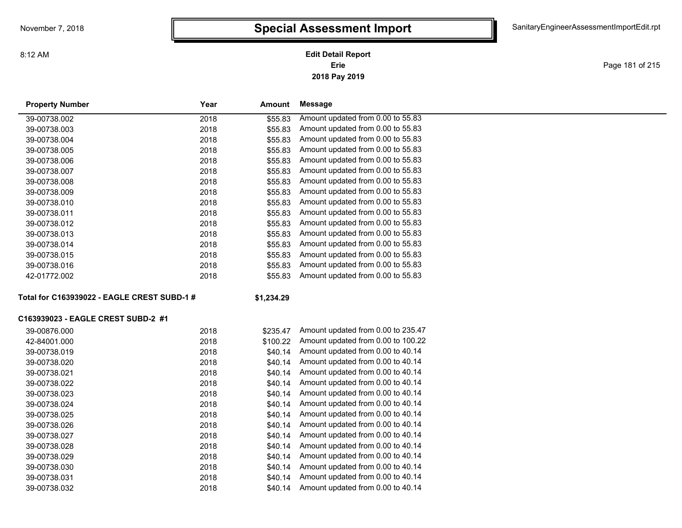### **2018 Pay 2019 Erie Edit Detail Report**

Page 181 of 215

| <b>Property Number</b>                      | Year | Amount     | Message                            |
|---------------------------------------------|------|------------|------------------------------------|
| 39-00738.002                                | 2018 | \$55.83    | Amount updated from 0.00 to 55.83  |
| 39-00738.003                                | 2018 | \$55.83    | Amount updated from 0.00 to 55.83  |
| 39-00738.004                                | 2018 | \$55.83    | Amount updated from 0.00 to 55.83  |
| 39-00738.005                                | 2018 | \$55.83    | Amount updated from 0.00 to 55.83  |
| 39-00738.006                                | 2018 | \$55.83    | Amount updated from 0.00 to 55.83  |
| 39-00738.007                                | 2018 | \$55.83    | Amount updated from 0.00 to 55.83  |
| 39-00738.008                                | 2018 | \$55.83    | Amount updated from 0.00 to 55.83  |
| 39-00738.009                                | 2018 | \$55.83    | Amount updated from 0.00 to 55.83  |
| 39-00738.010                                | 2018 | \$55.83    | Amount updated from 0.00 to 55.83  |
| 39-00738.011                                | 2018 | \$55.83    | Amount updated from 0.00 to 55.83  |
| 39-00738.012                                | 2018 | \$55.83    | Amount updated from 0.00 to 55.83  |
| 39-00738.013                                | 2018 | \$55.83    | Amount updated from 0.00 to 55.83  |
| 39-00738.014                                | 2018 | \$55.83    | Amount updated from 0.00 to 55.83  |
| 39-00738.015                                | 2018 | \$55.83    | Amount updated from 0.00 to 55.83  |
| 39-00738.016                                | 2018 | \$55.83    | Amount updated from 0.00 to 55.83  |
| 42-01772.002                                | 2018 | \$55.83    | Amount updated from 0.00 to 55.83  |
| Total for C163939022 - EAGLE CREST SUBD-1 # |      | \$1,234.29 |                                    |
| C163939023 - EAGLE CREST SUBD-2 #1          |      |            |                                    |
| 39-00876.000                                | 2018 | \$235.47   | Amount updated from 0.00 to 235.47 |
| 42-84001.000                                | 2018 | \$100.22   | Amount updated from 0.00 to 100.22 |
| 39-00738.019                                | 2018 | \$40.14    | Amount updated from 0.00 to 40.14  |
| 39-00738.020                                | 2018 | \$40.14    | Amount updated from 0.00 to 40.14  |
| 39-00738.021                                | 2018 | \$40.14    | Amount updated from 0.00 to 40.14  |
| 39-00738.022                                | 2018 | \$40.14    | Amount updated from 0.00 to 40.14  |
| 39-00738.023                                | 2018 | \$40.14    | Amount updated from 0.00 to 40.14  |
| 39-00738.024                                | 2018 | \$40.14    | Amount updated from 0.00 to 40.14  |
| 39-00738.025                                | 2018 | \$40.14    | Amount updated from 0.00 to 40.14  |
| 39-00738.026                                | 2018 | \$40.14    | Amount updated from 0.00 to 40.14  |
| 39-00738.027                                | 2018 | \$40.14    | Amount updated from 0.00 to 40.14  |
| 39-00738.028                                | 2018 | \$40.14    | Amount updated from 0.00 to 40.14  |
| 39-00738.029                                | 2018 | \$40.14    | Amount updated from 0.00 to 40.14  |
| 39-00738.030                                | 2018 | \$40.14    | Amount updated from 0.00 to 40.14  |
| 39-00738.031                                | 2018 | \$40.14    | Amount updated from 0.00 to 40.14  |
| 39-00738.032                                | 2018 | \$40.14    | Amount updated from 0.00 to 40.14  |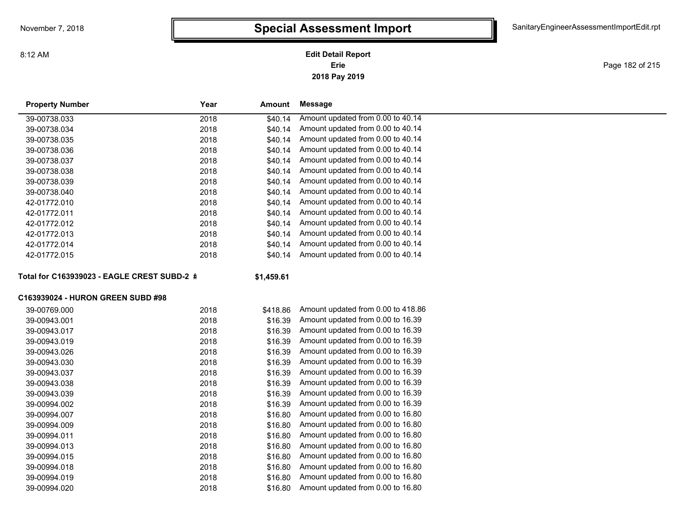### **2018 Pay 2019 Erie Edit Detail Report**

Page 182 of 215

| <b>Property Number</b>                      | Year<br>Amount   | Message                            |  |
|---------------------------------------------|------------------|------------------------------------|--|
| 39-00738.033                                | \$40.14<br>2018  | Amount updated from 0.00 to 40.14  |  |
| 39-00738.034                                | 2018<br>\$40.14  | Amount updated from 0.00 to 40.14  |  |
| 39-00738.035                                | 2018<br>\$40.14  | Amount updated from 0.00 to 40.14  |  |
| 39-00738.036                                | 2018<br>\$40.14  | Amount updated from 0.00 to 40.14  |  |
| 39-00738.037                                | 2018<br>\$40.14  | Amount updated from 0.00 to 40.14  |  |
| 39-00738.038                                | 2018<br>\$40.14  | Amount updated from 0.00 to 40.14  |  |
| 39-00738.039                                | \$40.14<br>2018  | Amount updated from 0.00 to 40.14  |  |
| 39-00738.040                                | 2018<br>\$40.14  | Amount updated from 0.00 to 40.14  |  |
| 42-01772.010                                | \$40.14<br>2018  | Amount updated from 0.00 to 40.14  |  |
| 42-01772.011                                | 2018<br>\$40.14  | Amount updated from 0.00 to 40.14  |  |
| 42-01772.012                                | 2018<br>\$40.14  | Amount updated from 0.00 to 40.14  |  |
| 42-01772.013                                | 2018<br>\$40.14  | Amount updated from 0.00 to 40.14  |  |
| 42-01772.014                                | \$40.14<br>2018  | Amount updated from 0.00 to 40.14  |  |
| 42-01772.015                                | 2018<br>\$40.14  | Amount updated from 0.00 to 40.14  |  |
| Total for C163939023 - EAGLE CREST SUBD-2 # | \$1,459.61       |                                    |  |
| C163939024 - HURON GREEN SUBD #98           |                  |                                    |  |
| 39-00769.000                                | 2018<br>\$418.86 | Amount updated from 0.00 to 418.86 |  |
| 39-00943.001                                | 2018<br>\$16.39  | Amount updated from 0.00 to 16.39  |  |
| 39-00943.017                                | \$16.39<br>2018  | Amount updated from 0.00 to 16.39  |  |
| 39-00943.019                                | 2018<br>\$16.39  | Amount updated from 0.00 to 16.39  |  |
| 39-00943.026                                | \$16.39<br>2018  | Amount updated from 0.00 to 16.39  |  |
| 39-00943.030                                | 2018<br>\$16.39  | Amount updated from 0.00 to 16.39  |  |
| 39-00943.037                                | 2018<br>\$16.39  | Amount updated from 0.00 to 16.39  |  |
| 39-00943.038                                | 2018<br>\$16.39  | Amount updated from 0.00 to 16.39  |  |
| 39-00943.039                                | 2018<br>\$16.39  | Amount updated from 0.00 to 16.39  |  |
| 39-00994.002                                | 2018<br>\$16.39  | Amount updated from 0.00 to 16.39  |  |
| 39-00994.007                                | 2018<br>\$16.80  | Amount updated from 0.00 to 16.80  |  |
| 39-00994.009                                | 2018<br>\$16.80  | Amount updated from 0.00 to 16.80  |  |
| 39-00994.011                                | 2018<br>\$16.80  | Amount updated from 0.00 to 16.80  |  |
| 39-00994.013                                | 2018<br>\$16.80  | Amount updated from 0.00 to 16.80  |  |
| 39-00994.015                                | 2018<br>\$16.80  | Amount updated from 0.00 to 16.80  |  |
| 39-00994.018                                | 2018<br>\$16.80  | Amount updated from 0.00 to 16.80  |  |
| 39-00994.019                                | 2018<br>\$16.80  | Amount updated from 0.00 to 16.80  |  |
| 39-00994.020                                | 2018<br>\$16.80  | Amount updated from 0.00 to 16.80  |  |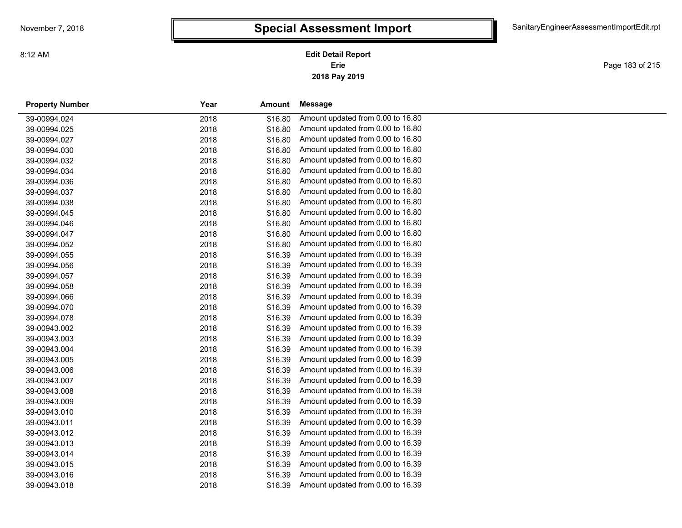### **2018 Pay 2019 Erie Edit Detail Report**

Page 183 of 215

| <b>Property Number</b> | Year | Amount  | Message                           |  |
|------------------------|------|---------|-----------------------------------|--|
| 39-00994.024           | 2018 | \$16.80 | Amount updated from 0.00 to 16.80 |  |
| 39-00994.025           | 2018 | \$16.80 | Amount updated from 0.00 to 16.80 |  |
| 39-00994.027           | 2018 | \$16.80 | Amount updated from 0.00 to 16.80 |  |
| 39-00994.030           | 2018 | \$16.80 | Amount updated from 0.00 to 16.80 |  |
| 39-00994.032           | 2018 | \$16.80 | Amount updated from 0.00 to 16.80 |  |
| 39-00994.034           | 2018 | \$16.80 | Amount updated from 0.00 to 16.80 |  |
| 39-00994.036           | 2018 | \$16.80 | Amount updated from 0.00 to 16.80 |  |
| 39-00994.037           | 2018 | \$16.80 | Amount updated from 0.00 to 16.80 |  |
| 39-00994.038           | 2018 | \$16.80 | Amount updated from 0.00 to 16.80 |  |
| 39-00994.045           | 2018 | \$16.80 | Amount updated from 0.00 to 16.80 |  |
| 39-00994.046           | 2018 | \$16.80 | Amount updated from 0.00 to 16.80 |  |
| 39-00994.047           | 2018 | \$16.80 | Amount updated from 0.00 to 16.80 |  |
| 39-00994.052           | 2018 | \$16.80 | Amount updated from 0.00 to 16.80 |  |
| 39-00994.055           | 2018 | \$16.39 | Amount updated from 0.00 to 16.39 |  |
| 39-00994.056           | 2018 | \$16.39 | Amount updated from 0.00 to 16.39 |  |
| 39-00994.057           | 2018 | \$16.39 | Amount updated from 0.00 to 16.39 |  |
| 39-00994.058           | 2018 | \$16.39 | Amount updated from 0.00 to 16.39 |  |
| 39-00994.066           | 2018 | \$16.39 | Amount updated from 0.00 to 16.39 |  |
| 39-00994.070           | 2018 | \$16.39 | Amount updated from 0.00 to 16.39 |  |
| 39-00994.078           | 2018 | \$16.39 | Amount updated from 0.00 to 16.39 |  |
| 39-00943.002           | 2018 | \$16.39 | Amount updated from 0.00 to 16.39 |  |
| 39-00943.003           | 2018 | \$16.39 | Amount updated from 0.00 to 16.39 |  |
| 39-00943.004           | 2018 | \$16.39 | Amount updated from 0.00 to 16.39 |  |
| 39-00943.005           | 2018 | \$16.39 | Amount updated from 0.00 to 16.39 |  |
| 39-00943.006           | 2018 | \$16.39 | Amount updated from 0.00 to 16.39 |  |
| 39-00943.007           | 2018 | \$16.39 | Amount updated from 0.00 to 16.39 |  |
| 39-00943.008           | 2018 | \$16.39 | Amount updated from 0.00 to 16.39 |  |
| 39-00943.009           | 2018 | \$16.39 | Amount updated from 0.00 to 16.39 |  |
| 39-00943.010           | 2018 | \$16.39 | Amount updated from 0.00 to 16.39 |  |
| 39-00943.011           | 2018 | \$16.39 | Amount updated from 0.00 to 16.39 |  |
| 39-00943.012           | 2018 | \$16.39 | Amount updated from 0.00 to 16.39 |  |
| 39-00943.013           | 2018 | \$16.39 | Amount updated from 0.00 to 16.39 |  |
| 39-00943.014           | 2018 | \$16.39 | Amount updated from 0.00 to 16.39 |  |
| 39-00943.015           | 2018 | \$16.39 | Amount updated from 0.00 to 16.39 |  |
| 39-00943.016           | 2018 | \$16.39 | Amount updated from 0.00 to 16.39 |  |
| 39-00943.018           | 2018 | \$16.39 | Amount updated from 0.00 to 16.39 |  |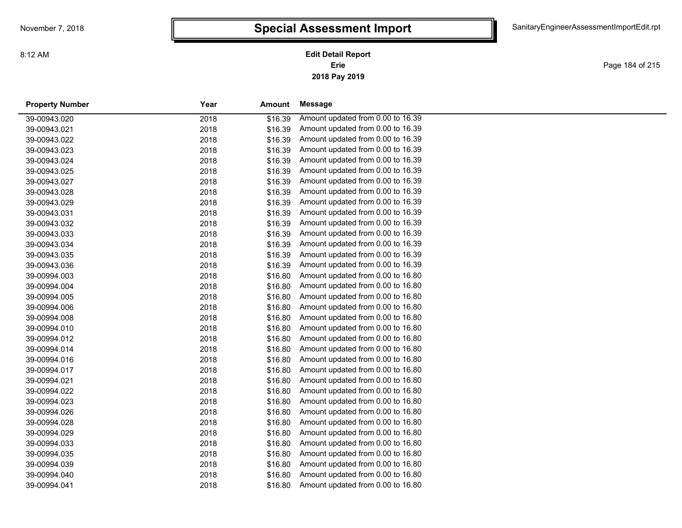Page 184 of 215

| <b>Property Number</b> | Year<br>Amount  | Message                           |
|------------------------|-----------------|-----------------------------------|
| 39-00943.020           | 2018<br>\$16.39 | Amount updated from 0.00 to 16.39 |
| 39-00943.021           | \$16.39<br>2018 | Amount updated from 0.00 to 16.39 |
| 39-00943.022           | 2018<br>\$16.39 | Amount updated from 0.00 to 16.39 |
| 39-00943.023           | \$16.39<br>2018 | Amount updated from 0.00 to 16.39 |
| 39-00943.024           | \$16.39<br>2018 | Amount updated from 0.00 to 16.39 |
| 39-00943.025           | 2018<br>\$16.39 | Amount updated from 0.00 to 16.39 |
| 39-00943.027           | 2018<br>\$16.39 | Amount updated from 0.00 to 16.39 |
| 39-00943.028           | 2018<br>\$16.39 | Amount updated from 0.00 to 16.39 |
| 39-00943.029           | 2018<br>\$16.39 | Amount updated from 0.00 to 16.39 |
| 39-00943.031           | 2018<br>\$16.39 | Amount updated from 0.00 to 16.39 |
| 39-00943.032           | 2018<br>\$16.39 | Amount updated from 0.00 to 16.39 |
| 39-00943.033           | 2018<br>\$16.39 | Amount updated from 0.00 to 16.39 |
| 39-00943.034           | \$16.39<br>2018 | Amount updated from 0.00 to 16.39 |
| 39-00943.035           | 2018<br>\$16.39 | Amount updated from 0.00 to 16.39 |
| 39-00943.036           | 2018<br>\$16.39 | Amount updated from 0.00 to 16.39 |
| 39-00994.003           | 2018<br>\$16.80 | Amount updated from 0.00 to 16.80 |
| 39-00994.004           | \$16.80<br>2018 | Amount updated from 0.00 to 16.80 |
| 39-00994.005           | 2018<br>\$16.80 | Amount updated from 0.00 to 16.80 |
| 39-00994.006           | \$16.80<br>2018 | Amount updated from 0.00 to 16.80 |
| 39-00994.008           | \$16.80<br>2018 | Amount updated from 0.00 to 16.80 |
| 39-00994.010           | 2018<br>\$16.80 | Amount updated from 0.00 to 16.80 |
| 39-00994.012           | \$16.80<br>2018 | Amount updated from 0.00 to 16.80 |
| 39-00994.014           | 2018<br>\$16.80 | Amount updated from 0.00 to 16.80 |
| 39-00994.016           | 2018<br>\$16.80 | Amount updated from 0.00 to 16.80 |
| 39-00994.017           | 2018<br>\$16.80 | Amount updated from 0.00 to 16.80 |
| 39-00994.021           | 2018<br>\$16.80 | Amount updated from 0.00 to 16.80 |
| 39-00994.022           | 2018<br>\$16.80 | Amount updated from 0.00 to 16.80 |
| 39-00994.023           | 2018<br>\$16.80 | Amount updated from 0.00 to 16.80 |
| 39-00994.026           | \$16.80<br>2018 | Amount updated from 0.00 to 16.80 |
| 39-00994.028           | 2018<br>\$16.80 | Amount updated from 0.00 to 16.80 |
| 39-00994.029           | \$16.80<br>2018 | Amount updated from 0.00 to 16.80 |
| 39-00994.033           | 2018<br>\$16.80 | Amount updated from 0.00 to 16.80 |
| 39-00994.035           | 2018<br>\$16.80 | Amount updated from 0.00 to 16.80 |
| 39-00994.039           | 2018<br>\$16.80 | Amount updated from 0.00 to 16.80 |
| 39-00994.040           | 2018<br>\$16.80 | Amount updated from 0.00 to 16.80 |
| 39-00994.041           | 2018<br>\$16.80 | Amount updated from 0.00 to 16.80 |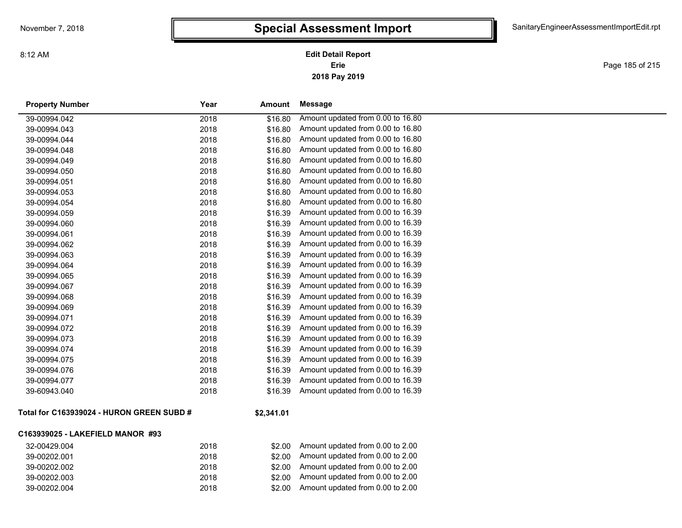Page 185 of 215

| <b>Property Number</b> | Year | Amount  | Message                           |
|------------------------|------|---------|-----------------------------------|
| 39-00994.042           | 2018 | \$16.80 | Amount updated from 0.00 to 16.80 |
| 39-00994.043           | 2018 | \$16.80 | Amount updated from 0.00 to 16.80 |
| 39-00994.044           | 2018 | \$16.80 | Amount updated from 0.00 to 16.80 |
| 39-00994.048           | 2018 | \$16.80 | Amount updated from 0.00 to 16.80 |
| 39-00994.049           | 2018 | \$16.80 | Amount updated from 0.00 to 16.80 |
| 39-00994.050           | 2018 | \$16.80 | Amount updated from 0.00 to 16.80 |
| 39-00994.051           | 2018 | \$16.80 | Amount updated from 0.00 to 16.80 |
| 39-00994.053           | 2018 | \$16.80 | Amount updated from 0.00 to 16.80 |
| 39-00994.054           | 2018 | \$16.80 | Amount updated from 0.00 to 16.80 |
| 39-00994.059           | 2018 | \$16.39 | Amount updated from 0.00 to 16.39 |
| 39-00994.060           | 2018 | \$16.39 | Amount updated from 0.00 to 16.39 |
| 39-00994.061           | 2018 | \$16.39 | Amount updated from 0.00 to 16.39 |
| 39-00994.062           | 2018 | \$16.39 | Amount updated from 0.00 to 16.39 |
| 39-00994.063           | 2018 | \$16.39 | Amount updated from 0.00 to 16.39 |
| 39-00994.064           | 2018 | \$16.39 | Amount updated from 0.00 to 16.39 |
| 39-00994.065           | 2018 | \$16.39 | Amount updated from 0.00 to 16.39 |
| 39-00994.067           | 2018 | \$16.39 | Amount updated from 0.00 to 16.39 |
| 39-00994.068           | 2018 | \$16.39 | Amount updated from 0.00 to 16.39 |
| 39-00994.069           | 2018 | \$16.39 | Amount updated from 0.00 to 16.39 |
| 39-00994.071           | 2018 | \$16.39 | Amount updated from 0.00 to 16.39 |
| 39-00994.072           | 2018 | \$16.39 | Amount updated from 0.00 to 16.39 |
| 39-00994.073           | 2018 | \$16.39 | Amount updated from 0.00 to 16.39 |
| 39-00994.074           | 2018 | \$16.39 | Amount updated from 0.00 to 16.39 |
| 39-00994.075           | 2018 | \$16.39 | Amount updated from 0.00 to 16.39 |
| 39-00994.076           | 2018 | \$16.39 | Amount updated from 0.00 to 16.39 |
| 39-00994.077           | 2018 | \$16.39 | Amount updated from 0.00 to 16.39 |
| 39-60943.040           | 2018 | \$16.39 | Amount updated from 0.00 to 16.39 |
|                        |      |         |                                   |
|                        |      |         |                                   |

#### **Total for C163939024 - HURON GREEN SUBD #**

### **\$2,341.01**

#### **C163939025 - LAKEFIELD MANOR #93**

| 32-00429.004 | 2018 | \$2.00  | Amount updated from 0.00 to 2.00 |
|--------------|------|---------|----------------------------------|
| 39-00202.001 | 2018 | .S2.00. | Amount updated from 0.00 to 2.00 |
| 39-00202.002 | 2018 | \$2.00  | Amount updated from 0.00 to 2.00 |
| 39-00202.003 | 2018 | \$2.00  | Amount updated from 0.00 to 2.00 |
| 39-00202.004 | 2018 | \$2.00  | Amount updated from 0.00 to 2.00 |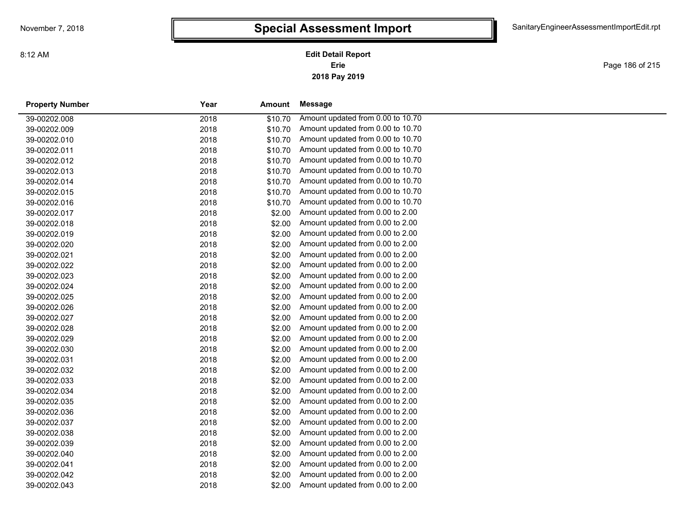Page 186 of 215

| <b>Property Number</b> | Year<br>Amount |         | Message                           |  |
|------------------------|----------------|---------|-----------------------------------|--|
| 39-00202.008           | 2018           | \$10.70 | Amount updated from 0.00 to 10.70 |  |
| 39-00202.009           | 2018           | \$10.70 | Amount updated from 0.00 to 10.70 |  |
| 39-00202.010           | 2018           | \$10.70 | Amount updated from 0.00 to 10.70 |  |
| 39-00202.011           | 2018           | \$10.70 | Amount updated from 0.00 to 10.70 |  |
| 39-00202.012           | 2018           | \$10.70 | Amount updated from 0.00 to 10.70 |  |
| 39-00202.013           | 2018           | \$10.70 | Amount updated from 0.00 to 10.70 |  |
| 39-00202.014           | 2018           | \$10.70 | Amount updated from 0.00 to 10.70 |  |
| 39-00202.015           | 2018           | \$10.70 | Amount updated from 0.00 to 10.70 |  |
| 39-00202.016           | 2018           | \$10.70 | Amount updated from 0.00 to 10.70 |  |
| 39-00202.017           | 2018           | \$2.00  | Amount updated from 0.00 to 2.00  |  |
| 39-00202.018           | 2018           | \$2.00  | Amount updated from 0.00 to 2.00  |  |
| 39-00202.019           | 2018           | \$2.00  | Amount updated from 0.00 to 2.00  |  |
| 39-00202.020           | 2018           | \$2.00  | Amount updated from 0.00 to 2.00  |  |
| 39-00202.021           | 2018           | \$2.00  | Amount updated from 0.00 to 2.00  |  |
| 39-00202.022           | 2018           | \$2.00  | Amount updated from 0.00 to 2.00  |  |
| 39-00202.023           | 2018           | \$2.00  | Amount updated from 0.00 to 2.00  |  |
| 39-00202.024           | 2018           | \$2.00  | Amount updated from 0.00 to 2.00  |  |
| 39-00202.025           | 2018           | \$2.00  | Amount updated from 0.00 to 2.00  |  |
| 39-00202.026           | 2018           | \$2.00  | Amount updated from 0.00 to 2.00  |  |
| 39-00202.027           | 2018           | \$2.00  | Amount updated from 0.00 to 2.00  |  |
| 39-00202.028           | 2018           | \$2.00  | Amount updated from 0.00 to 2.00  |  |
| 39-00202.029           | 2018           | \$2.00  | Amount updated from 0.00 to 2.00  |  |
| 39-00202.030           | 2018           | \$2.00  | Amount updated from 0.00 to 2.00  |  |
| 39-00202.031           | 2018           | \$2.00  | Amount updated from 0.00 to 2.00  |  |
| 39-00202.032           | 2018           | \$2.00  | Amount updated from 0.00 to 2.00  |  |
| 39-00202.033           | 2018           | \$2.00  | Amount updated from 0.00 to 2.00  |  |
| 39-00202.034           | 2018           | \$2.00  | Amount updated from 0.00 to 2.00  |  |
| 39-00202.035           | 2018           | \$2.00  | Amount updated from 0.00 to 2.00  |  |
| 39-00202.036           | 2018           | \$2.00  | Amount updated from 0.00 to 2.00  |  |
| 39-00202.037           | 2018           | \$2.00  | Amount updated from 0.00 to 2.00  |  |
| 39-00202.038           | 2018           | \$2.00  | Amount updated from 0.00 to 2.00  |  |
| 39-00202.039           | 2018           | \$2.00  | Amount updated from 0.00 to 2.00  |  |
| 39-00202.040           | 2018           | \$2.00  | Amount updated from 0.00 to 2.00  |  |
| 39-00202.041           | 2018           | \$2.00  | Amount updated from 0.00 to 2.00  |  |
| 39-00202.042           | 2018           | \$2.00  | Amount updated from 0.00 to 2.00  |  |
| 39-00202.043           | 2018           | \$2.00  | Amount updated from 0.00 to 2.00  |  |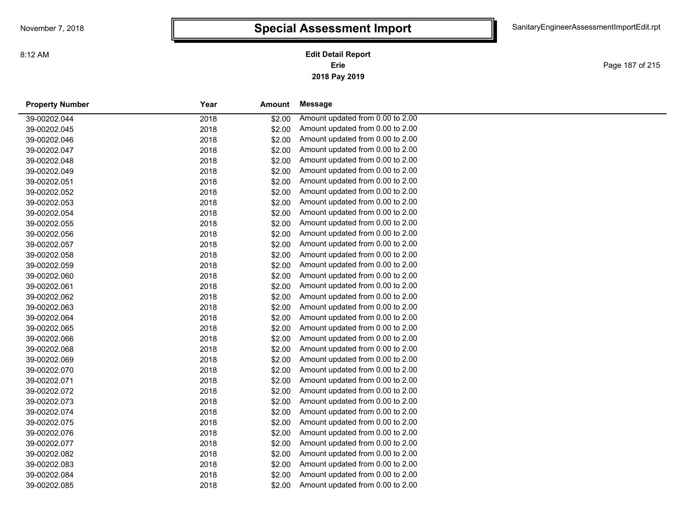Page 187 of 215

| <b>Property Number</b> | Year | Amount | Message                          |
|------------------------|------|--------|----------------------------------|
| 39-00202.044           | 2018 | \$2.00 | Amount updated from 0.00 to 2.00 |
| 39-00202.045           | 2018 | \$2.00 | Amount updated from 0.00 to 2.00 |
| 39-00202.046           | 2018 | \$2.00 | Amount updated from 0.00 to 2.00 |
| 39-00202.047           | 2018 | \$2.00 | Amount updated from 0.00 to 2.00 |
| 39-00202.048           | 2018 | \$2.00 | Amount updated from 0.00 to 2.00 |
| 39-00202.049           | 2018 | \$2.00 | Amount updated from 0.00 to 2.00 |
| 39-00202.051           | 2018 | \$2.00 | Amount updated from 0.00 to 2.00 |
| 39-00202.052           | 2018 | \$2.00 | Amount updated from 0.00 to 2.00 |
| 39-00202.053           | 2018 | \$2.00 | Amount updated from 0.00 to 2.00 |
| 39-00202.054           | 2018 | \$2.00 | Amount updated from 0.00 to 2.00 |
| 39-00202.055           | 2018 | \$2.00 | Amount updated from 0.00 to 2.00 |
| 39-00202.056           | 2018 | \$2.00 | Amount updated from 0.00 to 2.00 |
| 39-00202.057           | 2018 | \$2.00 | Amount updated from 0.00 to 2.00 |
| 39-00202.058           | 2018 | \$2.00 | Amount updated from 0.00 to 2.00 |
| 39-00202.059           | 2018 | \$2.00 | Amount updated from 0.00 to 2.00 |
| 39-00202.060           | 2018 | \$2.00 | Amount updated from 0.00 to 2.00 |
| 39-00202.061           | 2018 | \$2.00 | Amount updated from 0.00 to 2.00 |
| 39-00202.062           | 2018 | \$2.00 | Amount updated from 0.00 to 2.00 |
| 39-00202.063           | 2018 | \$2.00 | Amount updated from 0.00 to 2.00 |
| 39-00202.064           | 2018 | \$2.00 | Amount updated from 0.00 to 2.00 |
| 39-00202.065           | 2018 | \$2.00 | Amount updated from 0.00 to 2.00 |
| 39-00202.066           | 2018 | \$2.00 | Amount updated from 0.00 to 2.00 |
| 39-00202.068           | 2018 | \$2.00 | Amount updated from 0.00 to 2.00 |
| 39-00202.069           | 2018 | \$2.00 | Amount updated from 0.00 to 2.00 |
| 39-00202.070           | 2018 | \$2.00 | Amount updated from 0.00 to 2.00 |
| 39-00202.071           | 2018 | \$2.00 | Amount updated from 0.00 to 2.00 |
| 39-00202.072           | 2018 | \$2.00 | Amount updated from 0.00 to 2.00 |
| 39-00202.073           | 2018 | \$2.00 | Amount updated from 0.00 to 2.00 |
| 39-00202.074           | 2018 | \$2.00 | Amount updated from 0.00 to 2.00 |
| 39-00202.075           | 2018 | \$2.00 | Amount updated from 0.00 to 2.00 |
| 39-00202.076           | 2018 | \$2.00 | Amount updated from 0.00 to 2.00 |
| 39-00202.077           | 2018 | \$2.00 | Amount updated from 0.00 to 2.00 |
| 39-00202.082           | 2018 | \$2.00 | Amount updated from 0.00 to 2.00 |
| 39-00202.083           | 2018 | \$2.00 | Amount updated from 0.00 to 2.00 |
| 39-00202.084           | 2018 | \$2.00 | Amount updated from 0.00 to 2.00 |
| 39-00202.085           | 2018 | \$2.00 | Amount updated from 0.00 to 2.00 |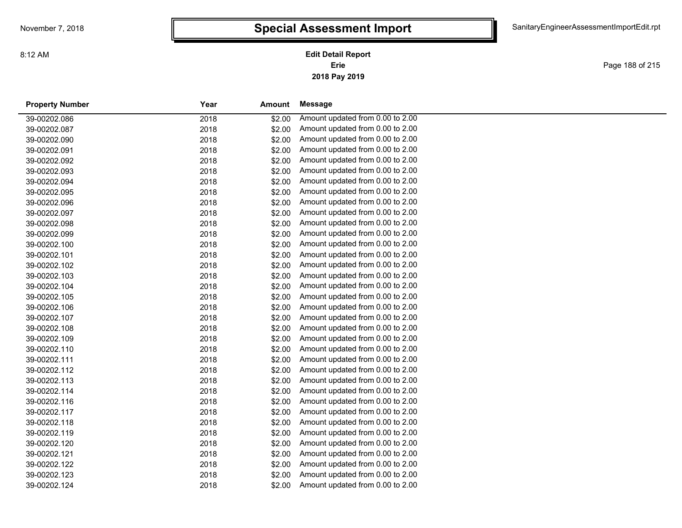Page 188 of 215

| <b>Property Number</b> | Year | Amount | Message                          |  |
|------------------------|------|--------|----------------------------------|--|
| 39-00202.086           | 2018 | \$2.00 | Amount updated from 0.00 to 2.00 |  |
| 39-00202.087           | 2018 | \$2.00 | Amount updated from 0.00 to 2.00 |  |
| 39-00202.090           | 2018 | \$2.00 | Amount updated from 0.00 to 2.00 |  |
| 39-00202.091           | 2018 | \$2.00 | Amount updated from 0.00 to 2.00 |  |
| 39-00202.092           | 2018 | \$2.00 | Amount updated from 0.00 to 2.00 |  |
| 39-00202.093           | 2018 | \$2.00 | Amount updated from 0.00 to 2.00 |  |
| 39-00202.094           | 2018 | \$2.00 | Amount updated from 0.00 to 2.00 |  |
| 39-00202.095           | 2018 | \$2.00 | Amount updated from 0.00 to 2.00 |  |
| 39-00202.096           | 2018 | \$2.00 | Amount updated from 0.00 to 2.00 |  |
| 39-00202.097           | 2018 | \$2.00 | Amount updated from 0.00 to 2.00 |  |
| 39-00202.098           | 2018 | \$2.00 | Amount updated from 0.00 to 2.00 |  |
| 39-00202.099           | 2018 | \$2.00 | Amount updated from 0.00 to 2.00 |  |
| 39-00202.100           | 2018 | \$2.00 | Amount updated from 0.00 to 2.00 |  |
| 39-00202.101           | 2018 | \$2.00 | Amount updated from 0.00 to 2.00 |  |
| 39-00202.102           | 2018 | \$2.00 | Amount updated from 0.00 to 2.00 |  |
| 39-00202.103           | 2018 | \$2.00 | Amount updated from 0.00 to 2.00 |  |
| 39-00202.104           | 2018 | \$2.00 | Amount updated from 0.00 to 2.00 |  |
| 39-00202.105           | 2018 | \$2.00 | Amount updated from 0.00 to 2.00 |  |
| 39-00202.106           | 2018 | \$2.00 | Amount updated from 0.00 to 2.00 |  |
| 39-00202.107           | 2018 | \$2.00 | Amount updated from 0.00 to 2.00 |  |
| 39-00202.108           | 2018 | \$2.00 | Amount updated from 0.00 to 2.00 |  |
| 39-00202.109           | 2018 | \$2.00 | Amount updated from 0.00 to 2.00 |  |
| 39-00202.110           | 2018 | \$2.00 | Amount updated from 0.00 to 2.00 |  |
| 39-00202.111           | 2018 | \$2.00 | Amount updated from 0.00 to 2.00 |  |
| 39-00202.112           | 2018 | \$2.00 | Amount updated from 0.00 to 2.00 |  |
| 39-00202.113           | 2018 | \$2.00 | Amount updated from 0.00 to 2.00 |  |
| 39-00202.114           | 2018 | \$2.00 | Amount updated from 0.00 to 2.00 |  |
| 39-00202.116           | 2018 | \$2.00 | Amount updated from 0.00 to 2.00 |  |
| 39-00202.117           | 2018 | \$2.00 | Amount updated from 0.00 to 2.00 |  |
| 39-00202.118           | 2018 | \$2.00 | Amount updated from 0.00 to 2.00 |  |
| 39-00202.119           | 2018 | \$2.00 | Amount updated from 0.00 to 2.00 |  |
| 39-00202.120           | 2018 | \$2.00 | Amount updated from 0.00 to 2.00 |  |
| 39-00202.121           | 2018 | \$2.00 | Amount updated from 0.00 to 2.00 |  |
| 39-00202.122           | 2018 | \$2.00 | Amount updated from 0.00 to 2.00 |  |
| 39-00202.123           | 2018 | \$2.00 | Amount updated from 0.00 to 2.00 |  |
| 39-00202.124           | 2018 | \$2.00 | Amount updated from 0.00 to 2.00 |  |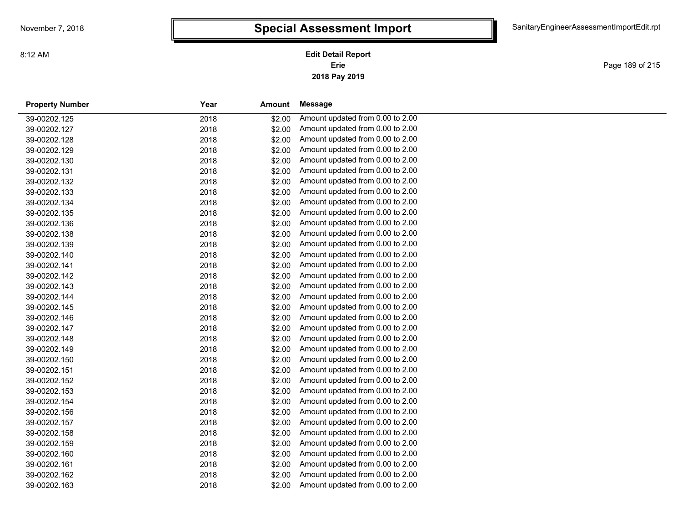**2018 Pay 2019 Erie Edit Detail Report**

Page 189 of 215

| <b>Property Number</b> | Year | Amount | <b>Message</b>                   |
|------------------------|------|--------|----------------------------------|
| 39-00202.125           | 2018 | \$2.00 | Amount updated from 0.00 to 2.00 |
| 39-00202.127           | 2018 | \$2.00 | Amount updated from 0.00 to 2.00 |
| 39-00202.128           | 2018 | \$2.00 | Amount updated from 0.00 to 2.00 |
| 39-00202.129           | 2018 | \$2.00 | Amount updated from 0.00 to 2.00 |
| 39-00202.130           | 2018 | \$2.00 | Amount updated from 0.00 to 2.00 |
| 39-00202.131           | 2018 | \$2.00 | Amount updated from 0.00 to 2.00 |
| 39-00202.132           | 2018 | \$2.00 | Amount updated from 0.00 to 2.00 |
| 39-00202.133           | 2018 | \$2.00 | Amount updated from 0.00 to 2.00 |
| 39-00202.134           | 2018 | \$2.00 | Amount updated from 0.00 to 2.00 |
| 39-00202.135           | 2018 | \$2.00 | Amount updated from 0.00 to 2.00 |
| 39-00202.136           | 2018 | \$2.00 | Amount updated from 0.00 to 2.00 |
| 39-00202.138           | 2018 | \$2.00 | Amount updated from 0.00 to 2.00 |
| 39-00202.139           | 2018 | \$2.00 | Amount updated from 0.00 to 2.00 |
| 39-00202.140           | 2018 | \$2.00 | Amount updated from 0.00 to 2.00 |
| 39-00202.141           | 2018 | \$2.00 | Amount updated from 0.00 to 2.00 |
| 39-00202.142           | 2018 | \$2.00 | Amount updated from 0.00 to 2.00 |
| 39-00202.143           | 2018 | \$2.00 | Amount updated from 0.00 to 2.00 |
| 39-00202.144           | 2018 | \$2.00 | Amount updated from 0.00 to 2.00 |
| 39-00202.145           | 2018 | \$2.00 | Amount updated from 0.00 to 2.00 |
| 39-00202.146           | 2018 | \$2.00 | Amount updated from 0.00 to 2.00 |
| 39-00202.147           | 2018 | \$2.00 | Amount updated from 0.00 to 2.00 |
| 39-00202.148           | 2018 | \$2.00 | Amount updated from 0.00 to 2.00 |
| 39-00202.149           | 2018 | \$2.00 | Amount updated from 0.00 to 2.00 |
| 39-00202.150           | 2018 | \$2.00 | Amount updated from 0.00 to 2.00 |
| 39-00202.151           | 2018 | \$2.00 | Amount updated from 0.00 to 2.00 |
| 39-00202.152           | 2018 | \$2.00 | Amount updated from 0.00 to 2.00 |
| 39-00202.153           | 2018 | \$2.00 | Amount updated from 0.00 to 2.00 |
| 39-00202.154           | 2018 | \$2.00 | Amount updated from 0.00 to 2.00 |
| 39-00202.156           | 2018 | \$2.00 | Amount updated from 0.00 to 2.00 |
| 39-00202.157           | 2018 | \$2.00 | Amount updated from 0.00 to 2.00 |
| 39-00202.158           | 2018 | \$2.00 | Amount updated from 0.00 to 2.00 |
| 39-00202.159           | 2018 | \$2.00 | Amount updated from 0.00 to 2.00 |
| 39-00202.160           | 2018 | \$2.00 | Amount updated from 0.00 to 2.00 |
| 39-00202.161           | 2018 | \$2.00 | Amount updated from 0.00 to 2.00 |
| 39-00202.162           | 2018 | \$2.00 | Amount updated from 0.00 to 2.00 |
| 39-00202.163           | 2018 | \$2.00 | Amount updated from 0.00 to 2.00 |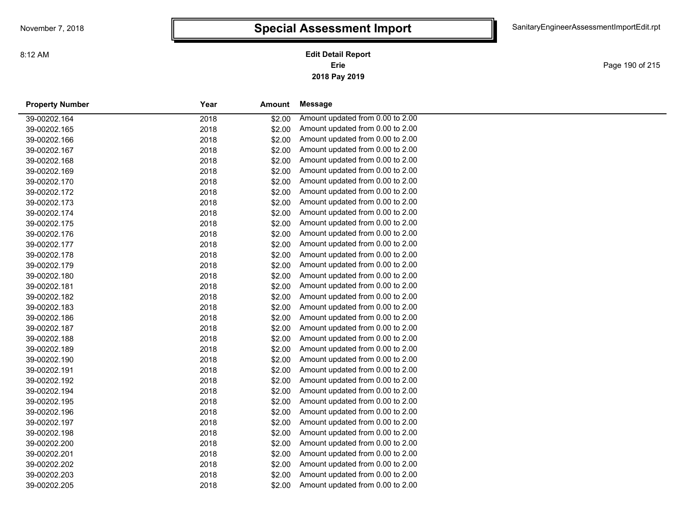**2018 Pay 2019 Erie Edit Detail Report**

Page 190 of 215

| <b>Property Number</b> | Year | Amount | Message                          |  |
|------------------------|------|--------|----------------------------------|--|
| 39-00202.164           | 2018 | \$2.00 | Amount updated from 0.00 to 2.00 |  |
| 39-00202.165           | 2018 | \$2.00 | Amount updated from 0.00 to 2.00 |  |
| 39-00202.166           | 2018 | \$2.00 | Amount updated from 0.00 to 2.00 |  |
| 39-00202.167           | 2018 | \$2.00 | Amount updated from 0.00 to 2.00 |  |
| 39-00202.168           | 2018 | \$2.00 | Amount updated from 0.00 to 2.00 |  |
| 39-00202.169           | 2018 | \$2.00 | Amount updated from 0.00 to 2.00 |  |
| 39-00202.170           | 2018 | \$2.00 | Amount updated from 0.00 to 2.00 |  |
| 39-00202.172           | 2018 | \$2.00 | Amount updated from 0.00 to 2.00 |  |
| 39-00202.173           | 2018 | \$2.00 | Amount updated from 0.00 to 2.00 |  |
| 39-00202.174           | 2018 | \$2.00 | Amount updated from 0.00 to 2.00 |  |
| 39-00202.175           | 2018 | \$2.00 | Amount updated from 0.00 to 2.00 |  |
| 39-00202.176           | 2018 | \$2.00 | Amount updated from 0.00 to 2.00 |  |
| 39-00202.177           | 2018 | \$2.00 | Amount updated from 0.00 to 2.00 |  |
| 39-00202.178           | 2018 | \$2.00 | Amount updated from 0.00 to 2.00 |  |
| 39-00202.179           | 2018 | \$2.00 | Amount updated from 0.00 to 2.00 |  |
| 39-00202.180           | 2018 | \$2.00 | Amount updated from 0.00 to 2.00 |  |
| 39-00202.181           | 2018 | \$2.00 | Amount updated from 0.00 to 2.00 |  |
| 39-00202.182           | 2018 | \$2.00 | Amount updated from 0.00 to 2.00 |  |
| 39-00202.183           | 2018 | \$2.00 | Amount updated from 0.00 to 2.00 |  |
| 39-00202.186           | 2018 | \$2.00 | Amount updated from 0.00 to 2.00 |  |
| 39-00202.187           | 2018 | \$2.00 | Amount updated from 0.00 to 2.00 |  |
| 39-00202.188           | 2018 | \$2.00 | Amount updated from 0.00 to 2.00 |  |
| 39-00202.189           | 2018 | \$2.00 | Amount updated from 0.00 to 2.00 |  |
| 39-00202.190           | 2018 | \$2.00 | Amount updated from 0.00 to 2.00 |  |
| 39-00202.191           | 2018 | \$2.00 | Amount updated from 0.00 to 2.00 |  |
| 39-00202.192           | 2018 | \$2.00 | Amount updated from 0.00 to 2.00 |  |
| 39-00202.194           | 2018 | \$2.00 | Amount updated from 0.00 to 2.00 |  |
| 39-00202.195           | 2018 | \$2.00 | Amount updated from 0.00 to 2.00 |  |
| 39-00202.196           | 2018 | \$2.00 | Amount updated from 0.00 to 2.00 |  |
| 39-00202.197           | 2018 | \$2.00 | Amount updated from 0.00 to 2.00 |  |
| 39-00202.198           | 2018 | \$2.00 | Amount updated from 0.00 to 2.00 |  |
| 39-00202.200           | 2018 | \$2.00 | Amount updated from 0.00 to 2.00 |  |
| 39-00202.201           | 2018 | \$2.00 | Amount updated from 0.00 to 2.00 |  |
| 39-00202.202           | 2018 | \$2.00 | Amount updated from 0.00 to 2.00 |  |
| 39-00202.203           | 2018 | \$2.00 | Amount updated from 0.00 to 2.00 |  |
| 39-00202.205           | 2018 | \$2.00 | Amount updated from 0.00 to 2.00 |  |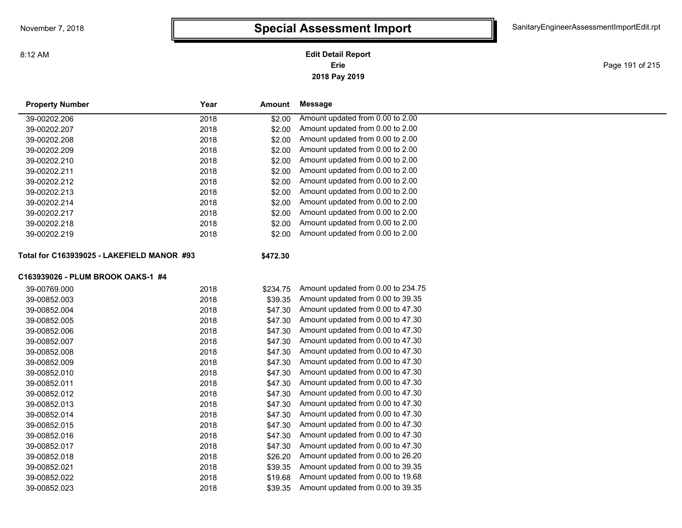**2018 Pay 2019 Erie Edit Detail Report**

Page 191 of 215

| <b>Property Number</b>                     | Year | Amount   | Message                            |  |
|--------------------------------------------|------|----------|------------------------------------|--|
| 39-00202.206                               | 2018 | \$2.00   | Amount updated from 0.00 to 2.00   |  |
| 39-00202.207                               | 2018 | \$2.00   | Amount updated from 0.00 to 2.00   |  |
| 39-00202.208                               | 2018 | \$2.00   | Amount updated from 0.00 to 2.00   |  |
| 39-00202.209                               | 2018 | \$2.00   | Amount updated from 0.00 to 2.00   |  |
| 39-00202.210                               | 2018 | \$2.00   | Amount updated from 0.00 to 2.00   |  |
| 39-00202.211                               | 2018 | \$2.00   | Amount updated from 0.00 to 2.00   |  |
| 39-00202.212                               | 2018 | \$2.00   | Amount updated from 0.00 to 2.00   |  |
| 39-00202.213                               | 2018 | \$2.00   | Amount updated from 0.00 to 2.00   |  |
| 39-00202.214                               | 2018 | \$2.00   | Amount updated from 0.00 to 2.00   |  |
| 39-00202.217                               | 2018 | \$2.00   | Amount updated from 0.00 to 2.00   |  |
| 39-00202.218                               | 2018 | \$2.00   | Amount updated from 0.00 to 2.00   |  |
| 39-00202.219                               | 2018 | \$2.00   | Amount updated from 0.00 to 2.00   |  |
| Total for C163939025 - LAKEFIELD MANOR #93 |      | \$472.30 |                                    |  |
| C163939026 - PLUM BROOK OAKS-1 #4          |      |          |                                    |  |
| 39-00769.000                               | 2018 | \$234.75 | Amount updated from 0.00 to 234.75 |  |
| 39-00852.003                               | 2018 | \$39.35  | Amount updated from 0.00 to 39.35  |  |
| 39-00852.004                               | 2018 | \$47.30  | Amount updated from 0.00 to 47.30  |  |
| 39-00852.005                               | 2018 | \$47.30  | Amount updated from 0.00 to 47.30  |  |
| 39-00852.006                               | 2018 | \$47.30  | Amount updated from 0.00 to 47.30  |  |
| 39-00852.007                               | 2018 | \$47.30  | Amount updated from 0.00 to 47.30  |  |
| 39-00852.008                               | 2018 | \$47.30  | Amount updated from 0.00 to 47.30  |  |
| 39-00852.009                               | 2018 | \$47.30  | Amount updated from 0.00 to 47.30  |  |
| 39-00852.010                               | 2018 | \$47.30  | Amount updated from 0.00 to 47.30  |  |
| 39-00852.011                               | 2018 | \$47.30  | Amount updated from 0.00 to 47.30  |  |
| 39-00852.012                               | 2018 | \$47.30  | Amount updated from 0.00 to 47.30  |  |
| 39-00852.013                               | 2018 | \$47.30  | Amount updated from 0.00 to 47.30  |  |
| 39-00852.014                               | 2018 | \$47.30  | Amount updated from 0.00 to 47.30  |  |
| 39-00852.015                               | 2018 | \$47.30  | Amount updated from 0.00 to 47.30  |  |
| 39-00852.016                               | 2018 | \$47.30  | Amount updated from 0.00 to 47.30  |  |
| 39-00852.017                               | 2018 | \$47.30  | Amount updated from 0.00 to 47.30  |  |
| 39-00852.018                               | 2018 | \$26.20  | Amount updated from 0.00 to 26.20  |  |
| 39-00852.021                               | 2018 | \$39.35  | Amount updated from 0.00 to 39.35  |  |
| 39-00852.022                               | 2018 | \$19.68  | Amount updated from 0.00 to 19.68  |  |
| 39-00852.023                               | 2018 | \$39.35  | Amount updated from 0.00 to 39.35  |  |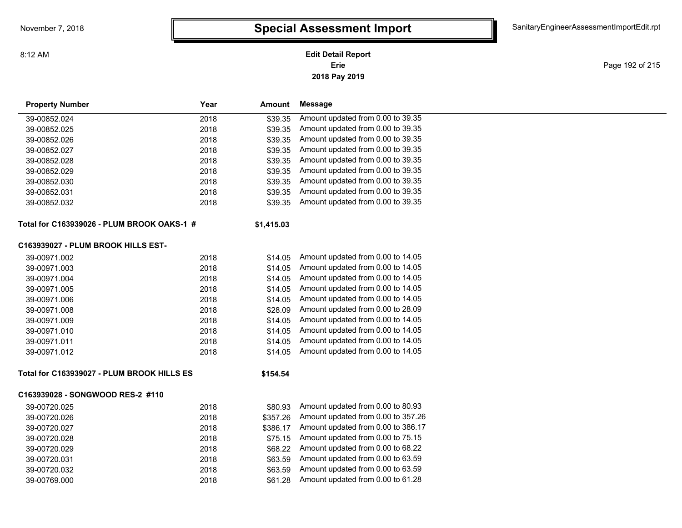### **2018 Pay 2019 Erie Edit Detail Report**

Page 192 of 215

| <b>Property Number</b>                     | Year | Amount     | <b>Message</b>                     |
|--------------------------------------------|------|------------|------------------------------------|
| 39-00852.024                               | 2018 | \$39.35    | Amount updated from 0.00 to 39.35  |
| 39-00852.025                               | 2018 | \$39.35    | Amount updated from 0.00 to 39.35  |
| 39-00852.026                               | 2018 | \$39.35    | Amount updated from 0.00 to 39.35  |
| 39-00852.027                               | 2018 | \$39.35    | Amount updated from 0.00 to 39.35  |
| 39-00852.028                               | 2018 | \$39.35    | Amount updated from 0.00 to 39.35  |
| 39-00852.029                               | 2018 | \$39.35    | Amount updated from 0.00 to 39.35  |
| 39-00852.030                               | 2018 | \$39.35    | Amount updated from 0.00 to 39.35  |
| 39-00852.031                               | 2018 | \$39.35    | Amount updated from 0.00 to 39.35  |
| 39-00852.032                               | 2018 | \$39.35    | Amount updated from 0.00 to 39.35  |
| Total for C163939026 - PLUM BROOK OAKS-1 # |      | \$1,415.03 |                                    |
| C163939027 - PLUM BROOK HILLS EST-         |      |            |                                    |
| 39-00971.002                               | 2018 | \$14.05    | Amount updated from 0.00 to 14.05  |
| 39-00971.003                               | 2018 | \$14.05    | Amount updated from 0.00 to 14.05  |
| 39-00971.004                               | 2018 | \$14.05    | Amount updated from 0.00 to 14.05  |
| 39-00971.005                               | 2018 | \$14.05    | Amount updated from 0.00 to 14.05  |
| 39-00971.006                               | 2018 | \$14.05    | Amount updated from 0.00 to 14.05  |
| 39-00971.008                               | 2018 | \$28.09    | Amount updated from 0.00 to 28.09  |
| 39-00971.009                               | 2018 | \$14.05    | Amount updated from 0.00 to 14.05  |
| 39-00971.010                               | 2018 | \$14.05    | Amount updated from 0.00 to 14.05  |
| 39-00971.011                               | 2018 | \$14.05    | Amount updated from 0.00 to 14.05  |
| 39-00971.012                               | 2018 | \$14.05    | Amount updated from 0.00 to 14.05  |
| Total for C163939027 - PLUM BROOK HILLS ES |      | \$154.54   |                                    |
| C163939028 - SONGWOOD RES-2 #110           |      |            |                                    |
| 39-00720.025                               | 2018 | \$80.93    | Amount updated from 0.00 to 80.93  |
| 39-00720.026                               | 2018 | \$357.26   | Amount updated from 0.00 to 357.26 |
| 39-00720.027                               | 2018 | \$386.17   | Amount updated from 0.00 to 386.17 |
| 39-00720.028                               | 2018 | \$75.15    | Amount updated from 0.00 to 75.15  |
| 39-00720.029                               | 2018 | \$68.22    | Amount updated from 0.00 to 68.22  |
| 39-00720.031                               | 2018 | \$63.59    | Amount updated from 0.00 to 63.59  |
| 39-00720.032                               | 2018 | \$63.59    | Amount updated from 0.00 to 63.59  |
| 39-00769.000                               | 2018 | \$61.28    | Amount updated from 0.00 to 61.28  |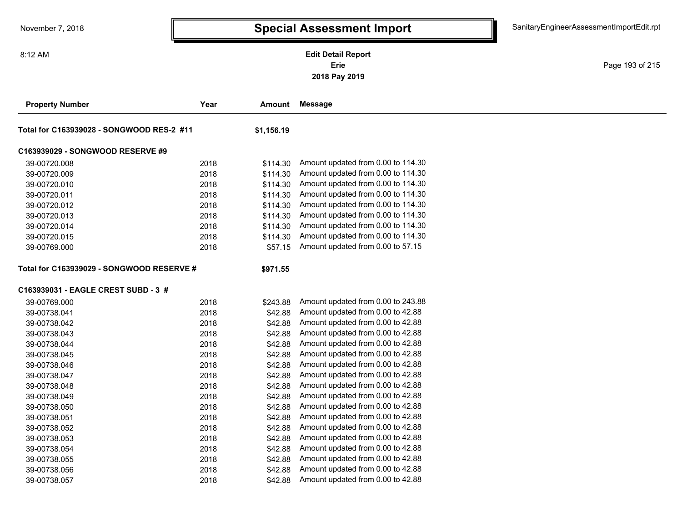### **2018 Pay 2019 Erie Edit Detail Report**

Page 193 of 215

| <b>Property Number</b>                    | Year       | Amount   | Message                            |  |
|-------------------------------------------|------------|----------|------------------------------------|--|
| Total for C163939028 - SONGWOOD RES-2 #11 | \$1,156.19 |          |                                    |  |
| C163939029 - SONGWOOD RESERVE #9          |            |          |                                    |  |
| 39-00720.008                              | 2018       | \$114.30 | Amount updated from 0.00 to 114.30 |  |
| 39-00720.009                              | 2018       | \$114.30 | Amount updated from 0.00 to 114.30 |  |
| 39-00720.010                              | 2018       | \$114.30 | Amount updated from 0.00 to 114.30 |  |
| 39-00720.011                              | 2018       | \$114.30 | Amount updated from 0.00 to 114.30 |  |
| 39-00720.012                              | 2018       | \$114.30 | Amount updated from 0.00 to 114.30 |  |
| 39-00720.013                              | 2018       | \$114.30 | Amount updated from 0.00 to 114.30 |  |
| 39-00720.014                              | 2018       | \$114.30 | Amount updated from 0.00 to 114.30 |  |
| 39-00720.015                              | 2018       | \$114.30 | Amount updated from 0.00 to 114.30 |  |
| 39-00769.000                              | 2018       | \$57.15  | Amount updated from 0.00 to 57.15  |  |
| Total for C163939029 - SONGWOOD RESERVE # |            | \$971.55 |                                    |  |
| C163939031 - EAGLE CREST SUBD - 3 #       |            |          |                                    |  |
| 39-00769.000                              | 2018       | \$243.88 | Amount updated from 0.00 to 243.88 |  |
| 39-00738.041                              | 2018       | \$42.88  | Amount updated from 0.00 to 42.88  |  |
| 39-00738.042                              | 2018       | \$42.88  | Amount updated from 0.00 to 42.88  |  |
| 39-00738.043                              | 2018       | \$42.88  | Amount updated from 0.00 to 42.88  |  |
| 39-00738.044                              | 2018       | \$42.88  | Amount updated from 0.00 to 42.88  |  |
| 39-00738.045                              | 2018       | \$42.88  | Amount updated from 0.00 to 42.88  |  |
| 39-00738.046                              | 2018       | \$42.88  | Amount updated from 0.00 to 42.88  |  |
| 39-00738.047                              | 2018       | \$42.88  | Amount updated from 0.00 to 42.88  |  |
| 39-00738.048                              | 2018       | \$42.88  | Amount updated from 0.00 to 42.88  |  |
| 39-00738.049                              | 2018       | \$42.88  | Amount updated from 0.00 to 42.88  |  |
| 39-00738.050                              | 2018       | \$42.88  | Amount updated from 0.00 to 42.88  |  |
| 39-00738.051                              | 2018       | \$42.88  | Amount updated from 0.00 to 42.88  |  |
| 39-00738.052                              | 2018       | \$42.88  | Amount updated from 0.00 to 42.88  |  |
| 39-00738.053                              | 2018       | \$42.88  | Amount updated from 0.00 to 42.88  |  |
| 39-00738.054                              | 2018       | \$42.88  | Amount updated from 0.00 to 42.88  |  |
| 39-00738.055                              | 2018       | \$42.88  | Amount updated from 0.00 to 42.88  |  |
| 39-00738.056                              | 2018       | \$42.88  | Amount updated from 0.00 to 42.88  |  |
| 39-00738.057                              | 2018       | \$42.88  | Amount updated from 0.00 to 42.88  |  |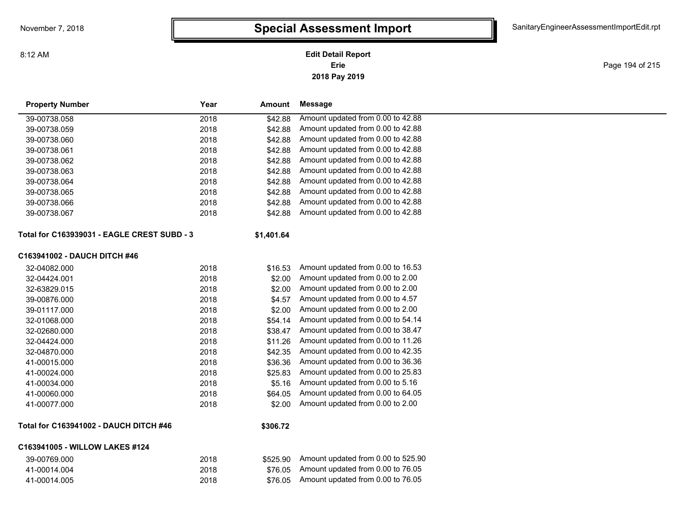#### **2018 Pay 2019 Erie Edit Detail Report**

Page 194 of 215

| <b>Property Number</b>                        | Year | Amount     | <b>Message</b>                     |
|-----------------------------------------------|------|------------|------------------------------------|
| 39-00738.058                                  | 2018 | \$42.88    | Amount updated from 0.00 to 42.88  |
| 39-00738.059                                  | 2018 | \$42.88    | Amount updated from 0.00 to 42.88  |
| 39-00738.060                                  | 2018 | \$42.88    | Amount updated from 0.00 to 42.88  |
| 39-00738.061                                  | 2018 | \$42.88    | Amount updated from 0.00 to 42.88  |
| 39-00738.062                                  | 2018 | \$42.88    | Amount updated from 0.00 to 42.88  |
| 39-00738.063                                  | 2018 | \$42.88    | Amount updated from 0.00 to 42.88  |
| 39-00738.064                                  | 2018 | \$42.88    | Amount updated from 0.00 to 42.88  |
| 39-00738.065                                  | 2018 | \$42.88    | Amount updated from 0.00 to 42.88  |
| 39-00738.066                                  | 2018 | \$42.88    | Amount updated from 0.00 to 42.88  |
| 39-00738.067                                  | 2018 | \$42.88    | Amount updated from 0.00 to 42.88  |
| Total for C163939031 - EAGLE CREST SUBD - 3   |      | \$1,401.64 |                                    |
| C163941002 - DAUCH DITCH #46                  |      |            |                                    |
| 32-04082.000                                  | 2018 | \$16.53    | Amount updated from 0.00 to 16.53  |
| 32-04424.001                                  | 2018 | \$2.00     | Amount updated from 0.00 to 2.00   |
| 32-63829.015                                  | 2018 | \$2.00     | Amount updated from 0.00 to 2.00   |
| 39-00876.000                                  | 2018 | \$4.57     | Amount updated from 0.00 to 4.57   |
| 39-01117.000                                  | 2018 | \$2.00     | Amount updated from 0.00 to 2.00   |
| 32-01068.000                                  | 2018 | \$54.14    | Amount updated from 0.00 to 54.14  |
| 32-02680.000                                  | 2018 | \$38.47    | Amount updated from 0.00 to 38.47  |
| 32-04424.000                                  | 2018 | \$11.26    | Amount updated from 0.00 to 11.26  |
| 32-04870.000                                  | 2018 | \$42.35    | Amount updated from 0.00 to 42.35  |
| 41-00015.000                                  | 2018 | \$36.36    | Amount updated from 0.00 to 36.36  |
| 41-00024.000                                  | 2018 | \$25.83    | Amount updated from 0.00 to 25.83  |
| 41-00034.000                                  | 2018 | \$5.16     | Amount updated from 0.00 to 5.16   |
| 41-00060.000                                  | 2018 | \$64.05    | Amount updated from 0.00 to 64.05  |
| 41-00077.000                                  | 2018 | \$2.00     | Amount updated from 0.00 to 2.00   |
| <b>Total for C163941002 - DAUCH DITCH #46</b> |      | \$306.72   |                                    |
| C163941005 - WILLOW LAKES #124                |      |            |                                    |
| 39-00769.000                                  | 2018 | \$525.90   | Amount updated from 0.00 to 525.90 |
| 41-00014.004                                  | 2018 | \$76.05    | Amount updated from 0.00 to 76.05  |
| 41-00014.005                                  | 2018 | \$76.05    | Amount updated from 0.00 to 76.05  |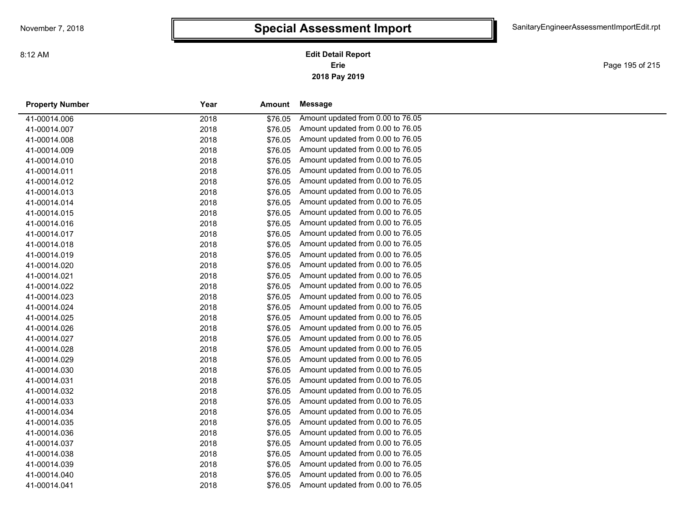Page 195 of 215

| <b>Property Number</b> | Year<br>Amount  |         | Message                           |  |
|------------------------|-----------------|---------|-----------------------------------|--|
| 41-00014.006           | 2018            | \$76.05 | Amount updated from 0.00 to 76.05 |  |
| 41-00014.007           | 2018            | \$76.05 | Amount updated from 0.00 to 76.05 |  |
| 41-00014.008           | 2018            | \$76.05 | Amount updated from 0.00 to 76.05 |  |
| 41-00014.009           | 2018            | \$76.05 | Amount updated from 0.00 to 76.05 |  |
| 41-00014.010           | 2018            | \$76.05 | Amount updated from 0.00 to 76.05 |  |
| 41-00014.011           | 2018<br>\$76.05 |         | Amount updated from 0.00 to 76.05 |  |
| 41-00014.012           | 2018            | \$76.05 | Amount updated from 0.00 to 76.05 |  |
| 41-00014.013           | 2018<br>\$76.05 |         | Amount updated from 0.00 to 76.05 |  |
| 41-00014.014           | 2018            | \$76.05 | Amount updated from 0.00 to 76.05 |  |
| 41-00014.015           | 2018            | \$76.05 | Amount updated from 0.00 to 76.05 |  |
| 41-00014.016           | 2018            | \$76.05 | Amount updated from 0.00 to 76.05 |  |
| 41-00014.017           | 2018<br>\$76.05 |         | Amount updated from 0.00 to 76.05 |  |
| 41-00014.018           | 2018<br>\$76.05 |         | Amount updated from 0.00 to 76.05 |  |
| 41-00014.019           | 2018            | \$76.05 | Amount updated from 0.00 to 76.05 |  |
| 41-00014.020           | 2018            | \$76.05 | Amount updated from 0.00 to 76.05 |  |
| 41-00014.021           | \$76.05<br>2018 |         | Amount updated from 0.00 to 76.05 |  |
| 41-00014.022           | 2018            | \$76.05 | Amount updated from 0.00 to 76.05 |  |
| 41-00014.023           | 2018<br>\$76.05 |         | Amount updated from 0.00 to 76.05 |  |
| 41-00014.024           | 2018<br>\$76.05 |         | Amount updated from 0.00 to 76.05 |  |
| 41-00014.025           | 2018<br>\$76.05 |         | Amount updated from 0.00 to 76.05 |  |
| 41-00014.026           | 2018            | \$76.05 | Amount updated from 0.00 to 76.05 |  |
| 41-00014.027           | 2018<br>\$76.05 |         | Amount updated from 0.00 to 76.05 |  |
| 41-00014.028           | 2018<br>\$76.05 |         | Amount updated from 0.00 to 76.05 |  |
| 41-00014.029           | 2018            | \$76.05 | Amount updated from 0.00 to 76.05 |  |
| 41-00014.030           | 2018            | \$76.05 | Amount updated from 0.00 to 76.05 |  |
| 41-00014.031           | 2018            | \$76.05 | Amount updated from 0.00 to 76.05 |  |
| 41-00014.032           | 2018            | \$76.05 | Amount updated from 0.00 to 76.05 |  |
| 41-00014.033           | 2018            | \$76.05 | Amount updated from 0.00 to 76.05 |  |
| 41-00014.034           | 2018<br>\$76.05 |         | Amount updated from 0.00 to 76.05 |  |
| 41-00014.035           | 2018<br>\$76.05 |         | Amount updated from 0.00 to 76.05 |  |
| 41-00014.036           | 2018            | \$76.05 | Amount updated from 0.00 to 76.05 |  |
| 41-00014.037           | 2018<br>\$76.05 |         | Amount updated from 0.00 to 76.05 |  |
| 41-00014.038           | \$76.05<br>2018 |         | Amount updated from 0.00 to 76.05 |  |
| 41-00014.039           | 2018            | \$76.05 | Amount updated from 0.00 to 76.05 |  |
| 41-00014.040           | 2018<br>\$76.05 |         | Amount updated from 0.00 to 76.05 |  |
| 41-00014.041           | 2018            | \$76.05 | Amount updated from 0.00 to 76.05 |  |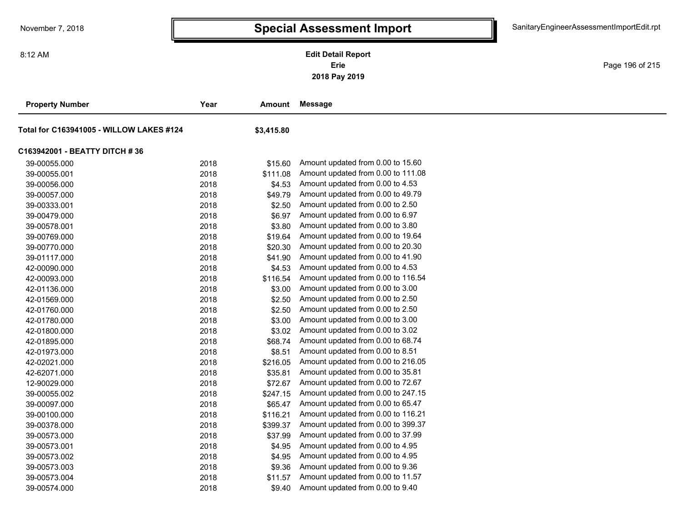**2018 Pay 2019 Erie Edit Detail Report**

Page 196 of 215

| <b>Property Number</b>                   | Year | Amount     | <b>Message</b>                     |
|------------------------------------------|------|------------|------------------------------------|
| Total for C163941005 - WILLOW LAKES #124 |      | \$3,415.80 |                                    |
| C163942001 - BEATTY DITCH # 36           |      |            |                                    |
| 39-00055.000                             | 2018 | \$15.60    | Amount updated from 0.00 to 15.60  |
| 39-00055.001                             | 2018 | \$111.08   | Amount updated from 0.00 to 111.08 |
| 39-00056.000                             | 2018 | \$4.53     | Amount updated from 0.00 to 4.53   |
| 39-00057.000                             | 2018 | \$49.79    | Amount updated from 0.00 to 49.79  |
| 39-00333.001                             | 2018 | \$2.50     | Amount updated from 0.00 to 2.50   |
| 39-00479.000                             | 2018 | \$6.97     | Amount updated from 0.00 to 6.97   |
| 39-00578.001                             | 2018 | \$3.80     | Amount updated from 0.00 to 3.80   |
| 39-00769.000                             | 2018 | \$19.64    | Amount updated from 0.00 to 19.64  |
| 39-00770.000                             | 2018 | \$20.30    | Amount updated from 0.00 to 20.30  |
| 39-01117.000                             | 2018 | \$41.90    | Amount updated from 0.00 to 41.90  |
| 42-00090.000                             | 2018 | \$4.53     | Amount updated from 0.00 to 4.53   |
| 42-00093.000                             | 2018 | \$116.54   | Amount updated from 0.00 to 116.54 |
| 42-01136.000                             | 2018 | \$3.00     | Amount updated from 0.00 to 3.00   |
| 42-01569.000                             | 2018 | \$2.50     | Amount updated from 0.00 to 2.50   |
| 42-01760.000                             | 2018 | \$2.50     | Amount updated from 0.00 to 2.50   |
| 42-01780.000                             | 2018 | \$3.00     | Amount updated from 0.00 to 3.00   |
| 42-01800.000                             | 2018 | \$3.02     | Amount updated from 0.00 to 3.02   |
| 42-01895.000                             | 2018 | \$68.74    | Amount updated from 0.00 to 68.74  |
| 42-01973.000                             | 2018 | \$8.51     | Amount updated from 0.00 to 8.51   |
| 42-02021.000                             | 2018 | \$216.05   | Amount updated from 0.00 to 216.05 |
| 42-62071.000                             | 2018 | \$35.81    | Amount updated from 0.00 to 35.81  |
| 12-90029.000                             | 2018 | \$72.67    | Amount updated from 0.00 to 72.67  |
| 39-00055.002                             | 2018 | \$247.15   | Amount updated from 0.00 to 247.15 |
| 39-00097.000                             | 2018 | \$65.47    | Amount updated from 0.00 to 65.47  |
| 39-00100.000                             | 2018 | \$116.21   | Amount updated from 0.00 to 116.21 |
| 39-00378.000                             | 2018 | \$399.37   | Amount updated from 0.00 to 399.37 |
| 39-00573.000                             | 2018 | \$37.99    | Amount updated from 0.00 to 37.99  |
| 39-00573.001                             | 2018 | \$4.95     | Amount updated from 0.00 to 4.95   |
| 39-00573.002                             | 2018 | \$4.95     | Amount updated from 0.00 to 4.95   |
| 39-00573.003                             | 2018 | \$9.36     | Amount updated from 0.00 to 9.36   |
| 39-00573.004                             | 2018 | \$11.57    | Amount updated from 0.00 to 11.57  |
| 39-00574.000                             | 2018 | \$9.40     | Amount updated from 0.00 to 9.40   |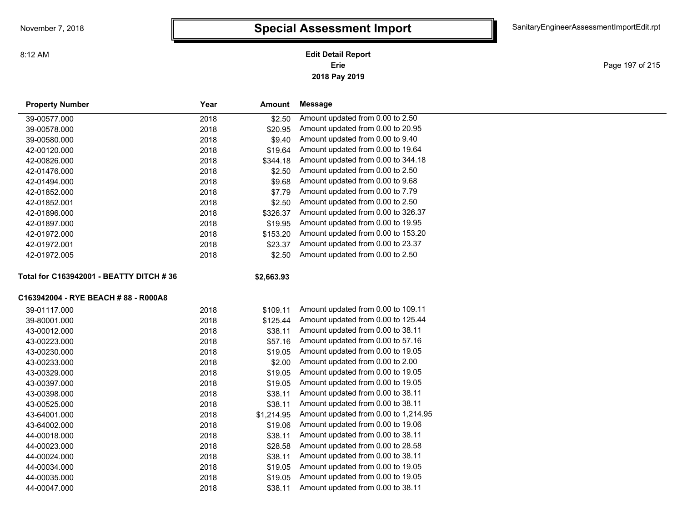#### **2018 Pay 2019 Erie Edit Detail Report**

Page 197 of 215

| <b>Property Number</b>                  | Year | Amount     | <b>Message</b>                       |
|-----------------------------------------|------|------------|--------------------------------------|
| 39-00577.000                            | 2018 | \$2.50     | Amount updated from 0.00 to 2.50     |
| 39-00578.000                            | 2018 | \$20.95    | Amount updated from 0.00 to 20.95    |
| 39-00580.000                            | 2018 | \$9.40     | Amount updated from 0.00 to 9.40     |
| 42-00120.000                            | 2018 | \$19.64    | Amount updated from 0.00 to 19.64    |
| 42-00826.000                            | 2018 | \$344.18   | Amount updated from 0.00 to 344.18   |
| 42-01476.000                            | 2018 | \$2.50     | Amount updated from 0.00 to 2.50     |
| 42-01494.000                            | 2018 | \$9.68     | Amount updated from 0.00 to 9.68     |
| 42-01852.000                            | 2018 | \$7.79     | Amount updated from 0.00 to 7.79     |
| 42-01852.001                            | 2018 | \$2.50     | Amount updated from 0.00 to 2.50     |
| 42-01896.000                            | 2018 | \$326.37   | Amount updated from 0.00 to 326.37   |
| 42-01897.000                            | 2018 | \$19.95    | Amount updated from 0.00 to 19.95    |
| 42-01972.000                            | 2018 | \$153.20   | Amount updated from 0.00 to 153.20   |
| 42-01972.001                            | 2018 | \$23.37    | Amount updated from 0.00 to 23.37    |
| 42-01972.005                            | 2018 | \$2.50     | Amount updated from 0.00 to 2.50     |
| Total for C163942001 - BEATTY DITCH #36 |      | \$2,663.93 |                                      |
| C163942004 - RYE BEACH #88 - R000A8     |      |            |                                      |
| 39-01117.000                            | 2018 | \$109.11   | Amount updated from 0.00 to 109.11   |
| 39-80001.000                            | 2018 | \$125.44   | Amount updated from 0.00 to 125.44   |
| 43-00012.000                            | 2018 | \$38.11    | Amount updated from 0.00 to 38.11    |
| 43-00223.000                            | 2018 | \$57.16    | Amount updated from 0.00 to 57.16    |
| 43-00230.000                            | 2018 | \$19.05    | Amount updated from 0.00 to 19.05    |
| 43-00233.000                            | 2018 | \$2.00     | Amount updated from 0.00 to 2.00     |
| 43-00329.000                            | 2018 | \$19.05    | Amount updated from 0.00 to 19.05    |
| 43-00397.000                            | 2018 | \$19.05    | Amount updated from 0.00 to 19.05    |
| 43-00398.000                            | 2018 | \$38.11    | Amount updated from 0.00 to 38.11    |
| 43-00525.000                            | 2018 | \$38.11    | Amount updated from 0.00 to 38.11    |
| 43-64001.000                            | 2018 | \$1,214.95 | Amount updated from 0.00 to 1,214.95 |
| 43-64002.000                            | 2018 | \$19.06    | Amount updated from 0.00 to 19.06    |
| 44-00018.000                            | 2018 | \$38.11    | Amount updated from 0.00 to 38.11    |
| 44-00023.000                            | 2018 | \$28.58    | Amount updated from 0.00 to 28.58    |
| 44-00024.000                            | 2018 | \$38.11    | Amount updated from 0.00 to 38.11    |
| 44-00034.000                            | 2018 | \$19.05    | Amount updated from 0.00 to 19.05    |
| 44-00035.000                            | 2018 | \$19.05    | Amount updated from 0.00 to 19.05    |
| 44-00047.000                            | 2018 | \$38.11    | Amount updated from 0.00 to 38.11    |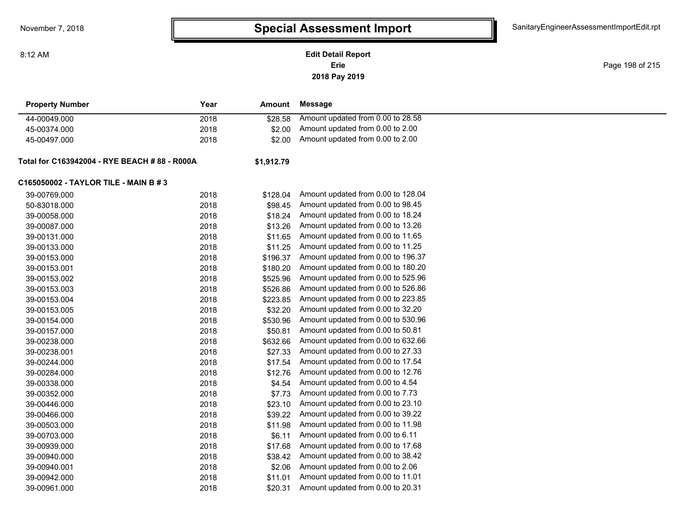**2018 Pay 2019 Erie Edit Detail Report**

Page 198 of 215

| <b>Property Number</b>                                             | Year | Amount     | Message                            |
|--------------------------------------------------------------------|------|------------|------------------------------------|
| 44-00049.000                                                       | 2018 | \$28.58    | Amount updated from 0.00 to 28.58  |
| 45-00374.000                                                       | 2018 | \$2.00     | Amount updated from 0.00 to 2.00   |
| 45-00497.000                                                       | 2018 | \$2.00     | Amount updated from 0.00 to 2.00   |
| Total for C163942004 - RYE BEACH # 88 - R000A                      |      | \$1.912.79 |                                    |
| C165050002 - TAYLOR TILE - MAIN B # 3                              |      |            |                                    |
| 39-00769.000                                                       | 2018 | \$128.04   | Amount updated from 0.00 to 128.04 |
| $F^{\wedge}$ $\wedge$ $\wedge$ $\wedge$ $\wedge$ $\wedge$ $\wedge$ | 0.10 |            | $0.00 \text{ kg}$ $\mu$ $\mu$      |

| 50-83018.000 | 2018 | \$98.45  | Amount updated from 0.00 to 98.45  |
|--------------|------|----------|------------------------------------|
| 39-00058.000 | 2018 | \$18.24  | Amount updated from 0.00 to 18.24  |
| 39-00087.000 | 2018 | \$13.26  | Amount updated from 0.00 to 13.26  |
| 39-00131.000 | 2018 | \$11.65  | Amount updated from 0.00 to 11.65  |
| 39-00133.000 | 2018 | \$11.25  | Amount updated from 0.00 to 11.25  |
| 39-00153.000 | 2018 | \$196.37 | Amount updated from 0.00 to 196.37 |
| 39-00153.001 | 2018 | \$180.20 | Amount updated from 0.00 to 180.20 |
| 39-00153.002 | 2018 | \$525.96 | Amount updated from 0.00 to 525.96 |
| 39-00153.003 | 2018 | \$526.86 | Amount updated from 0.00 to 526.86 |
| 39-00153.004 | 2018 | \$223.85 | Amount updated from 0.00 to 223.85 |
| 39-00153.005 | 2018 | \$32.20  | Amount updated from 0.00 to 32.20  |
| 39-00154.000 | 2018 | \$530.96 | Amount updated from 0.00 to 530.96 |
| 39-00157.000 | 2018 | \$50.81  | Amount updated from 0.00 to 50.81  |
| 39-00238.000 | 2018 | \$632.66 | Amount updated from 0.00 to 632.66 |
| 39-00238.001 | 2018 | \$27.33  | Amount updated from 0.00 to 27.33  |
| 39-00244.000 | 2018 | \$17.54  | Amount updated from 0.00 to 17.54  |
| 39-00284.000 | 2018 | \$12.76  | Amount updated from 0.00 to 12.76  |
| 39-00338.000 | 2018 | \$4.54   | Amount updated from 0.00 to 4.54   |
| 39-00352.000 | 2018 | \$7.73   | Amount updated from 0.00 to 7.73   |
| 39-00446.000 | 2018 | \$23.10  | Amount updated from 0.00 to 23.10  |
| 39-00466.000 | 2018 | \$39.22  | Amount updated from 0.00 to 39.22  |
| 39-00503.000 | 2018 | \$11.98  | Amount updated from 0.00 to 11.98  |
| 39-00703.000 | 2018 | \$6.11   | Amount updated from 0.00 to 6.11   |
| 39-00939.000 | 2018 | \$17.68  | Amount updated from 0.00 to 17.68  |
| 39-00940.000 | 2018 | \$38.42  | Amount updated from 0.00 to 38.42  |
| 39-00940.001 | 2018 | \$2.06   | Amount updated from 0.00 to 2.06   |
| 39-00942.000 | 2018 | \$11.01  | Amount updated from 0.00 to 11.01  |
| 39-00961.000 | 2018 | \$20.31  | Amount updated from 0.00 to 20.31  |
|              |      |          |                                    |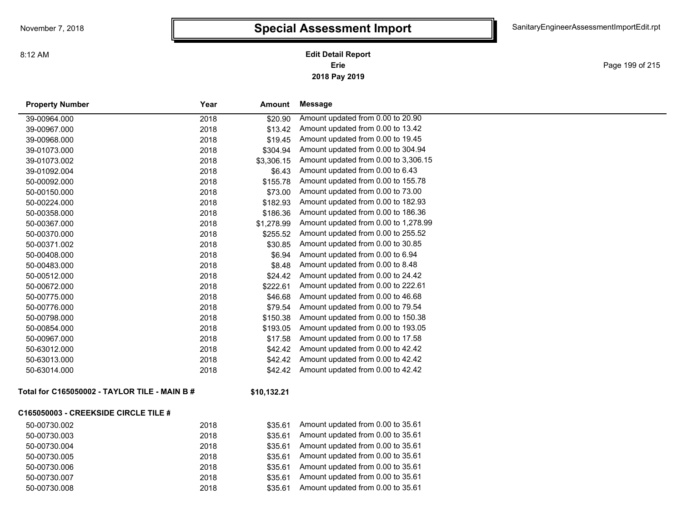**2018 Pay 2019 Erie Edit Detail Report**

Page 199 of 215

| <b>Property Number</b>                        | Year | Amount      | <b>Message</b>                       |
|-----------------------------------------------|------|-------------|--------------------------------------|
| 39-00964.000                                  | 2018 | \$20.90     | Amount updated from 0.00 to 20.90    |
| 39-00967.000                                  | 2018 | \$13.42     | Amount updated from 0.00 to 13.42    |
| 39-00968.000                                  | 2018 | \$19.45     | Amount updated from 0.00 to 19.45    |
| 39-01073.000                                  | 2018 | \$304.94    | Amount updated from 0.00 to 304.94   |
| 39-01073.002                                  | 2018 | \$3,306.15  | Amount updated from 0.00 to 3,306.15 |
| 39-01092.004                                  | 2018 | \$6.43      | Amount updated from 0.00 to 6.43     |
| 50-00092.000                                  | 2018 | \$155.78    | Amount updated from 0.00 to 155.78   |
| 50-00150.000                                  | 2018 | \$73.00     | Amount updated from 0.00 to 73.00    |
| 50-00224.000                                  | 2018 | \$182.93    | Amount updated from 0.00 to 182.93   |
| 50-00358.000                                  | 2018 | \$186.36    | Amount updated from 0.00 to 186.36   |
| 50-00367.000                                  | 2018 | \$1,278.99  | Amount updated from 0.00 to 1,278.99 |
| 50-00370.000                                  | 2018 | \$255.52    | Amount updated from 0.00 to 255.52   |
| 50-00371.002                                  | 2018 | \$30.85     | Amount updated from 0.00 to 30.85    |
| 50-00408.000                                  | 2018 | \$6.94      | Amount updated from 0.00 to 6.94     |
| 50-00483.000                                  | 2018 | \$8.48      | Amount updated from 0.00 to 8.48     |
| 50-00512.000                                  | 2018 | \$24.42     | Amount updated from 0.00 to 24.42    |
| 50-00672.000                                  | 2018 | \$222.61    | Amount updated from 0.00 to 222.61   |
| 50-00775.000                                  | 2018 | \$46.68     | Amount updated from 0.00 to 46.68    |
| 50-00776.000                                  | 2018 | \$79.54     | Amount updated from 0.00 to 79.54    |
| 50-00798.000                                  | 2018 | \$150.38    | Amount updated from 0.00 to 150.38   |
| 50-00854.000                                  | 2018 | \$193.05    | Amount updated from 0.00 to 193.05   |
| 50-00967.000                                  | 2018 | \$17.58     | Amount updated from 0.00 to 17.58    |
| 50-63012.000                                  | 2018 | \$42.42     | Amount updated from 0.00 to 42.42    |
| 50-63013.000                                  | 2018 | \$42.42     | Amount updated from 0.00 to 42.42    |
| 50-63014.000                                  | 2018 | \$42.42     | Amount updated from 0.00 to 42.42    |
| Total for C165050002 - TAYLOR TILE - MAIN B # |      | \$10,132.21 |                                      |
| <b>C165050003 - CREEKSIDE CIRCLE TILE #</b>   |      |             |                                      |
| 50-00730.002                                  | 2018 | \$35.61     | Amount updated from 0.00 to 35.61    |
| 50-00730.003                                  | 2018 | \$35.61     | Amount updated from 0.00 to 35.61    |
| 50-00730.004                                  | 2018 | \$35.61     | Amount updated from 0.00 to 35.61    |
| 50-00730.005                                  | 2018 | \$35.61     | Amount updated from 0.00 to 35.61    |
| 50-00730.006                                  | 2018 | \$35.61     | Amount updated from 0.00 to 35.61    |
| 50-00730.007                                  | 2018 | \$35.61     | Amount updated from 0.00 to 35.61    |
| 50-00730.008                                  | 2018 | \$35.61     | Amount updated from 0.00 to 35.61    |
|                                               |      |             |                                      |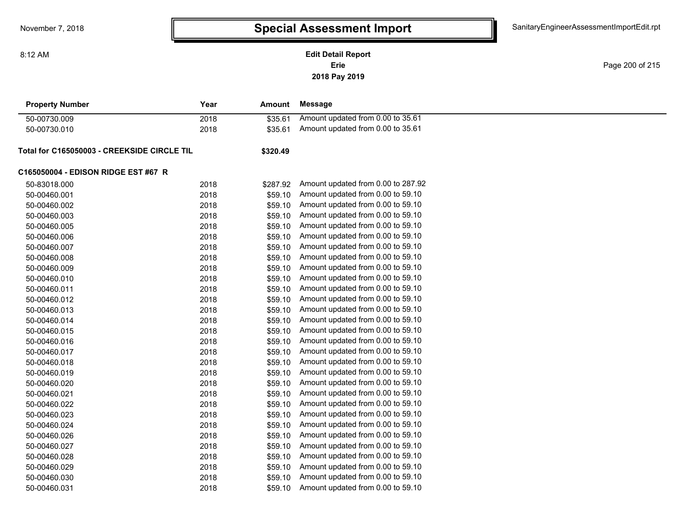**Erie Edit Detail Report**

**2018 Pay 2019**

Page 200 of 215

| <b>Property Number</b>                      | Year | <b>Amount</b> | <b>Message</b>                     |  |
|---------------------------------------------|------|---------------|------------------------------------|--|
| 50-00730.009                                | 2018 | \$35.61       | Amount updated from 0.00 to 35.61  |  |
| 50-00730.010                                | 2018 | \$35.61       | Amount updated from 0.00 to 35.61  |  |
| Total for C165050003 - CREEKSIDE CIRCLE TIL |      | \$320.49      |                                    |  |
| C165050004 - EDISON RIDGE EST #67 R         |      |               |                                    |  |
| 50-83018.000                                | 2018 | \$287.92      | Amount updated from 0.00 to 287.92 |  |
| 50-00460.001                                | 2018 | \$59.10       | Amount updated from 0.00 to 59.10  |  |
| 50-00460.002                                | 2018 | \$59.10       | Amount updated from 0.00 to 59.10  |  |
| 50-00460.003                                | 2018 | \$59.10       | Amount updated from 0.00 to 59.10  |  |
| 50-00460.005                                | 2018 | \$59.10       | Amount updated from 0.00 to 59.10  |  |
| 50-00460.006                                | 2018 | \$59.10       | Amount updated from 0.00 to 59.10  |  |
| 50-00460.007                                | 2018 | \$59.10       | Amount updated from 0.00 to 59.10  |  |
| 50-00460.008                                | 2018 | \$59.10       | Amount updated from 0.00 to 59.10  |  |
| 50-00460.009                                | 2018 | \$59.10       | Amount updated from 0.00 to 59.10  |  |
| 50-00460.010                                | 2018 | \$59.10       | Amount updated from 0.00 to 59.10  |  |
| 50-00460.011                                | 2018 | \$59.10       | Amount updated from 0.00 to 59.10  |  |
| 50-00460.012                                | 2018 | \$59.10       | Amount updated from 0.00 to 59.10  |  |
| 50-00460.013                                | 2018 | \$59.10       | Amount updated from 0.00 to 59.10  |  |
| 50-00460.014                                | 2018 | \$59.10       | Amount updated from 0.00 to 59.10  |  |
| 50-00460.015                                | 2018 | \$59.10       | Amount updated from 0.00 to 59.10  |  |
| 50-00460.016                                | 2018 | \$59.10       | Amount updated from 0.00 to 59.10  |  |
| 50-00460.017                                | 2018 | \$59.10       | Amount updated from 0.00 to 59.10  |  |
| 50-00460.018                                | 2018 | \$59.10       | Amount updated from 0.00 to 59.10  |  |
| 50-00460.019                                | 2018 | \$59.10       | Amount updated from 0.00 to 59.10  |  |
| 50-00460.020                                | 2018 | \$59.10       | Amount updated from 0.00 to 59.10  |  |
| 50-00460.021                                | 2018 | \$59.10       | Amount updated from 0.00 to 59.10  |  |
| 50-00460.022                                | 2018 | \$59.10       | Amount updated from 0.00 to 59.10  |  |
| 50-00460.023                                | 2018 | \$59.10       | Amount updated from 0.00 to 59.10  |  |
| 50-00460.024                                | 2018 | \$59.10       | Amount updated from 0.00 to 59.10  |  |
| 50-00460.026                                | 2018 | \$59.10       | Amount updated from 0.00 to 59.10  |  |
| 50-00460.027                                | 2018 | \$59.10       | Amount updated from 0.00 to 59.10  |  |
| 50-00460.028                                | 2018 | \$59.10       | Amount updated from 0.00 to 59.10  |  |
| 50-00460.029                                | 2018 | \$59.10       | Amount updated from 0.00 to 59.10  |  |
| 50-00460.030                                | 2018 | \$59.10       | Amount updated from 0.00 to 59.10  |  |
| 50-00460.031                                | 2018 | \$59.10       | Amount updated from 0.00 to 59.10  |  |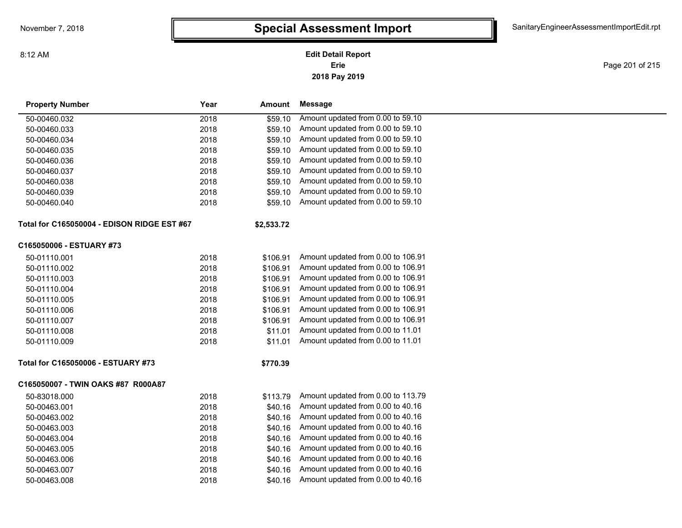### **2018 Pay 2019 Erie Edit Detail Report**

Page 201 of 215

| Amount updated from 0.00 to 59.10<br>2018<br>\$59.10<br>50-00460.032<br>Amount updated from 0.00 to 59.10<br>2018<br>\$59.10<br>50-00460.033<br>Amount updated from 0.00 to 59.10<br>2018<br>\$59.10<br>50-00460.034<br>Amount updated from 0.00 to 59.10<br>50-00460.035<br>2018<br>\$59.10<br>Amount updated from 0.00 to 59.10<br>50-00460.036<br>2018<br>\$59.10<br>Amount updated from 0.00 to 59.10<br>2018<br>50-00460.037<br>\$59.10<br>Amount updated from 0.00 to 59.10<br>2018<br>50-00460.038<br>\$59.10<br>Amount updated from 0.00 to 59.10<br>2018<br>\$59.10<br>50-00460.039<br>Amount updated from 0.00 to 59.10<br>2018<br>\$59.10<br>50-00460.040<br>\$2,533.72<br>Amount updated from 0.00 to 106.91<br>50-01110.001<br>2018<br>\$106.91<br>2018<br>Amount updated from 0.00 to 106.91<br>50-01110.002<br>\$106.91<br>Amount updated from 0.00 to 106.91<br>50-01110.003<br>2018<br>\$106.91<br>Amount updated from 0.00 to 106.91<br>2018<br>\$106.91<br>50-01110.004<br>Amount updated from 0.00 to 106.91<br>2018<br>50-01110.005<br>\$106.91<br>Amount updated from 0.00 to 106.91<br>2018<br>50-01110.006<br>\$106.91<br>Amount updated from 0.00 to 106.91<br>2018<br>50-01110.007<br>\$106.91<br>Amount updated from 0.00 to 11.01<br>50-01110.008<br>2018<br>\$11.01<br>Amount updated from 0.00 to 11.01<br>2018<br>50-01110.009<br>\$11.01<br>\$770.39<br>Amount updated from 0.00 to 113.79<br>50-83018.000<br>2018<br>\$113.79<br>Amount updated from 0.00 to 40.16<br>50-00463.001<br>2018<br>\$40.16<br>Amount updated from 0.00 to 40.16<br>50-00463.002<br>2018<br>\$40.16<br>Amount updated from 0.00 to 40.16<br>50-00463.003<br>2018<br>\$40.16<br>Amount updated from 0.00 to 40.16<br>2018<br>50-00463.004<br>\$40.16<br>Amount updated from 0.00 to 40.16<br>2018<br>50-00463.005<br>\$40.16<br>Amount updated from 0.00 to 40.16<br>2018<br>\$40.16<br>50-00463.006<br>Amount updated from 0.00 to 40.16<br>2018<br>50-00463.007<br>\$40.16<br>Amount updated from 0.00 to 40.16<br>2018<br>50-00463.008<br>\$40.16 | <b>Property Number</b>                             | Year | Amount | <b>Message</b> |
|----------------------------------------------------------------------------------------------------------------------------------------------------------------------------------------------------------------------------------------------------------------------------------------------------------------------------------------------------------------------------------------------------------------------------------------------------------------------------------------------------------------------------------------------------------------------------------------------------------------------------------------------------------------------------------------------------------------------------------------------------------------------------------------------------------------------------------------------------------------------------------------------------------------------------------------------------------------------------------------------------------------------------------------------------------------------------------------------------------------------------------------------------------------------------------------------------------------------------------------------------------------------------------------------------------------------------------------------------------------------------------------------------------------------------------------------------------------------------------------------------------------------------------------------------------------------------------------------------------------------------------------------------------------------------------------------------------------------------------------------------------------------------------------------------------------------------------------------------------------------------------------------------------------------------------------------------------------------------------------------------------------------------------------------------------------|----------------------------------------------------|------|--------|----------------|
|                                                                                                                                                                                                                                                                                                                                                                                                                                                                                                                                                                                                                                                                                                                                                                                                                                                                                                                                                                                                                                                                                                                                                                                                                                                                                                                                                                                                                                                                                                                                                                                                                                                                                                                                                                                                                                                                                                                                                                                                                                                                |                                                    |      |        |                |
|                                                                                                                                                                                                                                                                                                                                                                                                                                                                                                                                                                                                                                                                                                                                                                                                                                                                                                                                                                                                                                                                                                                                                                                                                                                                                                                                                                                                                                                                                                                                                                                                                                                                                                                                                                                                                                                                                                                                                                                                                                                                |                                                    |      |        |                |
|                                                                                                                                                                                                                                                                                                                                                                                                                                                                                                                                                                                                                                                                                                                                                                                                                                                                                                                                                                                                                                                                                                                                                                                                                                                                                                                                                                                                                                                                                                                                                                                                                                                                                                                                                                                                                                                                                                                                                                                                                                                                |                                                    |      |        |                |
|                                                                                                                                                                                                                                                                                                                                                                                                                                                                                                                                                                                                                                                                                                                                                                                                                                                                                                                                                                                                                                                                                                                                                                                                                                                                                                                                                                                                                                                                                                                                                                                                                                                                                                                                                                                                                                                                                                                                                                                                                                                                |                                                    |      |        |                |
|                                                                                                                                                                                                                                                                                                                                                                                                                                                                                                                                                                                                                                                                                                                                                                                                                                                                                                                                                                                                                                                                                                                                                                                                                                                                                                                                                                                                                                                                                                                                                                                                                                                                                                                                                                                                                                                                                                                                                                                                                                                                |                                                    |      |        |                |
|                                                                                                                                                                                                                                                                                                                                                                                                                                                                                                                                                                                                                                                                                                                                                                                                                                                                                                                                                                                                                                                                                                                                                                                                                                                                                                                                                                                                                                                                                                                                                                                                                                                                                                                                                                                                                                                                                                                                                                                                                                                                |                                                    |      |        |                |
|                                                                                                                                                                                                                                                                                                                                                                                                                                                                                                                                                                                                                                                                                                                                                                                                                                                                                                                                                                                                                                                                                                                                                                                                                                                                                                                                                                                                                                                                                                                                                                                                                                                                                                                                                                                                                                                                                                                                                                                                                                                                |                                                    |      |        |                |
|                                                                                                                                                                                                                                                                                                                                                                                                                                                                                                                                                                                                                                                                                                                                                                                                                                                                                                                                                                                                                                                                                                                                                                                                                                                                                                                                                                                                                                                                                                                                                                                                                                                                                                                                                                                                                                                                                                                                                                                                                                                                |                                                    |      |        |                |
|                                                                                                                                                                                                                                                                                                                                                                                                                                                                                                                                                                                                                                                                                                                                                                                                                                                                                                                                                                                                                                                                                                                                                                                                                                                                                                                                                                                                                                                                                                                                                                                                                                                                                                                                                                                                                                                                                                                                                                                                                                                                |                                                    |      |        |                |
|                                                                                                                                                                                                                                                                                                                                                                                                                                                                                                                                                                                                                                                                                                                                                                                                                                                                                                                                                                                                                                                                                                                                                                                                                                                                                                                                                                                                                                                                                                                                                                                                                                                                                                                                                                                                                                                                                                                                                                                                                                                                | <b>Total for C165050004 - EDISON RIDGE EST #67</b> |      |        |                |
|                                                                                                                                                                                                                                                                                                                                                                                                                                                                                                                                                                                                                                                                                                                                                                                                                                                                                                                                                                                                                                                                                                                                                                                                                                                                                                                                                                                                                                                                                                                                                                                                                                                                                                                                                                                                                                                                                                                                                                                                                                                                | C165050006 - ESTUARY #73                           |      |        |                |
|                                                                                                                                                                                                                                                                                                                                                                                                                                                                                                                                                                                                                                                                                                                                                                                                                                                                                                                                                                                                                                                                                                                                                                                                                                                                                                                                                                                                                                                                                                                                                                                                                                                                                                                                                                                                                                                                                                                                                                                                                                                                |                                                    |      |        |                |
|                                                                                                                                                                                                                                                                                                                                                                                                                                                                                                                                                                                                                                                                                                                                                                                                                                                                                                                                                                                                                                                                                                                                                                                                                                                                                                                                                                                                                                                                                                                                                                                                                                                                                                                                                                                                                                                                                                                                                                                                                                                                |                                                    |      |        |                |
|                                                                                                                                                                                                                                                                                                                                                                                                                                                                                                                                                                                                                                                                                                                                                                                                                                                                                                                                                                                                                                                                                                                                                                                                                                                                                                                                                                                                                                                                                                                                                                                                                                                                                                                                                                                                                                                                                                                                                                                                                                                                |                                                    |      |        |                |
|                                                                                                                                                                                                                                                                                                                                                                                                                                                                                                                                                                                                                                                                                                                                                                                                                                                                                                                                                                                                                                                                                                                                                                                                                                                                                                                                                                                                                                                                                                                                                                                                                                                                                                                                                                                                                                                                                                                                                                                                                                                                |                                                    |      |        |                |
|                                                                                                                                                                                                                                                                                                                                                                                                                                                                                                                                                                                                                                                                                                                                                                                                                                                                                                                                                                                                                                                                                                                                                                                                                                                                                                                                                                                                                                                                                                                                                                                                                                                                                                                                                                                                                                                                                                                                                                                                                                                                |                                                    |      |        |                |
|                                                                                                                                                                                                                                                                                                                                                                                                                                                                                                                                                                                                                                                                                                                                                                                                                                                                                                                                                                                                                                                                                                                                                                                                                                                                                                                                                                                                                                                                                                                                                                                                                                                                                                                                                                                                                                                                                                                                                                                                                                                                |                                                    |      |        |                |
|                                                                                                                                                                                                                                                                                                                                                                                                                                                                                                                                                                                                                                                                                                                                                                                                                                                                                                                                                                                                                                                                                                                                                                                                                                                                                                                                                                                                                                                                                                                                                                                                                                                                                                                                                                                                                                                                                                                                                                                                                                                                |                                                    |      |        |                |
|                                                                                                                                                                                                                                                                                                                                                                                                                                                                                                                                                                                                                                                                                                                                                                                                                                                                                                                                                                                                                                                                                                                                                                                                                                                                                                                                                                                                                                                                                                                                                                                                                                                                                                                                                                                                                                                                                                                                                                                                                                                                |                                                    |      |        |                |
|                                                                                                                                                                                                                                                                                                                                                                                                                                                                                                                                                                                                                                                                                                                                                                                                                                                                                                                                                                                                                                                                                                                                                                                                                                                                                                                                                                                                                                                                                                                                                                                                                                                                                                                                                                                                                                                                                                                                                                                                                                                                |                                                    |      |        |                |
|                                                                                                                                                                                                                                                                                                                                                                                                                                                                                                                                                                                                                                                                                                                                                                                                                                                                                                                                                                                                                                                                                                                                                                                                                                                                                                                                                                                                                                                                                                                                                                                                                                                                                                                                                                                                                                                                                                                                                                                                                                                                | Total for C165050006 - ESTUARY #73                 |      |        |                |
|                                                                                                                                                                                                                                                                                                                                                                                                                                                                                                                                                                                                                                                                                                                                                                                                                                                                                                                                                                                                                                                                                                                                                                                                                                                                                                                                                                                                                                                                                                                                                                                                                                                                                                                                                                                                                                                                                                                                                                                                                                                                | C165050007 - TWIN OAKS #87 R000A87                 |      |        |                |
|                                                                                                                                                                                                                                                                                                                                                                                                                                                                                                                                                                                                                                                                                                                                                                                                                                                                                                                                                                                                                                                                                                                                                                                                                                                                                                                                                                                                                                                                                                                                                                                                                                                                                                                                                                                                                                                                                                                                                                                                                                                                |                                                    |      |        |                |
|                                                                                                                                                                                                                                                                                                                                                                                                                                                                                                                                                                                                                                                                                                                                                                                                                                                                                                                                                                                                                                                                                                                                                                                                                                                                                                                                                                                                                                                                                                                                                                                                                                                                                                                                                                                                                                                                                                                                                                                                                                                                |                                                    |      |        |                |
|                                                                                                                                                                                                                                                                                                                                                                                                                                                                                                                                                                                                                                                                                                                                                                                                                                                                                                                                                                                                                                                                                                                                                                                                                                                                                                                                                                                                                                                                                                                                                                                                                                                                                                                                                                                                                                                                                                                                                                                                                                                                |                                                    |      |        |                |
|                                                                                                                                                                                                                                                                                                                                                                                                                                                                                                                                                                                                                                                                                                                                                                                                                                                                                                                                                                                                                                                                                                                                                                                                                                                                                                                                                                                                                                                                                                                                                                                                                                                                                                                                                                                                                                                                                                                                                                                                                                                                |                                                    |      |        |                |
|                                                                                                                                                                                                                                                                                                                                                                                                                                                                                                                                                                                                                                                                                                                                                                                                                                                                                                                                                                                                                                                                                                                                                                                                                                                                                                                                                                                                                                                                                                                                                                                                                                                                                                                                                                                                                                                                                                                                                                                                                                                                |                                                    |      |        |                |
|                                                                                                                                                                                                                                                                                                                                                                                                                                                                                                                                                                                                                                                                                                                                                                                                                                                                                                                                                                                                                                                                                                                                                                                                                                                                                                                                                                                                                                                                                                                                                                                                                                                                                                                                                                                                                                                                                                                                                                                                                                                                |                                                    |      |        |                |
|                                                                                                                                                                                                                                                                                                                                                                                                                                                                                                                                                                                                                                                                                                                                                                                                                                                                                                                                                                                                                                                                                                                                                                                                                                                                                                                                                                                                                                                                                                                                                                                                                                                                                                                                                                                                                                                                                                                                                                                                                                                                |                                                    |      |        |                |
|                                                                                                                                                                                                                                                                                                                                                                                                                                                                                                                                                                                                                                                                                                                                                                                                                                                                                                                                                                                                                                                                                                                                                                                                                                                                                                                                                                                                                                                                                                                                                                                                                                                                                                                                                                                                                                                                                                                                                                                                                                                                |                                                    |      |        |                |
|                                                                                                                                                                                                                                                                                                                                                                                                                                                                                                                                                                                                                                                                                                                                                                                                                                                                                                                                                                                                                                                                                                                                                                                                                                                                                                                                                                                                                                                                                                                                                                                                                                                                                                                                                                                                                                                                                                                                                                                                                                                                |                                                    |      |        |                |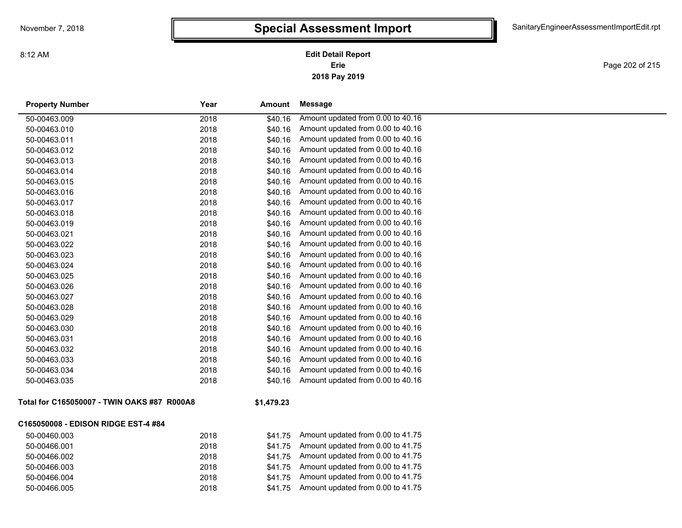**2018 Pay 2019 Erie Edit Detail Report**

Page 202 of 215

| <b>Property Number</b>                      | Year | Amount     | Message                           |
|---------------------------------------------|------|------------|-----------------------------------|
| 50-00463.009                                | 2018 | \$40.16    | Amount updated from 0.00 to 40.16 |
| 50-00463.010                                | 2018 | \$40.16    | Amount updated from 0.00 to 40.16 |
| 50-00463.011                                | 2018 | \$40.16    | Amount updated from 0.00 to 40.16 |
| 50-00463.012                                | 2018 | \$40.16    | Amount updated from 0.00 to 40.16 |
| 50-00463.013                                | 2018 | \$40.16    | Amount updated from 0.00 to 40.16 |
| 50-00463.014                                | 2018 | \$40.16    | Amount updated from 0.00 to 40.16 |
| 50-00463.015                                | 2018 | \$40.16    | Amount updated from 0.00 to 40.16 |
| 50-00463.016                                | 2018 | \$40.16    | Amount updated from 0.00 to 40.16 |
| 50-00463.017                                | 2018 | \$40.16    | Amount updated from 0.00 to 40.16 |
| 50-00463.018                                | 2018 | \$40.16    | Amount updated from 0.00 to 40.16 |
| 50-00463.019                                | 2018 | \$40.16    | Amount updated from 0.00 to 40.16 |
| 50-00463.021                                | 2018 | \$40.16    | Amount updated from 0.00 to 40.16 |
| 50-00463.022                                | 2018 | \$40.16    | Amount updated from 0.00 to 40.16 |
| 50-00463.023                                | 2018 | \$40.16    | Amount updated from 0.00 to 40.16 |
| 50-00463.024                                | 2018 | \$40.16    | Amount updated from 0.00 to 40.16 |
| 50-00463.025                                | 2018 | \$40.16    | Amount updated from 0.00 to 40.16 |
| 50-00463.026                                | 2018 | \$40.16    | Amount updated from 0.00 to 40.16 |
| 50-00463.027                                | 2018 | \$40.16    | Amount updated from 0.00 to 40.16 |
| 50-00463.028                                | 2018 | \$40.16    | Amount updated from 0.00 to 40.16 |
| 50-00463.029                                | 2018 | \$40.16    | Amount updated from 0.00 to 40.16 |
| 50-00463.030                                | 2018 | \$40.16    | Amount updated from 0.00 to 40.16 |
| 50-00463.031                                | 2018 | \$40.16    | Amount updated from 0.00 to 40.16 |
| 50-00463.032                                | 2018 | \$40.16    | Amount updated from 0.00 to 40.16 |
| 50-00463.033                                | 2018 | \$40.16    | Amount updated from 0.00 to 40.16 |
| 50-00463.034                                | 2018 | \$40.16    | Amount updated from 0.00 to 40.16 |
| 50-00463.035                                | 2018 | \$40.16    | Amount updated from 0.00 to 40.16 |
| Total for C165050007 - TWIN OAKS #87 R000A8 |      | \$1,479.23 |                                   |
| C165050008 - EDISON RIDGE EST-4 #84         |      |            |                                   |
| 50-00460.003                                | 2018 | \$41.75    | Amount updated from 0.00 to 41.75 |
| 50-00466.001                                | 2018 | \$41.75    | Amount updated from 0.00 to 41.75 |
| 50-00466.002                                | 2018 | \$41.75    | Amount updated from 0.00 to 41.75 |
| 50-00466.003                                | 2018 | \$41.75    | Amount updated from 0.00 to 41.75 |
| 50-00466.004                                | 2018 | \$41.75    | Amount updated from 0.00 to 41.75 |
| 50-00466.005                                | 2018 | \$41.75    | Amount updated from 0.00 to 41.75 |
|                                             |      |            |                                   |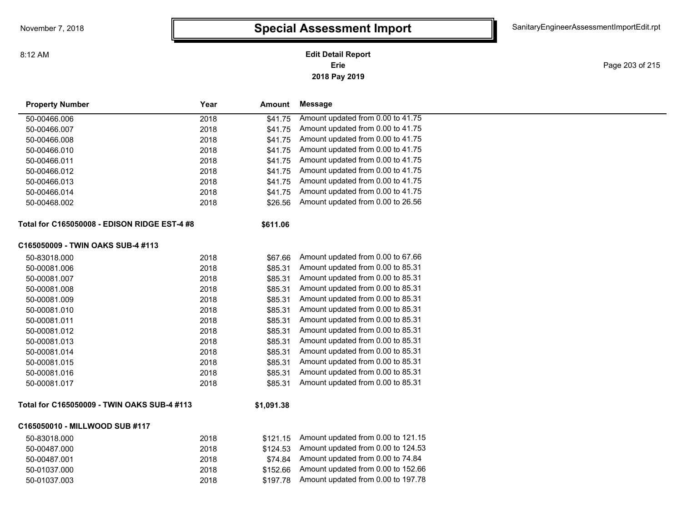**2018 Pay 2019 Erie Edit Detail Report**

Page 203 of 215

| <b>Property Number</b>                       | Year | Amount     | Message                            |
|----------------------------------------------|------|------------|------------------------------------|
| 50-00466.006                                 | 2018 | \$41.75    | Amount updated from 0.00 to 41.75  |
| 50-00466.007                                 | 2018 | \$41.75    | Amount updated from 0.00 to 41.75  |
| 50-00466.008                                 | 2018 | \$41.75    | Amount updated from 0.00 to 41.75  |
| 50-00466.010                                 | 2018 | \$41.75    | Amount updated from 0.00 to 41.75  |
| 50-00466.011                                 | 2018 | \$41.75    | Amount updated from 0.00 to 41.75  |
| 50-00466.012                                 | 2018 | \$41.75    | Amount updated from 0.00 to 41.75  |
| 50-00466.013                                 | 2018 | \$41.75    | Amount updated from 0.00 to 41.75  |
| 50-00466.014                                 | 2018 | \$41.75    | Amount updated from 0.00 to 41.75  |
| 50-00468.002                                 | 2018 | \$26.56    | Amount updated from 0.00 to 26.56  |
| Total for C165050008 - EDISON RIDGE EST-4 #8 |      | \$611.06   |                                    |
| C165050009 - TWIN OAKS SUB-4 #113            |      |            |                                    |
| 50-83018.000                                 | 2018 | \$67.66    | Amount updated from 0.00 to 67.66  |
| 50-00081.006                                 | 2018 | \$85.31    | Amount updated from 0.00 to 85.31  |
| 50-00081.007                                 | 2018 | \$85.31    | Amount updated from 0.00 to 85.31  |
| 50-00081.008                                 | 2018 | \$85.31    | Amount updated from 0.00 to 85.31  |
| 50-00081.009                                 | 2018 | \$85.31    | Amount updated from 0.00 to 85.31  |
| 50-00081.010                                 | 2018 | \$85.31    | Amount updated from 0.00 to 85.31  |
| 50-00081.011                                 | 2018 | \$85.31    | Amount updated from 0.00 to 85.31  |
| 50-00081.012                                 | 2018 | \$85.31    | Amount updated from 0.00 to 85.31  |
| 50-00081.013                                 | 2018 | \$85.31    | Amount updated from 0.00 to 85.31  |
| 50-00081.014                                 | 2018 | \$85.31    | Amount updated from 0.00 to 85.31  |
| 50-00081.015                                 | 2018 | \$85.31    | Amount updated from 0.00 to 85.31  |
| 50-00081.016                                 | 2018 | \$85.31    | Amount updated from 0.00 to 85.31  |
| 50-00081.017                                 | 2018 | \$85.31    | Amount updated from 0.00 to 85.31  |
| Total for C165050009 - TWIN OAKS SUB-4 #113  |      | \$1,091.38 |                                    |
| C165050010 - MILLWOOD SUB #117               |      |            |                                    |
| 50-83018.000                                 | 2018 | \$121.15   | Amount updated from 0.00 to 121.15 |
| 50-00487.000                                 | 2018 | \$124.53   | Amount updated from 0.00 to 124.53 |
| 50-00487.001                                 | 2018 | \$74.84    | Amount updated from 0.00 to 74.84  |
| 50-01037.000                                 | 2018 | \$152.66   | Amount updated from 0.00 to 152.66 |
| 50-01037.003                                 | 2018 | \$197.78   | Amount updated from 0.00 to 197.78 |
|                                              |      |            |                                    |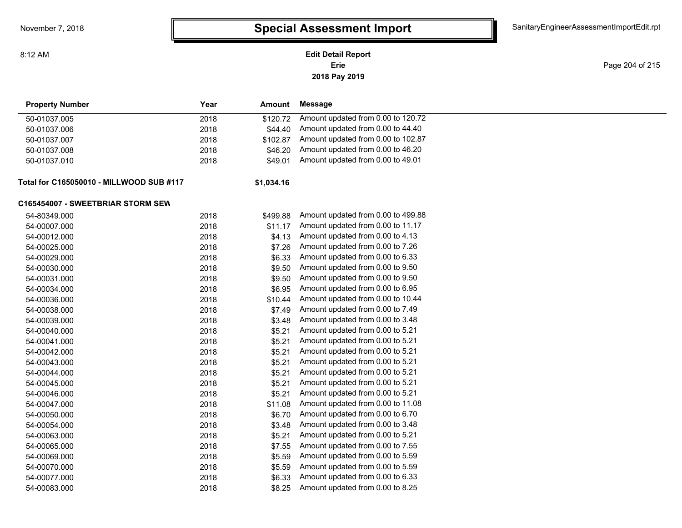8:12 AM

### **2018 Pay 2019 Erie Edit Detail Report**

Page 204 of 215

| <b>Property Number</b>                   | Year | Amount     | <b>Message</b>                     |
|------------------------------------------|------|------------|------------------------------------|
| 50-01037.005                             | 2018 | \$120.72   | Amount updated from 0.00 to 120.72 |
| 50-01037.006                             | 2018 | \$44.40    | Amount updated from 0.00 to 44.40  |
| 50-01037.007                             | 2018 | \$102.87   | Amount updated from 0.00 to 102.87 |
| 50-01037.008                             | 2018 | \$46.20    | Amount updated from 0.00 to 46.20  |
| 50-01037.010                             | 2018 | \$49.01    | Amount updated from 0.00 to 49.01  |
| Total for C165050010 - MILLWOOD SUB #117 |      | \$1,034.16 |                                    |
| C165454007 - SWEETBRIAR STORM SEW        |      |            |                                    |
| 54-80349.000                             | 2018 | \$499.88   | Amount updated from 0.00 to 499.88 |
| 54-00007.000                             | 2018 | \$11.17    | Amount updated from 0.00 to 11.17  |
| 54-00012.000                             | 2018 | \$4.13     | Amount updated from 0.00 to 4.13   |
| 54-00025.000                             | 2018 | \$7.26     | Amount updated from 0.00 to 7.26   |
| 54-00029.000                             | 2018 | \$6.33     | Amount updated from 0.00 to 6.33   |
| 54-00030.000                             | 2018 | \$9.50     | Amount updated from 0.00 to 9.50   |
| 54-00031.000                             | 2018 | \$9.50     | Amount updated from 0.00 to 9.50   |
| 54-00034.000                             | 2018 | \$6.95     | Amount updated from 0.00 to 6.95   |
| 54-00036.000                             | 2018 | \$10.44    | Amount updated from 0.00 to 10.44  |
| 54-00038.000                             | 2018 | \$7.49     | Amount updated from 0.00 to 7.49   |
| 54-00039.000                             | 2018 | \$3.48     | Amount updated from 0.00 to 3.48   |
| 54-00040.000                             | 2018 | \$5.21     | Amount updated from 0.00 to 5.21   |
| 54-00041.000                             | 2018 | \$5.21     | Amount updated from 0.00 to 5.21   |
| 54-00042.000                             | 2018 | \$5.21     | Amount updated from 0.00 to 5.21   |
| 54-00043.000                             | 2018 | \$5.21     | Amount updated from 0.00 to 5.21   |
| 54-00044.000                             | 2018 | \$5.21     | Amount updated from 0.00 to 5.21   |
| 54-00045.000                             | 2018 | \$5.21     | Amount updated from 0.00 to 5.21   |
| 54-00046.000                             | 2018 | \$5.21     | Amount updated from 0.00 to 5.21   |
| 54-00047.000                             | 2018 | \$11.08    | Amount updated from 0.00 to 11.08  |
| 54-00050.000                             | 2018 | \$6.70     | Amount updated from 0.00 to 6.70   |
| 54-00054.000                             | 2018 | \$3.48     | Amount updated from 0.00 to 3.48   |
| 54-00063.000                             | 2018 | \$5.21     | Amount updated from 0.00 to 5.21   |
| 54-00065.000                             | 2018 | \$7.55     | Amount updated from 0.00 to 7.55   |
| 54-00069.000                             | 2018 | \$5.59     | Amount updated from 0.00 to 5.59   |
| 54-00070.000                             | 2018 | \$5.59     | Amount updated from 0.00 to 5.59   |
| 54-00077.000                             | 2018 | \$6.33     | Amount updated from 0.00 to 6.33   |
| 54-00083.000                             | 2018 | \$8.25     | Amount updated from 0.00 to 8.25   |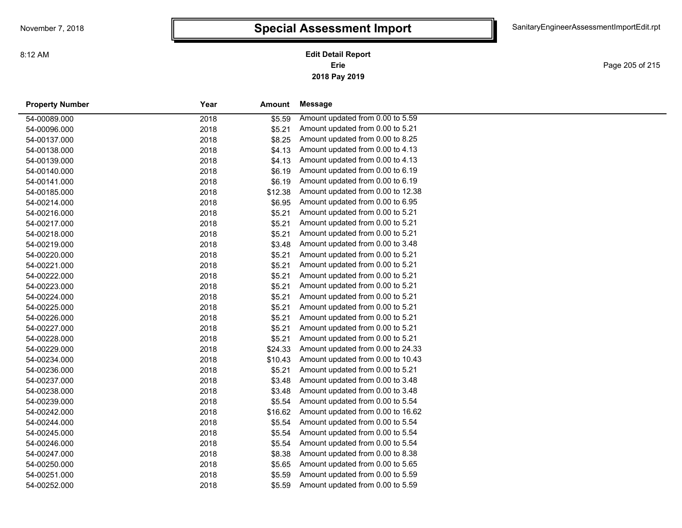**2018 Pay 2019 Erie Edit Detail Report**

Page 205 of 215

| <b>Property Number</b> | Year | Amount  | Message                           |  |
|------------------------|------|---------|-----------------------------------|--|
| 54-00089.000           | 2018 | \$5.59  | Amount updated from 0.00 to 5.59  |  |
| 54-00096.000           | 2018 | \$5.21  | Amount updated from 0.00 to 5.21  |  |
| 54-00137.000           | 2018 | \$8.25  | Amount updated from 0.00 to 8.25  |  |
| 54-00138.000           | 2018 | \$4.13  | Amount updated from 0.00 to 4.13  |  |
| 54-00139.000           | 2018 | \$4.13  | Amount updated from 0.00 to 4.13  |  |
| 54-00140.000           | 2018 | \$6.19  | Amount updated from 0.00 to 6.19  |  |
| 54-00141.000           | 2018 | \$6.19  | Amount updated from 0.00 to 6.19  |  |
| 54-00185.000           | 2018 | \$12.38 | Amount updated from 0.00 to 12.38 |  |
| 54-00214.000           | 2018 | \$6.95  | Amount updated from 0.00 to 6.95  |  |
| 54-00216.000           | 2018 | \$5.21  | Amount updated from 0.00 to 5.21  |  |
| 54-00217.000           | 2018 | \$5.21  | Amount updated from 0.00 to 5.21  |  |
| 54-00218.000           | 2018 | \$5.21  | Amount updated from 0.00 to 5.21  |  |
| 54-00219.000           | 2018 | \$3.48  | Amount updated from 0.00 to 3.48  |  |
| 54-00220.000           | 2018 | \$5.21  | Amount updated from 0.00 to 5.21  |  |
| 54-00221.000           | 2018 | \$5.21  | Amount updated from 0.00 to 5.21  |  |
| 54-00222.000           | 2018 | \$5.21  | Amount updated from 0.00 to 5.21  |  |
| 54-00223.000           | 2018 | \$5.21  | Amount updated from 0.00 to 5.21  |  |
| 54-00224.000           | 2018 | \$5.21  | Amount updated from 0.00 to 5.21  |  |
| 54-00225.000           | 2018 | \$5.21  | Amount updated from 0.00 to 5.21  |  |
| 54-00226.000           | 2018 | \$5.21  | Amount updated from 0.00 to 5.21  |  |
| 54-00227.000           | 2018 | \$5.21  | Amount updated from 0.00 to 5.21  |  |
| 54-00228.000           | 2018 | \$5.21  | Amount updated from 0.00 to 5.21  |  |
| 54-00229.000           | 2018 | \$24.33 | Amount updated from 0.00 to 24.33 |  |
| 54-00234.000           | 2018 | \$10.43 | Amount updated from 0.00 to 10.43 |  |
| 54-00236.000           | 2018 | \$5.21  | Amount updated from 0.00 to 5.21  |  |
| 54-00237.000           | 2018 | \$3.48  | Amount updated from 0.00 to 3.48  |  |
| 54-00238.000           | 2018 | \$3.48  | Amount updated from 0.00 to 3.48  |  |
| 54-00239.000           | 2018 | \$5.54  | Amount updated from 0.00 to 5.54  |  |
| 54-00242.000           | 2018 | \$16.62 | Amount updated from 0.00 to 16.62 |  |
| 54-00244.000           | 2018 | \$5.54  | Amount updated from 0.00 to 5.54  |  |
| 54-00245.000           | 2018 | \$5.54  | Amount updated from 0.00 to 5.54  |  |
| 54-00246.000           | 2018 | \$5.54  | Amount updated from 0.00 to 5.54  |  |
| 54-00247.000           | 2018 | \$8.38  | Amount updated from 0.00 to 8.38  |  |
| 54-00250.000           | 2018 | \$5.65  | Amount updated from 0.00 to 5.65  |  |
| 54-00251.000           | 2018 | \$5.59  | Amount updated from 0.00 to 5.59  |  |
| 54-00252.000           | 2018 | \$5.59  | Amount updated from 0.00 to 5.59  |  |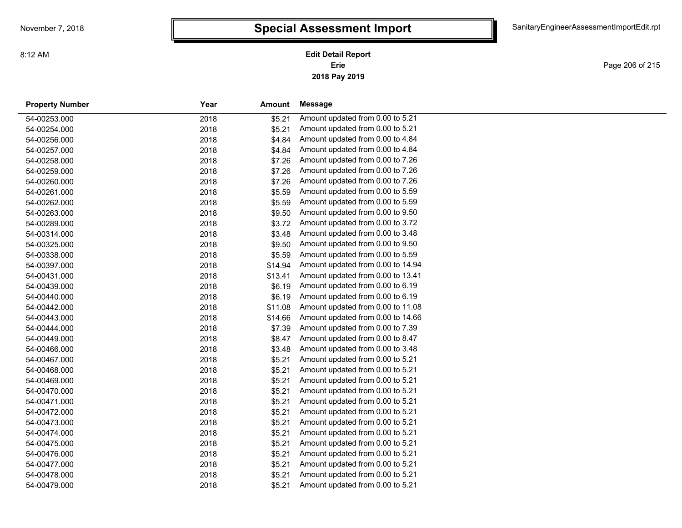**2018 Pay 2019 Erie Edit Detail Report**

Page 206 of 215

| <b>Property Number</b> | Year | Amount  | Message                           |
|------------------------|------|---------|-----------------------------------|
| 54-00253.000           | 2018 | \$5.21  | Amount updated from 0.00 to 5.21  |
| 54-00254.000           | 2018 | \$5.21  | Amount updated from 0.00 to 5.21  |
| 54-00256.000           | 2018 | \$4.84  | Amount updated from 0.00 to 4.84  |
| 54-00257.000           | 2018 | \$4.84  | Amount updated from 0.00 to 4.84  |
| 54-00258.000           | 2018 | \$7.26  | Amount updated from 0.00 to 7.26  |
| 54-00259.000           | 2018 | \$7.26  | Amount updated from 0.00 to 7.26  |
| 54-00260.000           | 2018 | \$7.26  | Amount updated from 0.00 to 7.26  |
| 54-00261.000           | 2018 | \$5.59  | Amount updated from 0.00 to 5.59  |
| 54-00262.000           | 2018 | \$5.59  | Amount updated from 0.00 to 5.59  |
| 54-00263.000           | 2018 | \$9.50  | Amount updated from 0.00 to 9.50  |
| 54-00289.000           | 2018 | \$3.72  | Amount updated from 0.00 to 3.72  |
| 54-00314.000           | 2018 | \$3.48  | Amount updated from 0.00 to 3.48  |
| 54-00325.000           | 2018 | \$9.50  | Amount updated from 0.00 to 9.50  |
| 54-00338.000           | 2018 | \$5.59  | Amount updated from 0.00 to 5.59  |
| 54-00397.000           | 2018 | \$14.94 | Amount updated from 0.00 to 14.94 |
| 54-00431.000           | 2018 | \$13.41 | Amount updated from 0.00 to 13.41 |
| 54-00439.000           | 2018 | \$6.19  | Amount updated from 0.00 to 6.19  |
| 54-00440.000           | 2018 | \$6.19  | Amount updated from 0.00 to 6.19  |
| 54-00442.000           | 2018 | \$11.08 | Amount updated from 0.00 to 11.08 |
| 54-00443.000           | 2018 | \$14.66 | Amount updated from 0.00 to 14.66 |
| 54-00444.000           | 2018 | \$7.39  | Amount updated from 0.00 to 7.39  |
| 54-00449.000           | 2018 | \$8.47  | Amount updated from 0.00 to 8.47  |
| 54-00466.000           | 2018 | \$3.48  | Amount updated from 0.00 to 3.48  |
| 54-00467.000           | 2018 | \$5.21  | Amount updated from 0.00 to 5.21  |
| 54-00468.000           | 2018 | \$5.21  | Amount updated from 0.00 to 5.21  |
| 54-00469.000           | 2018 | \$5.21  | Amount updated from 0.00 to 5.21  |
| 54-00470.000           | 2018 | \$5.21  | Amount updated from 0.00 to 5.21  |
| 54-00471.000           | 2018 | \$5.21  | Amount updated from 0.00 to 5.21  |
| 54-00472.000           | 2018 | \$5.21  | Amount updated from 0.00 to 5.21  |
| 54-00473.000           | 2018 | \$5.21  | Amount updated from 0.00 to 5.21  |
| 54-00474.000           | 2018 | \$5.21  | Amount updated from 0.00 to 5.21  |
| 54-00475.000           | 2018 | \$5.21  | Amount updated from 0.00 to 5.21  |
| 54-00476.000           | 2018 | \$5.21  | Amount updated from 0.00 to 5.21  |
| 54-00477.000           | 2018 | \$5.21  | Amount updated from 0.00 to 5.21  |
| 54-00478.000           | 2018 | \$5.21  | Amount updated from 0.00 to 5.21  |
| 54-00479.000           | 2018 | \$5.21  | Amount updated from 0.00 to 5.21  |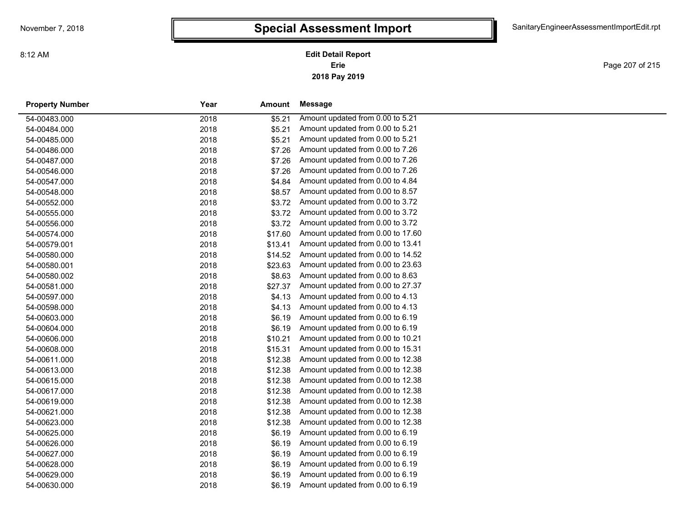**2018 Pay 2019 Erie Edit Detail Report**

Page 207 of 215

| <b>Property Number</b> | Year | Amount  | Message                           |
|------------------------|------|---------|-----------------------------------|
| 54-00483.000           | 2018 | \$5.21  | Amount updated from 0.00 to 5.21  |
| 54-00484.000           | 2018 | \$5.21  | Amount updated from 0.00 to 5.21  |
| 54-00485.000           | 2018 | \$5.21  | Amount updated from 0.00 to 5.21  |
| 54-00486.000           | 2018 | \$7.26  | Amount updated from 0.00 to 7.26  |
| 54-00487.000           | 2018 | \$7.26  | Amount updated from 0.00 to 7.26  |
| 54-00546.000           | 2018 | \$7.26  | Amount updated from 0.00 to 7.26  |
| 54-00547.000           | 2018 | \$4.84  | Amount updated from 0.00 to 4.84  |
| 54-00548.000           | 2018 | \$8.57  | Amount updated from 0.00 to 8.57  |
| 54-00552.000           | 2018 | \$3.72  | Amount updated from 0.00 to 3.72  |
| 54-00555.000           | 2018 | \$3.72  | Amount updated from 0.00 to 3.72  |
| 54-00556.000           | 2018 | \$3.72  | Amount updated from 0.00 to 3.72  |
| 54-00574.000           | 2018 | \$17.60 | Amount updated from 0.00 to 17.60 |
| 54-00579.001           | 2018 | \$13.41 | Amount updated from 0.00 to 13.41 |
| 54-00580.000           | 2018 | \$14.52 | Amount updated from 0.00 to 14.52 |
| 54-00580.001           | 2018 | \$23.63 | Amount updated from 0.00 to 23.63 |
| 54-00580.002           | 2018 | \$8.63  | Amount updated from 0.00 to 8.63  |
| 54-00581.000           | 2018 | \$27.37 | Amount updated from 0.00 to 27.37 |
| 54-00597.000           | 2018 | \$4.13  | Amount updated from 0.00 to 4.13  |
| 54-00598.000           | 2018 | \$4.13  | Amount updated from 0.00 to 4.13  |
| 54-00603.000           | 2018 | \$6.19  | Amount updated from 0.00 to 6.19  |
| 54-00604.000           | 2018 | \$6.19  | Amount updated from 0.00 to 6.19  |
| 54-00606.000           | 2018 | \$10.21 | Amount updated from 0.00 to 10.21 |
| 54-00608.000           | 2018 | \$15.31 | Amount updated from 0.00 to 15.31 |
| 54-00611.000           | 2018 | \$12.38 | Amount updated from 0.00 to 12.38 |
| 54-00613.000           | 2018 | \$12.38 | Amount updated from 0.00 to 12.38 |
| 54-00615.000           | 2018 | \$12.38 | Amount updated from 0.00 to 12.38 |
| 54-00617.000           | 2018 | \$12.38 | Amount updated from 0.00 to 12.38 |
| 54-00619.000           | 2018 | \$12.38 | Amount updated from 0.00 to 12.38 |
| 54-00621.000           | 2018 | \$12.38 | Amount updated from 0.00 to 12.38 |
| 54-00623.000           | 2018 | \$12.38 | Amount updated from 0.00 to 12.38 |
| 54-00625.000           | 2018 | \$6.19  | Amount updated from 0.00 to 6.19  |
| 54-00626.000           | 2018 | \$6.19  | Amount updated from 0.00 to 6.19  |
| 54-00627.000           | 2018 | \$6.19  | Amount updated from 0.00 to 6.19  |
| 54-00628.000           | 2018 | \$6.19  | Amount updated from 0.00 to 6.19  |
| 54-00629.000           | 2018 | \$6.19  | Amount updated from 0.00 to 6.19  |
| 54-00630.000           | 2018 | \$6.19  | Amount updated from 0.00 to 6.19  |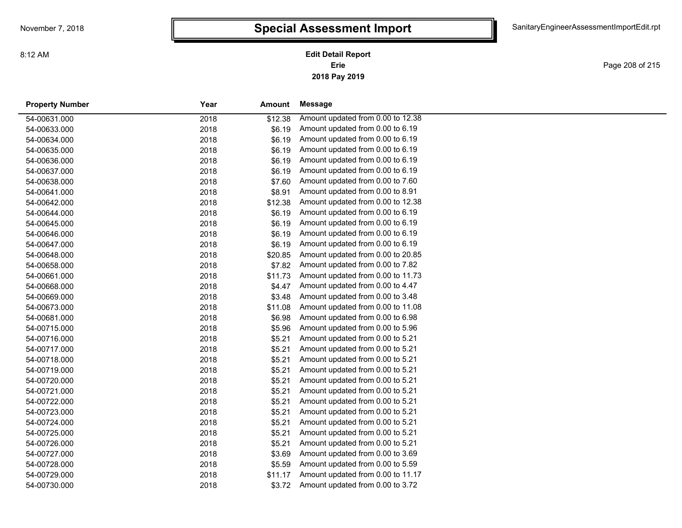**2018 Pay 2019 Erie Edit Detail Report**

Page 208 of 215

| <b>Property Number</b> | Year<br>Amount |         | Message                           |  |
|------------------------|----------------|---------|-----------------------------------|--|
| 54-00631.000           | 2018           | \$12.38 | Amount updated from 0.00 to 12.38 |  |
| 54-00633.000           | 2018           | \$6.19  | Amount updated from 0.00 to 6.19  |  |
| 54-00634.000           | 2018           | \$6.19  | Amount updated from 0.00 to 6.19  |  |
| 54-00635.000           | 2018           | \$6.19  | Amount updated from 0.00 to 6.19  |  |
| 54-00636.000           | 2018           | \$6.19  | Amount updated from 0.00 to 6.19  |  |
| 54-00637.000           | 2018           | \$6.19  | Amount updated from 0.00 to 6.19  |  |
| 54-00638.000           | 2018           | \$7.60  | Amount updated from 0.00 to 7.60  |  |
| 54-00641.000           | 2018           | \$8.91  | Amount updated from 0.00 to 8.91  |  |
| 54-00642.000           | 2018           | \$12.38 | Amount updated from 0.00 to 12.38 |  |
| 54-00644.000           | 2018           | \$6.19  | Amount updated from 0.00 to 6.19  |  |
| 54-00645.000           | 2018           | \$6.19  | Amount updated from 0.00 to 6.19  |  |
| 54-00646.000           | 2018           | \$6.19  | Amount updated from 0.00 to 6.19  |  |
| 54-00647.000           | 2018           | \$6.19  | Amount updated from 0.00 to 6.19  |  |
| 54-00648.000           | 2018           | \$20.85 | Amount updated from 0.00 to 20.85 |  |
| 54-00658.000           | 2018           | \$7.82  | Amount updated from 0.00 to 7.82  |  |
| 54-00661.000           | 2018           | \$11.73 | Amount updated from 0.00 to 11.73 |  |
| 54-00668.000           | 2018           | \$4.47  | Amount updated from 0.00 to 4.47  |  |
| 54-00669.000           | 2018           | \$3.48  | Amount updated from 0.00 to 3.48  |  |
| 54-00673.000           | 2018           | \$11.08 | Amount updated from 0.00 to 11.08 |  |
| 54-00681.000           | 2018           | \$6.98  | Amount updated from 0.00 to 6.98  |  |
| 54-00715.000           | 2018           | \$5.96  | Amount updated from 0.00 to 5.96  |  |
| 54-00716.000           | 2018           | \$5.21  | Amount updated from 0.00 to 5.21  |  |
| 54-00717.000           | 2018           | \$5.21  | Amount updated from 0.00 to 5.21  |  |
| 54-00718.000           | 2018           | \$5.21  | Amount updated from 0.00 to 5.21  |  |
| 54-00719.000           | 2018           | \$5.21  | Amount updated from 0.00 to 5.21  |  |
| 54-00720.000           | 2018           | \$5.21  | Amount updated from 0.00 to 5.21  |  |
| 54-00721.000           | 2018           | \$5.21  | Amount updated from 0.00 to 5.21  |  |
| 54-00722.000           | 2018           | \$5.21  | Amount updated from 0.00 to 5.21  |  |
| 54-00723.000           | 2018           | \$5.21  | Amount updated from 0.00 to 5.21  |  |
| 54-00724.000           | 2018           | \$5.21  | Amount updated from 0.00 to 5.21  |  |
| 54-00725.000           | 2018           | \$5.21  | Amount updated from 0.00 to 5.21  |  |
| 54-00726.000           | 2018           | \$5.21  | Amount updated from 0.00 to 5.21  |  |
| 54-00727.000           | 2018           | \$3.69  | Amount updated from 0.00 to 3.69  |  |
| 54-00728.000           | 2018           | \$5.59  | Amount updated from 0.00 to 5.59  |  |
| 54-00729.000           | 2018           | \$11.17 | Amount updated from 0.00 to 11.17 |  |
| 54-00730.000           | 2018           | \$3.72  | Amount updated from 0.00 to 3.72  |  |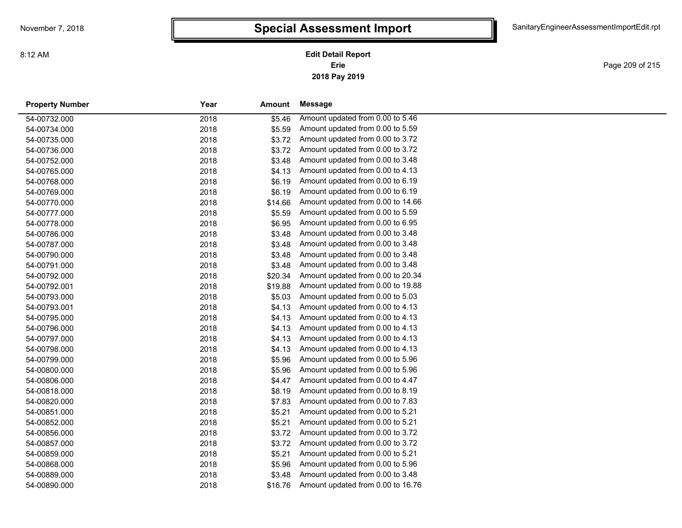**2018 Pay 2019 Erie Edit Detail Report**

Page 209 of 215

| <b>Property Number</b> | Year | Amount  | Message                           |  |
|------------------------|------|---------|-----------------------------------|--|
| 54-00732.000           | 2018 | \$5.46  | Amount updated from 0.00 to 5.46  |  |
| 54-00734.000           | 2018 | \$5.59  | Amount updated from 0.00 to 5.59  |  |
| 54-00735.000           | 2018 | \$3.72  | Amount updated from 0.00 to 3.72  |  |
| 54-00736.000           | 2018 | \$3.72  | Amount updated from 0.00 to 3.72  |  |
| 54-00752.000           | 2018 | \$3.48  | Amount updated from 0.00 to 3.48  |  |
| 54-00765.000           | 2018 | \$4.13  | Amount updated from 0.00 to 4.13  |  |
| 54-00768.000           | 2018 | \$6.19  | Amount updated from 0.00 to 6.19  |  |
| 54-00769.000           | 2018 | \$6.19  | Amount updated from 0.00 to 6.19  |  |
| 54-00770.000           | 2018 | \$14.66 | Amount updated from 0.00 to 14.66 |  |
| 54-00777.000           | 2018 | \$5.59  | Amount updated from 0.00 to 5.59  |  |
| 54-00778.000           | 2018 | \$6.95  | Amount updated from 0.00 to 6.95  |  |
| 54-00786.000           | 2018 | \$3.48  | Amount updated from 0.00 to 3.48  |  |
| 54-00787.000           | 2018 | \$3.48  | Amount updated from 0.00 to 3.48  |  |
| 54-00790.000           | 2018 | \$3.48  | Amount updated from 0.00 to 3.48  |  |
| 54-00791.000           | 2018 | \$3.48  | Amount updated from 0.00 to 3.48  |  |
| 54-00792.000           | 2018 | \$20.34 | Amount updated from 0.00 to 20.34 |  |
| 54-00792.001           | 2018 | \$19.88 | Amount updated from 0.00 to 19.88 |  |
| 54-00793.000           | 2018 | \$5.03  | Amount updated from 0.00 to 5.03  |  |
| 54-00793.001           | 2018 | \$4.13  | Amount updated from 0.00 to 4.13  |  |
| 54-00795.000           | 2018 | \$4.13  | Amount updated from 0.00 to 4.13  |  |
| 54-00796.000           | 2018 | \$4.13  | Amount updated from 0.00 to 4.13  |  |
| 54-00797.000           | 2018 | \$4.13  | Amount updated from 0.00 to 4.13  |  |
| 54-00798.000           | 2018 | \$4.13  | Amount updated from 0.00 to 4.13  |  |
| 54-00799.000           | 2018 | \$5.96  | Amount updated from 0.00 to 5.96  |  |
| 54-00800.000           | 2018 | \$5.96  | Amount updated from 0.00 to 5.96  |  |
| 54-00806.000           | 2018 | \$4.47  | Amount updated from 0.00 to 4.47  |  |
| 54-00818.000           | 2018 | \$8.19  | Amount updated from 0.00 to 8.19  |  |
| 54-00820.000           | 2018 | \$7.83  | Amount updated from 0.00 to 7.83  |  |
| 54-00851.000           | 2018 | \$5.21  | Amount updated from 0.00 to 5.21  |  |
| 54-00852.000           | 2018 | \$5.21  | Amount updated from 0.00 to 5.21  |  |
| 54-00856.000           | 2018 | \$3.72  | Amount updated from 0.00 to 3.72  |  |
| 54-00857.000           | 2018 | \$3.72  | Amount updated from 0.00 to 3.72  |  |
| 54-00859.000           | 2018 | \$5.21  | Amount updated from 0.00 to 5.21  |  |
| 54-00868.000           | 2018 | \$5.96  | Amount updated from 0.00 to 5.96  |  |
| 54-00889.000           | 2018 | \$3.48  | Amount updated from 0.00 to 3.48  |  |
| 54-00890.000           | 2018 | \$16.76 | Amount updated from 0.00 to 16.76 |  |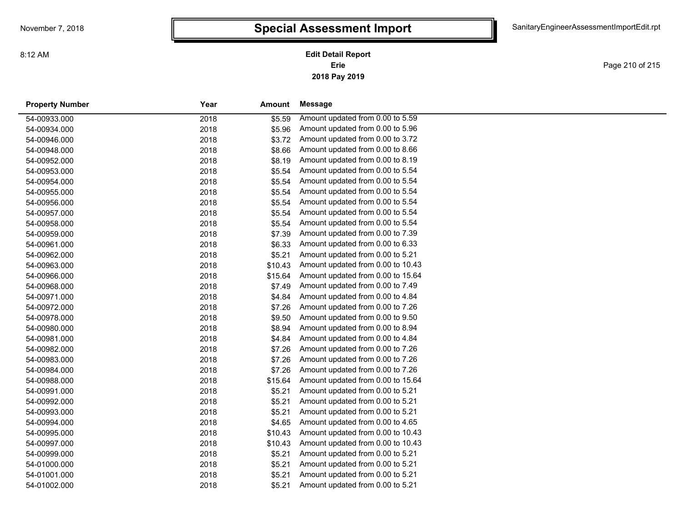Page 210 of 215

| <b>Property Number</b> | Year | Amount  | Message                           |  |
|------------------------|------|---------|-----------------------------------|--|
| 54-00933.000           | 2018 | \$5.59  | Amount updated from 0.00 to 5.59  |  |
| 54-00934.000           | 2018 | \$5.96  | Amount updated from 0.00 to 5.96  |  |
| 54-00946.000           | 2018 | \$3.72  | Amount updated from 0.00 to 3.72  |  |
| 54-00948.000           | 2018 | \$8.66  | Amount updated from 0.00 to 8.66  |  |
| 54-00952.000           | 2018 | \$8.19  | Amount updated from 0.00 to 8.19  |  |
| 54-00953.000           | 2018 | \$5.54  | Amount updated from 0.00 to 5.54  |  |
| 54-00954.000           | 2018 | \$5.54  | Amount updated from 0.00 to 5.54  |  |
| 54-00955.000           | 2018 | \$5.54  | Amount updated from 0.00 to 5.54  |  |
| 54-00956.000           | 2018 | \$5.54  | Amount updated from 0.00 to 5.54  |  |
| 54-00957.000           | 2018 | \$5.54  | Amount updated from 0.00 to 5.54  |  |
| 54-00958.000           | 2018 | \$5.54  | Amount updated from 0.00 to 5.54  |  |
| 54-00959.000           | 2018 | \$7.39  | Amount updated from 0.00 to 7.39  |  |
| 54-00961.000           | 2018 | \$6.33  | Amount updated from 0.00 to 6.33  |  |
| 54-00962.000           | 2018 | \$5.21  | Amount updated from 0.00 to 5.21  |  |
| 54-00963.000           | 2018 | \$10.43 | Amount updated from 0.00 to 10.43 |  |
| 54-00966.000           | 2018 | \$15.64 | Amount updated from 0.00 to 15.64 |  |
| 54-00968.000           | 2018 | \$7.49  | Amount updated from 0.00 to 7.49  |  |
| 54-00971.000           | 2018 | \$4.84  | Amount updated from 0.00 to 4.84  |  |
| 54-00972.000           | 2018 | \$7.26  | Amount updated from 0.00 to 7.26  |  |
| 54-00978.000           | 2018 | \$9.50  | Amount updated from 0.00 to 9.50  |  |
| 54-00980.000           | 2018 | \$8.94  | Amount updated from 0.00 to 8.94  |  |
| 54-00981.000           | 2018 | \$4.84  | Amount updated from 0.00 to 4.84  |  |
| 54-00982.000           | 2018 | \$7.26  | Amount updated from 0.00 to 7.26  |  |
| 54-00983.000           | 2018 | \$7.26  | Amount updated from 0.00 to 7.26  |  |
| 54-00984.000           | 2018 | \$7.26  | Amount updated from 0.00 to 7.26  |  |
| 54-00988.000           | 2018 | \$15.64 | Amount updated from 0.00 to 15.64 |  |
| 54-00991.000           | 2018 | \$5.21  | Amount updated from 0.00 to 5.21  |  |
| 54-00992.000           | 2018 | \$5.21  | Amount updated from 0.00 to 5.21  |  |
| 54-00993.000           | 2018 | \$5.21  | Amount updated from 0.00 to 5.21  |  |
| 54-00994.000           | 2018 | \$4.65  | Amount updated from 0.00 to 4.65  |  |
| 54-00995.000           | 2018 | \$10.43 | Amount updated from 0.00 to 10.43 |  |
| 54-00997.000           | 2018 | \$10.43 | Amount updated from 0.00 to 10.43 |  |
| 54-00999.000           | 2018 | \$5.21  | Amount updated from 0.00 to 5.21  |  |
| 54-01000.000           | 2018 | \$5.21  | Amount updated from 0.00 to 5.21  |  |
| 54-01001.000           | 2018 | \$5.21  | Amount updated from 0.00 to 5.21  |  |
| 54-01002.000           | 2018 | \$5.21  | Amount updated from 0.00 to 5.21  |  |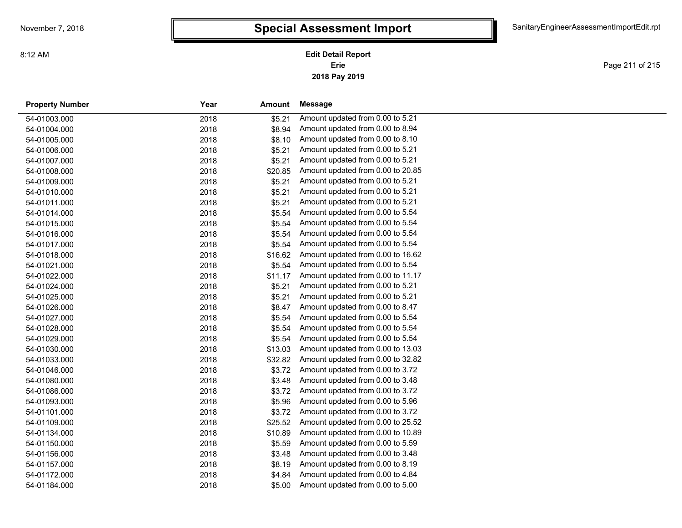Page 211 of 215

| <b>Property Number</b> | Year | Amount  | Message                           |
|------------------------|------|---------|-----------------------------------|
| 54-01003.000           | 2018 | \$5.21  | Amount updated from 0.00 to 5.21  |
| 54-01004.000           | 2018 | \$8.94  | Amount updated from 0.00 to 8.94  |
| 54-01005.000           | 2018 | \$8.10  | Amount updated from 0.00 to 8.10  |
| 54-01006.000           | 2018 | \$5.21  | Amount updated from 0.00 to 5.21  |
| 54-01007.000           | 2018 | \$5.21  | Amount updated from 0.00 to 5.21  |
| 54-01008.000           | 2018 | \$20.85 | Amount updated from 0.00 to 20.85 |
| 54-01009.000           | 2018 | \$5.21  | Amount updated from 0.00 to 5.21  |
| 54-01010.000           | 2018 | \$5.21  | Amount updated from 0.00 to 5.21  |
| 54-01011.000           | 2018 | \$5.21  | Amount updated from 0.00 to 5.21  |
| 54-01014.000           | 2018 | \$5.54  | Amount updated from 0.00 to 5.54  |
| 54-01015.000           | 2018 | \$5.54  | Amount updated from 0.00 to 5.54  |
| 54-01016.000           | 2018 | \$5.54  | Amount updated from 0.00 to 5.54  |
| 54-01017.000           | 2018 | \$5.54  | Amount updated from 0.00 to 5.54  |
| 54-01018.000           | 2018 | \$16.62 | Amount updated from 0.00 to 16.62 |
| 54-01021.000           | 2018 | \$5.54  | Amount updated from 0.00 to 5.54  |
| 54-01022.000           | 2018 | \$11.17 | Amount updated from 0.00 to 11.17 |
| 54-01024.000           | 2018 | \$5.21  | Amount updated from 0.00 to 5.21  |
| 54-01025.000           | 2018 | \$5.21  | Amount updated from 0.00 to 5.21  |
| 54-01026.000           | 2018 | \$8.47  | Amount updated from 0.00 to 8.47  |
| 54-01027.000           | 2018 | \$5.54  | Amount updated from 0.00 to 5.54  |
| 54-01028.000           | 2018 | \$5.54  | Amount updated from 0.00 to 5.54  |
| 54-01029.000           | 2018 | \$5.54  | Amount updated from 0.00 to 5.54  |
| 54-01030.000           | 2018 | \$13.03 | Amount updated from 0.00 to 13.03 |
| 54-01033.000           | 2018 | \$32.82 | Amount updated from 0.00 to 32.82 |
| 54-01046.000           | 2018 | \$3.72  | Amount updated from 0.00 to 3.72  |
| 54-01080.000           | 2018 | \$3.48  | Amount updated from 0.00 to 3.48  |
| 54-01086.000           | 2018 | \$3.72  | Amount updated from 0.00 to 3.72  |
| 54-01093.000           | 2018 | \$5.96  | Amount updated from 0.00 to 5.96  |
| 54-01101.000           | 2018 | \$3.72  | Amount updated from 0.00 to 3.72  |
| 54-01109.000           | 2018 | \$25.52 | Amount updated from 0.00 to 25.52 |
| 54-01134.000           | 2018 | \$10.89 | Amount updated from 0.00 to 10.89 |
| 54-01150.000           | 2018 | \$5.59  | Amount updated from 0.00 to 5.59  |
| 54-01156.000           | 2018 | \$3.48  | Amount updated from 0.00 to 3.48  |
| 54-01157.000           | 2018 | \$8.19  | Amount updated from 0.00 to 8.19  |
| 54-01172.000           | 2018 | \$4.84  | Amount updated from 0.00 to 4.84  |
| 54-01184.000           | 2018 | \$5.00  | Amount updated from 0.00 to 5.00  |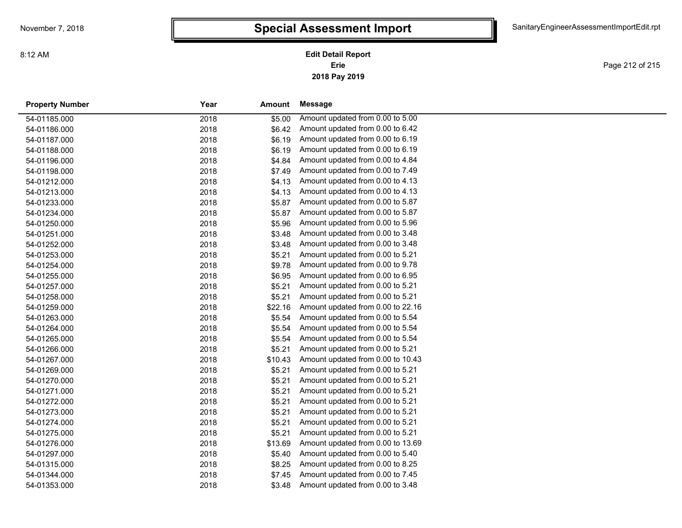Page 212 of 215

| <b>Property Number</b> | Year | Amount  | Message                           |
|------------------------|------|---------|-----------------------------------|
| 54-01185.000           | 2018 | \$5.00  | Amount updated from 0.00 to 5.00  |
| 54-01186.000           | 2018 | \$6.42  | Amount updated from 0.00 to 6.42  |
| 54-01187.000           | 2018 | \$6.19  | Amount updated from 0.00 to 6.19  |
| 54-01188.000           | 2018 | \$6.19  | Amount updated from 0.00 to 6.19  |
| 54-01196.000           | 2018 | \$4.84  | Amount updated from 0.00 to 4.84  |
| 54-01198.000           | 2018 | \$7.49  | Amount updated from 0.00 to 7.49  |
| 54-01212.000           | 2018 | \$4.13  | Amount updated from 0.00 to 4.13  |
| 54-01213.000           | 2018 | \$4.13  | Amount updated from 0.00 to 4.13  |
| 54-01233.000           | 2018 | \$5.87  | Amount updated from 0.00 to 5.87  |
| 54-01234.000           | 2018 | \$5.87  | Amount updated from 0.00 to 5.87  |
| 54-01250.000           | 2018 | \$5.96  | Amount updated from 0.00 to 5.96  |
| 54-01251.000           | 2018 | \$3.48  | Amount updated from 0.00 to 3.48  |
| 54-01252.000           | 2018 | \$3.48  | Amount updated from 0.00 to 3.48  |
| 54-01253.000           | 2018 | \$5.21  | Amount updated from 0.00 to 5.21  |
| 54-01254.000           | 2018 | \$9.78  | Amount updated from 0.00 to 9.78  |
| 54-01255.000           | 2018 | \$6.95  | Amount updated from 0.00 to 6.95  |
| 54-01257.000           | 2018 | \$5.21  | Amount updated from 0.00 to 5.21  |
| 54-01258.000           | 2018 | \$5.21  | Amount updated from 0.00 to 5.21  |
| 54-01259.000           | 2018 | \$22.16 | Amount updated from 0.00 to 22.16 |
| 54-01263.000           | 2018 | \$5.54  | Amount updated from 0.00 to 5.54  |
| 54-01264.000           | 2018 | \$5.54  | Amount updated from 0.00 to 5.54  |
| 54-01265.000           | 2018 | \$5.54  | Amount updated from 0.00 to 5.54  |
| 54-01266.000           | 2018 | \$5.21  | Amount updated from 0.00 to 5.21  |
| 54-01267.000           | 2018 | \$10.43 | Amount updated from 0.00 to 10.43 |
| 54-01269.000           | 2018 | \$5.21  | Amount updated from 0.00 to 5.21  |
| 54-01270.000           | 2018 | \$5.21  | Amount updated from 0.00 to 5.21  |
| 54-01271.000           | 2018 | \$5.21  | Amount updated from 0.00 to 5.21  |
| 54-01272.000           | 2018 | \$5.21  | Amount updated from 0.00 to 5.21  |
| 54-01273.000           | 2018 | \$5.21  | Amount updated from 0.00 to 5.21  |
| 54-01274.000           | 2018 | \$5.21  | Amount updated from 0.00 to 5.21  |
| 54-01275.000           | 2018 | \$5.21  | Amount updated from 0.00 to 5.21  |
| 54-01276.000           | 2018 | \$13.69 | Amount updated from 0.00 to 13.69 |
| 54-01297.000           | 2018 | \$5.40  | Amount updated from 0.00 to 5.40  |
| 54-01315.000           | 2018 | \$8.25  | Amount updated from 0.00 to 8.25  |
| 54-01344.000           | 2018 | \$7.45  | Amount updated from 0.00 to 7.45  |
| 54-01353.000           | 2018 | \$3.48  | Amount updated from 0.00 to 3.48  |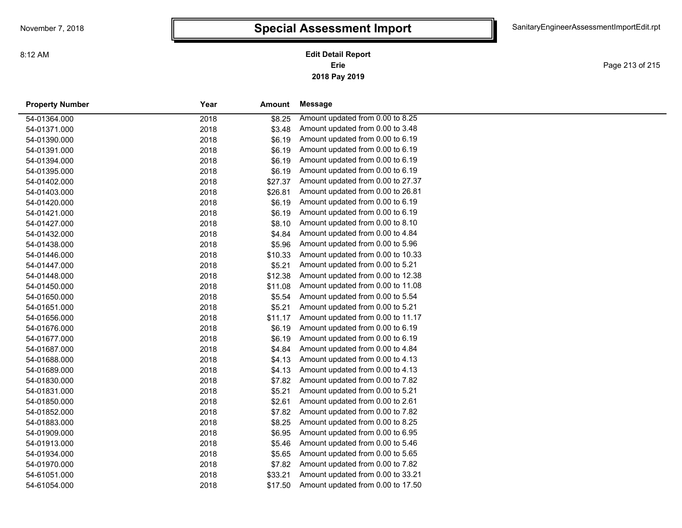**2018 Pay 2019 Erie Edit Detail Report**

Page 213 of 215

| <b>Property Number</b> | Year | Amount  | Message                           |
|------------------------|------|---------|-----------------------------------|
| 54-01364.000           | 2018 | \$8.25  | Amount updated from 0.00 to 8.25  |
| 54-01371.000           | 2018 | \$3.48  | Amount updated from 0.00 to 3.48  |
| 54-01390.000           | 2018 | \$6.19  | Amount updated from 0.00 to 6.19  |
| 54-01391.000           | 2018 | \$6.19  | Amount updated from 0.00 to 6.19  |
| 54-01394.000           | 2018 | \$6.19  | Amount updated from 0.00 to 6.19  |
| 54-01395.000           | 2018 | \$6.19  | Amount updated from 0.00 to 6.19  |
| 54-01402.000           | 2018 | \$27.37 | Amount updated from 0.00 to 27.37 |
| 54-01403.000           | 2018 | \$26.81 | Amount updated from 0.00 to 26.81 |
| 54-01420.000           | 2018 | \$6.19  | Amount updated from 0.00 to 6.19  |
| 54-01421.000           | 2018 | \$6.19  | Amount updated from 0.00 to 6.19  |
| 54-01427.000           | 2018 | \$8.10  | Amount updated from 0.00 to 8.10  |
| 54-01432.000           | 2018 | \$4.84  | Amount updated from 0.00 to 4.84  |
| 54-01438.000           | 2018 | \$5.96  | Amount updated from 0.00 to 5.96  |
| 54-01446.000           | 2018 | \$10.33 | Amount updated from 0.00 to 10.33 |
| 54-01447.000           | 2018 | \$5.21  | Amount updated from 0.00 to 5.21  |
| 54-01448.000           | 2018 | \$12.38 | Amount updated from 0.00 to 12.38 |
| 54-01450.000           | 2018 | \$11.08 | Amount updated from 0.00 to 11.08 |
| 54-01650.000           | 2018 | \$5.54  | Amount updated from 0.00 to 5.54  |
| 54-01651.000           | 2018 | \$5.21  | Amount updated from 0.00 to 5.21  |
| 54-01656.000           | 2018 | \$11.17 | Amount updated from 0.00 to 11.17 |
| 54-01676.000           | 2018 | \$6.19  | Amount updated from 0.00 to 6.19  |
| 54-01677.000           | 2018 | \$6.19  | Amount updated from 0.00 to 6.19  |
| 54-01687.000           | 2018 | \$4.84  | Amount updated from 0.00 to 4.84  |
| 54-01688.000           | 2018 | \$4.13  | Amount updated from 0.00 to 4.13  |
| 54-01689.000           | 2018 | \$4.13  | Amount updated from 0.00 to 4.13  |
| 54-01830.000           | 2018 | \$7.82  | Amount updated from 0.00 to 7.82  |
| 54-01831.000           | 2018 | \$5.21  | Amount updated from 0.00 to 5.21  |
| 54-01850.000           | 2018 | \$2.61  | Amount updated from 0.00 to 2.61  |
| 54-01852.000           | 2018 | \$7.82  | Amount updated from 0.00 to 7.82  |
| 54-01883.000           | 2018 | \$8.25  | Amount updated from 0.00 to 8.25  |
| 54-01909.000           | 2018 | \$6.95  | Amount updated from 0.00 to 6.95  |
| 54-01913.000           | 2018 | \$5.46  | Amount updated from 0.00 to 5.46  |
| 54-01934.000           | 2018 | \$5.65  | Amount updated from 0.00 to 5.65  |
| 54-01970.000           | 2018 | \$7.82  | Amount updated from 0.00 to 7.82  |
| 54-61051.000           | 2018 | \$33.21 | Amount updated from 0.00 to 33.21 |
| 54-61054.000           | 2018 | \$17.50 | Amount updated from 0.00 to 17.50 |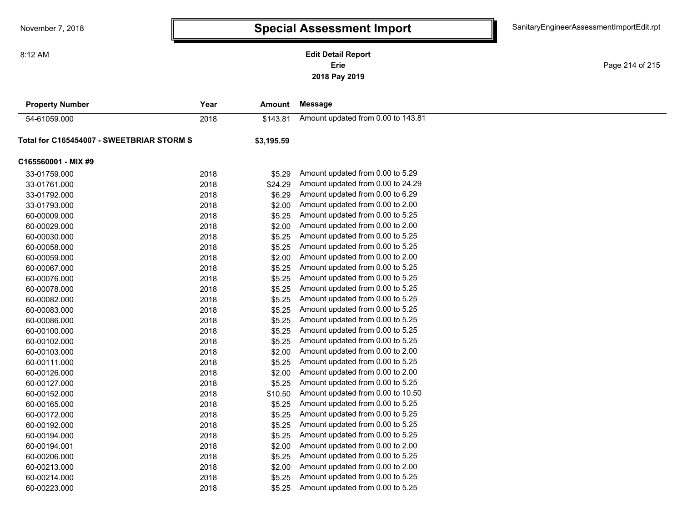### **2018 Pay 2019 Erie Edit Detail Report**

Page 214 of 215

| <b>Property Number</b>                    | Year | <b>Amount</b> | <b>Message</b>                     |
|-------------------------------------------|------|---------------|------------------------------------|
| 54-61059.000                              | 2018 | \$143.81      | Amount updated from 0.00 to 143.81 |
| Total for C165454007 - SWEETBRIAR STORM S |      | \$3,195.59    |                                    |
| C165560001 - MIX #9                       |      |               |                                    |
| 33-01759.000                              | 2018 | \$5.29        | Amount updated from 0.00 to 5.29   |
| 33-01761.000                              | 2018 | \$24.29       | Amount updated from 0.00 to 24.29  |
| 33-01792.000                              | 2018 | \$6.29        | Amount updated from 0.00 to 6.29   |
| 33-01793.000                              | 2018 | \$2.00        | Amount updated from 0.00 to 2.00   |
| 60-00009.000                              | 2018 | \$5.25        | Amount updated from 0.00 to 5.25   |
| 60-00029.000                              | 2018 | \$2.00        | Amount updated from 0.00 to 2.00   |
| 60-00030.000                              | 2018 | \$5.25        | Amount updated from 0.00 to 5.25   |
| 60-00058.000                              | 2018 | \$5.25        | Amount updated from 0.00 to 5.25   |
| 60-00059.000                              | 2018 | \$2.00        | Amount updated from 0.00 to 2.00   |
| 60-00067.000                              | 2018 | \$5.25        | Amount updated from 0.00 to 5.25   |
| 60-00076.000                              | 2018 | \$5.25        | Amount updated from 0.00 to 5.25   |
| 60-00078.000                              | 2018 | \$5.25        | Amount updated from 0.00 to 5.25   |
| 60-00082.000                              | 2018 | \$5.25        | Amount updated from 0.00 to 5.25   |
| 60-00083.000                              | 2018 | \$5.25        | Amount updated from 0.00 to 5.25   |
| 60-00086.000                              | 2018 | \$5.25        | Amount updated from 0.00 to 5.25   |
| 60-00100.000                              | 2018 | \$5.25        | Amount updated from 0.00 to 5.25   |
| 60-00102.000                              | 2018 | \$5.25        | Amount updated from 0.00 to 5.25   |
| 60-00103.000                              | 2018 | \$2.00        | Amount updated from 0.00 to 2.00   |
| 60-00111.000                              | 2018 | \$5.25        | Amount updated from 0.00 to 5.25   |
| 60-00126.000                              | 2018 | \$2.00        | Amount updated from 0.00 to 2.00   |
| 60-00127.000                              | 2018 | \$5.25        | Amount updated from 0.00 to 5.25   |
| 60-00152.000                              | 2018 | \$10.50       | Amount updated from 0.00 to 10.50  |
| 60-00165.000                              | 2018 | \$5.25        | Amount updated from 0.00 to 5.25   |
| 60-00172.000                              | 2018 | \$5.25        | Amount updated from 0.00 to 5.25   |
| 60-00192.000                              | 2018 | \$5.25        | Amount updated from 0.00 to 5.25   |
| 60-00194.000                              | 2018 | \$5.25        | Amount updated from 0.00 to 5.25   |
| 60-00194.001                              | 2018 | \$2.00        | Amount updated from 0.00 to 2.00   |
| 60-00206.000                              | 2018 | \$5.25        | Amount updated from 0.00 to 5.25   |
| 60-00213.000                              | 2018 | \$2.00        | Amount updated from 0.00 to 2.00   |
| 60-00214.000                              | 2018 | \$5.25        | Amount updated from 0.00 to 5.25   |
| 60-00223.000                              | 2018 | \$5.25        | Amount updated from 0.00 to 5.25   |